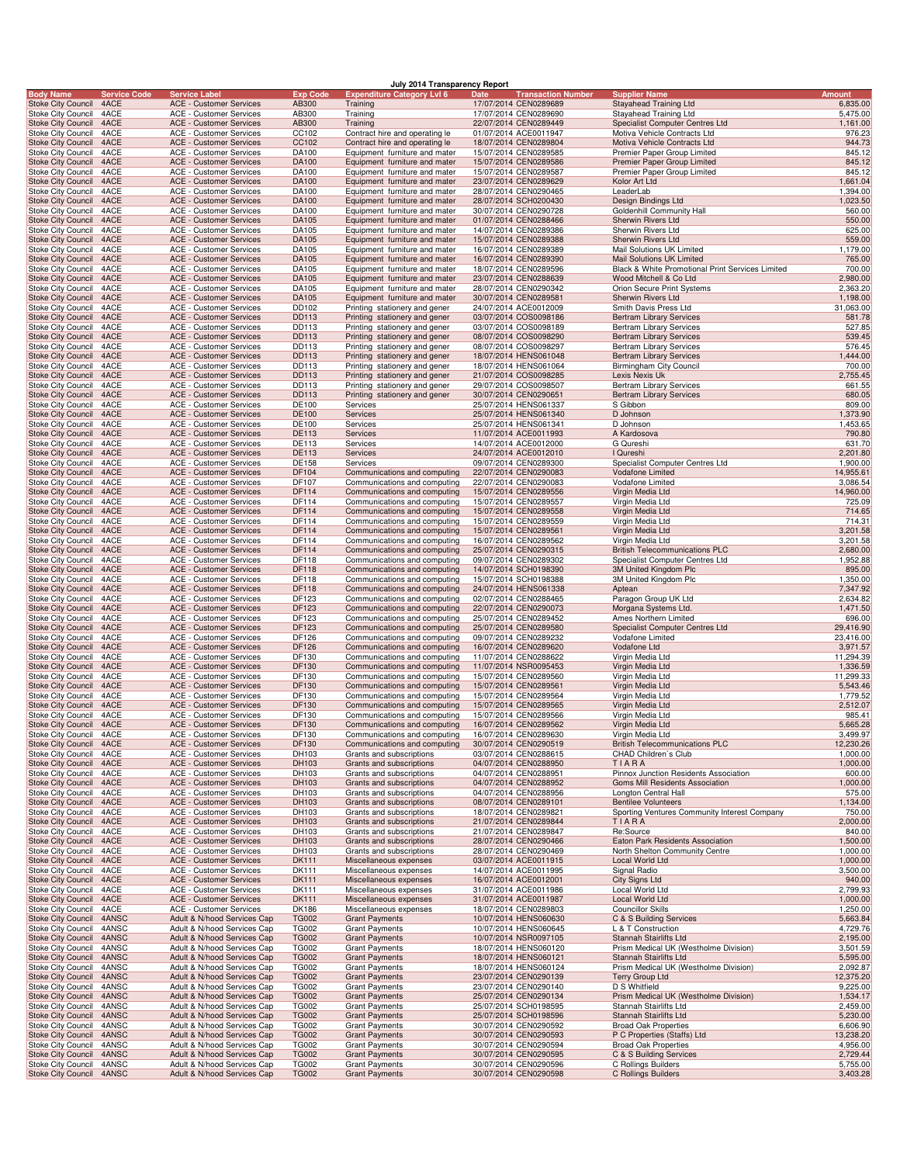|                  |                                                        |                |                     |                                                                  |                              | July 2014 Transparency Report                                  |                                                            |                                                                            |                           |
|------------------|--------------------------------------------------------|----------------|---------------------|------------------------------------------------------------------|------------------------------|----------------------------------------------------------------|------------------------------------------------------------|----------------------------------------------------------------------------|---------------------------|
| <b>Body Name</b> | Stoke City Council                                     | 4ACE           | <b>Service Code</b> | <b>Service Label</b><br><b>ACE - Customer Services</b>           | <b>Exp Code</b><br>AB300     | <b>Expenditure Category Lvl 6</b><br>Training                  | Date<br><u>Transaction Number</u><br>17/07/2014 CEN0289689 | <b>Supplier Name</b><br>Stayahead Training Ltd                             | <b>Amount</b><br>6,835.00 |
|                  | Stoke City Council                                     | 4ACE           |                     | <b>ACE - Customer Services</b>                                   | AB300                        | Training                                                       | 17/07/2014 CEN0289690                                      | Stayahead Training Ltd                                                     | 5,475.00                  |
|                  | <b>Stoke City Council</b><br>Stoke City Council        | 4ACE<br>4ACE   |                     | <b>ACE - Customer Services</b><br><b>ACE - Customer Services</b> | AB300<br>CC102               | Training<br>Contract hire and operating le                     | 22/07/2014 CEN0289449<br>01/07/2014 ACE0011947             | Specialist Computer Centres Ltd<br>Motiva Vehicle Contracts Ltd            | 1,161.00<br>976.23        |
|                  | <b>Stoke City Council</b>                              | 4ACE           |                     | <b>ACE - Customer Services</b>                                   | CC102                        | Contract hire and operating le                                 | 18/07/2014 CEN0289804                                      | Motiva Vehicle Contracts Ltd                                               | 944.73                    |
|                  | <b>Stoke City Council</b>                              | 4ACE           |                     | ACE - Customer Services                                          | DA100                        | Equipment furniture and mater                                  | 15/07/2014 CEN0289585                                      | Premier Paper Group Limited                                                | 845.12                    |
|                  | <b>Stoke City Council</b><br>Stoke City Council        | 4ACE<br>4ACE   |                     | <b>ACE - Customer Services</b><br><b>ACE - Customer Services</b> | DA100<br>DA100               | Equipment furniture and mater<br>Equipment furniture and mater | 15/07/2014 CEN0289586<br>15/07/2014 CEN0289587             | Premier Paper Group Limited<br>Premier Paper Group Limited                 | 845.12<br>845.12          |
|                  | <b>Stoke City Council</b>                              | 4ACE           |                     | <b>ACE - Customer Services</b>                                   | DA100                        | Equipment furniture and mater                                  | 23/07/2014 CEN0289629                                      | Kolor Art Ltd                                                              | 1,661.04                  |
|                  | Stoke City Council                                     | 4ACE           |                     | ACE - Customer Services                                          | DA100                        | Equipment furniture and mater                                  | 28/07/2014 CEN0290465                                      | LeaderLab                                                                  | 1,394.00                  |
|                  | <b>Stoke City Council</b><br>Stoke City Council        | 4ACE<br>4ACE   |                     | <b>ACE - Customer Services</b><br><b>ACE - Customer Services</b> | DA100<br>DA100               | Equipment furniture and mater<br>Equipment furniture and mater | 28/07/2014 SCH0200430<br>30/07/2014 CEN0290728             | Design Bindings Ltd<br>Goldenhill Community Hall                           | 1,023.50<br>560.00        |
|                  | <b>Stoke City Council</b>                              | 4ACE           |                     | <b>ACE - Customer Services</b>                                   | DA105                        | Equipment furniture and mater                                  | 01/07/2014 CEN0288466                                      | Sherwin Rivers Ltd                                                         | 550.00                    |
|                  | Stoke City Council                                     | 4ACE<br>4ACE   |                     | <b>ACE - Customer Services</b><br>ACE - Customer Services        | DA105<br>DA105               | Equipment furniture and mater<br>Equipment furniture and mater | 14/07/2014 CEN0289386<br>15/07/2014 CEN0289388             | Sherwin Rivers Ltd<br>Sherwin Rivers Ltd                                   | 625.00<br>559.00          |
|                  | <b>Stoke City Council</b><br><b>Stoke City Council</b> | 4ACE           |                     | ACE - Customer Services                                          | DA105                        | Equipment furniture and mater                                  | 16/07/2014 CEN0289389                                      | Mail Solutions UK Limited                                                  | 1,179.00                  |
|                  | <b>Stoke City Council</b>                              | 4ACE           |                     | <b>ACE - Customer Services</b>                                   | DA105                        | Equipment furniture and mater                                  | 16/07/2014 CEN0289390                                      | Mail Solutions UK Limited                                                  | 765.00                    |
|                  | Stoke City Council<br><b>Stoke City Council</b>        | 4ACE<br>4ACE   |                     | <b>ACE - Customer Services</b><br><b>ACE - Customer Services</b> | DA105<br>DA105               | Equipment furniture and mater<br>Equipment furniture and mater | 18/07/2014 CEN0289596<br>23/07/2014 CEN0288639             | Black & White Promotional Print Services Limited<br>Wood Mitchell & Co Ltd | 700.00<br>2,980.00        |
|                  | Stoke City Council                                     | 4ACE           |                     | ACE - Customer Services                                          | DA105                        | Equipment furniture and mater                                  | 28/07/2014 CEN0290342                                      | Orion Secure Print Systems                                                 | 2,363.20                  |
|                  | <b>Stoke City Council</b>                              | 4ACE           |                     | <b>ACE - Customer Services</b>                                   | DA105                        | Equipment furniture and mater                                  | 30/07/2014 CEN0289581                                      | Sherwin Rivers Ltd                                                         | 1,198.00                  |
|                  | Stoke City Council<br><b>Stoke City Council</b>        | 4ACE<br>4ACE   |                     | <b>ACE - Customer Services</b><br><b>ACE - Customer Services</b> | DD102<br>DD113               | Printing stationery and gener<br>Printing stationery and gener | 24/07/2014 ACE0012009<br>03/07/2014 COS0098186             | Smith Davis Press Ltd<br><b>Bertram Library Services</b>                   | 31,063.00<br>581.78       |
|                  | Stoke City Council                                     | 4ACE           |                     | <b>ACE - Customer Services</b>                                   | DD113                        | Printing stationery and gener                                  | 03/07/2014 COS0098189                                      | <b>Bertram Library Services</b>                                            | 527.85                    |
|                  | <b>Stoke City Council</b>                              | 4ACE           |                     | ACE - Customer Services                                          | DD113                        | Printing stationery and gener                                  | 08/07/2014 COS0098290                                      | <b>Bertram Library Services</b>                                            | 539.45                    |
|                  | Stoke City Council<br><b>Stoke City Council</b>        | 4ACE<br>4ACE   |                     | ACE - Customer Services<br><b>ACE - Customer Services</b>        | DD113<br>DD113               | Printing stationery and gener<br>Printing stationery and gener | 08/07/2014 COS0098297<br>18/07/2014 HENS061048             | <b>Bertram Library Services</b><br><b>Bertram Library Services</b>         | 576.45<br>1,444.00        |
|                  | Stoke City Council                                     | 4ACE           |                     | <b>ACE - Customer Services</b>                                   | DD113                        | Printing stationery and gener                                  | 18/07/2014 HENS061064                                      | Birmingham City Council                                                    | 700.00                    |
|                  | <b>Stoke City Council</b><br>Stoke City Council        | 4ACE<br>4ACE   |                     | <b>ACE - Customer Services</b><br>ACE - Customer Services        | DD113<br>DD113               | Printing stationery and gener<br>Printing stationery and gener | 21/07/2014 COS0098285<br>29/07/2014 COS0098507             | Lexis Nexis Uk<br>Bertram Library Services                                 | 2,755.45<br>661.55        |
|                  | <b>Stoke City Council</b>                              | 4ACE           |                     | <b>ACE - Customer Services</b>                                   | DD113                        | Printing stationery and gener                                  | 30/07/2014 CEN0290651                                      | <b>Bertram Library Services</b>                                            | 680.05                    |
|                  | Stoke City Council                                     | 4ACE           |                     | <b>ACE - Customer Services</b>                                   | DE100                        | Services                                                       | 25/07/2014 HENS061337                                      | S Gibbon                                                                   | 809.00                    |
|                  | <b>Stoke City Council</b><br>Stoke City Council        | 4ACE<br>4ACE   |                     | <b>ACE - Customer Services</b><br><b>ACE - Customer Services</b> | DE100<br>DE100               | Services<br>Services                                           | 25/07/2014 HENS061340<br>25/07/2014 HENS061341             | D Johnson<br>D Johnson                                                     | 1,373.90<br>1,453.65      |
|                  | <b>Stoke City Council</b>                              | 4ACE           |                     | ACE - Customer Services                                          | DE113                        | <b>Services</b>                                                | 11/07/2014 ACE0011993                                      | A Kardosova                                                                | 790.80                    |
|                  | Stoke City Council                                     | 4ACE           |                     | ACE - Customer Services                                          | DE113                        | Services                                                       | 14/07/2014 ACE0012000                                      | G Qureshi                                                                  | 631.70                    |
|                  | <b>Stoke City Council</b><br>Stoke City Council        | 4ACE<br>4ACE   |                     | <b>ACE - Customer Services</b><br><b>ACE - Customer Services</b> | DE113<br>DE158               | Services<br>Services                                           | 24/07/2014 ACE0012010<br>09/07/2014 CEN0289300             | I Qureshi<br>Specialist Computer Centres Ltd                               | 2,201.80<br>1,900.00      |
|                  | <b>Stoke City Council</b>                              | 4ACE           |                     | <b>ACE - Customer Services</b>                                   | DF104                        | Communications and computing                                   | 22/07/2014 CEN0290083                                      | <b>Vodafone Limited</b>                                                    | 14,955.61                 |
|                  | Stoke City Council                                     | 4ACE           |                     | ACE - Customer Services                                          | DF107                        | Communications and computing                                   | 22/07/2014 CEN0290083                                      | Vodafone Limited                                                           | 3,086.54                  |
|                  | <b>Stoke City Council</b><br>Stoke City Council        | 4ACE<br>4ACE   |                     | <b>ACE - Customer Services</b><br><b>ACE - Customer Services</b> | DF114<br>DF114               | Communications and computing<br>Communications and computing   | 15/07/2014 CEN0289556<br>15/07/2014 CEN0289557             | Virgin Media Ltd<br>Virgin Media Ltd                                       | 14,960.00<br>725.09       |
|                  | <b>Stoke City Council</b>                              | 4ACE           |                     | <b>ACE - Customer Services</b>                                   | DF114                        | Communications and computing                                   | 15/07/2014 CEN0289558                                      | Virgin Media Ltd                                                           | 714.65                    |
|                  | Stoke City Council                                     | 4ACE           |                     | <b>ACE - Customer Services</b>                                   | DF114                        | Communications and computing                                   | 15/07/2014 CEN0289559                                      | Virgin Media Ltd                                                           | 714.31                    |
|                  | <b>Stoke City Council</b><br>Stoke City Council        | 4ACE<br>4ACE   |                     | ACE - Customer Services<br>ACE - Customer Services               | DF114<br>DF114               | Communications and computing<br>Communications and computing   | 15/07/2014 CEN0289561<br>16/07/2014 CEN0289562             | Virgin Media Ltd<br>Virgin Media Ltd                                       | 3,201.58<br>3,201.58      |
|                  | <b>Stoke City Council</b>                              | 4ACE           |                     | <b>ACE - Customer Services</b>                                   | DF114                        | Communications and computing                                   | 25/07/2014 CEN0290315                                      | <b>British Telecommunications PLC</b>                                      | 2,680.00                  |
|                  | Stoke City Council                                     | 4ACE           |                     | <b>ACE - Customer Services</b>                                   | DF118<br><b>DF118</b>        | Communications and computing                                   | 09/07/2014 CEN0289302                                      | Specialist Computer Centres Ltd                                            | 1,952.88<br>895.00        |
|                  | Stoke City Council<br>Stoke City Council               | 4ACE<br>4ACE   |                     | <b>ACE - Customer Services</b><br>ACE - Customer Services        | DF118                        | Communications and computing<br>Communications and computing   | 14/07/2014 SCH0198390<br>15/07/2014 SCH0198388             | 3M United Kingdom Plc<br>3M United Kingdom Plc                             | 1,350.00                  |
|                  | <b>Stoke City Council</b>                              | 4ACE           |                     | <b>ACE - Customer Services</b>                                   | <b>DF118</b>                 | Communications and computing                                   | 24/07/2014 HENS061338                                      | Aptean                                                                     | 7,347.92                  |
|                  | Stoke City Council<br><b>Stoke City Council</b>        | 4ACE<br>4ACE   |                     | ACE - Customer Services<br><b>ACE - Customer Services</b>        | DF123<br>DF123               | Communications and computing<br>Communications and computing   | 02/07/2014 CEN0288465<br>22/07/2014 CEN0290073             | Paragon Group UK Ltd<br>Morgana Systems Ltd.                               | 2,634.82<br>1,471.50      |
|                  | Stoke City Council                                     | 4ACE           |                     | <b>ACE - Customer Services</b>                                   | DF123                        | Communications and computing                                   | 25/07/2014 CEN0289452                                      | Ames Northern Limited                                                      | 696.00                    |
|                  | <b>Stoke City Council</b>                              | 4ACE           |                     | ACE - Customer Services                                          | DF123                        | Communications and computing                                   | 25/07/2014 CEN0289580                                      | Specialist Computer Centres Ltd                                            | 29,416.90                 |
|                  | Stoke City Council<br><b>Stoke City Council</b>        | 4ACE<br>4ACE   |                     | ACE - Customer Services<br><b>ACE - Customer Services</b>        | DF126<br>DF126               | Communications and computing<br>Communications and computing   | 09/07/2014 CEN0289232<br>16/07/2014 CEN0289620             | Vodafone Limited<br>Vodafone Ltd                                           | 23,416.00<br>3,971.57     |
|                  | Stoke City Council                                     | 4ACE           |                     | <b>ACE - Customer Services</b>                                   | DF130                        | Communications and computing                                   | 11/07/2014 CEN0288622                                      | Virgin Media Ltd                                                           | 11,294.39                 |
|                  | <b>Stoke City Council</b>                              | 4ACE           |                     | <b>ACE - Customer Services</b>                                   | DF130                        | Communications and computing                                   | 11/07/2014 NSR0095453                                      | Virgin Media Ltd                                                           | 1,336.59                  |
|                  | Stoke City Council<br><b>Stoke City Council</b>        | 4ACE<br>4ACE   |                     | ACE - Customer Services<br><b>ACE - Customer Services</b>        | DF130<br>DF130               | Communications and computing<br>Communications and computing   | 15/07/2014 CEN0289560<br>15/07/2014 CEN0289561             | Virgin Media Ltd<br>Virgin Media Ltd                                       | 11,299.33<br>5,543.46     |
|                  | Stoke City Council                                     | 4ACE           |                     | ACE - Customer Services                                          | DF130                        | Communications and computing                                   | 15/07/2014 CEN0289564                                      | Virgin Media Ltd                                                           | 1,779.52                  |
|                  | <b>Stoke City Council</b>                              | 4ACE           |                     | <b>ACE - Customer Services</b>                                   | DF130<br>DF130               | Communications and computing<br>Communications and computing   | 15/07/2014 CEN0289565<br>15/07/2014 CEN0289566             | Virgin Media Ltd                                                           | 2,512.07<br>985.41        |
|                  | Stoke City Council<br>Stoke City Council 4ACE          | 4ACE           |                     | <b>ACE - Customer Services</b><br>ACE - Customer Services        | DF130                        | Communications and computing                                   | 16/07/2014 CEN0289562                                      | Virgin Media Ltd<br>Virgin Media Ltd                                       | 5,665.28                  |
|                  | Stoke City Council                                     | 4ACE           |                     | <b>ACE - Customer Services</b>                                   | DF130                        | Communications and computing                                   | 16/07/2014 CEN0289630                                      | Virgin Media Ltd                                                           | 3,499.97                  |
|                  | <b>Stoke City Council</b><br><b>Stoke City Council</b> | 4ACE<br>4ACE   |                     | ACE - Customer Services<br>ACE - Customer Services               | DF130<br>DH103               | Communications and computing<br>Grants and subscriptions       | 30/07/2014 CEN0290519<br>03/07/2014 CEN0288615             | <b>British Telecommunications PLC</b><br>CHAD Children's Club              | 12,230.26<br>1,000.00     |
|                  | <b>Stoke City Council</b>                              | 4ACE           |                     | <b>ACE - Customer Services</b>                                   | DH103                        | Grants and subscriptions                                       | 04/07/2014 CEN0288950                                      | TIARA                                                                      | 1,000.00                  |
|                  | Stoke City Council                                     | 4ACE           |                     | ACE - Customer Services                                          | DH103                        | Grants and subscriptions                                       | 04/07/2014 CEN0288951                                      | Pinnox Junction Residents Association                                      | 600.00                    |
|                  | <b>Stoke City Council</b><br>Stoke City Council        | 4ACE<br>4ACE   |                     | ACE - Customer Services<br>ACE - Customer Services               | DH103<br>DH103               | Grants and subscriptions<br>Grants and subscriptions           | 04/07/2014 CEN0288952<br>04/07/2014 CEN0288956             | Goms Mill Residents Association<br>Longton Central Hall                    | 1,000.00<br>575.00        |
|                  | <b>Stoke City Council</b>                              | 4ACE           |                     | ACE - Customer Services                                          | DH103                        | Grants and subscriptions                                       | 08/07/2014 CEN0289101                                      | <b>Bentilee Volunteers</b>                                                 | 1,134.00                  |
|                  | Stoke City Council<br><b>Stoke City Council</b>        | 4ACE<br>4ACE   |                     | ACE - Customer Services                                          | DH103                        | Grants and subscriptions                                       | 18/07/2014 CEN0289821                                      | Sporting Ventures Community Interest Company                               | 750.00<br>2,000.00        |
|                  | <b>Stoke City Council</b>                              | 4ACE           |                     | ACE - Customer Services<br><b>ACE - Customer Services</b>        | DH103<br>DH103               | Grants and subscriptions<br>Grants and subscriptions           | 21/07/2014 CEN0289844<br>21/07/2014 CEN0289847             | TIARA<br>Re:Source                                                         | 840.00                    |
|                  | <b>Stoke City Council</b>                              | 4ACE           |                     | <b>ACE - Customer Services</b>                                   | DH103                        | Grants and subscriptions                                       | 28/07/2014 CEN0290466                                      | Eaton Park Residents Association                                           | 1,500.00                  |
|                  | <b>Stoke City Council</b><br><b>Stoke City Council</b> | 4ACE<br>4ACE   |                     | <b>ACE - Customer Services</b><br><b>ACE - Customer Services</b> | DH103<br><b>DK111</b>        | Grants and subscriptions<br>Miscellaneous expenses             | 28/07/2014 CEN0290469<br>03/07/2014 ACE0011915             | North Shelton Community Centre<br><b>Local World Ltd</b>                   | 1,000.00<br>1,000.00      |
|                  | Stoke City Council                                     | 4ACE           |                     | ACE - Customer Services                                          | DK111                        | Miscellaneous expenses                                         | 14/07/2014 ACE0011995                                      | Signal Radio                                                               | 3,500.00                  |
|                  | <b>Stoke City Council</b>                              | 4ACE           |                     | ACE - Customer Services                                          | <b>DK111</b>                 | Miscellaneous expenses                                         | 16/07/2014 ACE0012001                                      | <b>City Signs Ltd</b>                                                      | 940.00                    |
|                  | Stoke City Council<br><b>Stoke City Council</b>        | 4ACE<br>4ACE   |                     | ACE - Customer Services<br>ACE - Customer Services               | DK111<br><b>DK111</b>        | Miscellaneous expenses<br>Miscellaneous expenses               | 31/07/2014 ACE0011986<br>31/07/2014 ACE0011987             | Local World Ltd<br>Local World Ltd                                         | 2,799.93<br>1,000.00      |
|                  | Stoke City Council                                     | 4ACE           |                     | ACE - Customer Services                                          | <b>DK186</b>                 | Miscellaneous expenses                                         | 18/07/2014 CEN0289803                                      | <b>Councillor Skills</b>                                                   | 1,250.00                  |
|                  | <b>Stoke City Council</b>                              | 4ANSC          |                     | Adult & N/hood Services Cap                                      | <b>TG002</b>                 | <b>Grant Payments</b>                                          | 10/07/2014 HENS060630                                      | C & S Building Services                                                    | 5,663.84                  |
|                  | Stoke City Council<br><b>Stoke City Council</b>        | 4ANSC<br>4ANSC |                     | Adult & N/hood Services Cap<br>Adult & N/hood Services Cap       | <b>TG002</b><br><b>TG002</b> | <b>Grant Payments</b><br><b>Grant Payments</b>                 | 10/07/2014 HENS060645<br>10/07/2014 NSR0097105             | L & T Construction<br>Stannah Stairlifts Ltd                               | 4,729.76<br>2,195.00      |
|                  | <b>Stoke City Council</b>                              | 4ANSC          |                     | Adult & N/hood Services Cap                                      | <b>TG002</b>                 | <b>Grant Payments</b>                                          | 18/07/2014 HENS060120                                      | Prism Medical UK (Westholme Division)                                      | 3,501.59                  |
|                  | <b>Stoke City Council</b>                              | 4ANSC          |                     | Adult & N/hood Services Cap                                      | <b>TG002</b>                 | <b>Grant Payments</b>                                          | 18/07/2014 HENS060121                                      | Stannah Stairlifts Ltd                                                     | 5,595.00                  |
|                  | Stoke City Council<br><b>Stoke City Council</b>        | 4ANSC<br>4ANSC |                     | Adult & N/hood Services Cap<br>Adult & N/hood Services Cap       | <b>TG002</b><br><b>TG002</b> | <b>Grant Payments</b><br><b>Grant Payments</b>                 | 18/07/2014 HENS060124<br>23/07/2014 CEN0290139             | Prism Medical UK (Westholme Division)<br>Terry Group Ltd                   | 2,092.87<br>12,375.20     |
|                  | Stoke City Council                                     | 4ANSC          |                     | Adult & N/hood Services Cap                                      | TG002                        | <b>Grant Payments</b>                                          | 23/07/2014 CEN0290140                                      | D S Whitfield                                                              | 9,225.00                  |
|                  | <b>Stoke City Council</b><br>Stoke City Council        | 4ANSC<br>4ANSC |                     | Adult & N/hood Services Cap<br>Adult & N/hood Services Cap       | <b>TG002</b><br><b>TG002</b> | <b>Grant Payments</b><br><b>Grant Payments</b>                 | 25/07/2014 CEN0290134<br>25/07/2014 SCH0198595             | Prism Medical UK (Westholme Division)<br>Stannah Stairlifts Ltd            | 1,534.17<br>2,459.00      |
|                  | <b>Stoke City Council</b>                              | 4ANSC          |                     | Adult & N/hood Services Cap                                      | <b>TG002</b>                 | <b>Grant Payments</b>                                          | 25/07/2014 SCH0198596                                      | Stannah Stairlifts Ltd                                                     | 5,230.00                  |
|                  | Stoke City Council                                     | 4ANSC          |                     | Adult & N/hood Services Cap                                      | <b>TG002</b>                 | <b>Grant Payments</b>                                          | 30/07/2014 CEN0290592                                      | <b>Broad Oak Properties</b>                                                | 6,606.90                  |
|                  | <b>Stoke City Council</b><br><b>Stoke City Council</b> | 4ANSC<br>4ANSC |                     | Adult & N/hood Services Cap<br>Adult & N/hood Services Cap       | <b>TG002</b><br><b>TG002</b> | <b>Grant Payments</b><br><b>Grant Payments</b>                 | 30/07/2014 CEN0290593<br>30/07/2014 CEN0290594             | P C Properties (Staffs) Ltd<br><b>Broad Oak Properties</b>                 | 13,238.20<br>4,956.00     |
|                  | <b>Stoke City Council</b>                              | 4ANSC          |                     | Adult & N/hood Services Cap                                      | <b>TG002</b>                 | <b>Grant Payments</b>                                          | 30/07/2014 CEN0290595                                      | C & S Building Services                                                    | 2,729.44                  |
|                  | Stoke City Council                                     | 4ANSC          |                     | Adult & N/hood Services Cap                                      | <b>TG002</b>                 | <b>Grant Payments</b>                                          | 30/07/2014 CEN0290596                                      | C Rollings Builders                                                        | 5,755.00                  |
|                  | <b>Stoke City Council</b>                              | 4ANSC          |                     | Adult & N/hood Services Cap                                      | <b>TG002</b>                 | <b>Grant Payments</b>                                          | 30/07/2014 CEN0290598                                      | C Rollings Builders                                                        | 3,403.28                  |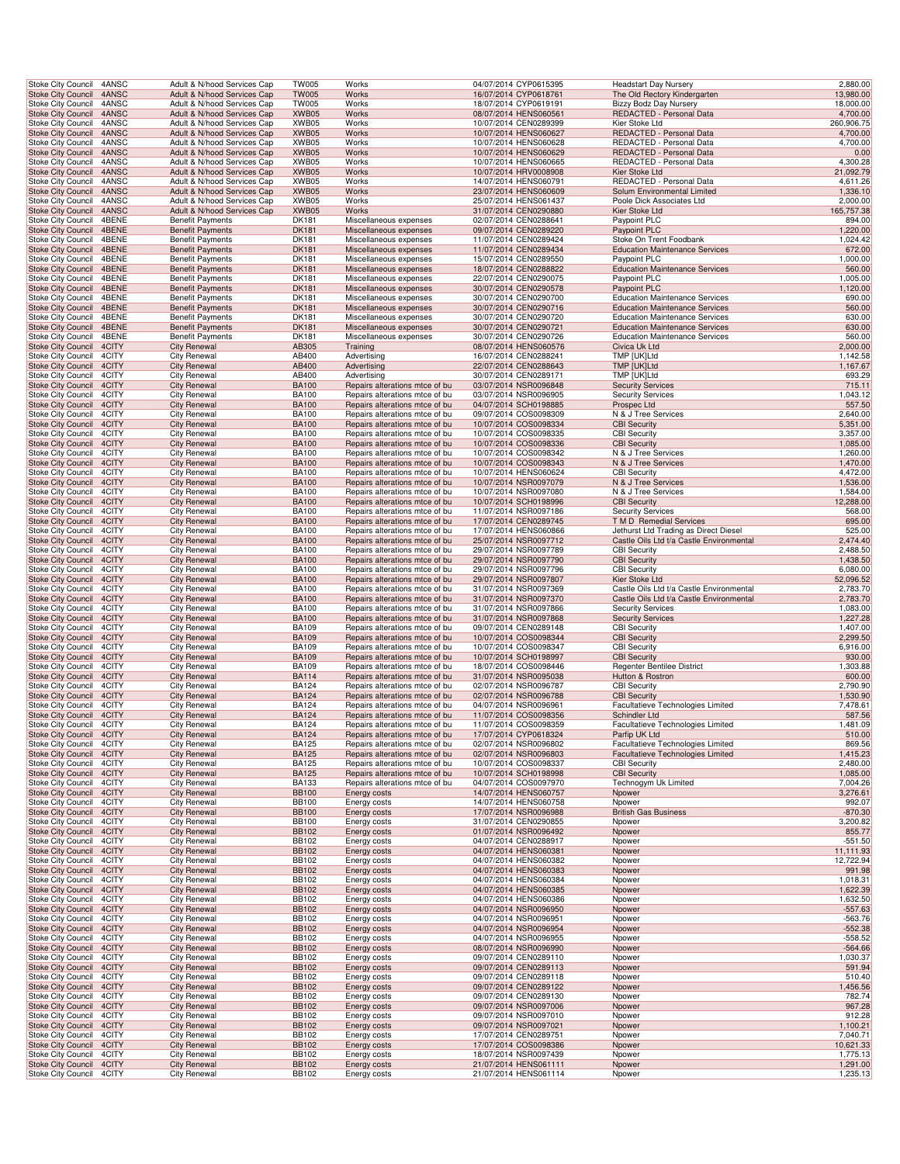|  | Stoke City Council                                     | 4ANSC          | Adult & N/hood Services Cap                                | <b>TW005</b>                 | Works                                                            | 04/07/2014 CYP0615395                          | <b>Headstart Day Nursery</b>                                                   | 2,880.00             |      |
|--|--------------------------------------------------------|----------------|------------------------------------------------------------|------------------------------|------------------------------------------------------------------|------------------------------------------------|--------------------------------------------------------------------------------|----------------------|------|
|  | <b>Stoke City Council</b>                              | 4ANSC          | Adult & N/hood Services Cap                                | <b>TW005</b>                 | Works                                                            | 16/07/2014 CYP0618761                          | The Old Rectory Kindergarten                                                   | 13,980.00            |      |
|  | <b>Stoke City Council</b>                              | 4ANSC          | Adult & N/hood Services Cap                                | <b>TW005</b>                 | Works                                                            | 18/07/2014 CYP0619191                          | Bizzy Bodz Day Nursery                                                         | 18,000.00            |      |
|  | Stoke City Council 4ANSC                               |                | Adult & N/hood Services Cap                                | XWB05                        | Works                                                            | 08/07/2014 HENS060561                          | REDACTED - Personal Data                                                       | 4,700.00             |      |
|  | Stoke City Council                                     | 4ANSC          | Adult & N/hood Services Cap                                | XWB05                        | Works                                                            | 10/07/2014 CEN0289399                          | Kier Stoke Ltd                                                                 | 260,906.75           |      |
|  | Stoke City Council                                     | 4ANSC          | Adult & N/hood Services Cap                                | XWB05                        | Works<br>Works                                                   | 10/07/2014 HENS060627                          | REDACTED - Personal Data                                                       | 4,700.00             |      |
|  | Stoke City Council<br><b>Stoke City Council</b>        | 4ANSC<br>4ANSC | Adult & N/hood Services Cap<br>Adult & N/hood Services Cap | XWB05<br>XWB05               | Works                                                            | 10/07/2014 HENS060628<br>10/07/2014 HENS060629 | REDACTED - Personal Data<br>REDACTED - Personal Data                           | 4,700.00             | 0.00 |
|  | Stoke City Council                                     | 4ANSC          | Adult & N/hood Services Cap                                | XWB05                        | Works                                                            | 10/07/2014 HENS060665                          | REDACTED - Personal Data                                                       | 4,300.28             |      |
|  | <b>Stoke City Council</b>                              | 4ANSC          | Adult & N/hood Services Cap                                | XWB05                        | Works                                                            | 10/07/2014 HRV0008908                          | Kier Stoke Ltd                                                                 | 21,092.79            |      |
|  | Stoke City Council                                     | 4ANSC          | Adult & N/hood Services Cap                                | XWB05                        | Works                                                            | 14/07/2014 HENS060791                          | REDACTED - Personal Data                                                       | 4,611.26             |      |
|  | Stoke City Council                                     | 4ANSC          | Adult & N/hood Services Cap                                | XWB05                        | Works                                                            | 23/07/2014 HENS060609                          | Solum Environmental Limited                                                    | 1,336.10             |      |
|  | Stoke City Council                                     | 4ANSC          | Adult & N/hood Services Cap                                | XWB05                        | Works                                                            | 25/07/2014 HENS061437                          | Poole Dick Associates Ltd                                                      | 2,000.00             |      |
|  | Stoke City Council 4ANSC                               |                | Adult & N/hood Services Cap                                | XWB05                        | Works                                                            | 31/07/2014 CEN0290880                          | Kier Stoke Ltd                                                                 | 165,757.38           |      |
|  | Stoke City Council                                     | 4BENE          | <b>Benefit Payments</b>                                    | DK181                        | Miscellaneous expenses                                           | 02/07/2014 CEN0288641                          | Paypoint PLC                                                                   | 894.00<br>1,220.00   |      |
|  | <b>Stoke City Council</b><br>Stoke City Council        | 4BENE<br>4BENE | <b>Benefit Payments</b><br><b>Benefit Payments</b>         | <b>DK181</b><br>DK181        | Miscellaneous expenses<br>Miscellaneous expenses                 | 09/07/2014 CEN0289220<br>11/07/2014 CEN0289424 | Paypoint PLC<br>Stoke On Trent Foodbank                                        | 1,024.42             |      |
|  | <b>Stoke City Council</b>                              | 4BENE          | <b>Benefit Payments</b>                                    | <b>DK181</b>                 | Miscellaneous expenses                                           | 11/07/2014 CEN0289434                          | <b>Education Maintenance Services</b>                                          | 672.00               |      |
|  | Stoke City Council                                     | 4BENE          | <b>Benefit Payments</b>                                    | DK181                        | Miscellaneous expenses                                           | 15/07/2014 CEN0289550                          | Paypoint PLC                                                                   | 1,000.00             |      |
|  | Stoke City Council                                     | 4BENE          | <b>Benefit Payments</b>                                    | <b>DK181</b>                 | Miscellaneous expenses                                           | 18/07/2014 CEN0288822                          | <b>Education Maintenance Services</b>                                          | 560.00               |      |
|  | Stoke City Council                                     | 4BENE          | <b>Benefit Payments</b>                                    | <b>DK181</b>                 | Miscellaneous expenses                                           | 22/07/2014 CEN0290075                          | Paypoint PLC                                                                   | 1,005.00             |      |
|  | <b>Stoke City Council</b>                              | 4BENE          | <b>Benefit Payments</b>                                    | <b>DK181</b>                 | Miscellaneous expenses                                           | 30/07/2014 CEN0290578                          | Paypoint PLC                                                                   | 1,120.00             |      |
|  | Stoke City Council                                     | 4BENE          | <b>Benefit Payments</b>                                    | <b>DK181</b>                 | Miscellaneous expenses                                           | 30/07/2014 CEN0290700                          | <b>Education Maintenance Services</b>                                          | 690.00               |      |
|  | Stoke City Council 4BENE                               |                | <b>Benefit Payments</b>                                    | <b>DK181</b>                 | Miscellaneous expenses                                           | 30/07/2014 CEN0290716                          | <b>Education Maintenance Services</b>                                          | 560.00               |      |
|  | Stoke City Council<br><b>Stoke City Council</b>        | 4BENE<br>4BENE | <b>Benefit Payments</b><br><b>Benefit Payments</b>         | <b>DK181</b><br><b>DK181</b> | Miscellaneous expenses<br>Miscellaneous expenses                 | 30/07/2014 CEN0290720<br>30/07/2014 CEN0290721 | <b>Education Maintenance Services</b><br><b>Education Maintenance Services</b> | 630.00<br>630.00     |      |
|  | Stoke City Council                                     | 4BENE          | <b>Benefit Payments</b>                                    | DK181                        | Miscellaneous expenses                                           | 30/07/2014 CEN0290726                          | <b>Education Maintenance Services</b>                                          | 560.00               |      |
|  | <b>Stoke City Council</b>                              | 4CITY          | <b>City Renewal</b>                                        | AB305                        | Training                                                         | 08/07/2014 HENS060576                          | Civica Uk Ltd                                                                  | 2,000.00             |      |
|  | Stoke City Council                                     | 4CITY          | <b>City Renewal</b>                                        | AB400                        | Advertising                                                      | 16/07/2014 CEN0288241                          | TMP [UK]Ltd                                                                    | 1,142.58             |      |
|  | <b>Stoke City Council</b>                              | 4CITY          | <b>City Renewal</b>                                        | AB400                        | Advertising                                                      | 22/07/2014 CEN0288643                          | TMP [UK]Ltd                                                                    | 1,167.67             |      |
|  | Stoke City Council                                     | 4CITY          | City Renewal                                               | AB400                        | Advertising                                                      | 30/07/2014 CEN0289171                          | TMP [UK]Ltd                                                                    | 693.29               |      |
|  | <b>Stoke City Council</b>                              | 4CITY          | <b>City Renewal</b>                                        | <b>BA100</b>                 | Repairs alterations mtce of bu                                   | 03/07/2014 NSR0096848                          | <b>Security Services</b>                                                       | 715.11               |      |
|  | <b>Stoke City Council</b>                              | 4CITY          | <b>City Renewal</b>                                        | <b>BA100</b>                 | Repairs alterations mtce of bu                                   | 03/07/2014 NSR0096905                          | <b>Security Services</b>                                                       | 1,043.12             |      |
|  | Stoke City Council 4CITY                               |                | <b>City Renewal</b>                                        | <b>BA100</b>                 | Repairs alterations mtce of bu                                   | 04/07/2014 SCH0198885                          | Prospec Ltd                                                                    | 557.50               |      |
|  | Stoke City Council                                     | 4CITY<br>4CITY | City Renewal<br><b>City Renewal</b>                        | <b>BA100</b><br><b>BA100</b> | Repairs alterations mtce of bu                                   | 09/07/2014 COS0098309<br>10/07/2014 COS0098334 | N & J Tree Services                                                            | 2,640.00<br>5,351.00 |      |
|  | Stoke City Council<br>Stoke City Council               | 4CITY          | <b>City Renewal</b>                                        | <b>BA100</b>                 | Repairs alterations mtce of bu<br>Repairs alterations mtce of bu | 10/07/2014 COS0098335                          | <b>CBI Security</b><br><b>CBI Security</b>                                     | 3,357.00             |      |
|  | <b>Stoke City Council</b>                              | 4CITY          | <b>City Renewal</b>                                        | <b>BA100</b>                 | Repairs alterations mtce of bu                                   | 10/07/2014 COS0098336                          | <b>CBI Security</b>                                                            | 1,085.00             |      |
|  | Stoke City Council                                     | 4CITY          | <b>City Renewal</b>                                        | <b>BA100</b>                 | Repairs alterations mtce of bu                                   | 10/07/2014 COS0098342                          | N & J Tree Services                                                            | 1,260.00             |      |
|  | <b>Stoke City Council</b>                              | 4CITY          | <b>City Renewal</b>                                        | <b>BA100</b>                 | Repairs alterations mtce of bu                                   | 10/07/2014 COS0098343                          | N & J Tree Services                                                            | 1,470.00             |      |
|  | Stoke City Council                                     | 4CITY          | City Renewal                                               | <b>BA100</b>                 | Repairs alterations mtce of bu                                   | 10/07/2014 HENS060624                          | <b>CBI Security</b>                                                            | 4,472.00             |      |
|  | <b>Stoke City Council</b>                              | 4CITY          | <b>City Renewal</b>                                        | <b>BA100</b>                 | Repairs alterations mtce of bu                                   | 10/07/2014 NSR0097079                          | N & J Tree Services                                                            | 1,536.00             |      |
|  | <b>Stoke City Council</b>                              | 4CITY          | <b>City Renewal</b>                                        | <b>BA100</b>                 | Repairs alterations mtce of bu                                   | 10/07/2014 NSR0097080                          | N & J Tree Services                                                            | 1,584.00             |      |
|  | Stoke City Council 4CITY                               |                | <b>City Renewal</b>                                        | <b>BA100</b>                 | Repairs alterations mtce of bu                                   | 10/07/2014 SCH0198996                          | <b>CBI Security</b>                                                            | 12,288.00            |      |
|  | Stoke City Council                                     | 4CITY<br>4CITY | City Renewal<br><b>City Renewal</b>                        | <b>BA100</b><br><b>BA100</b> | Repairs alterations mtce of bu                                   | 11/07/2014 NSR0097186<br>17/07/2014 CEN0289745 | <b>Security Services</b><br>T M D Remedial Services                            | 568.00<br>695.00     |      |
|  | Stoke City Council<br>Stoke City Council               | 4CITY          | <b>City Renewal</b>                                        | <b>BA100</b>                 | Repairs alterations mtce of bu<br>Repairs alterations mtce of bu | 17/07/2014 HENS060866                          | Jethurst Ltd Trading as Direct Diesel                                          | 525.00               |      |
|  | <b>Stoke City Council</b>                              | 4CITY          | <b>City Renewal</b>                                        | <b>BA100</b>                 | Repairs alterations mtce of bu                                   | 25/07/2014 NSR0097712                          | Castle Oils Ltd t/a Castle Environmental                                       | 2,474.40             |      |
|  | Stoke City Council                                     | 4CITY          | <b>City Renewal</b>                                        | <b>BA100</b>                 | Repairs alterations mtce of bu                                   | 29/07/2014 NSR0097789                          | <b>CBI Security</b>                                                            | 2,488.50             |      |
|  | Stoke City Council                                     | 4CITY          | <b>City Renewal</b>                                        | <b>BA100</b>                 | Repairs alterations mtce of bu                                   | 29/07/2014 NSR0097790                          | <b>CBI Security</b>                                                            | 1,438.50             |      |
|  | Stoke City Council                                     | 4CITY          | City Renewal                                               | <b>BA100</b>                 | Repairs alterations mtce of bu                                   | 29/07/2014 NSR0097796                          | <b>CBI Security</b>                                                            | 6,080.00             |      |
|  | Stoke City Council                                     | 4CITY          | <b>City Renewal</b>                                        | <b>BA100</b>                 | Repairs alterations mtce of bu                                   | 29/07/2014 NSR0097807                          | Kier Stoke Ltd                                                                 | 52,096.52            |      |
|  | <b>Stoke City Council</b>                              | 4CITY          | <b>City Renewal</b>                                        | <b>BA100</b>                 | Repairs alterations mtce of bu                                   | 31/07/2014 NSR0097369                          | Castle Oils Ltd t/a Castle Environmental                                       | 2,783.70             |      |
|  | Stoke City Council 4CITY                               |                | <b>City Renewal</b>                                        | <b>BA100</b>                 | Repairs alterations mtce of bu                                   | 31/07/2014 NSR0097370                          | Castle Oils Ltd t/a Castle Environmental                                       | 2,783.70             |      |
|  | Stoke City Council                                     | 4CITY<br>4CITY | <b>City Renewal</b><br><b>City Renewal</b>                 | <b>BA100</b><br><b>BA100</b> | Repairs alterations mtce of bu                                   | 31/07/2014 NSR0097866<br>31/07/2014 NSR0097868 | <b>Security Services</b><br><b>Security Services</b>                           | 1,083.00<br>1,227.28 |      |
|  | Stoke City Council<br>Stoke City Council               | 4CITY          | <b>City Renewal</b>                                        | <b>BA109</b>                 | Repairs alterations mtce of bu<br>Repairs alterations mtce of bu | 09/07/2014 CEN0289148                          | <b>CBI Security</b>                                                            | 1,407.00             |      |
|  | <b>Stoke City Council</b>                              | 4CITY          | <b>City Renewal</b>                                        | <b>BA109</b>                 | Repairs alterations mtce of bu                                   | 10/07/2014 COS0098344                          | <b>CBI Security</b>                                                            | 2,299.50             |      |
|  | Stoke City Council                                     | 4CITY          | City Renewal                                               | <b>BA109</b>                 | Repairs alterations mtce of bu                                   | 10/07/2014 COS0098347                          | <b>CBI Security</b>                                                            | 6,916.00             |      |
|  | <b>Stoke City Council</b>                              | 4CITY          | <b>City Renewal</b>                                        | <b>BA109</b>                 | Repairs alterations mtce of bu                                   | 10/07/2014 SCH0198997                          | <b>CBI Security</b>                                                            | 930.00               |      |
|  | Stoke City Council                                     | 4CITY          | <b>City Renewal</b>                                        | <b>BA109</b>                 | Repairs alterations mtce of bu                                   | 18/07/2014 COS0098446                          | Regenter Bentilee District                                                     | 1,303.88             |      |
|  | <b>Stoke City Council</b>                              | 4CITY          | <b>City Renewal</b>                                        | <b>BA114</b>                 | Repairs alterations mtce of bu                                   | 31/07/2014 NSR0095038                          | Hutton & Rostron                                                               | 600.00               |      |
|  | <b>Stoke City Council</b>                              | 4CITY          | <b>City Renewal</b>                                        | <b>BA124</b>                 | Repairs alterations mtce of bu                                   | 02/07/2014 NSR0096787                          | <b>CBI Security</b>                                                            | 2,790.90             |      |
|  | Stoke City Council 4CITY                               |                | <b>City Renewal</b>                                        | <b>BA124</b>                 | Repairs alterations mtce of bu                                   | 02/07/2014 NSR0096788                          | <b>CBI Security</b>                                                            | 1,530.90             |      |
|  | Stoke City Council<br>Stoke City Council               | 4CITY<br>4CITY | City Renewal<br><b>City Renewal</b>                        | <b>BA124</b><br><b>BA124</b> | Repairs alterations mtce of bu<br>Repairs alterations mtce of bu | 04/07/2014 NSR0096961<br>11/07/2014 COS0098356 | Facultatieve Technologies Limited<br>Schindler Ltd                             | 7,478.61<br>587.56   |      |
|  | Stoke City Council 4CITY                               |                | <b>City Renewal</b>                                        | <b>BA124</b>                 | Repairs alterations mtce of bu                                   | 11/07/2014 COS0098359                          | <b>Facultatieve Technologies Limited</b>                                       | 1,481.09             |      |
|  | Stoke City Council 4CITY                               |                | <b>City Renewal</b>                                        | <b>BA124</b>                 | Repairs alterations mtce of bu                                   | 17/07/2014 CYP0618324                          | Parfip UK Ltd                                                                  | 510.00               |      |
|  | Stoke City Council                                     | 4CITY          | <b>City Renewal</b>                                        | <b>BA125</b>                 | Repairs alterations mtce of bu                                   | 02/07/2014 NSR0096802                          | Facultatieve Technologies Limited                                              | 869.56               |      |
|  | <b>Stoke City Council</b>                              | 4CITY          | <b>City Renewal</b>                                        | <b>BA125</b>                 | Repairs alterations mtce of bu                                   | 02/07/2014 NSR0096803                          | Facultatieve Technologies Limited                                              | 1,415.23             |      |
|  | Stoke City Council                                     | 4CITY          | <b>City Renewal</b>                                        | <b>BA125</b>                 | Repairs alterations mtce of bu                                   | 10/07/2014 COS0098337                          | <b>CBI Security</b>                                                            | 2,480.00             |      |
|  | <b>Stoke City Council</b>                              | 4CITY          | <b>City Renewal</b>                                        | <b>BA125</b>                 | Repairs alterations mtce of bu                                   | 10/07/2014 SCH0198998                          | <b>CBI Security</b>                                                            | 1,085.00             |      |
|  | Stoke City Council<br>Stoke City Council 4CITY         | 4CITY          | <b>City Renewal</b><br><b>City Renewal</b>                 | <b>BA133</b>                 | Repairs alterations mtce of bu                                   | 04/07/2014 COS0097970                          | Technogym Uk Limited                                                           | 7,004.26             |      |
|  | Stoke City Council                                     | 4CITY          | <b>City Renewal</b>                                        | <b>BB100</b><br><b>BB100</b> | Energy costs<br>Energy costs                                     | 14/07/2014 HENS060757<br>14/07/2014 HENS060758 | Npower<br>Npower                                                               | 3,276.61<br>992.07   |      |
|  | <b>Stoke City Council</b>                              | 4CITY          | <b>City Renewal</b>                                        | <b>BB100</b>                 | Energy costs                                                     | 17/07/2014 NSR0096988                          | <b>British Gas Business</b>                                                    | $-870.30$            |      |
|  | Stoke City Council                                     | 4CITY          | <b>City Renewal</b>                                        | <b>BB100</b>                 | Energy costs                                                     | 31/07/2014 CEN0290855                          | Npower                                                                         | 3,200.82             |      |
|  | <b>Stoke City Council</b>                              | 4CITY          | <b>City Renewal</b>                                        | <b>BB102</b>                 | Energy costs                                                     | 01/07/2014 NSR0096492                          | Npower                                                                         | 855.77               |      |
|  | Stoke City Council                                     | 4CITY          | <b>City Renewal</b>                                        | <b>BB102</b>                 | Energy costs                                                     | 04/07/2014 CEN0288917                          | Npower                                                                         | $-551.50$            |      |
|  | <b>Stoke City Council</b>                              | 4CITY          | <b>City Renewal</b>                                        | <b>BB102</b>                 | Energy costs                                                     | 04/07/2014 HENS060381                          | Npower                                                                         | 11,111.93            |      |
|  | Stoke City Council                                     | 4CITY          | <b>City Renewal</b>                                        | <b>BB102</b>                 | Energy costs                                                     | 04/07/2014 HENS060382                          | Npower                                                                         | 12,722.94            |      |
|  | <b>Stoke City Council</b>                              | 4CITY          | <b>City Renewal</b>                                        | <b>BB102</b>                 | Energy costs                                                     | 04/07/2014 HENS060383                          | Npower                                                                         | 991.98               |      |
|  | <b>Stoke City Council</b>                              | 4CITY          | <b>City Renewal</b>                                        | <b>BB102</b>                 | Energy costs                                                     | 04/07/2014 HENS060384                          | Npower                                                                         | 1,018.31             |      |
|  | Stoke City Council 4CITY                               | 4CITY          | <b>City Renewal</b><br><b>City Renewal</b>                 | <b>BB102</b><br><b>BB102</b> | Energy costs                                                     | 04/07/2014 HENS060385<br>04/07/2014 HENS060386 | Npower<br>Npower                                                               | 1,622.39<br>1,632.50 |      |
|  | Stoke City Council<br>Stoke City Council               | 4CITY          | <b>City Renewal</b>                                        | <b>BB102</b>                 | Energy costs<br>Energy costs                                     | 04/07/2014 NSR0096950                          | Npower                                                                         | $-557.63$            |      |
|  | Stoke City Council                                     | 4CITY          | <b>City Renewal</b>                                        | <b>BB102</b>                 | Energy costs                                                     | 04/07/2014 NSR0096951                          | Npower                                                                         | $-563.76$            |      |
|  | <b>Stoke City Council</b>                              | 4CITY          | <b>City Renewal</b>                                        | <b>BB102</b>                 | Energy costs                                                     | 04/07/2014 NSR0096954                          | Npower                                                                         | $-552.38$            |      |
|  | Stoke City Council                                     | 4CITY          | <b>City Renewal</b>                                        | <b>BB102</b>                 | Energy costs                                                     | 04/07/2014 NSR0096955                          | Npower                                                                         | $-558.52$            |      |
|  | <b>Stoke City Council</b>                              | 4CITY          | <b>City Renewal</b>                                        | <b>BB102</b>                 | Energy costs                                                     | 08/07/2014 NSR0096990                          | Npower                                                                         | $-564.66$            |      |
|  | Stoke City Council                                     | 4CITY          | <b>City Renewal</b>                                        | <b>BB102</b>                 | Energy costs                                                     | 09/07/2014 CEN0289110                          | Npower                                                                         | 1,030.37             |      |
|  | <b>Stoke City Council</b>                              | 4CITY          | <b>City Renewal</b>                                        | <b>BB102</b>                 | Energy costs                                                     | 09/07/2014 CEN0289113                          | Npower                                                                         | 591.94               |      |
|  | Stoke City Council<br>Stoke City Council 4CITY         | 4CITY          | <b>City Renewal</b><br><b>City Renewal</b>                 | <b>BB102</b><br><b>BB102</b> | Energy costs<br>Energy costs                                     | 09/07/2014 CEN0289118<br>09/07/2014 CEN0289122 | Npower<br>Npower                                                               | 510.40<br>1,456.56   |      |
|  | Stoke City Council                                     | 4CITY          | <b>City Renewal</b>                                        | <b>BB102</b>                 | Energy costs                                                     | 09/07/2014 CEN0289130                          | Npower                                                                         | 782.74               |      |
|  | Stoke City Council                                     | 4CITY          | <b>City Renewal</b>                                        | <b>BB102</b>                 | Energy costs                                                     | 09/07/2014 NSR0097006                          | Npower                                                                         | 967.28               |      |
|  | Stoke City Council                                     | 4CITY          | <b>City Renewal</b>                                        | <b>BB102</b>                 | Energy costs                                                     | 09/07/2014 NSR0097010                          | Npower                                                                         | 912.28               |      |
|  | <b>Stoke City Council</b>                              | 4CITY          | <b>City Renewal</b>                                        | <b>BB102</b>                 | Energy costs                                                     | 09/07/2014 NSR0097021                          | Npower                                                                         | 1,100.21             |      |
|  | Stoke City Council                                     | 4CITY          | <b>City Renewal</b>                                        | <b>BB102</b>                 | Energy costs                                                     | 17/07/2014 CEN0289751                          | Npower                                                                         | 7,040.71             |      |
|  | <b>Stoke City Council</b>                              | 4CITY          | <b>City Renewal</b>                                        | <b>BB102</b>                 | Energy costs                                                     | 17/07/2014 COS0098386                          | Npower                                                                         | 10,621.33            |      |
|  | Stoke City Council                                     | 4CITY          | City Renewal                                               | <b>BB102</b>                 | Energy costs                                                     | 18/07/2014 NSR0097439                          | Npower                                                                         | 1,775.13<br>1,291.00 |      |
|  | <b>Stoke City Council</b><br><b>Stoke City Council</b> | 4CITY<br>4CITY | <b>City Renewal</b><br><b>City Renewal</b>                 | <b>BB102</b><br><b>BB102</b> | Energy costs<br>Energy costs                                     | 21/07/2014 HENS061111<br>21/07/2014 HENS061114 | Npower<br>Npower                                                               | 1,235.13             |      |
|  |                                                        |                |                                                            |                              |                                                                  |                                                |                                                                                |                      |      |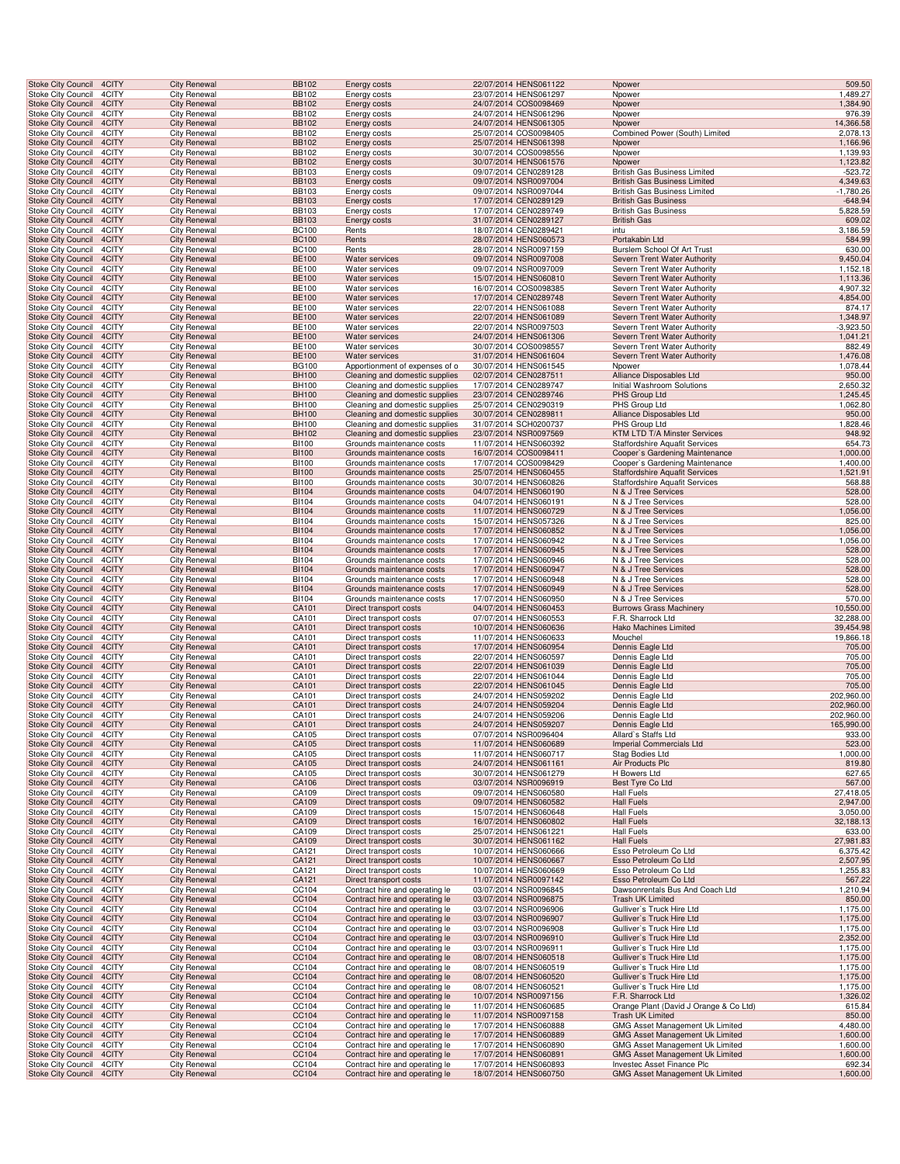| <b>Stoke City Council</b>                       |  | 4CITY          | <b>City Renewal</b>                        | <b>BB102</b>                 | Energy costs                                                     | 22/07/2014 HENS061122                          | Npower                                                             | 509.50                   |  |
|-------------------------------------------------|--|----------------|--------------------------------------------|------------------------------|------------------------------------------------------------------|------------------------------------------------|--------------------------------------------------------------------|--------------------------|--|
| Stoke City Council                              |  | 4CITY          | City Renewal                               | <b>BB102</b>                 | Energy costs                                                     | 23/07/2014 HENS061297                          | Npower                                                             | 1,489.27                 |  |
| <b>Stoke City Council</b>                       |  | 4CITY          | <b>City Renewal</b>                        | <b>BB102</b>                 | Energy costs                                                     | 24/07/2014 COS0098469                          | Npower                                                             | 1,384.90                 |  |
| Stoke City Council                              |  | 4CITY          | <b>City Renewal</b>                        | <b>BB102</b>                 | Energy costs                                                     | 24/07/2014 HENS061296                          | Npower                                                             | 976.39                   |  |
| Stoke City Council<br>Stoke City Council        |  | 4CITY<br>4CITY | <b>City Renewal</b><br>City Renewal        | <b>BB102</b><br><b>BB102</b> | Energy costs<br>Energy costs                                     | 24/07/2014 HENS061305<br>25/07/2014 COS0098405 | Npower<br>Combined Power (South) Limited                           | 14,366.58<br>2,078.13    |  |
| <b>Stoke City Council</b>                       |  | 4CITY          | <b>City Renewal</b>                        | <b>BB102</b>                 | Energy costs                                                     | 25/07/2014 HENS061398                          | Npower                                                             | 1,166.96                 |  |
| <b>Stoke City Council</b>                       |  | 4CITY          | <b>City Renewal</b>                        | <b>BB102</b>                 | Energy costs                                                     | 30/07/2014 COS0098556                          | Npower                                                             | 1,139.93                 |  |
| <b>Stoke City Council</b>                       |  | 4CITY          | <b>City Renewal</b>                        | <b>BB102</b>                 | Energy costs                                                     | 30/07/2014 HENS061576                          | Npower                                                             | 1,123.82                 |  |
| Stoke City Council                              |  | 4CITY          | <b>City Renewal</b>                        | <b>BB103</b>                 | Energy costs                                                     | 09/07/2014 CEN0289128                          | <b>British Gas Business Limited</b>                                | $-523.72$                |  |
| <b>Stoke City Council</b>                       |  | 4CITY          | <b>City Renewal</b>                        | <b>BB103</b>                 | Energy costs                                                     | 09/07/2014 NSR0097004                          | <b>British Gas Business Limited</b>                                | 4,349.63                 |  |
| <b>Stoke City Council</b>                       |  | 4CITY          | City Renewal                               | <b>BB103</b>                 | Energy costs                                                     | 09/07/2014 NSR0097044                          | <b>British Gas Business Limited</b>                                | $-1,780.26$              |  |
| <b>Stoke City Council</b>                       |  | 4CITY          | <b>City Renewal</b>                        | <b>BB103</b>                 | Energy costs                                                     | 17/07/2014 CEN0289129                          | <b>British Gas Business</b>                                        | $-648.94$                |  |
| Stoke City Council<br>Stoke City Council        |  | 4CITY<br>4CITY | <b>City Renewal</b><br><b>City Renewal</b> | <b>BB103</b><br><b>BB103</b> | Energy costs<br>Energy costs                                     | 17/07/2014 CEN0289749<br>31/07/2014 CEN0289127 | <b>British Gas Business</b><br><b>British Gas</b>                  | 5,828.59<br>609.02       |  |
| Stoke City Council                              |  | 4CITY          | City Renewal                               | <b>BC100</b>                 | Rents                                                            | 18/07/2014 CEN0289421                          | intu                                                               | 3,186.59                 |  |
| <b>Stoke City Council</b>                       |  | 4CITY          | <b>City Renewal</b>                        | <b>BC100</b>                 | Rents                                                            | 28/07/2014 HENS060573                          | Portakabin Ltd                                                     | 584.99                   |  |
| <b>Stoke City Council</b>                       |  | 4CITY          | <b>City Renewal</b>                        | <b>BC100</b>                 | Rents                                                            | 28/07/2014 NSR0097159                          | Burslem School Of Art Trust                                        | 630.00                   |  |
| <b>Stoke City Council</b>                       |  | 4CITY          | <b>City Renewal</b>                        | <b>BE100</b>                 | <b>Water services</b>                                            | 09/07/2014 NSR0097008                          | Severn Trent Water Authority                                       | 9,450.04                 |  |
| <b>Stoke City Council</b>                       |  | 4CITY          | <b>City Renewal</b>                        | <b>BE100</b>                 | Water services                                                   | 09/07/2014 NSR0097009                          | Severn Trent Water Authority                                       | 1,152.18                 |  |
| <b>Stoke City Council</b>                       |  | 4CITY          | <b>City Renewal</b>                        | <b>BE100</b>                 | Water services                                                   | 15/07/2014 HENS060810                          | Severn Trent Water Authority                                       | 1,113.36                 |  |
| Stoke City Council                              |  | 4CITY          | <b>City Renewal</b>                        | <b>BE100</b>                 | Water services                                                   | 16/07/2014 COS0098385                          | Severn Trent Water Authority                                       | 4,907.32                 |  |
| <b>Stoke City Council</b>                       |  | 4CITY          | <b>City Renewal</b>                        | <b>BE100</b>                 | <b>Water services</b>                                            | 17/07/2014 CEN0289748                          | Severn Trent Water Authority                                       | 4,854.00                 |  |
| Stoke City Council<br><b>Stoke City Council</b> |  | 4CITY<br>4CITY | <b>City Renewal</b><br><b>City Renewal</b> | <b>BE100</b><br><b>BE100</b> | Water services<br>Water services                                 | 22/07/2014 HENS061088<br>22/07/2014 HENS061089 | Severn Trent Water Authority<br>Severn Trent Water Authority       | 874.17<br>1,348.97       |  |
| Stoke City Council                              |  | 4CITY          | City Renewal                               | <b>BE100</b>                 | Water services                                                   | 22/07/2014 NSR0097503                          | Severn Trent Water Authority                                       | $-3,923.50$              |  |
| <b>Stoke City Council</b>                       |  | 4CITY          | <b>City Renewal</b>                        | <b>BE100</b>                 | Water services                                                   | 24/07/2014 HENS061306                          | Severn Trent Water Authority                                       | 1,041.21                 |  |
| Stoke City Council                              |  | 4CITY          | <b>City Renewal</b>                        | BE100                        | Water services                                                   | 30/07/2014 COS0098557                          | Severn Trent Water Authority                                       | 882.49                   |  |
| <b>Stoke City Council</b>                       |  | 4CITY          | <b>City Renewal</b>                        | <b>BE100</b>                 | Water services                                                   | 31/07/2014 HENS061604                          | Severn Trent Water Authority                                       | 1,476.08                 |  |
| <b>Stoke City Council</b>                       |  | 4CITY          | <b>City Renewal</b>                        | <b>BG100</b>                 | Apportionment of expenses of o                                   | 30/07/2014 HENS061545                          | Npower                                                             | 1,078.44                 |  |
| <b>Stoke City Council</b>                       |  | 4CITY          | <b>City Renewal</b>                        | <b>BH100</b>                 | Cleaning and domestic supplies                                   | 02/07/2014 CEN0287511                          | Alliance Disposables Ltd                                           | 950.00                   |  |
| <b>Stoke City Council</b>                       |  | 4CITY          | <b>City Renewal</b>                        | BH100                        | Cleaning and domestic supplies                                   | 17/07/2014 CEN0289747                          | Initial Washroom Solutions                                         | 2,650.32                 |  |
| <b>Stoke City Council</b>                       |  | 4CITY          | <b>City Renewal</b>                        | <b>BH100</b>                 | Cleaning and domestic supplies                                   | 23/07/2014 CEN0289746                          | PHS Group Ltd                                                      | 1,245.45                 |  |
| Stoke City Council                              |  | 4CITY<br>4CITY | <b>City Renewal</b><br><b>City Renewal</b> | BH100<br><b>BH100</b>        | Cleaning and domestic supplies                                   | 25/07/2014 CEN0290319<br>30/07/2014 CEN0289811 | PHS Group Ltd<br>Alliance Disposables Ltd                          | 1,062.80<br>950.00       |  |
| Stoke City Council<br>Stoke City Council        |  | 4CITY          | City Renewal                               | BH100                        | Cleaning and domestic supplies<br>Cleaning and domestic supplies | 31/07/2014 SCH0200737                          | PHS Group Ltd                                                      | 1,828.46                 |  |
| <b>Stoke City Council</b>                       |  | 4CITY          | <b>City Renewal</b>                        | <b>BH102</b>                 | Cleaning and domestic supplies                                   | 23/07/2014 NSR0097569                          | KTM LTD T/A Minster Services                                       | 948.92                   |  |
| <b>Stoke City Council</b>                       |  | 4CITY          | <b>City Renewal</b>                        | <b>BI100</b>                 | Grounds maintenance costs                                        | 11/07/2014 HENS060392                          | <b>Staffordshire Aquafit Services</b>                              | 654.73                   |  |
| <b>Stoke City Council</b>                       |  | 4CITY          | <b>City Renewal</b>                        | <b>BI100</b>                 | Grounds maintenance costs                                        | 16/07/2014 COS0098411                          | Cooper's Gardening Maintenance                                     | 1,000.00                 |  |
| <b>Stoke City Council</b>                       |  | 4CITY          | <b>City Renewal</b>                        | <b>BI100</b>                 | Grounds maintenance costs                                        | 17/07/2014 COS0098429                          | Cooper's Gardening Maintenance                                     | 1,400.00                 |  |
| <b>Stoke City Council</b>                       |  | 4CITY          | <b>City Renewal</b>                        | <b>BI100</b>                 | Grounds maintenance costs                                        | 25/07/2014 HENS060455                          | <b>Staffordshire Aquafit Services</b>                              | 1,521.91                 |  |
| <b>Stoke City Council</b>                       |  | 4CITY          | <b>City Renewal</b>                        | <b>BI100</b>                 | Grounds maintenance costs                                        | 30/07/2014 HENS060826                          | <b>Staffordshire Aquafit Services</b>                              | 568.88                   |  |
| <b>Stoke City Council</b>                       |  | 4CITY          | <b>City Renewal</b>                        | <b>BI104</b>                 | Grounds maintenance costs                                        | 04/07/2014 HENS060190                          | N & J Tree Services                                                | 528.00                   |  |
| Stoke City Council                              |  | 4CITY<br>4CITY | <b>City Renewal</b><br><b>City Renewal</b> | <b>BI104</b><br><b>BI104</b> | Grounds maintenance costs                                        | 04/07/2014 HENS060191<br>11/07/2014 HENS060729 | N & J Tree Services<br>N & J Tree Services                         | 528.00<br>1,056.00       |  |
| Stoke City Council<br>Stoke City Council        |  | 4CITY          | City Renewal                               | <b>BI104</b>                 | Grounds maintenance costs<br>Grounds maintenance costs           | 15/07/2014 HENS057326                          | N & J Tree Services                                                | 825.00                   |  |
| <b>Stoke City Council</b>                       |  | 4CITY          | <b>City Renewal</b>                        | <b>BI104</b>                 | Grounds maintenance costs                                        | 17/07/2014 HENS060852                          | N & J Tree Services                                                | 1,056.00                 |  |
| <b>Stoke City Council</b>                       |  | 4CITY          | <b>City Renewal</b>                        | <b>BI104</b>                 | Grounds maintenance costs                                        | 17/07/2014 HENS060942                          | N & J Tree Services                                                | 1,056.00                 |  |
| <b>Stoke City Council</b>                       |  | 4CITY          | <b>City Renewal</b>                        | <b>BI104</b>                 | Grounds maintenance costs                                        | 17/07/2014 HENS060945                          | N & J Tree Services                                                | 528.00                   |  |
| <b>Stoke City Council</b>                       |  | 4CITY          | <b>City Renewal</b>                        | <b>BI104</b>                 | Grounds maintenance costs                                        | 17/07/2014 HENS060946                          | N & J Tree Services                                                | 528.00                   |  |
| <b>Stoke City Council</b>                       |  | 4CITY          | <b>City Renewal</b>                        | <b>BI104</b>                 | Grounds maintenance costs                                        | 17/07/2014 HENS060947                          | N & J Tree Services                                                | 528.00                   |  |
| <b>Stoke City Council</b>                       |  | 4CITY          | <b>City Renewal</b>                        | <b>BI104</b>                 | Grounds maintenance costs                                        | 17/07/2014 HENS060948                          | N & J Tree Services                                                | 528.00                   |  |
| <b>Stoke City Council</b>                       |  | 4CITY          | <b>City Renewal</b>                        | <b>BI104</b>                 | Grounds maintenance costs                                        | 17/07/2014 HENS060949                          | N & J Tree Services                                                | 528.00                   |  |
| Stoke City Council                              |  | 4CITY          | <b>City Renewal</b>                        | <b>BI104</b>                 | Grounds maintenance costs                                        | 17/07/2014 HENS060950                          | N & J Tree Services                                                | 570.00                   |  |
| Stoke City Council<br>Stoke City Council        |  | 4CITY<br>4CITY | <b>City Renewal</b><br>City Renewal        | CA101<br>CA101               | Direct transport costs<br>Direct transport costs                 | 04/07/2014 HENS060453<br>07/07/2014 HENS060553 | <b>Burrows Grass Machinery</b><br>F.R. Sharrock Ltd                | 10,550.00<br>32,288.00   |  |
| <b>Stoke City Council</b>                       |  | 4CITY          | <b>City Renewal</b>                        | CA101                        | Direct transport costs                                           | 10/07/2014 HENS060636                          | Hako Machines Limited                                              | 39,454.98                |  |
| <b>Stoke City Council</b>                       |  | 4CITY          | <b>City Renewal</b>                        | CA101                        | Direct transport costs                                           | 11/07/2014 HENS060633                          | Mouchel                                                            | 19,866.18                |  |
| <b>Stoke City Council</b>                       |  | 4CITY          | <b>City Renewal</b>                        | CA101                        | Direct transport costs                                           | 17/07/2014 HENS060954                          | Dennis Eagle Ltd                                                   | 705.00                   |  |
| <b>Stoke City Council</b>                       |  | 4CITY          | <b>City Renewal</b>                        | CA101                        | Direct transport costs                                           | 22/07/2014 HENS060597                          | Dennis Eagle Ltd                                                   | 705.00                   |  |
| <b>Stoke City Council</b>                       |  | 4CITY          | <b>City Renewal</b>                        | CA101                        | Direct transport costs                                           | 22/07/2014 HENS061039                          | Dennis Eagle Ltd                                                   | 705.00                   |  |
| Stoke City Council                              |  | 4CITY          | <b>City Renewal</b>                        | CA101                        | Direct transport costs                                           | 22/07/2014 HENS061044                          | Dennis Eagle Ltd                                                   | 705.00                   |  |
| <b>Stoke City Council</b>                       |  | 4CITY          | <b>City Renewal</b>                        | CA101                        | Direct transport costs                                           | 22/07/2014 HENS061045                          | Dennis Eagle Ltd                                                   | 705.00                   |  |
| Stoke City Council<br>Stoke City Council        |  | 4CITY<br>4CITY | <b>City Renewal</b><br><b>City Renewal</b> | CA101<br>CA101               | Direct transport costs<br>Direct transport costs                 | 24/07/2014 HENS059202<br>24/07/2014 HENS059204 | Dennis Eagle Ltd<br>Dennis Eagle Ltd                               | 202,960.00<br>202,960.00 |  |
| Stoke City Council 4CITY                        |  |                | City Renewal                               | CA101                        | Direct transport costs                                           | 24/07/2014 HENS059206                          | Dennis Eagle Ltd                                                   | 202,960.00               |  |
| Stoke City Council 4CITY                        |  |                | <b>City Renewal</b>                        | CA101                        | Direct transport costs                                           | 24/07/2014 HENS059207                          | Dennis Eagle Ltd                                                   | 165,990.00               |  |
| Stoke City Council 4CITY                        |  |                | <b>City Renewal</b>                        | CA105                        | Direct transport costs                                           | 07/07/2014 NSR0096404                          | Allard's Staffs Ltd                                                | 933.00                   |  |
| Stoke City Council 4CITY                        |  |                | <b>City Renewal</b>                        | CA105                        | Direct transport costs                                           | 11/07/2014 HENS060689                          | Imperial Commercials Ltd                                           | 523.00                   |  |
| Stoke City Council                              |  | 4CITY          | <b>City Renewal</b>                        | CA105                        | Direct transport costs                                           | 11/07/2014 HENS060717                          | Stag Bodies Ltd                                                    | 1,000.00                 |  |
| <b>Stoke City Council</b>                       |  | 4CITY          | <b>City Renewal</b>                        | CA105                        | Direct transport costs                                           | 24/07/2014 HENS061161                          | <b>Air Products Plc</b>                                            | 819.80                   |  |
| Stoke City Council<br><b>Stoke City Council</b> |  | 4CITY<br>4CITY | <b>City Renewal</b><br><b>City Renewal</b> | CA105<br>CA106               | Direct transport costs<br>Direct transport costs                 | 30/07/2014 HENS061279<br>03/07/2014 NSR0096919 | H Bowers Ltd<br>Best Tyre Co Ltd                                   | 627.65<br>567.00         |  |
| Stoke City Council                              |  | 4CITY          | City Renewal                               | CA109                        | Direct transport costs                                           | 09/07/2014 HENS060580                          | Hall Fuels                                                         | 27,418.05                |  |
| Stoke City Council 4CITY                        |  |                | <b>City Renewal</b>                        | CA109                        | Direct transport costs                                           | 09/07/2014 HENS060582                          | <b>Hall Fuels</b>                                                  | 2,947.00                 |  |
| Stoke City Council                              |  | 4CITY          | City Renewal                               | CA109                        | Direct transport costs                                           | 15/07/2014 HENS060648                          | <b>Hall Fuels</b>                                                  | 3,050.00                 |  |
| <b>Stoke City Council</b>                       |  | 4CITY          | <b>City Renewal</b>                        | CA109                        | Direct transport costs                                           | 16/07/2014 HENS060802                          | <b>Hall Fuels</b>                                                  | 32,188.13                |  |
| <b>Stoke City Council</b>                       |  | 4CITY          | <b>City Renewal</b>                        | CA109                        | Direct transport costs                                           | 25/07/2014 HENS061221                          | <b>Hall Fuels</b>                                                  | 633.00                   |  |
| <b>Stoke City Council</b>                       |  | 4CITY          | <b>City Renewal</b>                        | CA109                        | Direct transport costs                                           | 30/07/2014 HENS061162                          | <b>Hall Fuels</b>                                                  | 27,981.83                |  |
| Stoke City Council                              |  | 4CITY          | <b>City Renewal</b>                        | CA121                        | Direct transport costs                                           | 10/07/2014 HENS060666                          | Esso Petroleum Co Ltd                                              | 6,375.42                 |  |
| <b>Stoke City Council</b><br>Stoke City Council |  | 4CITY<br>4CITY | <b>City Renewal</b><br>City Renewal        | CA121<br>CA121               | Direct transport costs<br>Direct transport costs                 | 10/07/2014 HENS060667<br>10/07/2014 HENS060669 | Esso Petroleum Co Ltd<br>Esso Petroleum Co Ltd                     | 2,507.95<br>1,255.83     |  |
| <b>Stoke City Council</b>                       |  | 4CITY          | <b>City Renewal</b>                        | CA121                        | Direct transport costs                                           | 11/07/2014 NSR0097142                          | Esso Petroleum Co Ltd                                              | 567.22                   |  |
| Stoke City Council                              |  | 4CITY          | City Renewal                               | CC104                        | Contract hire and operating le                                   | 03/07/2014 NSR0096845                          | Dawsonrentals Bus And Coach Ltd                                    | 1,210.94                 |  |
| Stoke City Council 4CITY                        |  |                | <b>City Renewal</b>                        | CC104                        | Contract hire and operating le                                   | 03/07/2014 NSR0096875                          | Trash UK Limited                                                   | 850.00                   |  |
| Stoke City Council 4CITY                        |  |                | City Renewal                               | CC104                        | Contract hire and operating le                                   | 03/07/2014 NSR0096906                          | Gulliver's Truck Hire Ltd                                          | 1,175.00                 |  |
| <b>Stoke City Council</b>                       |  | 4CITY          | <b>City Renewal</b>                        | CC104                        | Contract hire and operating le                                   | 03/07/2014 NSR0096907                          | Gulliver's Truck Hire Ltd                                          | 1,175.00                 |  |
| <b>Stoke City Council</b>                       |  | 4CITY          | <b>City Renewal</b>                        | CC104                        | Contract hire and operating le                                   | 03/07/2014 NSR0096908                          | Gulliver's Truck Hire Ltd                                          | 1,175.00                 |  |
| <b>Stoke City Council</b>                       |  | 4CITY          | <b>City Renewal</b>                        | CC104                        | Contract hire and operating le                                   | 03/07/2014 NSR0096910                          | Gulliver's Truck Hire Ltd                                          | 2,352.00                 |  |
| Stoke City Council<br><b>Stoke City Council</b> |  | 4CITY<br>4CITY | <b>City Renewal</b><br><b>City Renewal</b> | CC104<br>CC104               | Contract hire and operating le                                   | 03/07/2014 NSR0096911<br>08/07/2014 HENS060518 | Gulliver's Truck Hire Ltd<br>Gulliver's Truck Hire Ltd             | 1,175.00<br>1,175.00     |  |
| Stoke City Council                              |  | 4CITY          | City Renewal                               | CC104                        | Contract hire and operating le<br>Contract hire and operating le | 08/07/2014 HENS060519                          | Gulliver's Truck Hire Ltd                                          | 1,175.00                 |  |
| <b>Stoke City Council</b>                       |  | 4CITY          | <b>City Renewal</b>                        | CC104                        | Contract hire and operating le                                   | 08/07/2014 HENS060520                          | Gulliver's Truck Hire Ltd                                          | 1,175.00                 |  |
| Stoke City Council                              |  | 4CITY          | City Renewal                               | CC104                        | Contract hire and operating le                                   | 08/07/2014 HENS060521                          | Gulliver's Truck Hire Ltd                                          | 1,175.00                 |  |
| Stoke City Council 4CITY                        |  |                | <b>City Renewal</b>                        | CC104                        | Contract hire and operating le                                   | 10/07/2014 NSR0097156                          | F.R. Sharrock Ltd                                                  | 1,326.02                 |  |
| Stoke City Council                              |  | 4CITY          | <b>City Renewal</b>                        | CC104                        | Contract hire and operating le                                   | 11/07/2014 HENS060685                          | Orange Plant (David J Orange & Co Ltd)                             | 615.84                   |  |
| Stoke City Council 4CITY                        |  |                | <b>City Renewal</b>                        | CC104                        | Contract hire and operating le                                   | 11/07/2014 NSR0097158                          | Trash UK Limited                                                   | 850.00                   |  |
| <b>Stoke City Council</b>                       |  | 4CITY          | <b>City Renewal</b>                        | CC104                        | Contract hire and operating le                                   | 17/07/2014 HENS060888                          | GMG Asset Management Uk Limited                                    | 4,480.00                 |  |
| Stoke City Council 4CITY                        |  |                | <b>City Renewal</b>                        | CC104                        | Contract hire and operating le                                   | 17/07/2014 HENS060889                          | GMG Asset Management Uk Limited                                    | 1,600.00                 |  |
| <b>Stoke City Council</b>                       |  | 4CITY<br>4CITY | <b>City Renewal</b><br><b>City Renewal</b> | CC104<br>CC104               | Contract hire and operating le<br>Contract hire and operating le | 17/07/2014 HENS060890<br>17/07/2014 HENS060891 | GMG Asset Management Uk Limited<br>GMG Asset Management Uk Limited | 1,600.00<br>1,600.00     |  |
|                                                 |  |                | City Renewal                               | CC104                        |                                                                  | 17/07/2014 HENS060893                          |                                                                    | 692.34                   |  |
| <b>Stoke City Council</b><br>Stoke City Council |  | 4CITY          |                                            |                              | Contract hire and operating le                                   |                                                | Investec Asset Finance Plc                                         |                          |  |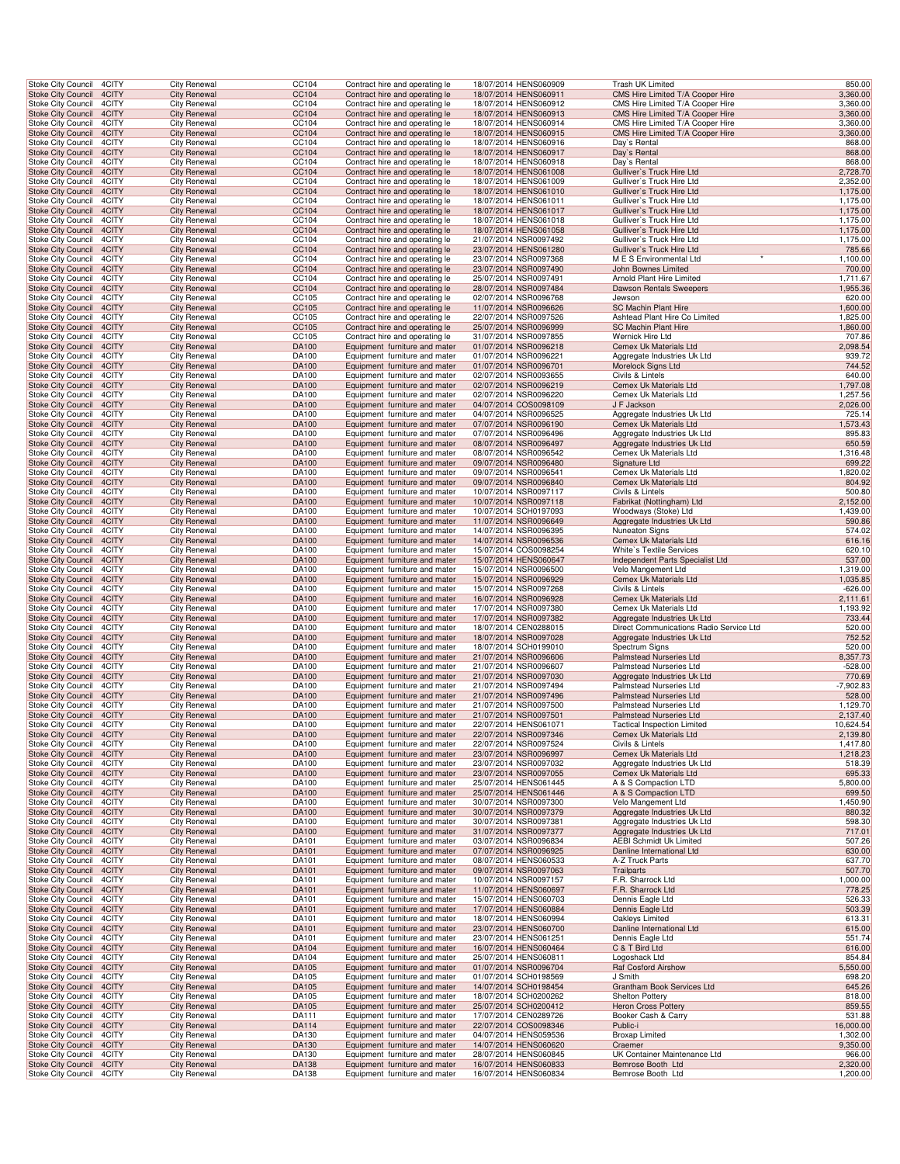| Stoke City Council                                                          | 4CITY          | City Renewal                               | CC104          | Contract hire and operating le                                   | 18/07/2014 HENS060909                                                   | Trash UK Limited                                                     | 850.00                |
|-----------------------------------------------------------------------------|----------------|--------------------------------------------|----------------|------------------------------------------------------------------|-------------------------------------------------------------------------|----------------------------------------------------------------------|-----------------------|
| <b>Stoke City Council</b>                                                   | 4CITY          | <b>City Renewal</b>                        | CC104          | Contract hire and operating le                                   | 18/07/2014 HENS060911                                                   | CMS Hire Limited T/A Cooper Hire                                     | 3,360.00              |
| Stoke City Council                                                          | 4CITY          | <b>City Renewal</b>                        | CC104          | Contract hire and operating le                                   | 18/07/2014 HENS060912                                                   | CMS Hire Limited T/A Cooper Hire                                     | 3,360.00              |
| Stoke City Council 4CITY<br>Stoke City Council                              | 4CITY          | <b>City Renewal</b><br><b>City Renewal</b> | CC104<br>CC104 | Contract hire and operating le<br>Contract hire and operating le | 18/07/2014 HENS060913<br>18/07/2014 HENS060914                          | CMS Hire Limited T/A Cooper Hire<br>CMS Hire Limited T/A Cooper Hire | 3,360.00<br>3,360.00  |
| Stoke City Council 4CITY                                                    |                | <b>City Renewal</b>                        | CC104          | Contract hire and operating le                                   | 18/07/2014 HENS060915                                                   | CMS Hire Limited T/A Cooper Hire                                     | 3,360.00              |
| Stoke City Council                                                          | 4CITY          | <b>City Renewal</b>                        | CC104          | Contract hire and operating le                                   | 18/07/2014 HENS060916                                                   | Day's Rental                                                         | 868.00                |
| <b>Stoke City Council</b>                                                   | 4CITY          | <b>City Renewal</b>                        | CC104          | Contract hire and operating le                                   | 18/07/2014 HENS060917                                                   | Day's Rental                                                         | 868.00                |
| Stoke City Council                                                          | 4CITY          | <b>City Renewal</b>                        | CC104          | Contract hire and operating le                                   | 18/07/2014 HENS060918<br>18/07/2014 HENS061008                          | Day's Rental                                                         | 868.00                |
| <b>Stoke City Council</b><br>Stoke City Council                             | 4CITY<br>4CITY | <b>City Renewal</b><br>City Renewal        | CC104<br>CC104 | Contract hire and operating le<br>Contract hire and operating le | 18/07/2014 HENS061009                                                   | Gulliver's Truck Hire Ltd<br>Gulliver's Truck Hire Ltd               | 2,728.70<br>2,352.00  |
| <b>Stoke City Council</b>                                                   | 4CITY          | <b>City Renewal</b>                        | CC104          | Contract hire and operating le                                   | 18/07/2014 HENS061010                                                   | Gulliver's Truck Hire Ltd                                            | 1,175.00              |
| Stoke City Council                                                          | 4CITY          | <b>City Renewal</b>                        | CC104          | Contract hire and operating le                                   | 18/07/2014 HENS061011                                                   | Gulliver's Truck Hire Ltd                                            | 1,175.00              |
| Stoke City Council 4CITY                                                    |                | <b>City Renewal</b>                        | CC104          | Contract hire and operating le                                   | 18/07/2014 HENS061017                                                   | Gulliver's Truck Hire Ltd                                            | 1,175.00              |
| Stoke City Council                                                          | 4CITY          | <b>City Renewal</b>                        | CC104          | Contract hire and operating le                                   | 18/07/2014 HENS061018                                                   | Gulliver's Truck Hire Ltd                                            | 1,175.00              |
| Stoke City Council 4CITY<br>Stoke City Council                              | 4CITY          | <b>City Renewal</b><br><b>City Renewal</b> | CC104<br>CC104 | Contract hire and operating le<br>Contract hire and operating le | 18/07/2014 HENS061058<br>21/07/2014 NSR0097492                          | Gulliver's Truck Hire Ltd<br>Gulliver's Truck Hire Ltd               | 1,175.00<br>1,175.00  |
| <b>Stoke City Council</b>                                                   | 4CITY          | <b>City Renewal</b>                        | CC104          | Contract hire and operating le                                   | 23/07/2014 HENS061280                                                   | Gulliver's Truck Hire Ltd                                            | 785.66                |
| <b>Stoke City Council</b>                                                   | 4CITY          | <b>City Renewal</b>                        | CC104          | Contract hire and operating le                                   | 23/07/2014 NSR0097368                                                   | M E S Environmental Ltd                                              | 1,100.00              |
| <b>Stoke City Council</b>                                                   | 4CITY          | <b>City Renewal</b>                        | CC104          | Contract hire and operating le                                   | 23/07/2014 NSR0097490                                                   | John Bownes Limited                                                  | 700.00                |
| Stoke City Council                                                          | 4CITY          | City Renewal                               | CC104          | Contract hire and operating le                                   | 25/07/2014 NSR0097491                                                   | Arnold Plant Hire Limited                                            | 1,711.67              |
| <b>Stoke City Council</b>                                                   | 4CITY          | <b>City Renewal</b>                        | CC104          | Contract hire and operating le                                   | 28/07/2014 NSR0097484                                                   | Dawson Rentals Sweepers                                              | 1,955.36              |
| Stoke City Council<br>Stoke City Council 4CITY                              | 4CITY          | <b>City Renewal</b><br><b>City Renewal</b> | CC105<br>CC105 | Contract hire and operating le<br>Contract hire and operating le | 02/07/2014 NSR0096768<br>11/07/2014 NSR0096626                          | Jewson<br>SC Machin Plant Hire                                       | 620.00<br>1,600.00    |
| Stoke City Council                                                          | 4CITY          | <b>City Renewal</b>                        | CC105          | Contract hire and operating le                                   | 22/07/2014 NSR0097526                                                   | Ashtead Plant Hire Co Limited                                        | 1,825.00              |
| Stoke City Council 4CITY                                                    |                | <b>City Renewal</b>                        | CC105          | Contract hire and operating le                                   | 25/07/2014 NSR0096999                                                   | SC Machin Plant Hire                                                 | 1,860.00              |
| Stoke City Council                                                          | 4CITY          | <b>City Renewal</b>                        | CC105          | Contract hire and operating le                                   | 31/07/2014 NSR0097855                                                   | Wernick Hire Ltd                                                     | 707.86                |
| <b>Stoke City Council</b>                                                   | 4CITY          | <b>City Renewal</b>                        | DA100          | Equipment furniture and mater                                    | 01/07/2014 NSR0096218                                                   | Cemex Uk Materials Ltd                                               | 2,098.54              |
| Stoke City Council<br><b>Stoke City Council</b>                             | 4CITY          | <b>City Renewal</b>                        | DA100          | Equipment furniture and mater                                    | 01/07/2014 NSR0096221<br>01/07/2014 NSR0096701                          | Aggregate Industries Uk Ltd<br>Morelock Signs Ltd                    | 939.72<br>744.52      |
| Stoke City Council                                                          | 4CITY<br>4CITY | <b>City Renewal</b><br>City Renewal        | DA100<br>DA100 | Equipment furniture and mater<br>Equipment furniture and mater   | 02/07/2014 NSR0093655                                                   | Civils & Lintels                                                     | 640.00                |
| <b>Stoke City Council</b>                                                   | 4CITY          | <b>City Renewal</b>                        | DA100          | Equipment furniture and mater                                    | 02/07/2014 NSR0096219                                                   | Cemex Uk Materials Ltd                                               | 1,797.08              |
| Stoke City Council                                                          | 4CITY          | <b>City Renewal</b>                        | DA100          | Equipment furniture and mater                                    | 02/07/2014 NSR0096220                                                   | Cemex Uk Materials Ltd                                               | 1,257.56              |
| Stoke City Council 4CITY                                                    |                | <b>City Renewal</b>                        | DA100          | Equipment furniture and mater                                    | 04/07/2014 COS0098109                                                   | J F Jackson                                                          | 2,026.00              |
| Stoke City Council                                                          | 4CITY          | <b>City Renewal</b>                        | DA100          | Equipment furniture and mater                                    | 04/07/2014 NSR0096525                                                   | Aggregate Industries Uk Ltd                                          | 725.14                |
| Stoke City Council 4CITY<br>Stoke City Council                              | 4CITY          | <b>City Renewal</b><br><b>City Renewal</b> | DA100<br>DA100 | Equipment furniture and mater                                    | 07/07/2014 NSR0096190<br>07/07/2014 NSR0096496                          | Cemex Uk Materials Ltd<br>Aggregate Industries Uk Ltd                | 1,573.43<br>895.83    |
| <b>Stoke City Council</b>                                                   | 4CITY          | <b>City Renewal</b>                        | DA100          | Equipment furniture and mater<br>Equipment furniture and mater   | 08/07/2014 NSR0096497                                                   | Aggregate Industries Uk Ltd                                          | 650.59                |
| Stoke City Council                                                          | 4CITY          | <b>City Renewal</b>                        | DA100          | Equipment furniture and mater                                    | 08/07/2014 NSR0096542                                                   | Cemex Uk Materials Ltd                                               | 1,316.48              |
| <b>Stoke City Council</b>                                                   | 4CITY          | <b>City Renewal</b>                        | DA100          | Equipment furniture and mater                                    | 09/07/2014 NSR0096480                                                   | Signature Ltd                                                        | 699.22                |
| Stoke City Council                                                          | 4CITY          | City Renewal                               | DA100          | Equipment furniture and mater                                    | 09/07/2014 NSR0096541                                                   | Cemex Uk Materials Ltd                                               | 1,820.02              |
| <b>Stoke City Council</b>                                                   | 4CITY          | <b>City Renewal</b>                        | DA100          | Equipment furniture and mater                                    | 09/07/2014 NSR0096840                                                   | <b>Cemex Uk Materials Ltd</b>                                        | 804.92                |
| Stoke City Council<br>Stoke City Council 4CITY                              | 4CITY          | <b>City Renewal</b><br><b>City Renewal</b> | DA100<br>DA100 | Equipment furniture and mater<br>Equipment furniture and mater   | 10/07/2014 NSR0097117<br>10/07/2014 NSR0097118                          | Civils & Lintels<br>Fabrikat (Nottingham) Ltd                        | 500.80<br>2,152.00    |
| Stoke City Council                                                          | 4CITY          | <b>City Renewal</b>                        | DA100          | Equipment furniture and mater                                    | 10/07/2014 SCH0197093                                                   | Woodways (Stoke) Ltd                                                 | 1,439.00              |
| Stoke City Council 4CITY                                                    |                | <b>City Renewal</b>                        | DA100          | Equipment furniture and mater                                    | 11/07/2014 NSR0096649                                                   | Aggregate Industries Uk Ltd                                          | 590.86                |
| Stoke City Council                                                          | 4CITY          | <b>City Renewal</b>                        | DA100          | Equipment furniture and mater                                    | 14/07/2014 NSR0096395                                                   | Nuneaton Signs                                                       | 574.02                |
| <b>Stoke City Council</b>                                                   | 4CITY          | <b>City Renewal</b>                        | DA100          | Equipment furniture and mater                                    | 14/07/2014 NSR0096536                                                   | Cemex Uk Materials Ltd                                               | 616.16                |
| Stoke City Council<br><b>Stoke City Council</b>                             | 4CITY<br>4CITY | <b>City Renewal</b><br><b>City Renewal</b> | DA100          | Equipment furniture and mater                                    | 15/07/2014 COS0098254<br>15/07/2014 HENS060647                          | White's Textile Services                                             | 620.10                |
|                                                                             |                |                                            | DA100          | Equipment furniture and mater                                    |                                                                         | Independent Parts Specialist Ltd                                     | 537.00                |
|                                                                             |                |                                            |                |                                                                  |                                                                         |                                                                      |                       |
| Stoke City Council                                                          | 4CITY          | City Renewal                               | DA100          | Equipment furniture and mater                                    | 15/07/2014 NSR0096500                                                   | Velo Mangement Ltd                                                   | 1,319.00              |
| <b>Stoke City Council</b><br>Stoke City Council                             | 4CITY<br>4CITY | <b>City Renewal</b><br><b>City Renewal</b> | DA100<br>DA100 | Equipment furniture and mater<br>Equipment furniture and mater   | 15/07/2014 NSR0096929<br>15/07/2014 NSR0097268                          | Cemex Uk Materials Ltd<br>Civils & Lintels                           | 1,035.85<br>$-626.00$ |
| Stoke City Council 4CITY                                                    |                | <b>City Renewal</b>                        | DA100          | Equipment furniture and mater                                    | 16/07/2014 NSR0096928                                                   | Cemex Uk Materials Ltd                                               | 2,111.61              |
| Stoke City Council                                                          | 4CITY          | <b>City Renewal</b>                        | DA100          | Equipment furniture and mater                                    | 17/07/2014 NSR0097380                                                   | Cemex Uk Materials Ltd                                               | 1,193.92              |
| Stoke City Council 4CITY                                                    |                | <b>City Renewal</b>                        | DA100          | Equipment furniture and mater                                    | 17/07/2014 NSR0097382                                                   | Aggregate Industries Uk Ltd                                          | 733.44                |
| Stoke City Council                                                          | 4CITY          | <b>City Renewal</b>                        | DA100          | Equipment furniture and mater                                    | 18/07/2014 CEN0288015                                                   | Direct Communications Radio Service Ltd                              | 520.00                |
| <b>Stoke City Council</b><br><b>Stoke City Council</b>                      | 4CITY<br>4CITY | <b>City Renewal</b><br><b>City Renewal</b> | DA100<br>DA100 | Equipment furniture and mater<br>Equipment furniture and mater   | 18/07/2014 NSR0097028<br>18/07/2014 SCH0199010                          | Aggregate Industries Uk Ltd<br>Spectrum Signs                        | 752.52<br>520.00      |
| <b>Stoke City Council</b>                                                   | 4CITY          | <b>City Renewal</b>                        | DA100          | Equipment furniture and mater                                    | 21/07/2014 NSR0096606                                                   | <b>Palmstead Nurseries Ltd</b>                                       | 8,357.73              |
| Stoke City Council                                                          | 4CITY          | City Renewal                               | DA100          | Equipment furniture and mater                                    | 21/07/2014 NSR0096607                                                   | Palmstead Nurseries Ltd                                              | $-528.00$             |
| <b>Stoke City Council</b>                                                   | 4CITY          | <b>City Renewal</b>                        | DA100          | Equipment furniture and mater                                    | 21/07/2014 NSR0097030                                                   | Aggregate Industries Uk Ltd                                          | 770.69                |
| Stoke City Council                                                          | 4CITY          | <b>City Renewal</b>                        | DA100          | Equipment furniture and mater                                    | 21/07/2014 NSR0097494                                                   | Palmstead Nurseries Ltd                                              | $-7,902.83$           |
| Stoke City Council 4CITY                                                    | 4CITY          | <b>City Renewal</b>                        | DA100          | Equipment furniture and mater                                    | 21/07/2014 NSR0097496<br>21/07/2014 NSR0097500                          | Palmstead Nurseries Ltd                                              | 528.00                |
| Stoke City Council<br>Stoke City Council 4CITY                              |                | <b>City Renewal</b><br><b>City Renewal</b> | DA100<br>DA100 | Equipment furniture and mater<br>Equipment furniture and mater   | 21/07/2014 NSR0097501                                                   | Palmstead Nurseries Ltd<br>Palmstead Nurseries Ltd                   | 1,129.70<br>2,137.40  |
| Stoke City Council 4CITY                                                    |                | <b>City Renewal</b>                        | DA100          | Equipment furniture and mater                                    | 22/07/2014 HENS061071                                                   | <b>Tactical Inspection Limited</b>                                   | 10,624.54             |
| Stoke City Council 4CITY                                                    |                | <b>City Renewal</b>                        | DA100          | Equipment furniture and mater                                    | 22/07/2014 NSR0097346                                                   | Cemex Uk Materials Ltd                                               | 2,139.80              |
| Stoke City Council                                                          | 4CITY          | <b>City Renewal</b>                        | DA100          | Equipment furniture and mater                                    | 22/07/2014 NSR0097524                                                   | Civils & Lintels                                                     | 1,417.80              |
| Stoke City Council 4CITY<br><b>Stoke City Council</b>                       | 4CITY          | <b>City Renewal</b><br><b>City Renewal</b> | DA100<br>DA100 | Equipment furniture and mater<br>Equipment furniture and mater   | 23/07/2014 NSR0096997<br>23/07/2014 NSR0097032                          | Cemex Uk Materials Ltd<br>Aggregate Industries Uk Ltd                | 1,218.23<br>518.39    |
| <b>Stoke City Council</b>                                                   | 4CITY          | <b>City Renewal</b>                        | <b>DA100</b>   | Equipment furniture and mater                                    | 23/07/2014 NSR0097055                                                   | Cemex Uk Materials Ltd                                               | 695.33                |
| Stoke City Council 4CITY                                                    |                | <b>City Renewal</b>                        | DA100          | Equipment furniture and mater                                    | 25/07/2014 HENS061445                                                   | A & S Compaction LTD                                                 | 5,800.00              |
| Stoke City Council 4CITY                                                    |                | <b>City Renewal</b>                        | DA100          | Equipment furniture and mater                                    | 25/07/2014 HENS061446                                                   | A & S Compaction LTD                                                 | 699.50                |
| Stoke City Council 4CITY                                                    |                | <b>City Renewal</b>                        | DA100          | Equipment furniture and mater                                    | 30/07/2014 NSR0097300                                                   | Velo Mangement Ltd                                                   | 1,450.90              |
| Stoke City Council 4CITY<br>Stoke City Council                              | 4CITY          | <b>City Renewal</b><br><b>City Renewal</b> | DA100<br>DA100 | Equipment furniture and mater<br>Equipment furniture and mater   | 30/07/2014 NSR0097379<br>30/07/2014 NSR0097381                          | Aggregate Industries Uk Ltd<br>Aggregate Industries Uk Ltd           | 880.32<br>598.30      |
| <b>Stoke City Council</b>                                                   | 4CITY          | <b>City Renewal</b>                        | DA100          | Equipment furniture and mater                                    | 31/07/2014 NSR0097377                                                   | Aggregate Industries Uk Ltd                                          | 717.01                |
| Stoke City Council                                                          | 4CITY          | <b>City Renewal</b>                        | DA101          | Equipment furniture and mater                                    | 03/07/2014 NSR0096834                                                   | <b>AEBI Schmidt Uk Limited</b>                                       | 507.26                |
| Stoke City Council 4CITY                                                    |                | <b>City Renewal</b>                        | DA101          | Equipment furniture and mater                                    | 07/07/2014 NSR0096925                                                   | Danline International Ltd                                            | 630.00                |
| <b>Stoke City Council</b>                                                   | 4CITY          | City Renewal                               | DA101          | Equipment furniture and mater                                    | 08/07/2014 HENS060533                                                   | A-Z Truck Parts                                                      | 637.70                |
| <b>Stoke City Council</b>                                                   | 4CITY          | <b>City Renewal</b>                        | DA101          | Equipment furniture and mater                                    | 09/07/2014 NSR0097063                                                   | Trailparts                                                           | 507.70                |
| Stoke City Council 4CITY<br>Stoke City Council 4CITY                        |                | <b>City Renewal</b><br><b>City Renewal</b> | DA101<br>DA101 | Equipment furniture and mater<br>Equipment furniture and mater   | 10/07/2014 NSR0097157<br>11/07/2014 HENS060697                          | F.R. Sharrock Ltd<br>F.R. Sharrock Ltd                               | 1,000.00<br>778.25    |
| Stoke City Council 4CITY                                                    |                | <b>City Renewal</b>                        | DA101          | Equipment furniture and mater                                    | 15/07/2014 HENS060703                                                   | Dennis Eagle Ltd                                                     | 526.33                |
| Stoke City Council 4CITY                                                    |                | <b>City Renewal</b>                        | DA101          | Equipment furniture and mater                                    | 17/07/2014 HENS060884                                                   | Dennis Eagle Ltd                                                     | 503.39                |
| Stoke City Council                                                          | 4CITY          | <b>City Renewal</b>                        | DA101          | Equipment furniture and mater                                    | 18/07/2014 HENS060994                                                   | Oakleys Limited                                                      | 613.31                |
| <b>Stoke City Council</b>                                                   | 4CITY<br>4CITY | <b>City Renewal</b><br><b>City Renewal</b> | DA101<br>DA101 | Equipment furniture and mater<br>Equipment furniture and mater   | 23/07/2014 HENS060700<br>23/07/2014 HENS061251                          | Danline International Ltd<br>Dennis Eagle Ltd                        | 615.00<br>551.74      |
| Stoke City Council<br>Stoke City Council 4CITY                              |                | <b>City Renewal</b>                        | DA104          | Equipment furniture and mater                                    | 16/07/2014 HENS060464                                                   | C & T Bird Ltd                                                       | 616.00                |
| Stoke City Council                                                          | 4CITY          | City Renewal                               | DA104          | Equipment furniture and mater                                    | 25/07/2014 HENS060811                                                   | Logoshack Ltd                                                        | 854.84                |
| <b>Stoke City Council</b>                                                   | 4CITY          | <b>City Renewal</b>                        | DA105          | Equipment furniture and mater                                    | 01/07/2014 NSR0096704                                                   | Raf Cosford Airshow                                                  | 5,550.00              |
| Stoke City Council 4CITY                                                    |                | <b>City Renewal</b>                        | DA105          | Equipment furniture and mater                                    | 01/07/2014 SCH0198569                                                   | J Smith                                                              | 698.20                |
| Stoke City Council 4CITY<br>Stoke City Council 4CITY                        |                | <b>City Renewal</b><br><b>City Renewal</b> | DA105<br>DA105 | Equipment furniture and mater<br>Equipment furniture and mater   | 14/07/2014 SCH0198454<br>18/07/2014 SCH0200262                          | Grantham Book Services Ltd<br>Shelton Pottery                        | 645.26<br>818.00      |
| Stoke City Council 4CITY                                                    |                | <b>City Renewal</b>                        | DA105          | Equipment furniture and mater                                    | 25/07/2014 SCH0200412                                                   | <b>Heron Cross Pottery</b>                                           | 859.55                |
| Stoke City Council 4CITY                                                    |                | <b>City Renewal</b>                        | DA111          | Equipment furniture and mater                                    | 17/07/2014 CEN0289726                                                   | Booker Cash & Carry                                                  | 531.88                |
| Stoke City Council 4CITY                                                    |                | <b>City Renewal</b>                        | DA114          | Equipment furniture and mater                                    | 22/07/2014 COS0098346                                                   | Public-i                                                             | 16,000.00             |
| Stoke City Council                                                          | 4CITY          | <b>City Renewal</b>                        | DA130          | Equipment furniture and mater                                    | 04/07/2014 HENS059536                                                   | <b>Broxap Limited</b>                                                | 1,302.00              |
| Stoke City Council 4CITY                                                    | 4CITY          | <b>City Renewal</b>                        | DA130<br>DA130 | Equipment furniture and mater                                    | 14/07/2014 HENS060620                                                   | Craemer<br>UK Container Maintenance Ltd                              | 9,350.00<br>966.00    |
| Stoke City Council<br><b>Stoke City Council</b><br>Stoke City Council 4CITY | 4CITY          | <b>City Renewal</b><br><b>City Renewal</b> | DA138<br>DA138 | Equipment furniture and mater<br>Equipment furniture and mater   | 28/07/2014 HENS060845<br>16/07/2014 HENS060833<br>16/07/2014 HENS060834 | Bemrose Booth Ltd<br>Bemrose Booth Ltd                               | 2,320.00<br>1,200.00  |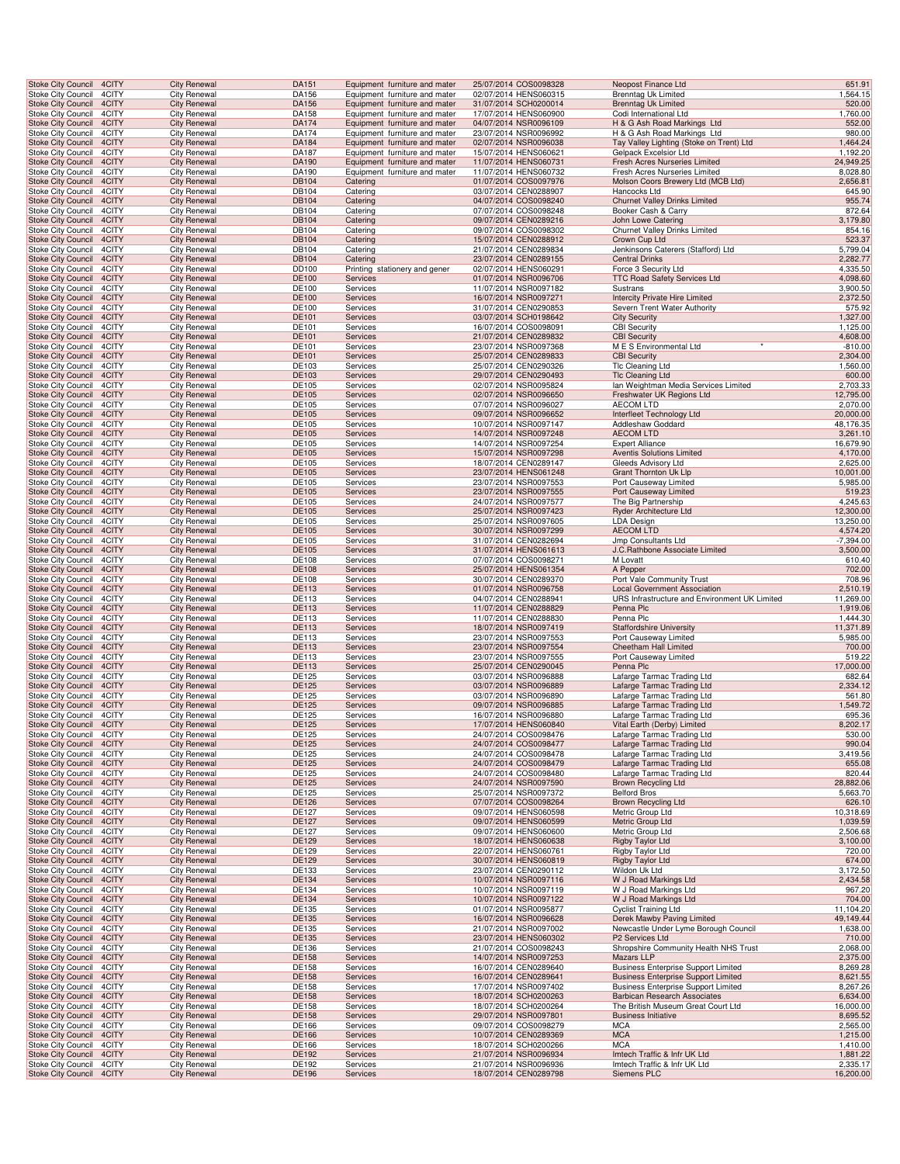| <b>Stoke City Council</b>                              | 4CITY                    | <b>City Renewal</b>                        | DA151                 | Equipment furniture and mater                                  | 25/07/2014 COS0098328                          | Neopost Finance Ltd                                         | 651.91                  |
|--------------------------------------------------------|--------------------------|--------------------------------------------|-----------------------|----------------------------------------------------------------|------------------------------------------------|-------------------------------------------------------------|-------------------------|
| Stoke City Council                                     | 4CITY                    | <b>City Renewal</b>                        | DA156                 | Equipment furniture and mater                                  | 02/07/2014 HENS060315                          | Brenntag Uk Limited                                         | 1,564.15                |
| <b>Stoke City Council</b>                              | 4CITY                    | <b>City Renewal</b>                        | DA156                 | Equipment furniture and mater                                  | 31/07/2014 SCH0200014                          | <b>Brenntag Uk Limited</b>                                  | 520.00                  |
| Stoke City Council<br>Stoke City Council 4CITY         | 4CITY                    | <b>City Renewal</b><br><b>City Renewal</b> | DA158<br>DA174        | Equipment furniture and mater<br>Equipment furniture and mater | 17/07/2014 HENS060900<br>04/07/2014 NSR0096109 | Codi International Ltd<br>H & G Ash Road Markings Ltd       | 1,760.00<br>552.00      |
| <b>Stoke City Council</b>                              | 4CITY                    | <b>City Renewal</b>                        | DA174                 | Equipment furniture and mater                                  | 23/07/2014 NSR0096992                          | H & G Ash Road Markings Ltd                                 | 980.00                  |
| <b>Stoke City Council</b>                              | 4CITY                    | <b>City Renewal</b>                        | DA184                 | Equipment furniture and mater                                  | 02/07/2014 NSR0096038                          | Tay Valley Lighting (Stoke on Trent) Ltd                    | 1,464.24                |
| <b>Stoke City Council</b>                              | 4CITY                    | <b>City Renewal</b>                        | DA187                 | Equipment furniture and mater                                  | 15/07/2014 HENS060621                          | Gelpack Excelsior Ltd                                       | 1,192.20                |
| <b>Stoke City Council</b>                              | 4CITY                    | <b>City Renewal</b>                        | DA190                 | Equipment furniture and mater                                  | 11/07/2014 HENS060731                          | Fresh Acres Nurseries Limited                               | 24,949.25               |
| <b>Stoke City Council</b>                              | 4CITY                    | <b>City Renewal</b>                        | DA190                 | Equipment furniture and mater                                  | 11/07/2014 HENS060732                          | Fresh Acres Nurseries Limited                               | 8,028.80                |
| <b>Stoke City Council</b>                              | 4CITY                    | <b>City Renewal</b>                        | DB104                 | Catering                                                       | 01/07/2014 COS0097976                          | Molson Coors Brewery Ltd (MCB Ltd)                          | 2,656.81                |
| Stoke City Council                                     | 4CITY<br>4CITY           | <b>City Renewal</b><br><b>City Renewal</b> | DB104<br><b>DB104</b> | Catering                                                       | 03/07/2014 CEN0288907<br>04/07/2014 COS0098240 | Hancocks Ltd                                                | 645.90<br>955.74        |
| <b>Stoke City Council</b><br>Stoke City Council        | 4CITY                    | <b>City Renewal</b>                        | DB104                 | Catering<br>Catering                                           | 07/07/2014 COS0098248                          | <b>Churnet Valley Drinks Limited</b><br>Booker Cash & Carry | 872.64                  |
| Stoke City Council 4CITY                               |                          | <b>City Renewal</b>                        | DB104                 | Catering                                                       | 09/07/2014 CEN0289216                          | John Lowe Catering                                          | 3,179.80                |
| <b>Stoke City Council</b>                              | 4CITY                    | <b>City Renewal</b>                        | DB104                 | Catering                                                       | 09/07/2014 COS0098302                          | Churnet Valley Drinks Limited                               | 854.16                  |
| <b>Stoke City Council</b>                              | 4CITY                    | <b>City Renewal</b>                        | DB104                 | Catering                                                       | 15/07/2014 CEN0288912                          | Crown Cup Ltd                                               | 523.37                  |
| <b>Stoke City Council</b>                              | 4CITY                    | <b>City Renewal</b>                        | DB104                 | Catering                                                       | 21/07/2014 CEN0289834                          | Jenkinsons Caterers (Stafford) Ltd                          | 5,799.04                |
| <b>Stoke City Council</b>                              | 4CITY                    | <b>City Renewal</b>                        | DB104                 | Catering                                                       | 23/07/2014 CEN0289155                          | <b>Central Drinks</b>                                       | 2,282.77                |
| <b>Stoke City Council</b>                              | 4CITY                    | <b>City Renewal</b>                        | DD100                 | Printing stationery and gener                                  | 02/07/2014 HENS060291                          | Force 3 Security Ltd                                        | 4,335.50                |
| <b>Stoke City Council</b>                              | 4CITY                    | <b>City Renewal</b><br><b>City Renewal</b> | DE100                 | Services                                                       | 01/07/2014 NSR0096706<br>11/07/2014 NSR0097182 | <b>TTC Road Safety Services Ltd</b>                         | 4,098.60                |
| Stoke City Council<br><b>Stoke City Council</b>        | 4CITY<br>4CITY           | <b>City Renewal</b>                        | DE100<br>DE100        | Services<br>Services                                           | 16/07/2014 NSR0097271                          | Sustrans<br><b>Intercity Private Hire Limited</b>           | 3,900.50<br>2,372.50    |
| Stoke City Council                                     | 4CITY                    | <b>City Renewal</b>                        | DE100                 | Services                                                       | 31/07/2014 CEN0290853                          | Severn Trent Water Authority                                | 575.92                  |
| <b>Stoke City Council</b>                              | 4CITY                    | <b>City Renewal</b>                        | DE101                 | Services                                                       | 03/07/2014 SCH0198642                          | <b>City Security</b>                                        | 1,327.00                |
| Stoke City Council                                     | 4CITY                    | <b>City Renewal</b>                        | DE101                 | Services                                                       | 16/07/2014 COS0098091                          | <b>CBI</b> Security                                         | 1,125.00                |
| <b>Stoke City Council</b>                              | 4CITY                    | <b>City Renewal</b>                        | DE101                 | Services                                                       | 21/07/2014 CEN0289832                          | <b>CBI Security</b>                                         | 4,608.00                |
| <b>Stoke City Council</b>                              | 4CITY                    | <b>City Renewal</b>                        | DE101                 | Services                                                       | 23/07/2014 NSR0097368                          | M E S Environmental Ltd                                     | $-810.00$               |
| <b>Stoke City Council</b>                              | 4CITY                    | <b>City Renewal</b>                        | DE101                 | Services                                                       | 25/07/2014 CEN0289833                          | <b>CBI</b> Security                                         | 2,304.00                |
| <b>Stoke City Council</b><br><b>Stoke City Council</b> | 4CITY<br>4CITY           | <b>City Renewal</b><br><b>City Renewal</b> | DE103<br>DE103        | Services<br>Services                                           | 25/07/2014 CEN0290326<br>29/07/2014 CEN0290493 | <b>TIc Cleaning Ltd</b><br><b>TIc Cleaning Ltd</b>          | 1,560.00<br>600.00      |
| Stoke City Council                                     | 4CITY                    | <b>City Renewal</b>                        | DE105                 | Services                                                       | 02/07/2014 NSR0095824                          | Ian Weightman Media Services Limited                        | 2,703.33                |
| <b>Stoke City Council</b>                              | 4CITY                    | <b>City Renewal</b>                        | DE105                 | <b>Services</b>                                                | 02/07/2014 NSR0096650                          | Freshwater UK Regions Ltd                                   | 12,795.00               |
| Stoke City Council                                     | 4CITY                    | <b>City Renewal</b>                        | DE105                 | Services                                                       | 07/07/2014 NSR0096027                          | <b>AECOM LTD</b>                                            | 2,070.00                |
| <b>Stoke City Council</b>                              | 4CITY                    | <b>City Renewal</b>                        | DE105                 | Services                                                       | 09/07/2014 NSR0096652                          | Interfleet Technology Ltd                                   | 20,000.00               |
| Stoke City Council                                     | 4CITY                    | <b>City Renewal</b>                        | DE105                 | Services                                                       | 10/07/2014 NSR0097147                          | Addleshaw Goddard                                           | 48,176.35               |
| <b>Stoke City Council</b>                              | 4CITY                    | <b>City Renewal</b>                        | DE105                 | Services                                                       | 14/07/2014 NSR0097248                          | <b>AECOM LTD</b>                                            | 3,261.10                |
| <b>Stoke City Council</b><br><b>Stoke City Council</b> | 4CITY<br>4CITY           | <b>City Renewal</b><br><b>City Renewal</b> | DE105<br>DE105        | Services<br>Services                                           | 14/07/2014 NSR0097254<br>15/07/2014 NSR0097298 | <b>Expert Alliance</b><br><b>Aventis Solutions Limited</b>  | 16,679.90<br>4,170.00   |
| Stoke City Council                                     | 4CITY                    | <b>City Renewal</b>                        | DE105                 | Services                                                       | 18/07/2014 CEN0289147                          | Gleeds Advisory Ltd                                         | 2,625.00                |
| <b>Stoke City Council</b>                              | 4CITY                    | <b>City Renewal</b>                        | DE105                 | Services                                                       | 23/07/2014 HENS061248                          | Grant Thornton Uk Llp                                       | 10,001.00               |
| <b>Stoke City Council</b>                              | 4CITY                    | <b>City Renewal</b>                        | DE105                 | Services                                                       | 23/07/2014 NSR0097553                          | Port Causeway Limited                                       | 5,985.00                |
| <b>Stoke City Council</b>                              | 4CITY                    | <b>City Renewal</b>                        | DE105                 | <b>Services</b>                                                | 23/07/2014 NSR0097555                          | Port Causeway Limited                                       | 519.23                  |
| Stoke City Council                                     | 4CITY                    | <b>City Renewal</b>                        | DE105                 | Services                                                       | 24/07/2014 NSR0097577                          | The Big Partnership                                         | 4,245.63                |
| <b>Stoke City Council</b>                              | 4CITY                    | <b>City Renewal</b>                        | DE105                 | Services                                                       | 25/07/2014 NSR0097423                          | Ryder Architecture Ltd                                      | 12,300.00               |
| Stoke City Council                                     | 4CITY                    | <b>City Renewal</b>                        | DE105                 | Services                                                       | 25/07/2014 NSR0097605                          | <b>LDA Design</b>                                           | 13,250.00               |
| <b>Stoke City Council</b><br>Stoke City Council        | 4CITY<br>4CITY           | <b>City Renewal</b><br><b>City Renewal</b> | DE105<br>DE105        | Services<br>Services                                           | 30/07/2014 NSR0097299<br>31/07/2014 CEN0282694 | <b>AECOM LTD</b><br>Jmp Consultants Ltd                     | 4,574.20<br>$-7,394.00$ |
| <b>Stoke City Council</b>                              | 4CITY                    | <b>City Renewal</b>                        | DE105                 | Services                                                       | 31/07/2014 HENS061613                          | J.C.Rathbone Associate Limited                              | 3,500.00                |
| Stoke City Council                                     | 4CITY                    | <b>City Renewal</b>                        | DE108                 | Services                                                       | 07/07/2014 COS0098271                          | M Lovatt                                                    | 610.40                  |
| <b>Stoke City Council</b>                              | 4CITY                    | <b>City Renewal</b>                        | DE108                 | Services                                                       | 25/07/2014 HENS061354                          | A Pepper                                                    | 702.00                  |
| Stoke City Council                                     | 4CITY                    | <b>City Renewal</b>                        | DE108                 | Services                                                       | 30/07/2014 CEN0289370                          | Port Vale Community Trust                                   | 708.96                  |
| <b>Stoke City Council</b>                              | 4CITY                    | <b>City Renewal</b>                        | DE113                 | <b>Services</b>                                                | 01/07/2014 NSR0096758                          | <b>Local Government Association</b>                         | 2,510.19                |
| Stoke City Council                                     | 4CITY                    | <b>City Renewal</b>                        | DE113                 | Services                                                       | 04/07/2014 CEN0288941                          | URS Infrastructure and Environment UK Limited               | 11,269.00               |
| <b>Stoke City Council</b>                              | 4CITY                    | <b>City Renewal</b>                        | DE113                 | Services                                                       | 11/07/2014 CEN0288829                          | Penna Plc                                                   | 1,919.06                |
| Stoke City Council                                     | 4CITY<br>4CITY           | <b>City Renewal</b><br><b>City Renewal</b> | DE113<br><b>DE113</b> | Services<br>Services                                           | 11/07/2014 CEN0288830<br>18/07/2014 NSR0097419 | Penna Plc<br><b>Staffordshire University</b>                | 1,444.30<br>11,371.89   |
| <b>Stoke City Council</b><br><b>Stoke City Council</b> | 4CITY                    | <b>City Renewal</b>                        | DE113                 | Services                                                       | 23/07/2014 NSR0097553                          | Port Causeway Limited                                       | 5,985.00                |
| <b>Stoke City Council</b>                              | 4CITY                    | <b>City Renewal</b>                        | DE113                 | Services                                                       | 23/07/2014 NSR0097554                          | Cheetham Hall Limited                                       | 700.00                  |
| Stoke City Council                                     | 4CITY                    | <b>City Renewal</b>                        | DE113                 | Services                                                       | 23/07/2014 NSR0097555                          | Port Causeway Limited                                       | 519.22                  |
| <b>Stoke City Council</b>                              | 4CITY                    | <b>City Renewal</b>                        | DE113                 | Services                                                       | 25/07/2014 CEN0290045                          | Penna Plc                                                   | 17,000.00               |
| Stoke City Council                                     | 4CITY                    | <b>City Renewal</b>                        | DE125                 | Services                                                       | 03/07/2014 NSR0096888                          | Lafarge Tarmac Trading Ltd                                  | 682.64                  |
| <b>Stoke City Council</b>                              | 4CITY                    | <b>City Renewal</b>                        | DE125                 | <b>Services</b>                                                | 03/07/2014 NSR0096889                          | Lafarge Tarmac Trading Ltd                                  | 2,334.12                |
| Stoke City Council                                     | 4CITY                    | <b>City Renewal</b>                        | DE125                 | Services                                                       | 03/07/2014 NSR0096890<br>09/07/2014 NSR0096885 | Lafarge Tarmac Trading Ltd                                  | 561.80<br>1,549.72      |
| Stoke City Council 4CITY<br>Stoke City Council         | 4CITY                    | <b>City Renewal</b><br><b>City Renewal</b> | DE125<br>DE125        | Services<br>Services                                           | 16/07/2014 NSR0096880                          | Lafarge Tarmac Trading Ltd<br>Lafarge Tarmac Trading Ltd    | 695.36                  |
| Stoke City Council 4CITY                               |                          | <b>City Renewal</b>                        | DE125                 | Services                                                       | 17/07/2014 HENS060840                          | Vital Earth (Derby) Limited                                 | 8,202.17                |
| Stoke City Council 4CITY                               |                          | <b>City Renewal</b>                        | DE125                 | Services                                                       | 24/07/2014 COS0098476                          | Lafarge Tarmac Trading Ltd                                  | 530.00                  |
| Stoke City Council 4CITY                               |                          | <b>City Renewal</b>                        | DE125                 | Services                                                       | 24/07/2014 COS0098477                          | Lafarge Tarmac Trading Ltd                                  | 990.04                  |
| Stoke City Council                                     | 4CITY                    | <b>City Renewal</b>                        | DE125                 | Services                                                       | 24/07/2014 COS0098478                          | Lafarge Tarmac Trading Ltd                                  | 3,419.56                |
| <b>Stoke City Council</b>                              | 4CITY                    | <b>City Renewal</b>                        | DE125                 | Services                                                       | 24/07/2014 COS0098479                          | Lafarge Tarmac Trading Ltd                                  | 655.08                  |
| <b>Stoke City Council</b>                              | 4CITY                    | <b>City Renewal</b>                        | DE125                 | Services                                                       | 24/07/2014 COS0098480<br>24/07/2014 NSR0097590 | Lafarge Tarmac Trading Ltd                                  | 820.44                  |
| <b>Stoke City Council</b><br>Stoke City Council        | 4CITY<br>4CITY           | <b>City Renewal</b><br><b>City Renewal</b> | DE125<br>DE125        | Services<br>Services                                           | 25/07/2014 NSR0097372                          | <b>Brown Recycling Ltd</b><br><b>Belford Bros</b>           | 28,882.06<br>5,663.70   |
| Stoke City Council 4CITY                               |                          | <b>City Renewal</b>                        | DE126                 | Services                                                       | 07/07/2014 COS0098264                          | <b>Brown Recycling Ltd</b>                                  | 626.10                  |
| Stoke City Council                                     | 4CITY                    | <b>City Renewal</b>                        | DE127                 | Services                                                       | 09/07/2014 HENS060598                          | Metric Group Ltd                                            | 10,318.69               |
| <b>Stoke City Council</b>                              | 4CITY                    | <b>City Renewal</b>                        | <b>DE127</b>          | Services                                                       | 09/07/2014 HENS060599                          | Metric Group Ltd                                            | 1,039.59                |
| <b>Stoke City Council</b>                              | 4CITY                    | <b>City Renewal</b>                        | DE127                 | Services                                                       | 09/07/2014 HENS060600                          | Metric Group Ltd                                            | 2,506.68                |
| Stoke City Council 4CITY                               |                          | <b>City Renewal</b>                        | DE129                 | Services                                                       | 18/07/2014 HENS060638                          | <b>Rigby Taylor Ltd</b>                                     | 3,100.00                |
| <b>Stoke City Council</b>                              | 4CITY                    | <b>City Renewal</b>                        | DE129                 | Services                                                       | 22/07/2014 HENS060761                          | Rigby Taylor Ltd                                            | 720.00                  |
| <b>Stoke City Council</b><br>Stoke City Council        | 4CITY<br>4CITY           | <b>City Renewal</b><br><b>City Renewal</b> | DE129<br>DE133        | Services                                                       | 30/07/2014 HENS060819<br>23/07/2014 CEN0290112 | Rigby Taylor Ltd<br>Wildon Uk Ltd                           | 674.00<br>3,172.50      |
| <b>Stoke City Council</b>                              | 4CITY                    | <b>City Renewal</b>                        | DE134                 | Services<br>Services                                           | 10/07/2014 NSR0097116                          | <b>W J Road Markings Ltd</b>                                | 2,434.58                |
| Stoke City Council                                     | 4CITY                    | <b>City Renewal</b>                        | DE134                 | Services                                                       | 10/07/2014 NSR0097119                          | W J Road Markings Ltd                                       | 967.20                  |
| Stoke City Council 4CITY                               |                          | <b>City Renewal</b>                        | DE134                 | Services                                                       | 10/07/2014 NSR0097122                          | W J Road Markings Ltd                                       | 704.00                  |
| Stoke City Council 4CITY                               |                          | <b>City Renewal</b>                        | DE135                 | Services                                                       | 01/07/2014 NSR0095877                          | Cyclist Training Ltd                                        | 11,104.20               |
| <b>Stoke City Council</b>                              | 4CITY                    | <b>City Renewal</b>                        | DE135                 | Services                                                       | 16/07/2014 NSR0096628                          | Derek Mawby Paving Limited                                  | 49,149.44               |
| <b>Stoke City Council</b>                              | 4CITY                    | <b>City Renewal</b>                        | DE135                 | Services                                                       | 21/07/2014 NSR0097002                          | Newcastle Under Lyme Borough Council                        | 1,638.00                |
| <b>Stoke City Council</b>                              | 4CITY                    | <b>City Renewal</b>                        | DE135                 | Services                                                       | 23/07/2014 HENS060302                          | P2 Services Ltd                                             | 710.00                  |
| <b>Stoke City Council</b><br><b>Stoke City Council</b> | 4CITY<br>4CITY           | <b>City Renewal</b><br><b>City Renewal</b> | DE136<br>DE158        | Services<br>Services                                           | 21/07/2014 COS0098243<br>14/07/2014 NSR0097253 | Shropshire Community Health NHS Trust<br>Mazars LLP         | 2,068.00<br>2,375.00    |
| <b>Stoke City Council</b>                              | 4CITY                    | <b>City Renewal</b>                        | DE158                 | Services                                                       | 16/07/2014 CEN0289640                          | <b>Business Enterprise Support Limited</b>                  | 8,269.28                |
| <b>Stoke City Council</b>                              | 4CITY                    | <b>City Renewal</b>                        | DE158                 | Services                                                       | 16/07/2014 CEN0289641                          | <b>Business Enterprise Support Limited</b>                  | 8,621.55                |
| Stoke City Council                                     | 4CITY                    | <b>City Renewal</b>                        | DE158                 | Services                                                       | 17/07/2014 NSR0097402                          | <b>Business Enterprise Support Limited</b>                  | 8,267.26                |
| Stoke City Council 4CITY                               |                          | <b>City Renewal</b>                        | DE158                 | Services                                                       | 18/07/2014 SCH0200263                          | <b>Barbican Research Associates</b>                         | 6,634.00                |
| Stoke City Council                                     | 4CITY                    | <b>City Renewal</b>                        | DE158                 | Services                                                       | 18/07/2014 SCH0200264                          | The British Museum Great Court Ltd                          | 16,000.00               |
| <b>Stoke City Council</b>                              | 4CITY                    | <b>City Renewal</b>                        | <b>DE158</b>          | Services                                                       | 29/07/2014 NSR0097801                          | <b>Business Initiative</b>                                  | 8,695.52                |
| <b>Stoke City Council</b><br>Stoke City Council 4CITY  | 4CITY                    | <b>City Renewal</b><br><b>City Renewal</b> | DE166<br>DE166        | Services                                                       | 09/07/2014 COS0098279<br>10/07/2014 CEN0289369 | <b>MCA</b><br><b>MCA</b>                                    | 2,565.00<br>1,215.00    |
| Stoke City Council                                     | 4CITY                    | <b>City Renewal</b>                        | DE166                 | Services<br>Services                                           | 18/07/2014 SCH0200266                          | <b>MCA</b>                                                  | 1,410.00                |
| <b>Stoke City Council</b>                              | 4CITY                    | <b>City Renewal</b>                        | DE192                 | Services                                                       | 21/07/2014 NSR0096934                          | Imtech Traffic & Infr UK Ltd                                | 1,881.22                |
| Stoke City Council                                     | 4CITY                    | <b>City Renewal</b>                        | DE192                 | Services                                                       | 21/07/2014 NSR0096936                          | Imtech Traffic & Infr UK Ltd                                | 2,335.17                |
|                                                        | Stoke City Council 4CITY | <b>City Renewal</b>                        | DE196                 | Services                                                       | 18/07/2014 CEN0289798                          | Siemens PLC                                                 | 16,200.00               |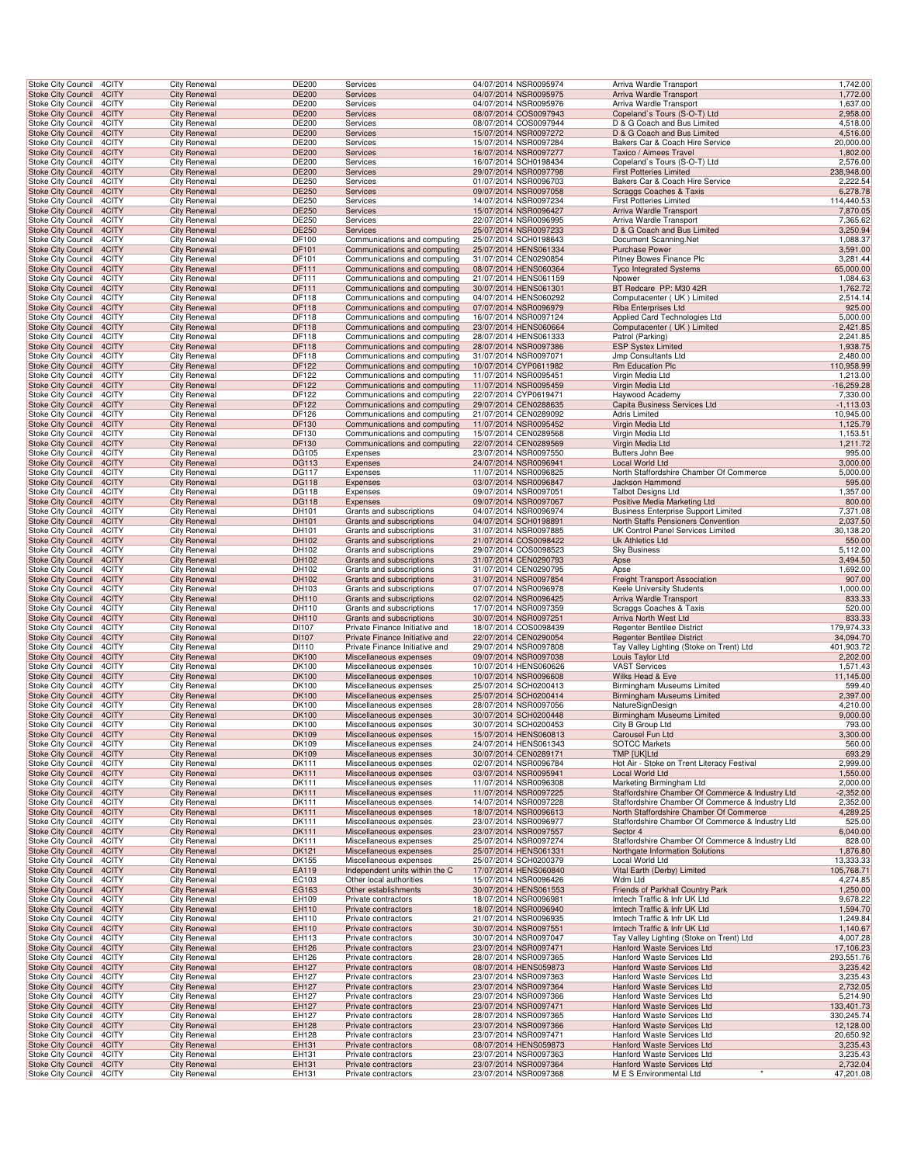| Stoke City Council<br><b>Stoke City Council</b>       | 4CITY          | <b>City Renewal</b>                        | <b>DE200</b>   | Services                                   | 04/07/2014 NSR0095974                          | Arriva Wardle Transport                                  | 1,742.00              |
|-------------------------------------------------------|----------------|--------------------------------------------|----------------|--------------------------------------------|------------------------------------------------|----------------------------------------------------------|-----------------------|
|                                                       | 4CITY          | <b>City Renewal</b>                        | <b>DE200</b>   | Services                                   | 04/07/2014 NSR0095975                          | Arriva Wardle Transport                                  | 1,772.00              |
| <b>Stoke City Council</b>                             | 4CITY          | <b>City Renewal</b>                        | DE200          | Services                                   | 04/07/2014 NSR0095976                          | Arriva Wardle Transport                                  | 1,637.00              |
| Stoke City Council 4CITY                              |                | <b>City Renewal</b>                        | <b>DE200</b>   | Services                                   | 08/07/2014 COS0097943                          | Copeland's Tours (S-O-T) Ltd                             | 2,958.00              |
| Stoke City Council                                    | 4CITY          | <b>City Renewal</b>                        | DE200          | Services                                   | 08/07/2014 COS0097944                          | D & G Coach and Bus Limited                              | 4,518.00              |
| <b>Stoke City Council</b>                             | 4CITY          | <b>City Renewal</b>                        | <b>DE200</b>   | Services                                   | 15/07/2014 NSR0097272                          | D & G Coach and Bus Limited                              | 4,516.00              |
| Stoke City Council                                    | 4CITY          | <b>City Renewal</b>                        | DE200          | Services                                   | 15/07/2014 NSR0097284                          | Bakers Car & Coach Hire Service                          | 20,000.00             |
| <b>Stoke City Council</b>                             | 4CITY          | <b>City Renewal</b>                        | DE200          | Services                                   | 16/07/2014 NSR0097277                          | Taxico / Aimees Travel                                   | 1,802.00              |
| Stoke City Council                                    | 4CITY          | <b>City Renewal</b>                        | DE200          | Services                                   | 16/07/2014 SCH0198434                          | Copeland's Tours (S-O-T) Ltd                             | 2,576.00              |
| <b>Stoke City Council</b>                             | 4CITY          | <b>City Renewal</b>                        | DE200          | Services                                   | 29/07/2014 NSR0097798                          | <b>First Potteries Limited</b>                           | 238,948.00            |
| <b>Stoke City Council</b>                             | 4CITY          | City Renewal                               | <b>DE250</b>   | Services                                   | 01/07/2014 NSR0096703                          | Bakers Car & Coach Hire Service                          | 2,222.54              |
| <b>Stoke City Council</b>                             | 4CITY          | <b>City Renewal</b>                        | DE250          | Services                                   | 09/07/2014 NSR0097058                          | Scraggs Coaches & Taxis                                  | 6,278.78              |
| Stoke City Council                                    | 4CITY          | <b>City Renewal</b>                        | DE250          | Services                                   | 14/07/2014 NSR0097234                          | <b>First Potteries Limited</b>                           | 114,440.53            |
| Stoke City Council 4CITY                              |                | <b>City Renewal</b>                        | DE250          | Services                                   | 15/07/2014 NSR0096427                          | Arriva Wardle Transport                                  | 7,870.05              |
| Stoke City Council                                    | 4CITY          | <b>City Renewal</b>                        | DE250          | Services                                   | 22/07/2014 NSR0096995                          | Arriva Wardle Transport                                  | 7,365.62              |
| <b>Stoke City Council</b>                             | 4CITY          | <b>City Renewal</b>                        | <b>DE250</b>   | Services                                   | 25/07/2014 NSR0097233                          | D & G Coach and Bus Limited                              | 3,250.94              |
| Stoke City Council                                    | 4CITY          | <b>City Renewal</b>                        | DF100          | Communications and computing               | 25/07/2014 SCH0198643                          | Document Scanning.Net                                    | 1,088.37              |
| <b>Stoke City Council</b>                             | 4CITY          | <b>City Renewal</b>                        | DF101          | Communications and computing               | 25/07/2014 HENS061334                          | <b>Purchase Power</b>                                    | 3,591.00              |
| Stoke City Council                                    | 4CITY          | <b>City Renewal</b>                        | DF101          | Communications and computing               | 31/07/2014 CEN0290854                          | Pitney Bowes Finance Plc                                 | 3,281.44              |
| <b>Stoke City Council</b>                             | 4CITY          | <b>City Renewal</b>                        | DF111          | Communications and computing               | 08/07/2014 HENS060364                          | <b>Tyco Integrated Systems</b>                           | 65,000.00             |
| <b>Stoke City Council</b>                             | 4CITY          | City Renewal                               | <b>DF111</b>   | Communications and computing               | 21/07/2014 HENS061159                          | Npower                                                   | 1,084.63              |
| <b>Stoke City Council</b>                             | 4CITY          | <b>City Renewal</b>                        | DF111          | Communications and computing               | 30/07/2014 HENS061301                          | BT Redcare PP: M30 42R                                   | 1,762.72              |
| Stoke City Council                                    | 4CITY          | <b>City Renewal</b>                        | DF118          | Communications and computing               | 04/07/2014 HENS060292                          | Computacenter (UK) Limited                               | 2,514.14              |
| Stoke City Council 4CITY                              |                | <b>City Renewal</b>                        | DF118          | Communications and computing               | 07/07/2014 NSR0096979                          | Riba Enterprises Ltd                                     | 925.00                |
| Stoke City Council                                    | 4CITY          | City Renewal                               | DF118          | Communications and computing               | 16/07/2014 NSR0097124                          | Applied Card Technologies Ltd                            | 5,000.00              |
| <b>Stoke City Council</b>                             | 4CITY          | <b>City Renewal</b>                        | <b>DF118</b>   | Communications and computing               | 23/07/2014 HENS060664                          | Computacenter (UK) Limited                               | 2,421.85              |
| Stoke City Council                                    | 4CITY          | <b>City Renewal</b>                        | DF118          | Communications and computing               | 28/07/2014 HENS061333                          | Patrol (Parking)                                         | 2,241.85              |
| <b>Stoke City Council</b>                             | 4CITY          | <b>City Renewal</b>                        | DF118          | Communications and computing               | 28/07/2014 NSR0097386                          | <b>ESP Systex Limited</b>                                | 1,938.75              |
| Stoke City Council                                    | 4CITY          | <b>City Renewal</b>                        | DF118          | Communications and computing               | 31/07/2014 NSR0097071                          | Jmp Consultants Ltd                                      | 2,480.00              |
| <b>Stoke City Council</b>                             | 4CITY          | <b>City Renewal</b>                        | DF122          | Communications and computing               | 10/07/2014 CYP0611982                          | Rm Education Plc                                         | 110,958.99            |
| <b>Stoke City Council</b>                             | 4CITY          | City Renewal                               | <b>DF122</b>   | Communications and computing               | 11/07/2014 NSR0095451                          | Virgin Media Ltd                                         | 1,213.00              |
| <b>Stoke City Council</b>                             | 4CITY          | <b>City Renewal</b>                        | DF122          | Communications and computing               | 11/07/2014 NSR0095459                          | Virgin Media Ltd                                         | $-16,259.28$          |
| Stoke City Council                                    | 4CITY          | <b>City Renewal</b>                        | DF122          | Communications and computing               | 22/07/2014 CYP0619471                          | Haywood Academy                                          | 7,330.00              |
| Stoke City Council 4CITY                              |                | <b>City Renewal</b>                        | DF122          | Communications and computing               | 29/07/2014 CEN0288635                          | Capita Business Services Ltd                             | $-1, 113.03$          |
| Stoke City Council                                    | 4CITY          | <b>City Renewal</b>                        | DF126          | Communications and computing               | 21/07/2014 CEN0289092                          | <b>Adris Limited</b>                                     | 10,945.00             |
| <b>Stoke City Council</b>                             | 4CITY          | <b>City Renewal</b>                        | DF130          | Communications and computing               | 11/07/2014 NSR0095452                          | Virgin Media Ltd                                         | 1,125.79              |
| Stoke City Council                                    | 4CITY          | <b>City Renewal</b>                        | DF130          | Communications and computing               | 15/07/2014 CEN0289568                          | Virgin Media Ltd                                         | 1,153.51              |
| <b>Stoke City Council</b>                             | 4CITY          | <b>City Renewal</b>                        | DF130          | Communications and computing               | 22/07/2014 CEN0289569                          | Virgin Media Ltd                                         | 1,211.72              |
| Stoke City Council                                    | 4CITY          | <b>City Renewal</b>                        | DG105          | Expenses                                   | 23/07/2014 NSR0097550                          | Butters John Bee                                         | 995.00                |
| <b>Stoke City Council</b>                             | 4CITY          | <b>City Renewal</b>                        | <b>DG113</b>   | Expenses                                   | 24/07/2014 NSR0096941                          | Local World Ltd                                          | 3,000.00              |
| <b>Stoke City Council</b>                             | 4CITY          | City Renewal                               | <b>DG117</b>   | Expenses                                   | 11/07/2014 NSR0096825                          | North Staffordshire Chamber Of Commerce                  | 5,000.00              |
| <b>Stoke City Council</b>                             | 4CITY          | <b>City Renewal</b>                        | <b>DG118</b>   | Expenses                                   | 03/07/2014 NSR0096847                          | Jackson Hammond                                          | 595.00                |
| Stoke City Council                                    | 4CITY          | <b>City Renewal</b>                        | DG118          | Expenses                                   | 09/07/2014 NSR0097051                          | <b>Talbot Designs Ltd</b>                                | 1,357.00              |
| Stoke City Council 4CITY                              |                | <b>City Renewal</b>                        | <b>DG118</b>   | Expenses                                   | 09/07/2014 NSR0097067                          | Positive Media Marketing Ltd                             | 800.00                |
| Stoke City Council                                    | 4CITY          | City Renewal                               | DH101          | Grants and subscriptions                   | 04/07/2014 NSR0096974                          | <b>Business Enterprise Support Limited</b>               | 7,371.08              |
| <b>Stoke City Council</b>                             | 4CITY          | <b>City Renewal</b>                        | DH101          | Grants and subscriptions                   | 04/07/2014 SCH0198891                          | North Staffs Pensioners Convention                       | 2,037.50              |
| Stoke City Council                                    | 4CITY          | <b>City Renewal</b>                        | DH101          | Grants and subscriptions                   | 31/07/2014 NSR0097885                          | UK Control Panel Services Limited                        | 30,138.20             |
| <b>Stoke City Council</b>                             | 4CITY          | <b>City Renewal</b>                        | DH102          | Grants and subscriptions                   | 21/07/2014 COS0098422                          | Uk Athletics Ltd                                         | 550.00                |
| Stoke City Council                                    | 4CITY          | <b>City Renewal</b>                        | DH102          | Grants and subscriptions                   | 29/07/2014 COS0098523                          | <b>Sky Business</b>                                      | 5,112.00              |
| <b>Stoke City Council</b>                             | 4CITY          | <b>City Renewal</b>                        | DH102          | Grants and subscriptions                   | 31/07/2014 CEN0290793                          | Apse                                                     | 3,494.50              |
| <b>Stoke City Council</b>                             | 4CITY          | City Renewal                               | DH102          | Grants and subscriptions                   | 31/07/2014 CEN0290795                          | Apse                                                     | 1,692.00              |
| <b>Stoke City Council</b>                             | 4CITY          | <b>City Renewal</b>                        | DH102          | Grants and subscriptions                   | 31/07/2014 NSR0097854                          | <b>Freight Transport Association</b>                     | 907.00                |
| Stoke City Council                                    | 4CITY          | <b>City Renewal</b>                        | DH103          | Grants and subscriptions                   | 07/07/2014 NSR0096978                          | Keele University Students                                | 1,000.00              |
| Stoke City Council 4CITY                              |                | <b>City Renewal</b>                        | DH110          | Grants and subscriptions                   | 02/07/2014 NSR0096425                          | Arriva Wardle Transport                                  | 833.33                |
| Stoke City Council                                    | 4CITY          | <b>City Renewal</b>                        | DH110          | Grants and subscriptions                   | 17/07/2014 NSR0097359                          | Scraggs Coaches & Taxis                                  | 520.00                |
| <b>Stoke City Council</b>                             | 4CITY          | <b>City Renewal</b>                        | <b>DH110</b>   | Grants and subscriptions                   | 30/07/2014 NSR0097251                          | Arriva North West Ltd                                    | 833.33                |
| Stoke City Council                                    | 4CITY          | <b>City Renewal</b>                        | DI107          | Private Finance Initiative and             | 18/07/2014 COS0098439                          | <b>Regenter Bentilee District</b>                        | 179,974.33            |
| <b>Stoke City Council</b>                             | 4CITY          | <b>City Renewal</b>                        | DI107          | Private Finance Initiative and             | 22/07/2014 CEN0290054                          | <b>Regenter Bentilee District</b>                        | 34,094.70             |
| Stoke City Council                                    | 4CITY          | <b>City Renewal</b>                        | DI110          | Private Finance Initiative and             | 29/07/2014 NSR0097808                          | Tay Valley Lighting (Stoke on Trent) Ltd                 | 401,903.72            |
| <b>Stoke City Council</b>                             | 4CITY          |                                            | <b>DK100</b>   | Miscellaneous expenses                     | 09/07/2014 NSR0097038                          | Louis Taylor Ltd                                         | 2,202.00              |
| Stoke City Council                                    |                | <b>City Renewal</b>                        |                |                                            |                                                |                                                          |                       |
| <b>Stoke City Council</b>                             | 4CITY          | City Renewal                               | DK100          | Miscellaneous expenses                     | 10/07/2014 HENS060626                          | <b>VAST Services</b>                                     | 1,571.43              |
|                                                       | 4CITY          | <b>City Renewal</b>                        | <b>DK100</b>   | Miscellaneous expenses                     | 10/07/2014 NSR0096608                          | Wilks Head & Eve                                         | 11,145.00             |
| Stoke City Council                                    | 4CITY          | <b>City Renewal</b>                        | DK100          | Miscellaneous expenses                     | 25/07/2014 SCH0200413                          | Birmingham Museums Limited                               | 599.40                |
| Stoke City Council 4CITY                              |                | <b>City Renewal</b>                        | <b>DK100</b>   | Miscellaneous expenses                     | 25/07/2014 SCH0200414                          | Birmingham Museums Limited                               | 2,397.00              |
| Stoke City Council                                    | 4CITY          | City Renewal                               | DK100          | Miscellaneous expenses                     | 28/07/2014 NSR0097056                          | NatureSignDesign                                         | 4,210.00              |
| Stoke City Council 4CITY                              |                | <b>City Renewal</b>                        | <b>DK100</b>   | Miscellaneous expenses                     | 30/07/2014 SCH0200448                          | <b>Birmingham Museums Limited</b>                        | 9,000.00              |
| Stoke City Council 4CITY                              |                | <b>City Renewal</b>                        | DK100          | Miscellaneous expenses                     | 30/07/2014 SCH0200453                          | City B Group Ltd                                         | 793.00                |
| Stoke City Council 4CITY                              |                | <b>City Renewal</b>                        | <b>DK109</b>   | Miscellaneous expenses                     | 15/07/2014 HENS060813                          | Carousel Fun Ltd                                         | 3,300.00              |
| Stoke City Council 4CITY                              |                | <b>City Renewal</b>                        | DK109          | Miscellaneous expenses                     | 24/07/2014 HENS061343                          | <b>SOTCC Markets</b>                                     | 560.00                |
| <b>Stoke City Council</b>                             | 4CITY          | <b>City Renewal</b>                        | <b>DK109</b>   | Miscellaneous expenses                     | 30/07/2014 CEN0289171                          | TMP [UK]Ltd                                              | 693.29                |
| <b>Stoke City Council</b>                             | 4CITY          | <b>City Renewal</b>                        | <b>DK111</b>   | Miscellaneous expenses                     | 02/07/2014 NSR0096784                          | Hot Air - Stoke on Trent Literacy Festival               | 2,999.00              |
| <b>Stoke City Council</b>                             | 4CITY          | <b>City Renewal</b>                        | <b>DK111</b>   | Miscellaneous expenses                     | 03/07/2014 NSR0095941                          | Local World Ltd                                          | 1,550.00              |
| Stoke City Council 4CITY                              |                | <b>City Renewal</b>                        | DK111          | Miscellaneous expenses                     | 11/07/2014 NSR0096308                          | Marketing Birmingham Ltd                                 | 2,000.00              |
| Stoke City Council 4CITY                              |                | <b>City Renewal</b>                        | <b>DK111</b>   | Miscellaneous expenses                     | 11/07/2014 NSR0097225                          | Staffordshire Chamber Of Commerce & Industry Ltd         | $-2,352.00$           |
| Stoke City Council                                    | 4CITY          | <b>City Renewal</b>                        | <b>DK111</b>   | Miscellaneous expenses                     | 14/07/2014 NSR0097228                          | Staffordshire Chamber Of Commerce & Industry Ltd         | 2,352.00              |
| <b>Stoke City Council</b>                             | 4CITY          | <b>City Renewal</b>                        | <b>DK111</b>   | Miscellaneous expenses                     | 18/07/2014 NSR0096613                          | North Staffordshire Chamber Of Commerce                  | 4,289.25              |
| Stoke City Council 4CITY                              |                | <b>City Renewal</b>                        | DK111          | Miscellaneous expenses                     | 23/07/2014 NSR0096977                          | Staffordshire Chamber Of Commerce & Industry Ltd         | 525.00                |
| <b>Stoke City Council</b>                             | 4CITY          | <b>City Renewal</b>                        | <b>DK111</b>   | Miscellaneous expenses                     | 23/07/2014 NSR0097557                          | Sector 4                                                 | 6,040.00              |
| Stoke City Council 4CITY                              |                | <b>City Renewal</b>                        | DK111          | Miscellaneous expenses                     | 25/07/2014 NSR0097274                          | Staffordshire Chamber Of Commerce & Industry Ltd         | 828.00                |
| <b>Stoke City Council</b>                             | 4CITY          | <b>City Renewal</b>                        | <b>DK121</b>   | Miscellaneous expenses                     | 25/07/2014 HENS061331                          | Northgate Information Solutions                          | 1,876.80              |
| <b>Stoke City Council</b>                             | 4CITY          | <b>City Renewal</b>                        | <b>DK155</b>   | Miscellaneous expenses                     | 25/07/2014 SCH0200379                          | Local World Ltd                                          | 13,333.33             |
| <b>Stoke City Council</b>                             | 4CITY          | <b>City Renewal</b>                        | EA119          | Independent units within the C             | 17/07/2014 HENS060840                          | Vital Earth (Derby) Limited                              | 105,768.71            |
| Stoke City Council 4CITY                              |                | <b>City Renewal</b>                        | EC103          | Other local authorities                    | 15/07/2014 NSR0096426                          | Wdm Ltd                                                  | 4,274.85              |
| Stoke City Council 4CITY                              |                | <b>City Renewal</b>                        | EG163          | Other establishments                       | 30/07/2014 HENS061553                          | Friends of Parkhall Country Park                         | 1,250.00              |
| Stoke City Council                                    | 4CITY          | <b>City Renewal</b>                        | EH109          | Private contractors                        | 18/07/2014 NSR0096981                          | Imtech Traffic & Infr UK Ltd                             | 9,678.22              |
| <b>Stoke City Council</b>                             | 4CITY          | <b>City Renewal</b>                        | <b>EH110</b>   | Private contractors                        | 18/07/2014 NSR0096940                          | Imtech Traffic & Infr UK Ltd                             | 1,594.70              |
| Stoke City Council                                    | 4CITY          | <b>City Renewal</b>                        | EH110          | Private contractors                        | 21/07/2014 NSR0096935                          | Imtech Traffic & Infr UK Ltd                             | 1,249.84              |
| <b>Stoke City Council</b>                             | 4CITY          | <b>City Renewal</b>                        | EH110          | Private contractors                        | 30/07/2014 NSR0097551                          | Imtech Traffic & Infr UK Ltd                             | 1,140.67              |
| Stoke City Council 4CITY                              |                | <b>City Renewal</b>                        | EH113          | Private contractors                        | 30/07/2014 NSR0097047                          | Tay Valley Lighting (Stoke on Trent) Ltd                 | 4,007.28              |
| <b>Stoke City Council</b>                             | 4CITY          | <b>City Renewal</b>                        | EH126          | Private contractors                        | 23/07/2014 NSR0097471                          | Hanford Waste Services Ltd                               | 17,106.23             |
| <b>Stoke City Council</b>                             | 4CITY          | <b>City Renewal</b>                        | <b>EH126</b>   | Private contractors                        | 28/07/2014 NSR0097365                          | Hanford Waste Services Ltd                               | 293,551.76            |
| <b>Stoke City Council</b><br>Stoke City Council       | 4CITY<br>4CITY | <b>City Renewal</b><br><b>City Renewal</b> | EH127<br>EH127 | Private contractors<br>Private contractors | 08/07/2014 HENS059873<br>23/07/2014 NSR0097363 | Hanford Waste Services Ltd<br>Hanford Waste Services Ltd | 3,235.42<br>3,235.43  |
| Stoke City Council 4CITY                              |                | <b>City Renewal</b>                        | EH127          | Private contractors                        | 23/07/2014 NSR0097364                          | Hanford Waste Services Ltd                               | 2,732.05              |
|                                                       | 4CITY          | <b>City Renewal</b>                        | EH127          |                                            | 23/07/2014 NSR0097366                          | Hanford Waste Services Ltd                               | 5,214.90              |
| Stoke City Council<br><b>Stoke City Council</b>       | 4CITY          | <b>City Renewal</b>                        | <b>EH127</b>   | Private contractors<br>Private contractors | 23/07/2014 NSR0097471                          | Hanford Waste Services Ltd                               | 133,401.73            |
| Stoke City Council 4CITY                              |                | <b>City Renewal</b>                        | EH127          | Private contractors                        | 28/07/2014 NSR0097365                          | Hanford Waste Services Ltd                               | 330,245.74            |
| <b>Stoke City Council</b>                             | 4CITY          | <b>City Renewal</b>                        | EH128          | Private contractors                        | 23/07/2014 NSR0097366                          | Hanford Waste Services Ltd                               | 12,128.00             |
| Stoke City Council 4CITY                              |                | <b>City Renewal</b>                        | EH128          | Private contractors                        | 23/07/2014 NSR0097471                          | Hanford Waste Services Ltd                               | 20,650.92             |
| Stoke City Council 4CITY                              |                | <b>City Renewal</b>                        | EH131          | Private contractors                        | 08/07/2014 HENS059873                          | Hanford Waste Services Ltd                               | 3,235.43              |
| <b>Stoke City Council</b>                             | 4CITY          | City Renewal                               | EH131          | Private contractors                        | 23/07/2014 NSR0097363                          | Hanford Waste Services Ltd                               | 3,235.43              |
| <b>Stoke City Council</b><br>Stoke City Council 4CITY | 4CITY          | <b>City Renewal</b><br><b>City Renewal</b> | EH131<br>EH131 | Private contractors<br>Private contractors | 23/07/2014 NSR0097364<br>23/07/2014 NSR0097368 | Hanford Waste Services Ltd<br>M E S Environmental Ltd    | 2,732.04<br>47,201.08 |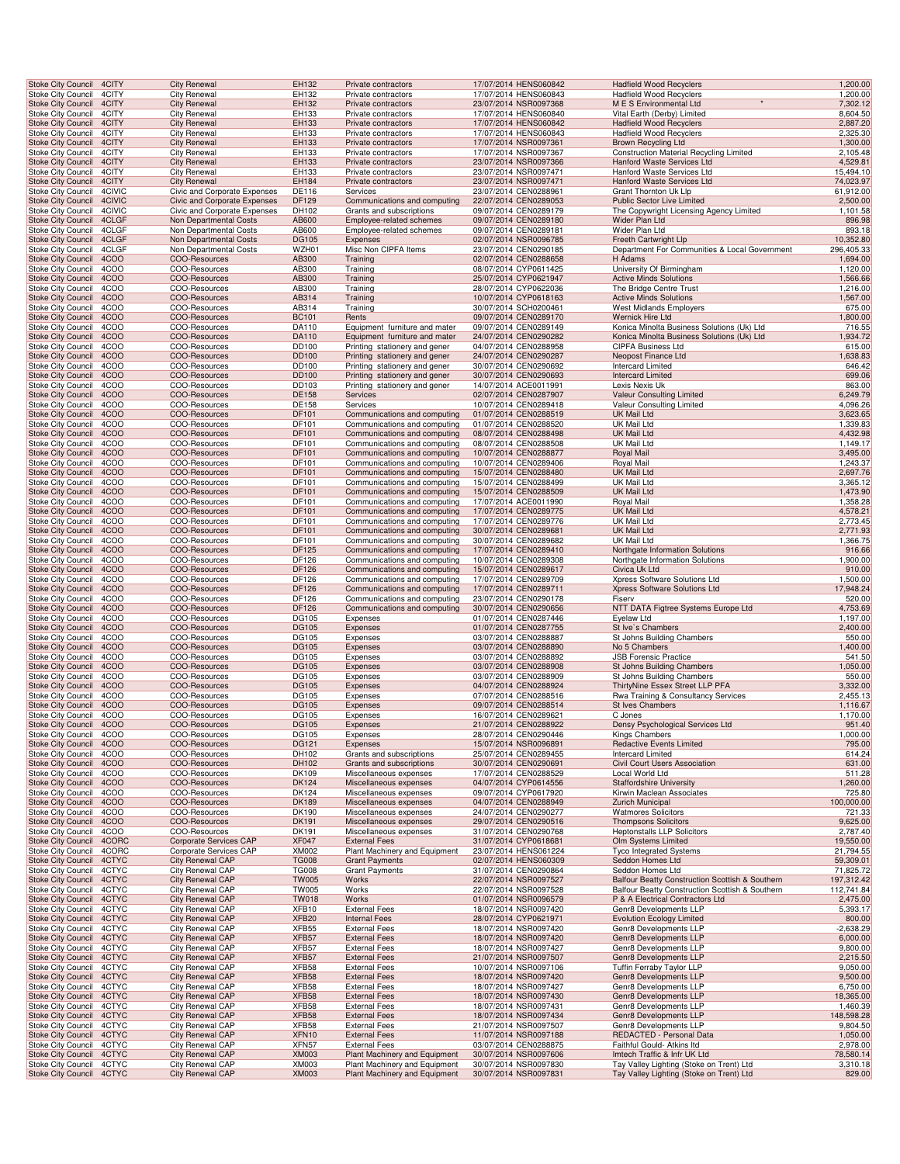| <b>Stoke City Council</b>                              | 4CITY          | <b>City Renewal</b>                                | EH132                 | Private contractors                                            | 17/07/2014 HENS060842                          | <b>Hadfield Wood Recyclers</b>                             | 1,200.00               |
|--------------------------------------------------------|----------------|----------------------------------------------------|-----------------------|----------------------------------------------------------------|------------------------------------------------|------------------------------------------------------------|------------------------|
| Stoke City Council                                     | 4CITY          | <b>City Renewal</b>                                | EH132                 | Private contractors                                            | 17/07/2014 HENS060843                          | <b>Hadfield Wood Recyclers</b>                             | 1,200.00               |
| <b>Stoke City Council</b><br>Stoke City Council        | 4CITY<br>4CITY | <b>City Renewal</b><br><b>City Renewal</b>         | EH132<br>EH133        | Private contractors<br>Private contractors                     | 23/07/2014 NSR0097368<br>17/07/2014 HENS060840 | M E S Environmental Ltd<br>Vital Earth (Derby) Limited     | 7,302.12<br>8,604.50   |
| Stoke City Council 4CITY                               |                | <b>City Renewal</b>                                | EH133                 | Private contractors                                            | 17/07/2014 HENS060842                          | <b>Hadfield Wood Recyclers</b>                             | 2,887.20               |
| Stoke City Council                                     | 4CITY          | City Renewal                                       | EH133                 | Private contractors                                            | 17/07/2014 HENS060843                          | <b>Hadfield Wood Recyclers</b>                             | 2,325.30               |
| <b>Stoke City Council</b>                              | 4CITY          | <b>City Renewal</b>                                | EH133                 | Private contractors                                            | 17/07/2014 NSR0097361                          | <b>Brown Recycling Ltd</b>                                 | 1,300.00               |
| <b>Stoke City Council</b>                              | 4CITY          | <b>City Renewal</b>                                | EH133                 | Private contractors                                            | 17/07/2014 NSR0097367                          | <b>Construction Material Recycling Limited</b>             | 2,105.48               |
| Stoke City Council<br>Stoke City Council               | 4CITY<br>4CITY | <b>City Renewal</b><br><b>City Renewal</b>         | EH133<br>EH133        | Private contractors<br>Private contractors                     | 23/07/2014 NSR0097366<br>23/07/2014 NSR0097471 | Hanford Waste Services Ltd<br>Hanford Waste Services Ltd   | 4,529.81<br>15,494.10  |
| <b>Stoke City Council</b>                              | 4CITY          | <b>City Renewal</b>                                | <b>EH184</b>          | Private contractors                                            | 23/07/2014 NSR0097471                          | Hanford Waste Services Ltd                                 | 74,023.97              |
| Stoke City Council                                     | 4CIVIC         | Civic and Corporate Expenses                       | DE116                 | Services                                                       | 23/07/2014 CEN0288961                          | Grant Thornton Uk Llp                                      | 61,912.00              |
| <b>Stoke City Council</b>                              | 4CIVIC         | Civic and Corporate Expenses                       | DF129                 | Communications and computing                                   | 22/07/2014 CEN0289053                          | Public Sector Live Limited                                 | 2,500.00               |
| Stoke City Council                                     | 4CIVIC         | Civic and Corporate Expenses                       | DH102                 | Grants and subscriptions                                       | 09/07/2014 CEN0289179                          | The Copywright Licensing Agency Limited                    | 1,101.58               |
| <b>Stoke City Council</b>                              | 4CLGF          | Non Departmental Costs                             | AB600                 | Employee-related schemes                                       | 09/07/2014 CEN0289180                          | Wider Plan Ltd                                             | 896.98                 |
| Stoke City Council<br><b>Stoke City Council</b>        | 4CLGF<br>4CLGF | Non Departmental Costs<br>Non Departmental Costs   | AB600<br><b>DG105</b> | Employee-related schemes<br>Expenses                           | 09/07/2014 CEN0289181<br>02/07/2014 NSR0096785 | Wider Plan Ltd<br>Freeth Cartwright Llp                    | 893.18<br>10,352.80    |
| <b>Stoke City Council</b>                              | 4CLGF          | Non Departmental Costs                             | WZH01                 | Misc Non CIPFA Items                                           | 23/07/2014 CEN0290185                          | Department For Communities & Local Government              | 296,405.33             |
| <b>Stoke City Council</b>                              | 4COO           | COO-Resources                                      | AB300                 | Training                                                       | 02/07/2014 CEN0288658                          | H Adams                                                    | 1,694.00               |
| Stoke City Council                                     | 4COO           | COO-Resources                                      | AB300                 | Training                                                       | 08/07/2014 CYP0611425                          | University Of Birmingham                                   | 1,120.00               |
| <b>Stoke City Council</b>                              | 4COO           | COO-Resources                                      | AB300                 | Training                                                       | 25/07/2014 CYP0621947                          | <b>Active Minds Solutions</b>                              | 1,566.66               |
| Stoke City Council                                     | 4COO           | COO-Resources                                      | AB300                 | Training                                                       | 28/07/2014 CYP0622036                          | The Bridge Centre Trust                                    | 1,216.00               |
| <b>Stoke City Council</b><br>Stoke City Council        | 4COO<br>4COO   | COO-Resources<br>COO-Resources                     | AB314<br>AB314        | Training<br>Training                                           | 10/07/2014 CYP0618163<br>30/07/2014 SCH0200461 | <b>Active Minds Solutions</b><br>West Midlands Employers   | 1,567.00<br>675.00     |
| <b>Stoke City Council</b>                              | 4COO           | <b>COO-Resources</b>                               | <b>BC101</b>          | Rents                                                          | 09/07/2014 CEN0289170                          | <b>Wernick Hire Ltd</b>                                    | 1,800.00               |
| Stoke City Council                                     | 4COO           | COO-Resources                                      | DA110                 | Equipment furniture and mater                                  | 09/07/2014 CEN0289149                          | Konica Minolta Business Solutions (Uk) Ltd                 | 716.55                 |
| <b>Stoke City Council</b>                              | 4COO           | COO-Resources                                      | DA110                 | Equipment furniture and mater                                  | 24/07/2014 CEN0290282                          | Konica Minolta Business Solutions (Uk) Ltd                 | 1,934.72               |
| <b>Stoke City Council</b>                              | 4COO           | COO-Resources                                      | DD100                 | Printing stationery and gener                                  | 04/07/2014 CEN0288958                          | <b>CIPFA Business Ltd</b>                                  | 615.00                 |
| Stoke City Council                                     | 4COO           | COO-Resources                                      | DD100                 | Printing stationery and gener                                  | 24/07/2014 CEN0290287                          | Neopost Finance Ltd                                        | 1,638.83               |
| Stoke City Council<br><b>Stoke City Council</b>        | 4COO<br>4COO   | COO-Resources<br>COO-Resources                     | DD100<br>DD100        | Printing stationery and gener<br>Printing stationery and gener | 30/07/2014 CEN0290692<br>30/07/2014 CEN0290693 | <b>Intercard Limited</b><br><b>Intercard Limited</b>       | 646.42<br>699.06       |
| Stoke City Council                                     | 4COO           | COO-Resources                                      | DD103                 | Printing stationery and gener                                  | 14/07/2014 ACE0011991                          | Lexis Nexis Uk                                             | 863.00                 |
| <b>Stoke City Council</b>                              | 4COO           | COO-Resources                                      | DE158                 | Services                                                       | 02/07/2014 CEN0287907                          | Valeur Consulting Limited                                  | 6,249.79               |
| Stoke City Council                                     | 4COO           | COO-Resources                                      | DE158                 | Services                                                       | 10/07/2014 CEN0289418                          | Valeur Consulting Limited                                  | 4,096.26               |
| <b>Stoke City Council</b>                              | 4COO           | <b>COO-Resources</b>                               | DF101                 | Communications and computing                                   | 01/07/2014 CEN0288519                          | UK Mail Ltd                                                | 3,623.65               |
| Stoke City Council                                     | 4COO           | COO-Resources                                      | DF101                 | Communications and computing                                   | 01/07/2014 CEN0288520                          | UK Mail Ltd                                                | 1,339.83               |
| <b>Stoke City Council</b><br><b>Stoke City Council</b> | 4COO<br>4COO   | COO-Resources<br>COO-Resources                     | DF101<br>DF101        | Communications and computing<br>Communications and computing   | 08/07/2014 CEN0288498<br>08/07/2014 CEN0288508 | UK Mail Ltd<br>UK Mail Ltd                                 | 4,432.98<br>1,149.17   |
| Stoke City Council                                     | 4COO           | COO-Resources                                      | DF101                 | Communications and computing                                   | 10/07/2014 CEN0288877                          | Royal Mail                                                 | 3,495.00               |
| Stoke City Council                                     | 4COO           | COO-Resources                                      | DF101                 | Communications and computing                                   | 10/07/2014 CEN0289406                          | Royal Mail                                                 | 1,243.37               |
| <b>Stoke City Council</b>                              | 4COO           | <b>COO-Resources</b>                               | <b>DF101</b>          | Communications and computing                                   | 15/07/2014 CEN0288480                          | <b>UK Mail Ltd</b>                                         | 2,697.76               |
| Stoke City Council                                     | 4COO           | COO-Resources                                      | DF101                 | Communications and computing                                   | 15/07/2014 CEN0288499                          | UK Mail Ltd                                                | 3,365.12               |
| <b>Stoke City Council</b>                              | 4COO           | COO-Resources                                      | DF101                 | Communications and computing                                   | 15/07/2014 CEN0288509                          | <b>UK Mail Ltd</b>                                         | 1,473.90               |
| Stoke City Council<br><b>Stoke City Council</b>        | 4COO<br>4COO   | COO-Resources<br><b>COO-Resources</b>              | DF101<br>DF101        | Communications and computing<br>Communications and computing   | 17/07/2014 ACE0011990<br>17/07/2014 CEN0289775 | Royal Mail<br>UK Mail Ltd                                  | 1,358.28<br>4,578.21   |
| Stoke City Council                                     | 4COO           | COO-Resources                                      | DF101                 | Communications and computing                                   | 17/07/2014 CEN0289776                          | UK Mail Ltd                                                | 2,773.45               |
| <b>Stoke City Council</b>                              | 4COO           | COO-Resources                                      | DF101                 | Communications and computing                                   | 30/07/2014 CEN0289681                          | UK Mail Ltd                                                | 2,771.93               |
| <b>Stoke City Council</b>                              | 4COO           | COO-Resources                                      | DF101                 | Communications and computing                                   | 30/07/2014 CEN0289682                          | UK Mail Ltd                                                | 1,366.75               |
| Stoke City Council                                     | 4COO           | COO-Resources                                      | DF125                 | Communications and computing                                   | 17/07/2014 CEN0289410                          | Northgate Information Solutions                            | 916.66                 |
| Stoke City Council                                     | 4COO           | COO-Resources                                      | DF126                 | Communications and computing                                   | 10/07/2014 CEN0289308                          | Northgate Information Solutions                            | 1,900.00               |
| <b>Stoke City Council</b><br>Stoke City Council        | 4COO<br>4COO   | COO-Resources                                      | <b>DF126</b><br>DF126 | Communications and computing                                   | 15/07/2014 CEN0289617                          | Civica Uk Ltd<br>Xpress Software Solutions Ltd             | 910.00<br>1,500.00     |
| <b>Stoke City Council</b>                              | 4COO           | COO-Resources<br>COO-Resources                     | DF126                 | Communications and computing<br>Communications and computing   | 17/07/2014 CEN0289709<br>17/07/2014 CEN0289711 | Xpress Software Solutions Ltd                              | 17,948.24              |
| Stoke City Council                                     | 4COO           | COO-Resources                                      | DF126                 | Communications and computing                                   | 23/07/2014 CEN0290178                          | Fiserv                                                     | 520.00                 |
| <b>Stoke City Council</b>                              | 4COO           | <b>COO-Resources</b>                               | DF126                 | Communications and computing                                   | 30/07/2014 CEN0290656                          | NTT DATA Figtree Systems Europe Ltd                        | 4,753.69               |
| Stoke City Council                                     | 4COO           | COO-Resources                                      | DG105                 | Expenses                                                       | 01/07/2014 CEN0287446                          | Eyelaw Ltd                                                 | 1,197.00               |
| <b>Stoke City Council</b>                              | 4COO           | COO-Resources                                      | <b>DG105</b>          | Expenses                                                       | 01/07/2014 CEN0287755                          | St Ive's Chambers                                          | 2,400.00               |
| <b>Stoke City Council</b>                              | 4COO           | COO-Resources                                      | DG105                 | Expenses<br>Expenses                                           | 03/07/2014 CEN0288887                          | St Johns Building Chambers<br>No 5 Chambers                | 550.00<br>1,400.00     |
| Stoke City Council<br>Stoke City Council               | 4COO<br>4COO   | COO-Resources<br>COO-Resources                     | <b>DG105</b><br>DG105 | Expenses                                                       | 03/07/2014 CEN0288890<br>03/07/2014 CEN0288892 | <b>JSB Forensic Practice</b>                               | 541.50                 |
| <b>Stoke City Council</b>                              | 4COO           | COO-Resources                                      | <b>DG105</b>          | Expenses                                                       | 03/07/2014 CEN0288908                          | St Johns Building Chambers                                 | 1,050.00               |
| Stoke City Council                                     | 4COO           | COO-Resources                                      | DG105                 | Expenses                                                       | 03/07/2014 CEN0288909                          | St Johns Building Chambers                                 | 550.00                 |
| <b>Stoke City Council</b>                              | 4COO           | COO-Resources                                      | <b>DG105</b>          | Expenses                                                       | 04/07/2014 CEN0288924                          | ThirtyNine Essex Street LLP PFA                            | 3,332.00               |
| Stoke City Council                                     | 4COO           | COO-Resources                                      | DG105                 | Expenses                                                       | 07/07/2014 CEN0288516                          | Rwa Training & Consultancy Services                        | 2,455.13               |
| Stoke City Council 4COO                                | 4COO           | <b>COO-Resources</b>                               | <b>DG105</b><br>DG105 | Expenses                                                       | 09/07/2014 CEN0288514                          | St Ives Chambers<br>C Jones                                | 1,116.67<br>1,170.00   |
| Stoke City Council<br>Stoke City Council 4COO          |                | COO-Resources<br>COO-Resources                     | DG105                 | Expenses<br>Expenses                                           | 16/07/2014 CEN0289621<br>21/07/2014 CEN0288922 | Densy Psychological Services Ltd                           | 951.40                 |
| Stoke City Council 4COO                                |                | COO-Resources                                      | DG105                 | Expenses                                                       | 28/07/2014 CEN0290446                          | Kings Chambers                                             | 1,000.00               |
| Stoke City Council 4COO                                |                | COO-Resources                                      | DG121                 | Expenses                                                       | 15/07/2014 NSR0096891                          | <b>Redactive Events Limited</b>                            | 795.00                 |
| Stoke City Council                                     | 4COO           | COO-Resources                                      | DH102                 | Grants and subscriptions                                       | 25/07/2014 CEN0289455                          | <b>Intercard Limited</b>                                   | 614.24                 |
| <b>Stoke City Council</b>                              | 4COO           | COO-Resources                                      | DH102                 | Grants and subscriptions                                       | 30/07/2014 CEN0290691                          | Civil Court Users Association                              | 631.00                 |
| <b>Stoke City Council</b><br><b>Stoke City Council</b> | 4COO<br>4COO   | COO-Resources<br>COO-Resources                     | DK109<br><b>DK124</b> | Miscellaneous expenses<br>Miscellaneous expenses               | 17/07/2014 CEN0288529<br>04/07/2014 CYP0614556 | Local World Ltd<br><b>Staffordshire University</b>         | 511.28<br>1,260.00     |
| <b>Stoke City Council</b>                              | 4COO           | COO-Resources                                      | DK124                 | Miscellaneous expenses                                         | 09/07/2014 CYP0617920                          | Kirwin Maclean Associates                                  | 725.80                 |
| Stoke City Council 4COO                                |                | COO-Resources                                      | <b>DK189</b>          | Miscellaneous expenses                                         | 04/07/2014 CEN0288949                          | Zurich Municipal                                           | 100,000.00             |
| Stoke City Council                                     | 4COO           | COO-Resources                                      | DK190                 | Miscellaneous expenses                                         | 24/07/2014 CEN0290277                          | <b>Watmores Solicitors</b>                                 | 721.33                 |
| <b>Stoke City Council</b>                              | 4COO           | COO-Resources                                      | <b>DK191</b>          | Miscellaneous expenses                                         | 29/07/2014 CEN0290516                          | <b>Thompsons Solicitors</b>                                | 9,625.00               |
| <b>Stoke City Council</b>                              | 4COO           | COO-Resources<br>Corporate Services CAP            | DK191                 | Miscellaneous expenses                                         | 31/07/2014 CEN0290768                          | <b>Heptonstalls LLP Solicitors</b>                         | 2,787.40               |
| Stoke City Council 4CORC<br><b>Stoke City Council</b>  | 4CORC          | Corporate Services CAP                             | <b>XF047</b><br>XM002 | <b>External Fees</b><br>Plant Machinery and Equipment          | 31/07/2014 CYP0618681<br>23/07/2014 HENS061224 | Olm Systems Limited<br><b>Tyco Integrated Systems</b>      | 19,550.00<br>21,794.55 |
| <b>Stoke City Council</b>                              | 4CTYC          | <b>City Renewal CAP</b>                            | <b>TG008</b>          | <b>Grant Payments</b>                                          | 02/07/2014 HENS060309                          | Seddon Homes Ltd                                           | 59,309.01              |
| Stoke City Council                                     | 4CTYC          | <b>City Renewal CAP</b>                            | <b>TG008</b>          | <b>Grant Payments</b>                                          | 31/07/2014 CEN0290864                          | Seddon Homes Ltd                                           | 71,825.72              |
| <b>Stoke City Council</b>                              | 4CTYC          | City Renewal CAP                                   | <b>TW005</b>          | Works                                                          | 22/07/2014 NSR0097527                          | Balfour Beatty Construction Scottish & Southern            | 197,312.42             |
| Stoke City Council 4CTYC                               |                | City Renewal CAP                                   | <b>TW005</b>          | Works                                                          | 22/07/2014 NSR0097528                          | Balfour Beatty Construction Scottish & Southern            | 112,741.84             |
| Stoke City Council 4CTYC                               | 4CTYC          | City Renewal CAP<br><b>City Renewal CAP</b>        | <b>TW018</b>          | Works<br><b>External Fees</b>                                  | 01/07/2014 NSR0096579                          | P & A Electrical Contractors Ltd<br>Genr8 Developments LLP | 2,475.00<br>5,393.17   |
| Stoke City Council<br><b>Stoke City Council</b>        | 4CTYC          | <b>City Renewal CAP</b>                            | XFB10<br>XFB20        | <b>Internal Fees</b>                                           | 18/07/2014 NSR0097420<br>28/07/2014 CYP0621971 | <b>Evolution Ecology Limited</b>                           | 800.00                 |
| Stoke City Council                                     | 4CTYC          | City Renewal CAP                                   | XFB55                 | <b>External Fees</b>                                           | 18/07/2014 NSR0097420                          | Genr8 Developments LLP                                     | $-2,638.29$            |
| Stoke City Council 4CTYC                               |                | <b>City Renewal CAP</b>                            | XFB57                 | <b>External Fees</b>                                           | 18/07/2014 NSR0097420                          | Genr8 Developments LLP                                     | 6,000.00               |
| Stoke City Council                                     | 4CTYC          | City Renewal CAP                                   | XFB57                 | <b>External Fees</b>                                           | 18/07/2014 NSR0097427                          | Genr8 Developments LLP                                     | 9,800.00               |
| <b>Stoke City Council</b>                              | 4CTYC          | <b>City Renewal CAP</b>                            | XFB57                 | <b>External Fees</b>                                           | 21/07/2014 NSR0097507                          | Genr8 Developments LLP                                     | 2,215.50               |
| Stoke City Council<br><b>Stoke City Council</b>        | 4CTYC<br>4CTYC | <b>City Renewal CAP</b><br>City Renewal CAP        | XFB58<br>XFB58        | <b>External Fees</b><br><b>External Fees</b>                   | 10/07/2014 NSR0097106<br>18/07/2014 NSR0097420 | Tuffin Ferraby Taylor LLP<br>Genr8 Developments LLP        | 9,050.00<br>9,500.00   |
| Stoke City Council 4CTYC                               |                | City Renewal CAP                                   | XFB58                 | <b>External Fees</b>                                           | 18/07/2014 NSR0097427                          | Genr8 Developments LLP                                     | 6,750.00               |
| Stoke City Council 4CTYC                               |                | City Renewal CAP                                   | XFB58                 | <b>External Fees</b>                                           | 18/07/2014 NSR0097430                          | Genr8 Developments LLP                                     | 18,365.00              |
| Stoke City Council 4CTYC                               |                | <b>City Renewal CAP</b>                            | XFB58                 | <b>External Fees</b>                                           | 18/07/2014 NSR0097431                          | Genr8 Developments LLP                                     | 1,460.39               |
| <b>Stoke City Council</b>                              | 4CTYC          | <b>City Renewal CAP</b>                            | XFB58                 | <b>External Fees</b>                                           | 18/07/2014 NSR0097434                          | Genr8 Developments LLP                                     | 148,598.28             |
| Stoke City Council                                     | 4CTYC          | <b>City Renewal CAP</b><br><b>City Renewal CAP</b> | XFB58                 | <b>External Fees</b><br><b>External Fees</b>                   | 21/07/2014 NSR0097507<br>11/07/2014 NSR0097188 | Genr8 Developments LLP<br>REDACTED - Personal Data         | 9,804.50<br>1,050.00   |
| Stoke City Council 4CTYC<br>Stoke City Council         | 4CTYC          | City Renewal CAP                                   | XFN10<br>XFN57        | <b>External Fees</b>                                           | 03/07/2014 CEN0288875                          | Faithful Gould- Atkins Itd                                 | 2,978.00               |
| <b>Stoke City Council</b>                              | 4CTYC          | <b>City Renewal CAP</b>                            | <b>XM003</b>          | Plant Machinery and Equipment                                  | 30/07/2014 NSR0097606                          | Imtech Traffic & Infr UK Ltd                               | 78,580.14              |
| Stoke City Council                                     | 4CTYC          | City Renewal CAP                                   | XM003                 | Plant Machinery and Equipment                                  | 30/07/2014 NSR0097830                          | Tay Valley Lighting (Stoke on Trent) Ltd                   | 3,310.18               |
| Stoke City Council 4CTYC                               |                | <b>City Renewal CAP</b>                            | XM003                 | Plant Machinery and Equipment                                  | 30/07/2014 NSR0097831                          | Tay Valley Lighting (Stoke on Trent) Ltd                   | 829.00                 |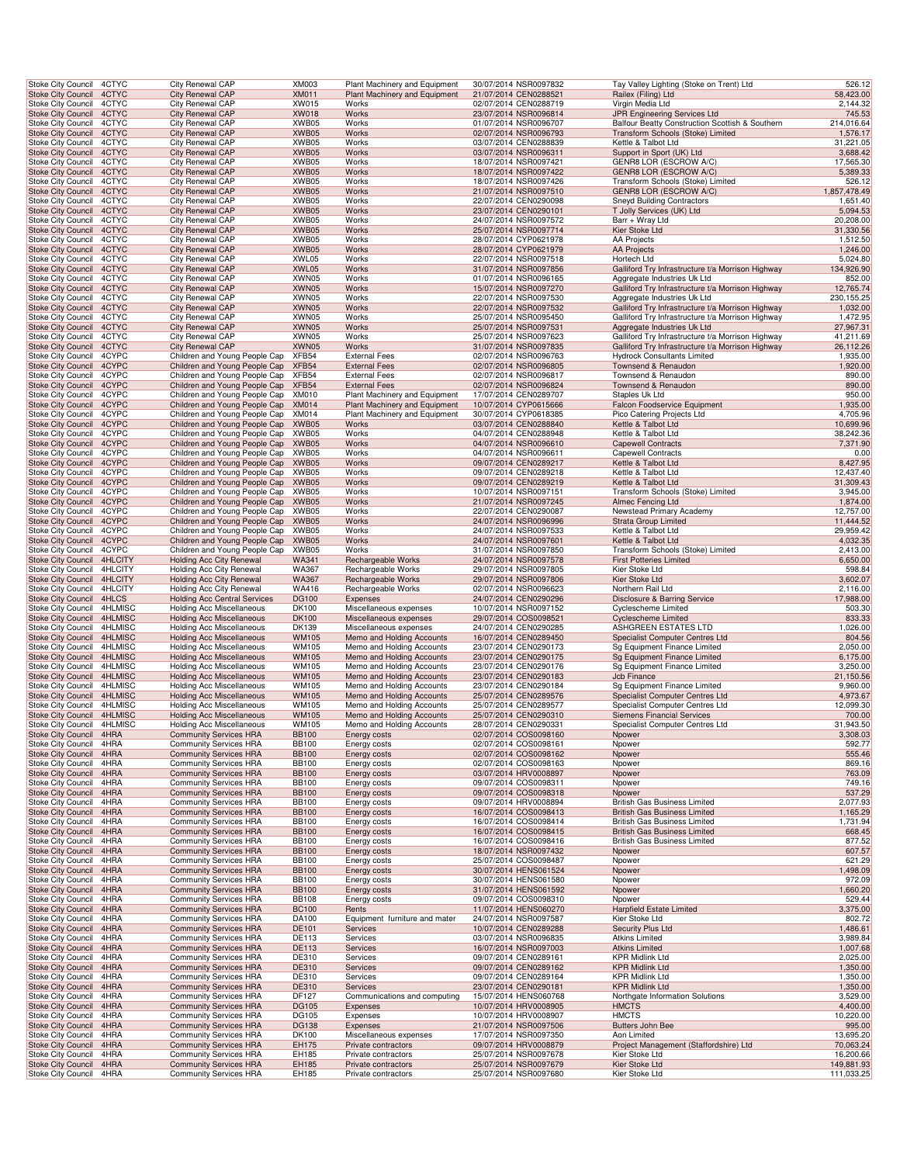| Stoke City Council                                     | 4CTYC              | <b>City Renewal CAP</b>                                                    | <b>XM003</b>                 | Plant Machinery and Equipment                          | 30/07/2014 NSR0097832                          | Tay Valley Lighting (Stoke on Trent) Ltd                                             | 526.12                 |
|--------------------------------------------------------|--------------------|----------------------------------------------------------------------------|------------------------------|--------------------------------------------------------|------------------------------------------------|--------------------------------------------------------------------------------------|------------------------|
| <b>Stoke City Council</b>                              | 4CTYC              | City Renewal CAP                                                           | <b>XM011</b>                 | Plant Machinery and Equipment                          | 21/07/2014 CEN0288521                          | Railex (Filing) Ltd                                                                  | 58,423.00              |
| <b>Stoke City Council</b>                              | 4CTYC              | City Renewal CAP                                                           | XW015                        | Works                                                  | 02/07/2014 CEN0288719                          | Virgin Media Ltd                                                                     | 2,144.32               |
| Stoke City Council 4CTYC                               |                    | City Renewal CAP<br>City Renewal CAP                                       | <b>XW018</b>                 | Works                                                  | 23/07/2014 NSR0096814                          | JPR Engineering Services Ltd                                                         | 745.53<br>214,016.64   |
| Stoke City Council<br>Stoke City Council               | 4CTYC<br>4CTYC     | <b>City Renewal CAP</b>                                                    | XWB05<br>XWB05               | Works<br>Works                                         | 01/07/2014 NSR0096707<br>02/07/2014 NSR0096793 | Balfour Beatty Construction Scottish & Southern<br>Transform Schools (Stoke) Limited | 1,576.17               |
| Stoke City Council                                     | 4CTYC              | City Renewal CAP                                                           | XWB05                        | Works                                                  | 03/07/2014 CEN0288839                          | Kettle & Talbot Ltd                                                                  | 31,221.05              |
| <b>Stoke City Council</b>                              | 4CTYC              | City Renewal CAP                                                           | XWB05                        | Works                                                  | 03/07/2014 NSR0096311                          | Support in Sport (UK) Ltd                                                            | 3,688.42               |
| Stoke City Council                                     | 4CTYC              | City Renewal CAP                                                           | XWB05                        | Works                                                  | 18/07/2014 NSR0097421                          | GENR8 LOR (ESCROW A/C)                                                               | 17,565.30              |
| <b>Stoke City Council</b>                              | 4CTYC              | City Renewal CAP                                                           | XWB05                        | Works                                                  | 18/07/2014 NSR0097422                          | <b>GENR8 LOR (ESCROW A/C)</b>                                                        | 5,389.33               |
| Stoke City Council<br><b>Stoke City Council</b>        | 4CTYC<br>4CTYC     | City Renewal CAP<br>City Renewal CAP                                       | XWB05<br>XWB05               | Works<br>Works                                         | 18/07/2014 NSR0097426<br>21/07/2014 NSR0097510 | Transform Schools (Stoke) Limited<br>GENR8 LOR (ESCROW A/C)                          | 526.12<br>1,857,478.49 |
| Stoke City Council                                     | 4CTYC              | City Renewal CAP                                                           | XWB05                        | Works                                                  | 22/07/2014 CEN0290098                          | <b>Sneyd Building Contractors</b>                                                    | 1,651.40               |
| Stoke City Council 4CTYC                               |                    | City Renewal CAP                                                           | XWB05                        | Works                                                  | 23/07/2014 CEN0290101                          | T Jolly Services (UK) Ltd                                                            | 5,094.53               |
| Stoke City Council                                     | 4CTYC              | City Renewal CAP                                                           | XWB05                        | Works                                                  | 24/07/2014 NSR0097572                          | Barr + Wray Ltd                                                                      | 20,208.00              |
| Stoke City Council                                     | 4CTYC              | <b>City Renewal CAP</b>                                                    | XWB05                        | Works                                                  | 25/07/2014 NSR0097714                          | Kier Stoke Ltd                                                                       | 31,330.56              |
| Stoke City Council                                     | 4CTYC              | City Renewal CAP                                                           | XWB05                        | Works                                                  | 28/07/2014 CYP0621978                          | AA Projects                                                                          | 1,512.50               |
| <b>Stoke City Council</b><br>Stoke City Council        | 4CTYC<br>4CTYC     | City Renewal CAP<br>City Renewal CAP                                       | XWB05<br>XWL05               | Works<br>Works                                         | 28/07/2014 CYP0621979<br>22/07/2014 NSR0097518 | <b>AA Projects</b><br>Hortech Ltd                                                    | 1,246.00<br>5,024.80   |
| <b>Stoke City Council</b>                              | 4CTYC              | City Renewal CAP                                                           | XWL05                        | Works                                                  | 31/07/2014 NSR0097856                          | Galliford Try Infrastructure t/a Morrison Highway                                    | 134,926.90             |
| <b>Stoke City Council</b>                              | 4CTYC              | City Renewal CAP                                                           | XWN05                        | Works                                                  | 01/07/2014 NSR0096165                          | Aggregate Industries Uk Ltd                                                          | 852.00                 |
| <b>Stoke City Council</b>                              | 4CTYC              | City Renewal CAP                                                           | XWN05                        | Works                                                  | 15/07/2014 NSR0097270                          | Galliford Try Infrastructure t/a Morrison Highway                                    | 12,765.74              |
| Stoke City Council                                     | 4CTYC              | City Renewal CAP                                                           | XWN05                        | Works                                                  | 22/07/2014 NSR0097530                          | Aggregate Industries Uk Ltd                                                          | 230, 155. 25           |
| Stoke City Council 4CTYC                               |                    | City Renewal CAP                                                           | XWN05                        | Works                                                  | 22/07/2014 NSR0097532                          | Galliford Try Infrastructure t/a Morrison Highway                                    | 1,032.00               |
| Stoke City Council<br>Stoke City Council               | 4CTYC<br>4CTYC     | City Renewal CAP<br><b>City Renewal CAP</b>                                | XWN05<br>XWN05               | Works<br>Works                                         | 25/07/2014 NSR0095450<br>25/07/2014 NSR0097531 | Galliford Try Infrastructure t/a Morrison Highway<br>Aggregate Industries Uk Ltd     | 1,472.95<br>27,967.31  |
| Stoke City Council                                     | 4CTYC              | City Renewal CAP                                                           | XWN05                        | Works                                                  | 25/07/2014 NSR0097623                          | Galliford Try Infrastructure t/a Morrison Highway                                    | 41,211.69              |
| <b>Stoke City Council</b>                              | 4CTYC              | City Renewal CAP                                                           | XWN05                        | Works                                                  | 31/07/2014 NSR0097835                          | Galliford Try Infrastructure t/a Morrison Highway                                    | 26,112.26              |
| Stoke City Council                                     | 4CYPC              | Children and Young People Cap                                              | XFB54                        | <b>External Fees</b>                                   | 02/07/2014 NSR0096763                          | <b>Hydrock Consultants Limited</b>                                                   | 1,935.00               |
| <b>Stoke City Council</b>                              | 4CYPC              | Children and Young People Cap                                              | XFB54                        | <b>External Fees</b>                                   | 02/07/2014 NSR0096805                          | Townsend & Renaudon                                                                  | 1,920.00               |
| <b>Stoke City Council</b>                              | 4CYPC              | Children and Young People Cap                                              | XFB54                        | <b>External Fees</b>                                   | 02/07/2014 NSR0096817                          | Townsend & Renaudon                                                                  | 890.00                 |
| <b>Stoke City Council</b><br>Stoke City Council        | 4CYPC<br>4CYPC     | Children and Young People Cap<br>Children and Young People Cap             | XFB54<br>XM010               | <b>External Fees</b><br>Plant Machinery and Equipment  | 02/07/2014 NSR0096824<br>17/07/2014 CEN0289707 | Townsend & Renaudon<br>Staples Uk Ltd                                                | 890.00<br>950.00       |
| Stoke City Council 4CYPC                               |                    | Children and Young People Cap XM014                                        |                              | <b>Plant Machinery and Equipment</b>                   | 10/07/2014 CYP0615666                          | Falcon Foodservice Equipment                                                         | 1,935.00               |
| Stoke City Council                                     | 4CYPC              | Children and Young People Cap                                              | XM014                        | Plant Machinery and Equipment                          | 30/07/2014 CYP0618385                          | Pico Catering Projects Ltd                                                           | 4,705.96               |
| <b>Stoke City Council</b>                              | 4CYPC              | Children and Young People Cap                                              | XWB05                        | Works                                                  | 03/07/2014 CEN0288840                          | Kettle & Talbot Ltd                                                                  | 10,699.96              |
| <b>Stoke City Council</b>                              | 4CYPC              | Children and Young People Cap XWB05                                        |                              | Works                                                  | 04/07/2014 CEN0288948                          | Kettle & Talbot Ltd                                                                  | 38,242.36              |
| <b>Stoke City Council</b>                              | 4CYPC              | Children and Young People Cap XWB05                                        |                              | Works                                                  | 04/07/2014 NSR0096610                          | <b>Capewell Contracts</b>                                                            | 7,371.90               |
| Stoke City Council                                     | 4CYPC<br>4CYPC     | Children and Young People Cap XWB05<br>Children and Young People Cap XWB05 |                              | Works<br>Works                                         | 04/07/2014 NSR0096611<br>09/07/2014 CEN0289217 | <b>Capewell Contracts</b>                                                            | 0.00                   |
| <b>Stoke City Council</b><br>Stoke City Council        | 4CYPC              | Children and Young People Cap                                              | XWB05                        | Works                                                  | 09/07/2014 CEN0289218                          | Kettle & Talbot Ltd<br>Kettle & Talbot Ltd                                           | 8,427.95<br>12,437.40  |
| <b>Stoke City Council</b>                              | 4CYPC              | Children and Young People Cap                                              | XWB05                        | Works                                                  | 09/07/2014 CEN0289219                          | Kettle & Talbot Ltd                                                                  | 31,309.43              |
| Stoke City Council                                     | 4CYPC              | Children and Young People Cap                                              | XWB05                        | Works                                                  | 10/07/2014 NSR0097151                          | Transform Schools (Stoke) Limited                                                    | 3,945.00               |
| Stoke City Council 4CYPC                               |                    | Children and Young People Cap XWB05                                        |                              | Works                                                  | 21/07/2014 NSR0097245                          | Almec Fencing Ltd                                                                    | 1,874.00               |
| Stoke City Council                                     | 4CYPC              | Children and Young People Cap                                              | XWB05                        | Works                                                  | 22/07/2014 CEN0290087                          | Newstead Primary Academy                                                             | 12,757.00              |
| <b>Stoke City Council</b>                              | 4CYPC<br>4CYPC     | Children and Young People Cap<br>Children and Young People Cap XWB05       | XWB05                        | Works<br>Works                                         | 24/07/2014 NSR0096996<br>24/07/2014 NSR0097533 | Strata Group Limited<br>Kettle & Talbot Ltd                                          | 11,444.52              |
| Stoke City Council<br><b>Stoke City Council</b>        | 4CYPC              | Children and Young People Cap XWB05                                        |                              | Works                                                  | 24/07/2014 NSR0097601                          | Kettle & Talbot Ltd                                                                  | 29,959.42<br>4,032.35  |
| Stoke City Council                                     | 4CYPC              | Children and Young People Cap XWB05                                        |                              | Works                                                  | 31/07/2014 NSR0097850                          | Transform Schools (Stoke) Limited                                                    | 2,413.00               |
| <b>Stoke City Council</b>                              | 4HLCITY            | Holding Acc City Renewal                                                   | <b>WA341</b>                 | Rechargeable Works                                     | 24/07/2014 NSR0097578                          | <b>First Potteries Limited</b>                                                       | 6,650.00               |
| Stoke City Council                                     | 4HLCITY            | Holding Acc City Renewal                                                   | WA367                        | Rechargeable Works                                     | 29/07/2014 NSR0097805                          | Kier Stoke Ltd                                                                       | 598.84                 |
| <b>Stoke City Council</b>                              | 4HLCITY            | <b>Holding Acc City Renewal</b>                                            | WA367                        | Rechargeable Works                                     | 29/07/2014 NSR0097806                          | Kier Stoke Ltd                                                                       | 3,602.07               |
| Stoke City Council<br>Stoke City Council 4HLCS         | 4HLCITY            | Holding Acc City Renewal<br><b>Holding Acc Central Services</b>            | WA416<br><b>DG100</b>        | Rechargeable Works<br>Expenses                         | 02/07/2014 NSR0096623<br>24/07/2014 CEN0290296 | Northern Rail Ltd<br>Disclosure & Barring Service                                    | 2,116.00<br>17,988.00  |
| Stoke City Council                                     | 4HLMISC            | <b>Holding Acc Miscellaneous</b>                                           | DK100                        | Miscellaneous expenses                                 | 10/07/2014 NSR0097152                          | Cyclescheme Limited                                                                  | 503.30                 |
| <b>Stoke City Council</b>                              | 4HLMISC            | <b>Holding Acc Miscellaneous</b>                                           | <b>DK100</b>                 | Miscellaneous expenses                                 | 29/07/2014 COS0098521                          | <b>Cyclescheme Limited</b>                                                           | 833.33                 |
| Stoke City Council                                     | 4HLMISC            | <b>Holding Acc Miscellaneous</b>                                           | DK139                        | Miscellaneous expenses                                 | 24/07/2014 CEN0290285                          | ASHGREEN ESTATES LTD                                                                 | 1,026.00               |
| <b>Stoke City Council</b>                              | 4HLMISC            | <b>Holding Acc Miscellaneous</b>                                           | <b>WM105</b>                 | Memo and Holding Accounts                              | 16/07/2014 CEN0289450                          | Specialist Computer Centres Ltd                                                      | 804.56                 |
| Stoke City Council                                     | 4HLMISC            | <b>Holding Acc Miscellaneous</b>                                           | WM105                        | Memo and Holding Accounts                              | 23/07/2014 CEN0290173                          | Sg Equipment Finance Limited                                                         | 2,050.00               |
| <b>Stoke City Council</b><br>Stoke City Council        | 4HLMISC<br>4HLMISC | <b>Holding Acc Miscellaneous</b><br>Holding Acc Miscellaneous              | <b>WM105</b><br>WM105        | Memo and Holding Accounts<br>Memo and Holding Accounts | 23/07/2014 CEN0290175<br>23/07/2014 CEN0290176 | Sg Equipment Finance Limited<br>Sg Equipment Finance Limited                         | 6,175.00<br>3,250.00   |
| Stoke City Council 4HLMISC                             |                    | <b>Holding Acc Miscellaneous</b>                                           | <b>WM105</b>                 | Memo and Holding Accounts                              | 23/07/2014 CEN0290183                          | Jcb Finance                                                                          | 21,150.56              |
| Stoke City Council                                     | 4HLMISC            | <b>Holding Acc Miscellaneous</b>                                           | WM105                        | Memo and Holding Accounts                              | 23/07/2014 CEN0290184                          | Sg Equipment Finance Limited                                                         | 9,960.00               |
| Stoke City Council 4HLMISC                             |                    | <b>Holding Acc Miscellaneous</b>                                           | <b>WM105</b>                 | Memo and Holding Accounts                              | 25/07/2014 CEN0289576                          | Specialist Computer Centres Ltd                                                      | 4,973.67               |
| Stoke City Council 4HLMISC                             |                    | <b>Holding Acc Miscellaneous</b>                                           | WM105                        | Memo and Holding Accounts                              | 25/07/2014 CEN0289577                          | Specialist Computer Centres Ltd                                                      | 12,099.30              |
| Stoke City Council 4HLMISC                             |                    | <b>Holding Acc Miscellaneous</b>                                           | <b>WM105</b>                 | Memo and Holding Accounts                              | 25/07/2014 CEN0290310                          | <b>Siemens Financial Services</b>                                                    | 700.00                 |
| Stoke City Council 4HLMISC<br>Stoke City Council 4HRA  |                    | <b>Holding Acc Miscellaneous</b><br><b>Community Services HRA</b>          | WM105<br><b>BB100</b>        | Memo and Holding Accounts<br>Energy costs              | 28/07/2014 CEN0290331<br>02/07/2014 COS0098160 | Specialist Computer Centres Ltd<br>Npower                                            | 31,943.50<br>3,308.03  |
| Stoke City Council                                     | 4HRA               | <b>Community Services HRA</b>                                              | <b>BB100</b>                 | Energy costs                                           | 02/07/2014 COS0098161                          | Npower                                                                               | 592.77                 |
| <b>Stoke City Council</b>                              | 4HRA               | <b>Community Services HRA</b>                                              | <b>BB100</b>                 | Energy costs                                           | 02/07/2014 COS0098162                          | Npower                                                                               | 555.46                 |
| <b>Stoke City Council</b>                              | 4HRA               | <b>Community Services HRA</b>                                              | <b>BB100</b>                 | Energy costs                                           | 02/07/2014 COS0098163                          | Npower                                                                               | 869.16                 |
| <b>Stoke City Council</b>                              | 4HRA               | <b>Community Services HRA</b>                                              | <b>BB100</b>                 | Energy costs                                           | 03/07/2014 HRV0008897                          | Npower                                                                               | 763.09                 |
| <b>Stoke City Council</b>                              | 4HRA<br>4HRA       | <b>Community Services HRA</b>                                              | <b>BB100</b><br><b>BB100</b> | Energy costs                                           | 09/07/2014 COS0098311<br>09/07/2014 COS0098318 | Npower                                                                               | 749.16<br>537.29       |
| Stoke City Council<br>Stoke City Council               | 4HRA               | <b>Community Services HRA</b><br><b>Community Services HRA</b>             | <b>BB100</b>                 | Energy costs<br>Energy costs                           | 09/07/2014 HRV0008894                          | Npower<br>British Gas Business Limited                                               | 2,077.93               |
| <b>Stoke City Council</b>                              | 4HRA               | <b>Community Services HRA</b>                                              | <b>BB100</b>                 | Energy costs                                           | 16/07/2014 COS0098413                          | <b>British Gas Business Limited</b>                                                  | 1,165.29               |
| Stoke City Council                                     | 4HRA               | <b>Community Services HRA</b>                                              | <b>BB100</b>                 | Energy costs                                           | 16/07/2014 COS0098414                          | British Gas Business Limited                                                         | 1,731.94               |
| <b>Stoke City Council</b>                              | 4HRA               | <b>Community Services HRA</b>                                              | <b>BB100</b>                 | <b>Energy costs</b>                                    | 16/07/2014 COS0098415                          | <b>British Gas Business Limited</b>                                                  | 668.45                 |
| Stoke City Council                                     | 4HRA               | <b>Community Services HRA</b>                                              | <b>BB100</b>                 | Energy costs                                           | 16/07/2014 COS0098416                          | British Gas Business Limited                                                         | 877.52                 |
| <b>Stoke City Council</b><br><b>Stoke City Council</b> | 4HRA<br>4HRA       | <b>Community Services HRA</b>                                              | <b>BB100</b><br><b>BB100</b> | Energy costs                                           | 18/07/2014 NSR0097432<br>25/07/2014 COS0098487 | Npower<br>Npower                                                                     | 607.57<br>621.29       |
| <b>Stoke City Council</b>                              | 4HRA               | <b>Community Services HRA</b><br><b>Community Services HRA</b>             | <b>BB100</b>                 | Energy costs<br>Energy costs                           | 30/07/2014 HENS061524                          | Npower                                                                               | 1,498.09               |
| <b>Stoke City Council</b>                              | 4HRA               | <b>Community Services HRA</b>                                              | <b>BB100</b>                 | <b>Energy costs</b>                                    | 30/07/2014 HENS061580                          | Npower                                                                               | 972.09                 |
| Stoke City Council                                     | 4HRA               | <b>Community Services HRA</b>                                              | <b>BB100</b>                 | Energy costs                                           | 31/07/2014 HENS061592                          | Npower                                                                               | 1,660.20               |
| Stoke City Council                                     | 4HRA               | <b>Community Services HRA</b>                                              | <b>BB108</b>                 | Energy costs                                           | 09/07/2014 COS0098310                          | Npower                                                                               | 529.44                 |
| <b>Stoke City Council</b>                              | 4HRA               | <b>Community Services HRA</b>                                              | <b>BC100</b>                 | Rents                                                  | 11/07/2014 HENS060270                          | <b>Harpfield Estate Limited</b>                                                      | 3,375.00               |
| Stoke City Council<br><b>Stoke City Council</b>        | 4HRA<br>4HRA       | <b>Community Services HRA</b><br><b>Community Services HRA</b>             | DA100<br>DE101               | Equipment furniture and mater<br>Services              | 24/07/2014 NSR0097587<br>10/07/2014 CEN0289288 | Kier Stoke Ltd<br>Security Plus Ltd                                                  | 802.72<br>1,486.61     |
| Stoke City Council                                     | 4HRA               | <b>Community Services HRA</b>                                              | DE113                        | Services                                               | 03/07/2014 NSR0096835                          | Atkins Limited                                                                       | 3,989.84               |
| <b>Stoke City Council</b>                              | 4HRA               | <b>Community Services HRA</b>                                              | DE113                        | Services                                               | 16/07/2014 NSR0097003                          | <b>Atkins Limited</b>                                                                | 1,007.68               |
| Stoke City Council                                     | 4HRA               | <b>Community Services HRA</b>                                              | <b>DE310</b>                 | Services                                               | 09/07/2014 CEN0289161                          | KPR Midlink Ltd                                                                      | 2,025.00               |
| <b>Stoke City Council</b>                              | 4HRA               | <b>Community Services HRA</b>                                              | DE310                        | Services                                               | 09/07/2014 CEN0289162                          | <b>KPR Midlink Ltd</b>                                                               | 1,350.00               |
| <b>Stoke City Council</b><br>Stoke City Council        | 4HRA<br>4HRA       | <b>Community Services HRA</b>                                              | DE310<br>DE310               | Services<br>Services                                   | 09/07/2014 CEN0289164<br>23/07/2014 CEN0290181 | KPR Midlink Ltd<br><b>KPR Midlink Ltd</b>                                            | 1,350.00<br>1,350.00   |
| Stoke City Council                                     | 4HRA               | <b>Community Services HRA</b><br><b>Community Services HRA</b>             | DF127                        | Communications and computing                           | 15/07/2014 HENS060768                          | Northgate Information Solutions                                                      | 3,529.00               |
| <b>Stoke City Council</b>                              | 4HRA               | <b>Community Services HRA</b>                                              | <b>DG105</b>                 | Expenses                                               | 10/07/2014 HRV0008905                          | <b>HMCTS</b>                                                                         | 4,400.00               |
| Stoke City Council                                     | 4HRA               | <b>Community Services HRA</b>                                              | DG105                        | Expenses                                               | 10/07/2014 HRV0008907                          | <b>HMCTS</b>                                                                         | 10,220.00              |
| <b>Stoke City Council</b>                              | 4HRA               | <b>Community Services HRA</b>                                              | <b>DG138</b>                 | Expenses                                               | 21/07/2014 NSR0097506                          | Butters John Bee                                                                     | 995.00                 |
| Stoke City Council                                     | 4HRA               | <b>Community Services HRA</b>                                              | DK100                        | Miscellaneous expenses                                 | 17/07/2014 NSR0097350                          | Aon Limited                                                                          | 13,695.20              |
| <b>Stoke City Council</b><br>Stoke City Council        | 4HRA<br>4HRA       | <b>Community Services HRA</b><br><b>Community Services HRA</b>             | EH175<br>EH185               | Private contractors<br>Private contractors             | 09/07/2014 HRV0008879<br>25/07/2014 NSR0097678 | Project Management (Staffordshire) Ltd<br>Kier Stoke Ltd                             | 70,063.24<br>16,200.66 |
| <b>Stoke City Council</b>                              | 4HRA               | <b>Community Services HRA</b>                                              | EH185                        | Private contractors                                    | 25/07/2014 NSR0097679                          | Kier Stoke Ltd                                                                       | 149,881.93             |
| Stoke City Council 4HRA                                |                    | <b>Community Services HRA</b>                                              | EH185                        | Private contractors                                    | 25/07/2014 NSR0097680                          | Kier Stoke Ltd                                                                       | 111,033.25             |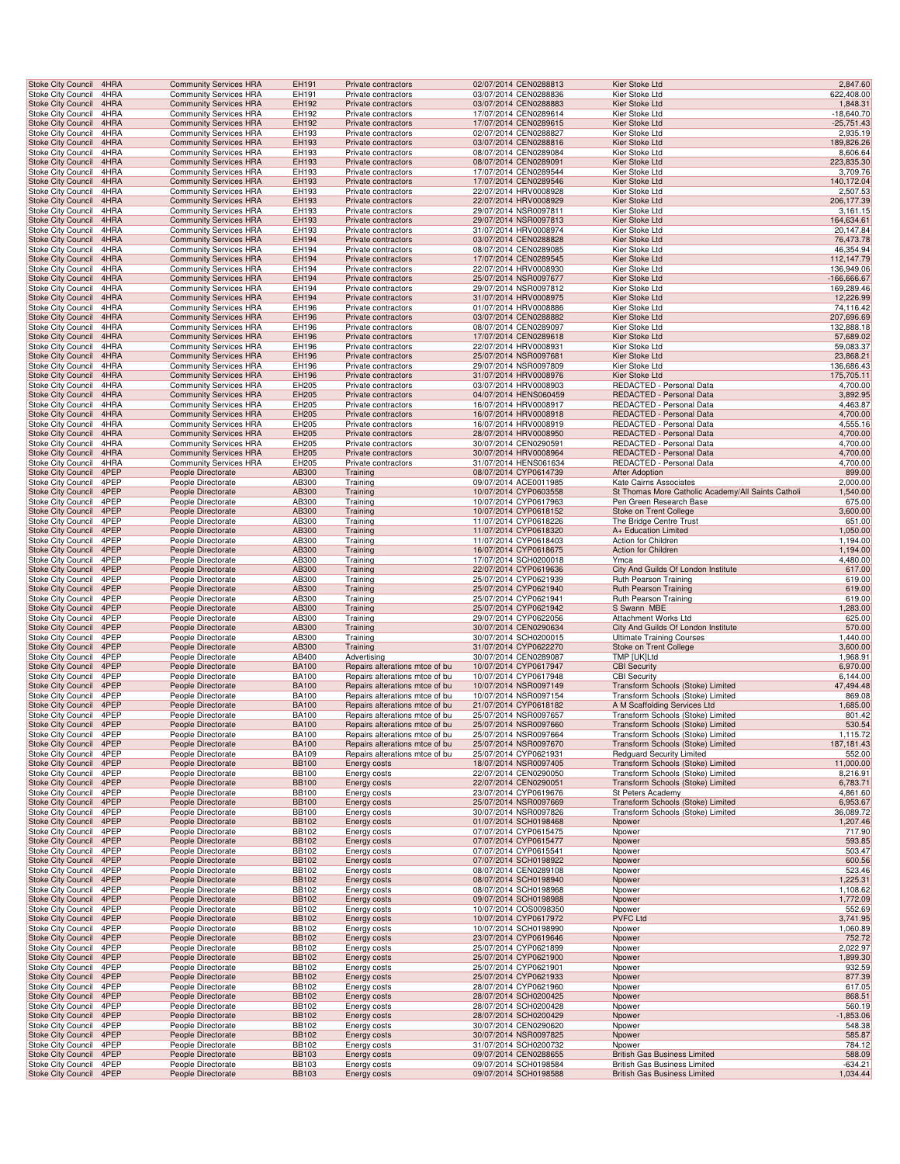| <b>Stoke City Council</b>                              | 4HRA         | <b>Community Services HRA</b>            | EH191                        | Private contractors                 | 02/07/2014 CEN0288813                          | Kier Stoke Ltd                                                        | 2,847.60                |
|--------------------------------------------------------|--------------|------------------------------------------|------------------------------|-------------------------------------|------------------------------------------------|-----------------------------------------------------------------------|-------------------------|
| Stoke City Council                                     | 4HRA         | <b>Community Services HRA</b>            | EH191                        | Private contractors                 | 03/07/2014 CEN0288836                          | Kier Stoke Ltd                                                        | 622,408.00              |
| Stoke City Council                                     | 4HRA         | <b>Community Services HRA</b>            | EH192                        | Private contractors                 | 03/07/2014 CEN0288883                          | Kier Stoke Ltd                                                        | 1,848.31                |
| Stoke City Council                                     | 4HRA         | <b>Community Services HRA</b>            | EH192                        | Private contractors                 | 17/07/2014 CEN0289614                          | Kier Stoke Ltd                                                        | $-18,640.70$            |
| <b>Stoke City Council</b>                              | 4HRA         | <b>Community Services HRA</b>            | EH192                        | Private contractors                 | 17/07/2014 CEN0289615                          | Kier Stoke Ltd                                                        | $-25,751.43$            |
| Stoke City Council                                     | 4HRA         | <b>Community Services HRA</b>            | EH193                        | Private contractors                 | 02/07/2014 CEN0288827                          | Kier Stoke Ltd                                                        | 2,935.19                |
| <b>Stoke City Council</b>                              | 4HRA         | <b>Community Services HRA</b>            | EH193                        | Private contractors                 | 03/07/2014 CEN0288816                          | Kier Stoke Ltd                                                        | 189,826.26              |
| Stoke City Council                                     | 4HRA         | <b>Community Services HRA</b>            | EH193                        | Private contractors                 | 08/07/2014 CEN0289084                          | Kier Stoke Ltd                                                        | 8,606.64                |
| Stoke City Council                                     | 4HRA         | <b>Community Services HRA</b>            | EH193                        | Private contractors                 | 08/07/2014 CEN0289091                          | Kier Stoke Ltd                                                        | 223,835.30              |
| Stoke City Council                                     | 4HRA         | <b>Community Services HRA</b>            | EH193                        | Private contractors                 | 17/07/2014 CEN0289544                          | Kier Stoke Ltd                                                        | 3,709.76                |
| Stoke City Council                                     | 4HRA         | <b>Community Services HRA</b>            | EH193                        | Private contractors                 | 17/07/2014 CEN0289546                          | Kier Stoke Ltd                                                        | 140,172.04              |
| Stoke City Council                                     | 4HRA         | <b>Community Services HRA</b>            | EH193                        | Private contractors                 | 22/07/2014 HRV0008928                          | Kier Stoke Ltd                                                        | 2,507.53                |
| Stoke City Council                                     | 4HRA         | <b>Community Services HRA</b>            | EH193                        | Private contractors                 | 22/07/2014 HRV0008929                          | Kier Stoke Ltd                                                        | 206, 177.39             |
| Stoke City Council                                     | 4HRA         | <b>Community Services HRA</b>            | EH193                        | Private contractors                 | 29/07/2014 NSR0097811                          | Kier Stoke Ltd                                                        | 3,161.15                |
| <b>Stoke City Council</b>                              | 4HRA         | <b>Community Services HRA</b>            | EH193                        | Private contractors                 | 29/07/2014 NSR0097813                          | Kier Stoke Ltd                                                        | 164,634.61              |
| Stoke City Council                                     | 4HRA         | <b>Community Services HRA</b>            | EH193                        | Private contractors                 | 31/07/2014 HRV0008974                          | Kier Stoke Ltd                                                        | 20,147.84               |
| <b>Stoke City Council</b>                              | 4HRA         | <b>Community Services HRA</b>            | EH194                        | Private contractors                 | 03/07/2014 CEN0288828                          | Kier Stoke Ltd                                                        | 76,473.78               |
| Stoke City Council                                     | 4HRA         | <b>Community Services HRA</b>            | EH194                        | Private contractors                 | 08/07/2014 CEN0289085                          | Kier Stoke Ltd                                                        | 46,354.94               |
| Stoke City Council                                     | 4HRA         | <b>Community Services HRA</b>            | EH194                        | Private contractors                 | 17/07/2014 CEN0289545                          | Kier Stoke Ltd                                                        | 112,147.79              |
| Stoke City Council                                     | 4HRA         | <b>Community Services HRA</b>            | EH194                        | Private contractors                 | 22/07/2014 HRV0008930                          | Kier Stoke Ltd                                                        | 136,949.06              |
| <b>Stoke City Council</b>                              | 4HRA         | <b>Community Services HRA</b>            | EH194                        | Private contractors                 | 25/07/2014 NSR0097677                          | Kier Stoke Ltd                                                        | -166,666.67             |
| Stoke City Council                                     | 4HRA         | <b>Community Services HRA</b>            | EH194                        | Private contractors                 | 29/07/2014 NSR0097812                          | Kier Stoke Ltd                                                        | 169,289.46              |
| <b>Stoke City Council</b>                              | 4HRA         | <b>Community Services HRA</b>            | EH194                        | Private contractors                 | 31/07/2014 HRV0008975                          | Kier Stoke Ltd                                                        | 12,226.99               |
| Stoke City Council                                     | 4HRA         | <b>Community Services HRA</b>            | EH196                        | Private contractors                 | 01/07/2014 HRV0008886                          | Kier Stoke Ltd                                                        | 74,116.42               |
| <b>Stoke City Council</b>                              | 4HRA         | <b>Community Services HRA</b>            | EH196                        | Private contractors                 | 03/07/2014 CEN0288882                          | Kier Stoke Ltd                                                        | 207,696.69              |
| Stoke City Council                                     | 4HRA         | <b>Community Services HRA</b>            | EH196                        | Private contractors                 | 08/07/2014 CEN0289097                          | Kier Stoke Ltd                                                        | 132,888.18              |
| <b>Stoke City Council</b>                              | 4HRA         | <b>Community Services HRA</b>            | EH196                        | Private contractors                 | 17/07/2014 CEN0289618                          | Kier Stoke Ltd                                                        | 57,689.02               |
| Stoke City Council                                     | 4HRA         | <b>Community Services HRA</b>            | EH196                        | Private contractors                 | 22/07/2014 HRV0008931                          | Kier Stoke Ltd                                                        | 59,083.37               |
| Stoke City Council                                     | 4HRA         | <b>Community Services HRA</b>            | EH196                        | Private contractors                 | 25/07/2014 NSR0097681                          | Kier Stoke Ltd                                                        | 23,868.21               |
| Stoke City Council                                     | 4HRA         | <b>Community Services HRA</b>            | EH196                        | Private contractors                 | 29/07/2014 NSR0097809                          | Kier Stoke Ltd                                                        | 136,686.43              |
| Stoke City Council                                     | 4HRA         | <b>Community Services HRA</b>            | EH196                        | Private contractors                 | 31/07/2014 HRV0008976                          | Kier Stoke Ltd                                                        | 175,705.11              |
| Stoke City Council                                     | 4HRA         | <b>Community Services HRA</b>            | EH205                        | Private contractors                 | 03/07/2014 HRV0008903                          | REDACTED - Personal Data                                              | 4,700.00                |
| Stoke City Council                                     | 4HRA         | <b>Community Services HRA</b>            | EH205                        | Private contractors                 | 04/07/2014 HENS060459                          | REDACTED - Personal Data                                              | 3,892.95                |
| Stoke City Council                                     | 4HRA         | <b>Community Services HRA</b>            | EH205                        | Private contractors                 | 16/07/2014 HRV0008917                          | REDACTED - Personal Data                                              | 4,463.87                |
| <b>Stoke City Council</b>                              | 4HRA         | <b>Community Services HRA</b>            | EH205                        | Private contractors                 | 16/07/2014 HRV0008918                          | REDACTED - Personal Data                                              | 4,700.00                |
| Stoke City Council                                     | 4HRA         | <b>Community Services HRA</b>            | EH205                        | Private contractors                 | 16/07/2014 HRV0008919                          | REDACTED - Personal Data                                              | 4,555.16                |
| <b>Stoke City Council</b>                              | 4HRA         | <b>Community Services HRA</b>            | EH205                        | Private contractors                 | 28/07/2014 HRV0008950                          | REDACTED - Personal Data                                              | 4,700.00                |
| Stoke City Council                                     | 4HRA         | <b>Community Services HRA</b>            | EH205                        | Private contractors                 | 30/07/2014 CEN0290591                          | REDACTED - Personal Data                                              | 4,700.00                |
| Stoke City Council                                     | 4HRA         | <b>Community Services HRA</b>            | EH205                        | Private contractors                 | 30/07/2014 HRV0008964                          | REDACTED - Personal Data                                              | 4,700.00                |
| Stoke City Council                                     | 4HRA         | <b>Community Services HRA</b>            | EH205                        | Private contractors                 | 31/07/2014 HENS061634                          | REDACTED - Personal Data                                              | 4,700.00                |
| Stoke City Council                                     | 4PEP         | People Directorate                       | AB300                        | Training                            | 08/07/2014 CYP0614739                          | After Adoption                                                        | 899.00                  |
| Stoke City Council                                     | 4PEP         | People Directorate                       | AB300                        | Training                            | 09/07/2014 ACE0011985                          | Kate Cairns Associates                                                | 2,000.00                |
| Stoke City Council                                     | 4PEP         | People Directorate                       | AB300                        | Training                            | 10/07/2014 CYP0603558                          | St Thomas More Catholic Academy/All Saints Catholi                    | 1,540.00                |
| Stoke City Council                                     | 4PEP         | People Directorate                       | AB300                        | Training                            | 10/07/2014 CYP0617963                          | Pen Green Research Base                                               | 675.00                  |
| <b>Stoke City Council</b>                              | 4PEP         | People Directorate                       | AB300                        | Training                            | 10/07/2014 CYP0618152                          | Stoke on Trent College                                                | 3,600.00                |
| Stoke City Council                                     | 4PEP         | People Directorate                       | AB300                        | Training                            | 11/07/2014 CYP0618226                          | The Bridge Centre Trust                                               | 651.00                  |
| <b>Stoke City Council</b>                              | 4PEP<br>4PEP | People Directorate                       | AB300                        | Training                            | 11/07/2014 CYP0618320                          | A+ Education Limited                                                  | 1,050.00                |
| Stoke City Council                                     | 4PEP         | People Directorate                       | AB300<br>AB300               | Training                            | 11/07/2014 CYP0618403<br>16/07/2014 CYP0618675 | Action for Children<br>Action for Children                            | 1,194.00                |
| Stoke City Council                                     |              | People Directorate                       |                              | Training                            |                                                |                                                                       | 1,194.00                |
| Stoke City Council                                     | 4PEP<br>4PEP | People Directorate                       | AB300                        | Training                            | 17/07/2014 SCH0200018                          | Ymca                                                                  | 4,480.00                |
| Stoke City Council                                     |              | People Directorate                       | AB300                        | Training                            | 22/07/2014 CYP0619636                          | City And Guilds Of London Institute                                   | 617.00                  |
| Stoke City Council                                     | 4PEP<br>4PEP | People Directorate                       | AB300                        | Training                            | 25/07/2014 CYP0621939                          | Ruth Pearson Training                                                 | 619.00                  |
| Stoke City Council                                     |              | People Directorate                       | AB300                        | Training                            | 25/07/2014 CYP0621940                          | Ruth Pearson Training                                                 | 619.00                  |
| Stoke City Council                                     | 4PEP         | People Directorate                       | AB300                        | Training                            | 25/07/2014 CYP0621941                          | Ruth Pearson Training                                                 | 619.00                  |
| <b>Stoke City Council</b>                              | 4PEP         | People Directorate                       | AB300                        | Training                            | 25/07/2014 CYP0621942                          | S Swann MBE                                                           | 1,283.00                |
| Stoke City Council                                     | 4PEP         | People Directorate                       | AB300                        | Training                            | 29/07/2014 CYP0622056                          | Attachment Works Ltd                                                  | 625.00                  |
| <b>Stoke City Council</b>                              | 4PEP         | People Directorate                       | AB300                        | Training                            | 30/07/2014 CEN0290634                          | City And Guilds Of London Institute                                   | 570.00                  |
| Stoke City Council                                     | 4PEP         | People Directorate                       | AB300                        | Training                            | 30/07/2014 SCH0200015                          | <b>Ultimate Training Courses</b>                                      | 1,440.00                |
| Stoke City Council                                     | 4PEP         | People Directorate                       | AB300                        | Training                            | 31/07/2014 CYP0622270                          | Stoke on Trent College                                                | 3,600.00                |
| Stoke City Council                                     | 4PEP         | People Directorate                       | AB400                        | Advertising                         | 30/07/2014 CEN0289087                          | TMP [UK]Ltd                                                           | 1,968.91                |
| Stoke City Council                                     | 4PEP         | People Directorate                       | <b>BA100</b>                 | Repairs alterations mtce of bu      | 10/07/2014 CYP0617947                          | <b>CBI Security</b>                                                   | 6,970.00                |
| Stoke City Council                                     | 4PEP         | People Directorate                       | <b>BA100</b>                 | Repairs alterations mtce of bu      | 10/07/2014 CYP0617948                          | <b>CBI Security</b>                                                   | 6,144.00                |
| <b>Stoke City Council</b>                              | 4PEP         | People Directorate                       | <b>BA100</b>                 | Repairs alterations mtce of bu      | 10/07/2014 NSR0097149                          | Transform Schools (Stoke) Limited                                     | 47,494.48               |
| Stoke City Council                                     | 4PEP         | People Directorate                       | <b>BA100</b>                 | Repairs alterations mtce of bu      | 10/07/2014 NSR0097154                          | Transform Schools (Stoke) Limited                                     | 869.08                  |
| <b>Stoke City Council</b>                              | 4PEP         | People Directorate                       | <b>BA100</b>                 | Repairs alterations mtce of bu      | 21/07/2014 CYP0618182                          | A M Scaffolding Services Ltd                                          | 1,685.00                |
| Stoke City Council 4PEP                                |              | People Directorate                       | <b>BA100</b>                 | Repairs alterations mtce of bu      | 25/07/2014 NSR0097657                          | Transform Schools (Stoke) Limited                                     | 801.42                  |
| Stoke City Council 4PEP                                |              | People Directorate                       | <b>BA100</b>                 | Repairs alterations mtce of bu      | 25/07/2014 NSR0097660                          | Transform Schools (Stoke) Limited                                     | 530.54                  |
| Stoke City Council                                     | 4PEP<br>4PEP | People Directorate                       | <b>BA100</b>                 | Repairs alterations mtce of bu      | 25/07/2014 NSR0097664                          | Transform Schools (Stoke) Limited                                     | 1.115.72<br>187, 181.43 |
| Stoke City Council                                     |              | People Directorate                       | <b>BA100</b>                 | Repairs alterations mtce of bu      | 25/07/2014 NSR0097670                          | Transform Schools (Stoke) Limited                                     |                         |
| <b>Stoke City Council</b><br><b>Stoke City Council</b> | 4PEP<br>4PEP | People Directorate<br>People Directorate | BA109<br><b>BB100</b>        | Repairs alterations mtce of bu      | 25/07/2014 CYP0621931<br>18/07/2014 NSR0097405 | <b>Redguard Security Limited</b><br>Transform Schools (Stoke) Limited | 552.00<br>11,000.00     |
|                                                        |              |                                          |                              | Energy costs                        |                                                |                                                                       |                         |
| Stoke City Council                                     | 4PEP<br>4PEP | People Directorate                       | <b>BB100</b>                 | Energy costs                        | 22/07/2014 CEN0290050                          | Transform Schools (Stoke) Limited                                     | 8,216.91                |
| Stoke City Council                                     |              | People Directorate                       | <b>BB100</b>                 | Energy costs                        | 22/07/2014 CEN0290051                          | Transform Schools (Stoke) Limited                                     | 6,783.71                |
| Stoke City Council<br><b>Stoke City Council</b>        | 4PEP<br>4PEP | People Directorate<br>People Directorate | BB100<br><b>BB100</b>        | Energy costs                        | 23/07/2014 CYP0619676<br>25/07/2014 NSR0097669 | St Peters Academy<br>Transform Schools (Stoke) Limited                | 4,861.60<br>6,953.67    |
| Stoke City Council                                     | 4PEP         | People Directorate                       | <b>BB100</b>                 | Energy costs<br>Energy costs        | 30/07/2014 NSR0097826                          | Transform Schools (Stoke) Limited                                     | 36,089.72               |
| Stoke City Council                                     | 4PEP         | People Directorate                       | <b>BB102</b>                 | <b>Energy costs</b>                 | 01/07/2014 SCH0198468                          | Npower                                                                | 1,207.46                |
| Stoke City Council                                     | 4PEP         | People Directorate                       | <b>BB102</b>                 | Energy costs                        | 07/07/2014 CYP0615475                          | Npower                                                                | 717.90                  |
|                                                        |              |                                          |                              |                                     | 07/07/2014 CYP0615477                          |                                                                       |                         |
| <b>Stoke City Council</b><br><b>Stoke City Council</b> | 4PEP<br>4PEP | People Directorate<br>People Directorate | BB102<br><b>BB102</b>        | Energy costs<br>Energy costs        | 07/07/2014 CYP0615541                          | Npower<br>Npower                                                      | 593.85<br>503.47        |
| <b>Stoke City Council</b>                              | 4PEP         | People Directorate                       | <b>BB102</b>                 |                                     | 07/07/2014 SCH0198922                          | Npower                                                                | 600.56                  |
| Stoke City Council                                     | 4PEP         | People Directorate                       | BB102                        | <b>Energy costs</b><br>Energy costs | 08/07/2014 CEN0289108                          | Npower                                                                | 523.46                  |
| Stoke City Council                                     | 4PEP         | People Directorate                       | <b>BB102</b>                 | Energy costs                        | 08/07/2014 SCH0198940                          | Npower                                                                | 1,225.31                |
| Stoke City Council                                     | 4PEP         |                                          |                              |                                     |                                                | Npower                                                                | 1,108.62                |
|                                                        |              |                                          |                              |                                     |                                                |                                                                       |                         |
|                                                        |              | People Directorate                       | BB102                        | Energy costs                        | 08/07/2014 SCH0198968                          |                                                                       |                         |
| <b>Stoke City Council</b>                              | 4PEP         | People Directorate                       | <b>BB102</b>                 | Energy costs                        | 09/07/2014 SCH0198988                          | Npower                                                                | 1,772.09                |
| Stoke City Council                                     | 4PEP         | People Directorate                       | BB102                        | Energy costs                        | 10/07/2014 COS0098350                          | Npower                                                                | 552.69                  |
| <b>Stoke City Council</b>                              | 4PEP         | People Directorate                       | <b>BB102</b>                 | Energy costs                        | 10/07/2014 CYP0617972                          | <b>PVFC Ltd</b>                                                       | 3,741.95                |
| Stoke City Council                                     | 4PEP         | People Directorate                       | <b>BB102</b>                 | Energy costs                        | 10/07/2014 SCH0198990                          | Npower                                                                | 1,060.89                |
| <b>Stoke City Council</b>                              | 4PEP         | People Directorate                       | BB102                        | Energy costs                        | 23/07/2014 CYP0619646                          | Npower                                                                | 752.72                  |
| <b>Stoke City Council</b>                              | 4PEP         | People Directorate                       | <b>BB102</b>                 | Energy costs                        | 25/07/2014 CYP0621899                          | Npower                                                                | 2,022.97                |
| <b>Stoke City Council</b>                              | 4PEP         | People Directorate                       | <b>BB102</b>                 | <b>Energy costs</b>                 | 25/07/2014 CYP0621900                          | Npower                                                                | 1,899.30                |
| Stoke City Council                                     | 4PEP         | People Directorate                       | BB102                        | Energy costs                        | 25/07/2014 CYP0621901                          | Npower                                                                | 932.59                  |
| Stoke City Council                                     | 4PEP         | People Directorate                       | <b>BB102</b>                 | Energy costs                        | 25/07/2014 CYP0621933                          | Npower                                                                | 877.39                  |
| Stoke City Council                                     | 4PEP         | People Directorate                       | BB102                        | Energy costs                        | 28/07/2014 CYP0621960                          | Npower                                                                | 617.05                  |
| <b>Stoke City Council</b>                              | 4PEP         | People Directorate                       | <b>BB102</b>                 | Energy costs                        | 28/07/2014 SCH0200425                          | Npower                                                                | 868.51                  |
| Stoke City Council                                     | 4PEP         | People Directorate                       | BB102                        | Energy costs                        | 28/07/2014 SCH0200428                          | Npower                                                                | 560.19                  |
| Stoke City Council                                     | 4PEP         | People Directorate                       | <b>BB102</b>                 | <b>Energy costs</b>                 | 28/07/2014 SCH0200429                          | Npower                                                                | $-1,853.06$             |
| Stoke City Council                                     | 4PEP         | People Directorate                       | <b>BB102</b>                 | Energy costs                        | 30/07/2014 CEN0290620                          | Npower                                                                | 548.38                  |
| <b>Stoke City Council</b>                              | 4PEP         | People Directorate                       | BB102                        | Energy costs                        | 30/07/2014 NSR0097825                          | Npower                                                                | 585.87                  |
| <b>Stoke City Council</b>                              | 4PEP         | People Directorate                       | <b>BB102</b>                 | Energy costs                        | 31/07/2014 SCH0200732                          | Npower                                                                | 784.12                  |
| <b>Stoke City Council</b><br>Stoke City Council        | 4PEP<br>4PEP | People Directorate<br>People Directorate | <b>BB103</b><br><b>BB103</b> | Energy costs<br>Energy costs        | 09/07/2014 CEN0288655<br>09/07/2014 SCH0198584 | <b>British Gas Business Limited</b><br>British Gas Business Limited   | 588.09<br>-634.21       |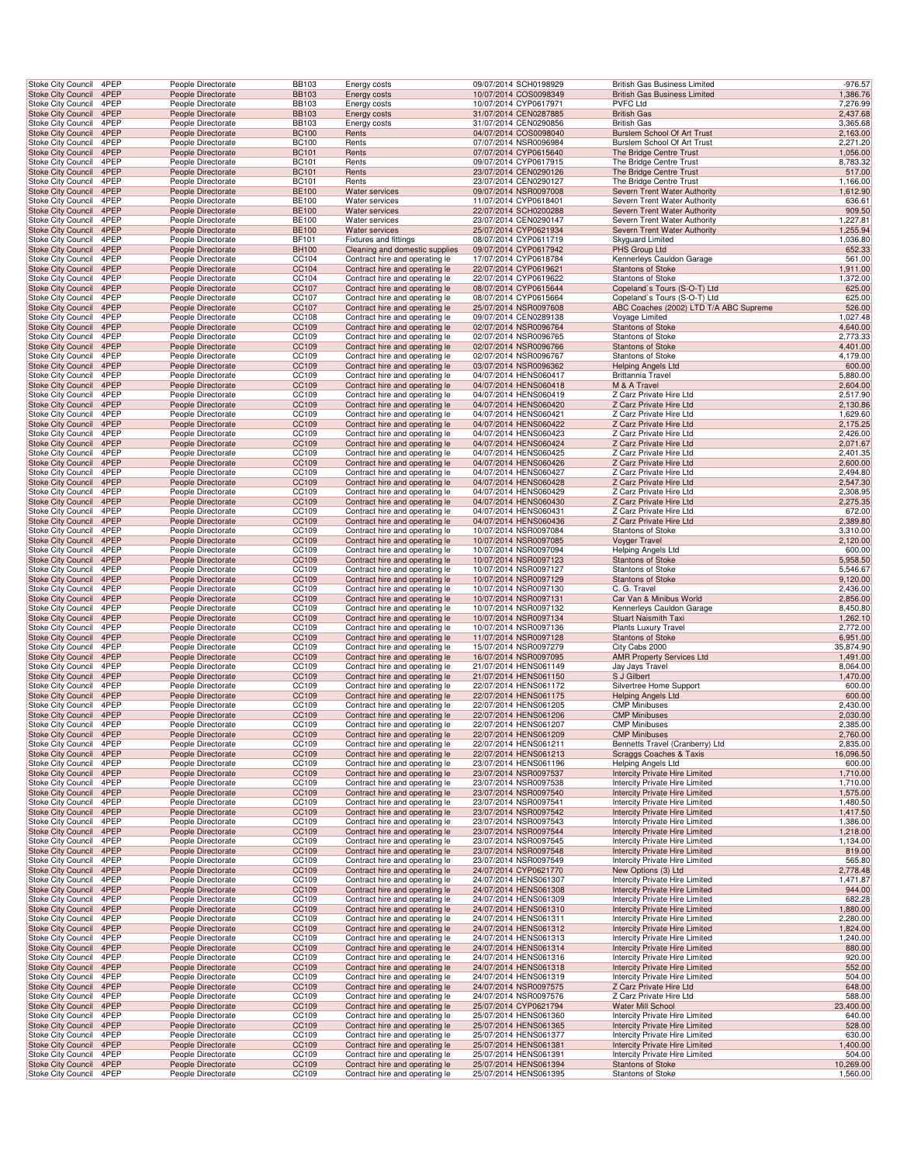| <b>Stoke City Council</b>                       |                           | 4PEP         | People Directorate                       | <b>BB103</b>                 | Energy costs                                                     | 09/07/2014 SCH0198929                          | British Gas Business Limited                                            | $-976.57$             |
|-------------------------------------------------|---------------------------|--------------|------------------------------------------|------------------------------|------------------------------------------------------------------|------------------------------------------------|-------------------------------------------------------------------------|-----------------------|
| <b>Stoke City Council</b>                       |                           | 4PEP         | People Directorate                       | <b>BB103</b>                 | Energy costs                                                     | 10/07/2014 COS0098349                          | <b>British Gas Business Limited</b>                                     | 1,386.76              |
| Stoke City Council                              |                           | 4PEP         | People Directorate                       | <b>BB103</b>                 | Energy costs                                                     | 10/07/2014 CYP0617971                          | <b>PVFC Ltd</b>                                                         | 7,276.99              |
| Stoke City Council 4PEP                         |                           |              | People Directorate                       | <b>BB103</b>                 | Energy costs                                                     | 31/07/2014 CEN0287885                          | <b>British Gas</b>                                                      | 2,437.68              |
| Stoke City Council                              |                           | 4PEP         | People Directorate                       | <b>BB103</b>                 | Energy costs                                                     | 31/07/2014 CEN0290856                          | <b>British Gas</b>                                                      | 3,365.68              |
| Stoke City Council                              |                           | 4PEP         | People Directorate                       | <b>BC100</b>                 | Rents                                                            | 04/07/2014 COS0098040                          | Burslem School Of Art Trust                                             | 2,163.00              |
| Stoke City Council                              |                           | 4PEP         | People Directorate                       | <b>BC100</b>                 | Rents                                                            | 07/07/2014 NSR0096984                          | Burslem School Of Art Trust                                             | 2,271.20              |
| <b>Stoke City Council</b>                       |                           | 4PEP         | People Directorate                       | <b>BC101</b>                 | Rents                                                            | 07/07/2014 CYP0615640                          | The Bridge Centre Trust                                                 | 1,056.00              |
| <b>Stoke City Council</b>                       |                           | 4PEP         | People Directorate                       | <b>BC101</b>                 | Rents                                                            | 09/07/2014 CYP0617915                          | The Bridge Centre Trust                                                 | 8,783.32              |
| <b>Stoke City Council</b>                       |                           | 4PEP         | People Directorate                       | <b>BC101</b>                 | Rents                                                            | 23/07/2014 CEN0290126                          | The Bridge Centre Trust                                                 | 517.00                |
| Stoke City Council                              |                           | 4PEP         | People Directorate                       | <b>BC101</b>                 | Rents                                                            | 23/07/2014 CEN0290127                          | The Bridge Centre Trust                                                 | 1,166.00              |
| <b>Stoke City Council</b>                       |                           | 4PEP         | People Directorate                       | <b>BE100</b>                 | Water services                                                   | 09/07/2014 NSR0097008                          | Severn Trent Water Authority                                            | 1,612.90              |
| Stoke City Council                              |                           | 4PEP         | People Directorate                       | BE100                        | Water services                                                   | 11/07/2014 CYP0618401                          | Severn Trent Water Authority                                            | 636.61                |
| <b>Stoke City Council</b>                       |                           | 4PEP         | People Directorate                       | <b>BE100</b>                 | Water services                                                   | 22/07/2014 SCH0200288                          | Severn Trent Water Authority                                            | 909.50                |
| Stoke City Council                              |                           | 4PEP<br>4PEP | People Directorate                       | <b>BE100</b><br><b>BE100</b> | Water services<br>Water services                                 | 23/07/2014 CEN0290147                          | Severn Trent Water Authority                                            | 1,227.81<br>1,255.94  |
| Stoke City Council<br><b>Stoke City Council</b> |                           | 4PEP         | People Directorate<br>People Directorate | BF101                        | Fixtures and fittings                                            | 25/07/2014 CYP0621934<br>08/07/2014 CYP0611719 | Severn Trent Water Authority<br>Skyguard Limited                        | 1,036.80              |
| <b>Stoke City Council</b>                       |                           | 4PEP         | People Directorate                       | <b>BH100</b>                 | Cleaning and domestic supplies                                   | 09/07/2014 CYP0617942                          | PHS Group Ltd                                                           | 652.33                |
| Stoke City Council                              |                           | 4PEP         | People Directorate                       | CC104                        | Contract hire and operating le                                   | 17/07/2014 CYP0618784                          | Kennerleys Cauldon Garage                                               | 561.00                |
| <b>Stoke City Council</b>                       |                           | 4PEP         | People Directorate                       | CC104                        | Contract hire and operating le                                   | 22/07/2014 CYP0619621                          | <b>Stantons of Stoke</b>                                                | 1,911.00              |
| Stoke City Council                              |                           | 4PEP         | People Directorate                       | CC104                        | Contract hire and operating le                                   | 22/07/2014 CYP0619622                          | <b>Stantons of Stoke</b>                                                | 1,372.00              |
| <b>Stoke City Council</b>                       |                           | 4PEP         | People Directorate                       | CC107                        | Contract hire and operating le                                   | 08/07/2014 CYP0615644                          | Copeland's Tours (S-O-T) Ltd                                            | 625.00                |
| Stoke City Council                              |                           | 4PEP         | People Directorate                       | CC107                        | Contract hire and operating le                                   | 08/07/2014 CYP0615664                          | Copeland's Tours (S-O-T) Ltd                                            | 625.00                |
| <b>Stoke City Council</b>                       |                           | 4PEP         | People Directorate                       | CC107                        | Contract hire and operating le                                   | 25/07/2014 NSR0097608                          | ABC Coaches (2002) LTD T/A ABC Supreme                                  | 526.00                |
| Stoke City Council                              |                           | 4PEP         | People Directorate                       | CC108                        | Contract hire and operating le                                   | 09/07/2014 CEN0289138                          | Voyage Limited                                                          | 1,027.48              |
| Stoke City Council                              |                           | 4PEP         | People Directorate                       | CC109                        | Contract hire and operating le                                   | 02/07/2014 NSR0096764                          | <b>Stantons of Stoke</b>                                                | 4,640.00              |
| Stoke City Council                              |                           | 4PEP         | People Directorate                       | CC109                        | Contract hire and operating le                                   | 02/07/2014 NSR0096765                          | Stantons of Stoke                                                       | 2,773.33              |
| <b>Stoke City Council</b>                       |                           | 4PEP         | People Directorate                       | CC109                        | Contract hire and operating le                                   | 02/07/2014 NSR0096766                          | <b>Stantons of Stoke</b>                                                | 4,401.00              |
| Stoke City Council                              |                           | 4PEP         | People Directorate                       | CC109                        | Contract hire and operating le                                   | 02/07/2014 NSR0096767                          | Stantons of Stoke                                                       | 4,179.00              |
| <b>Stoke City Council</b>                       |                           | 4PEP<br>4PEP | People Directorate                       | CC109                        | Contract hire and operating le                                   | 03/07/2014 NSR0096362                          | <b>Helping Angels Ltd</b>                                               | 600.00                |
| Stoke City Council                              |                           | 4PEP         | People Directorate<br>People Directorate | CC109<br>CC109               | Contract hire and operating le                                   | 04/07/2014 HENS060417<br>04/07/2014 HENS060418 | Brittannia Travel<br>M & A Travel                                       | 5,880.00<br>2,604.00  |
| <b>Stoke City Council</b><br>Stoke City Council |                           | 4PEP         | People Directorate                       | CC109                        | Contract hire and operating le<br>Contract hire and operating le | 04/07/2014 HENS060419                          | Z Carz Private Hire Ltd                                                 | 2,517.90              |
| Stoke City Council                              |                           | 4PEP         | People Directorate                       | CC109                        | Contract hire and operating le                                   | 04/07/2014 HENS060420                          | Z Carz Private Hire Ltd                                                 | 2,130.86              |
| Stoke City Council                              |                           | 4PEP         | People Directorate                       | CC109                        | Contract hire and operating le                                   | 04/07/2014 HENS060421                          | Z Carz Private Hire Ltd                                                 | 1,629.60              |
| Stoke City Council                              |                           | 4PEP         | People Directorate                       | CC109                        | Contract hire and operating le                                   | 04/07/2014 HENS060422                          | Z Carz Private Hire Ltd                                                 | 2,175.25              |
| <b>Stoke City Council</b>                       |                           | 4PEP         | People Directorate                       | CC109                        | Contract hire and operating le                                   | 04/07/2014 HENS060423                          | Z Carz Private Hire Ltd                                                 | 2,426.00              |
| <b>Stoke City Council</b>                       |                           | 4PEP         | People Directorate                       | CC109                        | Contract hire and operating le                                   | 04/07/2014 HENS060424                          | Z Carz Private Hire Ltd                                                 | 2,071.67              |
| Stoke City Council                              |                           | 4PEP         | People Directorate                       | CC109                        | Contract hire and operating le                                   | 04/07/2014 HENS060425                          | Z Carz Private Hire Ltd                                                 | 2,401.35              |
| <b>Stoke City Council</b>                       |                           | 4PEP         | People Directorate                       | CC109                        | Contract hire and operating le                                   | 04/07/2014 HENS060426                          | Z Carz Private Hire Ltd                                                 | 2,600.00              |
| Stoke City Council                              |                           | 4PEP         | People Directorate                       | CC109                        | Contract hire and operating le                                   | 04/07/2014 HENS060427                          | Z Carz Private Hire Ltd                                                 | 2,494.80              |
| <b>Stoke City Council</b>                       |                           | 4PEP         | People Directorate                       | CC109                        | Contract hire and operating le                                   | 04/07/2014 HENS060428                          | Z Carz Private Hire Ltd                                                 | 2,547.30              |
| Stoke City Council                              |                           | 4PEP         | People Directorate                       | CC109                        | Contract hire and operating le                                   | 04/07/2014 HENS060429                          | Z Carz Private Hire Ltd                                                 | 2,308.95              |
| Stoke City Council                              |                           | 4PEP         | People Directorate                       | CC109                        | Contract hire and operating le                                   | 04/07/2014 HENS060430                          | Z Carz Private Hire Ltd                                                 | 2,275.35              |
| Stoke City Council                              |                           | 4PEP         | People Directorate                       | CC109                        | Contract hire and operating le                                   | 04/07/2014 HENS060431                          | Z Carz Private Hire Ltd                                                 | 672.00                |
| Stoke City Council                              |                           | 4PEP         | People Directorate                       | CC109                        | Contract hire and operating le                                   | 04/07/2014 HENS060436                          | Z Carz Private Hire Ltd                                                 | 2,389.80              |
| Stoke City Council                              |                           | 4PEP         | People Directorate                       | CC109                        | Contract hire and operating le                                   | 10/07/2014 NSR0097084                          | <b>Stantons of Stoke</b>                                                | 3,310.00              |
| <b>Stoke City Council</b><br>Stoke City Council |                           | 4PEP<br>4PEP | People Directorate<br>People Directorate | CC109<br>CC109               | Contract hire and operating le<br>Contract hire and operating le | 10/07/2014 NSR0097085<br>10/07/2014 NSR0097094 | Voyger Travel<br>Helping Angels Ltd                                     | 2,120.00<br>600.00    |
| <b>Stoke City Council</b>                       |                           | 4PEP         | People Directorate                       | CC109                        | Contract hire and operating le                                   | 10/07/2014 NSR0097123                          | <b>Stantons of Stoke</b>                                                | 5,958.50              |
| Stoke City Council                              |                           | 4PEP         | People Directorate                       | CC109                        | Contract hire and operating le                                   | 10/07/2014 NSR0097127                          | <b>Stantons of Stoke</b>                                                | 5,546.67              |
| <b>Stoke City Council</b>                       |                           | 4PEP         | People Directorate                       | CC109                        | Contract hire and operating le                                   | 10/07/2014 NSR0097129                          | <b>Stantons of Stoke</b>                                                | 9,120.00              |
| Stoke City Council                              |                           | 4PEP         | People Directorate                       | CC109                        | Contract hire and operating le                                   | 10/07/2014 NSR0097130                          | C. G. Travel                                                            | 2,436.00              |
| <b>Stoke City Council</b>                       |                           | 4PEP         | People Directorate                       | CC109                        | Contract hire and operating le                                   | 10/07/2014 NSR0097131                          | Car Van & Minibus World                                                 | 2,856.00              |
| Stoke City Council                              |                           | 4PEP         | People Directorate                       | CC109                        | Contract hire and operating le                                   | 10/07/2014 NSR0097132                          | Kennerleys Cauldon Garage                                               | 8,450.80              |
| Stoke City Council                              |                           | 4PEP         | People Directorate                       | CC109                        | Contract hire and operating le                                   | 10/07/2014 NSR0097134                          | Stuart Naismith Taxi                                                    | 1,262.10              |
| Stoke City Council                              |                           | 4PEP         | People Directorate                       | CC109                        | Contract hire and operating le                                   | 10/07/2014 NSR0097136                          | Plants Luxury Travel                                                    | 2,772.00              |
| <b>Stoke City Council</b>                       |                           | 4PEP         | People Directorate                       | CC109                        | Contract hire and operating le                                   | 11/07/2014 NSR0097128                          | <b>Stantons of Stoke</b>                                                | 6,951.00              |
| Stoke City Council                              |                           | 4PEP         | People Directorate                       | CC109                        | Contract hire and operating le                                   | 15/07/2014 NSR0097279                          | City Cabs 2000                                                          | 35,874.90             |
| <b>Stoke City Council</b>                       |                           | 4PEP         | People Directorate                       | CC109                        | Contract hire and operating le                                   | 16/07/2014 NSR0097095                          | <b>AMR Property Services Ltd</b>                                        | 1,491.00              |
| Stoke City Council                              |                           | 4PEP         | People Directorate                       | CC109                        | Contract hire and operating le                                   | 21/07/2014 HENS061149                          | Jay Jays Travel                                                         | 8,064.00              |
| <b>Stoke City Council</b>                       |                           | 4PEP         | People Directorate                       | CC109                        | Contract hire and operating le                                   | 21/07/2014 HENS061150                          | S J Gilbert                                                             | 1,470.00              |
| <b>Stoke City Council</b>                       |                           | 4PEP         | People Directorate<br>People Directorate | CC109<br>CC109               | Contract hire and operating le                                   | 22/07/2014 HENS061172<br>22/07/2014 HENS061175 | Silvertree Home Support                                                 | 600.00<br>600.00      |
| Stoke City Council 4PEP<br>Stoke City Council   |                           | 4PEP         | People Directorate                       | CC109                        | Contract hire and operating le<br>Contract hire and operating le | 22/07/2014 HENS061205                          | <b>Helping Angels Ltd</b><br><b>CMP Minibuses</b>                       | 2,430.00              |
| Stoke City Council 4PEP                         |                           |              | People Directorate                       | CC109                        | Contract hire and operating le                                   | 22/07/2014 HENS061206                          | <b>CMP Minibuses</b>                                                    | 2,030.00              |
| Stoke City Council                              |                           | 4PEP         | People Directorate                       | CC109                        | Contract hire and operating le                                   | 22/07/2014 HENS061207                          | <b>CMP Minibuses</b>                                                    | 2,385.00              |
| <b>Stoke City Council</b>                       |                           | 4PEP         | People Directorate                       | CC109                        | Contract hire and operating le                                   | 22/07/2014 HENS061209                          | <b>CMP Minibuses</b>                                                    | 2,760.00              |
| Stoke City Council 4PEP                         |                           |              | People Directorate                       | CC109                        | Contract hire and operating le                                   | 22/07/2014 HENS061211                          | Bennetts Travel (Cranberry) Ltd                                         | 2,835.00              |
| Stoke City Council                              |                           | 4PEP         | People Directorate                       | CC109                        | Contract hire and operating le                                   | 22/07/2014 HENS061213                          | Scraggs Coaches & Taxis                                                 | 16,096.50             |
| Stoke City Council                              |                           | 4PEP         | People Directorate                       | CC109                        | Contract hire and operating le                                   | 23/07/2014 HENS061196                          | Helping Angels Ltd                                                      | 600.00                |
| <b>Stoke City Council</b>                       |                           | 4PEP         | People Directorate                       | CC109                        | Contract hire and operating le                                   | 23/07/2014 NSR0097537                          | <b>Intercity Private Hire Limited</b>                                   | 1,710.00              |
| Stoke City Council                              |                           | 4PEP         | People Directorate                       | CC109                        | Contract hire and operating le                                   | 23/07/2014 NSR0097538                          | Intercity Private Hire Limited                                          | 1,710.00              |
| Stoke City Council 4PEP                         |                           |              | People Directorate                       | CC109                        | Contract hire and operating le                                   | 23/07/2014 NSR0097540                          | <b>Intercity Private Hire Limited</b>                                   | 1,575.00              |
| Stoke City Council                              |                           | 4PEP<br>4PEP | People Directorate<br>People Directorate | CC109                        | Contract hire and operating le                                   | 23/07/2014 NSR0097541                          | Intercity Private Hire Limited<br><b>Intercity Private Hire Limited</b> | 1,480.50              |
| Stoke City Council<br>Stoke City Council        |                           | 4PEP         | People Directorate                       | CC109<br>CC109               | Contract hire and operating le<br>Contract hire and operating le | 23/07/2014 NSR0097542<br>23/07/2014 NSR0097543 | Intercity Private Hire Limited                                          | 1,417.50<br>1,386.00  |
| <b>Stoke City Council</b>                       |                           | 4PEP         | People Directorate                       | CC109                        | Contract hire and operating le                                   | 23/07/2014 NSR0097544                          | <b>Intercity Private Hire Limited</b>                                   | 1,218.00              |
| Stoke City Council                              |                           | 4PEP         | People Directorate                       | CC109                        | Contract hire and operating le                                   | 23/07/2014 NSR0097545                          | Intercity Private Hire Limited                                          | 1,134.00              |
| Stoke City Council                              |                           | 4PEP         | People Directorate                       | CC109                        | Contract hire and operating le                                   | 23/07/2014 NSR0097548                          | <b>Intercity Private Hire Limited</b>                                   | 819.00                |
| Stoke City Council                              |                           | 4PEP         | People Directorate                       | CC109                        | Contract hire and operating le                                   | 23/07/2014 NSR0097549                          | Intercity Private Hire Limited                                          | 565.80                |
| <b>Stoke City Council</b>                       |                           | 4PEP         | People Directorate                       | CC109                        | Contract hire and operating le                                   | 24/07/2014 CYP0621770                          | New Options (3) Ltd                                                     | 2,778.48              |
| Stoke City Council                              |                           | 4PEP         | People Directorate                       | CC109                        | Contract hire and operating le                                   | 24/07/2014 HENS061307                          | Intercity Private Hire Limited                                          | 1,471.87              |
| Stoke City Council 4PEP                         |                           |              | People Directorate                       | CC109                        | Contract hire and operating le                                   | 24/07/2014 HENS061308                          | Intercity Private Hire Limited                                          | 944.00                |
| Stoke City Council                              |                           | 4PEP         | People Directorate                       | CC109                        | Contract hire and operating le                                   | 24/07/2014 HENS061309                          | Intercity Private Hire Limited                                          | 682.28                |
| Stoke City Council                              |                           | 4PEP         | People Directorate                       | CC109                        | Contract hire and operating le                                   | 24/07/2014 HENS061310                          | <b>Intercity Private Hire Limited</b>                                   | 1,880.00              |
| Stoke City Council                              |                           | 4PEP         | People Directorate                       | CC109                        | Contract hire and operating le                                   | 24/07/2014 HENS061311                          | <b>Intercity Private Hire Limited</b>                                   | 2,280.00              |
| Stoke City Council                              |                           | 4PEP         | People Directorate                       | CC109                        | Contract hire and operating le                                   | 24/07/2014 HENS061312                          | Intercity Private Hire Limited                                          | 1,824.00              |
| Stoke City Council                              |                           | 4PEP         | People Directorate                       | CC109                        | Contract hire and operating le                                   | 24/07/2014 HENS061313                          | Intercity Private Hire Limited                                          | 1,240.00              |
| Stoke City Council<br>Stoke City Council        |                           | 4PEP<br>4PEP | People Directorate<br>People Directorate | CC109<br>CC109               | Contract hire and operating le<br>Contract hire and operating le | 24/07/2014 HENS061314<br>24/07/2014 HENS061316 | Intercity Private Hire Limited<br>Intercity Private Hire Limited        | 880.00<br>920.00      |
| <b>Stoke City Council</b>                       |                           | 4PEP         | People Directorate                       | CC109                        | Contract hire and operating le                                   | 24/07/2014 HENS061318                          | Intercity Private Hire Limited                                          | 552.00                |
| Stoke City Council                              |                           | 4PEP         | People Directorate                       | CC109                        | Contract hire and operating le                                   | 24/07/2014 HENS061319                          | Intercity Private Hire Limited                                          | 504.00                |
| Stoke City Council                              |                           | 4PEP         | People Directorate                       | CC109                        | Contract hire and operating le                                   | 24/07/2014 NSR0097575                          | Z Carz Private Hire Ltd                                                 | 648.00                |
| Stoke City Council                              |                           | 4PEP         | People Directorate                       | CC109                        | Contract hire and operating le                                   | 24/07/2014 NSR0097576                          | Z Carz Private Hire Ltd                                                 | 588.00                |
| Stoke City Council                              |                           | 4PEP         | People Directorate                       | CC109                        | Contract hire and operating le                                   | 25/07/2014 CYP0621794                          | Water Mill School                                                       | 23,400.00             |
| Stoke City Council                              |                           | 4PEP         | People Directorate                       | CC109                        | Contract hire and operating le                                   | 25/07/2014 HENS061360                          | Intercity Private Hire Limited                                          | 640.00                |
| <b>Stoke City Council</b>                       |                           | 4PEP         | People Directorate                       | CC109                        | Contract hire and operating le                                   | 25/07/2014 HENS061365                          | <b>Intercity Private Hire Limited</b>                                   | 528.00                |
| Stoke City Council                              |                           | 4PEP         | People Directorate                       | CC109                        | Contract hire and operating le                                   | 25/07/2014 HENS061377                          | Intercity Private Hire Limited                                          | 630.00                |
| Stoke City Council                              |                           | 4PEP         | People Directorate                       | CC109                        | Contract hire and operating le                                   | 25/07/2014 HENS061381                          | Intercity Private Hire Limited                                          | 1,400.00              |
| Stoke City Council                              |                           | 4PEP         | People Directorate                       | CC109                        | Contract hire and operating le                                   | 25/07/2014 HENS061391                          | Intercity Private Hire Limited                                          | 504.00                |
| <b>Stoke City Council</b>                       | <b>Stoke City Council</b> | 4PEP<br>4PEP | People Directorate<br>People Directorate | CC109<br>CC109               | Contract hire and operating le<br>Contract hire and operating le | 25/07/2014 HENS061394<br>25/07/2014 HENS061395 | <b>Stantons of Stoke</b><br><b>Stantons of Stoke</b>                    | 10,269.00<br>1,560.00 |
|                                                 |                           |              |                                          |                              |                                                                  |                                                |                                                                         |                       |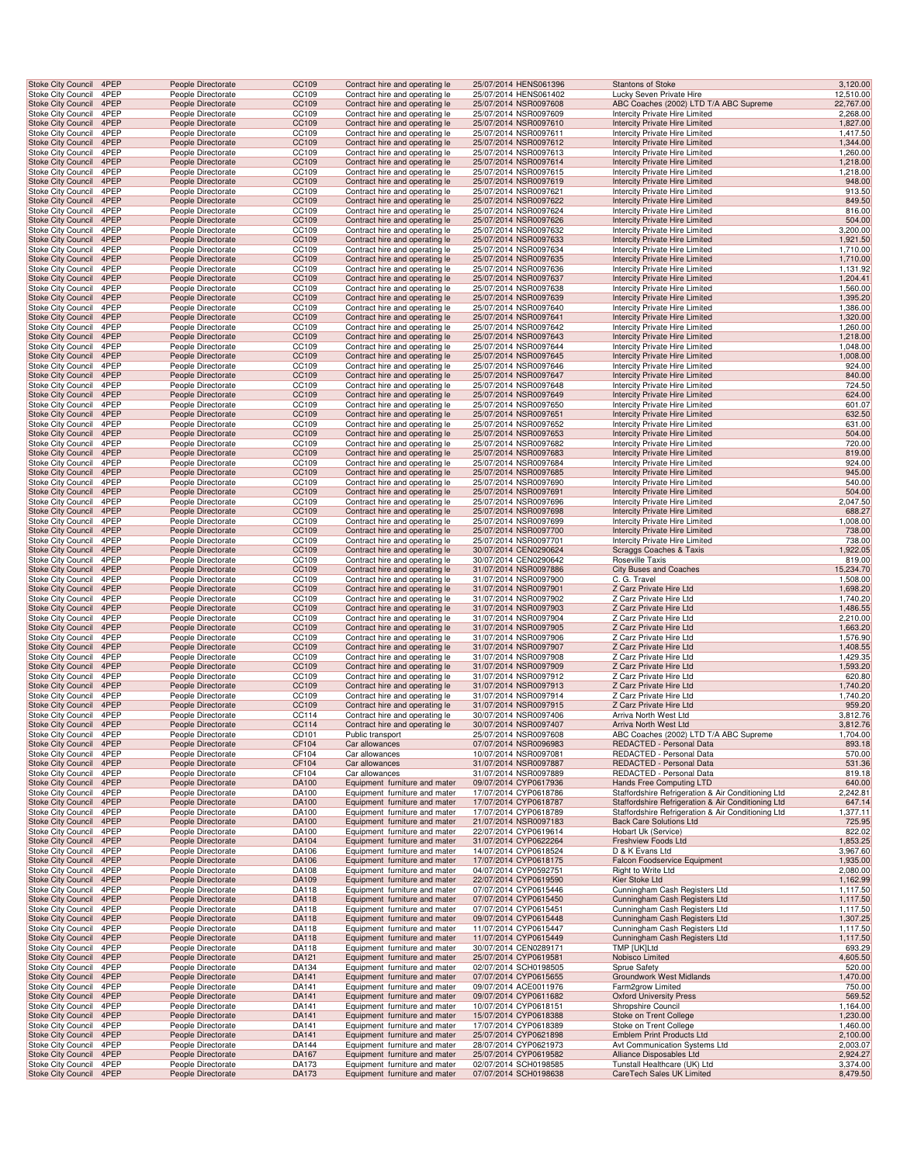| Stoke City Council 4PEP                                |              | People Directorate                       | CC109          | Contract hire and operating le                                   | 25/07/2014 HENS061396                          | <b>Stantons of Stoke</b>                                                       | 3,120.00               |
|--------------------------------------------------------|--------------|------------------------------------------|----------------|------------------------------------------------------------------|------------------------------------------------|--------------------------------------------------------------------------------|------------------------|
| Stoke City Council<br><b>Stoke City Council</b>        | 4PEP<br>4PEP | People Directorate<br>People Directorate | CC109<br>CC109 | Contract hire and operating le<br>Contract hire and operating le | 25/07/2014 HENS061402<br>25/07/2014 NSR0097608 | Lucky Seven Private Hire<br>ABC Coaches (2002) LTD T/A ABC Supreme             | 12,510.00<br>22,767.00 |
| Stoke City Council                                     | 4PEP         | People Directorate                       | CC109          | Contract hire and operating le                                   | 25/07/2014 NSR0097609                          | Intercity Private Hire Limited                                                 | 2,268.00               |
| Stoke City Council 4PEP                                |              | People Directorate                       | CC109          | Contract hire and operating le                                   | 25/07/2014 NSR0097610                          | <b>Intercity Private Hire Limited</b>                                          | 1,827.00               |
| Stoke City Council<br>Stoke City Council               | 4PEP<br>4PEP | People Directorate<br>People Directorate | CC109<br>CC109 | Contract hire and operating le<br>Contract hire and operating le | 25/07/2014 NSR0097611<br>25/07/2014 NSR0097612 | Intercity Private Hire Limited<br>Intercity Private Hire Limited               | 1,417.50<br>1,344.00   |
| Stoke City Council                                     | 4PEP         | People Directorate                       | CC109          | Contract hire and operating le                                   | 25/07/2014 NSR0097613                          | Intercity Private Hire Limited                                                 | 1,260.00               |
| Stoke City Council                                     | 4PEP         | People Directorate                       | CC109          | Contract hire and operating le                                   | 25/07/2014 NSR0097614                          | Intercity Private Hire Limited                                                 | 1,218.00               |
| Stoke City Council<br>Stoke City Council               | 4PEP<br>4PEP | People Directorate<br>People Directorate | CC109<br>CC109 | Contract hire and operating le<br>Contract hire and operating le | 25/07/2014 NSR0097615<br>25/07/2014 NSR0097619 | <b>Intercity Private Hire Limited</b><br>Intercity Private Hire Limited        | 1,218.00<br>948.00     |
| Stoke City Council                                     | 4PEP         | People Directorate                       | CC109          | Contract hire and operating le                                   | 25/07/2014 NSR0097621                          | Intercity Private Hire Limited                                                 | 913.50                 |
| Stoke City Council                                     | 4PEP         | People Directorate                       | CC109          | Contract hire and operating le                                   | 25/07/2014 NSR0097622                          | Intercity Private Hire Limited                                                 | 849.50                 |
| Stoke City Council<br>Stoke City Council 4PEP          | 4PEP         | People Directorate<br>People Directorate | CC109<br>CC109 | Contract hire and operating le<br>Contract hire and operating le | 25/07/2014 NSR0097624<br>25/07/2014 NSR0097626 | Intercity Private Hire Limited<br><b>Intercity Private Hire Limited</b>        | 816.00<br>504.00       |
| Stoke City Council 4PEP                                |              | People Directorate                       | CC109          | Contract hire and operating le                                   | 25/07/2014 NSR0097632                          | Intercity Private Hire Limited                                                 | 3,200.00               |
| <b>Stoke City Council</b>                              | 4PEP         | People Directorate                       | CC109          | Contract hire and operating le                                   | 25/07/2014 NSR0097633                          | <b>Intercity Private Hire Limited</b>                                          | 1,921.50               |
| Stoke City Council<br>Stoke City Council               | 4PEP<br>4PEP | People Directorate<br>People Directorate | CC109<br>CC109 | Contract hire and operating le<br>Contract hire and operating le | 25/07/2014 NSR0097634<br>25/07/2014 NSR0097635 | Intercity Private Hire Limited<br>Intercity Private Hire Limited               | 1,710.00<br>1,710.00   |
| Stoke City Council                                     | 4PEP         | People Directorate                       | CC109          | Contract hire and operating le                                   | 25/07/2014 NSR0097636                          | Intercity Private Hire Limited                                                 | 1,131.92               |
| Stoke City Council                                     | 4PEP         | People Directorate                       | CC109          | Contract hire and operating le                                   | 25/07/2014 NSR0097637                          | Intercity Private Hire Limited                                                 | 1,204.41               |
| Stoke City Council<br>Stoke City Council               | 4PEP<br>4PEP | People Directorate<br>People Directorate | CC109<br>CC109 | Contract hire and operating le<br>Contract hire and operating le | 25/07/2014 NSR0097638<br>25/07/2014 NSR0097639 | Intercity Private Hire Limited<br>Intercity Private Hire Limited               | 1,560.00<br>1,395.20   |
| Stoke City Council                                     | 4PEP         | People Directorate                       | CC109          | Contract hire and operating le                                   | 25/07/2014 NSR0097640                          | Intercity Private Hire Limited                                                 | 1,386.00               |
| Stoke City Council 4PEP                                |              | People Directorate                       | CC109          | Contract hire and operating le                                   | 25/07/2014 NSR0097641                          | Intercity Private Hire Limited                                                 | 1,320.00               |
| Stoke City Council 4PEP                                |              | People Directorate                       | CC109          | Contract hire and operating le                                   | 25/07/2014 NSR0097642                          | Intercity Private Hire Limited                                                 | 1,260.00               |
| Stoke City Council<br>Stoke City Council               | 4PEP<br>4PEP | People Directorate<br>People Directorate | CC109<br>CC109 | Contract hire and operating le<br>Contract hire and operating le | 25/07/2014 NSR0097643<br>25/07/2014 NSR0097644 | Intercity Private Hire Limited<br>Intercity Private Hire Limited               | 1,218.00<br>1,048.00   |
| Stoke City Council                                     | 4PEP         | People Directorate                       | CC109          | Contract hire and operating le                                   | 25/07/2014 NSR0097645                          | Intercity Private Hire Limited                                                 | 1,008.00               |
| Stoke City Council                                     | 4PEP         | People Directorate                       | CC109          | Contract hire and operating le                                   | 25/07/2014 NSR0097646                          | Intercity Private Hire Limited                                                 | 924.00                 |
| Stoke City Council<br>Stoke City Council               | 4PEP<br>4PEP | People Directorate<br>People Directorate | CC109<br>CC109 | Contract hire and operating le<br>Contract hire and operating le | 25/07/2014 NSR0097647<br>25/07/2014 NSR0097648 | <b>Intercity Private Hire Limited</b><br>Intercity Private Hire Limited        | 840.00<br>724.50       |
| Stoke City Council                                     | 4PEP         | People Directorate                       | CC109          | Contract hire and operating le                                   | 25/07/2014 NSR0097649                          | Intercity Private Hire Limited                                                 | 624.00                 |
| Stoke City Council                                     | 4PEP         | People Directorate                       | CC109          | Contract hire and operating le                                   | 25/07/2014 NSR0097650                          | Intercity Private Hire Limited                                                 | 601.07                 |
| Stoke City Council 4PEP<br>Stoke City Council 4PEP     |              | People Directorate<br>People Directorate | CC109<br>CC109 | Contract hire and operating le<br>Contract hire and operating le | 25/07/2014 NSR0097651<br>25/07/2014 NSR0097652 | Intercity Private Hire Limited<br>Intercity Private Hire Limited               | 632.50<br>631.00       |
| <b>Stoke City Council</b>                              | 4PEP         | People Directorate                       | CC109          | Contract hire and operating le                                   | 25/07/2014 NSR0097653                          | Intercity Private Hire Limited                                                 | 504.00                 |
| Stoke City Council                                     | 4PEP         | People Directorate                       | CC109          | Contract hire and operating le                                   | 25/07/2014 NSR0097682                          | Intercity Private Hire Limited                                                 | 720.00                 |
| Stoke City Council<br>Stoke City Council               | 4PEP<br>4PEP | People Directorate<br>People Directorate | CC109<br>CC109 | Contract hire and operating le<br>Contract hire and operating le | 25/07/2014 NSR0097683<br>25/07/2014 NSR0097684 | Intercity Private Hire Limited<br>Intercity Private Hire Limited               | 819.00<br>924.00       |
| Stoke City Council                                     | 4PEP         | People Directorate                       | CC109          | Contract hire and operating le                                   | 25/07/2014 NSR0097685                          | <b>Intercity Private Hire Limited</b>                                          | 945.00                 |
| Stoke City Council                                     | 4PEP         | People Directorate                       | CC109          | Contract hire and operating le                                   | 25/07/2014 NSR0097690                          | Intercity Private Hire Limited                                                 | 540.00                 |
| Stoke City Council                                     | 4PEP<br>4PEP | People Directorate                       | CC109<br>CC109 | Contract hire and operating le                                   | 25/07/2014 NSR0097691                          | Intercity Private Hire Limited<br>Intercity Private Hire Limited               | 504.00                 |
| Stoke City Council<br>Stoke City Council 4PEP          |              | People Directorate<br>People Directorate | CC109          | Contract hire and operating le<br>Contract hire and operating le | 25/07/2014 NSR0097696<br>25/07/2014 NSR0097698 | Intercity Private Hire Limited                                                 | 2,047.50<br>688.27     |
| Stoke City Council                                     | 4PEP         | People Directorate                       | CC109          | Contract hire and operating le                                   | 25/07/2014 NSR0097699                          | Intercity Private Hire Limited                                                 | 1,008.00               |
| Stoke City Council                                     | 4PEP         | People Directorate                       | CC109          | Contract hire and operating le                                   | 25/07/2014 NSR0097700                          | Intercity Private Hire Limited                                                 | 738.00                 |
| Stoke City Council<br>Stoke City Council               | 4PEP<br>4PEP | People Directorate<br>People Directorate | CC109<br>CC109 | Contract hire and operating le<br>Contract hire and operating le | 25/07/2014 NSR0097701<br>30/07/2014 CEN0290624 | Intercity Private Hire Limited<br>Scraggs Coaches & Taxis                      | 738.00<br>1,922.05     |
| Stoke City Council                                     | 4PEP         | People Directorate                       | CC109          | Contract hire and operating le                                   | 30/07/2014 CEN0290642                          | Roseville Taxis                                                                | 819.00                 |
| Stoke City Council                                     | 4PEP         | People Directorate                       | CC109          | Contract hire and operating le                                   | 31/07/2014 NSR0097886                          | <b>City Buses and Coaches</b>                                                  | 15,234.70              |
| Stoke City Council<br>Stoke City Council               | 4PEP<br>4PEP | People Directorate<br>People Directorate | CC109<br>CC109 | Contract hire and operating le<br>Contract hire and operating le | 31/07/2014 NSR0097900<br>31/07/2014 NSR0097901 | C. G. Travel<br>Z Carz Private Hire Ltd                                        | 1,508.00<br>1,698.20   |
| Stoke City Council                                     | 4PEP         | People Directorate                       | CC109          | Contract hire and operating le                                   | 31/07/2014 NSR0097902                          | Z Carz Private Hire Ltd                                                        | 1,740.20               |
| Stoke City Council 4PEP                                |              | People Directorate                       | CC109          | Contract hire and operating le                                   | 31/07/2014 NSR0097903                          | Z Carz Private Hire Ltd                                                        | 1,486.55               |
| Stoke City Council<br>Stoke City Council               | 4PEP<br>4PEP | People Directorate<br>People Directorate | CC109<br>CC109 | Contract hire and operating le<br>Contract hire and operating le | 31/07/2014 NSR0097904<br>31/07/2014 NSR0097905 | Z Carz Private Hire Ltd<br>Z Carz Private Hire Ltd                             | 2,210.00<br>1,663.20   |
| Stoke City Council                                     | 4PEP         | People Directorate                       | CC109          | Contract hire and operating le                                   | 31/07/2014 NSR0097906                          | Z Carz Private Hire Ltd                                                        | 1,576.90               |
| Stoke City Council                                     | 4PEP         | People Directorate                       | CC109          | Contract hire and operating le                                   | 31/07/2014 NSR0097907                          | Z Carz Private Hire Ltd                                                        | 1,408.55               |
| Stoke City Council<br>Stoke City Council               | 4PEP<br>4PEP | People Directorate<br>People Directorate | CC109<br>CC109 | Contract hire and operating le<br>Contract hire and operating le | 31/07/2014 NSR0097908<br>31/07/2014 NSR0097909 | Z Carz Private Hire Ltd<br>Z Carz Private Hire Ltd                             | 1,429.35<br>1,593.20   |
| Stoke City Council                                     | 4PEP         | People Directorate                       | CC109          | Contract hire and operating le                                   | 31/07/2014 NSR0097912                          | Z Carz Private Hire Ltd                                                        | 620.80                 |
| Stoke City Council                                     | 4PEP         | People Directorate                       | CC109          | Contract hire and operating le                                   | 31/07/2014 NSR0097913                          | Z Carz Private Hire Ltd                                                        | 1,740.20               |
| Stoke City Council                                     | 4PEP         | People Directorate                       | CC109          | Contract hire and operating le                                   | 31/07/2014 NSR0097914                          | Z Carz Private Hire Ltd                                                        | 1,740.20               |
| Stoke City Council 4PEP<br>Stoke City Council 4PEP     |              | People Directorate<br>People Directorate | CC109<br>CC114 | Contract hire and operating le<br>Contract hire and operating le | 31/07/2014 NSR0097915<br>30/07/2014 NSR0097406 | Z Carz Private Hire Ltd<br>Arriva North West Ltd                               | 959.20<br>3,812.76     |
| Stoke City Council 4PEP                                |              | People Directorate                       | CC114          | Contract hire and operating le                                   | 30/07/2014 NSR0097407                          | Arriva North West Ltd                                                          | 3,812.76               |
| Stoke City Council                                     | 4PEP         | People Directorate                       | CD101          | Public transport                                                 | 25/07/2014 NSR0097608                          | ABC Coaches (2002) LTD T/A ABC Supreme                                         | 1,704.00               |
| <b>Stoke City Council</b><br><b>Stoke City Council</b> | 4PEP<br>4PEP | People Directorate<br>People Directorate | CF104<br>CF104 | Car allowances<br>Car allowances                                 | 07/07/2014 NSR0096983<br>10/07/2014 NSR0097081 | REDACTED - Personal Data<br>REDACTED - Personal Data                           | 893.18<br>570.00       |
| <b>Stoke City Council</b>                              | 4PEP         | People Directorate                       | CF104          | Car allowances                                                   | 31/07/2014 NSR0097887                          | REDACTED - Personal Data                                                       | 531.36                 |
| Stoke City Council                                     | 4PEP         | People Directorate                       | CF104          | Car allowances                                                   | 31/07/2014 NSR0097889                          | REDACTED - Personal Data                                                       | 819.18                 |
| <b>Stoke City Council</b><br>Stoke City Council        | 4PEP<br>4PEP | People Directorate<br>People Directorate | DA100<br>DA100 | Equipment furniture and mater<br>Equipment furniture and mater   | 09/07/2014 CYP0617936<br>17/07/2014 CYP0618786 | Hands Free Computing LTD<br>Staffordshire Refrigeration & Air Conditioning Ltd | 640.00<br>2,242.81     |
| Stoke City Council 4PEP                                |              | People Directorate                       | DA100          | Equipment furniture and mater                                    | 17/07/2014 CYP0618787                          | Staffordshire Refrigeration & Air Conditioning Ltd                             | 647.14                 |
| Stoke City Council 4PEP                                |              | People Directorate                       | DA100          | Equipment furniture and mater                                    | 17/07/2014 CYP0618789                          | Staffordshire Refrigeration & Air Conditioning Ltd                             | 1,377.11               |
| Stoke City Council                                     | 4PEP<br>4PEP | People Directorate                       | DA100          | Equipment furniture and mater                                    | 21/07/2014 NSR0097183<br>22/07/2014 CYP0619614 | <b>Back Care Solutions Ltd</b><br>Hobart Uk (Service)                          | 725.95<br>822.02       |
| Stoke City Council<br>Stoke City Council               | 4PEP         | People Directorate<br>People Directorate | DA100<br>DA104 | Equipment furniture and mater<br>Equipment furniture and mater   | 31/07/2014 CYP0622264                          | Freshview Foods Ltd                                                            | 1,853.25               |
| <b>Stoke City Council</b>                              | 4PEP         | People Directorate                       | DA106          | Equipment furniture and mater                                    | 14/07/2014 CYP0618524                          | D & K Evans Ltd                                                                | 3,967.60               |
| Stoke City Council<br>Stoke City Council               | 4PEP<br>4PEP | People Directorate<br>People Directorate | DA106<br>DA108 | Equipment furniture and mater<br>Equipment furniture and mater   | 17/07/2014 CYP0618175<br>04/07/2014 CYP0592751 | <b>Falcon Foodservice Equipment</b><br>Right to Write Ltd                      | 1,935.00<br>2,080.00   |
| <b>Stoke City Council</b>                              | 4PEP         | People Directorate                       | DA109          | Equipment furniture and mater                                    | 22/07/2014 CYP0619590                          | Kier Stoke Ltd                                                                 | 1,162.99               |
| Stoke City Council                                     | 4PEP         | People Directorate                       | DA118          | Equipment furniture and mater                                    | 07/07/2014 CYP0615446                          | Cunningham Cash Registers Ltd                                                  | 1,117.50               |
| Stoke City Council 4PEP<br>Stoke City Council 4PEP     |              | People Directorate                       | DA118          | Equipment furniture and mater                                    | 07/07/2014 CYP0615450                          | Cunningham Cash Registers Ltd<br>Cunningham Cash Registers Ltd                 | 1,117.50               |
| Stoke City Council 4PEP                                |              | People Directorate<br>People Directorate | DA118<br>DA118 | Equipment furniture and mater<br>Equipment furniture and mater   | 07/07/2014 CYP0615451<br>09/07/2014 CYP0615448 | Cunningham Cash Registers Ltd                                                  | 1,117.50<br>1,307.25   |
| Stoke City Council                                     | 4PEP         | People Directorate                       | DA118          | Equipment furniture and mater                                    | 11/07/2014 CYP0615447                          | Cunningham Cash Registers Ltd                                                  | 1,117.50               |
| Stoke City Council                                     | 4PEP         | People Directorate                       | DA118          | Equipment furniture and mater                                    | 11/07/2014 CYP0615449                          | Cunningham Cash Registers Ltd                                                  | 1,117.50               |
| <b>Stoke City Council</b><br>Stoke City Council        | 4PEP<br>4PEP | People Directorate<br>People Directorate | DA118<br>DA121 | Equipment furniture and mater<br>Equipment furniture and mater   | 30/07/2014 CEN0289171<br>25/07/2014 CYP0619581 | TMP [UK]Ltd<br>Nobisco Limited                                                 | 693.29<br>4,605.50     |
| Stoke City Council                                     | 4PEP         | People Directorate                       | DA134          | Equipment furniture and mater                                    | 02/07/2014 SCH0198505                          | Sprue Safety                                                                   | 520.00                 |
| <b>Stoke City Council</b>                              | 4PEP         | People Directorate                       | DA141          | Equipment furniture and mater                                    | 07/07/2014 CYP0615655                          | Groundwork West Midlands                                                       | 1,470.00               |
| Stoke City Council<br>Stoke City Council 4PEP          | 4PEP         | People Directorate<br>People Directorate | DA141<br>DA141 | Equipment furniture and mater<br>Equipment furniture and mater   | 09/07/2014 ACE0011976<br>09/07/2014 CYP0611682 | Farm2grow Limited<br><b>Oxford University Press</b>                            | 750.00<br>569.52       |
| Stoke City Council 4PEP                                |              | People Directorate                       | DA141          | Equipment furniture and mater                                    | 10/07/2014 CYP0618151                          | Shropshire Council                                                             | 1,164.00               |
| Stoke City Council 4PEP                                |              | People Directorate                       | DA141          | Equipment furniture and mater                                    | 15/07/2014 CYP0618388                          | Stoke on Trent College                                                         | 1,230.00               |
| Stoke City Council<br>Stoke City Council               | 4PEP<br>4PEP | People Directorate<br>People Directorate | DA141<br>DA141 | Equipment furniture and mater<br>Equipment furniture and mater   | 17/07/2014 CYP0618389<br>25/07/2014 CYP0621898 | Stoke on Trent College<br>Emblem Print Products Ltd                            | 1,460.00<br>2,100.00   |
| Stoke City Council                                     | 4PEP         | People Directorate                       | DA144          | Equipment furniture and mater                                    | 28/07/2014 CYP0621973                          | Avt Communication Systems Ltd                                                  | 2,003.07               |
| Stoke City Council                                     | 4PEP         | People Directorate                       | DA167          | Equipment furniture and mater                                    | 25/07/2014 CYP0619582                          | Alliance Disposables Ltd                                                       | 2,924.27               |
| Stoke City Council                                     | 4PEP         | People Directorate                       | DA173          | Equipment furniture and mater                                    | 02/07/2014 SCH0198585                          | Tunstall Healthcare (UK) Ltd                                                   | 3,374.00               |
| <b>Stoke City Council</b>                              | 4PEP         | People Directorate                       | DA173          | Equipment furniture and mater                                    | 07/07/2014 SCH0198638                          | CareTech Sales UK Limited                                                      | 8,479.50               |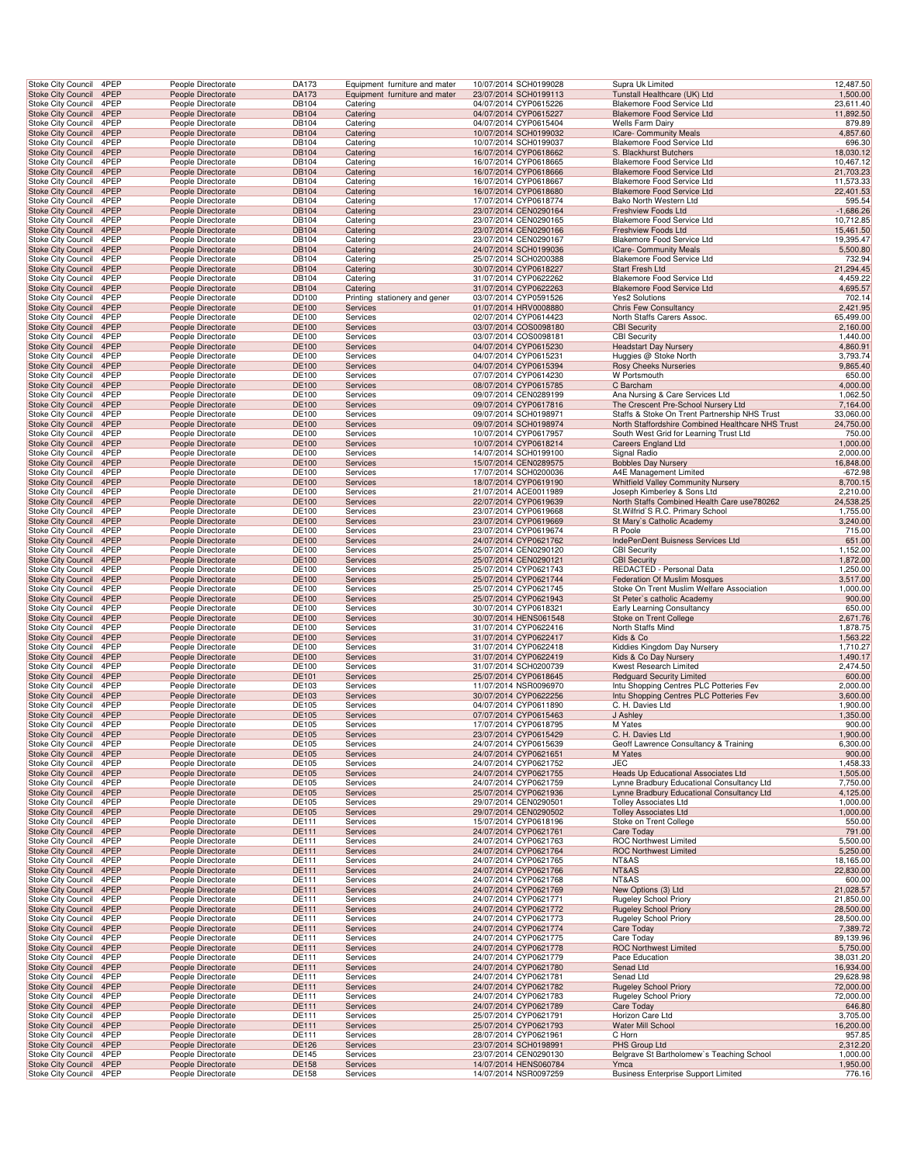| <b>Stoke City Council</b><br>Stoke City Council        | <b>Stoke City Council</b><br>4PEP |                                          | DA173<br>People Directorate |                      | Equipment furniture and mater<br>Supra Uk Limited<br>10/07/2014 SCH0199028                                                 | 12,487.50                                                      |
|--------------------------------------------------------|-----------------------------------|------------------------------------------|-----------------------------|----------------------|----------------------------------------------------------------------------------------------------------------------------|----------------------------------------------------------------|
|                                                        | 4PEP                              | People Directorate                       | DA173                       |                      | Equipment furniture and mater<br>23/07/2014 SCH0199113<br>Tunstall Healthcare (UK) Ltd                                     | 1,500.00                                                       |
| <b>Stoke City Council</b>                              | 4PEP<br>4PEP                      | People Directorate<br>People Directorate | DB104<br>DB104              | Catering<br>Catering | 04/07/2014 CYP0615226<br>Blakemore Food Service Ltd<br>04/07/2014 CYP0615227<br>Blakemore Food Service Ltd                 | 23,611.40<br>11,892.50                                         |
| Stoke City Council                                     | 4PEP                              | People Directorate                       | DB104                       | Catering             | 04/07/2014 CYP0615404<br>Wells Farm Dairy                                                                                  | 879.89                                                         |
| Stoke City Council 4PEP                                |                                   | People Directorate                       | DB104                       | Catering             | 10/07/2014 SCH0199032<br><b>ICare- Community Meals</b>                                                                     | 4,857.60                                                       |
| Stoke City Council                                     | 4PEP                              | People Directorate                       | DB104                       | Catering             | 10/07/2014 SCH0199037<br>Blakemore Food Service Ltd                                                                        | 696.30                                                         |
| Stoke City Council                                     | 4PEP                              | People Directorate                       | DB104                       | Catering             | 16/07/2014 CYP0618662<br>S. Blackhurst Butchers                                                                            | 18,030.12                                                      |
| Stoke City Council<br>Stoke City Council               | 4PEP<br>4PEP                      | People Directorate<br>People Directorate | DB104<br>DB104              | Catering             | 16/07/2014 CYP0618665<br>Blakemore Food Service Ltd<br>16/07/2014 CYP0618666<br>Blakemore Food Service Ltd                 | 10,467.12<br>21,703.23                                         |
| Stoke City Council                                     | 4PEP                              | People Directorate                       | DB104                       | Catering<br>Catering | 16/07/2014 CYP0618667<br>Blakemore Food Service Ltd                                                                        | 11,573.33                                                      |
| <b>Stoke City Council</b>                              | 4PEP                              | People Directorate                       | DB104                       | Catering             | 16/07/2014 CYP0618680<br>Blakemore Food Service Ltd                                                                        | 22,401.53                                                      |
| Stoke City Council                                     | 4PEP                              | People Directorate                       | DB104                       | Catering             | 17/07/2014 CYP0618774<br>Bako North Western Ltd                                                                            | 595.54                                                         |
| Stoke City Council                                     | 4PEP                              | People Directorate                       | DB104                       | Catering             | 23/07/2014 CEN0290164<br>Freshview Foods Ltd                                                                               | $-1,686.26$                                                    |
| Stoke City Council                                     | 4PEP                              | People Directorate                       | DB104                       | Catering             | 23/07/2014 CEN0290165<br>Blakemore Food Service Ltd                                                                        | 10,712.85                                                      |
| Stoke City Council 4PEP                                | 4PEP                              | People Directorate                       | DB104                       | Catering             | 23/07/2014 CEN0290166<br>Freshview Foods Ltd<br>23/07/2014 CEN0290167<br>Blakemore Food Service Ltd                        | 15,461.50<br>19,395.47                                         |
| Stoke City Council<br>Stoke City Council               | 4PEP                              | People Directorate<br>People Directorate | DB104<br><b>DB104</b>       | Catering<br>Catering | 24/07/2014 SCH0199036<br><b>ICare- Community Meals</b>                                                                     | 5,500.80                                                       |
| Stoke City Council                                     | 4PEP                              | People Directorate                       | DB104                       | Catering             | 25/07/2014 SCH0200388<br>Blakemore Food Service Ltd                                                                        | 732.94                                                         |
| Stoke City Council                                     | 4PEP                              | People Directorate                       | DB104                       | Catering             | 30/07/2014 CYP0618227<br>Start Fresh Ltd                                                                                   | 21,294.45                                                      |
| Stoke City Council                                     | 4PEP                              | People Directorate                       | DB104                       | Catering             | 31/07/2014 CYP0622262<br>Blakemore Food Service Ltd                                                                        | 4,459.22                                                       |
| <b>Stoke City Council</b>                              | 4PEP                              | People Directorate                       | DB104                       | Catering             | 31/07/2014 CYP0622263<br>Blakemore Food Service Ltd                                                                        | 4,695.57                                                       |
| Stoke City Council                                     | 4PEP                              | People Directorate                       | DD100                       |                      | 03/07/2014 CYP0591526<br><b>Yes2 Solutions</b><br>Printing stationery and gener                                            | 702.14                                                         |
| Stoke City Council<br>Stoke City Council               | 4PEP<br>4PEP                      | People Directorate<br>People Directorate | <b>DE100</b><br>DE100       | Services<br>Services | 01/07/2014 HRV0008880<br><b>Chris Few Consultancy</b><br>02/07/2014 CYP0614423<br>North Staffs Carers Assoc.               | 2,421.95<br>65,499.00                                          |
| Stoke City Council 4PEP                                |                                   | People Directorate                       | DE100                       | Services             | 03/07/2014 COS0098180<br><b>CBI Security</b>                                                                               | 2,160.00                                                       |
| Stoke City Council                                     | 4PEP                              | People Directorate                       | DE100                       | Services             | 03/07/2014 COS0098181<br><b>CBI Security</b>                                                                               | 1,440.00                                                       |
| Stoke City Council                                     | 4PEP                              | People Directorate                       | DE100                       | Services             | 04/07/2014 CYP0615230<br><b>Headstart Day Nursery</b>                                                                      | 4,860.91                                                       |
| Stoke City Council                                     | 4PEP                              | People Directorate                       | DE100                       | Services             | 04/07/2014 CYP0615231<br>Huggies @ Stoke North                                                                             | 3,793.74                                                       |
| Stoke City Council                                     | 4PEP                              | People Directorate                       | DE100                       | Services             | 04/07/2014 CYP0615394<br>Rosy Cheeks Nurseries                                                                             | 9,865.40                                                       |
| Stoke City Council<br><b>Stoke City Council</b>        | 4PEP<br>4PEP                      | People Directorate<br>People Directorate | DE100<br>DE100              | Services<br>Services | 07/07/2014 CYP0614230<br>W Portsmouth<br>08/07/2014 CYP0615785<br>C Barcham                                                | 650.00<br>4,000.00                                             |
| Stoke City Council                                     | 4PEP                              | People Directorate                       | DE100                       | Services             | 09/07/2014 CEN0289199<br>Ana Nursing & Care Services Ltd                                                                   | 1,062.50                                                       |
| Stoke City Council                                     | 4PEP                              | People Directorate                       | <b>DE100</b>                | <b>Services</b>      | 09/07/2014 CYP0617816<br>The Crescent Pre-School Nursery Ltd                                                               | 7,164.00                                                       |
| Stoke City Council                                     | 4PEP                              | People Directorate                       | DE100                       | Services             | 09/07/2014 SCH0198971                                                                                                      | Staffs & Stoke On Trent Partnership NHS Trust<br>33,060.00     |
| Stoke City Council 4PEP                                |                                   | People Directorate                       | DE100                       | Services             | 09/07/2014 SCH0198974                                                                                                      | North Staffordshire Combined Healthcare NHS Trust<br>24,750.00 |
| Stoke City Council                                     | 4PEP                              | People Directorate                       | DE100                       | Services             | 10/07/2014 CYP0617957<br>South West Grid for Learning Trust Ltd                                                            | 750.00                                                         |
| Stoke City Council<br>Stoke City Council               | 4PEP<br>4PEP                      | People Directorate<br>People Directorate | DE100<br>DE100              | Services<br>Services | 10/07/2014 CYP0618214<br><b>Careers England Ltd</b><br>14/07/2014 SCH0199100<br>Signal Radio                               | 1,000.00<br>2,000.00                                           |
| <b>Stoke City Council</b>                              | 4PEP                              | People Directorate                       | DE100                       | Services             | 15/07/2014 CEN0289575<br><b>Bobbles Day Nursery</b>                                                                        | 16,848.00                                                      |
| Stoke City Council                                     | 4PEP                              | People Directorate                       | DE100                       | Services             | 17/07/2014 SCH0200036<br>A4E Management Limited                                                                            | $-672.98$                                                      |
| <b>Stoke City Council</b>                              | 4PEP                              | People Directorate                       | DE100                       | Services             | 18/07/2014 CYP0619190<br><b>Whitfield Valley Community Nursery</b>                                                         | 8,700.15                                                       |
| <b>Stoke City Council</b>                              | 4PEP                              | People Directorate                       | DE100                       | Services             | 21/07/2014 ACE0011989<br>Joseph Kimberley & Sons Ltd                                                                       | 2,210.00                                                       |
| Stoke City Council                                     | 4PEP                              | People Directorate                       | <b>DE100</b>                | Services             | 22/07/2014 CYP0619639                                                                                                      | North Staffs Combined Health Care use780262<br>24,538.25       |
| Stoke City Council<br>Stoke City Council 4PEP          | 4PEP                              | People Directorate<br>People Directorate | DE100<br>DE100              | Services<br>Services | 23/07/2014 CYP0619668<br>St. Wilfrid'S R.C. Primary School<br>St Mary's Catholic Academy<br>23/07/2014 CYP0619669          | 1,755.00<br>3,240.00                                           |
| Stoke City Council                                     | 4PEP                              | People Directorate                       | DE100                       | Services             | 23/07/2014 CYP0619674<br>R Poole                                                                                           | 715.00                                                         |
| Stoke City Council                                     | 4PEP                              | People Directorate                       | DE100                       | Services             | 24/07/2014 CYP0621762<br>IndePenDent Buisness Services Ltd                                                                 | 651.00                                                         |
| Stoke City Council                                     | 4PEP                              | People Directorate                       | DE100                       | Services             | 25/07/2014 CEN0290120<br><b>CBI Security</b>                                                                               | 1,152.00                                                       |
| Stoke City Council                                     | 4PEP                              | People Directorate                       | DE100                       | Services             | 25/07/2014 CEN0290121<br><b>CBI Security</b>                                                                               | 1,872.00                                                       |
| Stoke City Council                                     | 4PEP                              | People Directorate                       | DE100                       | Services             | REDACTED - Personal Data<br>25/07/2014 CYP0621743                                                                          | 1,250.00                                                       |
| <b>Stoke City Council</b>                              | 4PEP<br>4PEP                      | People Directorate                       | DE100                       | Services             | 25/07/2014 CYP0621744<br>Federation Of Muslim Mosques                                                                      | 3,517.00                                                       |
| Stoke City Council<br>Stoke City Council               | 4PEP                              | People Directorate<br>People Directorate | DE100<br><b>DE100</b>       | Services<br>Services | 25/07/2014 CYP0621745<br>Stoke On Trent Muslim Welfare Association<br>25/07/2014 CYP0621943<br>St Peter's catholic Academy | 1,000.00<br>900.00                                             |
| Stoke City Council                                     | 4PEP                              | People Directorate                       | DE100                       | Services             | 30/07/2014 CYP0618321<br>Early Learning Consultancy                                                                        | 650.00                                                         |
| Stoke City Council 4PEP                                |                                   | People Directorate                       | DE100                       | Services             | 30/07/2014 HENS061548<br>Stoke on Trent College                                                                            | 2,671.76                                                       |
| Stoke City Council                                     | 4PEP                              | People Directorate                       | DE100                       | Services             | 31/07/2014 CYP0622416<br>North Staffs Mind                                                                                 | 1,878.75                                                       |
| Stoke City Council                                     | 4PEP                              | People Directorate                       | DE100                       | Services             | 31/07/2014 CYP0622417<br>Kids & Co                                                                                         | 1,563.22                                                       |
| Stoke City Council<br><b>Stoke City Council</b>        | 4PEP                              | People Directorate                       | DE100                       | Services             | 31/07/2014 CYP0622418<br>Kiddies Kingdom Day Nursery                                                                       | 1,710.27                                                       |
| Stoke City Council                                     | 4PEP<br>4PEP                      | People Directorate                       | DE100<br>DE100              | Services<br>Services | Kids & Co Day Nursery<br>31/07/2014 CYP0622419<br>31/07/2014 SCH0200739<br>Kwest Research Limited                          | 1,490.17<br>2,474.50                                           |
| <b>Stoke City Council</b>                              | 4PEP                              |                                          |                             | Services             | 25/07/2014 CYP0618645<br><b>Redguard Security Limited</b>                                                                  | 600.00                                                         |
| Stoke City Council                                     |                                   | People Directorate                       |                             |                      |                                                                                                                            |                                                                |
|                                                        | 4PEP                              | People Directorate<br>People Directorate | DE101<br>DE103              | Services             | 11/07/2014 NSR0096970                                                                                                      | Intu Shopping Centres PLC Potteries Fev<br>2,000.00            |
| Stoke City Council                                     | 4PEP                              | People Directorate                       | DE103                       | Services             | 30/07/2014 CYP0622256<br>Intu Shopping Centres PLC Potteries Fev                                                           | 3,600.00                                                       |
| Stoke City Council                                     | 4PEP                              | People Directorate                       | DE105                       | Services             | C. H. Davies Ltd<br>04/07/2014 CYP0611890                                                                                  | 1,900.00                                                       |
| Stoke City Council 4PEP                                |                                   | People Directorate                       | DE105                       | Services             | 07/07/2014 CYP0615463<br>J Ashley                                                                                          | 1,350.00                                                       |
| Stoke City Council                                     | 4PEP                              | People Directorate                       | DE105                       | Services             | 17/07/2014 CYP0618795<br>M Yates                                                                                           | 900.00                                                         |
| <b>Stoke City Council</b>                              | 4PEP                              | People Directorate                       | DE105                       | Services             | C. H. Davies Ltd<br>23/07/2014 CYP0615429                                                                                  | 1,900.00                                                       |
| Stoke City Council 4PEP<br><b>Stoke City Council</b>   | 4PEP                              | People Directorate<br>People Directorate | DE105<br>DE105              | Services<br>Services | Geoff Lawrence Consultancy & Training<br>24/07/2014 CYP0615639<br>24/07/2014 CYP0621651<br>M Yates                         | 6,300.00<br>900.00                                             |
| <b>Stoke City Council</b>                              | 4PEP                              | People Directorate                       | DE105                       | Services             | 24/07/2014 CYP0621752<br>JEC                                                                                               | 1,458.33                                                       |
| <b>Stoke City Council</b>                              | 4PEP                              | People Directorate                       | DE105                       | Services             | <b>Heads Up Educational Associates Ltd</b><br>24/07/2014 CYP0621755                                                        | 1,505.00                                                       |
| <b>Stoke City Council</b>                              | 4PEP                              | People Directorate                       | DE105                       | Services             | 24/07/2014 CYP0621759<br>Lynne Bradbury Educational Consultancy Ltd                                                        | 7,750.00                                                       |
| <b>Stoke City Council</b>                              | 4PEP                              | People Directorate                       | DE105                       | Services             | 25/07/2014 CYP0621936<br>Lynne Bradbury Educational Consultancy Ltd<br>29/07/2014 CEN0290501                               | 4,125.00                                                       |
| Stoke City Council<br>Stoke City Council 4PEP          | 4PEP                              | People Directorate<br>People Directorate | DE105<br>DE105              | Services<br>Services | <b>Tolley Associates Ltd</b><br><b>Tolley Associates Ltd</b><br>29/07/2014 CEN0290502                                      | 1,000.00<br>1,000.00                                           |
| Stoke City Council                                     | 4PEP                              | People Directorate                       | DE111                       | Services             | 15/07/2014 CYP0618196<br>Stoke on Trent College                                                                            | 550.00                                                         |
| <b>Stoke City Council</b>                              | 4PEP                              | People Directorate                       | DE111                       | Services             | 24/07/2014 CYP0621761<br>Care Today                                                                                        | 791.00                                                         |
| Stoke City Council                                     | 4PEP                              | People Directorate                       | DE111                       | Services             | 24/07/2014 CYP0621763<br><b>ROC Northwest Limited</b>                                                                      | 5,500.00                                                       |
| <b>Stoke City Council</b>                              | 4PEP                              | People Directorate                       | DE111                       | Services             | <b>ROC Northwest Limited</b><br>24/07/2014 CYP0621764                                                                      | 5,250.00                                                       |
| Stoke City Council                                     | 4PEP                              | People Directorate                       | <b>DE111</b>                | Services             | 24/07/2014 CYP0621765<br>NT&AS                                                                                             | 18,165.00                                                      |
| <b>Stoke City Council</b><br><b>Stoke City Council</b> | 4PEP<br>4PEP                      | People Directorate<br>People Directorate | DE111<br>DE111              | Services<br>Services | NT&AS<br>24/07/2014 CYP0621766<br>24/07/2014 CYP0621768<br>NT&AS                                                           | 22,830.00<br>600.00                                            |
| <b>Stoke City Council</b>                              | 4PEP                              | People Directorate                       | DE111                       | Services             | 24/07/2014 CYP0621769<br>New Options (3) Ltd                                                                               | 21,028.57                                                      |
| Stoke City Council                                     | 4PEP                              | People Directorate                       | DE111                       | Services             | 24/07/2014 CYP0621771<br><b>Rugeley School Priory</b>                                                                      | 21,850.00                                                      |
| Stoke City Council 4PEP                                |                                   | People Directorate                       | DE111                       | Services             | 24/07/2014 CYP0621772<br><b>Rugeley School Priory</b>                                                                      | 28,500.00                                                      |
| Stoke City Council                                     | 4PEP                              | People Directorate                       | DE111                       | Services             | 24/07/2014 CYP0621773<br>Rugeley School Priory                                                                             | 28,500.00                                                      |
| <b>Stoke City Council</b>                              | 4PEP<br>4PEP                      | People Directorate<br>People Directorate | DE111<br>DE111              | Services<br>Services | 24/07/2014 CYP0621774<br>Care Today<br>24/07/2014 CYP0621775<br>Care Today                                                 | 7,389.72                                                       |
| Stoke City Council<br><b>Stoke City Council</b>        | 4PEP                              | People Directorate                       | DE111                       | Services             | 24/07/2014 CYP0621778<br><b>ROC Northwest Limited</b>                                                                      | 89,139.96<br>5,750.00                                          |
| Stoke City Council                                     | 4PEP                              | People Directorate                       | DE111                       | Services             | 24/07/2014 CYP0621779<br>Pace Education                                                                                    | 38,031.20                                                      |
| <b>Stoke City Council</b>                              | 4PEP                              | People Directorate                       | DE111                       | Services             | 24/07/2014 CYP0621780<br>Senad Ltd                                                                                         | 16,934.00                                                      |
| Stoke City Council                                     | 4PEP                              | People Directorate                       | DE111                       | Services             | 24/07/2014 CYP0621781<br>Senad Ltd                                                                                         | 29,628.98                                                      |
| <b>Stoke City Council</b>                              | 4PEP                              | People Directorate                       | DE111                       | Services             | 24/07/2014 CYP0621782<br><b>Rugeley School Priory</b>                                                                      | 72,000.00                                                      |
| Stoke City Council<br>Stoke City Council 4PEP          | 4PEP                              | People Directorate<br>People Directorate | DE111<br>DE111              | Services<br>Services | 24/07/2014 CYP0621783<br>Rugeley School Priory<br>24/07/2014 CYP0621789<br>Care Today                                      | 72,000.00<br>646.80                                            |
| Stoke City Council                                     | 4PEP                              | People Directorate                       | DE111                       | Services             | 25/07/2014 CYP0621791<br>Horizon Care Ltd                                                                                  | 3,705.00                                                       |
| <b>Stoke City Council</b>                              | 4PEP                              | People Directorate                       | DE111                       | Services             | 25/07/2014 CYP0621793<br>Water Mill School                                                                                 | 16,200.00                                                      |
| Stoke City Council                                     | 4PEP                              | People Directorate                       | DE111                       | Services             | 28/07/2014 CYP0621961<br>C Horn                                                                                            | 957.85                                                         |
| Stoke City Council                                     | 4PEP                              | People Directorate                       | DE126                       | Services             | PHS Group Ltd<br>23/07/2014 SCH0198991                                                                                     | 2,312.20                                                       |
| Stoke City Council<br><b>Stoke City Council</b>        | 4PEP<br>4PEP                      | People Directorate<br>People Directorate | <b>DE145</b><br>DE158       | Services<br>Services | Belgrave St Bartholomew's Teaching School<br>23/07/2014 CEN0290130<br>14/07/2014 HENS060784<br>Ymca                        | 1,000.00<br>1,950.00                                           |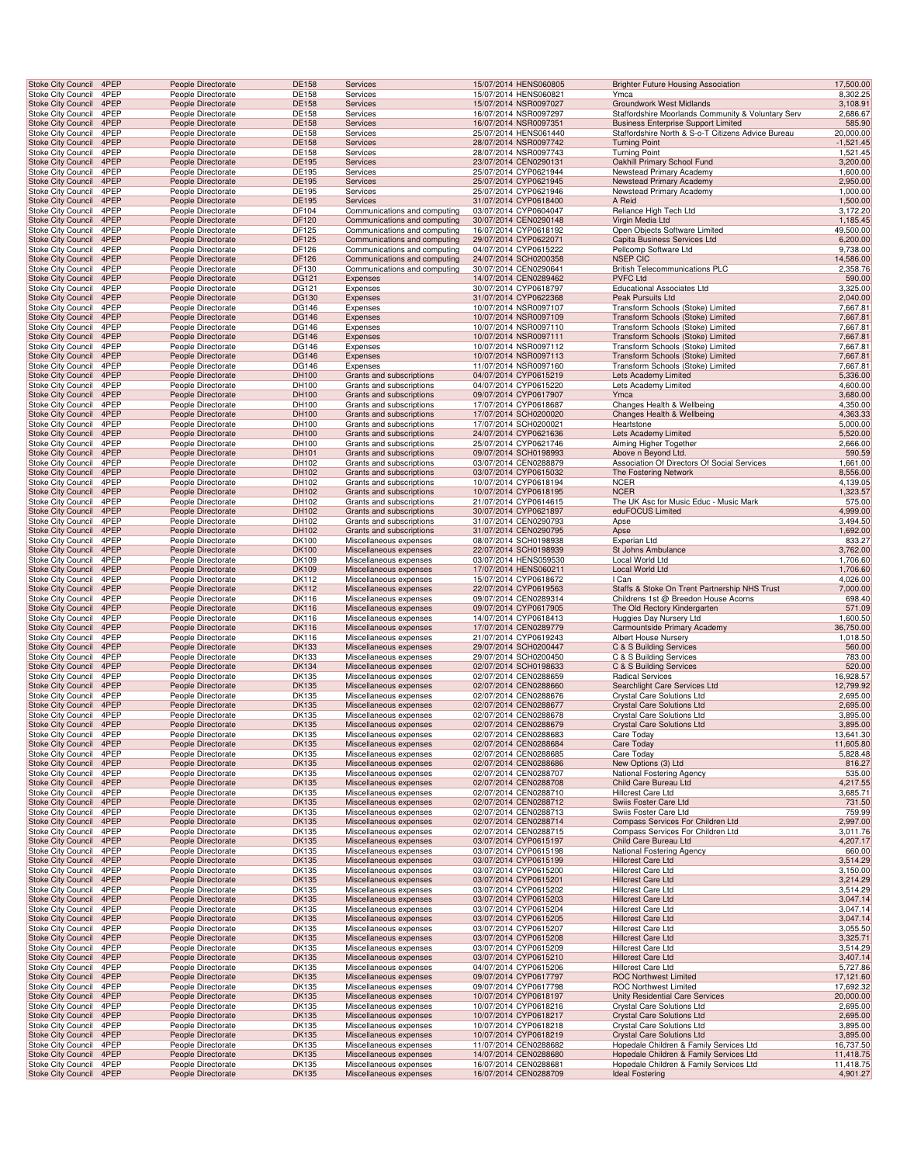| Stoke City Council                              | 4PEP         | People Directorate                       | DE158                 | Services                                           | 15/07/2014 HENS060805                          | <b>Brighter Future Housing Association</b>                                         | 17,500.00              |
|-------------------------------------------------|--------------|------------------------------------------|-----------------------|----------------------------------------------------|------------------------------------------------|------------------------------------------------------------------------------------|------------------------|
| Stoke City Council                              | 4PEP         | People Directorate                       | DE158                 | Services                                           | 15/07/2014 HENS060821                          | Ymca                                                                               | 8,302.25               |
| <b>Stoke City Council</b>                       | 4PEP         | People Directorate                       | <b>DE158</b>          | <b>Services</b>                                    | 15/07/2014 NSR0097027                          | <b>Groundwork West Midlands</b>                                                    | 3,108.91               |
| Stoke City Council                              | 4PEP         | People Directorate                       | DE158                 | Services                                           | 16/07/2014 NSR0097297                          | Staffordshire Moorlands Community & Voluntary Serv                                 | 2,686.67               |
| Stoke City Council 4PEP                         |              | People Directorate                       | DE158                 | Services                                           | 16/07/2014 NSR0097351                          | <b>Business Enterprise Support Limited</b>                                         | 585.90                 |
| <b>Stoke City Council</b>                       | 4PEP         | People Directorate                       | DE158                 | Services                                           | 25/07/2014 HENS061440                          | Staffordshire North & S-o-T Citizens Advice Bureau                                 | 20,000.00              |
| Stoke City Council                              | 4PEP         | People Directorate                       | <b>DE158</b>          | Services                                           | 28/07/2014 NSR0097742                          | <b>Turning Point</b>                                                               | $-1,521.45$            |
| Stoke City Council                              | 4PEP         | People Directorate                       | DE158                 | Services                                           | 28/07/2014 NSR0097743                          | <b>Turning Point</b>                                                               | 1,521.45               |
| <b>Stoke City Council</b>                       | 4PEP         | People Directorate                       | DE195                 | Services                                           | 23/07/2014 CEN0290131                          | Oakhill Primary School Fund                                                        | 3,200.00               |
| Stoke City Council                              | 4PEP         | People Directorate                       | DE195                 | Services                                           | 25/07/2014 CYP0621944                          | Newstead Primary Academy                                                           | 1,600.00               |
| Stoke City Council                              | 4PEP         | People Directorate                       | DE195                 | Services                                           | 25/07/2014 CYP0621945                          | <b>Newstead Primary Academy</b>                                                    | 2,950.00               |
| Stoke City Council                              | 4PEP         | People Directorate                       | DE195                 | Services                                           | 25/07/2014 CYP0621946                          | Newstead Primary Academy                                                           | 1,000.00               |
| <b>Stoke City Council</b>                       | 4PEP         | People Directorate                       | DE195                 | <b>Services</b>                                    | 31/07/2014 CYP0618400                          | A Reid                                                                             | 1,500.00               |
| Stoke City Council                              | 4PEP         | People Directorate                       | DF104                 | Communications and computing                       | 03/07/2014 CYP0604047                          | Reliance High Tech Ltd                                                             | 3,172.20               |
| Stoke City Council                              | 4PEP         | People Directorate                       | DF120                 | Communications and computing                       | 30/07/2014 CEN0290148                          | Virgin Media Ltd                                                                   | 1,185.45               |
| Stoke City Council                              | 4PEP         | People Directorate                       | DF125                 | Communications and computing                       | 16/07/2014 CYP0618192                          | Open Objects Software Limited                                                      | 49,500.00              |
| Stoke City Council                              | 4PEP         | People Directorate                       | DF125                 | Communications and computing                       | 29/07/2014 CYP0622071                          | Capita Business Services Ltd                                                       | 6,200.00               |
| <b>Stoke City Council</b>                       | 4PEP         | People Directorate                       | DF126                 | Communications and computing                       | 04/07/2014 CYP0615222                          | Pellcomp Software Ltd                                                              | 9,738.00               |
|                                                 | 4PEP         |                                          | DF126                 |                                                    | 24/07/2014 SCH0200358                          | <b>NSEP CIC</b>                                                                    | 14,586.00              |
| Stoke City Council<br>Stoke City Council        | 4PEP         | People Directorate                       | DF130                 | Communications and computing                       | 30/07/2014 CEN0290641                          | <b>British Telecommunications PLC</b>                                              | 2,358.76               |
|                                                 | 4PEP         | People Directorate                       | DG121                 | Communications and computing                       | 14/07/2014 CEN0289462                          | <b>PVFC Ltd</b>                                                                    | 590.00                 |
| Stoke City Council                              | 4PEP         | People Directorate                       |                       | Expenses                                           |                                                |                                                                                    | 3,325.00               |
| Stoke City Council                              |              | People Directorate                       | DG121                 | Expenses                                           | 30/07/2014 CYP0618797                          | <b>Educational Associates Ltd</b>                                                  |                        |
| <b>Stoke City Council</b>                       | 4PEP<br>4PEP | People Directorate                       | DG130                 | Expenses                                           | 31/07/2014 CYP0622368                          | Peak Pursuits Ltd                                                                  | 2,040.00               |
| Stoke City Council                              | 4PEP         | People Directorate                       | DG146                 | Expenses                                           | 10/07/2014 NSR0097107                          | Transform Schools (Stoke) Limited                                                  | 7,667.81               |
| Stoke City Council                              | 4PEP         | People Directorate                       | <b>DG146</b>          | Expenses                                           | 10/07/2014 NSR0097109                          | Transform Schools (Stoke) Limited                                                  | 7,667.81               |
| Stoke City Council                              |              | People Directorate                       | DG146                 | Expenses                                           | 10/07/2014 NSR0097110                          | Transform Schools (Stoke) Limited                                                  | 7,667.81               |
| Stoke City Council                              | 4PEP         | People Directorate                       | <b>DG146</b>          | Expenses                                           | 10/07/2014 NSR0097111                          | Transform Schools (Stoke) Limited                                                  | 7,667.81               |
| Stoke City Council                              | 4PEP         | People Directorate                       | DG146                 | Expenses                                           | 10/07/2014 NSR0097112                          | Transform Schools (Stoke) Limited                                                  | 7,667.81               |
| Stoke City Council                              | 4PEP         | People Directorate                       | DG146                 | Expenses                                           | 10/07/2014 NSR0097113                          | Transform Schools (Stoke) Limited                                                  | 7,667.81               |
| Stoke City Council                              | 4PEP         | People Directorate                       | DG146                 | Expenses                                           | 11/07/2014 NSR0097160                          | Transform Schools (Stoke) Limited                                                  | 7,667.81               |
| Stoke City Council                              | 4PEP         | People Directorate                       | DH100                 | Grants and subscriptions                           | 04/07/2014 CYP0615219                          | Lets Academy Limited                                                               | 5,336.00               |
| Stoke City Council                              | 4PEP         | People Directorate                       | DH100                 | Grants and subscriptions                           | 04/07/2014 CYP0615220                          | Lets Academy Limited                                                               | 4,600.00               |
| <b>Stoke City Council</b>                       | 4PEP         | People Directorate                       | DH100                 | Grants and subscriptions                           | 09/07/2014 CYP0617907                          | Ymca                                                                               | 3,680.00               |
| Stoke City Council                              | 4PEP<br>4PEP | People Directorate                       | DH100                 | Grants and subscriptions                           | 17/07/2014 CYP0618687                          | Changes Health & Wellbeing                                                         | 4,350.00               |
| Stoke City Council                              | 4PEP         | People Directorate                       | DH100                 | Grants and subscriptions                           | 17/07/2014 SCH0200020<br>17/07/2014 SCH0200021 | Changes Health & Wellbeing<br>Heartstone                                           | 4,363.33               |
| Stoke City Council                              |              | People Directorate                       | DH100                 | Grants and subscriptions                           |                                                |                                                                                    | 5,000.00               |
| Stoke City Council                              | 4PEP         | People Directorate                       | DH100                 | Grants and subscriptions                           | 24/07/2014 CYP0621636                          | Lets Academy Limited                                                               | 5,520.00               |
| <b>Stoke City Council</b>                       | 4PEP<br>4PEP | People Directorate                       | DH100                 | Grants and subscriptions                           | 25/07/2014 CYP0621746<br>09/07/2014 SCH0198993 | Aiming Higher Together                                                             | 2,666.00               |
| Stoke City Council                              |              | People Directorate                       | DH101                 | Grants and subscriptions                           |                                                | Above n Beyond Ltd.                                                                | 590.59                 |
| Stoke City Council                              | 4PEP         | People Directorate                       | DH102                 | Grants and subscriptions                           | 03/07/2014 CEN0288879                          | Association Of Directors Of Social Services                                        | 1,661.00               |
| Stoke City Council                              | 4PEP         | People Directorate                       | DH102                 | Grants and subscriptions                           | 03/07/2014 CYP0615032                          | The Fostering Network                                                              | 8,556.00               |
| Stoke City Council                              | 4PEP         | People Directorate                       | DH102                 | Grants and subscriptions                           | 10/07/2014 CYP0618194                          | <b>NCER</b>                                                                        | 4,139.05               |
| <b>Stoke City Council</b>                       | 4PEP         | People Directorate                       | DH102                 | Grants and subscriptions                           | 10/07/2014 CYP0618195                          | <b>NCER</b><br>The UK Asc for Music Educ - Music Mark                              | 1,323.57               |
| Stoke City Council                              | 4PEP         | People Directorate                       | DH102                 | Grants and subscriptions                           | 21/07/2014 CYP0614615                          |                                                                                    | 575.00                 |
| Stoke City Council 4PEP                         | 4PEP         | People Directorate                       | DH102                 | Grants and subscriptions                           | 30/07/2014 CYP0621897                          | eduFOCUS Limited                                                                   | 4,999.00               |
| Stoke City Council                              |              | People Directorate                       | DH102                 | Grants and subscriptions                           | 31/07/2014 CEN0290793                          | Apse                                                                               | 3,494.50               |
| Stoke City Council                              | 4PEP<br>4PEP | People Directorate                       | DH102                 | Grants and subscriptions<br>Miscellaneous expenses | 31/07/2014 CEN0290795                          | Apse<br>Experian Ltd                                                               | 1,692.00               |
| Stoke City Council                              | 4PEP         | People Directorate                       | DK100<br><b>DK100</b> |                                                    | 08/07/2014 SCH0198938<br>22/07/2014 SCH0198939 | St Johns Ambulance                                                                 | 833.27<br>3,762.00     |
| Stoke City Council                              | 4PEP         | People Directorate                       |                       | Miscellaneous expenses                             |                                                |                                                                                    |                        |
| Stoke City Council                              | 4PEP         | People Directorate                       | DK109<br><b>DK109</b> | Miscellaneous expenses                             | 03/07/2014 HENS059530<br>17/07/2014 HENS060211 | Local World Ltd<br>Local World Ltd                                                 | 1,706.60               |
| Stoke City Council                              | 4PEP         | People Directorate                       |                       | Miscellaneous expenses                             |                                                | I Can                                                                              | 1,706.60               |
| Stoke City Council                              | 4PEP         | People Directorate                       | DK112<br><b>DK112</b> | Miscellaneous expenses                             | 15/07/2014 CYP0618672<br>22/07/2014 CYP0619563 |                                                                                    | 4,026.00               |
| <b>Stoke City Council</b>                       |              | People Directorate                       |                       | Miscellaneous expenses                             |                                                | Staffs & Stoke On Trent Partnership NHS Trust                                      | 7,000.00               |
| Stoke City Council                              | 4PEP         | People Directorate                       | DK116                 | Miscellaneous expenses                             | 09/07/2014 CEN0289314                          | Childrens 1st @ Breedon House Acorns                                               | 698.40                 |
| Stoke City Council 4PEP                         |              | People Directorate                       | <b>DK116</b>          | Miscellaneous expenses                             | 09/07/2014 CYP0617905                          | The Old Rectory Kindergarten                                                       | 571.09                 |
| Stoke City Council                              | 4PEP         | People Directorate                       | DK116                 | Miscellaneous expenses                             | 14/07/2014 CYP0618413                          | Huggies Day Nursery Ltd                                                            | 1,600.50               |
| Stoke City Council                              | 4PEP         | People Directorate                       | <b>DK116</b>          | Miscellaneous expenses                             | 17/07/2014 CEN0289779                          | Carmountside Primary Academy                                                       | 36,750.00              |
| Stoke City Council                              | 4PEP         | People Directorate                       | DK116                 | Miscellaneous expenses                             | 21/07/2014 CYP0619243                          | Albert House Nursery                                                               | 1,018.50               |
| Stoke City Council                              | 4PEP         | People Directorate                       | <b>DK133</b>          | Miscellaneous expenses                             | 29/07/2014 SCH0200447                          | C & S Building Services                                                            | 560.00                 |
| Stoke City Council                              | 4PEP         | People Directorate                       | DK133                 | Miscellaneous expenses                             | 29/07/2014 SCH0200450                          | C & S Building Services                                                            | 783.00                 |
| Stoke City Council                              | 4PEP         | People Directorate                       | <b>DK134</b>          | Miscellaneous expenses                             | 02/07/2014 SCH0198633                          | C & S Building Services                                                            | 520.00                 |
| Stoke City Council                              | 4PEP         | People Directorate                       | DK135                 | Miscellaneous expenses                             | 02/07/2014 CEN0288659                          | <b>Radical Services</b>                                                            | 16,928.57              |
| <b>Stoke City Council</b>                       | 4PEP         | People Directorate                       | <b>DK135</b>          | Miscellaneous expenses                             | 02/07/2014 CEN0288660                          | Searchlight Care Services Ltd                                                      | 12,799.92              |
| Stoke City Council                              | 4PEP         | People Directorate                       | DK135                 | Miscellaneous expenses                             | 02/07/2014 CEN0288676                          | Crystal Care Solutions Ltd                                                         | 2,695.00               |
| Stoke City Council 4PEP                         |              | People Directorate                       | <b>DK135</b>          | Miscellaneous expenses                             | 02/07/2014 CEN0288677                          | <b>Crystal Care Solutions Ltd</b>                                                  | 2,695.00               |
| Stoke City Council                              | 4PEP         | People Directorate                       | DK135                 | Miscellaneous expenses                             | 02/07/2014 CEN0288678<br>02/07/2014 CEN0288679 | Crystal Care Solutions Ltd                                                         | 3,895.00               |
| Stoke City Council 4PEP                         |              | People Directorate                       | <b>DK135</b>          | Miscellaneous expenses                             |                                                | <b>Crystal Care Solutions Ltd</b>                                                  | 3,895.00               |
| <b>Stoke City Council</b>                       | 4PEP         | People Directorate                       | DK135                 | Miscellaneous expenses                             | 02/07/2014 CEN0288683                          | Care Today                                                                         | 13,641.30              |
| Stoke City Council 4PEP                         |              | People Directorate                       | <b>DK135</b>          | Miscellaneous expenses                             | 02/07/2014 CEN0288684                          | Care Today                                                                         | 11,605.80              |
| Stoke City Council                              | 4PEP         | People Directorate<br>People Directorate | DK135                 | Miscellaneous expenses<br>Miscellaneous expenses   | 02/07/2014 CEN0288685<br>02/07/2014 CEN0288686 | Care Today                                                                         | 5,828.48               |
| <b>Stoke City Council</b>                       | 4PEP         | People Directorate                       | <b>DK135</b>          | Miscellaneous expenses                             |                                                | New Options (3) Ltd                                                                | 816.27<br>535.00       |
| Stoke City Council<br><b>Stoke City Council</b> | 4PEP<br>4PEP | People Directorate                       | DK135                 | Miscellaneous expenses                             | 02/07/2014 CEN0288707<br>02/07/2014 CEN0288708 | National Fostering Agency                                                          |                        |
|                                                 | 4PEP         | People Directorate                       | <b>DK135</b><br>DK135 | Miscellaneous expenses                             |                                                | Child Care Bureau Ltd<br>Hillcrest Care Ltd                                        | 4,217.55<br>3,685.71   |
| Stoke City Council<br>Stoke City Council 4PEP   |              | People Directorate                       | <b>DK135</b>          | Miscellaneous expenses                             | 02/07/2014 CEN0288710<br>02/07/2014 CEN0288712 | Swiis Foster Care Ltd                                                              | 731.50                 |
| Stoke City Council                              | 4PEP         | People Directorate                       | DK135                 | Miscellaneous expenses                             | 02/07/2014 CEN0288713                          | Swiis Foster Care Ltd                                                              | 759.99                 |
|                                                 | 4PEP         | People Directorate                       | <b>DK135</b>          | Miscellaneous expenses                             | 02/07/2014 CEN0288714                          | Compass Services For Children Ltd                                                  | 2,997.00               |
| Stoke City Council                              | 4PEP         |                                          |                       | Miscellaneous expenses                             |                                                |                                                                                    |                        |
| Stoke City Council<br><b>Stoke City Council</b> | 4PEP         | People Directorate                       | DK135                 |                                                    | 02/07/2014 CEN0288715                          | Compass Services For Children Ltd<br>Child Care Bureau Ltd                         | 3,011.76               |
| Stoke City Council                              | 4PEP         | People Directorate<br>People Directorate | <b>DK135</b><br>DK135 | Miscellaneous expenses<br>Miscellaneous expenses   | 03/07/2014 CYP0615197<br>03/07/2014 CYP0615198 | National Fostering Agency                                                          | 4,207.17<br>660.00     |
| <b>Stoke City Council</b>                       | 4PEP         | People Directorate                       | <b>DK135</b>          | Miscellaneous expenses                             | 03/07/2014 CYP0615199                          | Hillcrest Care Ltd                                                                 | 3,514.29               |
| Stoke City Council                              | 4PEP         | People Directorate                       |                       | Miscellaneous expenses                             | 03/07/2014 CYP0615200                          | Hillcrest Care Ltd                                                                 | 3,150.00               |
| <b>Stoke City Council</b>                       | 4PEP         |                                          | DK135                 | Miscellaneous expenses                             | 03/07/2014 CYP0615201                          | Hillcrest Care Ltd                                                                 | 3,214.29               |
| Stoke City Council                              |              |                                          |                       |                                                    |                                                |                                                                                    |                        |
| Stoke City Council 4PEP                         |              | People Directorate                       | <b>DK135</b>          |                                                    |                                                |                                                                                    |                        |
|                                                 | 4PEP         | People Directorate                       | DK135                 | Miscellaneous expenses                             | 03/07/2014 CYP0615202                          | Hillcrest Care Ltd                                                                 | 3,514.29               |
|                                                 |              | People Directorate                       | <b>DK135</b>          | Miscellaneous expenses                             | 03/07/2014 CYP0615203                          | Hillcrest Care Ltd                                                                 | 3,047.14               |
| Stoke City Council                              | 4PEP         | People Directorate                       | DK135                 | Miscellaneous expenses                             | 03/07/2014 CYP0615204                          | Hillcrest Care Ltd                                                                 | 3,047.14               |
| <b>Stoke City Council</b>                       | 4PEP         | People Directorate                       | <b>DK135</b>          | Miscellaneous expenses                             | 03/07/2014 CYP0615205                          | Hillcrest Care Ltd                                                                 | 3,047.14               |
| Stoke City Council                              | 4PEP         | People Directorate                       | DK135                 | Miscellaneous expenses                             | 03/07/2014 CYP0615207                          | Hillcrest Care Ltd                                                                 | 3,055.50               |
| Stoke City Council                              | 4PEP         | People Directorate                       | <b>DK135</b>          | Miscellaneous expenses                             | 03/07/2014 CYP0615208                          | Hillcrest Care Ltd                                                                 | 3,325.71               |
| Stoke City Council                              | 4PEP         | People Directorate                       | DK135                 | Miscellaneous expenses                             | 03/07/2014 CYP0615209                          | Hillcrest Care Ltd                                                                 | 3,514.29               |
| <b>Stoke City Council</b>                       | 4PEP         | People Directorate                       | <b>DK135</b>          | Miscellaneous expenses                             | 03/07/2014 CYP0615210                          | Hillcrest Care Ltd                                                                 | 3,407.14               |
| Stoke City Council                              | 4PEP         | People Directorate                       | DK135                 | Miscellaneous expenses                             | 04/07/2014 CYP0615206                          | Hillcrest Care Ltd                                                                 | 5,727.86               |
| <b>Stoke City Council</b>                       | 4PEP         | People Directorate                       | <b>DK135</b>          | Miscellaneous expenses                             | 09/07/2014 CYP0617797                          | <b>ROC Northwest Limited</b>                                                       | 17,121.60              |
| Stoke City Council                              | 4PEP         | People Directorate                       | DK135                 | Miscellaneous expenses                             | 09/07/2014 CYP0617798                          | <b>ROC Northwest Limited</b>                                                       | 17,692.32              |
| Stoke City Council 4PEP                         |              | People Directorate                       | <b>DK135</b>          | Miscellaneous expenses                             | 10/07/2014 CYP0618197                          | Unity Residential Care Services                                                    | 20,000.00              |
| Stoke City Council                              | 4PEP         | People Directorate                       | DK135                 | Miscellaneous expenses                             | 10/07/2014 CYP0618216                          | Crystal Care Solutions Ltd                                                         | 2,695.00               |
| Stoke City Council                              | 4PEP         | People Directorate                       | <b>DK135</b>          | Miscellaneous expenses                             | 10/07/2014 CYP0618217                          | <b>Crystal Care Solutions Ltd</b>                                                  | 2,695.00               |
| Stoke City Council                              | 4PEP         | People Directorate                       | DK135                 | Miscellaneous expenses                             | 10/07/2014 CYP0618218                          | Crystal Care Solutions Ltd                                                         | 3,895.00               |
| Stoke City Council                              | 4PEP<br>4PEP | People Directorate                       | <b>DK135</b>          | Miscellaneous expenses                             | 10/07/2014 CYP0618219                          | <b>Crystal Care Solutions Ltd</b>                                                  | 3,895.00               |
| Stoke City Council                              |              | People Directorate                       | DK135                 | Miscellaneous expenses                             | 11/07/2014 CEN0288682                          | Hopedale Children & Family Services Ltd                                            | 16,737.50              |
| <b>Stoke City Council</b><br>Stoke City Council | 4PEP<br>4PEP | People Directorate<br>People Directorate | <b>DK135</b><br>DK135 | Miscellaneous expenses<br>Miscellaneous expenses   | 14/07/2014 CEN0288680<br>16/07/2014 CEN0288681 | Hopedale Children & Family Services Ltd<br>Hopedale Children & Family Services Ltd | 11,418.75<br>11,418.75 |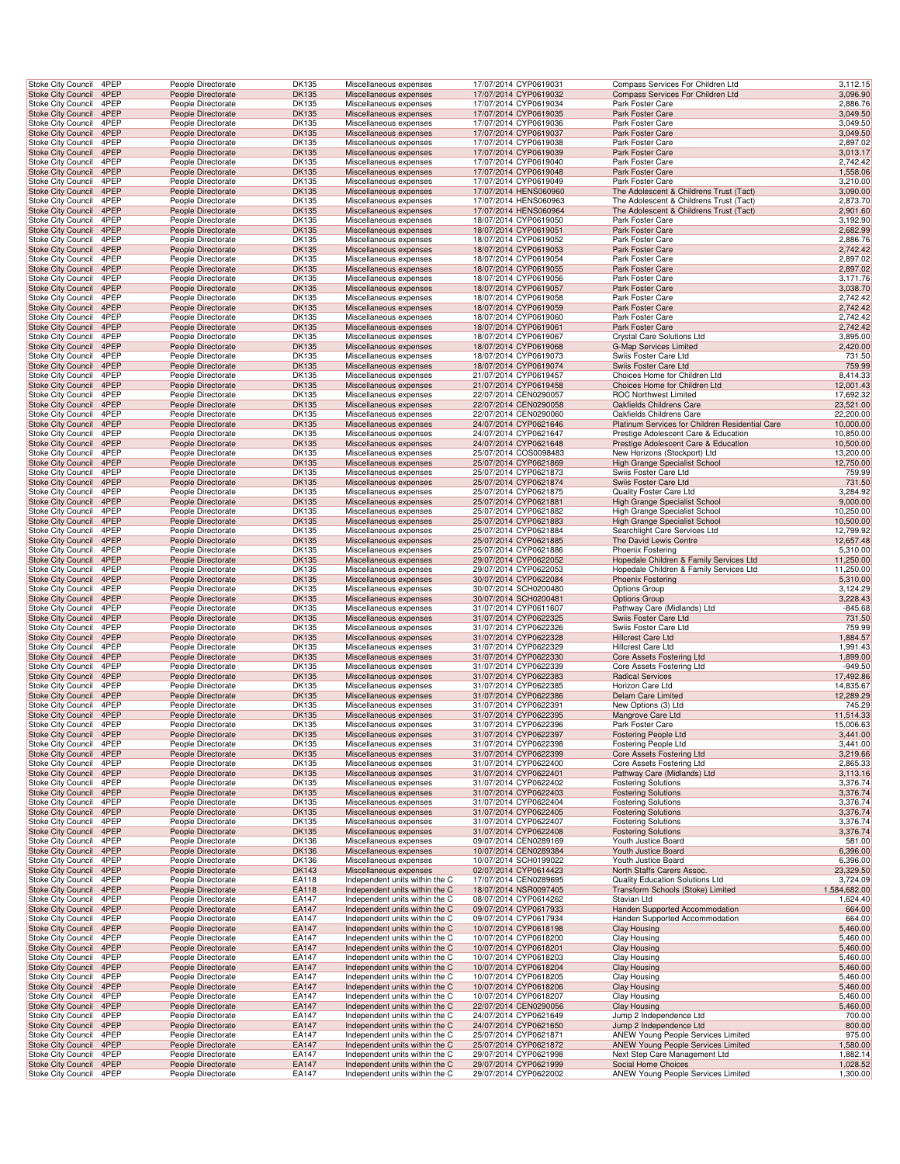|                                                        | Stoke City Council        | 4PEP         | People Directorate                       | DK135                 | Miscellaneous expenses                                           | 17/07/2014 CYP0619031                          | Compass Services For Children Ltd                                        | 3,112.15               |
|--------------------------------------------------------|---------------------------|--------------|------------------------------------------|-----------------------|------------------------------------------------------------------|------------------------------------------------|--------------------------------------------------------------------------|------------------------|
| <b>Stoke City Council</b>                              |                           | 4PEP         | People Directorate                       | <b>DK135</b>          | Miscellaneous expenses                                           | 17/07/2014 CYP0619032                          | Compass Services For Children Ltd                                        | 3,096.90               |
| <b>Stoke City Council</b>                              |                           | 4PEP         | People Directorate                       | DK135                 | Miscellaneous expenses                                           | 17/07/2014 CYP0619034                          | Park Foster Care                                                         | 2,886.76               |
| <b>Stoke City Council</b>                              |                           | 4PEP         | People Directorate                       | <b>DK135</b>          | Miscellaneous expenses                                           | 17/07/2014 CYP0619035                          | Park Foster Care                                                         | 3,049.50               |
| <b>Stoke City Council</b>                              |                           | 4PEP         | People Directorate                       | DK135                 | Miscellaneous expenses                                           | 17/07/2014 CYP0619036                          | Park Foster Care                                                         | 3,049.50               |
| <b>Stoke City Council</b>                              |                           | 4PEP         | People Directorate                       | <b>DK135</b>          | Miscellaneous expenses                                           | 17/07/2014 CYP0619037                          | Park Foster Care                                                         | 3,049.50               |
| Stoke City Council<br><b>Stoke City Council</b>        |                           | 4PEP<br>4PEP | People Directorate                       | DK135<br><b>DK135</b> | Miscellaneous expenses<br>Miscellaneous expenses                 | 17/07/2014 CYP0619038<br>17/07/2014 CYP0619039 | Park Foster Care<br>Park Foster Care                                     | 2,897.02<br>3,013.17   |
| Stoke City Council                                     |                           | 4PEP         | People Directorate<br>People Directorate | DK135                 | Miscellaneous expenses                                           | 17/07/2014 CYP0619040                          | Park Foster Care                                                         | 2,742.42               |
| <b>Stoke City Council</b>                              |                           | 4PEP         | People Directorate                       | <b>DK135</b>          | Miscellaneous expenses                                           | 17/07/2014 CYP0619048                          | <b>Park Foster Care</b>                                                  | 1,558.06               |
| Stoke City Council                                     |                           | 4PEP         | People Directorate                       | DK135                 | Miscellaneous expenses                                           | 17/07/2014 CYP0619049                          | Park Foster Care                                                         | 3,210.00               |
| <b>Stoke City Council</b>                              |                           | 4PEP         | People Directorate                       | <b>DK135</b>          | Miscellaneous expenses                                           | 17/07/2014 HENS060960                          | The Adolescent & Childrens Trust (Tact)                                  | 3,090.00               |
| <b>Stoke City Council</b>                              |                           | 4PEP         | People Directorate                       | DK135                 | Miscellaneous expenses                                           | 17/07/2014 HENS060963                          | The Adolescent & Childrens Trust (Tact)                                  | 2,873.70               |
| <b>Stoke City Council</b>                              |                           | 4PEP         | People Directorate                       | <b>DK135</b>          | Miscellaneous expenses                                           | 17/07/2014 HENS060964                          | The Adolescent & Childrens Trust (Tact)                                  | 2,901.60               |
| <b>Stoke City Council</b>                              |                           | 4PEP         | People Directorate                       | DK135                 | Miscellaneous expenses                                           | 18/07/2014 CYP0619050                          | Park Foster Care                                                         | 3,192.90               |
| <b>Stoke City Council</b>                              |                           | 4PEP         | People Directorate                       | <b>DK135</b>          | Miscellaneous expenses                                           | 18/07/2014 CYP0619051                          | Park Foster Care                                                         | 2,682.99               |
| Stoke City Council                                     |                           | 4PEP         | People Directorate                       | DK135                 | Miscellaneous expenses                                           | 18/07/2014 CYP0619052                          | Park Foster Care                                                         | 2,886.76               |
| <b>Stoke City Council</b>                              |                           | 4PEP         | People Directorate                       | <b>DK135</b>          | Miscellaneous expenses                                           | 18/07/2014 CYP0619053                          | Park Foster Care                                                         | 2,742.42               |
| Stoke City Council                                     |                           | 4PEP         | People Directorate                       | DK135                 | Miscellaneous expenses                                           | 18/07/2014 CYP0619054                          | Park Foster Care                                                         | 2,897.02               |
| <b>Stoke City Council</b><br><b>Stoke City Council</b> |                           | 4PEP<br>4PEP | People Directorate                       | <b>DK135</b><br>DK135 | Miscellaneous expenses                                           | 18/07/2014 CYP0619055<br>18/07/2014 CYP0619056 | Park Foster Care<br>Park Foster Care                                     | 2,897.02<br>3,171.76   |
| <b>Stoke City Council</b>                              |                           | 4PEP         | People Directorate<br>People Directorate | <b>DK135</b>          | Miscellaneous expenses<br>Miscellaneous expenses                 | 18/07/2014 CYP0619057                          | Park Foster Care                                                         | 3,038.70               |
| <b>Stoke City Council</b>                              |                           | 4PEP         | People Directorate                       | DK135                 | Miscellaneous expenses                                           | 18/07/2014 CYP0619058                          | Park Foster Care                                                         | 2,742.42               |
| <b>Stoke City Council</b>                              |                           | 4PEP         | People Directorate                       | <b>DK135</b>          | Miscellaneous expenses                                           | 18/07/2014 CYP0619059                          | Park Foster Care                                                         | 2,742.42               |
| <b>Stoke City Council</b>                              |                           | 4PEP         | People Directorate                       | DK135                 | Miscellaneous expenses                                           | 18/07/2014 CYP0619060                          | Park Foster Care                                                         | 2,742.42               |
| <b>Stoke City Council</b>                              |                           | 4PEP         | People Directorate                       | <b>DK135</b>          | Miscellaneous expenses                                           | 18/07/2014 CYP0619061                          | Park Foster Care                                                         | 2,742.42               |
| Stoke City Council                                     |                           | 4PEP         | People Directorate                       | DK135                 | Miscellaneous expenses                                           | 18/07/2014 CYP0619067                          | Crystal Care Solutions Ltd                                               | 3,895.00               |
| <b>Stoke City Council</b>                              |                           | 4PEP         | People Directorate                       | <b>DK135</b>          | Miscellaneous expenses                                           | 18/07/2014 CYP0619068                          | <b>G-Map Services Limited</b>                                            | 2,420.00               |
| Stoke City Council                                     |                           | 4PEP         | People Directorate                       | DK135                 | Miscellaneous expenses                                           | 18/07/2014 CYP0619073                          | Swiis Foster Care Ltd                                                    | 731.50                 |
| <b>Stoke City Council</b>                              |                           | 4PEP         | People Directorate                       | <b>DK135</b>          | Miscellaneous expenses                                           | 18/07/2014 CYP0619074                          | Swiis Foster Care Ltd                                                    | 759.99                 |
| <b>Stoke City Council</b>                              |                           | 4PEP         | People Directorate                       | DK135                 | Miscellaneous expenses                                           | 21/07/2014 CYP0619457                          | Choices Home for Children Ltd                                            | 8,414.33               |
| <b>Stoke City Council</b>                              |                           | 4PEP         | People Directorate                       | <b>DK135</b>          | Miscellaneous expenses                                           | 21/07/2014 CYP0619458                          | Choices Home for Children Ltd                                            | 12,001.43              |
| <b>Stoke City Council</b>                              |                           | 4PEP<br>4PEP | People Directorate                       | DK135                 | Miscellaneous expenses                                           | 22/07/2014 CEN0290057                          | <b>ROC Northwest Limited</b>                                             | 17,692.32<br>23,521.00 |
| <b>Stoke City Council</b><br><b>Stoke City Council</b> |                           | 4PEP         | People Directorate<br>People Directorate | <b>DK135</b><br>DK135 | Miscellaneous expenses<br>Miscellaneous expenses                 | 22/07/2014 CEN0290058<br>22/07/2014 CEN0290060 | Oakfields Childrens Care<br>Oakfields Childrens Care                     | 22,200.00              |
| <b>Stoke City Council</b>                              |                           | 4PEP         | People Directorate                       | <b>DK135</b>          | Miscellaneous expenses                                           | 24/07/2014 CYP0621646                          | Platinum Services for Children Residential Care                          | 10,000.00              |
| Stoke City Council                                     |                           | 4PEP         | People Directorate                       | DK135                 | Miscellaneous expenses                                           | 24/07/2014 CYP0621647                          | Prestige Adolescent Care & Education                                     | 10,850.00              |
| <b>Stoke City Council</b>                              |                           | 4PEP         | People Directorate                       | <b>DK135</b>          | Miscellaneous expenses                                           | 24/07/2014 CYP0621648                          | Prestige Adolescent Care & Education                                     | 10,500.00              |
| Stoke City Council                                     |                           | 4PEP         | People Directorate                       | DK135                 | Miscellaneous expenses                                           | 25/07/2014 COS0098483                          | New Horizons (Stockport) Ltd                                             | 13,200.00              |
| <b>Stoke City Council</b>                              |                           | 4PEP         | People Directorate                       | <b>DK135</b>          | Miscellaneous expenses                                           | 25/07/2014 CYP0621869                          | High Grange Specialist School                                            | 12,750.00              |
| <b>Stoke City Council</b>                              |                           | 4PEP         | People Directorate                       | DK135                 | Miscellaneous expenses                                           | 25/07/2014 CYP0621873                          | Swiis Foster Care Ltd                                                    | 759.99                 |
| <b>Stoke City Council</b>                              |                           | 4PEP         | People Directorate                       | <b>DK135</b>          | Miscellaneous expenses                                           | 25/07/2014 CYP0621874                          | Swiis Foster Care Ltd                                                    | 731.50                 |
| <b>Stoke City Council</b>                              |                           | 4PEP         | People Directorate                       | DK135                 | Miscellaneous expenses                                           | 25/07/2014 CYP0621875                          | Quality Foster Care Ltd                                                  | 3,284.92               |
| <b>Stoke City Council</b>                              |                           | 4PEP         | People Directorate                       | <b>DK135</b>          | Miscellaneous expenses                                           | 25/07/2014 CYP0621881                          | High Grange Specialist School                                            | 9,000.00               |
| <b>Stoke City Council</b>                              |                           | 4PEP         | People Directorate                       | DK135                 | Miscellaneous expenses                                           | 25/07/2014 CYP0621882                          | High Grange Specialist School                                            | 10,250.00              |
| <b>Stoke City Council</b>                              |                           | 4PEP         | People Directorate                       | <b>DK135</b>          | Miscellaneous expenses                                           | 25/07/2014 CYP0621883                          | High Grange Specialist School                                            | 10,500.00              |
| Stoke City Council<br><b>Stoke City Council</b>        |                           | 4PEP<br>4PEP | People Directorate                       | DK135                 | Miscellaneous expenses                                           | 25/07/2014 CYP0621884                          | Searchlight Care Services Ltd                                            | 12,799.92              |
| Stoke City Council                                     |                           | 4PEP         | People Directorate<br>People Directorate | <b>DK135</b><br>DK135 | Miscellaneous expenses<br>Miscellaneous expenses                 | 25/07/2014 CYP0621885<br>25/07/2014 CYP0621886 | The David Lewis Centre<br><b>Phoenix Fostering</b>                       | 12,657.48<br>5,310.00  |
| <b>Stoke City Council</b>                              |                           | 4PEP         | People Directorate                       | <b>DK135</b>          | Miscellaneous expenses                                           | 29/07/2014 CYP0622052                          | Hopedale Children & Family Services Ltd                                  | 11,250.00              |
| Stoke City Council                                     |                           | 4PEP         | People Directorate                       | DK135                 | Miscellaneous expenses                                           | 29/07/2014 CYP0622053                          | Hopedale Children & Family Services Ltd                                  | 11,250.00              |
|                                                        |                           |              |                                          |                       |                                                                  |                                                |                                                                          |                        |
|                                                        |                           | 4PEP         |                                          |                       |                                                                  |                                                |                                                                          |                        |
| <b>Stoke City Council</b>                              | <b>Stoke City Council</b> | 4PEP         | People Directorate<br>People Directorate | <b>DK135</b><br>DK135 | Miscellaneous expenses<br>Miscellaneous expenses                 | 30/07/2014 CYP0622084<br>30/07/2014 SCH0200480 | <b>Phoenix Fostering</b><br><b>Options Group</b>                         | 5,310.00               |
| <b>Stoke City Council</b>                              |                           | 4PEP         | People Directorate                       | <b>DK135</b>          | Miscellaneous expenses                                           | 30/07/2014 SCH0200481                          | <b>Options Group</b>                                                     | 3,124.29<br>3,228.43   |
| <b>Stoke City Council</b>                              |                           | 4PEP         | People Directorate                       | DK135                 | Miscellaneous expenses                                           | 31/07/2014 CYP0611607                          | Pathway Care (Midlands) Ltd                                              | $-845.68$              |
| <b>Stoke City Council</b>                              |                           | 4PEP         | People Directorate                       | <b>DK135</b>          | Miscellaneous expenses                                           | 31/07/2014 CYP0622325                          | Swiis Foster Care Ltd                                                    | 731.50                 |
| Stoke City Council                                     |                           | 4PEP         | People Directorate                       | DK135                 | Miscellaneous expenses                                           | 31/07/2014 CYP0622326                          | Swiis Foster Care Ltd                                                    | 759.99                 |
| <b>Stoke City Council</b>                              |                           | 4PEP         | People Directorate                       | <b>DK135</b>          | Miscellaneous expenses                                           | 31/07/2014 CYP0622328                          | <b>Hillcrest Care Ltd</b>                                                | 1,884.57               |
| Stoke City Council                                     |                           | 4PEP         | People Directorate                       | DK135                 | Miscellaneous expenses                                           | 31/07/2014 CYP0622329                          | Hillcrest Care Ltd                                                       | 1,991.43               |
| <b>Stoke City Council</b>                              |                           | 4PEP         | People Directorate                       | <b>DK135</b>          | Miscellaneous expenses                                           | 31/07/2014 CYP0622330                          | Core Assets Fostering Ltd                                                | 1,899.00               |
| Stoke City Council                                     |                           | 4PEP         | People Directorate                       | DK135                 | Miscellaneous expenses                                           | 31/07/2014 CYP0622339                          | Core Assets Fostering Ltd                                                | $-949.50$              |
| <b>Stoke City Council</b>                              |                           | 4PEP         | People Directorate                       | <b>DK135</b>          | Miscellaneous expenses                                           | 31/07/2014 CYP0622383                          | <b>Radical Services</b>                                                  | 17,492.86              |
| <b>Stoke City Council</b>                              |                           | 4PEP         | People Directorate                       | DK135                 | Miscellaneous expenses                                           | 31/07/2014 CYP0622385                          | Horizon Care Ltd                                                         | 14,835.67              |
| <b>Stoke City Council</b>                              |                           | 4PEP<br>4PEP | People Directorate                       | <b>DK135</b>          | Miscellaneous expenses                                           | 31/07/2014 CYP0622386<br>31/07/2014 CYP0622391 | Delam Care Limited                                                       | 12,289.29              |
| <b>Stoke City Council</b><br><b>Stoke City Council</b> |                           | 4PEP         | People Directorate<br>People Directorate | DK135<br><b>DK135</b> | Miscellaneous expenses<br>Miscellaneous expenses                 | 31/07/2014 CYP0622395                          | New Options (3) Ltd<br>Mangrove Care Ltd                                 | 745.29<br>11,514.33    |
| Stoke City Council                                     |                           | 4PEP         | People Directorate                       | DK135                 | Miscellaneous expenses                                           | 31/07/2014 CYP0622396                          | Park Foster Care                                                         | 15,006.63              |
|                                                        | Stoke City Council 4PEP   |              | People Directorate                       | <b>DK135</b>          | Miscellaneous expenses                                           | 31/07/2014 CYP0622397                          | <b>Fostering People Ltd</b>                                              | 3,441.00               |
| <b>Stoke City Council</b>                              |                           | 4PEP         | People Directorate                       | DK135                 | Miscellaneous expenses                                           | 31/07/2014 CYP0622398                          | <b>Fostering People Ltd</b>                                              | 3,441.00               |
| <b>Stoke City Council</b>                              |                           | 4PEP         | People Directorate                       | <b>DK135</b>          | Miscellaneous expenses                                           | 31/07/2014 CYP0622399                          | Core Assets Fostering Ltd                                                | 3,219.66               |
| <b>Stoke City Council</b>                              |                           | 4PEP         | People Directorate                       | DK135                 | Miscellaneous expenses                                           | 31/07/2014 CYP0622400                          | Core Assets Fostering Ltd                                                | 2,865.33               |
| <b>Stoke City Council</b>                              |                           | 4PEP         | People Directorate                       | <b>DK135</b>          | Miscellaneous expenses                                           | 31/07/2014 CYP0622401                          | Pathway Care (Midlands) Ltd                                              | 3,113.16               |
| <b>Stoke City Council</b>                              |                           | 4PEP         | People Directorate                       | <b>DK135</b>          | Miscellaneous expenses                                           | 31/07/2014 CYP0622402                          | <b>Fostering Solutions</b>                                               | 3,376.74               |
| <b>Stoke City Council</b>                              |                           | 4PEP         | People Directorate                       | <b>DK135</b>          | Miscellaneous expenses                                           | 31/07/2014 CYP0622403                          | <b>Fostering Solutions</b>                                               | 3,376.74               |
| Stoke City Council<br><b>Stoke City Council</b>        |                           | 4PEP<br>4PEP | People Directorate<br>People Directorate | DK135<br><b>DK135</b> | Miscellaneous expenses<br>Miscellaneous expenses                 | 31/07/2014 CYP0622404<br>31/07/2014 CYP0622405 | <b>Fostering Solutions</b><br><b>Fostering Solutions</b>                 | 3,376.74<br>3,376.74   |
| Stoke City Council                                     |                           | 4PEP         | People Directorate                       | DK135                 | Miscellaneous expenses                                           | 31/07/2014 CYP0622407                          | <b>Fostering Solutions</b>                                               | 3,376.74               |
|                                                        |                           | 4PEP         | People Directorate                       |                       | Miscellaneous expenses                                           | 31/07/2014 CYP0622408                          | <b>Fostering Solutions</b>                                               |                        |
| <b>Stoke City Council</b><br><b>Stoke City Council</b> |                           | 4PEP         | People Directorate                       | <b>DK135</b><br>DK136 | Miscellaneous expenses                                           | 09/07/2014 CEN0289169                          | Youth Justice Board                                                      | 3,376.74<br>581.00     |
| <b>Stoke City Council</b>                              |                           | 4PEP         | People Directorate                       | <b>DK136</b>          | Miscellaneous expenses                                           | 10/07/2014 CEN0289384                          | Youth Justice Board                                                      | 6,396.00               |
| <b>Stoke City Council</b>                              |                           | 4PEP         | People Directorate                       | DK136                 | Miscellaneous expenses                                           | 10/07/2014 SCH0199022                          | Youth Justice Board                                                      | 6,396.00               |
| <b>Stoke City Council</b>                              |                           | 4PEP         | People Directorate                       | <b>DK143</b>          | Miscellaneous expenses                                           | 02/07/2014 CYP0614423                          | North Staffs Carers Assoc.                                               | 23,329.50              |
| <b>Stoke City Council</b>                              |                           | 4PEP         | People Directorate                       | EA118                 | Independent units within the C                                   | 17/07/2014 CEN0289695                          | Quality Education Solutions Ltd                                          | 3,724.09               |
| <b>Stoke City Council</b>                              |                           | 4PEP         | People Directorate                       | EA118                 | Independent units within the C                                   | 18/07/2014 NSR0097405                          | Transform Schools (Stoke) Limited                                        | 1,584,682.00           |
| <b>Stoke City Council</b>                              |                           | 4PEP         | People Directorate                       | EA147                 | Independent units within the C                                   | 08/07/2014 CYP0614262                          | Stavian Ltd                                                              | 1,624.40               |
| <b>Stoke City Council</b>                              |                           | 4PEP         | People Directorate                       | EA147                 | Independent units within the C                                   | 09/07/2014 CYP0617933                          | Handen Supported Accommodation                                           | 664.00                 |
| Stoke City Council                                     |                           | 4PEP<br>4PEP | People Directorate<br>People Directorate | EA147<br>EA147        | Independent units within the C<br>Independent units within the C | 09/07/2014 CYP0617934<br>10/07/2014 CYP0618198 | Handen Supported Accommodation<br><b>Clay Housing</b>                    | 664.00                 |
| <b>Stoke City Council</b><br>Stoke City Council        |                           | 4PEP         | People Directorate                       | EA147                 | Independent units within the C                                   | 10/07/2014 CYP0618200                          | Clay Housing                                                             | 5,460.00<br>5,460.00   |
| <b>Stoke City Council</b>                              |                           | 4PEP         | People Directorate                       | EA147                 | Independent units within the C                                   | 10/07/2014 CYP0618201                          | <b>Clay Housing</b>                                                      | 5,460.00               |
| <b>Stoke City Council</b>                              |                           | 4PEP         | People Directorate                       | EA147                 | Independent units within the C                                   | 10/07/2014 CYP0618203                          | Clay Housing                                                             | 5,460.00               |
| <b>Stoke City Council</b>                              |                           | 4PEP         | People Directorate                       | EA147                 | Independent units within the C                                   | 10/07/2014 CYP0618204                          | <b>Clay Housing</b>                                                      | 5,460.00               |
| <b>Stoke City Council</b>                              |                           | 4PEP         | People Directorate                       | EA147                 | Independent units within the C                                   | 10/07/2014 CYP0618205                          | <b>Clay Housing</b>                                                      | 5,460.00               |
| <b>Stoke City Council</b>                              |                           | 4PEP         | People Directorate                       | EA147                 | Independent units within the C                                   | 10/07/2014 CYP0618206                          | Clay Housing                                                             | 5,460.00               |
| Stoke City Council                                     |                           | 4PEP         | People Directorate                       | EA147                 | Independent units within the C                                   | 10/07/2014 CYP0618207                          | Clay Housing                                                             | 5,460.00               |
| <b>Stoke City Council</b>                              |                           | 4PEP         | People Directorate                       | EA147                 | Independent units within the C                                   | 22/07/2014 CEN0290056                          | Clay Housing                                                             | 5,460.00               |
| Stoke City Council                                     |                           | 4PEP         | People Directorate                       | EA147                 | Independent units within the C                                   | 24/07/2014 CYP0621649                          | Jump 2 Independence Ltd                                                  | 700.00                 |
| <b>Stoke City Council</b>                              |                           | 4PEP         | People Directorate                       | EA147                 | Independent units within the C                                   | 24/07/2014 CYP0621650                          | Jump 2 Independence Ltd                                                  | 800.00                 |
| Stoke City Council<br><b>Stoke City Council</b>        |                           | 4PEP<br>4PEP | People Directorate<br>People Directorate | EA147<br>EA147        | Independent units within the C<br>Independent units within the C | 25/07/2014 CYP0621871<br>25/07/2014 CYP0621872 | ANEW Young People Services Limited<br>ANEW Young People Services Limited | 975.00                 |
| <b>Stoke City Council</b>                              |                           | 4PEP         | People Directorate                       | EA147                 | Independent units within the C                                   | 29/07/2014 CYP0621998                          | Next Step Care Management Ltd                                            | 1,580.00<br>1,882.14   |
| <b>Stoke City Council</b><br>Stoke City Council        |                           | 4PEP<br>4PEP | People Directorate<br>People Directorate | EA147<br>EA147        | Independent units within the C<br>Independent units within the C | 29/07/2014 CYP0621999<br>29/07/2014 CYP0622002 | Social Home Choices<br>ANEW Young People Services Limited                | 1,028.52<br>1,300.00   |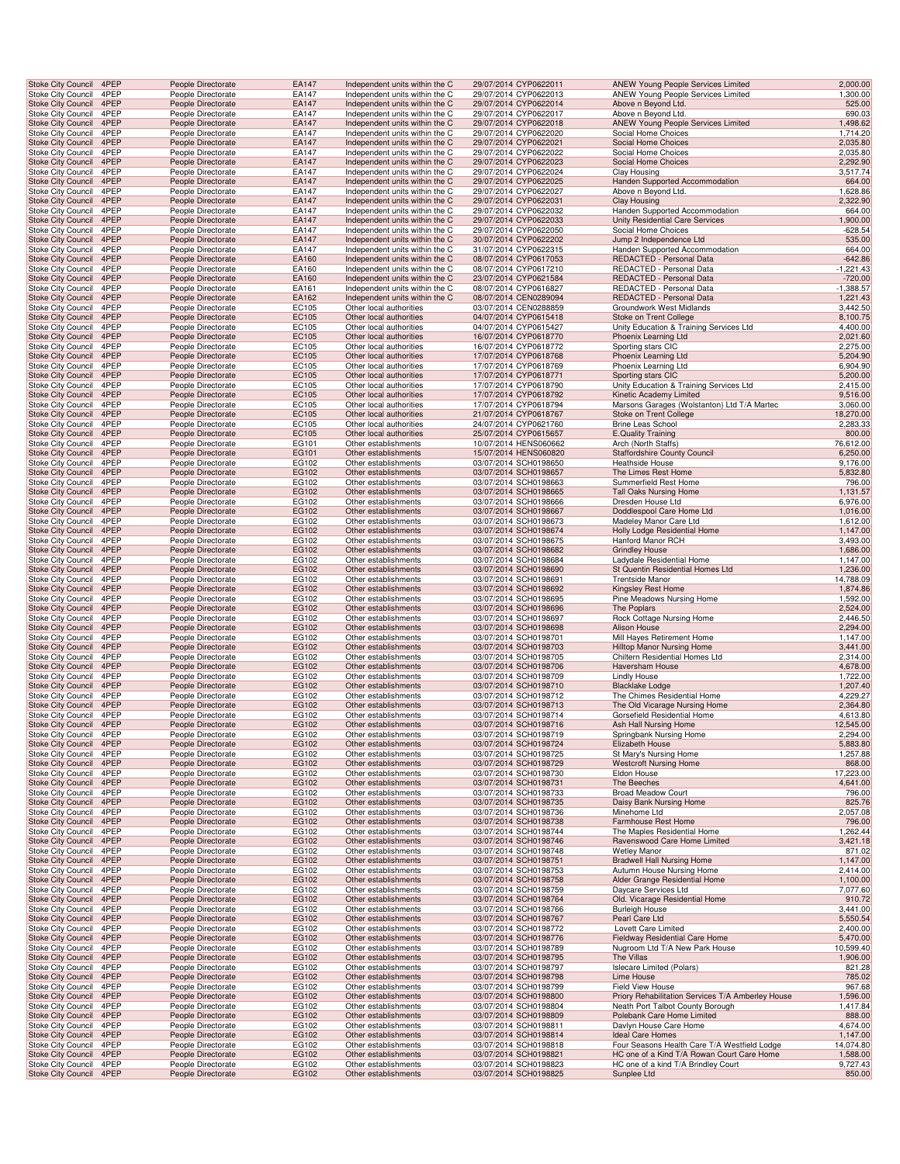| <b>Stoke City Council</b> | 4PEP | People Directorate | EA147 | Independent units within the C | 29/07/2014 CYP0622011 | ANEW Young People Services Limited                | 2,000.00    |
|---------------------------|------|--------------------|-------|--------------------------------|-----------------------|---------------------------------------------------|-------------|
| Stoke City Council        | 4PEP | People Directorate | EA147 | Independent units within the C | 29/07/2014 CYP0622013 | ANEW Young People Services Limited                | 1,300.00    |
| <b>Stoke City Council</b> | 4PEP | People Directorate | EA147 | Independent units within the C | 29/07/2014 CYP0622014 | Above n Beyond Ltd.                               | 525.00      |
| Stoke City Council        | 4PEP | People Directorate | EA147 | Independent units within the C | 29/07/2014 CYP0622017 | Above n Beyond Ltd.                               | 690.03      |
| Stoke City Council 4PEP   |      | People Directorate | EA147 | Independent units within the C | 29/07/2014 CYP0622018 | <b>ANEW Young People Services Limited</b>         | 1,498.62    |
| Stoke City Council        | 4PEP | People Directorate | EA147 | Independent units within the C | 29/07/2014 CYP0622020 | Social Home Choices                               | 1,714.20    |
| Stoke City Council        | 4PEP | People Directorate | EA147 | Independent units within the C | 29/07/2014 CYP0622021 | Social Home Choices                               | 2,035.80    |
|                           |      |                    |       |                                |                       |                                                   |             |
| Stoke City Council        | 4PEP | People Directorate | EA147 | Independent units within the C | 29/07/2014 CYP0622022 | Social Home Choices                               | 2,035.80    |
| Stoke City Council        | 4PEP | People Directorate | EA147 | Independent units within the C | 29/07/2014 CYP0622023 | Social Home Choices                               | 2,292.90    |
| <b>Stoke City Council</b> | 4PEP | People Directorate | EA147 | Independent units within the C | 29/07/2014 CYP0622024 | Clay Housing                                      | 3,517.74    |
| Stoke City Council        | 4PEP | People Directorate | EA147 | Independent units within the C | 29/07/2014 CYP0622025 | Handen Supported Accommodation                    | 664.00      |
| Stoke City Council        | 4PEP | People Directorate | EA147 | Independent units within the C | 29/07/2014 CYP0622027 | Above n Beyond Ltd.                               | 1,628.86    |
| <b>Stoke City Council</b> | 4PEP | People Directorate | EA147 | Independent units within the C | 29/07/2014 CYP0622031 | <b>Clay Housing</b>                               | 2,322.90    |
| Stoke City Council        | 4PEP | People Directorate | EA147 | Independent units within the C | 29/07/2014 CYP0622032 | Handen Supported Accommodation                    | 664.00      |
| Stoke City Council 4PEP   |      | People Directorate | EA147 | Independent units within the C | 29/07/2014 CYP0622033 | Unity Residential Care Services                   | 1,900.00    |
| <b>Stoke City Council</b> | 4PEP | People Directorate | EA147 | Independent units within the C | 29/07/2014 CYP0622050 | Social Home Choices                               | -628.54     |
| Stoke City Council        | 4PEP | People Directorate | EA147 | Independent units within the C | 30/07/2014 CYP0622202 | Jump 2 Independence Ltd                           | 535.00      |
| Stoke City Council        | 4PEP | People Directorate | EA147 | Independent units within the C | 31/07/2014 CYP0622315 | Handen Supported Accommodation                    | 664.00      |
| <b>Stoke City Council</b> | 4PEP | People Directorate | EA160 | Independent units within the C | 08/07/2014 CYP0617053 | REDACTED - Personal Data                          |             |
|                           |      |                    |       |                                |                       |                                                   | $-642.86$   |
| <b>Stoke City Council</b> | 4PEP | People Directorate | EA160 | Independent units within the C | 08/07/2014 CYP0617210 | REDACTED - Personal Data                          | $-1,221.43$ |
| <b>Stoke City Council</b> | 4PEP | People Directorate | EA160 | Independent units within the C | 23/07/2014 CYP0621584 | REDACTED - Personal Data                          | $-720.00$   |
| Stoke City Council        | 4PEP | People Directorate | EA161 | Independent units within the C | 08/07/2014 CYP0616827 | REDACTED - Personal Data                          | $-1,388.57$ |
| <b>Stoke City Council</b> | 4PEP | People Directorate | EA162 | Independent units within the C | 08/07/2014 CEN0289094 | REDACTED - Personal Data                          | 1,221.43    |
| Stoke City Council        | 4PEP | People Directorate | EC105 | Other local authorities        | 03/07/2014 CEN0288859 | Groundwork West Midlands                          | 3,442.50    |
| Stoke City Council 4PEP   |      | People Directorate | EC105 | Other local authorities        | 04/07/2014 CYP0615418 | Stoke on Trent College                            | 8,100.75    |
| Stoke City Council        | 4PEP | People Directorate | EC105 | Other local authorities        | 04/07/2014 CYP0615427 | Unity Education & Training Services Ltd           | 4,400.00    |
| Stoke City Council        | 4PEP | People Directorate | EC105 | Other local authorities        | 16/07/2014 CYP0618770 | Phoenix Learning Ltd                              | 2,021.60    |
| Stoke City Council        | 4PEP | People Directorate | EC105 | Other local authorities        | 16/07/2014 CYP0618772 | Sporting stars CIC                                | 2,275.00    |
| Stoke City Council        | 4PEP | People Directorate | EC105 | Other local authorities        | 17/07/2014 CYP0618768 | Phoenix Learning Ltd                              | 5,204.90    |
| <b>Stoke City Council</b> | 4PEP | People Directorate | EC105 | Other local authorities        | 17/07/2014 CYP0618769 | Phoenix Learning Ltd                              | 6,904.90    |
| Stoke City Council        | 4PEP | People Directorate | EC105 | Other local authorities        | 17/07/2014 CYP0618771 | Sporting stars CIC                                | 5,200.00    |
| Stoke City Council        | 4PEP | People Directorate | EC105 | Other local authorities        | 17/07/2014 CYP0618790 | Unity Education & Training Services Ltd           | 2,415.00    |
|                           |      |                    |       |                                | 17/07/2014 CYP0618792 |                                                   |             |
| <b>Stoke City Council</b> | 4PEP | People Directorate | EC105 | Other local authorities        |                       | Kinetic Academy Limited                           | 9,516.00    |
| Stoke City Council        | 4PEP | People Directorate | EC105 | Other local authorities        | 17/07/2014 CYP0618794 | Marsons Garages (Wolstanton) Ltd T/A Martec       | 3,060.00    |
| Stoke City Council 4PEP   |      | People Directorate | EC105 | Other local authorities        | 21/07/2014 CYP0618767 | Stoke on Trent College                            | 18,270.00   |
| <b>Stoke City Council</b> | 4PEP | People Directorate | EC105 | Other local authorities        | 24/07/2014 CYP0621760 | <b>Brine Leas School</b>                          | 2,283.33    |
| Stoke City Council        | 4PEP | People Directorate | EC105 | Other local authorities        | 25/07/2014 CYP0615657 | E.Quality Training                                | 800.00      |
| Stoke City Council        | 4PEP | People Directorate | EG101 | Other establishments           | 10/07/2014 HENS060662 | Arch (North Staffs)                               | 76,612.00   |
| <b>Stoke City Council</b> | 4PEP | People Directorate | EG101 | Other establishments           | 15/07/2014 HENS060820 | <b>Staffordshire County Council</b>               | 6,250.00    |
| <b>Stoke City Council</b> | 4PEP | People Directorate | EG102 | Other establishments           | 03/07/2014 SCH0198650 | Heathside House                                   | 9,176.00    |
| <b>Stoke City Council</b> | 4PEP | People Directorate | EG102 | Other establishments           | 03/07/2014 SCH0198657 | The Limes Rest Home                               | 5,832.80    |
| Stoke City Council        | 4PEP | People Directorate | EG102 | Other establishments           | 03/07/2014 SCH0198663 | Summerfield Rest Home                             | 796.00      |
| <b>Stoke City Council</b> | 4PEP | People Directorate | EG102 | Other establishments           | 03/07/2014 SCH0198665 | <b>Tall Oaks Nursing Home</b>                     | 1,131.57    |
| Stoke City Council        | 4PEP | People Directorate | EG102 | Other establishments           | 03/07/2014 SCH0198666 | Dresden House Ltd                                 | 6,976.00    |
| Stoke City Council 4PEP   |      | People Directorate | EG102 | Other establishments           | 03/07/2014 SCH0198667 | Doddlespool Care Home Ltd                         | 1,016.00    |
|                           | 4PEP |                    | EG102 | Other establishments           | 03/07/2014 SCH0198673 | Madeley Manor Care Ltd                            |             |
| Stoke City Council        |      | People Directorate |       |                                |                       |                                                   | 1,612.00    |
| Stoke City Council        | 4PEP | People Directorate | EG102 | Other establishments           | 03/07/2014 SCH0198674 | Holly Lodge Residential Home                      | 1,147.00    |
| Stoke City Council        | 4PEP | People Directorate | EG102 | Other establishments           | 03/07/2014 SCH0198675 | Hanford Manor RCH                                 | 3,493.00    |
| Stoke City Council        | 4PEP | People Directorate | EG102 | Other establishments           | 03/07/2014 SCH0198682 | <b>Grindley House</b>                             | 1,686.00    |
| Stoke City Council        | 4PEP | People Directorate | EG102 | Other establishments           | 03/07/2014 SCH0198684 | Ladydale Residential Home                         | 1,147.00    |
| <b>Stoke City Council</b> | 4PEP | People Directorate | EG102 | Other establishments           | 03/07/2014 SCH0198690 | St Quentin Residential Homes Ltd                  | 1,236.00    |
| Stoke City Council        | 4PEP | People Directorate | EG102 | Other establishments           | 03/07/2014 SCH0198691 | <b>Trentside Manor</b>                            | 14,788.09   |
| <b>Stoke City Council</b> | 4PEP | People Directorate | EG102 | Other establishments           | 03/07/2014 SCH0198692 | Kingsley Rest Home                                | 1,874.86    |
| Stoke City Council        | 4PEP | People Directorate | EG102 | Other establishments           | 03/07/2014 SCH0198695 | Pine Meadows Nursing Home                         | 1,592.00    |
| Stoke City Council 4PEP   |      | People Directorate | EG102 | Other establishments           | 03/07/2014 SCH0198696 | The Poplars                                       | 2,524.00    |
| Stoke City Council        | 4PEP | People Directorate | EG102 | Other establishments           | 03/07/2014 SCH0198697 | Rock Cottage Nursing Home                         | 2,446.50    |
| Stoke City Council        | 4PEP | People Directorate | EG102 | Other establishments           | 03/07/2014 SCH0198698 | Alison House                                      | 2,294.00    |
| Stoke City Council        | 4PEP | People Directorate | EG102 | Other establishments           | 03/07/2014 SCH0198701 | Mill Hayes Retirement Home                        | 1,147.00    |
| <b>Stoke City Council</b> | 4PEP | People Directorate | EG102 |                                | 03/07/2014 SCH0198703 |                                                   | 3,441.00    |
|                           |      |                    |       | Other establishments           |                       | Hilltop Manor Nursing Home                        |             |
| Stoke City Council        | 4PEP | People Directorate | EG102 | Other establishments           | 03/07/2014 SCH0198705 | Chiltern Residential Homes Ltd                    | 2,314.00    |
| <b>Stoke City Council</b> | 4PEP | People Directorate | EG102 | Other establishments           | 03/07/2014 SCH0198706 | <b>Haversham House</b>                            | 4,678.00    |
| Stoke City Council        | 4PEP | People Directorate | EG102 | Other establishments           | 03/07/2014 SCH0198709 | Lindly House                                      | 1,722.00    |
| <b>Stoke City Council</b> | 4PEP | People Directorate | EG102 | Other establishments           | 03/07/2014 SCH0198710 | <b>Blacklake Lodge</b>                            | 1,207.40    |
| Stoke City Council        | 4PEP | People Directorate | EG102 | Other establishments           | 03/07/2014 SCH0198712 | The Chimes Residential Home                       | 4,229.27    |
| Stoke City Council 4PEP   |      | People Directorate | EG102 | Other establishments           | 03/07/2014 SCH0198713 | The Old Vicarage Nursing Home                     | 2,364.80    |
| Stoke City Council        | 4PEP | People Directorate | EG102 | Other establishments           | 03/07/2014 SCH0198714 | Gorsefield Residential Home                       | 4,613.80    |
| Stoke City Council 4PEP   |      | People Directorate | EG102 | Other establishments           | 03/07/2014 SCH0198716 | Ash Hall Nursing Home                             | 12,545.00   |
| <b>Stoke City Council</b> | 4PEP | People Directorate | EG102 | Other establishments           | 03/07/2014 SCH0198719 | Springbank Nursing Home                           | 2,294.00    |
| Stoke City Council 4PEP   |      | People Directorate | EG102 | Other establishments           | 03/07/2014 SCH0198724 | Elizabeth House                                   | 5,883.80    |
| Stoke City Council        | 4PEP | People Directorate | EG102 | Other establishments           | 03/07/2014 SCH0198725 | St Mary's Nursing Home                            | 1,257.88    |
| <b>Stoke City Council</b> | 4PEP | People Directorate | EG102 | Other establishments           | 03/07/2014 SCH0198729 | <b>Westcroft Nursing Home</b>                     | 868.00      |
| Stoke City Council        | 4PEP | People Directorate | EG102 | Other establishments           | 03/07/2014 SCH0198730 | Eldon House                                       | 17,223.00   |
| <b>Stoke City Council</b> | 4PEP | People Directorate | EG102 | Other establishments           | 03/07/2014 SCH0198731 | <b>The Beeches</b>                                | 4,641.00    |
| Stoke City Council        | 4PEP | People Directorate | EG102 | Other establishments           | 03/07/2014 SCH0198733 | <b>Broad Meadow Court</b>                         | 796.00      |
| Stoke City Council 4PEP   |      |                    |       |                                | 03/07/2014 SCH0198735 | Daisy Bank Nursing Home                           |             |
|                           |      | People Directorate | EG102 | Other establishments           | 03/07/2014 SCH0198736 |                                                   | 825.76      |
| Stoke City Council        | 4PEP | People Directorate | EG102 | Other establishments           |                       | Minehome Ltd                                      | 2,057.08    |
| <b>Stoke City Council</b> | 4PEP | People Directorate | EG102 | Other establishments           | 03/07/2014 SCH0198738 | Farmhouse Rest Home                               | 796.00      |
| Stoke City Council        | 4PEP | People Directorate | EG102 | Other establishments           | 03/07/2014 SCH0198744 | The Maples Residential Home                       | 1,262.44    |
| Stoke City Council        | 4PEP | People Directorate | EG102 | Other establishments           | 03/07/2014 SCH0198746 | Ravenswood Care Home Limited                      | 3,421.18    |
| Stoke City Council        | 4PEP | People Directorate | EG102 | Other establishments           | 03/07/2014 SCH0198748 | <b>Wetley Manor</b>                               | 871.02      |
| <b>Stoke City Council</b> | 4PEP | People Directorate | EG102 | Other establishments           | 03/07/2014 SCH0198751 | <b>Bradwell Hall Nursing Home</b>                 | 1,147.00    |
| Stoke City Council        | 4PEP | People Directorate | EG102 | Other establishments           | 03/07/2014 SCH0198753 | Autumn House Nursing Home                         | 2,414.00    |
| <b>Stoke City Council</b> | 4PEP | People Directorate | EG102 | Other establishments           | 03/07/2014 SCH0198758 | Alder Grange Residential Home                     | 1,100.00    |
| Stoke City Council        | 4PEP | People Directorate | EG102 | Other establishments           | 03/07/2014 SCH0198759 | Daycare Services Ltd                              | 7,077.60    |
| Stoke City Council 4PEP   |      | People Directorate | EG102 | Other establishments           | 03/07/2014 SCH0198764 | Old. Vicarage Residential Home                    | 910.72      |
| Stoke City Council        | 4PEP | People Directorate | EG102 | Other establishments           | 03/07/2014 SCH0198766 | <b>Burleigh House</b>                             | 3,441.00    |
| <b>Stoke City Council</b> | 4PEP | People Directorate | EG102 | Other establishments           | 03/07/2014 SCH0198767 | Pearl Care Ltd                                    | 5,550.54    |
| Stoke City Council        | 4PEP | People Directorate | EG102 | Other establishments           | 03/07/2014 SCH0198772 | Lovett Care Limited                               | 2,400.00    |
|                           |      |                    |       |                                | 03/07/2014 SCH0198776 |                                                   |             |
| Stoke City Council        | 4PEP | People Directorate | EG102 | Other establishments           |                       | Fieldway Residential Care Home                    | 5,470.00    |
| Stoke City Council        | 4PEP | People Directorate | EG102 | Other establishments           | 03/07/2014 SCH0198789 | Nugroom Ltd T/A New Park House                    | 10,599.40   |
| <b>Stoke City Council</b> | 4PEP | People Directorate | EG102 | Other establishments           | 03/07/2014 SCH0198795 | The Villas                                        | 1,906.00    |
| Stoke City Council        | 4PEP | People Directorate | EG102 | Other establishments           | 03/07/2014 SCH0198797 | <b>Islecare Limited (Polars)</b>                  | 821.28      |
| <b>Stoke City Council</b> | 4PEP | People Directorate | EG102 | Other establishments           | 03/07/2014 SCH0198798 | Lime House                                        | 785.02      |
| Stoke City Council        | 4PEP | People Directorate | EG102 | Other establishments           | 03/07/2014 SCH0198799 | Field View House                                  | 967.68      |
| Stoke City Council 4PEP   |      | People Directorate | EG102 | Other establishments           | 03/07/2014 SCH0198800 | Priory Rehabilitation Services T/A Amberley House | 1,596.00    |
| Stoke City Council        | 4PEP | People Directorate | EG102 | Other establishments           | 03/07/2014 SCH0198804 | Neath Port Talbot County Borough                  | 1,417.84    |
| Stoke City Council        | 4PEP | People Directorate | EG102 | Other establishments           | 03/07/2014 SCH0198809 | Polebank Care Home Limited                        | 888.00      |
| Stoke City Council        | 4PEP | People Directorate | EG102 | Other establishments           | 03/07/2014 SCH0198811 | Davlyn House Care Home                            | 4,674.00    |
| Stoke City Council        | 4PEP | People Directorate | EG102 | Other establishments           | 03/07/2014 SCH0198814 | Ideal Care Homes                                  | 1,147.00    |
| Stoke City Council        | 4PEP | People Directorate | EG102 | Other establishments           | 03/07/2014 SCH0198818 | Four Seasons Health Care T/A Westfield Lodge      | 14,074.80   |
| <b>Stoke City Council</b> | 4PEP | People Directorate | EG102 | Other establishments           | 03/07/2014 SCH0198821 | HC one of a Kind T/A Rowan Court Care Home        | 1,588.00    |
|                           |      |                    |       |                                |                       |                                                   | 9,727.43    |
| Stoke City Council        | 4PEP | People Directorate | EG102 | Other establishments           | 03/07/2014 SCH0198823 | HC one of a kind T/A Brindley Court               |             |
| <b>Stoke City Council</b> | 4PEP | People Directorate | EG102 | Other establishments           | 03/07/2014 SCH0198825 | Sunplee Ltd                                       | 850.00      |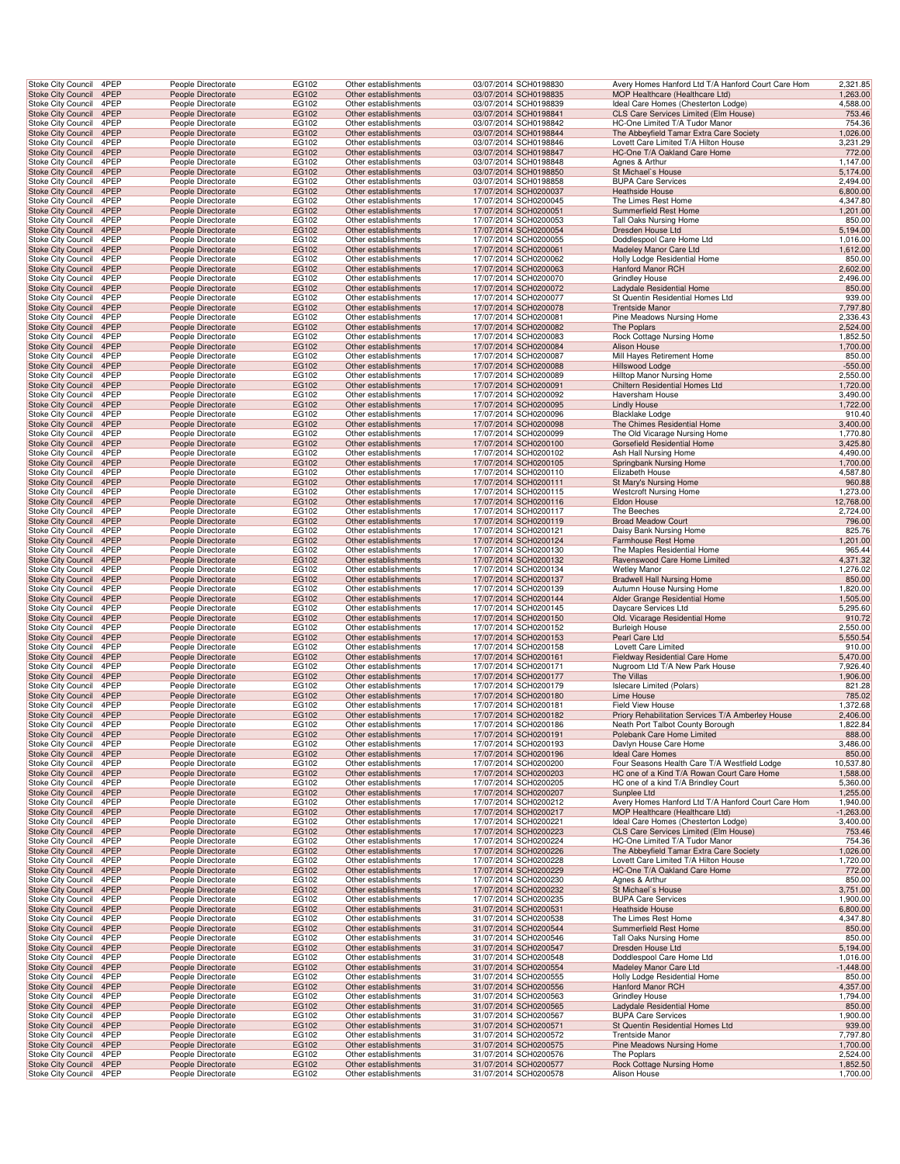|                    | Stoke City Council                                     | 4PEP         | People Directorate                       | EG102          | Other establishments<br>Other establishments | 03/07/2014 SCH0198830<br>03/07/2014 SCH0198835 | Avery Homes Hanford Ltd T/A Hanford Court Care Hom<br>MOP Healthcare (Healthcare Ltd) | 2,321.85             |
|--------------------|--------------------------------------------------------|--------------|------------------------------------------|----------------|----------------------------------------------|------------------------------------------------|---------------------------------------------------------------------------------------|----------------------|
|                    | <b>Stoke City Council</b><br><b>Stoke City Council</b> | 4PEP<br>4PEP | People Directorate<br>People Directorate | EG102<br>EG102 | Other establishments                         | 03/07/2014 SCH0198839                          | Ideal Care Homes (Chesterton Lodge)                                                   | 1,263.00<br>4,588.00 |
|                    | Stoke City Council 4PEP                                |              | People Directorate                       | EG102          | Other establishments                         | 03/07/2014 SCH0198841                          | CLS Care Services Limited (Elm House)                                                 | 753.46               |
|                    | Stoke City Council                                     | 4PEP         | People Directorate                       | EG102          | Other establishments                         | 03/07/2014 SCH0198842                          | HC-One Limited T/A Tudor Manor                                                        | 754.36               |
|                    | Stoke City Council                                     | 4PEP         | People Directorate                       | EG102          | Other establishments                         | 03/07/2014 SCH0198844                          | The Abbeyfield Tamar Extra Care Society                                               | 1,026.00             |
|                    | Stoke City Council                                     | 4PEP         | People Directorate                       | EG102          | Other establishments                         | 03/07/2014 SCH0198846                          | Lovett Care Limited T/A Hilton House                                                  | 3,231.29             |
|                    | <b>Stoke City Council</b>                              | 4PEP         | People Directorate                       | EG102          | Other establishments                         | 03/07/2014 SCH0198847                          | HC-One T/A Oakland Care Home                                                          | 772.00               |
|                    | Stoke City Council                                     | 4PEP         | People Directorate                       | EG102          | Other establishments                         | 03/07/2014 SCH0198848                          | Agnes & Arthur                                                                        | 1,147.00             |
|                    | Stoke City Council                                     | 4PEP         | People Directorate                       | EG102          | Other establishments                         | 03/07/2014 SCH0198850                          | St Michael's House                                                                    | 5,174.00             |
|                    | Stoke City Council                                     | 4PEP         | People Directorate                       | EG102          | Other establishments                         | 03/07/2014 SCH0198858                          | <b>BUPA Care Services</b>                                                             | 2,494.00             |
|                    | <b>Stoke City Council</b>                              | 4PEP         | People Directorate                       | EG102          | Other establishments                         | 17/07/2014 SCH0200037                          | Heathside House                                                                       | 6,800.00             |
|                    | Stoke City Council                                     | 4PEP         | People Directorate                       | EG102          | Other establishments                         | 17/07/2014 SCH0200045                          | The Limes Rest Home                                                                   | 4,347.80             |
|                    | Stoke City Council                                     | 4PEP         | People Directorate                       | EG102          | Other establishments                         | 17/07/2014 SCH0200051                          | Summerfield Rest Home                                                                 | 1,201.00             |
|                    | Stoke City Council                                     | 4PEP         | People Directorate                       | EG102          | Other establishments                         | 17/07/2014 SCH0200053                          | Tall Oaks Nursing Home                                                                | 850.00               |
|                    | Stoke City Council                                     | 4PEP         | People Directorate                       | EG102          | Other establishments                         | 17/07/2014 SCH0200054                          | Dresden House Ltd                                                                     | 5,194.00             |
|                    | Stoke City Council                                     | 4PEP         | People Directorate                       | EG102          | Other establishments                         | 17/07/2014 SCH0200055                          | Doddlespool Care Home Ltd                                                             | 1,016.00             |
|                    | <b>Stoke City Council</b>                              | 4PEP         | People Directorate                       | EG102          | Other establishments                         | 17/07/2014 SCH0200061                          | Madeley Manor Care Ltd                                                                | 1,612.00             |
|                    | Stoke City Council                                     | 4PEP         | People Directorate                       | EG102          | Other establishments                         | 17/07/2014 SCH0200062                          | Holly Lodge Residential Home                                                          | 850.00               |
|                    | <b>Stoke City Council</b>                              | 4PEP         | People Directorate                       | EG102          | Other establishments                         | 17/07/2014 SCH0200063                          | Hanford Manor RCH                                                                     | 2,602.00             |
|                    | Stoke City Council                                     | 4PEP         | People Directorate                       | EG102          | Other establishments                         | 17/07/2014 SCH0200070                          | Grindley House                                                                        | 2,496.00             |
|                    | <b>Stoke City Council</b>                              | 4PEP         | People Directorate                       | EG102          | Other establishments                         | 17/07/2014 SCH0200072                          | Ladydale Residential Home                                                             | 850.00               |
|                    | Stoke City Council                                     | 4PEP         | People Directorate                       | EG102          | Other establishments                         | 17/07/2014 SCH0200077                          | St Quentin Residential Homes Ltd                                                      | 939.00               |
|                    | Stoke City Council                                     | 4PEP         | People Directorate                       | EG102          | Other establishments                         | 17/07/2014 SCH0200078                          | <b>Trentside Manor</b>                                                                | 7,797.80             |
|                    | Stoke City Council                                     | 4PEP         | People Directorate                       | EG102          | Other establishments                         | 17/07/2014 SCH0200081                          | Pine Meadows Nursing Home                                                             | 2,336.43             |
|                    | Stoke City Council                                     | 4PEP         | People Directorate                       | EG102          | Other establishments                         | 17/07/2014 SCH0200082                          | The Poplars                                                                           | 2,524.00             |
|                    | Stoke City Council                                     | 4PEP         | People Directorate                       | EG102          | Other establishments                         | 17/07/2014 SCH0200083                          | Rock Cottage Nursing Home                                                             | 1,852.50             |
|                    | <b>Stoke City Council</b>                              | 4PEP         | People Directorate                       | EG102          | Other establishments                         | 17/07/2014 SCH0200084                          | Alison House                                                                          | 1,700.00             |
|                    | Stoke City Council                                     | 4PEP         | People Directorate                       | EG102          | Other establishments                         | 17/07/2014 SCH0200087                          | Mill Hayes Retirement Home                                                            | 850.00               |
|                    | <b>Stoke City Council</b>                              | 4PEP         | People Directorate                       | EG102          | Other establishments                         | 17/07/2014 SCH0200088                          | Hillswood Lodge                                                                       | $-550.00$            |
|                    | Stoke City Council                                     | 4PEP         | People Directorate                       | EG102          | Other establishments                         | 17/07/2014 SCH0200089<br>17/07/2014 SCH0200091 | Hilltop Manor Nursing Home                                                            | 2,550.00             |
|                    | <b>Stoke City Council</b>                              | 4PEP<br>4PEP | People Directorate<br>People Directorate | EG102<br>EG102 | Other establishments<br>Other establishments | 17/07/2014 SCH0200092                          | Chiltern Residential Homes Ltd                                                        | 1,720.00<br>3,490.00 |
|                    | Stoke City Council<br>Stoke City Council               | 4PEP         | People Directorate                       | EG102          | Other establishments                         | 17/07/2014 SCH0200095                          | Haversham House<br><b>Lindly House</b>                                                | 1,722.00             |
|                    | Stoke City Council                                     | 4PEP         | People Directorate                       | EG102          | Other establishments                         | 17/07/2014 SCH0200096                          | <b>Blacklake Lodge</b>                                                                | 910.40               |
|                    | Stoke City Council                                     | 4PEP         | People Directorate                       | EG102          | Other establishments                         | 17/07/2014 SCH0200098                          | The Chimes Residential Home                                                           | 3,400.00             |
|                    | Stoke City Council                                     | 4PEP         | People Directorate                       | EG102          | Other establishments                         | 17/07/2014 SCH0200099                          | The Old Vicarage Nursing Home                                                         | 1,770.80             |
|                    | <b>Stoke City Council</b>                              | 4PEP         | People Directorate                       | EG102          | Other establishments                         | 17/07/2014 SCH0200100                          | Gorsefield Residential Home                                                           | 3,425.80             |
|                    | <b>Stoke City Council</b>                              | 4PEP         | People Directorate                       | EG102          | Other establishments                         | 17/07/2014 SCH0200102                          | Ash Hall Nursing Home                                                                 | 4,490.00             |
|                    | <b>Stoke City Council</b>                              | 4PEP         | People Directorate                       | EG102          | Other establishments                         | 17/07/2014 SCH0200105                          | Springbank Nursing Home                                                               | 1,700.00             |
|                    | Stoke City Council                                     | 4PEP         | People Directorate                       | EG102          | Other establishments                         | 17/07/2014 SCH0200110                          | <b>Elizabeth House</b>                                                                | 4,587.80             |
|                    | <b>Stoke City Council</b>                              | 4PEP         | People Directorate                       | EG102          | Other establishments                         | 17/07/2014 SCH0200111                          | St Mary's Nursing Home                                                                | 960.88               |
|                    | Stoke City Council                                     | 4PEP         | People Directorate                       | EG102          | Other establishments                         | 17/07/2014 SCH0200115                          | <b>Westcroft Nursing Home</b>                                                         | 1,273.00             |
|                    | Stoke City Council                                     | 4PEP         | People Directorate                       | EG102          | Other establishments                         | 17/07/2014 SCH0200116                          | Eldon House                                                                           | 12,768.00            |
|                    | Stoke City Council                                     | 4PEP         | People Directorate                       | EG102          | Other establishments                         | 17/07/2014 SCH0200117                          | The Beeches                                                                           | 2,724.00             |
|                    | Stoke City Council                                     | 4PEP         | People Directorate                       | EG102          | Other establishments                         | 17/07/2014 SCH0200119                          | <b>Broad Meadow Court</b>                                                             | 796.00               |
|                    | Stoke City Council                                     | 4PEP         | People Directorate                       | EG102          | Other establishments                         | 17/07/2014 SCH0200121                          | Daisy Bank Nursing Home                                                               | 825.76               |
|                    | <b>Stoke City Council</b>                              | 4PEP         | People Directorate                       | EG102          | Other establishments                         | 17/07/2014 SCH0200124                          | <b>Farmhouse Rest Home</b>                                                            | 1,201.00             |
|                    | <b>Stoke City Council</b>                              | 4PEP         | People Directorate                       | EG102          | Other establishments                         | 17/07/2014 SCH0200130                          | The Maples Residential Home                                                           | 965.44               |
|                    | Stoke City Council                                     | 4PEP         | People Directorate                       | EG102          | Other establishments                         | 17/07/2014 SCH0200132                          | Ravenswood Care Home Limited                                                          | 4,371.32             |
|                    | Stoke City Council                                     | 4PEP         | People Directorate                       | EG102          | Other establishments                         | 17/07/2014 SCH0200134                          | <b>Wetley Manor</b>                                                                   | 1,276.02             |
|                    | <b>Stoke City Council</b>                              | 4PEP         | People Directorate                       | EG102          | Other establishments                         | 17/07/2014 SCH0200137                          | <b>Bradwell Hall Nursing Home</b>                                                     | 850.00               |
|                    | Stoke City Council                                     | 4PEP         | People Directorate                       | EG102          | Other establishments                         | 17/07/2014 SCH0200139                          | Autumn House Nursing Home                                                             | 1,820.00             |
|                    | Stoke City Council                                     | 4PEP         | People Directorate                       | EG102          | Other establishments                         | 17/07/2014 SCH0200144                          | Alder Grange Residential Home                                                         | 1,505.00             |
|                    | Stoke City Council                                     | 4PEP         | People Directorate                       | EG102          | Other establishments                         | 17/07/2014 SCH0200145                          | Daycare Services Ltd                                                                  | 5,295.60             |
|                    | Stoke City Council                                     | 4PEP         | People Directorate                       | EG102          | Other establishments                         | 17/07/2014 SCH0200150                          | Old. Vicarage Residential Home                                                        | 910.72               |
|                    | Stoke City Council                                     | 4PEP         | People Directorate                       | EG102          | Other establishments                         | 17/07/2014 SCH0200152                          | <b>Burleigh House</b>                                                                 | 2,550.00             |
|                    | <b>Stoke City Council</b>                              | 4PEP         | People Directorate                       | EG102          | Other establishments                         | 17/07/2014 SCH0200153                          | Pearl Care Ltd                                                                        | 5,550.54             |
|                    | Stoke City Council                                     | 4PEP         | People Directorate                       | EG102          | Other establishments                         | 17/07/2014 SCH0200158                          | Lovett Care Limited                                                                   | 910.00               |
|                    | Stoke City Council                                     | 4PEP         | People Directorate                       | EG102          | Other establishments                         | 17/07/2014 SCH0200161                          | Fieldway Residential Care Home                                                        | 5,470.00             |
|                    | Stoke City Council                                     | 4PEP         | People Directorate                       | EG102          | Other establishments                         | 17/07/2014 SCH0200171                          | Nugroom Ltd T/A New Park House                                                        | 7,926.40             |
|                    | <b>Stoke City Council</b>                              | 4PEP         | People Directorate                       | EG102          | Other establishments                         | 17/07/2014 SCH0200177                          | The Villas                                                                            | 1,906.00             |
|                    | <b>Stoke City Council</b><br>Stoke City Council 4PEP   | 4PEP         | People Directorate                       | EG102          | Other establishments                         | 17/07/2014 SCH0200179                          | <b>Islecare Limited (Polars)</b>                                                      | 821.28               |
|                    | Stoke City Council                                     | 4PEP         | People Directorate                       | EG102          | Other establishments                         | 17/07/2014 SCH0200180                          | Lime House<br><b>Field View House</b>                                                 | 785.02               |
|                    | Stoke City Council 4PEP                                |              | People Directorate<br>People Directorate | EG102<br>EG102 | Other establishments<br>Other establishments | 17/07/2014 SCH0200181<br>17/07/2014 SCH0200182 | Priory Rehabilitation Services T/A Amberley House                                     | 1,372.68<br>2,406.00 |
|                    | Stoke City Council                                     | 4PEP         | People Directorate                       | EG102          | Other establishments                         | 17/07/2014 SCH0200186                          | Neath Port Talbot County Borough                                                      | 1,822.84             |
|                    | Stoke City Council                                     | 4PEP         | People Directorate                       | EG102          | Other establishments                         | 17/07/2014 SCH0200191                          | Polebank Care Home Limited                                                            | 888.00               |
|                    | Stoke City Council 4PEP                                |              | People Directorate                       | EG102          | Other establishments                         | 17/07/2014 SCH0200193                          | Davlyn House Care Home                                                                | 3,486.00             |
|                    | Stoke City Council                                     | 4PEP         | People Directorate                       | EG102          | Other establishments                         | 17/07/2014 SCH0200196                          | Ideal Care Homes                                                                      | 850.00               |
|                    | Stoke City Council                                     | 4PEP         | People Directorate                       | EG102          | Other establishments                         |                                                | Four Seasons Health Care T/A Westfield Lodge                                          | 10,537.80            |
|                    | <b>Stoke City Council</b>                              | 4PEP         | People Directorate                       |                |                                              |                                                |                                                                                       |                      |
|                    | <b>Stoke City Council</b>                              | 4PEP         |                                          | EG102          | Other establishments                         | 17/07/2014 SCH0200200                          | HC one of a Kind T/A Rowan Court Care Home                                            | 1,588.00             |
| Stoke City Council |                                                        |              | People Directorate                       | EG102          | Other establishments                         | 17/07/2014 SCH0200203<br>17/07/2014 SCH0200205 | HC one of a kind T/A Brindley Court                                                   | 5,360.00             |
|                    |                                                        | 4PEP         |                                          |                | Other establishments                         |                                                | Sunplee Ltd                                                                           |                      |
|                    | Stoke City Council                                     | 4PEP         | People Directorate<br>People Directorate | EG102<br>EG102 | Other establishments                         | 17/07/2014 SCH0200207<br>17/07/2014 SCH0200212 | Avery Homes Hanford Ltd T/A Hanford Court Care Hom                                    | 1,255.00<br>1,940.00 |
|                    | Stoke City Council 4PEP                                |              | People Directorate                       | EG102          | Other establishments                         | 17/07/2014 SCH0200217                          | MOP Healthcare (Healthcare Ltd)                                                       | $-1,263.00$          |
|                    | Stoke City Council                                     | 4PEP         | People Directorate                       | EG102          | Other establishments                         | 17/07/2014 SCH0200221                          | Ideal Care Homes (Chesterton Lodge)                                                   | 3,400.00             |
|                    | <b>Stoke City Council</b>                              | 4PEP         | People Directorate                       | EG102          | Other establishments                         | 17/07/2014 SCH0200223                          | CLS Care Services Limited (Elm House)                                                 | 753.46               |
|                    | Stoke City Council                                     | 4PEP         | People Directorate                       | EG102          | Other establishments                         | 17/07/2014 SCH0200224                          | HC-One Limited T/A Tudor Manor                                                        | 754.36               |
|                    | Stoke City Council                                     | 4PEP         | People Directorate                       | EG102          | Other establishments                         | 17/07/2014 SCH0200226                          | The Abbeyfield Tamar Extra Care Society                                               | 1,026.00             |
|                    | Stoke City Council                                     | 4PEP         | People Directorate                       | EG102          | Other establishments                         | 17/07/2014 SCH0200228                          | Lovett Care Limited T/A Hilton House                                                  | 1,720.00             |
|                    | <b>Stoke City Council</b>                              | 4PEP         | People Directorate                       | EG102          | Other establishments                         | 17/07/2014 SCH0200229                          | HC-One T/A Oakland Care Home                                                          | 772.00               |
|                    | Stoke City Council                                     | 4PEP         | People Directorate                       | EG102          | Other establishments                         | 17/07/2014 SCH0200230                          | Agnes & Arthur                                                                        | 850.00               |
|                    | Stoke City Council                                     | 4PEP         | People Directorate                       | EG102          | Other establishments                         | 17/07/2014 SCH0200232                          | St Michael's House                                                                    | 3,751.00             |
|                    | Stoke City Council                                     | 4PEP         | People Directorate                       | EG102          | Other establishments                         | 17/07/2014 SCH0200235                          | <b>BUPA Care Services</b>                                                             | 1,900.00             |
|                    | Stoke City Council 4PEP                                |              | People Directorate                       | EG102          | Other establishments                         | 31/07/2014 SCH0200531                          | <b>Heathside House</b>                                                                | 6,800.00             |
|                    | Stoke City Council                                     | 4PEP         | People Directorate                       | EG102          | Other establishments                         | 31/07/2014 SCH0200538                          | The Limes Rest Home                                                                   | 4,347.80             |
|                    | Stoke City Council                                     | 4PEP         | People Directorate                       | EG102          | Other establishments                         | 31/07/2014 SCH0200544                          | Summerfield Rest Home                                                                 | 850.00               |
|                    | Stoke City Council                                     | 4PEP         | People Directorate                       | EG102          | Other establishments                         | 31/07/2014 SCH0200546                          | Tall Oaks Nursing Home                                                                | 850.00               |
|                    | Stoke City Council                                     | 4PEP         | People Directorate                       | EG102          | Other establishments                         | 31/07/2014 SCH0200547                          | Dresden House Ltd                                                                     | 5,194.00             |
|                    | Stoke City Council                                     | 4PEP         | People Directorate                       | EG102          | Other establishments                         | 31/07/2014 SCH0200548                          | Doddlespool Care Home Ltd                                                             | 1,016.00             |
|                    | <b>Stoke City Council</b>                              | 4PEP         | People Directorate                       | EG102          | Other establishments                         | 31/07/2014 SCH0200554                          | Madeley Manor Care Ltd                                                                | $-1,448.00$          |
|                    | Stoke City Council                                     | 4PEP         | People Directorate                       | EG102          | Other establishments                         | 31/07/2014 SCH0200555                          | Holly Lodge Residential Home                                                          | 850.00               |
|                    | Stoke City Council                                     | 4PEP<br>4PEP | People Directorate                       | EG102          | Other establishments                         | 31/07/2014 SCH0200556                          | Hanford Manor RCH                                                                     | 4,357.00             |
|                    | Stoke City Council                                     |              | People Directorate                       | EG102          | Other establishments                         | 31/07/2014 SCH0200563                          | <b>Grindley House</b>                                                                 | 1,794.00             |
|                    | Stoke City Council 4PEP                                |              | People Directorate                       | EG102          | Other establishments                         | 31/07/2014 SCH0200565                          | Ladydale Residential Home                                                             | 850.00               |
|                    | Stoke City Council<br>Stoke City Council               | 4PEP<br>4PEP | People Directorate<br>People Directorate | EG102<br>EG102 | Other establishments<br>Other establishments | 31/07/2014 SCH0200567<br>31/07/2014 SCH0200571 | <b>BUPA Care Services</b><br>St Quentin Residential Homes Ltd                         | 1,900.00<br>939.00   |
|                    | Stoke City Council                                     | 4PEP         | People Directorate                       | EG102          | Other establishments                         | 31/07/2014 SCH0200572                          | <b>Trentside Manor</b>                                                                | 7,797.80             |
|                    | Stoke City Council                                     | 4PEP         | People Directorate                       | EG102          | Other establishments                         | 31/07/2014 SCH0200575                          | Pine Meadows Nursing Home                                                             | 1,700.00             |
|                    | Stoke City Council                                     | 4PEP         | People Directorate                       | EG102          | Other establishments                         | 31/07/2014 SCH0200576                          | The Poplars                                                                           | 2,524.00             |
|                    | <b>Stoke City Council</b><br><b>Stoke City Council</b> | 4PEP<br>4PEP | People Directorate<br>People Directorate | EG102<br>EG102 | Other establishments<br>Other establishments | 31/07/2014 SCH0200577<br>31/07/2014 SCH0200578 | Rock Cottage Nursing Home<br>Alison House                                             | 1,852.50<br>1,700.00 |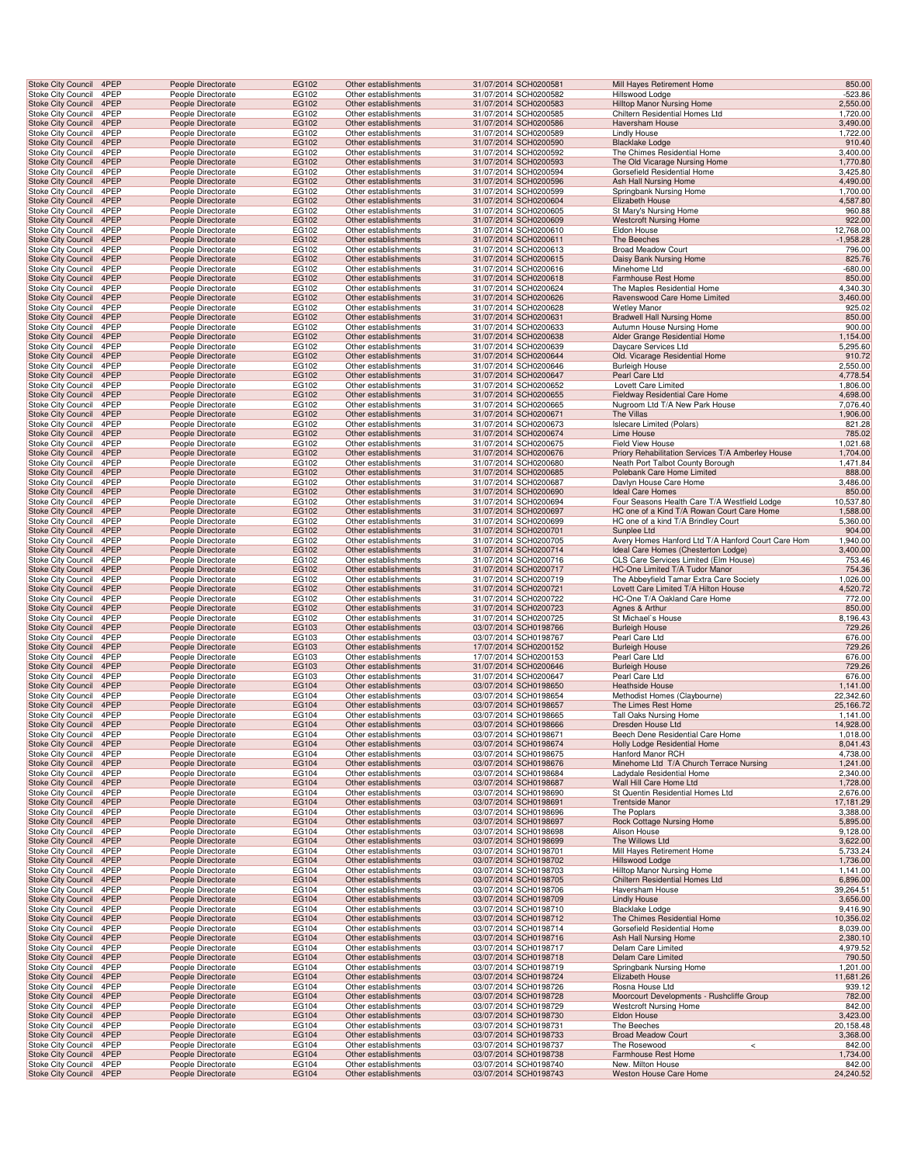| <b>Stoke City Council</b>                            | 4PEP         | People Directorate                       | EG102          | Other establishments                         | 31/07/2014 SCH0200581                          | Mill Hayes Retirement Home                                                   | 850.00                |
|------------------------------------------------------|--------------|------------------------------------------|----------------|----------------------------------------------|------------------------------------------------|------------------------------------------------------------------------------|-----------------------|
| Stoke City Council                                   | 4PEP         | People Directorate                       | EG102          | Other establishments                         | 31/07/2014 SCH0200582                          | Hillswood Lodge                                                              | $-523.86$             |
| <b>Stoke City Council</b>                            | 4PEP         | People Directorate                       | EG102          | Other establishments                         | 31/07/2014 SCH0200583                          | Hilltop Manor Nursing Home                                                   | 2,550.00              |
| Stoke City Council                                   | 4PEP         | People Directorate                       | EG102          | Other establishments                         | 31/07/2014 SCH0200585                          | Chiltern Residential Homes Ltd                                               | 1,720.00              |
| Stoke City Council 4PEP                              |              | People Directorate                       | EG102          | Other establishments                         | 31/07/2014 SCH0200586                          | Haversham House                                                              | 3,490.00              |
| Stoke City Council                                   | 4PEP         | People Directorate                       | EG102          | Other establishments                         | 31/07/2014 SCH0200589                          | Lindly House                                                                 | 1,722.00              |
| Stoke City Council                                   | 4PEP         | People Directorate                       | EG102          | Other establishments                         | 31/07/2014 SCH0200590                          | <b>Blacklake Lodge</b>                                                       | 910.40                |
| Stoke City Council<br>Stoke City Council             | 4PEP<br>4PEP | People Directorate<br>People Directorate | EG102<br>EG102 | Other establishments<br>Other establishments | 31/07/2014 SCH0200592<br>31/07/2014 SCH0200593 | The Chimes Residential Home<br>The Old Vicarage Nursing Home                 | 3,400.00<br>1,770.80  |
| Stoke City Council                                   | 4PEP         | People Directorate                       | EG102          | Other establishments                         | 31/07/2014 SCH0200594                          | Gorsefield Residential Home                                                  | 3,425.80              |
| Stoke City Council                                   | 4PEP         | People Directorate                       | EG102          | Other establishments                         | 31/07/2014 SCH0200596                          | Ash Hall Nursing Home                                                        | 4,490.00              |
| Stoke City Council                                   | 4PEP         | People Directorate                       | EG102          | Other establishments                         | 31/07/2014 SCH0200599                          | Springbank Nursing Home                                                      | 1,700.00              |
| <b>Stoke City Council</b>                            | 4PEP         | People Directorate                       | EG102          | Other establishments                         | 31/07/2014 SCH0200604                          | Elizabeth House                                                              | 4,587.80              |
| Stoke City Council                                   | 4PEP         | People Directorate                       | EG102          | Other establishments                         | 31/07/2014 SCH0200605                          | St Mary's Nursing Home                                                       | 960.88                |
| Stoke City Council 4PEP                              |              | People Directorate                       | EG102          | Other establishments                         | 31/07/2014 SCH0200609                          | <b>Westcroft Nursing Home</b>                                                | 922.00                |
| Stoke City Council                                   | 4PEP         | People Directorate                       | EG102          | Other establishments                         | 31/07/2014 SCH0200610                          | Eldon House                                                                  | 12,768.00             |
| Stoke City Council                                   | 4PEP         | People Directorate                       | EG102          | Other establishments                         | 31/07/2014 SCH0200611                          | The Beeches                                                                  | $-1,958.28$           |
| <b>Stoke City Council</b>                            | 4PEP         | People Directorate                       | EG102          | Other establishments                         | 31/07/2014 SCH0200613                          | <b>Broad Meadow Court</b>                                                    | 796.00                |
| <b>Stoke City Council</b>                            | 4PEP         | People Directorate                       | EG102          | Other establishments                         | 31/07/2014 SCH0200615                          | Daisy Bank Nursing Home                                                      | 825.76                |
| Stoke City Council<br>Stoke City Council             | 4PEP<br>4PEP | People Directorate<br>People Directorate | EG102<br>EG102 | Other establishments<br>Other establishments | 31/07/2014 SCH0200616<br>31/07/2014 SCH0200618 | Minehome Ltd<br>Farmhouse Rest Home                                          | $-680.00$<br>850.00   |
| Stoke City Council                                   | 4PEP         | People Directorate                       | EG102          | Other establishments                         | 31/07/2014 SCH0200624                          | The Maples Residential Home                                                  | 4,340.30              |
| <b>Stoke City Council</b>                            | 4PEP         | People Directorate                       | EG102          | Other establishments                         | 31/07/2014 SCH0200626                          | Ravenswood Care Home Limited                                                 | 3,460.00              |
| Stoke City Council                                   | 4PEP         | People Directorate                       | EG102          | Other establishments                         | 31/07/2014 SCH0200628                          | <b>Wetley Manor</b>                                                          | 925.02                |
| Stoke City Council 4PEP                              |              | People Directorate                       | EG102          | Other establishments                         | 31/07/2014 SCH0200631                          | <b>Bradwell Hall Nursing Home</b>                                            | 850.00                |
| Stoke City Council                                   | 4PEP         | People Directorate                       | EG102          | Other establishments                         | 31/07/2014 SCH0200633                          | <b>Autumn House Nursing Home</b>                                             | 900.00                |
| Stoke City Council                                   | 4PEP         | People Directorate                       | EG102          | Other establishments                         | 31/07/2014 SCH0200638                          | Alder Grange Residential Home                                                | 1,154.00              |
| Stoke City Council                                   | 4PEP         | People Directorate                       | EG102          | Other establishments                         | 31/07/2014 SCH0200639                          | Daycare Services Ltd                                                         | 5,295.60              |
| Stoke City Council                                   | 4PEP         | People Directorate                       | EG102          | Other establishments                         | 31/07/2014 SCH0200644                          | Old. Vicarage Residential Home                                               | 910.72                |
| Stoke City Council<br>Stoke City Council             | 4PEP<br>4PEP | People Directorate<br>People Directorate | EG102<br>EG102 | Other establishments<br>Other establishments | 31/07/2014 SCH0200646<br>31/07/2014 SCH0200647 | <b>Burleigh House</b><br>Pearl Care Ltd                                      | 2,550.00<br>4,778.54  |
| Stoke City Council                                   | 4PEP         | People Directorate                       | EG102          | Other establishments                         | 31/07/2014 SCH0200652                          | Lovett Care Limited                                                          | 1,806.00              |
| <b>Stoke City Council</b>                            | 4PEP         | People Directorate                       | EG102          | Other establishments                         | 31/07/2014 SCH0200655                          | Fieldway Residential Care Home                                               | 4,698.00              |
| Stoke City Council                                   | 4PEP         | People Directorate                       | EG102          | Other establishments                         | 31/07/2014 SCH0200665                          | Nugroom Ltd T/A New Park House                                               | 7,076.40              |
| Stoke City Council 4PEP                              |              | People Directorate                       | EG102          | Other establishments                         | 31/07/2014 SCH0200671                          | The Villas                                                                   | 1,906.00              |
| Stoke City Council                                   | 4PEP         | People Directorate                       | EG102          | Other establishments                         | 31/07/2014 SCH0200673                          | <b>Islecare Limited (Polars)</b>                                             | 821.28                |
| Stoke City Council                                   | 4PEP         | People Directorate                       | EG102          | Other establishments                         | 31/07/2014 SCH0200674                          | Lime House                                                                   | 785.02                |
| <b>Stoke City Council</b>                            | 4PEP         | People Directorate                       | EG102          | Other establishments                         | 31/07/2014 SCH0200675                          | <b>Field View House</b>                                                      | 1,021.68              |
| <b>Stoke City Council</b>                            | 4PEP         | People Directorate                       | EG102          | Other establishments                         | 31/07/2014 SCH0200676                          | Priory Rehabilitation Services T/A Amberley House                            | 1,704.00              |
| Stoke City Council<br>Stoke City Council             | 4PEP<br>4PEP | People Directorate<br>People Directorate | EG102<br>EG102 | Other establishments<br>Other establishments | 31/07/2014 SCH0200680<br>31/07/2014 SCH0200685 | Neath Port Talbot County Borough<br>Polebank Care Home Limited               | 1,471.84<br>888.00    |
| Stoke City Council                                   | 4PEP         | People Directorate                       | EG102          | Other establishments                         | 31/07/2014 SCH0200687                          | Davlyn House Care Home                                                       | 3,486.00              |
| <b>Stoke City Council</b>                            | 4PEP         | People Directorate                       | EG102          | Other establishments                         | 31/07/2014 SCH0200690                          | <b>Ideal Care Homes</b>                                                      | 850.00                |
| Stoke City Council                                   | 4PEP         | People Directorate                       | EG102          | Other establishments                         | 31/07/2014 SCH0200694                          | Four Seasons Health Care T/A Westfield Lodge                                 | 10,537.80             |
| Stoke City Council 4PEP                              |              | People Directorate                       | EG102          | Other establishments                         | 31/07/2014 SCH0200697                          | HC one of a Kind T/A Rowan Court Care Home                                   | 1,588.00              |
| Stoke City Council                                   | 4PEP         | People Directorate                       | EG102          | Other establishments                         | 31/07/2014 SCH0200699                          | HC one of a kind T/A Brindley Court                                          | 5,360.00              |
| Stoke City Council                                   | 4PEP         | People Directorate                       | EG102          | Other establishments                         | 31/07/2014 SCH0200701                          | Sunplee Ltd                                                                  | 904.00                |
| Stoke City Council                                   | 4PEP         | People Directorate                       | EG102          | Other establishments                         | 31/07/2014 SCH0200705                          | Avery Homes Hanford Ltd T/A Hanford Court Care Hom                           | 1,940.00              |
| Stoke City Council<br>Stoke City Council             | 4PEP<br>4PEP | People Directorate                       | EG102<br>EG102 | Other establishments<br>Other establishments | 31/07/2014 SCH0200714<br>31/07/2014 SCH0200716 | Ideal Care Homes (Chesterton Lodge)<br>CLS Care Services Limited (Elm House) | 3,400.00<br>753.46    |
| Stoke City Council                                   | 4PEP         | People Directorate<br>People Directorate | EG102          | Other establishments                         | 31/07/2014 SCH0200717                          | HC-One Limited T/A Tudor Manor                                               | 754.36                |
| Stoke City Council                                   | 4PEP         | People Directorate                       | EG102          | Other establishments                         | 31/07/2014 SCH0200719                          | The Abbeyfield Tamar Extra Care Society                                      | 1,026.00              |
| <b>Stoke City Council</b>                            | 4PEP         | People Directorate                       | EG102          | Other establishments                         | 31/07/2014 SCH0200721                          | Lovett Care Limited T/A Hilton House                                         | 4,520.72              |
| Stoke City Council                                   | 4PEP         | People Directorate                       | EG102          | Other establishments                         | 31/07/2014 SCH0200722                          | HC-One T/A Oakland Care Home                                                 | 772.00                |
| Stoke City Council 4PEP                              |              | People Directorate                       | EG102          | Other establishments                         | 31/07/2014 SCH0200723                          | Agnes & Arthur                                                               | 850.00                |
| Stoke City Council                                   | 4PEP         | People Directorate                       | EG102          | Other establishments                         | 31/07/2014 SCH0200725                          | St Michael's House                                                           | 8,196.43              |
| Stoke City Council                                   | 4PEP         | People Directorate                       | EG103          | Other establishments                         | 03/07/2014 SCH0198766                          | <b>Burleigh House</b>                                                        | 729.26                |
| Stoke City Council<br><b>Stoke City Council</b>      | 4PEP<br>4PEP | People Directorate<br>People Directorate | EG103<br>EG103 | Other establishments<br>Other establishments | 03/07/2014 SCH0198767<br>17/07/2014 SCH0200152 | Pearl Care Ltd<br><b>Burleigh House</b>                                      | 676.00<br>729.26      |
| Stoke City Council                                   | 4PEP         | People Directorate                       | EG103          | Other establishments                         | 17/07/2014 SCH0200153                          | Pearl Care Ltd                                                               | 676.00                |
| <b>Stoke City Council</b>                            | 4PEP         | People Directorate                       | EG103          | Other establishments                         | 31/07/2014 SCH0200646                          | <b>Burleigh House</b>                                                        | 729.26                |
| Stoke City Council                                   | 4PEP         | People Directorate                       | EG103          | Other establishments                         | 31/07/2014 SCH0200647                          | Pearl Care Ltd                                                               | 676.00                |
| <b>Stoke City Council</b>                            | 4PEP         | People Directorate                       | EG104          | Other establishments                         | 03/07/2014 SCH0198650                          | <b>Heathside House</b>                                                       | 1,141.00              |
| Stoke City Council                                   | 4PEP         | People Directorate                       | EG104          | Other establishments                         | 03/07/2014 SCH0198654                          | Methodist Homes (Claybourne)                                                 | 22,342.60             |
| Stoke City Council 4PEP                              |              | People Directorate                       | EG104          | Other establishments                         | 03/07/2014 SCH0198657                          | The Limes Rest Home                                                          | 25,166.72             |
| Stoke City Council                                   | 4PEP         | People Directorate                       | EG104          | Other establishments                         | 03/07/2014 SCH0198665                          | Tall Oaks Nursing Home                                                       | 1,141.00              |
| Stoke City Council 4PEP<br><b>Stoke City Council</b> | 4PEP         | People Directorate<br>People Directorate | EG104<br>EG104 | Other establishments                         | 03/07/2014 SCH0198666<br>03/07/2014 SCH0198671 | Dresden House Ltd<br>Beech Dene Residential Care Home                        | 14,928.00<br>1,018.00 |
| Stoke City Council 4PEP                              |              | People Directorate                       | EG104          | Other establishments<br>Other establishments | 03/07/2014 SCH0198674                          | Holly Lodge Residential Home                                                 | 8,041.43              |
| Stoke City Council                                   | 4PEP         | People Directorate                       | EG104          | Other establishments                         | 03/07/2014 SCH0198675                          | Hanford Manor RCH                                                            | 4,738.00              |
| <b>Stoke City Council</b>                            | 4PEP         | People Directorate                       | EG104          | Other establishments                         | 03/07/2014 SCH0198676                          | Minehome Ltd T/A Church Terrace Nursing                                      | 1,241.00              |
| Stoke City Council                                   | 4PEP         | People Directorate                       | EG104          | Other establishments                         | 03/07/2014 SCH0198684                          | Ladydale Residential Home                                                    | 2,340.00              |
| <b>Stoke City Council</b>                            | 4PEP         | People Directorate                       | EG104          | Other establishments                         | 03/07/2014 SCH0198687                          | Wall Hill Care Home Ltd                                                      | 1,728.00              |
| Stoke City Council                                   | 4PEP         | People Directorate                       | EG104          | Other establishments                         | 03/07/2014 SCH0198690                          | St Quentin Residential Homes Ltd                                             | 2,676.00              |
| Stoke City Council 4PEP                              |              | People Directorate                       | EG104          | Other establishments                         | 03/07/2014 SCH0198691                          | <b>Trentside Manor</b>                                                       | 17,181.29             |
| Stoke City Council<br><b>Stoke City Council</b>      | 4PEP<br>4PEP | People Directorate<br>People Directorate | EG104<br>EG104 | Other establishments<br>Other establishments | 03/07/2014 SCH0198696<br>03/07/2014 SCH0198697 | The Poplars<br>Rock Cottage Nursing Home                                     | 3,388.00<br>5,895.00  |
| Stoke City Council                                   | 4PEP         | People Directorate                       | EG104          | Other establishments                         | 03/07/2014 SCH0198698                          | Alison House                                                                 | 9,128.00              |
| Stoke City Council                                   | 4PEP         | People Directorate                       | EG104          | Other establishments                         | 03/07/2014 SCH0198699                          | The Willows Ltd                                                              | 3,622.00              |
| Stoke City Council                                   | 4PEP         | People Directorate                       | EG104          | Other establishments                         | 03/07/2014 SCH0198701                          | Mill Hayes Retirement Home                                                   | 5,733.24              |
| <b>Stoke City Council</b>                            | 4PEP         | People Directorate                       | EG104          | Other establishments                         | 03/07/2014 SCH0198702                          | Hillswood Lodge                                                              | 1,736.00              |
| Stoke City Council                                   | 4PEP         | People Directorate                       | EG104          | Other establishments                         | 03/07/2014 SCH0198703                          | Hilltop Manor Nursing Home                                                   | 1,141.00              |
| <b>Stoke City Council</b>                            | 4PEP         | People Directorate                       | EG104          | Other establishments                         | 03/07/2014 SCH0198705                          | Chiltern Residential Homes Ltd                                               | 6,896.00              |
| Stoke City Council                                   | 4PEP         | People Directorate                       | EG104          | Other establishments                         | 03/07/2014 SCH0198706                          | Haversham House                                                              | 39,264.51             |
| Stoke City Council 4PEP                              | 4PEP         | People Directorate<br>People Directorate | EG104          | Other establishments<br>Other establishments | 03/07/2014 SCH0198709                          | <b>Lindly House</b>                                                          | 3,656.00              |
| Stoke City Council<br><b>Stoke City Council</b>      | 4PEP         | People Directorate                       | EG104<br>EG104 | Other establishments                         | 03/07/2014 SCH0198710<br>03/07/2014 SCH0198712 | <b>Blacklake Lodge</b><br>The Chimes Residential Home                        | 9,416.90<br>10,356.02 |
| Stoke City Council                                   | 4PEP         | People Directorate                       | EG104          | Other establishments                         | 03/07/2014 SCH0198714                          | Gorsefield Residential Home                                                  | 8,039.00              |
| Stoke City Council                                   | 4PEP         | People Directorate                       | EG104          | Other establishments                         | 03/07/2014 SCH0198716                          | Ash Hall Nursing Home                                                        | 2,380.10              |
| Stoke City Council                                   | 4PEP         | People Directorate                       | EG104          | Other establishments                         | 03/07/2014 SCH0198717                          | Delam Care Limited                                                           | 4,979.52              |
| <b>Stoke City Council</b>                            | 4PEP         | People Directorate                       | EG104          | Other establishments                         | 03/07/2014 SCH0198718                          | Delam Care Limited                                                           | 790.50                |
| Stoke City Council                                   | 4PEP         | People Directorate                       | EG104          | Other establishments                         | 03/07/2014 SCH0198719                          | Springbank Nursing Home                                                      | 1,201.00              |
| <b>Stoke City Council</b>                            | 4PEP         | People Directorate                       | EG104          | Other establishments                         | 03/07/2014 SCH0198724                          | Elizabeth House                                                              | 11,681.26             |
| Stoke City Council<br>Stoke City Council 4PEP        | 4PEP         | People Directorate<br>People Directorate | EG104<br>EG104 | Other establishments<br>Other establishments | 03/07/2014 SCH0198726<br>03/07/2014 SCH0198728 | Rosna House Ltd<br>Moorcourt Developments - Rushcliffe Group                 | 939.12<br>782.00      |
| Stoke City Council                                   | 4PEP         | People Directorate                       | EG104          | Other establishments                         | 03/07/2014 SCH0198729                          | <b>Westcroft Nursing Home</b>                                                | 842.00                |
| Stoke City Council                                   | 4PEP         | People Directorate                       | EG104          | Other establishments                         | 03/07/2014 SCH0198730                          | Eldon House                                                                  | 3,423.00              |
| Stoke City Council                                   | 4PEP         | People Directorate                       | EG104          | Other establishments                         | 03/07/2014 SCH0198731                          | The Beeches                                                                  | 20,158.48             |
| Stoke City Council                                   | 4PEP         | People Directorate                       | EG104          | Other establishments                         | 03/07/2014 SCH0198733                          | <b>Broad Meadow Court</b>                                                    | 3,368.00              |
| Stoke City Council                                   | 4PEP         | People Directorate                       | EG104          | Other establishments                         | 03/07/2014 SCH0198737                          | The Rosewood<br>$\,<\,$                                                      | 842.00                |
| <b>Stoke City Council</b>                            | 4PEP         | People Directorate                       | EG104          | Other establishments                         | 03/07/2014 SCH0198738                          | Farmhouse Rest Home                                                          | 1,734.00              |
|                                                      |              |                                          |                |                                              |                                                |                                                                              |                       |
| Stoke City Council<br><b>Stoke City Council</b>      | 4PEP<br>4PEP | People Directorate<br>People Directorate | EG104<br>EG104 | Other establishments<br>Other establishments | 03/07/2014 SCH0198740<br>03/07/2014 SCH0198743 | New. Milton House<br>Weston House Care Home                                  | 842.00<br>24,240.52   |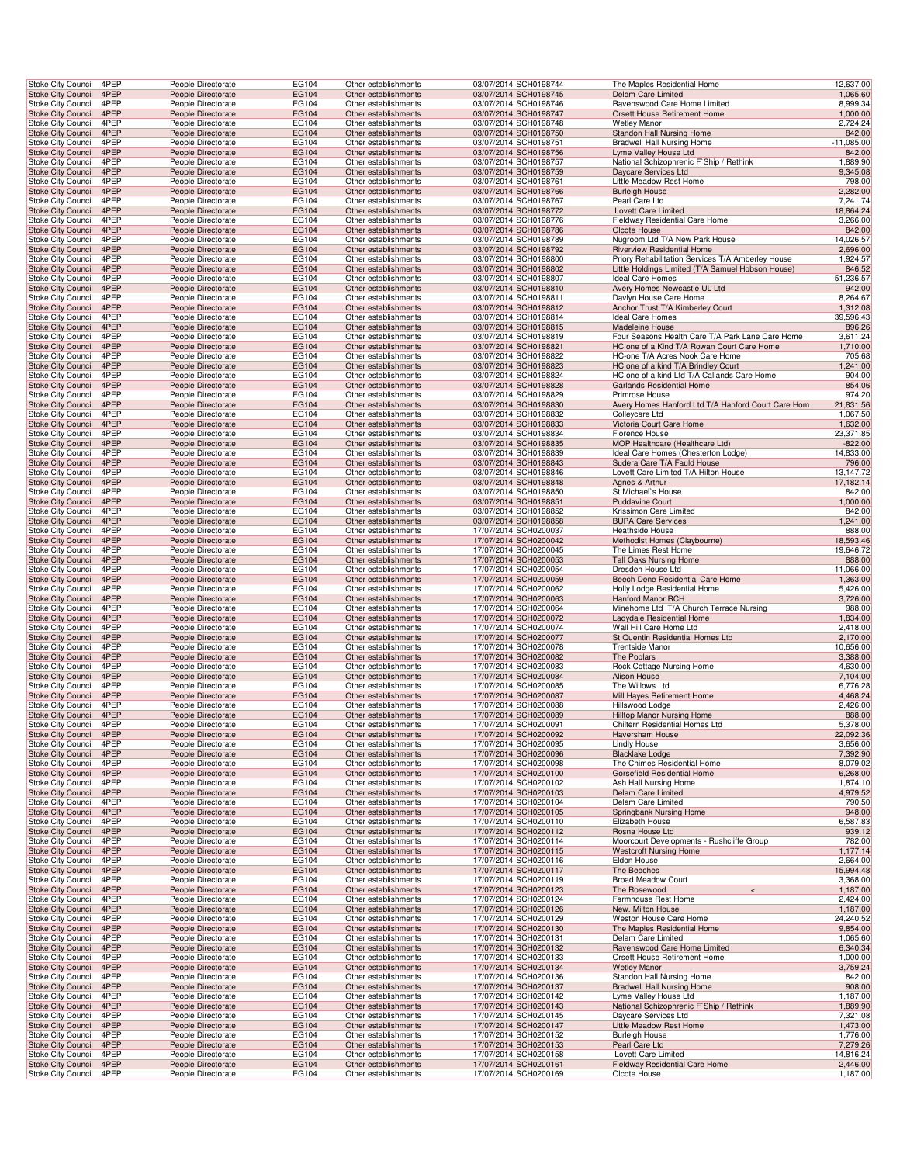| Stoke City Council                                   | 4PEP         | People Directorate                       | EG104          | Other establishments                         | 03/07/2014 SCH0198744                          | The Maples Residential Home                                                | 12,637.00            |
|------------------------------------------------------|--------------|------------------------------------------|----------------|----------------------------------------------|------------------------------------------------|----------------------------------------------------------------------------|----------------------|
| Stoke City Council                                   | 4PEP         | People Directorate                       | EG104          | Other establishments                         | 03/07/2014 SCH0198745                          | Delam Care Limited                                                         | 1,065.60             |
| Stoke City Council                                   | 4PEP         | People Directorate                       | EG104          | Other establishments                         | 03/07/2014 SCH0198746                          | Ravenswood Care Home Limited                                               | 8,999.34             |
| Stoke City Council 4PEP                              |              | People Directorate                       | EG104          | Other establishments                         | 03/07/2014 SCH0198747                          | Orsett House Retirement Home                                               | 1,000.00             |
| Stoke City Council                                   | 4PEP         | People Directorate                       | EG104          | Other establishments                         | 03/07/2014 SCH0198748                          | <b>Wetley Manor</b>                                                        | 2.724.24             |
| <b>Stoke City Council</b>                            | 4PEP         | People Directorate                       | EG104          | Other establishments                         | 03/07/2014 SCH0198750                          | <b>Standon Hall Nursing Home</b>                                           | 842.00               |
| Stoke City Council                                   | 4PEP         | People Directorate                       | EG104          | Other establishments                         | 03/07/2014 SCH0198751                          | Bradwell Hall Nursing Home                                                 | $-11,085.00$         |
| <b>Stoke City Council</b>                            | 4PEP         | People Directorate                       | EG104          | Other establishments                         | 03/07/2014 SCH0198756                          | Lyme Valley House Ltd                                                      | 842.00               |
| Stoke City Council                                   | 4PEP         | People Directorate                       | EG104          | Other establishments                         | 03/07/2014 SCH0198757                          | National Schizophrenic F'Ship / Rethink                                    | 1,889.90             |
| <b>Stoke City Council</b>                            | 4PEP         | People Directorate                       | EG104          | Other establishments                         | 03/07/2014 SCH0198759                          | Daycare Services Ltd                                                       | 9,345.08             |
| <b>Stoke City Council</b>                            | 4PEP         | People Directorate                       | EG104          | Other establishments                         | 03/07/2014 SCH0198761                          | Little Meadow Rest Home                                                    | 798.00               |
| <b>Stoke City Council</b>                            | 4PEP         | People Directorate                       | EG104          | Other establishments                         | 03/07/2014 SCH0198766                          | <b>Burleigh House</b>                                                      | 2,282.00             |
| Stoke City Council                                   | 4PEP         | People Directorate                       | EG104          | Other establishments                         | 03/07/2014 SCH0198767                          | Pearl Care Ltd                                                             | 7,241.74             |
| Stoke City Council 4PEP                              |              | People Directorate                       | EG104          | Other establishments                         | 03/07/2014 SCH0198772                          | Lovett Care Limited                                                        | 18,864.24            |
| Stoke City Council                                   | 4PEP         | People Directorate                       | EG104          | Other establishments                         | 03/07/2014 SCH0198776                          | Fieldway Residential Care Home                                             | 3,266.00             |
| <b>Stoke City Council</b>                            | 4PEP         | People Directorate                       | EG104          | Other establishments                         | 03/07/2014 SCH0198786                          | Olcote House                                                               | 842.00               |
| Stoke City Council                                   | 4PEP         | People Directorate                       | EG104          | Other establishments                         | 03/07/2014 SCH0198789                          | Nugroom Ltd T/A New Park House                                             | 14,026.57            |
| <b>Stoke City Council</b>                            | 4PEP         | People Directorate                       | EG104          | Other establishments                         | 03/07/2014 SCH0198792                          | Riverview Residential Home                                                 | 2,696.00             |
| Stoke City Council                                   | 4PEP         | People Directorate                       | EG104          | Other establishments                         | 03/07/2014 SCH0198800                          | Priory Rehabilitation Services T/A Amberley House                          | 1,924.57             |
| <b>Stoke City Council</b>                            | 4PEP         | People Directorate                       | EG104          | Other establishments                         | 03/07/2014 SCH0198802                          | Little Holdings Limited (T/A Samuel Hobson House)                          | 846.52               |
| Stoke City Council                                   | 4PEP         | People Directorate                       | EG104          | Other establishments                         | 03/07/2014 SCH0198807                          | Ideal Care Homes                                                           | 51,236.57            |
| <b>Stoke City Council</b>                            | 4PEP         | People Directorate                       | EG104          | Other establishments                         | 03/07/2014 SCH0198810                          | Avery Homes Newcastle UL Ltd                                               | 942.00               |
| Stoke City Council                                   | 4PEP         | People Directorate                       | EG104          | Other establishments                         | 03/07/2014 SCH0198811                          | Davlyn House Care Home                                                     | 8,264.67             |
| Stoke City Council 4PEP                              |              | People Directorate                       | EG104          | Other establishments                         | 03/07/2014 SCH0198812                          | Anchor Trust T/A Kimberley Court                                           | 1,312.08             |
| Stoke City Council                                   | 4PEP         | People Directorate                       | EG104          | Other establishments                         | 03/07/2014 SCH0198814                          | Ideal Care Homes                                                           | 39,596.43            |
| Stoke City Council                                   | 4PEP         | People Directorate                       | EG104          | Other establishments                         | 03/07/2014 SCH0198815                          | Madeleine House                                                            | 896.26               |
| Stoke City Council                                   | 4PEP         | People Directorate                       | EG104          | Other establishments                         | 03/07/2014 SCH0198819                          | Four Seasons Health Care T/A Park Lane Care Home                           | 3,611.24             |
| <b>Stoke City Council</b>                            | 4PEP         | People Directorate                       | EG104          | Other establishments                         | 03/07/2014 SCH0198821                          | HC one of a Kind T/A Rowan Court Care Home                                 | 1,710.00             |
| Stoke City Council                                   | 4PEP         | People Directorate                       | EG104          | Other establishments                         | 03/07/2014 SCH0198822                          | HC-one T/A Acres Nook Care Home                                            | 705.68               |
| <b>Stoke City Council</b>                            | 4PEP         | People Directorate                       | EG104          | Other establishments                         | 03/07/2014 SCH0198823                          | HC one of a kind T/A Brindley Court                                        | 1,241.00             |
| Stoke City Council                                   | 4PEP         | People Directorate                       | EG104          | Other establishments                         | 03/07/2014 SCH0198824                          | HC one of a kind Ltd T/A Callands Care Home                                | 904.00               |
| <b>Stoke City Council</b>                            | 4PEP         | People Directorate                       | EG104          | Other establishments                         | 03/07/2014 SCH0198828                          | Garlands Residential Home                                                  | 854.06               |
| Stoke City Council                                   | 4PEP         | People Directorate                       | EG104          | Other establishments                         | 03/07/2014 SCH0198829                          | Primrose House                                                             | 974.20               |
| Stoke City Council 4PEP                              |              | People Directorate                       | EG104          | Other establishments                         | 03/07/2014 SCH0198830                          | Avery Homes Hanford Ltd T/A Hanford Court Care Hom                         | 21,831.56            |
| Stoke City Council                                   | 4PEP         | People Directorate                       | EG104          | Other establishments                         | 03/07/2014 SCH0198832                          | Colleycare Ltd                                                             | 1,067.50             |
| Stoke City Council                                   | 4PEP         | People Directorate                       | EG104          | Other establishments                         | 03/07/2014 SCH0198833                          | Victoria Court Care Home                                                   | 1,632.00             |
| <b>Stoke City Council</b>                            | 4PEP         | People Directorate                       | EG104          | Other establishments                         | 03/07/2014 SCH0198834                          | Florence House                                                             | 23,371.85            |
| <b>Stoke City Council</b>                            | 4PEP         | People Directorate                       | EG104          | Other establishments                         | 03/07/2014 SCH0198835                          | MOP Healthcare (Healthcare Ltd)                                            | $-822.00$            |
| Stoke City Council                                   | 4PEP         | People Directorate                       | EG104          | Other establishments                         | 03/07/2014 SCH0198839                          | Ideal Care Homes (Chesterton Lodge)                                        | 14,833.00            |
| <b>Stoke City Council</b>                            | 4PEP         | People Directorate                       | EG104          | Other establishments                         | 03/07/2014 SCH0198843                          | Sudera Care T/A Fauld House                                                | 796.00               |
| Stoke City Council                                   | 4PEP         | People Directorate                       | EG104          | Other establishments                         | 03/07/2014 SCH0198846                          | Lovett Care Limited T/A Hilton House                                       | 13,147.72            |
| <b>Stoke City Council</b>                            | 4PEP         | People Directorate                       | EG104          | Other establishments                         | 03/07/2014 SCH0198848                          | Agnes & Arthur                                                             | 17,182.14            |
| Stoke City Council                                   | 4PEP         | People Directorate                       | EG104          | Other establishments                         | 03/07/2014 SCH0198850                          | St Michael's House                                                         | 842.00               |
| Stoke City Council 4PEP                              |              | People Directorate                       | EG104          | Other establishments                         | 03/07/2014 SCH0198851                          | <b>Puddavine Court</b>                                                     | 1,000.00             |
| Stoke City Council                                   | 4PEP         | People Directorate                       | EG104          | Other establishments                         | 03/07/2014 SCH0198852                          | Krissimon Care Limited                                                     | 842.00               |
| Stoke City Council                                   | 4PEP         | People Directorate                       | EG104          | Other establishments                         | 03/07/2014 SCH0198858                          | <b>BUPA Care Services</b>                                                  | 1,241.00             |
| Stoke City Council                                   | 4PEP         | People Directorate                       | EG104          | Other establishments                         | 17/07/2014 SCH0200037                          | Heathside House                                                            | 888.00               |
| <b>Stoke City Council</b>                            | 4PEP         | People Directorate                       | EG104          | Other establishments                         | 17/07/2014 SCH0200042                          | Methodist Homes (Claybourne)                                               | 18,593.46            |
| Stoke City Council                                   | 4PEP         | People Directorate                       | EG104          | Other establishments                         | 17/07/2014 SCH0200045                          | The Limes Rest Home                                                        | 19,646.72            |
| <b>Stoke City Council</b>                            | 4PEP         | People Directorate                       | EG104          | Other establishments                         | 17/07/2014 SCH0200053                          | <b>Tall Oaks Nursing Home</b>                                              | 888.00               |
| Stoke City Council                                   | 4PEP         | People Directorate                       | EG104          | Other establishments                         | 17/07/2014 SCH0200054                          | Dresden House Ltd                                                          | 11,066.00            |
| <b>Stoke City Council</b>                            | 4PEP         | People Directorate                       | EG104          | Other establishments                         | 17/07/2014 SCH0200059                          | Beech Dene Residential Care Home                                           | 1,363.00             |
| Stoke City Council                                   | 4PEP         | People Directorate                       | EG104          | Other establishments                         | 17/07/2014 SCH0200062                          | Holly Lodge Residential Home                                               | 5,426.00             |
| Stoke City Council 4PEP                              |              | People Directorate                       | EG104          | Other establishments                         | 17/07/2014 SCH0200063                          | Hanford Manor RCH                                                          | 3,726.00             |
| Stoke City Council                                   | 4PEP         | People Directorate                       | EG104          | Other establishments                         | 17/07/2014 SCH0200064                          | Minehome Ltd T/A Church Terrace Nursing                                    | 988.00               |
| Stoke City Council                                   | 4PEP         | People Directorate                       | EG104          | Other establishments                         | 17/07/2014 SCH0200072                          | Ladydale Residential Home                                                  | 1,834.00             |
| Stoke City Council                                   | 4PEP         | People Directorate                       | EG104          | Other establishments                         | 17/07/2014 SCH0200074                          | Wall Hill Care Home Ltd                                                    | 2,418.00             |
| <b>Stoke City Council</b>                            | 4PEP         | People Directorate                       | EG104          | Other establishments                         | 17/07/2014 SCH0200077                          | St Quentin Residential Homes Ltd                                           | 2,170.00             |
| Stoke City Council                                   | 4PEP         | People Directorate                       | EG104          | Other establishments<br>Other establishments | 17/07/2014 SCH0200078                          | <b>Trentside Manor</b>                                                     | 10,656.00            |
| <b>Stoke City Council</b>                            | 4PEP         | People Directorate                       | EG104          |                                              | 17/07/2014 SCH0200082                          | The Poplars                                                                | 3,388.00             |
| Stoke City Council                                   | 4PEP<br>4PEP | People Directorate                       | EG104          | Other establishments                         | 17/07/2014 SCH0200083                          | Rock Cottage Nursing Home                                                  | 4,630.00             |
| <b>Stoke City Council</b>                            |              | People Directorate                       | EG104          | Other establishments                         | 17/07/2014 SCH0200084                          | Alison House<br>The Willows Ltd                                            | 7,104.00             |
| Stoke City Council<br>Stoke City Council 4PEP        | 4PEP         | People Directorate                       | EG104          | Other establishments                         | 17/07/2014 SCH0200085                          |                                                                            | 6,776.28             |
|                                                      | 4PEP         | People Directorate                       | EG104<br>EG104 | Other establishments                         | 17/07/2014 SCH0200087<br>17/07/2014 SCH0200088 | Mill Hayes Retirement Home<br>Hillswood Lodge                              | 4,468.24             |
| Stoke City Council<br>Stoke City Council 4PEP        |              | People Directorate<br>People Directorate |                | Other establishments<br>Other establishments |                                                |                                                                            |                      |
| Stoke City Council 4PEP                              |              |                                          |                |                                              |                                                |                                                                            | 2,426.00             |
|                                                      | 4PEP         |                                          | EG104          |                                              | 17/07/2014 SCH0200089                          | Hilltop Manor Nursing Home                                                 | 888.00               |
| <b>Stoke City Council</b><br>Stoke City Council      |              | People Directorate                       | EG104          | Other establishments                         | 17/07/2014 SCH0200091                          | Chiltern Residential Homes Ltd                                             | 5,378.00             |
|                                                      |              | People Directorate                       | EG104          | Other establishments                         | 17/07/2014 SCH0200092                          | Haversham House                                                            | 22,092.36            |
|                                                      | 4PEP         | People Directorate                       | EG104          | Other establishments                         | 17/07/2014 SCH0200095                          | <b>Lindly House</b>                                                        | 3,656.00             |
| Stoke City Council                                   | 4PEP         | People Directorate                       | EG104          | Other establishments                         | 17/07/2014 SCH0200096                          | <b>Blacklake Lodge</b>                                                     | 7,392.90             |
| Stoke City Council                                   | 4PEP         | People Directorate                       | EG104          | Other establishments                         | 17/07/2014 SCH0200098                          | The Chimes Residential Home                                                | 8,079.02             |
| <b>Stoke City Council</b>                            | 4PEP         | People Directorate                       | EG104          | Other establishments                         | 17/07/2014 SCH0200100                          | Gorsefield Residential Home                                                | 6,268.00             |
| <b>Stoke City Council</b>                            | 4PEP         | People Directorate                       | EG104          | Other establishments                         | 17/07/2014 SCH0200102                          | Ash Hall Nursing Home                                                      | 1,874.10             |
| Stoke City Council 4PEP                              |              | People Directorate                       | EG104          | Other establishments                         | 17/07/2014 SCH0200103                          | Delam Care Limited                                                         | 4,979.52             |
| Stoke City Council                                   | 4PEP         | People Directorate                       | EG104          | Other establishments                         | 17/07/2014 SCH0200104                          | Delam Care Limited                                                         | 790.50               |
| Stoke City Council                                   | 4PEP         | People Directorate                       | EG104          | Other establishments                         | 17/07/2014 SCH0200105                          | Springbank Nursing Home                                                    | 948.00               |
| Stoke City Council                                   | 4PEP         | People Directorate                       | EG104          | Other establishments                         | 17/07/2014 SCH0200110                          | Elizabeth House                                                            | 6,587.83             |
| <b>Stoke City Council</b>                            | 4PEP         | People Directorate                       | EG104          | Other establishments                         | 17/07/2014 SCH0200112                          | Rosna House Ltd                                                            | 939.12               |
| Stoke City Council                                   | 4PEP         | People Directorate                       | EG104          | Other establishments                         | 17/07/2014 SCH0200114                          | Moorcourt Developments - Rushcliffe Group<br><b>Westcroft Nursing Home</b> | 782.00               |
| <b>Stoke City Council</b>                            | 4PEP         | People Directorate                       | EG104          | Other establishments                         | 17/07/2014 SCH0200115                          |                                                                            | 1,177.14             |
| Stoke City Council                                   | 4PEP         | People Directorate                       | EG104          | Other establishments                         | 17/07/2014 SCH0200116                          | Eldon House                                                                | 2,664.00             |
| <b>Stoke City Council</b>                            | 4PEP         | People Directorate                       | EG104          | Other establishments                         | 17/07/2014 SCH0200117                          | The Beeches                                                                | 15,994.48            |
| <b>Stoke City Council</b>                            | 4PEP         | People Directorate                       | EG104          | Other establishments                         | 17/07/2014 SCH0200119                          | Broad Meadow Court<br>$\,<$                                                | 3,368.00             |
| Stoke City Council 4PEP                              | 4PEP         | People Directorate                       | EG104          | Other establishments                         | 17/07/2014 SCH0200123<br>17/07/2014 SCH0200124 | The Rosewood                                                               | 1,187.00             |
| Stoke City Council                                   | 4PEP         | People Directorate                       | EG104          | Other establishments                         |                                                | Farmhouse Rest Home                                                        | 2,424.00             |
| Stoke City Council                                   |              | People Directorate                       | EG104          | Other establishments                         | 17/07/2014 SCH0200126                          | New. Milton House                                                          | 1,187.00             |
| Stoke City Council                                   | 4PEP         | People Directorate                       | EG104          | Other establishments                         | 17/07/2014 SCH0200129                          | Weston House Care Home                                                     | 24,240.52            |
| <b>Stoke City Council</b>                            | 4PEP<br>4PEP | People Directorate<br>People Directorate | EG104<br>EG104 | Other establishments<br>Other establishments | 17/07/2014 SCH0200130<br>17/07/2014 SCH0200131 | The Maples Residential Home<br>Delam Care Limited                          | 9,854.00<br>1,065.60 |
| Stoke City Council<br><b>Stoke City Council</b>      | 4PEP         | People Directorate                       | EG104          | Other establishments                         | 17/07/2014 SCH0200132                          | Ravenswood Care Home Limited                                               | 6,340.34             |
|                                                      |              |                                          |                |                                              |                                                |                                                                            |                      |
| Stoke City Council<br><b>Stoke City Council</b>      | 4PEP<br>4PEP | People Directorate<br>People Directorate | EG104<br>EG104 | Other establishments<br>Other establishments | 17/07/2014 SCH0200133<br>17/07/2014 SCH0200134 | Orsett House Retirement Home<br><b>Wetley Manor</b>                        | 1,000.00<br>3,759.24 |
|                                                      | 4PEP         | People Directorate                       | EG104          | Other establishments                         | 17/07/2014 SCH0200136                          | Standon Hall Nursing Home                                                  | 842.00               |
| <b>Stoke City Council</b><br>Stoke City Council 4PEP |              | People Directorate                       | EG104          | Other establishments                         | 17/07/2014 SCH0200137                          | <b>Bradwell Hall Nursing Home</b>                                          | 908.00               |
| Stoke City Council                                   | 4PEP         | People Directorate                       | EG104          | Other establishments                         | 17/07/2014 SCH0200142                          | Lyme Valley House Ltd                                                      | 1,187.00             |
| Stoke City Council                                   | 4PEP         | People Directorate                       | EG104          | Other establishments                         | 17/07/2014 SCH0200143                          | National Schizophrenic F'Ship / Rethink                                    | 1,889.90             |
| Stoke City Council                                   | 4PEP         | People Directorate                       | EG104          | Other establishments                         | 17/07/2014 SCH0200145                          | Daycare Services Ltd                                                       | 7,321.08             |
| <b>Stoke City Council</b>                            | 4PEP         | People Directorate                       | EG104          | Other establishments                         | 17/07/2014 SCH0200147                          | Little Meadow Rest Home                                                    | 1,473.00             |
| Stoke City Council                                   | 4PEP         | People Directorate                       | EG104          | Other establishments                         | 17/07/2014 SCH0200152                          | <b>Burleigh House</b>                                                      | 1,776.00             |
| Stoke City Council                                   | 4PEP         | People Directorate                       | EG104          | Other establishments                         | 17/07/2014 SCH0200153                          | Pearl Care Ltd                                                             | 7,279.26             |
| Stoke City Council                                   | 4PEP         | People Directorate                       | EG104          | Other establishments                         | 17/07/2014 SCH0200158                          | Lovett Care Limited                                                        | 14,816.24            |
| <b>Stoke City Council</b><br>Stoke City Council 4PEP | 4PEP         | People Directorate<br>People Directorate | EG104<br>EG104 | Other establishments<br>Other establishments | 17/07/2014 SCH0200161<br>17/07/2014 SCH0200169 | Fieldway Residential Care Home<br>Olcote House                             | 2,446.00<br>1,187.00 |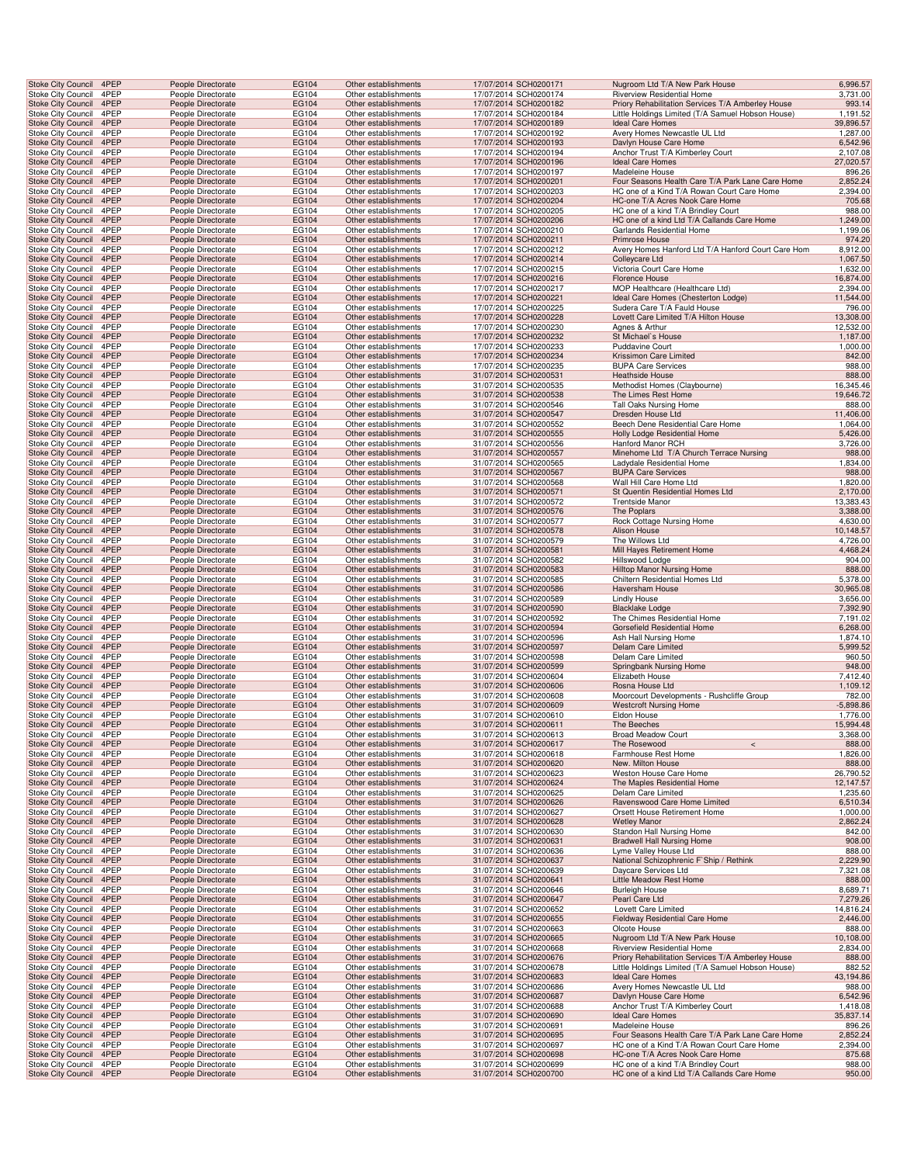| <b>Stoke City Council</b>                       | 4PEP         | People Directorate                       | EG104          | Other establishments                         | 17/07/2014 SCH0200171                          | Nugroom Ltd T/A New Park House                                       | 6,996.57              |
|-------------------------------------------------|--------------|------------------------------------------|----------------|----------------------------------------------|------------------------------------------------|----------------------------------------------------------------------|-----------------------|
| Stoke City Council                              | 4PEP         | People Directorate                       | EG104          | Other establishments                         | 17/07/2014 SCH0200174                          | Riverview Residential Home                                           | 3,731.00              |
| <b>Stoke City Council</b>                       | 4PEP         | People Directorate                       | EG104          | Other establishments                         | 17/07/2014 SCH0200182                          | Priory Rehabilitation Services T/A Amberley House                    | 993.14                |
| Stoke City Council                              | 4PEP         | People Directorate                       | EG104          | Other establishments                         | 17/07/2014 SCH0200184                          | Little Holdings Limited (T/A Samuel Hobson House)                    | 1,191.52              |
| Stoke City Council                              | 4PEP         | People Directorate                       | EG104          | Other establishments                         | 17/07/2014 SCH0200189                          | Ideal Care Homes                                                     | 39,896.57             |
| Stoke City Council                              | 4PEP<br>4PEP | People Directorate                       | EG104          | Other establishments                         | 17/07/2014 SCH0200192                          | Avery Homes Newcastle UL Ltd                                         | 1,287.00              |
| <b>Stoke City Council</b><br>Stoke City Council | 4PEP         | People Directorate<br>People Directorate | EG104<br>EG104 | Other establishments<br>Other establishments | 17/07/2014 SCH0200193<br>17/07/2014 SCH0200194 | Davlyn House Care Home<br>Anchor Trust T/A Kimberley Court           | 6,542.96<br>2,107.08  |
| Stoke City Council                              | 4PEP         | People Directorate                       | EG104          | Other establishments                         | 17/07/2014 SCH0200196                          | <b>Ideal Care Homes</b>                                              | 27,020.57             |
| Stoke City Council                              | 4PEP         | People Directorate                       | EG104          | Other establishments                         | 17/07/2014 SCH0200197                          | Madeleine House                                                      | 896.26                |
| <b>Stoke City Council</b>                       | 4PEP         | People Directorate                       | EG104          | Other establishments                         | 17/07/2014 SCH0200201                          | Four Seasons Health Care T/A Park Lane Care Home                     | 2,852.24              |
| Stoke City Council                              | 4PEP         | People Directorate                       | EG104          | Other establishments                         | 17/07/2014 SCH0200203                          | HC one of a Kind T/A Rowan Court Care Home                           | 2,394.00              |
| <b>Stoke City Council</b>                       | 4PEP         | People Directorate                       | EG104          | Other establishments                         | 17/07/2014 SCH0200204                          | HC-one T/A Acres Nook Care Home                                      | 705.68                |
| Stoke City Council                              | 4PEP         | People Directorate                       | EG104          | Other establishments                         | 17/07/2014 SCH0200205                          | HC one of a kind T/A Brindley Court                                  | 988.00                |
| <b>Stoke City Council</b>                       | 4PEP         | People Directorate                       | EG104          | Other establishments                         | 17/07/2014 SCH0200206                          | HC one of a kind Ltd T/A Callands Care Home                          | 1,249.00              |
| Stoke City Council                              | 4PEP         | People Directorate                       | EG104          | Other establishments                         | 17/07/2014 SCH0200210                          | Garlands Residential Home                                            | 1,199.06              |
| <b>Stoke City Council</b>                       | 4PEP         | People Directorate                       | EG104          | Other establishments                         | 17/07/2014 SCH0200211                          | Primrose House                                                       | 974.20                |
| Stoke City Council<br>Stoke City Council        | 4PEP<br>4PEP | People Directorate<br>People Directorate | EG104<br>EG104 | Other establishments<br>Other establishments | 17/07/2014 SCH0200212<br>17/07/2014 SCH0200214 | Avery Homes Hanford Ltd T/A Hanford Court Care Hom<br>Colleycare Ltd | 8,912.00<br>1,067.50  |
| Stoke City Council                              | 4PEP         | People Directorate                       | EG104          | Other establishments                         | 17/07/2014 SCH0200215                          | Victoria Court Care Home                                             | 1,632.00              |
| <b>Stoke City Council</b>                       | 4PEP         | People Directorate                       | EG104          | Other establishments                         | 17/07/2014 SCH0200216                          | Florence House                                                       | 16,874.00             |
| Stoke City Council                              | 4PEP         | People Directorate                       | EG104          | Other establishments                         | 17/07/2014 SCH0200217                          | MOP Healthcare (Healthcare Ltd)                                      | 2,394.00              |
| <b>Stoke City Council</b>                       | 4PEP         | People Directorate                       | EG104          | Other establishments                         | 17/07/2014 SCH0200221                          | Ideal Care Homes (Chesterton Lodge)                                  | 11,544.00             |
| Stoke City Council                              | 4PEP         | People Directorate                       | EG104          | Other establishments                         | 17/07/2014 SCH0200225                          | Sudera Care T/A Fauld House                                          | 796.00                |
| <b>Stoke City Council</b>                       | 4PEP         | People Directorate                       | EG104          | Other establishments                         | 17/07/2014 SCH0200228                          | Lovett Care Limited T/A Hilton House                                 | 13,308.00             |
| Stoke City Council                              | 4PEP         | People Directorate                       | EG104          | Other establishments                         | 17/07/2014 SCH0200230                          | Agnes & Arthur                                                       | 12,532.00             |
| <b>Stoke City Council</b>                       | 4PEP         | People Directorate                       | EG104          | Other establishments                         | 17/07/2014 SCH0200232                          | St Michael's House                                                   | 1,187.00              |
| Stoke City Council                              | 4PEP         | People Directorate                       | EG104          | Other establishments                         | 17/07/2014 SCH0200233                          | <b>Puddavine Court</b>                                               | 1,000.00              |
| Stoke City Council                              | 4PEP<br>4PEP | People Directorate<br>People Directorate | EG104          | Other establishments                         | 17/07/2014 SCH0200234                          | Krissimon Care Limited                                               | 842.00                |
| Stoke City Council<br><b>Stoke City Council</b> | 4PEP         | People Directorate                       | EG104<br>EG104 | Other establishments<br>Other establishments | 17/07/2014 SCH0200235<br>31/07/2014 SCH0200531 | <b>BUPA Care Services</b><br><b>Heathside House</b>                  | 988.00<br>888.00      |
| Stoke City Council                              | 4PEP         | People Directorate                       | EG104          | Other establishments                         | 31/07/2014 SCH0200535                          | Methodist Homes (Claybourne)                                         | 16,345.46             |
| Stoke City Council                              | 4PEP         | People Directorate                       | EG104          | Other establishments                         | 31/07/2014 SCH0200538                          | The Limes Rest Home                                                  | 19,646.72             |
| Stoke City Council                              | 4PEP         | People Directorate                       | EG104          | Other establishments                         | 31/07/2014 SCH0200546                          | Tall Oaks Nursing Home                                               | 888.00                |
| <b>Stoke City Council</b>                       | 4PEP         | People Directorate                       | EG104          | Other establishments                         | 31/07/2014 SCH0200547                          | Dresden House Ltd                                                    | 11,406.00             |
| Stoke City Council                              | 4PEP         | People Directorate                       | EG104          | Other establishments                         | 31/07/2014 SCH0200552                          | Beech Dene Residential Care Home                                     | 1,064.00              |
| <b>Stoke City Council</b>                       | 4PEP         | People Directorate                       | EG104          | Other establishments                         | 31/07/2014 SCH0200555                          | Holly Lodge Residential Home                                         | 5,426.00              |
| Stoke City Council                              | 4PEP         | People Directorate                       | EG104          | Other establishments                         | 31/07/2014 SCH0200556                          | <b>Hanford Manor RCH</b>                                             | 3,726.00              |
| Stoke City Council                              | 4PEP         | People Directorate                       | EG104          | Other establishments                         | 31/07/2014 SCH0200557                          | Minehome Ltd T/A Church Terrace Nursing                              | 988.00                |
| Stoke City Council                              | 4PEP         | People Directorate                       | EG104          | Other establishments                         | 31/07/2014 SCH0200565                          | Ladydale Residential Home                                            | 1,834.00              |
| <b>Stoke City Council</b>                       | 4PEP         | People Directorate                       | EG104          | Other establishments                         | 31/07/2014 SCH0200567                          | <b>BUPA Care Services</b><br>Wall Hill Care Home Ltd                 | 988.00                |
| Stoke City Council<br>Stoke City Council        | 4PEP<br>4PEP | People Directorate<br>People Directorate | EG104<br>EG104 | Other establishments<br>Other establishments | 31/07/2014 SCH0200568<br>31/07/2014 SCH0200571 | St Quentin Residential Homes Ltd                                     | 1,820.00<br>2,170.00  |
| Stoke City Council                              | 4PEP         | People Directorate                       | EG104          | Other establishments                         | 31/07/2014 SCH0200572                          | <b>Trentside Manor</b>                                               | 13,383.43             |
| <b>Stoke City Council</b>                       | 4PEP         | People Directorate                       | EG104          | Other establishments                         | 31/07/2014 SCH0200576                          | The Poplars                                                          | 3,388.00              |
| Stoke City Council                              | 4PEP         | People Directorate                       | EG104          | Other establishments                         | 31/07/2014 SCH0200577                          | Rock Cottage Nursing Home                                            | 4,630.00              |
| <b>Stoke City Council</b>                       | 4PEP         | People Directorate                       | EG104          | Other establishments                         | 31/07/2014 SCH0200578                          | <b>Alison House</b>                                                  | 10,148.57             |
| Stoke City Council                              | 4PEP         | People Directorate                       | EG104          | Other establishments                         | 31/07/2014 SCH0200579                          | The Willows Ltd                                                      | 4,726.00              |
| Stoke City Council                              | 4PEP         | People Directorate                       | EG104          | Other establishments                         | 31/07/2014 SCH0200581                          | Mill Hayes Retirement Home                                           | 4,468.24              |
| Stoke City Council                              | 4PEP         | People Directorate                       | EG104          | Other establishments                         | 31/07/2014 SCH0200582                          | Hillswood Lodge                                                      | 904.00                |
| <b>Stoke City Council</b>                       | 4PEP         | People Directorate                       | EG104          | Other establishments                         | 31/07/2014 SCH0200583                          | <b>Hilltop Manor Nursing Home</b>                                    | 888.00                |
| Stoke City Council                              | 4PEP         | People Directorate                       | EG104          | Other establishments                         | 31/07/2014 SCH0200585                          | Chiltern Residential Homes Ltd                                       | 5,378.00              |
| <b>Stoke City Council</b>                       | 4PEP<br>4PEP | People Directorate                       | EG104          | Other establishments                         | 31/07/2014 SCH0200586                          | Haversham House                                                      | 30,965.08<br>3,656.00 |
| Stoke City Council<br><b>Stoke City Council</b> | 4PEP         | People Directorate<br>People Directorate | EG104<br>EG104 | Other establishments<br>Other establishments | 31/07/2014 SCH0200589<br>31/07/2014 SCH0200590 | <b>Lindly House</b><br><b>Blacklake Lodge</b>                        | 7,392.90              |
| Stoke City Council                              | 4PEP         | People Directorate                       | EG104          | Other establishments                         | 31/07/2014 SCH0200592                          | The Chimes Residential Home                                          | 7,191.02              |
| <b>Stoke City Council</b>                       | 4PEP         | People Directorate                       | EG104          | Other establishments                         | 31/07/2014 SCH0200594                          | Gorsefield Residential Home                                          | 6,268.00              |
| Stoke City Council                              | 4PEP         | People Directorate                       | EG104          | Other establishments                         | 31/07/2014 SCH0200596                          | Ash Hall Nursing Home                                                | 1,874.10              |
| Stoke City Council                              | 4PEP         | People Directorate                       | EG104          | Other establishments                         | 31/07/2014 SCH0200597                          | <b>Delam Care Limited</b>                                            | 5,999.52              |
| Stoke City Council                              | 4PEP         | People Directorate                       | EG104          | Other establishments                         | 31/07/2014 SCH0200598                          | Delam Care Limited                                                   | 960.50                |
| <b>Stoke City Council</b>                       | 4PEP         | People Directorate                       | EG104          | Other establishments                         | 31/07/2014 SCH0200599                          | Springbank Nursing Home                                              | 948.00                |
| Stoke City Council                              | 4PEP         | People Directorate                       | EG104          | Other establishments                         | 31/07/2014 SCH0200604                          | Elizabeth House                                                      | 7,412.40              |
| Stoke City Council                              | 4PEP         | People Directorate                       | EG104          | Other establishments                         | 31/07/2014 SCH0200606                          | Rosna House Ltd                                                      | 1,109.12              |
| Stoke City Council                              | 4PEP<br>4PEP | People Directorate<br>People Directorate | EG104<br>EG104 | Other establishments<br>Other establishments | 31/07/2014 SCH0200608<br>31/07/2014 SCH0200609 | Moorcourt Developments - Rushcliffe Group                            | 782.00<br>$-5,898.86$ |
| Stoke City Council<br>Stoke City Council        | 4PEP         | People Directorate                       | EG104          | Other establishments                         | 31/07/2014 SCH0200610                          | <b>Westcroft Nursing Home</b><br>Eldon House                         | 1,776.00              |
| Stoke City Council 4PEP                         |              | People Directorate                       | EG104          | Other establishments                         | 31/07/2014 SCH0200611                          | The Beeches                                                          | 15,994.48             |
| Stoke City Council                              | 4PEP         | People Directorate                       | EG104          | Other establishments                         | 31/07/2014 SCH0200613                          | <b>Broad Meadow Court</b>                                            | 3,368.00              |
| Stoke City Council 4PEP                         |              | People Directorate                       | EG104          | Other establishments                         | 31/07/2014 SCH0200617                          | The Rosewood<br>$\,<$                                                | 888.00                |
| Stoke City Council                              | 4PEP         | People Directorate                       | EG104          | Other establishments                         | 31/07/2014 SCH0200618                          | Farmhouse Rest Home                                                  | 1,826.00              |
| <b>Stoke City Council</b>                       | 4PEP         | People Directorate                       | EG104          | Other establishments                         | 31/07/2014 SCH0200620                          | New. Milton House                                                    | 888.00                |
| <b>Stoke City Council</b>                       | 4PEP         | People Directorate                       | EG104          | Other establishments                         | 31/07/2014 SCH0200623                          | Weston House Care Home                                               | 26,790.52             |
| <b>Stoke City Council</b>                       | 4PEP<br>4PEP | People Directorate                       | EG104          | Other establishments<br>Other establishments | 31/07/2014 SCH0200624                          | The Maples Residential Home                                          | 12,147.57             |
| Stoke City Council<br>Stoke City Council        | 4PEP         | People Directorate<br>People Directorate | EG104<br>EG104 | Other establishments                         | 31/07/2014 SCH0200625<br>31/07/2014 SCH0200626 | Delam Care Limited<br>Ravenswood Care Home Limited                   | 1,235.60<br>6,510.34  |
| Stoke City Council                              | 4PEP         | People Directorate                       | EG104          | Other establishments                         | 31/07/2014 SCH0200627                          | Orsett House Retirement Home                                         | 1,000.00              |
| Stoke City Council                              | 4PEP         | People Directorate                       | EG104          | Other establishments                         | 31/07/2014 SCH0200628                          | <b>Wetley Manor</b>                                                  | 2,862.24              |
| <b>Stoke City Council</b>                       | 4PEP         | People Directorate                       | EG104          | Other establishments                         | 31/07/2014 SCH0200630                          | Standon Hall Nursing Home                                            | 842.00                |
| Stoke City Council                              | 4PEP         | People Directorate                       | EG104          | Other establishments                         | 31/07/2014 SCH0200631                          | <b>Bradwell Hall Nursing Home</b>                                    | 908.00                |
| Stoke City Council                              | 4PEP         | People Directorate                       | EG104          | Other establishments                         | 31/07/2014 SCH0200636                          | Lyme Valley House Ltd                                                | 888.00                |
| <b>Stoke City Council</b>                       | 4PEP         | People Directorate                       | EG104          | Other establishments                         | 31/07/2014 SCH0200637                          | National Schizophrenic F'Ship / Rethink                              | 2,229.90              |
| Stoke City Council                              | 4PEP         | People Directorate                       | EG104          | Other establishments                         | 31/07/2014 SCH0200639                          | Daycare Services Ltd                                                 | 7,321.08              |
| <b>Stoke City Council</b>                       | 4PEP         | People Directorate                       | EG104          | Other establishments                         | 31/07/2014 SCH0200641                          | Little Meadow Rest Home                                              | 888.00                |
| Stoke City Council                              | 4PEP         | People Directorate                       | EG104          | Other establishments                         | 31/07/2014 SCH0200646                          | <b>Burleigh House</b>                                                | 8,689.71              |
| Stoke City Council<br>Stoke City Council        | 4PEP<br>4PEP | People Directorate<br>People Directorate | EG104<br>EG104 | Other establishments<br>Other establishments | 31/07/2014 SCH0200647<br>31/07/2014 SCH0200652 | Pearl Care Ltd<br>Lovett Care Limited                                | 7,279.26<br>14,816.24 |
| Stoke City Council                              | 4PEP         | People Directorate                       | EG104          | Other establishments                         | 31/07/2014 SCH0200655                          | Fieldway Residential Care Home                                       | 2,446.00              |
| <b>Stoke City Council</b>                       | 4PEP         | People Directorate                       | EG104          | Other establishments                         | 31/07/2014 SCH0200663                          | Olcote House                                                         | 888.00                |
| Stoke City Council                              | 4PEP         | People Directorate                       | EG104          | Other establishments                         | 31/07/2014 SCH0200665                          | Nugroom Ltd T/A New Park House                                       | 10,108.00             |
| Stoke City Council                              | 4PEP         | People Directorate                       | EG104          | Other establishments                         | 31/07/2014 SCH0200668                          | Riverview Residential Home                                           | 2,834.00              |
| <b>Stoke City Council</b>                       | 4PEP         | People Directorate                       | EG104          | Other establishments                         | 31/07/2014 SCH0200676                          | Priory Rehabilitation Services T/A Amberley House                    | 888.00                |
| Stoke City Council                              | 4PEP         | People Directorate                       | EG104          | Other establishments                         | 31/07/2014 SCH0200678                          | Little Holdings Limited (T/A Samuel Hobson House)                    | 882.52                |
| <b>Stoke City Council</b>                       | 4PEP         | People Directorate                       | EG104          | Other establishments                         | 31/07/2014 SCH0200683                          | Ideal Care Homes                                                     | 43,194.86             |
| Stoke City Council                              | 4PEP         | People Directorate                       | EG104          | Other establishments                         | 31/07/2014 SCH0200686                          | Avery Homes Newcastle UL Ltd                                         | 988.00                |
| Stoke City Council<br>Stoke City Council        | 4PEP<br>4PEP | People Directorate<br>People Directorate | EG104<br>EG104 | Other establishments<br>Other establishments | 31/07/2014 SCH0200687<br>31/07/2014 SCH0200688 | Davlyn House Care Home<br>Anchor Trust T/A Kimberley Court           | 6,542.96<br>1,418.08  |
| Stoke City Council                              | 4PEP         | People Directorate                       | EG104          | Other establishments                         | 31/07/2014 SCH0200690                          | <b>Ideal Care Homes</b>                                              | 35,837.14             |
| <b>Stoke City Council</b>                       | 4PEP         | People Directorate                       | EG104          | Other establishments                         | 31/07/2014 SCH0200691                          | Madeleine House                                                      | 896.26                |
| Stoke City Council                              | 4PEP         | People Directorate                       | EG104          | Other establishments                         | 31/07/2014 SCH0200695                          | Four Seasons Health Care T/A Park Lane Care Home                     | 2,852.24              |
| Stoke City Council                              | 4PEP         | People Directorate                       | EG104          | Other establishments                         | 31/07/2014 SCH0200697                          | HC one of a Kind T/A Rowan Court Care Home                           | 2,394.00              |
| <b>Stoke City Council</b>                       | 4PEP         | People Directorate                       | EG104          | Other establishments                         | 31/07/2014 SCH0200698                          | HC-one T/A Acres Nook Care Home                                      | 875.68                |
| Stoke City Council                              | 4PEP         | People Directorate                       | EG104          | Other establishments                         | 31/07/2014 SCH0200699                          | HC one of a kind T/A Brindley Court                                  | 988.00                |
| <b>Stoke City Council</b>                       | 4PEP         | People Directorate                       | EG104          | Other establishments                         | 31/07/2014 SCH0200700                          | HC one of a kind Ltd T/A Callands Care Home                          | 950.00                |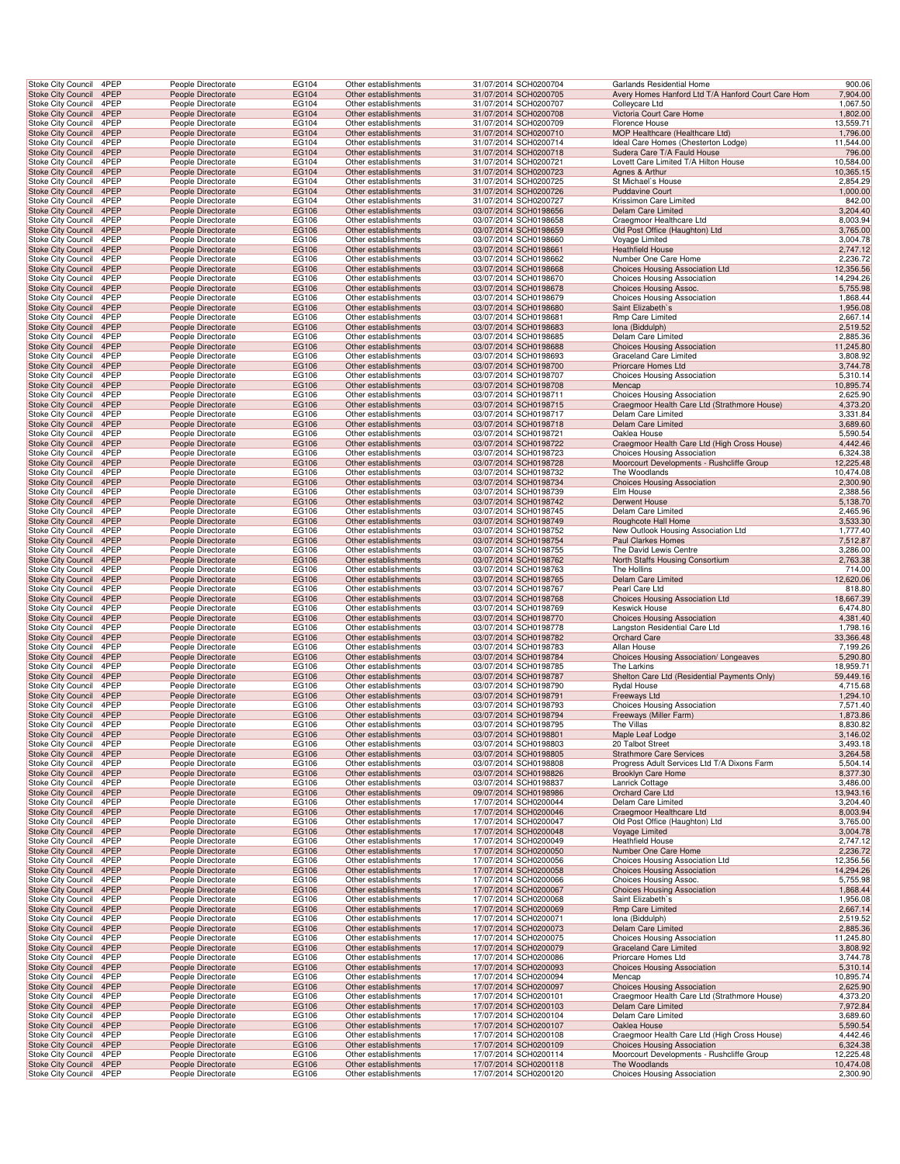| Stoke City Council                              | 4PEP         | People Directorate                       | <b>EG104</b>   | Other establishments                         | 31/07/2014 SCH0200704                          | Garlands Residential Home                                          | 900.06                 |
|-------------------------------------------------|--------------|------------------------------------------|----------------|----------------------------------------------|------------------------------------------------|--------------------------------------------------------------------|------------------------|
| <b>Stoke City Council</b>                       | 4PEP         | People Directorate                       | EG104          | Other establishments                         | 31/07/2014 SCH0200705                          | Avery Homes Hanford Ltd T/A Hanford Court Care Hom                 | 7,904.00               |
| Stoke City Council                              | 4PEP         | People Directorate                       | EG104          | Other establishments                         | 31/07/2014 SCH0200707                          | Colleycare Ltd                                                     | 1,067.50               |
| Stoke City Council 4PEP                         |              | People Directorate                       | EG104          | Other establishments                         | 31/07/2014 SCH0200708                          | Victoria Court Care Home                                           | 1,802.00               |
| Stoke City Council                              | 4PEP         | People Directorate                       | EG104          | Other establishments                         | 31/07/2014 SCH0200709                          | Florence House                                                     | 13,559.71              |
| <b>Stoke City Council</b>                       | 4PEP<br>4PEP | People Directorate                       | EG104          | Other establishments<br>Other establishments | 31/07/2014 SCH0200710                          | MOP Healthcare (Healthcare Ltd)                                    | 1,796.00               |
| Stoke City Council<br>Stoke City Council        | 4PEP         | People Directorate<br>People Directorate | EG104<br>EG104 | Other establishments                         | 31/07/2014 SCH0200714<br>31/07/2014 SCH0200718 | Ideal Care Homes (Chesterton Lodge)<br>Sudera Care T/A Fauld House | 11,544.00<br>796.00    |
| Stoke City Council                              | 4PEP         | People Directorate                       | EG104          | Other establishments                         | 31/07/2014 SCH0200721                          | Lovett Care Limited T/A Hilton House                               | 10,584.00              |
| <b>Stoke City Council</b>                       | 4PEP         | People Directorate                       | EG104          | Other establishments                         | 31/07/2014 SCH0200723                          | Agnes & Arthur                                                     | 10,365.15              |
| Stoke City Council                              | 4PEP         | People Directorate                       | EG104          | Other establishments                         | 31/07/2014 SCH0200725                          | St Michael's House                                                 | 2,854.29               |
| Stoke City Council                              | 4PEP         | People Directorate                       | EG104          | Other establishments                         | 31/07/2014 SCH0200726                          | <b>Puddavine Court</b>                                             | 1,000.00               |
| Stoke City Council                              | 4PEP         | People Directorate                       | EG104          | Other establishments                         | 31/07/2014 SCH0200727                          | Krissimon Care Limited                                             | 842.00                 |
| Stoke City Council 4PEP                         |              | People Directorate                       | EG106          | Other establishments                         | 03/07/2014 SCH0198656                          | Delam Care Limited                                                 | 3,204.40               |
| Stoke City Council<br><b>Stoke City Council</b> | 4PEP<br>4PEP | People Directorate<br>People Directorate | EG106          | Other establishments                         | 03/07/2014 SCH0198658                          | Craegmoor Healthcare Ltd                                           | 8,003.94               |
| Stoke City Council                              | 4PEP         | People Directorate                       | EG106<br>EG106 | Other establishments<br>Other establishments | 03/07/2014 SCH0198659<br>03/07/2014 SCH0198660 | Old Post Office (Haughton) Ltd<br>Voyage Limited                   | 3,765.00<br>3,004.78   |
| <b>Stoke City Council</b>                       | 4PEP         | People Directorate                       | EG106          | Other establishments                         | 03/07/2014 SCH0198661                          | <b>Heathfield House</b>                                            | 2,747.12               |
| Stoke City Council                              | 4PEP         | People Directorate                       | EG106          | Other establishments                         | 03/07/2014 SCH0198662                          | Number One Care Home                                               | 2,236.72               |
| <b>Stoke City Council</b>                       | 4PEP         | People Directorate                       | EG106          | Other establishments                         | 03/07/2014 SCH0198668                          | Choices Housing Association Ltd                                    | 12,356.56              |
| Stoke City Council                              | 4PEP         | People Directorate                       | EG106          | Other establishments                         | 03/07/2014 SCH0198670                          | Choices Housing Association                                        | 14,294.26              |
| Stoke City Council                              | 4PEP         | People Directorate                       | EG106          | Other establishments                         | 03/07/2014 SCH0198678                          | Choices Housing Assoc.                                             | 5,755.98               |
| Stoke City Council                              | 4PEP         | People Directorate                       | EG106          | Other establishments                         | 03/07/2014 SCH0198679                          | Choices Housing Association                                        | 1,868.44               |
| Stoke City Council 4PEP                         | 4PEP         | People Directorate                       | EG106          | Other establishments                         | 03/07/2014 SCH0198680                          | Saint Elizabeth's                                                  | 1,956.08               |
| Stoke City Council<br>Stoke City Council        | 4PEP         | People Directorate<br>People Directorate | EG106<br>EG106 | Other establishments<br>Other establishments | 03/07/2014 SCH0198681<br>03/07/2014 SCH0198683 | Rmp Care Limited<br>Iona (Biddulph)                                | 2,667.14<br>2,519.52   |
| Stoke City Council                              | 4PEP         | People Directorate                       | EG106          | Other establishments                         | 03/07/2014 SCH0198685                          | Delam Care Limited                                                 | 2,885.36               |
| <b>Stoke City Council</b>                       | 4PEP         | People Directorate                       | EG106          | Other establishments                         | 03/07/2014 SCH0198688                          | <b>Choices Housing Association</b>                                 | 11,245.80              |
| Stoke City Council                              | 4PEP         | People Directorate                       | EG106          | Other establishments                         | 03/07/2014 SCH0198693                          | Graceland Care Limited                                             | 3,808.92               |
| <b>Stoke City Council</b>                       | 4PEP         | People Directorate                       | EG106          | Other establishments                         | 03/07/2014 SCH0198700                          | Priorcare Homes Ltd                                                | 3,744.78               |
| Stoke City Council                              | 4PEP         | People Directorate                       | EG106          | Other establishments                         | 03/07/2014 SCH0198707                          | Choices Housing Association                                        | 5,310.14               |
| Stoke City Council                              | 4PEP         | People Directorate                       | EG106          | Other establishments                         | 03/07/2014 SCH0198708                          | Mencap                                                             | 10,895.74              |
| Stoke City Council                              | 4PEP         | People Directorate                       | EG106          | Other establishments                         | 03/07/2014 SCH0198711                          | <b>Choices Housing Association</b>                                 | 2,625.90               |
| Stoke City Council 4PEP                         | 4PEP         | People Directorate                       | EG106          | Other establishments                         | 03/07/2014 SCH0198715<br>03/07/2014 SCH0198717 | Craegmoor Health Care Ltd (Strathmore House)                       | 4,373.20               |
| Stoke City Council<br>Stoke City Council        | 4PEP         | People Directorate<br>People Directorate | EG106<br>EG106 | Other establishments<br>Other establishments | 03/07/2014 SCH0198718                          | Delam Care Limited<br>Delam Care Limited                           | 3,331.84<br>3,689.60   |
| Stoke City Council                              | 4PEP         | People Directorate                       | EG106          | Other establishments                         | 03/07/2014 SCH0198721                          | Oaklea House                                                       | 5,590.54               |
| <b>Stoke City Council</b>                       | 4PEP         | People Directorate                       | EG106          | Other establishments                         | 03/07/2014 SCH0198722                          | Craegmoor Health Care Ltd (High Cross House)                       | 4,442.46               |
| Stoke City Council                              | 4PEP         | People Directorate                       | EG106          | Other establishments                         | 03/07/2014 SCH0198723                          | <b>Choices Housing Association</b>                                 | 6,324.38               |
| <b>Stoke City Council</b>                       | 4PEP         | People Directorate                       | EG106          | Other establishments                         | 03/07/2014 SCH0198728                          | Moorcourt Developments - Rushcliffe Group                          | 12,225.48              |
| Stoke City Council                              | 4PEP         | People Directorate                       | EG106          | Other establishments                         | 03/07/2014 SCH0198732                          | The Woodlands                                                      | 10,474.08              |
| Stoke City Council                              | 4PEP         | People Directorate                       | EG106          | Other establishments                         | 03/07/2014 SCH0198734                          | <b>Choices Housing Association</b>                                 | 2,300.90               |
| Stoke City Council                              | 4PEP         | People Directorate                       | EG106          | Other establishments                         | 03/07/2014 SCH0198739                          | Elm House                                                          | 2,388.56               |
| Stoke City Council 4PEP                         | 4PEP         | People Directorate                       | EG106          | Other establishments                         | 03/07/2014 SCH0198742                          | Derwent House                                                      | 5,138.70               |
| Stoke City Council<br>Stoke City Council        | 4PEP         | People Directorate<br>People Directorate | EG106<br>EG106 | Other establishments<br>Other establishments | 03/07/2014 SCH0198745<br>03/07/2014 SCH0198749 | Delam Care Limited<br>Roughcote Hall Home                          | 2,465.96<br>3,533.30   |
| Stoke City Council                              | 4PEP         | People Directorate                       | EG106          | Other establishments                         | 03/07/2014 SCH0198752                          | New Outlook Housing Association Ltd                                | 1,777.40               |
| Stoke City Council                              | 4PEP         | People Directorate                       | EG106          | Other establishments                         | 03/07/2014 SCH0198754                          | Paul Clarkes Homes                                                 | 7,512.87               |
| Stoke City Council                              | 4PEP         | People Directorate                       | EG106          | Other establishments                         | 03/07/2014 SCH0198755                          | The David Lewis Centre                                             | 3,286.00               |
| <b>Stoke City Council</b>                       | 4PEP         | People Directorate                       | EG106          | Other establishments                         | 03/07/2014 SCH0198762                          | North Staffs Housing Consortium                                    | 2,763.38               |
| Stoke City Council                              | 4PEP         | People Directorate                       | EG106          | Other establishments                         | 03/07/2014 SCH0198763                          | The Hollins                                                        | 714.00                 |
| Stoke City Council                              | 4PEP         | People Directorate                       | EG106          | Other establishments                         | 03/07/2014 SCH0198765                          | Delam Care Limited                                                 | 12,620.06              |
| Stoke City Council                              | 4PEP         | People Directorate                       | EG106          | Other establishments                         | 03/07/2014 SCH0198767                          | Pearl Care Ltd                                                     | 818.80                 |
| Stoke City Council 4PEP                         | 4PEP         | People Directorate<br>People Directorate | EG106<br>EG106 | Other establishments<br>Other establishments | 03/07/2014 SCH0198768<br>03/07/2014 SCH0198769 | Choices Housing Association Ltd<br><b>Keswick House</b>            | 18,667.39<br>6,474.80  |
| Stoke City Council<br>Stoke City Council        | 4PEP         | People Directorate                       | EG106          | Other establishments                         | 03/07/2014 SCH0198770                          | <b>Choices Housing Association</b>                                 | 4,381.40               |
| Stoke City Council                              | 4PEP         | People Directorate                       | EG106          | Other establishments                         | 03/07/2014 SCH0198778                          | Langston Residential Care Ltd                                      | 1,798.16               |
| <b>Stoke City Council</b>                       | 4PEP         | People Directorate                       | EG106          | Other establishments                         | 03/07/2014 SCH0198782                          | Orchard Care                                                       | 33,366.48              |
| Stoke City Council                              | 4PEP         | People Directorate                       | EG106          | Other establishments                         | 03/07/2014 SCH0198783                          | Allan House                                                        | 7,199.26               |
| <b>Stoke City Council</b>                       | 4PEP         | People Directorate                       | EG106          | Other establishments                         | 03/07/2014 SCH0198784                          | Choices Housing Association/ Longeaves                             | 5,290.80               |
| Stoke City Council                              | 4PEP         | People Directorate                       | EG106          | Other establishments                         | 03/07/2014 SCH0198785                          | The Larkins                                                        | 18,959.71              |
| <b>Stoke City Council</b>                       | 4PEP         | People Directorate                       | EG106          | Other establishments                         | 03/07/2014 SCH0198787                          | Shelton Care Ltd (Residential Payments Only)                       | 59,449.16              |
| Stoke City Council                              | 4PEP         | People Directorate                       | EG106          | Other establishments<br>Other establishments | 03/07/2014 SCH0198790                          | Rydal House                                                        | 4,715.68               |
| Stoke City Council 4PEP<br>Stoke City Council   | 4PEP         | People Directorate<br>People Directorate | EG106<br>EG106 | Other establishments                         | 03/07/2014 SCH0198791<br>03/07/2014 SCH0198793 | Freeways Ltd<br>Choices Housing Association                        | 1,294.10<br>7,571.40   |
| Stoke City Council 4PEP                         |              | People Directorate                       | EG106          | Other establishments                         | 03/07/2014 SCH0198794                          | Freeways (Miller Farm)                                             | 1,873.86               |
| Stoke City Council 4PEP                         |              | People Directorate                       | EG106          | Other establishments                         | 03/07/2014 SCH0198795                          | The Villas                                                         | 8,830.82               |
| Stoke City Council                              | 4PEP         | People Directorate                       | EG106          | Other establishments                         | 03/07/2014 SCH0198801                          | Maple Leaf Lodge                                                   | 3,146.02               |
| Stoke City Council                              | 4PEP         | People Directorate                       | EG106          | Other establishments                         | 03/07/2014 SCH0198803                          | 20 Talbot Street                                                   | 3,493.18               |
| <b>Stoke City Council</b>                       | 4PEP         | People Directorate                       | EG106          | Other establishments                         | 03/07/2014 SCH0198805                          | <b>Strathmore Care Services</b>                                    | 3,264.58               |
| <b>Stoke City Council</b>                       | 4PEP         | People Directorate                       | EG106          | Other establishments                         | 03/07/2014 SCH0198808                          | Progress Adult Services Ltd T/A Dixons Farm                        | 5,504.14               |
| <b>Stoke City Council</b><br>Stoke City Council | 4PEP<br>4PEP | People Directorate<br>People Directorate | EG106<br>EG106 | Other establishments<br>Other establishments | 03/07/2014 SCH0198826<br>03/07/2014 SCH0198837 | <b>Brooklyn Care Home</b><br>Lanrick Cottage                       | 8,377.30<br>3,486.00   |
| Stoke City Council 4PEP                         |              | People Directorate                       | EG106          | Other establishments                         | 09/07/2014 SCH0198986                          | Orchard Care Ltd                                                   | 13,943.16              |
| Stoke City Council                              | 4PEP         | People Directorate                       | EG106          | Other establishments                         | 17/07/2014 SCH0200044                          | Delam Care Limited                                                 | 3,204.40               |
| Stoke City Council                              | 4PEP         | People Directorate                       | EG106          | Other establishments                         | 17/07/2014 SCH0200046                          | Craegmoor Healthcare Ltd                                           | 8,003.94               |
| Stoke City Council                              | 4PEP         | People Directorate                       | EG106          | Other establishments                         | 17/07/2014 SCH0200047                          | Old Post Office (Haughton) Ltd                                     | 3,765.00               |
| <b>Stoke City Council</b>                       | 4PEP         | People Directorate                       | EG106          | Other establishments                         | 17/07/2014 SCH0200048                          | Voyage Limited                                                     | 3,004.78               |
| Stoke City Council                              | 4PEP         | People Directorate                       | EG106          | Other establishments                         | 17/07/2014 SCH0200049                          | <b>Heathfield House</b>                                            | 2,747.12               |
| <b>Stoke City Council</b>                       | 4PEP         | People Directorate                       | EG106          | Other establishments                         | 17/07/2014 SCH0200050                          | Number One Care Home                                               | 2,236.72               |
| Stoke City Council                              | 4PEP         | People Directorate                       | EG106          | Other establishments<br>Other establishments | 17/07/2014 SCH0200056                          | Choices Housing Association Ltd                                    | 12,356.56              |
| Stoke City Council<br>Stoke City Council        | 4PEP<br>4PEP | People Directorate<br>People Directorate | EG106<br>EG106 | Other establishments                         | 17/07/2014 SCH0200058<br>17/07/2014 SCH0200066 | <b>Choices Housing Association</b><br>Choices Housing Assoc.       | 14,294.26<br>5,755.98  |
| Stoke City Council 4PEP                         |              | People Directorate                       | EG106          | Other establishments                         | 17/07/2014 SCH0200067                          | <b>Choices Housing Association</b>                                 | 1,868.44               |
| Stoke City Council                              | 4PEP         | People Directorate                       | EG106          | Other establishments                         | 17/07/2014 SCH0200068                          | Saint Elizabeth's                                                  | 1,956.08               |
| <b>Stoke City Council</b>                       | 4PEP         | People Directorate                       | EG106          | Other establishments                         | 17/07/2014 SCH0200069                          | <b>Rmp Care Limited</b>                                            | 2,667.14               |
| Stoke City Council                              | 4PEP         | People Directorate                       | EG106          | Other establishments                         | 17/07/2014 SCH0200071                          | Iona (Biddulph)                                                    | 2,519.52               |
| <b>Stoke City Council</b>                       | 4PEP         | People Directorate                       | EG106          | Other establishments                         | 17/07/2014 SCH0200073                          | Delam Care Limited                                                 | 2,885.36               |
| Stoke City Council                              | 4PEP         | People Directorate                       | EG106          | Other establishments                         | 17/07/2014 SCH0200075                          | <b>Choices Housing Association</b>                                 | 11,245.80              |
| <b>Stoke City Council</b>                       | 4PEP         | People Directorate                       | EG106          | Other establishments                         | 17/07/2014 SCH0200079                          | <b>Graceland Care Limited</b>                                      | 3,808.92               |
| Stoke City Council                              | 4PEP         | People Directorate                       | EG106          | Other establishments                         | 17/07/2014 SCH0200086                          | Priorcare Homes Ltd                                                | 3,744.78               |
| <b>Stoke City Council</b><br>Stoke City Council | 4PEP<br>4PEP | People Directorate<br>People Directorate | EG106<br>EG106 | Other establishments<br>Other establishments | 17/07/2014 SCH0200093<br>17/07/2014 SCH0200094 | <b>Choices Housing Association</b><br>Mencap                       | 5,310.14<br>10,895.74  |
| Stoke City Council 4PEP                         |              | People Directorate                       | EG106          | Other establishments                         | 17/07/2014 SCH0200097                          | <b>Choices Housing Association</b>                                 | 2,625.90               |
| Stoke City Council                              | 4PEP         | People Directorate                       | EG106          | Other establishments                         | 17/07/2014 SCH0200101                          | Craegmoor Health Care Ltd (Strathmore House)                       | 4,373.20               |
| Stoke City Council                              | 4PEP         | People Directorate                       | EG106          | Other establishments                         | 17/07/2014 SCH0200103                          | Delam Care Limited                                                 | 7,972.84               |
| Stoke City Council                              | 4PEP         | People Directorate                       | EG106          | Other establishments                         | 17/07/2014 SCH0200104                          | Delam Care Limited                                                 | 3,689.60               |
| <b>Stoke City Council</b>                       | 4PEP         | People Directorate                       | EG106          | Other establishments                         | 17/07/2014 SCH0200107                          | Oaklea House                                                       | 5,590.54               |
| Stoke City Council                              | 4PEP         | People Directorate                       | EG106          | Other establishments                         | 17/07/2014 SCH0200108                          | Craegmoor Health Care Ltd (High Cross House)                       | 4,442.46               |
| <b>Stoke City Council</b>                       | 4PEP         | People Directorate                       | EG106          | Other establishments                         | 17/07/2014 SCH0200109                          | <b>Choices Housing Association</b>                                 | 6,324.38               |
| Stoke City Council<br>Stoke City Council        | 4PEP<br>4PEP | People Directorate<br>People Directorate | EG106<br>EG106 | Other establishments<br>Other establishments | 17/07/2014 SCH0200114<br>17/07/2014 SCH0200118 | Moorcourt Developments - Rushcliffe Group<br>The Woodlands         | 12,225.48<br>10,474.08 |
| Stoke City Council 4PEP                         |              | People Directorate                       | EG106          | Other establishments                         | 17/07/2014 SCH0200120                          | Choices Housing Association                                        | 2,300.90               |
|                                                 |              |                                          |                |                                              |                                                |                                                                    |                        |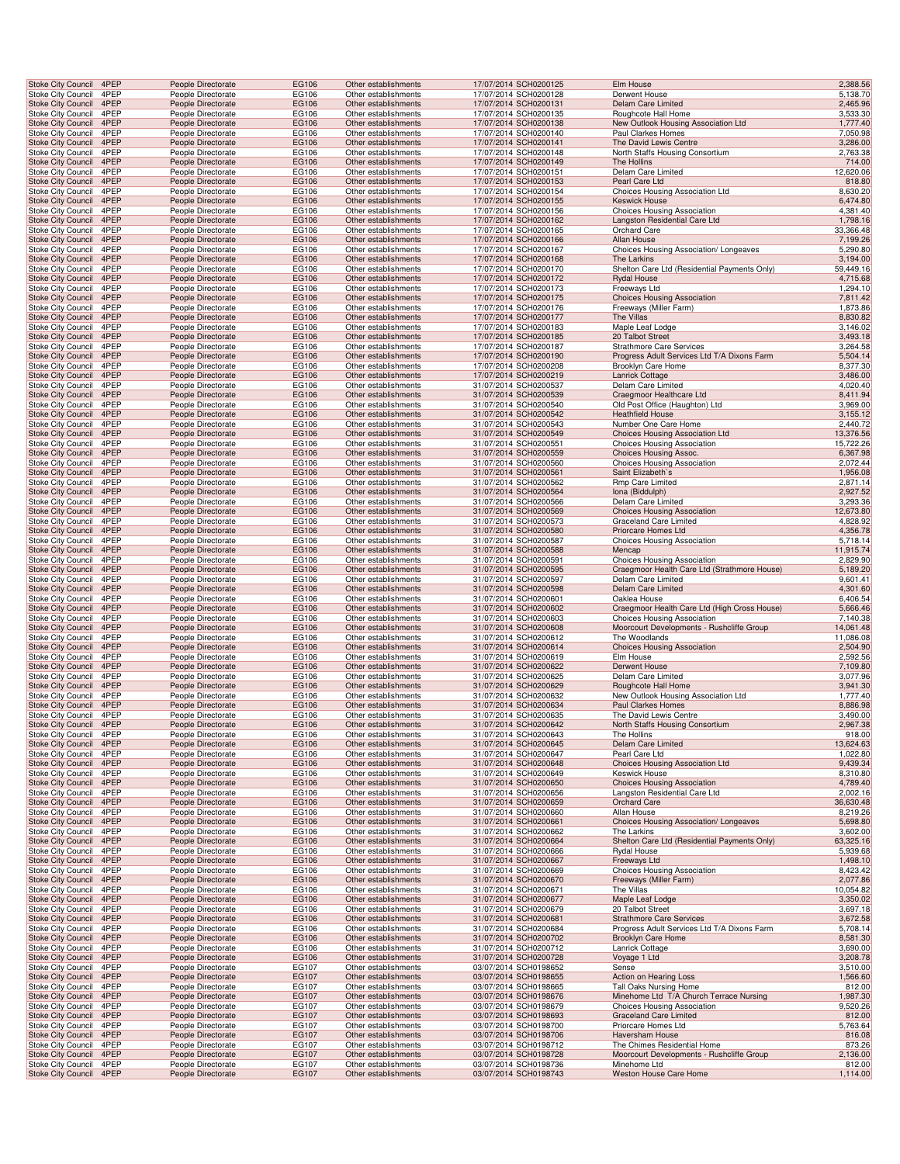| <b>Stoke City Council</b>                              | 4PEP         | People Directorate                       | <b>EG106</b>   | Other establishments                         | 17/07/2014 SCH0200125                          | Elm House                                                                      | 2,388.56              |
|--------------------------------------------------------|--------------|------------------------------------------|----------------|----------------------------------------------|------------------------------------------------|--------------------------------------------------------------------------------|-----------------------|
| Stoke City Council                                     | 4PEP         | People Directorate                       | EG106          | Other establishments                         | 17/07/2014 SCH0200128                          | Derwent House                                                                  | 5,138.70              |
| Stoke City Council                                     | 4PEP         | People Directorate                       | EG106          | Other establishments                         | 17/07/2014 SCH0200131                          | Delam Care Limited                                                             | 2,465.96              |
| Stoke City Council                                     | 4PEP         | People Directorate                       | EG106          | Other establishments                         | 17/07/2014 SCH0200135                          | Roughcote Hall Home                                                            | 3,533.30              |
| Stoke City Council<br>Stoke City Council               | 4PEP<br>4PEP | People Directorate<br>People Directorate | EG106<br>EG106 | Other establishments<br>Other establishments | 17/07/2014 SCH0200138<br>17/07/2014 SCH0200140 | New Outlook Housing Association Ltd<br>Paul Clarkes Homes                      | 1,777.40<br>7,050.98  |
| <b>Stoke City Council</b>                              | 4PEP         | People Directorate                       | EG106          | Other establishments                         | 17/07/2014 SCH0200141                          | The David Lewis Centre                                                         | 3,286.00              |
| Stoke City Council                                     | 4PEP         | People Directorate                       | EG106          | Other establishments                         | 17/07/2014 SCH0200148                          | North Staffs Housing Consortium                                                | 2,763.38              |
| Stoke City Council                                     | 4PEP         | People Directorate                       | EG106          | Other establishments                         | 17/07/2014 SCH0200149                          | The Hollins                                                                    | 714.00                |
| Stoke City Council<br><b>Stoke City Council</b>        | 4PEP<br>4PEP | People Directorate<br>People Directorate | EG106<br>EG106 | Other establishments<br>Other establishments | 17/07/2014 SCH0200151<br>17/07/2014 SCH0200153 | Delam Care Limited<br>Pearl Care Ltd                                           | 12,620.06<br>818.80   |
| Stoke City Council                                     | 4PEP         | People Directorate                       | EG106          | Other establishments                         | 17/07/2014 SCH0200154                          | Choices Housing Association Ltd                                                | 8,630.20              |
| Stoke City Council                                     | 4PEP         | People Directorate                       | EG106          | Other establishments                         | 17/07/2014 SCH0200155                          | <b>Keswick House</b>                                                           | 6,474.80              |
| Stoke City Council                                     | 4PEP         | People Directorate                       | EG106          | Other establishments                         | 17/07/2014 SCH0200156                          | <b>Choices Housing Association</b>                                             | 4,381.40              |
| <b>Stoke City Council</b>                              | 4PEP         | People Directorate                       | EG106          | Other establishments                         | 17/07/2014 SCH0200162                          | Langston Residential Care Ltd                                                  | 1,798.16              |
| Stoke City Council<br><b>Stoke City Council</b>        | 4PEP<br>4PEP | People Directorate<br>People Directorate | EG106<br>EG106 | Other establishments<br>Other establishments | 17/07/2014 SCH0200165<br>17/07/2014 SCH0200166 | Orchard Care<br>Allan House                                                    | 33,366.48<br>7,199.26 |
| Stoke City Council                                     | 4PEP         | People Directorate                       | EG106          | Other establishments                         | 17/07/2014 SCH0200167                          | Choices Housing Association/ Longeaves                                         | 5,290.80              |
| Stoke City Council                                     | 4PEP         | People Directorate                       | EG106          | Other establishments                         | 17/07/2014 SCH0200168                          | The Larkins                                                                    | 3,194.00              |
| Stoke City Council                                     | 4PEP         | People Directorate                       | EG106          | Other establishments                         | 17/07/2014 SCH0200170                          | Shelton Care Ltd (Residential Payments Only)                                   | 59,449.16             |
| <b>Stoke City Council</b>                              | 4PEP         | People Directorate                       | EG106          | Other establishments                         | 17/07/2014 SCH0200172                          | <b>Rydal House</b>                                                             | 4,715.68              |
| Stoke City Council<br>Stoke City Council               | 4PEP<br>4PEP | People Directorate<br>People Directorate | EG106<br>EG106 | Other establishments<br>Other establishments | 17/07/2014 SCH0200173<br>17/07/2014 SCH0200175 | Freeways Ltd<br><b>Choices Housing Association</b>                             | 1,294.10<br>7,811.42  |
| Stoke City Council                                     | 4PEP         | People Directorate                       | EG106          | Other establishments                         | 17/07/2014 SCH0200176                          | Freeways (Miller Farm)                                                         | 1,873.86              |
| <b>Stoke City Council</b>                              | 4PEP         | People Directorate                       | EG106          | Other establishments                         | 17/07/2014 SCH0200177                          | The Villas                                                                     | 8,830.82              |
| Stoke City Council                                     | 4PEP         | People Directorate                       | EG106          | Other establishments                         | 17/07/2014 SCH0200183                          | Maple Leaf Lodge                                                               | 3,146.02              |
| <b>Stoke City Council</b>                              | 4PEP<br>4PEP | People Directorate                       | EG106          | Other establishments                         | 17/07/2014 SCH0200185                          | 20 Talbot Street                                                               | 3,493.18              |
| Stoke City Council<br>Stoke City Council               | 4PEP         | People Directorate<br>People Directorate | EG106<br>EG106 | Other establishments<br>Other establishments | 17/07/2014 SCH0200187<br>17/07/2014 SCH0200190 | <b>Strathmore Care Services</b><br>Progress Adult Services Ltd T/A Dixons Farm | 3,264.58<br>5,504.14  |
| Stoke City Council                                     | 4PEP         | People Directorate                       | EG106          | Other establishments                         | 17/07/2014 SCH0200208                          | Brooklyn Care Home                                                             | 8,377.30              |
| <b>Stoke City Council</b>                              | 4PEP         | People Directorate                       | EG106          | Other establishments                         | 17/07/2014 SCH0200219                          | <b>Lanrick Cottage</b>                                                         | 3,486.00              |
| Stoke City Council                                     | 4PEP         | People Directorate                       | EG106          | Other establishments                         | 31/07/2014 SCH0200537                          | Delam Care Limited                                                             | 4,020.40              |
| <b>Stoke City Council</b><br>Stoke City Council 4PEP   | 4PEP         | People Directorate<br>People Directorate | EG106<br>EG106 | Other establishments<br>Other establishments | 31/07/2014 SCH0200539<br>31/07/2014 SCH0200540 | Craegmoor Healthcare Ltd<br>Old Post Office (Haughton) Ltd                     | 8,411.94<br>3,969.00  |
| Stoke City Council                                     | 4PEP         | People Directorate                       | EG106          | Other establishments                         | 31/07/2014 SCH0200542                          | <b>Heathfield House</b>                                                        | 3,155.12              |
| Stoke City Council                                     | 4PEP         | People Directorate                       | EG106          | Other establishments                         | 31/07/2014 SCH0200543                          | Number One Care Home                                                           | 2,440.72              |
| <b>Stoke City Council</b>                              | 4PEP         | People Directorate                       | EG106          | Other establishments                         | 31/07/2014 SCH0200549                          | Choices Housing Association Ltd                                                | 13,376.56             |
| Stoke City Council                                     | 4PEP         | People Directorate                       | EG106          | Other establishments                         | 31/07/2014 SCH0200551                          | <b>Choices Housing Association</b>                                             | 15,722.26             |
| Stoke City Council<br>Stoke City Council               | 4PEP<br>4PEP | People Directorate<br>People Directorate | EG106<br>EG106 | Other establishments<br>Other establishments | 31/07/2014 SCH0200559<br>31/07/2014 SCH0200560 | Choices Housing Assoc.<br>Choices Housing Association                          | 6,367.98<br>2,072.44  |
| <b>Stoke City Council</b>                              | 4PEP         | People Directorate                       | EG106          | Other establishments                         | 31/07/2014 SCH0200561                          | Saint Elizabeth's                                                              | 1,956.08              |
| Stoke City Council                                     | 4PEP         | People Directorate                       | EG106          | Other establishments                         | 31/07/2014 SCH0200562                          | Rmp Care Limited                                                               | 2,871.14              |
| <b>Stoke City Council</b>                              | 4PEP         | People Directorate                       | EG106          | Other establishments                         | 31/07/2014 SCH0200564                          | Iona (Biddulph)                                                                | 2,927.52              |
| Stoke City Council 4PEP<br>Stoke City Council          | 4PEP         | People Directorate<br>People Directorate | EG106<br>EG106 | Other establishments<br>Other establishments | 31/07/2014 SCH0200566<br>31/07/2014 SCH0200569 | Delam Care Limited<br><b>Choices Housing Association</b>                       | 3,293.36<br>12,673.80 |
| Stoke City Council                                     | 4PEP         | People Directorate                       | EG106          | Other establishments                         | 31/07/2014 SCH0200573                          | Graceland Care Limited                                                         | 4,828.92              |
| Stoke City Council                                     | 4PEP         | People Directorate                       | EG106          | Other establishments                         | 31/07/2014 SCH0200580                          | Priorcare Homes Ltd                                                            | 4,356.78              |
| Stoke City Council                                     | 4PEP         | People Directorate                       | EG106          | Other establishments                         | 31/07/2014 SCH0200587                          | Choices Housing Association                                                    | 5,718.14              |
| Stoke City Council                                     | 4PEP<br>4PEP | People Directorate<br>People Directorate | EG106<br>EG106 | Other establishments<br>Other establishments | 31/07/2014 SCH0200588<br>31/07/2014 SCH0200591 | Mencap                                                                         | 11,915.74<br>2,829.90 |
| Stoke City Council<br><b>Stoke City Council</b>        | 4PEP         | People Directorate                       | EG106          | Other establishments                         | 31/07/2014 SCH0200595                          | Choices Housing Association<br>Craegmoor Health Care Ltd (Strathmore House)    | 5,189.20              |
| Stoke City Council                                     | 4PEP         | People Directorate                       | EG106          | Other establishments                         | 31/07/2014 SCH0200597                          | Delam Care Limited                                                             | 9,601.41              |
| <b>Stoke City Council</b>                              | 4PEP         | People Directorate                       | EG106          | Other establishments                         | 31/07/2014 SCH0200598                          | Delam Care Limited                                                             | 4,301.60              |
| Stoke City Council                                     | 4PEP         | People Directorate                       | EG106          | Other establishments                         | 31/07/2014 SCH0200601                          | Oaklea House                                                                   | 6,406.54              |
| Stoke City Council<br>Stoke City Council               | 4PEP<br>4PEP | People Directorate<br>People Directorate | EG106<br>EG106 | Other establishments<br>Other establishments | 31/07/2014 SCH0200602<br>31/07/2014 SCH0200603 | Craegmoor Health Care Ltd (High Cross House)<br>Choices Housing Association    | 5,666.46<br>7,140.38  |
| <b>Stoke City Council</b>                              | 4PEP         | People Directorate                       | EG106          | Other establishments                         | 31/07/2014 SCH0200608                          | Moorcourt Developments - Rushcliffe Group                                      | 14,061.48             |
| Stoke City Council                                     | 4PEP         | People Directorate                       | EG106          | Other establishments                         | 31/07/2014 SCH0200612                          | The Woodlands                                                                  | 11,086.08             |
| Stoke City Council                                     | 4PEP         | People Directorate                       | EG106          | Other establishments                         | 31/07/2014 SCH0200614                          | <b>Choices Housing Association</b>                                             | 2,504.90              |
| Stoke City Council<br><b>Stoke City Council</b>        | 4PEP<br>4PEP | People Directorate<br>People Directorate | EG106<br>EG106 | Other establishments<br>Other establishments | 31/07/2014 SCH0200619<br>31/07/2014 SCH0200622 | Elm House<br><b>Derwent House</b>                                              | 2,592.56<br>7,109.80  |
| Stoke City Council                                     | 4PEP         | People Directorate                       | EG106          | Other establishments                         | 31/07/2014 SCH0200625                          | Delam Care Limited                                                             | 3,077.96              |
| <b>Stoke City Council</b>                              | 4PEP         | People Directorate                       | EG106          | Other establishments                         | 31/07/2014 SCH0200629                          | Roughcote Hall Home                                                            | 3,941.30              |
| Stoke City Council                                     | 4PEP         | People Directorate                       | EG106          | Other establishments                         | 31/07/2014 SCH0200632                          | New Outlook Housing Association Ltd                                            | 1,777.40              |
| <b>Stoke City Council</b><br>Stoke City Council        | 4PEP<br>4PEP | People Directorate<br>People Directorate | EG106<br>EG106 | Other establishments<br>Other establishments | 31/07/2014 SCH0200634<br>31/07/2014 SCH0200635 | <b>Paul Clarkes Homes</b><br>The David Lewis Centre                            | 8,886.98<br>3,490.00  |
| Stoke City Council 4PEP                                |              | People Directorate                       | EG106          | Other establishments                         | 31/07/2014 SCH0200642                          | North Staffs Housing Consortium                                                | 2,967.38              |
| Stoke City Council                                     | 4PEP         | People Directorate                       | EG106          | Other establishments                         | 31/07/2014 SCH0200643                          | The Hollins                                                                    | 918.00                |
| Stoke City Council 4PEP                                |              | People Directorate                       | EG106          | Other establishments                         | 31/07/2014 SCH0200645                          | Delam Care Limited                                                             | 13,624.63             |
| Stoke City Council                                     | 4PEP         | People Directorate                       | EG106          | Other establishments                         | 31/07/2014 SCH0200647                          | Pearl Care Ltd                                                                 | 1,022.80              |
| <b>Stoke City Council</b><br><b>Stoke City Council</b> | 4PEP<br>4PEP | People Directorate<br>People Directorate | EG106<br>EG106 | Other establishments<br>Other establishments | 31/07/2014 SCH0200648<br>31/07/2014 SCH0200649 | Choices Housing Association Ltd<br><b>Keswick House</b>                        | 9,439.34<br>8,310.80  |
| <b>Stoke City Council</b>                              | 4PEP         | People Directorate                       | EG106          | Other establishments                         | 31/07/2014 SCH0200650                          | <b>Choices Housing Association</b>                                             | 4,789.40              |
| Stoke City Council                                     | 4PEP         | People Directorate                       | EG106          | Other establishments                         | 31/07/2014 SCH0200656                          | Langston Residential Care Ltd                                                  | 2,002.16              |
| <b>Stoke City Council</b>                              | 4PEP         | People Directorate                       | EG106          | Other establishments                         | 31/07/2014 SCH0200659                          | Orchard Care                                                                   | 36,630.48             |
| Stoke City Council<br>Stoke City Council               | 4PEP<br>4PEP | People Directorate<br>People Directorate | EG106<br>EG106 | Other establishments<br>Other establishments | 31/07/2014 SCH0200660<br>31/07/2014 SCH0200661 | Allan House<br>Choices Housing Association/ Longeaves                          | 8,219.26<br>5,698.80  |
| Stoke City Council                                     | 4PEP         | People Directorate                       | EG106          | Other establishments                         | 31/07/2014 SCH0200662                          | The Larkins                                                                    | 3,602.00              |
| Stoke City Council                                     | 4PEP         | People Directorate                       | EG106          | Other establishments                         | 31/07/2014 SCH0200664                          | Shelton Care Ltd (Residential Payments Only)                                   | 63,325.16             |
| Stoke City Council                                     | 4PEP         | People Directorate                       | EG106          | Other establishments                         | 31/07/2014 SCH0200666                          | Rydal House                                                                    | 5,939.68              |
| <b>Stoke City Council</b><br>Stoke City Council        | 4PEP<br>4PEP | People Directorate<br>People Directorate | EG106<br>EG106 | Other establishments<br>Other establishments | 31/07/2014 SCH0200667<br>31/07/2014 SCH0200669 | Freeways Ltd<br>Choices Housing Association                                    | 1,498.10<br>8,423.42  |
| <b>Stoke City Council</b>                              | 4PEP         | People Directorate                       | EG106          | Other establishments                         | 31/07/2014 SCH0200670                          | Freeways (Miller Farm)                                                         | 2,077.86              |
| Stoke City Council                                     | 4PEP         | People Directorate                       | EG106          | Other establishments                         | 31/07/2014 SCH0200671                          | The Villas                                                                     | 10,054.82             |
| <b>Stoke City Council</b>                              | 4PEP         | People Directorate                       | EG106          | Other establishments                         | 31/07/2014 SCH0200677                          | Maple Leaf Lodge                                                               | 3,350.02              |
| Stoke City Council                                     | 4PEP<br>4PEP | People Directorate                       | EG106          | Other establishments                         | 31/07/2014 SCH0200679                          | 20 Talbot Street                                                               | 3,697.18              |
| <b>Stoke City Council</b><br><b>Stoke City Council</b> | 4PEP         | People Directorate<br>People Directorate | EG106<br>EG106 | Other establishments<br>Other establishments | 31/07/2014 SCH0200681<br>31/07/2014 SCH0200684 | <b>Strathmore Care Services</b><br>Progress Adult Services Ltd T/A Dixons Farm | 3,672.58<br>5,708.14  |
| Stoke City Council                                     | 4PEP         | People Directorate                       | EG106          | Other establishments                         | 31/07/2014 SCH0200702                          | Brooklyn Care Home                                                             | 8,581.30              |
| Stoke City Council                                     | 4PEP         | People Directorate                       | EG106          | Other establishments                         | 31/07/2014 SCH0200712                          | Lanrick Cottage                                                                | 3,690.00              |
| <b>Stoke City Council</b>                              | 4PEP         | People Directorate                       | EG106          | Other establishments                         | 31/07/2014 SCH0200728                          | Voyage 1 Ltd                                                                   | 3,208.78              |
| Stoke City Council<br><b>Stoke City Council</b>        | 4PEP<br>4PEP | People Directorate<br>People Directorate | EG107<br>EG107 | Other establishments<br>Other establishments | 03/07/2014 SCH0198652<br>03/07/2014 SCH0198655 | Sense<br>Action on Hearing Loss                                                | 3,510.00<br>1,566.60  |
| Stoke City Council 4PEP                                |              | People Directorate                       | EG107          | Other establishments                         | 03/07/2014 SCH0198665                          | Tall Oaks Nursing Home                                                         | 812.00                |
| Stoke City Council                                     | 4PEP         | People Directorate                       | EG107          | Other establishments                         | 03/07/2014 SCH0198676                          | Minehome Ltd T/A Church Terrace Nursing                                        | 1,987.30              |
| Stoke City Council                                     | 4PEP         | People Directorate                       | EG107          | Other establishments                         | 03/07/2014 SCH0198679                          | Choices Housing Association                                                    | 9,520.26              |
| Stoke City Council<br>Stoke City Council               | 4PEP<br>4PEP | People Directorate<br>People Directorate | EG107<br>EG107 | Other establishments<br>Other establishments | 03/07/2014 SCH0198693<br>03/07/2014 SCH0198700 | <b>Graceland Care Limited</b><br>Priorcare Homes Ltd                           | 812.00<br>5,763.64    |
| Stoke City Council                                     | 4PEP         | People Directorate                       | EG107          | Other establishments                         | 03/07/2014 SCH0198706                          | Haversham House                                                                | 816.08                |
| Stoke City Council                                     | 4PEP         | People Directorate                       | EG107          | Other establishments                         | 03/07/2014 SCH0198712                          | The Chimes Residential Home                                                    | 873.26                |
| <b>Stoke City Council</b>                              | 4PEP         | People Directorate                       | EG107          | Other establishments                         | 03/07/2014 SCH0198728                          | Moorcourt Developments - Rushcliffe Group                                      | 2,136.00              |
| Stoke City Council<br>Stoke City Council 4PEP          | 4PEP         | People Directorate<br>People Directorate | EG107<br>EG107 | Other establishments<br>Other establishments | 03/07/2014 SCH0198736<br>03/07/2014 SCH0198743 | Minehome Ltd<br>Weston House Care Home                                         | 812.00<br>1,114.00    |
|                                                        |              |                                          |                |                                              |                                                |                                                                                |                       |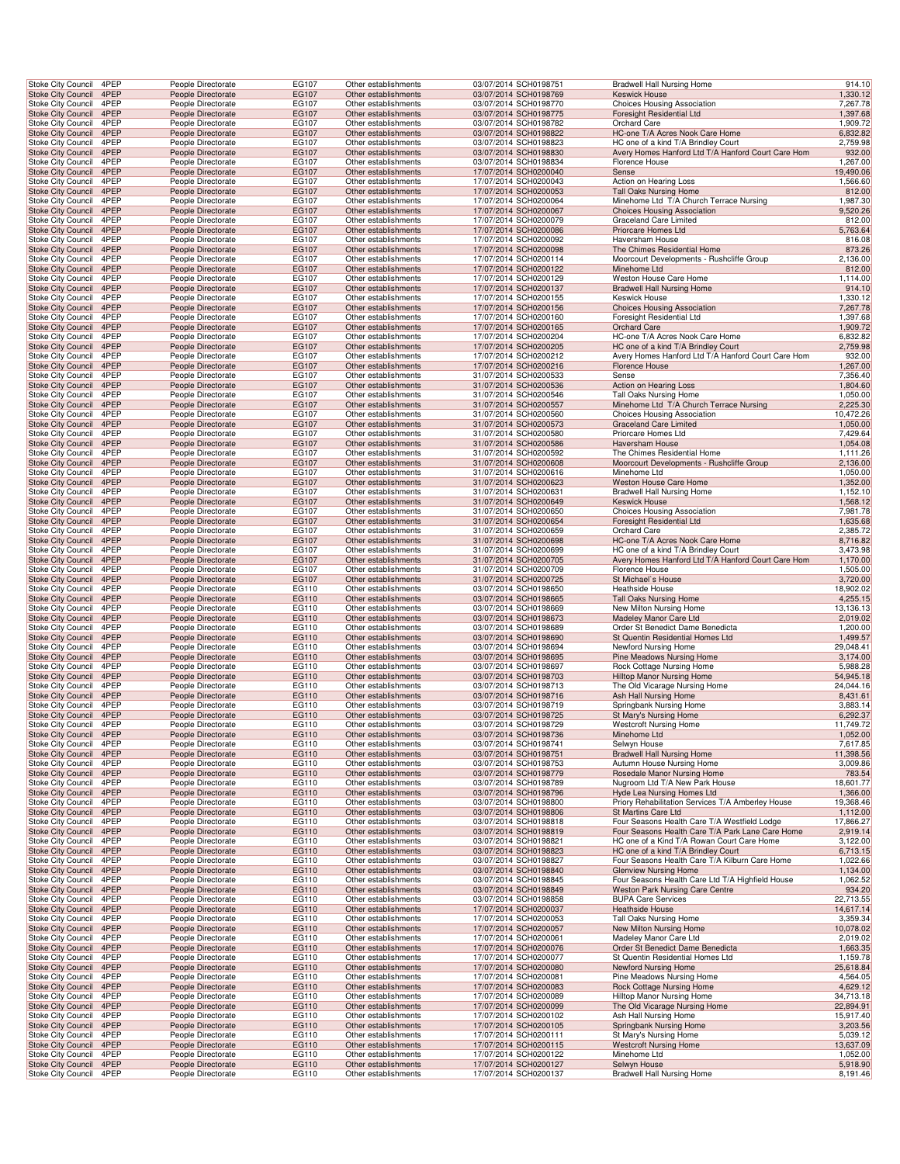| Stoke City Council<br><b>Stoke City Council</b>        | 4PEP                    | People Directorate                       | EG107          | Other establishments                         | 03/07/2014 SCH0198751                          | <b>Bradwell Hall Nursing Home</b>                                                         | 914.10                |
|--------------------------------------------------------|-------------------------|------------------------------------------|----------------|----------------------------------------------|------------------------------------------------|-------------------------------------------------------------------------------------------|-----------------------|
|                                                        | 4PEP                    | People Directorate                       | EG107          | Other establishments                         | 03/07/2014 SCH0198769                          | <b>Keswick House</b>                                                                      | 1,330.12              |
| Stoke City Council                                     | 4PEP                    | People Directorate                       | EG107          | Other establishments                         | 03/07/2014 SCH0198770                          | Choices Housing Association                                                               | 7,267.78              |
| Stoke City Council 4PEP                                |                         | People Directorate                       | EG107          | Other establishments                         | 03/07/2014 SCH0198775                          | Foresight Residential Ltd                                                                 | 1,397.68              |
| Stoke City Council                                     | 4PEP                    | People Directorate                       | EG107          | Other establishments                         | 03/07/2014 SCH0198782                          | Orchard Care                                                                              | 1,909.72              |
| Stoke City Council                                     | 4PEP                    | People Directorate                       | EG107          | Other establishments                         | 03/07/2014 SCH0198822                          | HC-one T/A Acres Nook Care Home                                                           | 6,832.82              |
| Stoke City Council<br><b>Stoke City Council</b>        | 4PEP                    | People Directorate                       | EG107          | Other establishments                         | 03/07/2014 SCH0198823                          | HC one of a kind T/A Brindley Court                                                       | 2,759.98              |
| Stoke City Council                                     | 4PEP<br>4PEP            | People Directorate<br>People Directorate | EG107<br>EG107 | Other establishments<br>Other establishments | 03/07/2014 SCH0198830<br>03/07/2014 SCH0198834 | Avery Homes Hanford Ltd T/A Hanford Court Care Hom<br>Florence House                      | 932.00<br>1,267.00    |
| <b>Stoke City Council</b>                              | 4PEP                    | People Directorate                       | EG107          | Other establishments                         | 17/07/2014 SCH0200040                          | Sense                                                                                     | 19,490.06             |
| Stoke City Council                                     | 4PEP                    | People Directorate                       | EG107          | Other establishments                         | 17/07/2014 SCH0200043                          | Action on Hearing Loss                                                                    | 1,566.60              |
| <b>Stoke City Council</b>                              | 4PEP                    | People Directorate                       | EG107          | Other establishments                         | 17/07/2014 SCH0200053                          | Tall Oaks Nursing Home                                                                    | 812.00                |
| Stoke City Council                                     | 4PEP                    | People Directorate                       | EG107          | Other establishments                         | 17/07/2014 SCH0200064                          | Minehome Ltd T/A Church Terrace Nursing                                                   | 1,987.30              |
| Stoke City Council                                     | 4PEP                    | People Directorate                       | EG107          | Other establishments                         | 17/07/2014 SCH0200067                          | Choices Housing Association                                                               | 9,520.26              |
| Stoke City Council                                     | 4PEP                    | People Directorate                       | EG107          | Other establishments                         | 17/07/2014 SCH0200079                          | Graceland Care Limited                                                                    | 812.00                |
| Stoke City Council                                     | 4PEP                    | People Directorate                       | EG107          | Other establishments                         | 17/07/2014 SCH0200086                          | Priorcare Homes Ltd                                                                       | 5,763.64              |
| Stoke City Council                                     | 4PEP                    | People Directorate                       | EG107          | Other establishments                         | 17/07/2014 SCH0200092<br>17/07/2014 SCH0200098 | Haversham House                                                                           | 816.08                |
| <b>Stoke City Council</b><br><b>Stoke City Council</b> | 4PEP<br>4PEP            | People Directorate<br>People Directorate | EG107<br>EG107 | Other establishments<br>Other establishments | 17/07/2014 SCH0200114                          | The Chimes Residential Home<br>Moorcourt Developments - Rushcliffe Group                  | 873.26<br>2,136.00    |
| <b>Stoke City Council</b>                              | 4PEP                    | People Directorate                       | EG107          | Other establishments                         | 17/07/2014 SCH0200122                          | Minehome Ltd                                                                              | 812.00                |
| Stoke City Council                                     | 4PEP                    | People Directorate                       | EG107          | Other establishments                         | 17/07/2014 SCH0200129                          | Weston House Care Home                                                                    | 1,114.00              |
| <b>Stoke City Council</b>                              | 4PEP                    | People Directorate                       | EG107          | Other establishments                         | 17/07/2014 SCH0200137                          | <b>Bradwell Hall Nursing Home</b>                                                         | 914.10                |
| Stoke City Council                                     | 4PEP                    | People Directorate                       | EG107          | Other establishments                         | 17/07/2014 SCH0200155                          | Keswick House                                                                             | 1,330.12              |
| Stoke City Council                                     | 4PEP                    | People Directorate                       | EG107          | Other establishments                         | 17/07/2014 SCH0200156                          | Choices Housing Association                                                               | 7,267.78              |
| Stoke City Council                                     | 4PEP                    | People Directorate                       | EG107          | Other establishments                         | 17/07/2014 SCH0200160                          | Foresight Residential Ltd                                                                 | 1,397.68              |
| Stoke City Council                                     | 4PEP                    | People Directorate                       | EG107          | Other establishments                         | 17/07/2014 SCH0200165                          | <b>Orchard Care</b>                                                                       | 1,909.72              |
| Stoke City Council                                     | 4PEP                    | People Directorate                       | EG107          | Other establishments                         | 17/07/2014 SCH0200204                          | HC-one T/A Acres Nook Care Home                                                           | 6,832.82              |
| <b>Stoke City Council</b><br>Stoke City Council        | 4PEP<br>4PEP            | People Directorate<br>People Directorate | EG107<br>EG107 | Other establishments<br>Other establishments | 17/07/2014 SCH0200205<br>17/07/2014 SCH0200212 | HC one of a kind T/A Brindley Court<br>Avery Homes Hanford Ltd T/A Hanford Court Care Hom | 2,759.98<br>932.00    |
| <b>Stoke City Council</b>                              | 4PEP                    | People Directorate                       | EG107          | Other establishments                         | 17/07/2014 SCH0200216                          | <b>Florence House</b>                                                                     | 1,267.00              |
| Stoke City Council                                     | 4PEP                    | People Directorate                       | EG107          | Other establishments                         | 31/07/2014 SCH0200533                          | Sense                                                                                     | 7,356.40              |
| <b>Stoke City Council</b>                              | 4PEP                    | People Directorate                       | EG107          | Other establishments                         | 31/07/2014 SCH0200536                          | Action on Hearing Loss                                                                    | 1,804.60              |
| Stoke City Council                                     | 4PEP                    | People Directorate                       | EG107          | Other establishments                         | 31/07/2014 SCH0200546                          | Tall Oaks Nursing Home                                                                    | 1,050.00              |
| Stoke City Council                                     | 4PEP                    | People Directorate                       | EG107          | Other establishments                         | 31/07/2014 SCH0200557                          | Minehome Ltd T/A Church Terrace Nursing                                                   | 2,225.30              |
| Stoke City Council                                     | 4PEP                    | People Directorate                       | EG107          | Other establishments                         | 31/07/2014 SCH0200560                          | <b>Choices Housing Association</b>                                                        | 10,472.26             |
| Stoke City Council                                     | 4PEP                    | People Directorate                       | EG107          | Other establishments                         | 31/07/2014 SCH0200573                          | Graceland Care Limited                                                                    | 1,050.00              |
| Stoke City Council                                     | 4PEP                    | People Directorate                       | EG107          | Other establishments                         | 31/07/2014 SCH0200580<br>31/07/2014 SCH0200586 | Priorcare Homes Ltd                                                                       | 7,429.64              |
| <b>Stoke City Council</b><br>Stoke City Council        | 4PEP<br>4PEP            | People Directorate<br>People Directorate | EG107<br>EG107 | Other establishments<br>Other establishments | 31/07/2014 SCH0200592                          | <b>Haversham House</b><br>The Chimes Residential Home                                     | 1,054.08<br>1,111.26  |
| <b>Stoke City Council</b>                              | 4PEP                    | People Directorate                       | EG107          | Other establishments                         | 31/07/2014 SCH0200608                          | Moorcourt Developments - Rushcliffe Group                                                 | 2,136.00              |
| Stoke City Council                                     | 4PEP                    | People Directorate                       | EG107          | Other establishments                         | 31/07/2014 SCH0200616                          | Minehome Ltd                                                                              | 1,050.00              |
| <b>Stoke City Council</b>                              | 4PEP                    | People Directorate                       | EG107          | Other establishments                         | 31/07/2014 SCH0200623                          | Weston House Care Home                                                                    | 1,352.00              |
| Stoke City Council                                     | 4PEP                    | People Directorate                       | EG107          | Other establishments                         | 31/07/2014 SCH0200631                          | Bradwell Hall Nursing Home                                                                | 1,152.10              |
| Stoke City Council 4PEP                                |                         | People Directorate                       | EG107          | Other establishments                         | 31/07/2014 SCH0200649                          | <b>Keswick House</b>                                                                      | 1,568.12              |
| Stoke City Council<br>Stoke City Council               | 4PEP<br>4PEP            | People Directorate<br>People Directorate | EG107<br>EG107 | Other establishments<br>Other establishments | 31/07/2014 SCH0200650<br>31/07/2014 SCH0200654 | Choices Housing Association<br>Foresight Residential Ltd                                  | 7,981.78<br>1,635.68  |
| Stoke City Council                                     | 4PEP                    | People Directorate                       | EG107          | Other establishments                         | 31/07/2014 SCH0200659                          | Orchard Care                                                                              | 2,385.72              |
| <b>Stoke City Council</b>                              | 4PEP                    | People Directorate                       | EG107          | Other establishments                         | 31/07/2014 SCH0200698                          | HC-one T/A Acres Nook Care Home                                                           | 8,716.82              |
| Stoke City Council                                     | 4PEP                    | People Directorate                       | EG107          | Other establishments                         | 31/07/2014 SCH0200699                          | HC one of a kind T/A Brindley Court                                                       | 3,473.98              |
| <b>Stoke City Council</b>                              | 4PEP                    | People Directorate                       | EG107          | Other establishments                         | 31/07/2014 SCH0200705                          | Avery Homes Hanford Ltd T/A Hanford Court Care Hom                                        | 1,170.00              |
| Stoke City Council                                     | 4PEP                    | People Directorate                       | EG107          | Other establishments                         | 31/07/2014 SCH0200709                          | Florence House                                                                            | 1,505.00              |
| <b>Stoke City Council</b><br>Stoke City Council        | 4PEP<br>4PEP            | People Directorate<br>People Directorate | EG107<br>EG110 | Other establishments<br>Other establishments | 31/07/2014 SCH0200725<br>03/07/2014 SCH0198650 | St Michael's House<br>Heathside House                                                     | 3,720.00<br>18,902.02 |
| Stoke City Council                                     | 4PEP                    | People Directorate                       | EG110          | Other establishments                         | 03/07/2014 SCH0198665                          | Tall Oaks Nursing Home                                                                    | 4,255.15              |
| Stoke City Council                                     | 4PEP                    | People Directorate                       | EG110          | Other establishments                         | 03/07/2014 SCH0198669                          | New Milton Nursing Home                                                                   | 13,136.13             |
| Stoke City Council                                     | 4PEP                    | People Directorate                       | EG110          | Other establishments                         | 03/07/2014 SCH0198673                          | Madeley Manor Care Ltd                                                                    | 2,019.02              |
| Stoke City Council                                     | 4PEP                    | People Directorate                       | EG110          | Other establishments                         | 03/07/2014 SCH0198689                          | Order St Benedict Dame Benedicta                                                          | 1,200.00              |
| <b>Stoke City Council</b>                              | 4PEP                    | People Directorate                       | EG110          | Other establishments                         | 03/07/2014 SCH0198690                          | St Quentin Residential Homes Ltd                                                          | 1,499.57              |
| Stoke City Council                                     | 4PEP<br>4PEP            | People Directorate                       | EG110          | Other establishments                         | 03/07/2014 SCH0198694                          | Newford Nursing Home                                                                      | 29,048.41             |
| <b>Stoke City Council</b><br>Stoke City Council        | 4PEP                    | People Directorate<br>People Directorate | EG110<br>EG110 | Other establishments<br>Other establishments | 03/07/2014 SCH0198695<br>03/07/2014 SCH0198697 | Pine Meadows Nursing Home<br>Rock Cottage Nursing Home                                    | 3,174.00<br>5,988.28  |
| <b>Stoke City Council</b>                              | 4PEP                    | People Directorate                       | EG110          | Other establishments                         | 03/07/2014 SCH0198703                          | Hilltop Manor Nursing Home                                                                | 54,945.18             |
| Stoke City Council                                     | 4PEP                    |                                          |                | Other establishments                         | 03/07/2014 SCH0198713                          | The Old Vicarage Nursing Home                                                             | 24,044.16             |
| Stoke City Council                                     | 4PEP                    |                                          | EG110          |                                              |                                                |                                                                                           |                       |
| Stoke City Council                                     |                         | People Directorate<br>People Directorate | EG110          | Other establishments                         | 03/07/2014 SCH0198716                          | Ash Hall Nursing Home                                                                     | 8,431.61              |
|                                                        | 4PEP                    | People Directorate                       | EG110          | Other establishments                         | 03/07/2014 SCH0198719                          | Springbank Nursing Home                                                                   | 3,883.14              |
|                                                        | Stoke City Council 4PEP | People Directorate                       | EG110          | Other establishments                         | 03/07/2014 SCH0198725                          | St Mary's Nursing Home                                                                    | 6,292.37              |
| Stoke City Council                                     | 4PEP                    | People Directorate                       | EG110          | Other establishments                         | 03/07/2014 SCH0198729                          | <b>Westcroft Nursing Home</b>                                                             | 11,749.72             |
| <b>Stoke City Council</b>                              | 4PEP                    | People Directorate                       | EG110          | Other establishments                         | 03/07/2014 SCH0198736                          | Minehome Ltd                                                                              | 1,052.00              |
| Stoke City Council                                     | 4PEP                    | People Directorate                       | EG110          | Other establishments                         | 03/07/2014 SCH0198741                          | Selwyn House                                                                              | 7,617.85              |
| Stoke City Council                                     | 4PEP                    | People Directorate                       | EG110          | Other establishments                         | 03/07/2014 SCH0198751                          | <b>Bradwell Hall Nursing Home</b>                                                         | 11,398.56             |
| Stoke City Council<br><b>Stoke City Council</b>        | 4PEP<br>4PEP            | People Directorate<br>People Directorate | EG110<br>EG110 | Other establishments<br>Other establishments | 03/07/2014 SCH0198753<br>03/07/2014 SCH0198779 | Autumn House Nursing Home<br>Rosedale Manor Nursing Home                                  | 3,009.86<br>783.54    |
| <b>Stoke City Council</b>                              | 4PEP                    | People Directorate                       | EG110          | Other establishments                         | 03/07/2014 SCH0198789                          | Nugroom Ltd T/A New Park House                                                            | 18,601.77             |
| Stoke City Council                                     | 4PEP                    | People Directorate                       | EG110          | Other establishments                         | 03/07/2014 SCH0198796                          | Hyde Lea Nursing Homes Ltd                                                                | 1,366.00              |
| Stoke City Council                                     | 4PEP                    | People Directorate                       | EG110          | Other establishments                         | 03/07/2014 SCH0198800                          | Priory Rehabilitation Services T/A Amberley House                                         | 19,368.46             |
| Stoke City Council                                     | 4PEP                    | People Directorate                       | EG110          | Other establishments                         | 03/07/2014 SCH0198806                          | St Martins Care Ltd                                                                       | 1,112.00              |
| Stoke City Council                                     | 4PEP                    | People Directorate                       | EG110          | Other establishments                         | 03/07/2014 SCH0198818                          | Four Seasons Health Care T/A Westfield Lodge                                              | 17,866.27             |
| <b>Stoke City Council</b>                              | 4PEP                    | People Directorate                       | EG110          | Other establishments                         | 03/07/2014 SCH0198819                          | Four Seasons Health Care T/A Park Lane Care Home                                          | 2,919.14              |
| Stoke City Council<br>Stoke City Council               | 4PEP<br>4PEP            | People Directorate<br>People Directorate | EG110<br>EG110 | Other establishments<br>Other establishments | 03/07/2014 SCH0198821<br>03/07/2014 SCH0198823 | HC one of a Kind T/A Rowan Court Care Home<br>HC one of a kind T/A Brindley Court         | 3,122.00<br>6,713.15  |
| Stoke City Council                                     | 4PEP                    | People Directorate                       | EG110          | Other establishments                         | 03/07/2014 SCH0198827                          | Four Seasons Health Care T/A Kilburn Care Home                                            | 1,022.66              |
| <b>Stoke City Council</b>                              | 4PEP                    | People Directorate                       | EG110          | Other establishments                         | 03/07/2014 SCH0198840                          | <b>Glenview Nursing Home</b>                                                              | 1,134.00              |
| Stoke City Council                                     | 4PEP                    | People Directorate                       | EG110          | Other establishments                         | 03/07/2014 SCH0198845                          | Four Seasons Health Care Ltd T/A Highfield House                                          | 1,062.52              |
| Stoke City Council 4PEP                                |                         | People Directorate                       | EG110          | Other establishments                         | 03/07/2014 SCH0198849                          | Weston Park Nursing Care Centre                                                           | 934.20                |
| Stoke City Council                                     | 4PEP                    | People Directorate                       | EG110          | Other establishments                         | 03/07/2014 SCH0198858                          | <b>BUPA Care Services</b>                                                                 | 22,713.55             |
| Stoke City Council<br>Stoke City Council               | 4PEP<br>4PEP            | People Directorate<br>People Directorate | EG110<br>EG110 | Other establishments<br>Other establishments | 17/07/2014 SCH0200037<br>17/07/2014 SCH0200053 | <b>Heathside House</b><br>Tall Oaks Nursing Home                                          | 14,617.14<br>3,359.34 |
| <b>Stoke City Council</b>                              | 4PEP                    | People Directorate                       | EG110          | Other establishments                         | 17/07/2014 SCH0200057                          | New Milton Nursing Home                                                                   | 10,078.02             |
| Stoke City Council                                     | 4PEP                    | People Directorate                       | EG110          | Other establishments                         | 17/07/2014 SCH0200061                          | Madeley Manor Care Ltd                                                                    | 2,019.02              |
| Stoke City Council                                     | 4PEP                    | People Directorate                       | EG110          | Other establishments                         | 17/07/2014 SCH0200076                          | Order St Benedict Dame Benedicta                                                          | 1,663.35              |
| Stoke City Council                                     | 4PEP                    | People Directorate                       | EG110          | Other establishments                         | 17/07/2014 SCH0200077                          | St Quentin Residential Homes Ltd                                                          | 1,159.78              |
| <b>Stoke City Council</b>                              | 4PEP                    | People Directorate                       | EG110          | Other establishments                         | 17/07/2014 SCH0200080                          | Newford Nursing Home                                                                      | 25,618.84             |
| Stoke City Council<br>Stoke City Council               | 4PEP<br>4PEP            | People Directorate<br>People Directorate | EG110<br>EG110 | Other establishments<br>Other establishments | 17/07/2014 SCH0200081<br>17/07/2014 SCH0200083 | Pine Meadows Nursing Home<br>Rock Cottage Nursing Home                                    | 4,564.05<br>4,629.12  |
| Stoke City Council                                     | 4PEP                    | People Directorate                       | EG110          | Other establishments                         | 17/07/2014 SCH0200089                          | Hilltop Manor Nursing Home                                                                | 34,713.18             |
| Stoke City Council                                     | 4PEP                    | People Directorate                       | EG110          | Other establishments                         | 17/07/2014 SCH0200099                          | The Old Vicarage Nursing Home                                                             | 22,894.91             |
| Stoke City Council                                     | 4PEP                    | People Directorate                       | EG110          | Other establishments                         | 17/07/2014 SCH0200102                          | Ash Hall Nursing Home                                                                     | 15,917.40             |
| <b>Stoke City Council</b>                              | 4PEP                    | People Directorate                       | EG110          | Other establishments                         | 17/07/2014 SCH0200105                          | Springbank Nursing Home                                                                   | 3,203.56              |
| Stoke City Council                                     | 4PEP                    | People Directorate                       | EG110          | Other establishments                         | 17/07/2014 SCH0200111                          | St Mary's Nursing Home                                                                    | 5,039.12              |
| Stoke City Council<br>Stoke City Council               | 4PEP<br>4PEP            | People Directorate<br>People Directorate | EG110<br>EG110 | Other establishments<br>Other establishments | 17/07/2014 SCH0200115<br>17/07/2014 SCH0200122 | <b>Westcroft Nursing Home</b><br>Minehome Ltd                                             | 13,637.09<br>1,052.00 |
| <b>Stoke City Council</b><br><b>Stoke City Council</b> | 4PEP<br>4PEP            | People Directorate<br>People Directorate | EG110<br>EG110 | Other establishments<br>Other establishments | 17/07/2014 SCH0200127<br>17/07/2014 SCH0200137 | Selwyn House<br><b>Bradwell Hall Nursing Home</b>                                         | 5,918.90<br>8,191.46  |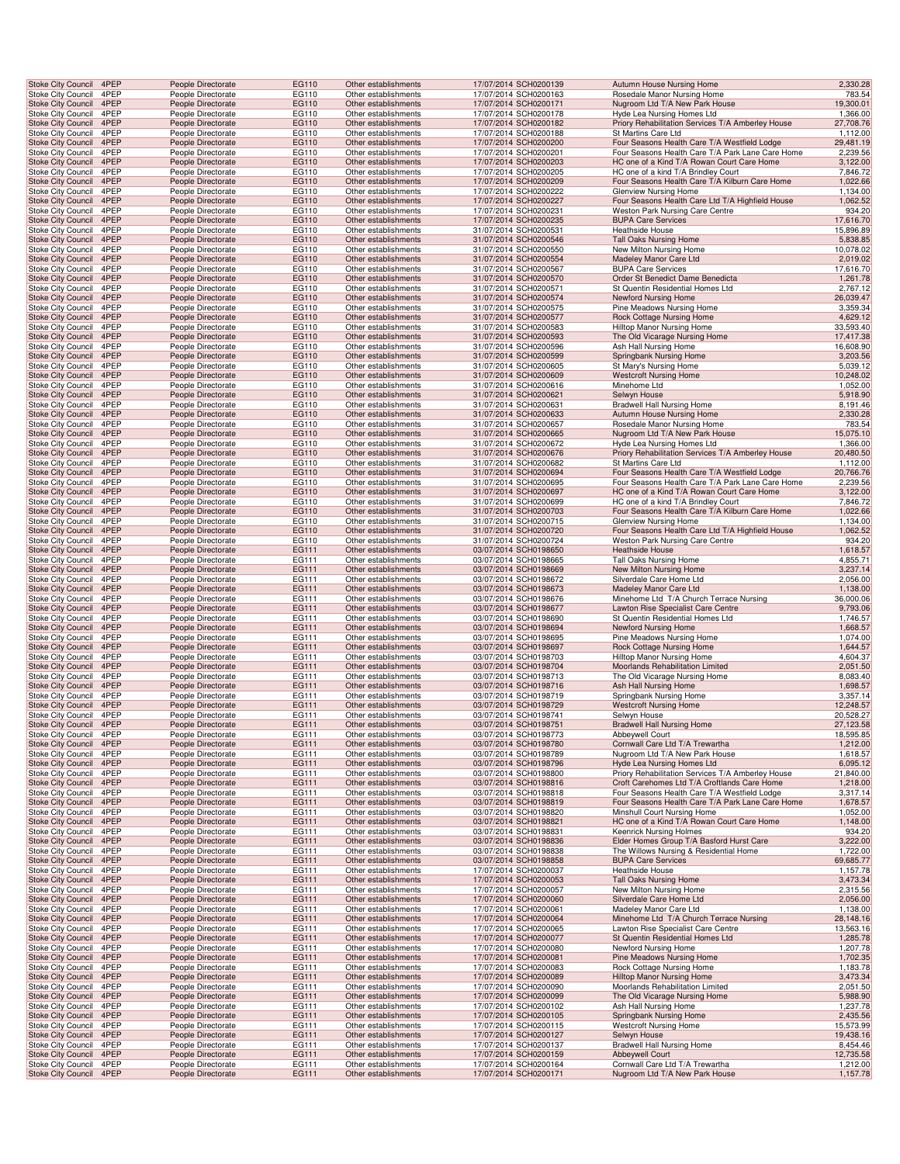| Stoke City Council 4PEP                                |              | People Directorate                       | EG110          | Other establishments                         | 17/07/2014 SCH0200139                          | Autumn House Nursing Home                                                                        | 2,330.28              |
|--------------------------------------------------------|--------------|------------------------------------------|----------------|----------------------------------------------|------------------------------------------------|--------------------------------------------------------------------------------------------------|-----------------------|
| Stoke City Council                                     | 4PEP         | People Directorate                       | EG110          | Other establishments                         | 17/07/2014 SCH0200163                          | Rosedale Manor Nursing Home                                                                      | 783.54                |
| <b>Stoke City Council</b><br>Stoke City Council        | 4PEP<br>4PEP | People Directorate<br>People Directorate | EG110<br>EG110 | Other establishments<br>Other establishments | 17/07/2014 SCH0200171<br>17/07/2014 SCH0200178 | Nugroom Ltd T/A New Park House<br>Hyde Lea Nursing Homes Ltd                                     | 19,300.01<br>1,366.00 |
| Stoke City Council 4PEP                                |              | People Directorate                       | EG110          | Other establishments                         | 17/07/2014 SCH0200182                          | Priory Rehabilitation Services T/A Amberley House                                                | 27,708.76             |
| Stoke City Council                                     | 4PEP         | People Directorate                       | EG110          | Other establishments                         | 17/07/2014 SCH0200188                          | St Martins Care Ltd                                                                              | 1,112.00              |
| Stoke City Council                                     | 4PEP         | People Directorate                       | EG110          | Other establishments                         | 17/07/2014 SCH0200200                          | Four Seasons Health Care T/A Westfield Lodge                                                     | 29,481.19             |
| Stoke City Council                                     | 4PEP         | People Directorate                       | EG110          | Other establishments                         | 17/07/2014 SCH0200201                          | Four Seasons Health Care T/A Park Lane Care Home                                                 | 2,239.56              |
| <b>Stoke City Council</b><br>Stoke City Council        | 4PEP<br>4PEP | People Directorate<br>People Directorate | EG110<br>EG110 | Other establishments<br>Other establishments | 17/07/2014 SCH0200203<br>17/07/2014 SCH0200205 | HC one of a Kind T/A Rowan Court Care Home<br>HC one of a kind T/A Brindley Court                | 3,122.00<br>7,846.72  |
| Stoke City Council                                     | 4PEP         | People Directorate                       | EG110          | Other establishments                         | 17/07/2014 SCH0200209                          | Four Seasons Health Care T/A Kilburn Care Home                                                   | 1,022.66              |
| Stoke City Council                                     | 4PEP         | People Directorate                       | EG110          | Other establishments                         | 17/07/2014 SCH0200222                          | Glenview Nursing Home                                                                            | 1,134.00              |
| <b>Stoke City Council</b>                              | 4PEP         | People Directorate                       | EG110          | Other establishments                         | 17/07/2014 SCH0200227                          | Four Seasons Health Care Ltd T/A Highfield House                                                 | 1,062.52              |
| Stoke City Council                                     | 4PEP         | People Directorate                       | EG110          | Other establishments                         | 17/07/2014 SCH0200231                          | Weston Park Nursing Care Centre                                                                  | 934.20                |
| Stoke City Council                                     | 4PEP         | People Directorate                       | EG110          | Other establishments                         | 17/07/2014 SCH0200235                          | <b>BUPA Care Services</b>                                                                        | 17,616.70             |
| Stoke City Council<br><b>Stoke City Council</b>        | 4PEP<br>4PEP | People Directorate<br>People Directorate | EG110<br>EG110 | Other establishments<br>Other establishments | 31/07/2014 SCH0200531<br>31/07/2014 SCH0200546 | <b>Heathside House</b><br>Tall Oaks Nursing Home                                                 | 15,896.89<br>5,838.85 |
| Stoke City Council                                     | 4PEP         | People Directorate                       | EG110          | Other establishments                         | 31/07/2014 SCH0200550                          | New Milton Nursing Home                                                                          | 10,078.02             |
| Stoke City Council                                     | 4PEP         | People Directorate                       | EG110          | Other establishments                         | 31/07/2014 SCH0200554                          | Madeley Manor Care Ltd                                                                           | 2,019.02              |
| Stoke City Council                                     | 4PEP         | People Directorate                       | EG110          | Other establishments                         | 31/07/2014 SCH0200567                          | <b>BUPA Care Services</b>                                                                        | 17,616.70             |
| Stoke City Council                                     | 4PEP         | People Directorate                       | EG110          | Other establishments                         | 31/07/2014 SCH0200570                          | Order St Benedict Dame Benedicta                                                                 | 1,261.78              |
| <b>Stoke City Council</b><br><b>Stoke City Council</b> | 4PEP<br>4PEP | People Directorate<br>People Directorate | EG110<br>EG110 | Other establishments<br>Other establishments | 31/07/2014 SCH0200571<br>31/07/2014 SCH0200574 | St Quentin Residential Homes Ltd<br>Newford Nursing Home                                         | 2,767.12<br>26,039.47 |
| Stoke City Council                                     | 4PEP         | People Directorate                       | EG110          | Other establishments                         | 31/07/2014 SCH0200575                          | Pine Meadows Nursing Home                                                                        | 3,359.34              |
| Stoke City Council                                     | 4PEP         | People Directorate                       | EG110          | Other establishments                         | 31/07/2014 SCH0200577                          | Rock Cottage Nursing Home                                                                        | 4,629.12              |
| Stoke City Council                                     | 4PEP         | People Directorate                       | EG110          | Other establishments                         | 31/07/2014 SCH0200583                          | <b>Hilltop Manor Nursing Home</b>                                                                | 33,593.40             |
| <b>Stoke City Council</b>                              | 4PEP         | People Directorate                       | EG110          | Other establishments                         | 31/07/2014 SCH0200593                          | The Old Vicarage Nursing Home                                                                    | 17,417.38             |
| Stoke City Council                                     | 4PEP<br>4PEP | People Directorate                       | EG110          | Other establishments                         | 31/07/2014 SCH0200596                          | Ash Hall Nursing Home                                                                            | 16,608.90             |
| <b>Stoke City Council</b><br>Stoke City Council        | 4PEP         | People Directorate<br>People Directorate | EG110<br>EG110 | Other establishments<br>Other establishments | 31/07/2014 SCH0200599<br>31/07/2014 SCH0200605 | Springbank Nursing Home<br>St Mary's Nursing Home                                                | 3,203.56<br>5,039.12  |
| Stoke City Council                                     | 4PEP         | People Directorate                       | EG110          | Other establishments                         | 31/07/2014 SCH0200609                          | <b>Westcroft Nursing Home</b>                                                                    | 10,248.02             |
| Stoke City Council                                     | 4PEP         | People Directorate                       | EG110          | Other establishments                         | 31/07/2014 SCH0200616                          | Minehome Ltd                                                                                     | 1,052.00              |
| <b>Stoke City Council</b>                              | 4PEP         | People Directorate                       | EG110          | Other establishments                         | 31/07/2014 SCH0200621                          | Selwyn House                                                                                     | 5,918.90              |
| Stoke City Council<br>Stoke City Council               | 4PEP<br>4PEP | People Directorate<br>People Directorate | EG110<br>EG110 | Other establishments<br>Other establishments | 31/07/2014 SCH0200631<br>31/07/2014 SCH0200633 | Bradwell Hall Nursing Home<br>Autumn House Nursing Home                                          | 8,191.46<br>2,330.28  |
| Stoke City Council                                     | 4PEP         | People Directorate                       | EG110          | Other establishments                         | 31/07/2014 SCH0200657                          | Rosedale Manor Nursing Home                                                                      | 783.54                |
| Stoke City Council                                     | 4PEP         | People Directorate                       | EG110          | Other establishments                         | 31/07/2014 SCH0200665                          | Nugroom Ltd T/A New Park House                                                                   | 15,075.10             |
| Stoke City Council                                     | 4PEP         | People Directorate                       | EG110          | Other establishments                         | 31/07/2014 SCH0200672                          | Hyde Lea Nursing Homes Ltd                                                                       | 1,366.00              |
| Stoke City Council                                     | 4PEP         | People Directorate                       | EG110          | Other establishments                         | 31/07/2014 SCH0200676                          | Priory Rehabilitation Services T/A Amberley House                                                | 20,480.50             |
| Stoke City Council<br>Stoke City Council               | 4PEP<br>4PEP | People Directorate<br>People Directorate | EG110<br>EG110 | Other establishments<br>Other establishments | 31/07/2014 SCH0200682<br>31/07/2014 SCH0200694 | St Martins Care Ltd<br>Four Seasons Health Care T/A Westfield Lodge                              | 1,112.00<br>20,766.76 |
| Stoke City Council                                     | 4PEP         | People Directorate                       | EG110          | Other establishments                         | 31/07/2014 SCH0200695                          | Four Seasons Health Care T/A Park Lane Care Home                                                 | 2,239.56              |
| <b>Stoke City Council</b>                              | 4PEP         | People Directorate                       | EG110          | Other establishments                         | 31/07/2014 SCH0200697                          | HC one of a Kind T/A Rowan Court Care Home                                                       | 3,122.00              |
| Stoke City Council                                     | 4PEP         | People Directorate                       | EG110          | Other establishments                         | 31/07/2014 SCH0200699                          | HC one of a kind T/A Brindley Court                                                              | 7,846.72              |
| Stoke City Council                                     | 4PEP         | People Directorate                       | EG110          | Other establishments                         | 31/07/2014 SCH0200703                          | Four Seasons Health Care T/A Kilburn Care Home                                                   | 1,022.66              |
| Stoke City Council<br><b>Stoke City Council</b>        | 4PEP<br>4PEP | People Directorate<br>People Directorate | EG110<br>EG110 | Other establishments<br>Other establishments | 31/07/2014 SCH0200715<br>31/07/2014 SCH0200720 | Glenview Nursing Home<br>Four Seasons Health Care Ltd T/A Highfield House                        | 1,134.00<br>1,062.52  |
| Stoke City Council                                     | 4PEP         | People Directorate                       | EG110          | Other establishments                         | 31/07/2014 SCH0200724                          | Weston Park Nursing Care Centre                                                                  | 934.20                |
| <b>Stoke City Council</b>                              | 4PEP         | People Directorate                       | EG111          | Other establishments                         | 03/07/2014 SCH0198650                          | <b>Heathside House</b>                                                                           | 1,618.57              |
| Stoke City Council                                     | 4PEP         | People Directorate                       | EG111          | Other establishments                         | 03/07/2014 SCH0198665                          | Tall Oaks Nursing Home                                                                           | 4,855.71              |
| Stoke City Council                                     | 4PEP         | People Directorate                       | EG111          | Other establishments                         | 03/07/2014 SCH0198669                          | New Milton Nursing Home                                                                          | 3,237.14              |
| Stoke City Council<br><b>Stoke City Council</b>        | 4PEP<br>4PEP | People Directorate<br>People Directorate | EG111<br>EG111 | Other establishments<br>Other establishments | 03/07/2014 SCH0198672<br>03/07/2014 SCH0198673 | Silverdale Care Home Ltd<br>Madeley Manor Care Ltd                                               | 2,056.00<br>1,138.00  |
| Stoke City Council                                     | 4PEP         | People Directorate                       | EG111          | Other establishments                         | 03/07/2014 SCH0198676                          | Minehome Ltd T/A Church Terrace Nursing                                                          | 36,000.06             |
| Stoke City Council                                     | 4PEP         | People Directorate                       | EG111          | Other establishments                         | 03/07/2014 SCH0198677                          | Lawton Rise Specialist Care Centre                                                               | 9,793.06              |
| Stoke City Council                                     | 4PEP         | People Directorate                       | EG111          | Other establishments                         | 03/07/2014 SCH0198690                          | St Quentin Residential Homes Ltd                                                                 | 1,746.57              |
| <b>Stoke City Council</b><br>Stoke City Council        | 4PEP<br>4PEP | People Directorate                       | EG111<br>EG111 | Other establishments<br>Other establishments | 03/07/2014 SCH0198694<br>03/07/2014 SCH0198695 | Newford Nursing Home<br>Pine Meadows Nursing Home                                                | 1,668.57<br>1,074.00  |
| Stoke City Council                                     | 4PEP         | People Directorate<br>People Directorate | EG111          | Other establishments                         | 03/07/2014 SCH0198697                          | Rock Cottage Nursing Home                                                                        | 1,644.57              |
| Stoke City Council                                     | 4PEP         | People Directorate                       | EG111          | Other establishments                         | 03/07/2014 SCH0198703                          | Hilltop Manor Nursing Home                                                                       | 4,604.37              |
| Stoke City Council                                     | 4PEP         | People Directorate                       | EG111          | Other establishments                         | 03/07/2014 SCH0198704                          | Moorlands Rehabilitation Limited                                                                 | 2,051.50              |
| <b>Stoke City Council</b>                              | 4PEP         | People Directorate                       | EG111          | Other establishments                         | 03/07/2014 SCH0198713                          | The Old Vicarage Nursing Home                                                                    | 8,083.40              |
| <b>Stoke City Council</b><br><b>Stoke City Council</b> | 4PEP<br>4PEP | People Directorate<br>People Directorate | EG111<br>EG111 | Other establishments<br>Other establishments | 03/07/2014 SCH0198716<br>03/07/2014 SCH0198719 | Ash Hall Nursing Home<br>Springbank Nursing Home                                                 | 1,698.57<br>3,357.14  |
| <b>Stoke City Council</b>                              | 4PEP         | People Directorate                       | EG111          | Other establishments                         | 03/07/2014 SCH0198729                          | <b>Westcroft Nursing Home</b>                                                                    | 12,248.57             |
| Stoke City Council 4PEP                                |              | People Directorate                       | EG111          | Other establishments                         | 03/07/2014 SCH0198741                          | Selwyn House                                                                                     | 20,528.27             |
| Stoke City Council 4PEP                                |              | People Directorate                       | EG111          | Other establishments                         | 03/07/2014 SCH0198751                          | <b>Bradwell Hall Nursing Home</b>                                                                | 27,123.58             |
| <b>Stoke City Council</b><br><b>Stoke City Council</b> | 4PEP<br>4PEP | People Directorate<br>People Directorate | EG111<br>EG111 | Other establishments<br>Other establishments | 03/07/2014 SCH0198773<br>03/07/2014 SCH0198780 | Abbeywell Court<br>Cornwall Care Ltd T/A Trewartha                                               | 18,595.85<br>1,212.00 |
| <b>Stoke City Council</b>                              | 4PEP         | People Directorate                       | EG111          | Other establishments                         | 03/07/2014 SCH0198789                          | Nugroom Ltd T/A New Park House                                                                   | 1,618.57              |
| <b>Stoke City Council</b>                              | 4PEP         | People Directorate                       | EG111          | Other establishments                         | 03/07/2014 SCH0198796                          | Hyde Lea Nursing Homes Ltd                                                                       | 6,095.12              |
| Stoke City Council                                     | 4PEP         | People Directorate                       | EG111          | Other establishments                         | 03/07/2014 SCH0198800                          | Priory Rehabilitation Services T/A Amberley House                                                | 21,840.00             |
| <b>Stoke City Council</b>                              | 4PEP         | People Directorate                       | EG111          | Other establishments                         | 03/07/2014 SCH0198816                          | Croft Carehomes Ltd T/A Croftlands Care Home                                                     | 1,218.00              |
| Stoke City Council<br><b>Stoke City Council</b>        | 4PEP<br>4PEP | People Directorate<br>People Directorate | EG111<br>EG111 | Other establishments<br>Other establishments | 03/07/2014 SCH0198818<br>03/07/2014 SCH0198819 | Four Seasons Health Care T/A Westfield Lodge<br>Four Seasons Health Care T/A Park Lane Care Home | 3,317.14<br>1,678.57  |
| Stoke City Council                                     | 4PEP         | People Directorate                       | EG111          | Other establishments                         | 03/07/2014 SCH0198820                          | Minshull Court Nursing Home                                                                      | 1,052.00              |
| <b>Stoke City Council</b>                              | 4PEP         | People Directorate                       | EG111          | Other establishments                         | 03/07/2014 SCH0198821                          | HC one of a Kind T/A Rowan Court Care Home                                                       | 1,148.00              |
| Stoke City Council                                     | 4PEP         | People Directorate                       | EG111          | Other establishments                         | 03/07/2014 SCH0198831                          | <b>Keenrick Nursing Holmes</b>                                                                   | 934.20                |
| <b>Stoke City Council</b>                              | 4PEP         | People Directorate                       | EG111          | Other establishments                         | 03/07/2014 SCH0198836                          | Elder Homes Group T/A Basford Hurst Care                                                         | 3,222.00              |
| <b>Stoke City Council</b><br><b>Stoke City Council</b> | 4PEP<br>4PEP | People Directorate<br>People Directorate | EG111<br>EG111 | Other establishments<br>Other establishments | 03/07/2014 SCH0198838<br>03/07/2014 SCH0198858 | The Willows Nursing & Residential Home<br><b>BUPA Care Services</b>                              | 1,722.00<br>69,685.77 |
| <b>Stoke City Council</b>                              | 4PEP         | People Directorate                       | EG111          | Other establishments                         | 17/07/2014 SCH0200037                          | Heathside House                                                                                  | 1,157.78              |
| <b>Stoke City Council</b>                              | 4PEP         | People Directorate                       | EG111          | Other establishments                         | 17/07/2014 SCH0200053                          | <b>Tall Oaks Nursing Home</b>                                                                    | 3,473.34              |
| Stoke City Council                                     | 4PEP         | People Directorate                       | EG111          | Other establishments                         | 17/07/2014 SCH0200057                          | New Milton Nursing Home                                                                          | 2,315.56              |
| <b>Stoke City Council</b>                              | 4PEP         | People Directorate                       | EG111          | Other establishments                         | 17/07/2014 SCH0200060                          | Silverdale Care Home Ltd                                                                         | 2,056.00              |
| Stoke City Council<br><b>Stoke City Council</b>        | 4PEP<br>4PEP | People Directorate<br>People Directorate | EG111<br>EG111 | Other establishments<br>Other establishments | 17/07/2014 SCH0200061<br>17/07/2014 SCH0200064 | Madeley Manor Care Ltd<br>Minehome Ltd T/A Church Terrace Nursing                                | 1,138.00<br>28,148.16 |
| Stoke City Council                                     | 4PEP         | People Directorate                       | EG111          | Other establishments                         | 17/07/2014 SCH0200065                          | Lawton Rise Specialist Care Centre                                                               | 13,563.16             |
| <b>Stoke City Council</b>                              | 4PEP         | People Directorate                       | EG111          | Other establishments                         | 17/07/2014 SCH0200077                          | St Quentin Residential Homes Ltd                                                                 | 1,285.78              |
| <b>Stoke City Council</b>                              | 4PEP         | People Directorate                       | EG111          | Other establishments                         | 17/07/2014 SCH0200080                          | Newford Nursing Home                                                                             | 1,207.78              |
| <b>Stoke City Council</b>                              | 4PEP         | People Directorate                       | EG111          | Other establishments                         | 17/07/2014 SCH0200081                          | Pine Meadows Nursing Home                                                                        | 1,702.35              |
| Stoke City Council<br><b>Stoke City Council</b>        | 4PEP<br>4PEP | People Directorate<br>People Directorate | EG111<br>EG111 | Other establishments<br>Other establishments | 17/07/2014 SCH0200083<br>17/07/2014 SCH0200089 | Rock Cottage Nursing Home<br>Hilltop Manor Nursing Home                                          | 1,183.78<br>3,473.34  |
| Stoke City Council                                     | 4PEP         | People Directorate                       | EG111          | Other establishments                         | 17/07/2014 SCH0200090                          | Moorlands Rehabilitation Limited                                                                 | 2,051.50              |
| <b>Stoke City Council</b>                              | 4PEP         | People Directorate                       | EG111          | Other establishments                         | 17/07/2014 SCH0200099                          | The Old Vicarage Nursing Home                                                                    | 5,988.90              |
| Stoke City Council                                     | 4PEP         | People Directorate                       | EG111          | Other establishments                         | 17/07/2014 SCH0200102                          | Ash Hall Nursing Home                                                                            | 1,237.78              |
| Stoke City Council<br>Stoke City Council               | 4PEP<br>4PEP | People Directorate<br>People Directorate | EG111<br>EG111 | Other establishments<br>Other establishments | 17/07/2014 SCH0200105<br>17/07/2014 SCH0200115 | Springbank Nursing Home<br><b>Westcroft Nursing Home</b>                                         | 2,435.56<br>15,573.99 |
| <b>Stoke City Council</b>                              | 4PEP         | People Directorate                       | EG111          | Other establishments                         | 17/07/2014 SCH0200127                          | Selwyn House                                                                                     | 19,438.16             |
| <b>Stoke City Council</b>                              | 4PEP         | People Directorate                       | EG111          | Other establishments                         | 17/07/2014 SCH0200137                          | Bradwell Hall Nursing Home                                                                       | 8,454.46              |
| Stoke City Council                                     | 4PEP         | People Directorate                       | EG111          | Other establishments                         | 17/07/2014 SCH0200159                          | Abbeywell Court                                                                                  | 12,735.58             |
| Stoke City Council                                     | 4PEP         | People Directorate                       | EG111          | Other establishments                         | 17/07/2014 SCH0200164                          | Cornwall Care Ltd T/A Trewartha                                                                  | 1,212.00              |
| <b>Stoke City Council</b>                              | 4PEP         | People Directorate                       | EG111          | Other establishments                         | 17/07/2014 SCH0200171                          | Nugroom Ltd T/A New Park House                                                                   | 1,157.78              |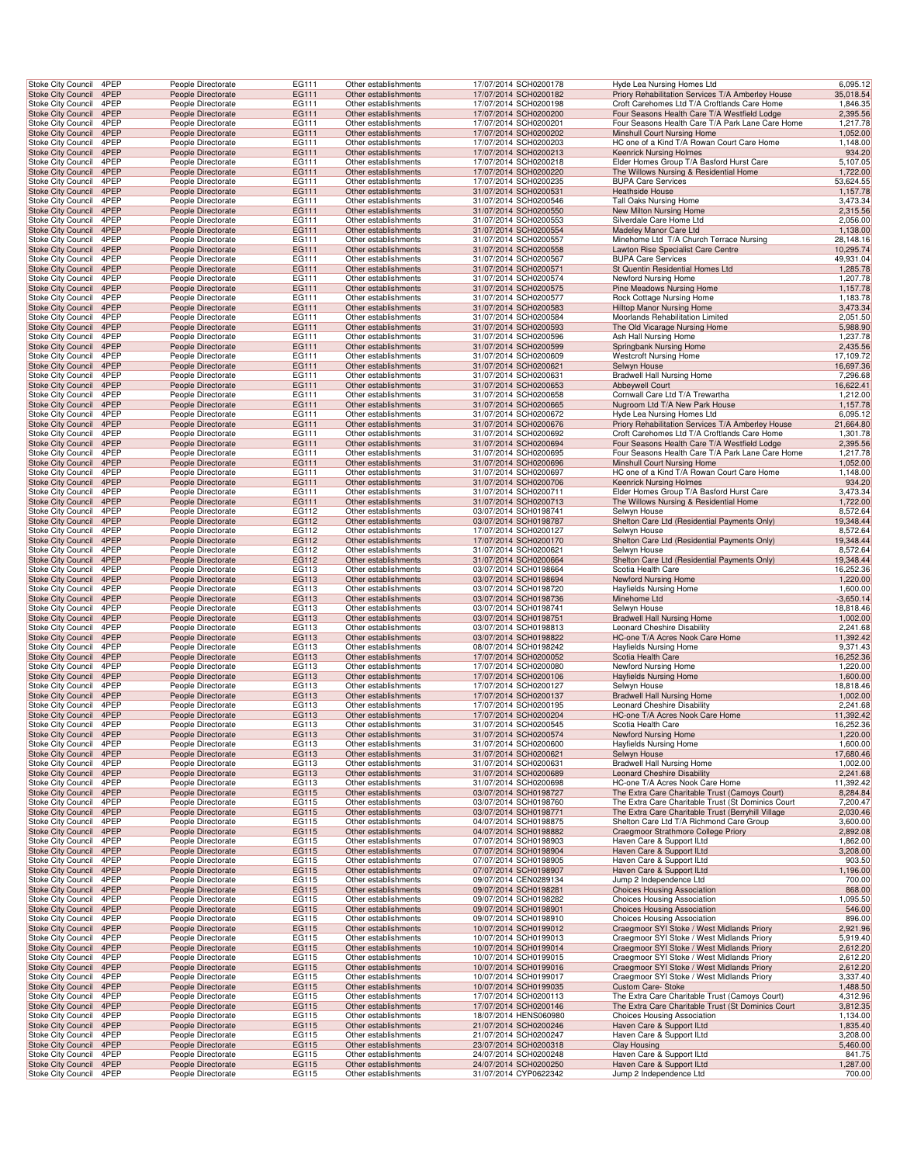| Stoke City Council                                   | 4PEP         | People Directorate                       | EG111                 | Other establishments                         | 17/07/2014 SCH0200178                          | Hyde Lea Nursing Homes Ltd                                                        | 6,095.12              |
|------------------------------------------------------|--------------|------------------------------------------|-----------------------|----------------------------------------------|------------------------------------------------|-----------------------------------------------------------------------------------|-----------------------|
| <b>Stoke City Council</b>                            | 4PEP         | People Directorate                       | EG111                 | Other establishments                         | 17/07/2014 SCH0200182                          | Priory Rehabilitation Services T/A Amberley House                                 | 35,018.54             |
| Stoke City Council                                   | 4PEP         | People Directorate                       | EG111                 | Other establishments                         | 17/07/2014 SCH0200198                          | Croft Carehomes Ltd T/A Croftlands Care Home                                      | 1,846.35              |
| Stoke City Council 4PEP                              |              | People Directorate                       | EG111                 | Other establishments                         | 17/07/2014 SCH0200200                          | Four Seasons Health Care T/A Westfield Lodge                                      | 2,395.56              |
| Stoke City Council                                   | 4PEP         | People Directorate                       | EG111                 | Other establishments                         | 17/07/2014 SCH0200201                          | Four Seasons Health Care T/A Park Lane Care Home                                  | 1,217.78              |
| Stoke City Council                                   | 4PEP<br>4PEP | People Directorate                       | EG111<br>EG111        | Other establishments<br>Other establishments | 17/07/2014 SCH0200202                          | Minshull Court Nursing Home                                                       | 1,052.00              |
| Stoke City Council<br><b>Stoke City Council</b>      | 4PEP         | People Directorate<br>People Directorate | EG111                 | Other establishments                         | 17/07/2014 SCH0200203<br>17/07/2014 SCH0200213 | HC one of a Kind T/A Rowan Court Care Home<br><b>Keenrick Nursing Holmes</b>      | 1,148.00<br>934.20    |
| Stoke City Council                                   | 4PEP         | People Directorate                       | EG111                 | Other establishments                         | 17/07/2014 SCH0200218                          | Elder Homes Group T/A Basford Hurst Care                                          | 5,107.05              |
| Stoke City Council                                   | 4PEP         | People Directorate                       | EG111                 | Other establishments                         | 17/07/2014 SCH0200220                          | The Willows Nursing & Residential Home                                            | 1,722.00              |
| Stoke City Council                                   | 4PEP         | People Directorate                       | EG111                 | Other establishments                         | 17/07/2014 SCH0200235                          | <b>BUPA Care Services</b>                                                         | 53,624.55             |
| <b>Stoke City Council</b>                            | 4PEP         | People Directorate                       | EG111                 | Other establishments                         | 31/07/2014 SCH0200531                          | <b>Heathside House</b>                                                            | 1,157.78              |
| Stoke City Council                                   | 4PEP         | People Directorate                       | EG111                 | Other establishments                         | 31/07/2014 SCH0200546                          | Tall Oaks Nursing Home                                                            | 3,473.34              |
| Stoke City Council 4PEP                              |              | People Directorate                       | EG111                 | Other establishments                         | 31/07/2014 SCH0200550                          | New Milton Nursing Home                                                           | 2,315.56              |
| Stoke City Council                                   | 4PEP<br>4PEP | People Directorate<br>People Directorate | EG111                 | Other establishments                         | 31/07/2014 SCH0200553                          | Silverdale Care Home Ltd<br>Madeley Manor Care Ltd                                | 2,056.00<br>1,138.00  |
| Stoke City Council<br>Stoke City Council             | 4PEP         | People Directorate                       | EG111<br>EG111        | Other establishments<br>Other establishments | 31/07/2014 SCH0200554<br>31/07/2014 SCH0200557 | Minehome Ltd T/A Church Terrace Nursing                                           | 28,148.16             |
| <b>Stoke City Council</b>                            | 4PEP         | People Directorate                       | EG111                 | Other establishments                         | 31/07/2014 SCH0200558                          | Lawton Rise Specialist Care Centre                                                | 10,295.74             |
| Stoke City Council                                   | 4PEP         | People Directorate                       | EG111                 | Other establishments                         | 31/07/2014 SCH0200567                          | <b>BUPA Care Services</b>                                                         | 49,931.04             |
| Stoke City Council                                   | 4PEP         | People Directorate                       | EG111                 | Other establishments                         | 31/07/2014 SCH0200571                          | St Quentin Residential Homes Ltd                                                  | 1,285.78              |
| Stoke City Council                                   | 4PEP         | People Directorate                       | EG111                 | Other establishments                         | 31/07/2014 SCH0200574                          | Newford Nursing Home                                                              | 1,207.78              |
| <b>Stoke City Council</b>                            | 4PEP         | People Directorate                       | EG111                 | Other establishments                         | 31/07/2014 SCH0200575                          | Pine Meadows Nursing Home                                                         | 1,157.78              |
| Stoke City Council                                   | 4PEP         | People Directorate                       | EG111                 | Other establishments                         | 31/07/2014 SCH0200577                          | Rock Cottage Nursing Home                                                         | 1,183.78              |
| Stoke City Council 4PEP                              |              | People Directorate                       | EG111                 | Other establishments                         | 31/07/2014 SCH0200583                          | Hilltop Manor Nursing Home                                                        | 3,473.34              |
| Stoke City Council<br>Stoke City Council             | 4PEP<br>4PEP | People Directorate<br>People Directorate | EG111<br>EG111        | Other establishments<br>Other establishments | 31/07/2014 SCH0200584<br>31/07/2014 SCH0200593 | Moorlands Rehabilitation Limited<br>The Old Vicarage Nursing Home                 | 2,051.50<br>5,988.90  |
| Stoke City Council                                   | 4PEP         | People Directorate                       | EG111                 | Other establishments                         | 31/07/2014 SCH0200596                          | Ash Hall Nursing Home                                                             | 1,237.78              |
| <b>Stoke City Council</b>                            | 4PEP         | People Directorate                       | EG111                 | Other establishments                         | 31/07/2014 SCH0200599                          | Springbank Nursing Home                                                           | 2,435.56              |
| Stoke City Council                                   | 4PEP         | People Directorate                       | EG111                 | Other establishments                         | 31/07/2014 SCH0200609                          | <b>Westcroft Nursing Home</b>                                                     | 17,109.72             |
| Stoke City Council                                   | 4PEP         | People Directorate                       | EG111                 | Other establishments                         | 31/07/2014 SCH0200621                          | Selwyn House                                                                      | 16,697.36             |
| Stoke City Council                                   | 4PEP         | People Directorate                       | EG111                 | Other establishments                         | 31/07/2014 SCH0200631                          | Bradwell Hall Nursing Home                                                        | 7,296.68              |
| <b>Stoke City Council</b>                            | 4PEP         | People Directorate                       | EG111                 | Other establishments                         | 31/07/2014 SCH0200653                          | Abbeywell Court                                                                   | 16,622.41             |
| Stoke City Council                                   | 4PEP         | People Directorate                       | EG111                 | Other establishments                         | 31/07/2014 SCH0200658                          | Cornwall Care Ltd T/A Trewartha                                                   | 1,212.00              |
| Stoke City Council 4PEP                              | 4PEP         | People Directorate                       | EG111                 | Other establishments<br>Other establishments | 31/07/2014 SCH0200665<br>31/07/2014 SCH0200672 | Nugroom Ltd T/A New Park House                                                    | 1,157.78              |
| Stoke City Council<br><b>Stoke City Council</b>      | 4PEP         | People Directorate<br>People Directorate | EG111<br>EG111        | Other establishments                         | 31/07/2014 SCH0200676                          | Hyde Lea Nursing Homes Ltd<br>Priory Rehabilitation Services T/A Amberley House   | 6,095.12<br>21,664.80 |
| Stoke City Council                                   | 4PEP         | People Directorate                       | EG111                 | Other establishments                         | 31/07/2014 SCH0200692                          | Croft Carehomes Ltd T/A Croftlands Care Home                                      | 1,301.78              |
| <b>Stoke City Council</b>                            | 4PEP         | People Directorate                       | EG111                 | Other establishments                         | 31/07/2014 SCH0200694                          | Four Seasons Health Care T/A Westfield Lodge                                      | 2,395.56              |
| Stoke City Council                                   | 4PEP         | People Directorate                       | EG111                 | Other establishments                         | 31/07/2014 SCH0200695                          | Four Seasons Health Care T/A Park Lane Care Home                                  | 1,217.78              |
| Stoke City Council                                   | 4PEP         | People Directorate                       | EG111                 | Other establishments                         | 31/07/2014 SCH0200696                          | Minshull Court Nursing Home                                                       | 1,052.00              |
| Stoke City Council                                   | 4PEP         | People Directorate                       | EG111                 | Other establishments                         | 31/07/2014 SCH0200697                          | HC one of a Kind T/A Rowan Court Care Home                                        | 1,148.00              |
| <b>Stoke City Council</b>                            | 4PEP         | People Directorate                       | EG111                 | Other establishments                         | 31/07/2014 SCH0200706                          | <b>Keenrick Nursing Holmes</b>                                                    | 934.20                |
| Stoke City Council                                   | 4PEP         | People Directorate                       | EG111                 | Other establishments                         | 31/07/2014 SCH0200711                          | Elder Homes Group T/A Basford Hurst Care                                          | 3,473.34              |
| Stoke City Council 4PEP                              | 4PEP         | People Directorate                       | EG111                 | Other establishments                         | 31/07/2014 SCH0200713                          | The Willows Nursing & Residential Home                                            | 1,722.00              |
| Stoke City Council<br>Stoke City Council             | 4PEP         | People Directorate<br>People Directorate | EG112<br>EG112        | Other establishments<br>Other establishments | 03/07/2014 SCH0198741<br>03/07/2014 SCH0198787 | Selwyn House<br>Shelton Care Ltd (Residential Payments Only)                      | 8,572.64<br>19,348.44 |
| Stoke City Council                                   | 4PEP         | People Directorate                       | EG112                 | Other establishments                         | 17/07/2014 SCH0200127                          | Selwyn House                                                                      | 8,572.64              |
| <b>Stoke City Council</b>                            | 4PEP         | People Directorate                       | EG112                 | Other establishments                         | 17/07/2014 SCH0200170                          | Shelton Care Ltd (Residential Payments Only)                                      | 19,348.44             |
| Stoke City Council                                   | 4PEP         | People Directorate                       | EG112                 | Other establishments                         | 31/07/2014 SCH0200621                          | Selwyn House                                                                      | 8,572.64              |
| <b>Stoke City Council</b>                            | 4PEP         | People Directorate                       | EG112                 | Other establishments                         | 31/07/2014 SCH0200664                          | Shelton Care Ltd (Residential Payments Only)                                      | 19,348.44             |
| Stoke City Council                                   | 4PEP         | People Directorate                       | EG113                 | Other establishments                         | 03/07/2014 SCH0198664                          | Scotia Health Care                                                                | 16,252.36             |
| <b>Stoke City Council</b>                            | 4PEP         | People Directorate                       | EG113                 | Other establishments                         | 03/07/2014 SCH0198694                          | Newford Nursing Home                                                              | 1,220.00              |
| Stoke City Council                                   | 4PEP         | People Directorate                       | EG113                 | Other establishments                         | 03/07/2014 SCH0198720                          | Hayfields Nursing Home                                                            | 1,600.00              |
| Stoke City Council 4PEP                              | 4PEP         | People Directorate                       | EG113                 | Other establishments                         | 03/07/2014 SCH0198736                          | Minehome Ltd                                                                      | $-3,650.14$           |
| Stoke City Council<br>Stoke City Council             | 4PEP         | People Directorate<br>People Directorate | EG113<br>EG113        | Other establishments<br>Other establishments | 03/07/2014 SCH0198741<br>03/07/2014 SCH0198751 | Selwyn House<br><b>Bradwell Hall Nursing Home</b>                                 | 18,818.46<br>1,002.00 |
| Stoke City Council                                   | 4PEP         | People Directorate                       | EG113                 | Other establishments                         | 03/07/2014 SCH0198813                          | Leonard Cheshire Disability                                                       | 2,241.68              |
| <b>Stoke City Council</b>                            | 4PEP         | People Directorate                       | EG113                 | Other establishments                         | 03/07/2014 SCH0198822                          | HC-one T/A Acres Nook Care Home                                                   | 11,392.42             |
| Stoke City Council                                   | 4PEP         | People Directorate                       | EG113                 | Other establishments                         | 08/07/2014 SCH0198242                          | <b>Hayfields Nursing Home</b>                                                     | 9,371.43              |
| <b>Stoke City Council</b>                            | 4PEP         | People Directorate                       | EG113                 | Other establishments                         | 17/07/2014 SCH0200052                          | Scotia Health Care                                                                | 16,252.36             |
| Stoke City Council                                   | 4PEP         | People Directorate                       | EG113                 | Other establishments                         | 17/07/2014 SCH0200080                          | Newford Nursing Home                                                              | 1,220.00              |
| <b>Stoke City Council</b>                            | 4PEP         | People Directorate                       | EG113                 | Other establishments                         | 17/07/2014 SCH0200106                          | <b>Hayfields Nursing Home</b>                                                     | 1,600.00              |
| Stoke City Council                                   | 4PEP         | People Directorate                       | EG113                 | Other establishments                         | 17/07/2014 SCH0200127                          | Selwyn House                                                                      | 18,818.46             |
| Stoke City Council 4PEP                              |              | People Directorate                       | EG113                 | Other establishments                         | 17/07/2014 SCH0200137                          | <b>Bradwell Hall Nursing Home</b>                                                 | 1,002.00              |
| Stoke City Council<br>Stoke City Council             | 4PEP<br>4PEP | People Directorate<br>People Directorate | EG113<br><b>EG113</b> | Other establishments<br>Other establishments | 17/07/2014 SCH0200195<br>17/07/2014 SCH0200204 | Leonard Cheshire Disability<br>HC-one T/A Acres Nook Care Home                    | 2,241.68<br>11,392.42 |
| Stoke City Council 4PEP                              |              | People Directorate                       | EG113                 | Other establishments                         | 31/07/2014 SCH0200545                          | Scotia Health Care                                                                | 16,252.36             |
| <b>Stoke City Council</b>                            | 4PEP         | People Directorate                       | EG113                 | Other establishments                         | 31/07/2014 SCH0200574                          | Newford Nursing Home                                                              | 1,220.00              |
| Stoke City Council                                   | 4PEP         | People Directorate                       | EG113                 | Other establishments                         | 31/07/2014 SCH0200600                          | <b>Hayfields Nursing Home</b>                                                     | 1,600.00              |
| <b>Stoke City Council</b>                            | 4PEP         | People Directorate                       | EG113                 | Other establishments                         | 31/07/2014 SCH0200621                          | Selwyn House                                                                      | 17,680.46             |
| <b>Stoke City Council</b>                            | 4PEP         | People Directorate                       | EG113                 | Other establishments                         | 31/07/2014 SCH0200631                          | Bradwell Hall Nursing Home                                                        | 1,002.00              |
| <b>Stoke City Council</b>                            | 4PEP         | People Directorate                       | EG113                 | Other establishments                         | 31/07/2014 SCH0200689                          | <b>Leonard Cheshire Disability</b>                                                | 2,241.68              |
| Stoke City Council<br>Stoke City Council 4PEP        | 4PEP         | People Directorate<br>People Directorate | EG113<br>EG115        | Other establishments<br>Other establishments | 31/07/2014 SCH0200698<br>03/07/2014 SCH0198727 | HC-one T/A Acres Nook Care Home<br>The Extra Care Charitable Trust (Camoys Court) | 11,392.42<br>8,284.84 |
| Stoke City Council                                   | 4PEP         | People Directorate                       | EG115                 | Other establishments                         | 03/07/2014 SCH0198760                          | The Extra Care Charitable Trust (St Dominics Court                                | 7,200.47              |
| Stoke City Council                                   | 4PEP         | People Directorate                       | EG115                 | Other establishments                         | 03/07/2014 SCH0198771                          | The Extra Care Charitable Trust (Berryhill Village                                | 2,030.46              |
| Stoke City Council                                   | 4PEP         | People Directorate                       | EG115                 | Other establishments                         | 04/07/2014 SCH0198875                          | Shelton Care Ltd T/A Richmond Care Group                                          | 3,600.00              |
| <b>Stoke City Council</b>                            | 4PEP         | People Directorate                       | EG115                 | Other establishments                         | 04/07/2014 SCH0198882                          | Craegmoor Strathmore College Priory                                               | 2,892.08              |
| Stoke City Council                                   | 4PEP         | People Directorate                       | EG115                 | Other establishments                         | 07/07/2014 SCH0198903                          | Haven Care & Support ILtd                                                         | 1,862.00              |
| <b>Stoke City Council</b>                            | 4PEP         | People Directorate                       | EG115                 | Other establishments                         | 07/07/2014 SCH0198904                          | Haven Care & Support ILtd                                                         | 3,208.00              |
| <b>Stoke City Council</b>                            | 4PEP         | People Directorate                       | EG115                 | Other establishments                         | 07/07/2014 SCH0198905                          | Haven Care & Support ILtd                                                         | 903.50                |
| <b>Stoke City Council</b>                            | 4PEP         | People Directorate                       | EG115                 | Other establishments                         | 07/07/2014 SCH0198907                          | Haven Care & Support ILtd                                                         | 1,196.00              |
| <b>Stoke City Council</b><br>Stoke City Council 4PEP | 4PEP         | People Directorate<br>People Directorate | EG115<br>EG115        | Other establishments<br>Other establishments | 09/07/2014 CEN0289134<br>09/07/2014 SCH0198281 | Jump 2 Independence Ltd<br><b>Choices Housing Association</b>                     | 700.00<br>868.00      |
| Stoke City Council                                   | 4PEP         | People Directorate                       | EG115                 | Other establishments                         | 09/07/2014 SCH0198282                          | Choices Housing Association                                                       | 1,095.50              |
| Stoke City Council                                   | 4PEP         | People Directorate                       | EG115                 | Other establishments                         | 09/07/2014 SCH0198901                          | <b>Choices Housing Association</b>                                                | 546.00                |
| Stoke City Council                                   | 4PEP         | People Directorate                       | EG115                 | Other establishments                         | 09/07/2014 SCH0198910                          | <b>Choices Housing Association</b>                                                | 896.00                |
| <b>Stoke City Council</b>                            | 4PEP         | People Directorate                       | EG115                 | Other establishments                         | 10/07/2014 SCH0199012                          | Craegmoor SYI Stoke / West Midlands Priory                                        | 2,921.96              |
| Stoke City Council                                   | 4PEP         | People Directorate                       | EG115                 | Other establishments                         | 10/07/2014 SCH0199013                          | Craegmoor SYI Stoke / West Midlands Priory                                        | 5,919.40              |
| <b>Stoke City Council</b>                            | 4PEP         | People Directorate                       | EG115                 | Other establishments                         | 10/07/2014 SCH0199014                          | Craegmoor SYI Stoke / West Midlands Priory                                        | 2,612.20              |
| <b>Stoke City Council</b>                            | 4PEP         | People Directorate                       | EG115                 | Other establishments                         | 10/07/2014 SCH0199015                          | Craegmoor SYI Stoke / West Midlands Priory                                        | 2,612.20              |
| <b>Stoke City Council</b>                            | 4PEP         | People Directorate                       | EG115                 | Other establishments                         | 10/07/2014 SCH0199016                          | Craegmoor SYI Stoke / West Midlands Priory                                        | 2,612.20              |
| <b>Stoke City Council</b><br>Stoke City Council 4PEP | 4PEP         | People Directorate<br>People Directorate | EG115<br>EG115        | Other establishments<br>Other establishments | 10/07/2014 SCH0199017<br>10/07/2014 SCH0199035 | Craegmoor SYI Stoke / West Midlands Priory<br>Custom Care-Stoke                   | 3,337.40<br>1,488.50  |
| Stoke City Council                                   | 4PEP         | People Directorate                       | EG115                 | Other establishments                         | 17/07/2014 SCH0200113                          | The Extra Care Charitable Trust (Camoys Court)                                    | 4,312.96              |
| Stoke City Council                                   | 4PEP         | People Directorate                       | EG115                 | Other establishments                         | 17/07/2014 SCH0200146                          | The Extra Care Charitable Trust (St Dominics Court                                | 3,812.35              |
| Stoke City Council                                   | 4PEP         | People Directorate                       | EG115                 | Other establishments                         | 18/07/2014 HENS060980                          | Choices Housing Association                                                       | 1,134.00              |
| <b>Stoke City Council</b>                            | 4PEP         | People Directorate                       | EG115                 | Other establishments                         | 21/07/2014 SCH0200246                          | Haven Care & Support ILtd                                                         | 1,835.40              |
| Stoke City Council                                   | 4PEP         | People Directorate                       | EG115                 | Other establishments                         | 21/07/2014 SCH0200247                          | Haven Care & Support ILtd                                                         | 3,208.00              |
| <b>Stoke City Council</b>                            | 4PEP         | People Directorate                       | EG115                 | Other establishments                         | 23/07/2014 SCH0200318                          | Clay Housing                                                                      | 5,460.00              |
| Stoke City Council                                   | 4PEP         | People Directorate                       | EG115                 | Other establishments                         | 24/07/2014 SCH0200248                          | Haven Care & Support ILtd                                                         | 841.75                |
| <b>Stoke City Council</b><br>Stoke City Council      | 4PEP<br>4PEP | People Directorate                       | EG115                 | Other establishments                         | 24/07/2014 SCH0200250                          | Haven Care & Support ILtd<br>Jump 2 Independence Ltd                              | 1,287.00<br>700.00    |
|                                                      |              | People Directorate                       | EG115                 | Other establishments                         | 31/07/2014 CYP0622342                          |                                                                                   |                       |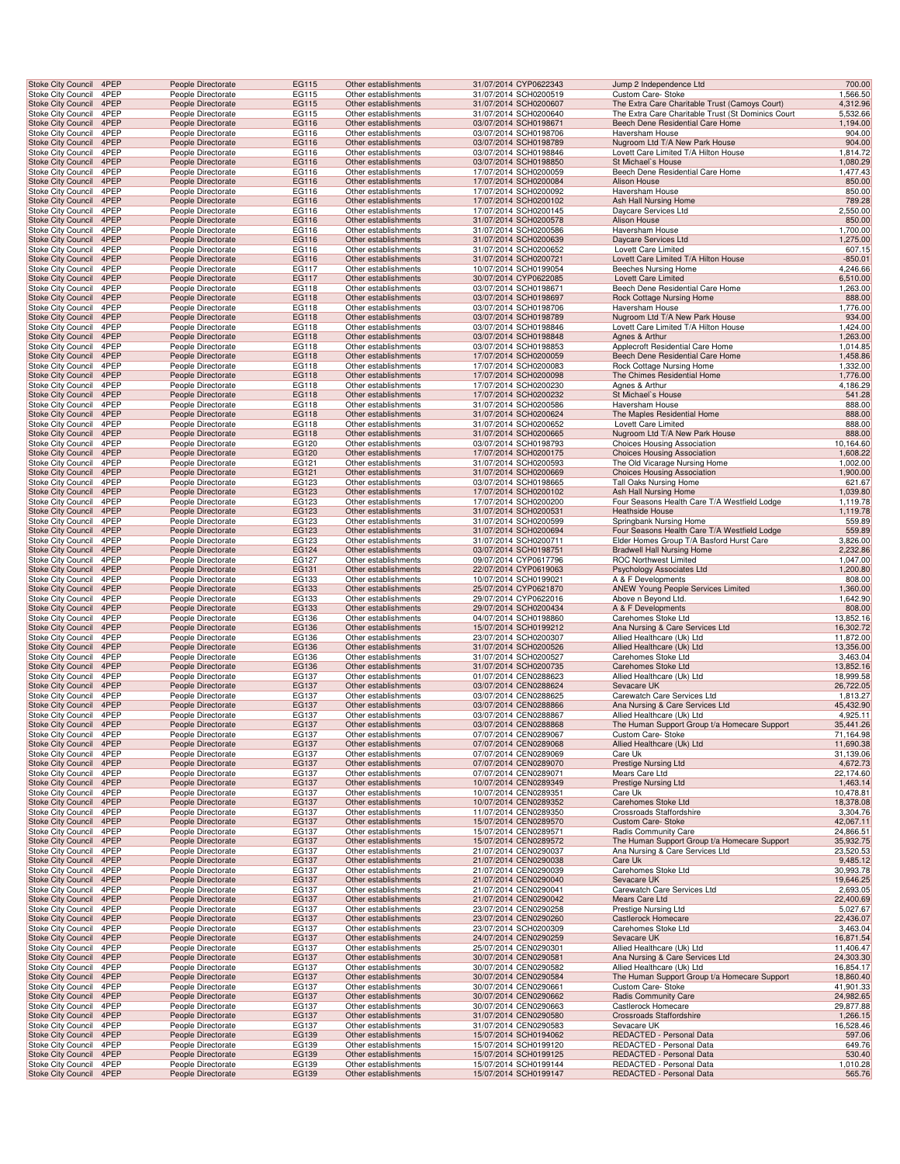| Stoke City Council                              | Stoke City Council 4PEP | People Directorate                       | EG115          | Other establishments                         | 31/07/2014 CYP0622343                          | Jump 2 Independence Ltd                                           | 700.00                |
|-------------------------------------------------|-------------------------|------------------------------------------|----------------|----------------------------------------------|------------------------------------------------|-------------------------------------------------------------------|-----------------------|
|                                                 | 4PEP                    | People Directorate                       | EG115          | Other establishments                         | 31/07/2014 SCH0200519                          | Custom Care- Stoke                                                | 1,566.50              |
| <b>Stoke City Council</b>                       | 4PEP                    | People Directorate                       | EG115          | Other establishments                         | 31/07/2014 SCH0200607                          | The Extra Care Charitable Trust (Camoys Court)                    | 4,312.96              |
| Stoke City Council                              | 4PEP                    | People Directorate                       | EG115          | Other establishments                         | 31/07/2014 SCH0200640                          | The Extra Care Charitable Trust (St Dominics Court                | 5,532.66              |
| Stoke City Council 4PEP                         |                         | People Directorate                       | EG116          | Other establishments                         | 03/07/2014 SCH0198671                          | Beech Dene Residential Care Home                                  | 1,194.00              |
| Stoke City Council                              | 4PEP                    | People Directorate                       | EG116          | Other establishments                         | 03/07/2014 SCH0198706                          | Haversham House                                                   | 904.00                |
| Stoke City Council                              | 4PEP                    | People Directorate                       | EG116          | Other establishments                         | 03/07/2014 SCH0198789                          | Nugroom Ltd T/A New Park House                                    | 904.00                |
| Stoke City Council                              | 4PEP<br>4PEP            | People Directorate                       | EG116          | Other establishments                         | 03/07/2014 SCH0198846<br>03/07/2014 SCH0198850 | Lovett Care Limited T/A Hilton House                              | 1,814.72              |
| <b>Stoke City Council</b><br>Stoke City Council | 4PEP                    | People Directorate<br>People Directorate | EG116<br>EG116 | Other establishments<br>Other establishments | 17/07/2014 SCH0200059                          | St Michael's House<br>Beech Dene Residential Care Home            | 1,080.29<br>1,477.43  |
| Stoke City Council                              | 4PEP                    | People Directorate                       | EG116          | Other establishments                         | 17/07/2014 SCH0200084                          | Alison House                                                      | 850.00                |
| Stoke City Council                              | 4PEP                    | People Directorate                       | EG116          | Other establishments                         | 17/07/2014 SCH0200092                          | Haversham House                                                   | 850.00                |
| <b>Stoke City Council</b>                       | 4PEP                    | People Directorate                       | EG116          | Other establishments                         | 17/07/2014 SCH0200102                          | Ash Hall Nursing Home                                             | 789.28                |
| Stoke City Council                              | 4PEP                    | People Directorate                       | EG116          | Other establishments                         | 17/07/2014 SCH0200145                          | Daycare Services Ltd                                              | 2,550.00              |
| Stoke City Council                              | 4PEP                    | People Directorate                       | EG116          | Other establishments                         | 31/07/2014 SCH0200578                          | Alison House                                                      | 850.00                |
| Stoke City Council                              | 4PEP                    | People Directorate                       | EG116          | Other establishments                         | 31/07/2014 SCH0200586                          | Haversham House                                                   | 1,700.00              |
| Stoke City Council                              | 4PEP                    | People Directorate                       | EG116          | Other establishments                         | 31/07/2014 SCH0200639                          | Daycare Services Ltd                                              | 1,275.00              |
| Stoke City Council                              | 4PEP                    | People Directorate                       | EG116          | Other establishments                         | 31/07/2014 SCH0200652                          | Lovett Care Limited                                               | 607.15                |
| <b>Stoke City Council</b>                       | 4PEP                    | People Directorate                       | EG116          | Other establishments                         | 31/07/2014 SCH0200721                          | Lovett Care Limited T/A Hilton House                              | $-850.01$             |
| Stoke City Council                              | 4PEP                    | People Directorate                       | EG117          | Other establishments                         | 10/07/2014 SCH0199054                          | Beeches Nursing Home                                              | 4,246.66              |
| Stoke City Council                              | 4PEP                    | People Directorate                       | EG117          | Other establishments                         | 30/07/2014 CYP0622085                          | <b>Lovett Care Limited</b>                                        | 6,510.00              |
| Stoke City Council                              | 4PEP                    | People Directorate                       | EG118          | Other establishments                         | 03/07/2014 SCH0198671                          | Beech Dene Residential Care Home                                  | 1,263.00              |
| <b>Stoke City Council</b>                       | 4PEP<br>4PEP            | People Directorate<br>People Directorate | EG118<br>EG118 | Other establishments<br>Other establishments | 03/07/2014 SCH0198697                          | Rock Cottage Nursing Home<br>Haversham House                      | 888.00<br>1,776.00    |
| Stoke City Council<br>Stoke City Council        | 4PEP                    | People Directorate                       | EG118          | Other establishments                         | 03/07/2014 SCH0198706<br>03/07/2014 SCH0198789 | Nugroom Ltd T/A New Park House                                    | 934.00                |
| Stoke City Council                              | 4PEP                    | People Directorate                       | EG118          | Other establishments                         | 03/07/2014 SCH0198846                          | Lovett Care Limited T/A Hilton House                              | 1,424.00              |
| Stoke City Council                              | 4PEP                    | People Directorate                       | EG118          | Other establishments                         | 03/07/2014 SCH0198848                          | Agnes & Arthur                                                    | 1,263.00              |
| Stoke City Council                              | 4PEP                    | People Directorate                       | EG118          | Other establishments                         | 03/07/2014 SCH0198853                          | Applecroft Residential Care Home                                  | 1,014.85              |
| <b>Stoke City Council</b>                       | 4PEP                    | People Directorate                       | EG118          | Other establishments                         | 17/07/2014 SCH0200059                          | Beech Dene Residential Care Home                                  | 1,458.86              |
| Stoke City Council                              | 4PEP                    | People Directorate                       | EG118          | Other establishments                         | 17/07/2014 SCH0200083                          | Rock Cottage Nursing Home                                         | 1,332.00              |
| Stoke City Council                              | 4PEP                    | People Directorate                       | EG118          | Other establishments                         | 17/07/2014 SCH0200098                          | The Chimes Residential Home                                       | 1,776.00              |
| Stoke City Council                              | 4PEP                    | People Directorate                       | EG118          | Other establishments                         | 17/07/2014 SCH0200230                          | Agnes & Arthur                                                    | 4,186.29              |
| <b>Stoke City Council</b>                       | 4PEP                    | People Directorate                       | EG118          | Other establishments                         | 17/07/2014 SCH0200232                          | St Michael's House                                                | 541.28                |
| Stoke City Council                              | 4PEP                    | People Directorate                       | EG118          | Other establishments                         | 31/07/2014 SCH0200586                          | Haversham House                                                   | 888.00                |
| Stoke City Council                              | 4PEP                    | People Directorate                       | EG118          | Other establishments                         | 31/07/2014 SCH0200624                          | The Maples Residential Home                                       | 888.00                |
| Stoke City Council                              | 4PEP                    | People Directorate                       | EG118          | Other establishments                         | 31/07/2014 SCH0200652                          | Lovett Care Limited                                               | 888.00                |
| Stoke City Council                              | 4PEP                    | People Directorate                       | EG118          | Other establishments                         | 31/07/2014 SCH0200665                          | Nugroom Ltd T/A New Park House                                    | 888.00                |
| Stoke City Council<br>Stoke City Council        | 4PEP<br>4PEP            | People Directorate<br>People Directorate | EG120<br>EG120 | Other establishments<br>Other establishments | 03/07/2014 SCH0198793<br>17/07/2014 SCH0200175 | Choices Housing Association<br><b>Choices Housing Association</b> | 10,164.60<br>1,608.22 |
| Stoke City Council                              | 4PEP                    | People Directorate                       | EG121          | Other establishments                         | 31/07/2014 SCH0200593                          | The Old Vicarage Nursing Home                                     | 1,002.00              |
| Stoke City Council                              | 4PEP                    | People Directorate                       | EG121          | Other establishments                         | 31/07/2014 SCH0200669                          | <b>Choices Housing Association</b>                                | 1,900.00              |
| Stoke City Council                              | 4PEP                    | People Directorate                       | EG123          | Other establishments                         | 03/07/2014 SCH0198665                          | Tall Oaks Nursing Home                                            | 621.67                |
| <b>Stoke City Council</b>                       | 4PEP                    | People Directorate                       | EG123          | Other establishments                         | 17/07/2014 SCH0200102                          | Ash Hall Nursing Home                                             | 1,039.80              |
| Stoke City Council                              | 4PEP                    | People Directorate                       | EG123          | Other establishments                         | 17/07/2014 SCH0200200                          | Four Seasons Health Care T/A Westfield Lodge                      | 1,119.78              |
| Stoke City Council                              | 4PEP                    | People Directorate                       | EG123          | Other establishments                         | 31/07/2014 SCH0200531                          | <b>Heathside House</b>                                            | 1,119.78              |
| Stoke City Council                              | 4PEP                    | People Directorate                       | EG123          | Other establishments                         | 31/07/2014 SCH0200599                          | Springbank Nursing Home                                           | 559.89                |
| Stoke City Council                              | 4PEP                    | People Directorate                       | EG123          | Other establishments                         | 31/07/2014 SCH0200694                          | Four Seasons Health Care T/A Westfield Lodge                      | 559.89                |
| Stoke City Council                              | 4PEP                    | People Directorate                       | EG123          | Other establishments                         | 31/07/2014 SCH0200711                          | Elder Homes Group T/A Basford Hurst Care                          | 3,826.00              |
| <b>Stoke City Council</b>                       | 4PEP                    | People Directorate                       | EG124          | Other establishments                         | 03/07/2014 SCH0198751                          | <b>Bradwell Hall Nursing Home</b>                                 | 2,232.86              |
| Stoke City Council                              | 4PEP                    | People Directorate                       | EG127          | Other establishments                         | 09/07/2014 CYP0617796                          | <b>ROC Northwest Limited</b>                                      | 1,047.00              |
| Stoke City Council                              | 4PEP                    | People Directorate                       | EG131          | Other establishments                         | 22/07/2014 CYP0619063                          | Psychology Associates Ltd                                         | 1,200.80              |
| Stoke City Council                              | 4PEP<br>4PEP            | People Directorate                       | EG133<br>EG133 | Other establishments<br>Other establishments | 10/07/2014 SCH0199021<br>25/07/2014 CYP0621870 | A & F Developments                                                | 808.00                |
| <b>Stoke City Council</b><br>Stoke City Council | 4PEP                    | People Directorate<br>People Directorate | EG133          | Other establishments                         | 29/07/2014 CYP0622016                          | <b>ANEW Young People Services Limited</b><br>Above n Beyond Ltd.  | 1,360.00<br>1,642.90  |
| Stoke City Council 4PEP                         |                         | People Directorate                       | EG133          | Other establishments                         | 29/07/2014 SCH0200434                          | A & F Developments                                                | 808.00                |
| Stoke City Council                              | 4PEP                    | People Directorate                       | EG136          | Other establishments                         | 04/07/2014 SCH0198860                          | Carehomes Stoke Ltd                                               | 13,852.16             |
| Stoke City Council                              | 4PEP                    | People Directorate                       | EG136          | Other establishments                         | 15/07/2014 SCH0199212                          | Ana Nursing & Care Services Ltd                                   | 16,302.72             |
| Stoke City Council                              |                         |                                          |                |                                              |                                                | Allied Healthcare (Uk) Ltd                                        | 11,872.00             |
|                                                 |                         |                                          |                |                                              |                                                |                                                                   |                       |
|                                                 | 4PEP<br>4PEP            | People Directorate                       | EG136          | Other establishments                         | 23/07/2014 SCH0200307                          | Allied Healthcare (Uk) Ltd                                        |                       |
| Stoke City Council<br>Stoke City Council        | 4PEP                    | People Directorate<br>People Directorate | EG136<br>EG136 | Other establishments<br>Other establishments | 31/07/2014 SCH0200526<br>31/07/2014 SCH0200527 | Carehomes Stoke Ltd                                               | 13,356.00<br>3,463.04 |
| Stoke City Council                              | 4PEP                    | People Directorate                       | EG136          | Other establishments                         | 31/07/2014 SCH0200735                          | Carehomes Stoke Ltd                                               | 13,852.16             |
| Stoke City Council                              | 4PEP                    | People Directorate                       | EG137          | Other establishments                         | 01/07/2014 CEN0288623                          | Allied Healthcare (Uk) Ltd                                        | 18,999.58             |
| <b>Stoke City Council</b>                       | 4PEP                    | People Directorate                       | EG137          | Other establishments                         | 03/07/2014 CEN0288624                          | Sevacare UK                                                       | 26,722.05             |
| <b>Stoke City Council</b>                       | 4PEP                    | People Directorate                       | EG137          | Other establishments                         | 03/07/2014 CEN0288625                          | Carewatch Care Services Ltd                                       | 1,813.27              |
| Stoke City Council 4PEP                         |                         | People Directorate                       | EG137          | Other establishments                         | 03/07/2014 CEN0288866                          | Ana Nursing & Care Services Ltd                                   | 45,432.90             |
| Stoke City Council 4PEP                         |                         | People Directorate                       | EG137          | Other establishments                         | 03/07/2014 CEN0288867                          | Allied Healthcare (Uk) Ltd                                        | 4,925.11              |
| Stoke City Council 4PEP                         |                         | People Directorate                       | EG137          | Other establishments                         | 03/07/2014 CEN0288868                          | The Human Support Group t/a Homecare Support                      | 35,441.26             |
| <b>Stoke City Council</b>                       | 4PEP                    | People Directorate                       | EG137          | Other establishments                         | 07/07/2014 CEN0289067                          | Custom Care-Stoke                                                 | 71,164.98             |
| <b>Stoke City Council</b>                       | 4PEP                    | People Directorate                       | EG137          | Other establishments                         | 07/07/2014 CEN0289068                          | Allied Healthcare (Uk) Ltd                                        | 11,690.38             |
| <b>Stoke City Council</b><br>Stoke City Council | 4PEP<br>4PEP            | People Directorate<br>People Directorate | EG137<br>EG137 | Other establishments<br>Other establishments | 07/07/2014 CEN0289069<br>07/07/2014 CEN0289070 | Care Uk<br><b>Prestige Nursing Ltd</b>                            | 31,139.06<br>4,672.73 |
| <b>Stoke City Council</b>                       | 4PEP                    | People Directorate                       | EG137          | Other establishments                         | 07/07/2014 CEN0289071                          | Mears Care Ltd                                                    | 22,174.60             |
| <b>Stoke City Council</b>                       | 4PEP                    | People Directorate                       | EG137          | Other establishments                         | 10/07/2014 CEN0289349                          | <b>Prestige Nursing Ltd</b>                                       | 1,463.14              |
| Stoke City Council                              | 4PEP                    | People Directorate                       | EG137          | Other establishments                         | 10/07/2014 CEN0289351                          | Care Uk                                                           | 10,478.81             |
| <b>Stoke City Council</b>                       | 4PEP                    | People Directorate                       | EG137          | Other establishments                         | 10/07/2014 CEN0289352                          | Carehomes Stoke Ltd                                               | 18,378.08             |
| Stoke City Council                              | 4PEP                    | People Directorate                       | EG137          | Other establishments                         | 11/07/2014 CEN0289350                          | Crossroads Staffordshire                                          | 3,304.76              |
| Stoke City Council                              | 4PEP                    | People Directorate                       | EG137          | Other establishments                         | 15/07/2014 CEN0289570                          | Custom Care- Stoke                                                | 42,067.11             |
| Stoke City Council                              | 4PEP                    | People Directorate                       | EG137          | Other establishments                         | 15/07/2014 CEN0289571                          | Radis Community Care                                              | 24,866.51             |
| Stoke City Council                              | 4PEP                    | People Directorate                       | EG137          | Other establishments                         | 15/07/2014 CEN0289572                          | The Human Support Group t/a Homecare Support                      | 35,932.75             |
| <b>Stoke City Council</b>                       | 4PEP                    | People Directorate                       | EG137          | Other establishments                         | 21/07/2014 CEN0290037                          | Ana Nursing & Care Services Ltd                                   | 23,520.53             |
| Stoke City Council                              | 4PEP                    | People Directorate                       | EG137          | Other establishments                         | 21/07/2014 CEN0290038                          | Care Uk                                                           | 9,485.12              |
| Stoke City Council                              | 4PEP<br>4PEP            | People Directorate                       | EG137          | Other establishments<br>Other establishments | 21/07/2014 CEN0290039                          | Carehomes Stoke Ltd                                               | 30,993.78             |
| <b>Stoke City Council</b><br>Stoke City Council | 4PEP                    | People Directorate<br>People Directorate | EG137<br>EG137 | Other establishments                         | 21/07/2014 CEN0290040<br>21/07/2014 CEN0290041 | Sevacare UK<br>Carewatch Care Services Ltd                        | 19,646.25<br>2,693.05 |
| <b>Stoke City Council</b>                       | 4PEP                    | People Directorate                       | EG137          | Other establishments                         | 21/07/2014 CEN0290042                          | Mears Care Ltd                                                    | 22,400.69             |
| Stoke City Council                              | 4PEP                    | People Directorate                       | EG137          | Other establishments                         | 23/07/2014 CEN0290258                          | Prestige Nursing Ltd                                              | 5,027.67              |
| Stoke City Council                              | 4PEP                    | People Directorate                       | EG137          | Other establishments                         | 23/07/2014 CEN0290260                          | Castlerock Homecare                                               | 22,436.07             |
| Stoke City Council                              | 4PEP                    | People Directorate                       | EG137          | Other establishments                         | 23/07/2014 SCH0200309                          | Carehomes Stoke Ltd                                               | 3,463.04              |
| <b>Stoke City Council</b>                       | 4PEP                    | People Directorate                       | EG137          | Other establishments                         | 24/07/2014 CEN0290259                          | Sevacare UK                                                       | 16,871.54             |
| <b>Stoke City Council</b>                       | 4PEP                    | People Directorate                       | EG137          | Other establishments                         | 25/07/2014 CEN0290301                          | Allied Healthcare (Uk) Ltd                                        | 11,406.47             |
| Stoke City Council                              | 4PEP                    | People Directorate                       | EG137          | Other establishments                         | 30/07/2014 CEN0290581                          | Ana Nursing & Care Services Ltd                                   | 24,303.30             |
| Stoke City Council                              | 4PEP                    | People Directorate                       | EG137          | Other establishments                         | 30/07/2014 CEN0290582                          | Allied Healthcare (Uk) Ltd                                        | 16,854.17             |
| <b>Stoke City Council</b>                       | 4PEP                    | People Directorate                       | EG137          | Other establishments                         | 30/07/2014 CEN0290584                          | The Human Support Group t/a Homecare Support                      | 18,860.40             |
| Stoke City Council                              | 4PEP                    | People Directorate                       | EG137          | Other establishments                         | 30/07/2014 CEN0290661                          | Custom Care- Stoke                                                | 41,901.33             |
| <b>Stoke City Council</b>                       | 4PEP                    | People Directorate                       | EG137          | Other establishments                         | 30/07/2014 CEN0290662                          | <b>Radis Community Care</b>                                       | 24,982.65             |
| Stoke City Council                              | 4PEP<br>4PEP            | People Directorate                       | EG137          | Other establishments                         | 30/07/2014 CEN0290663                          | Castlerock Homecare<br><b>Crossroads Staffordshire</b>            | 29,877.88             |
| Stoke City Council<br>Stoke City Council        | 4PEP                    | People Directorate<br>People Directorate | EG137<br>EG137 | Other establishments<br>Other establishments | 31/07/2014 CEN0290580<br>31/07/2014 CEN0290583 | Sevacare UK                                                       | 1,266.15<br>16,528.46 |
| Stoke City Council                              | 4PEP                    | People Directorate                       | EG139          | Other establishments                         | 15/07/2014 SCH0194062                          | REDACTED - Personal Data                                          | 597.06                |
| <b>Stoke City Council</b>                       | 4PEP                    | People Directorate                       | EG139          | Other establishments                         | 15/07/2014 SCH0199120                          | REDACTED - Personal Data                                          | 649.76                |
| Stoke City Council                              | 4PEP                    | People Directorate                       | EG139          | Other establishments                         | 15/07/2014 SCH0199125                          | REDACTED - Personal Data                                          | 530.40                |
| Stoke City Council<br><b>Stoke City Council</b> | 4PEP<br>4PEP            | People Directorate<br>People Directorate | EG139<br>EG139 | Other establishments<br>Other establishments | 15/07/2014 SCH0199144<br>15/07/2014 SCH0199147 | REDACTED - Personal Data<br>REDACTED - Personal Data              | 1,010.28<br>565.76    |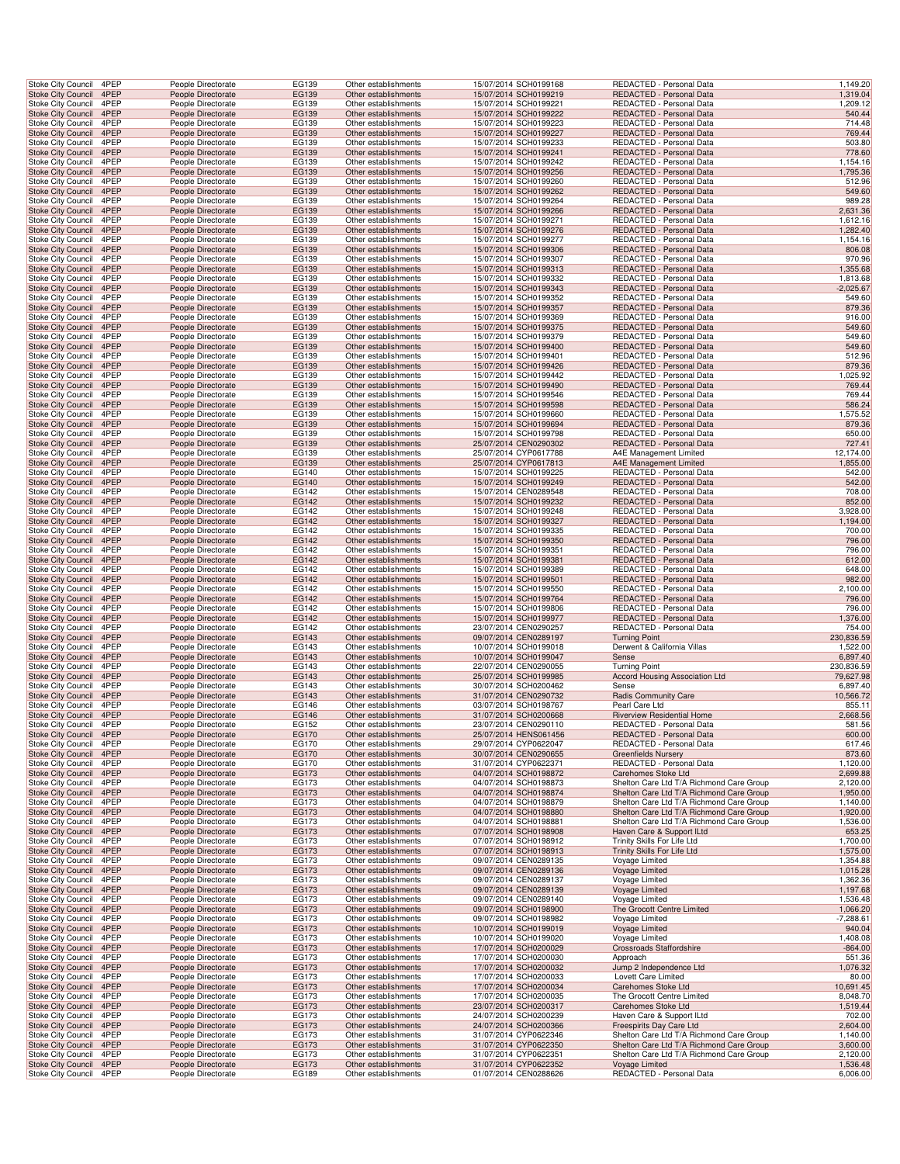| Stoke City Council                                     | 4PEP         | People Directorate                       |                    | <b>EG139</b>   | Other establishments                         | 15/07/2014 SCH0199168                          | REDACTED - Personal Data                                   | 1,149.20               |
|--------------------------------------------------------|--------------|------------------------------------------|--------------------|----------------|----------------------------------------------|------------------------------------------------|------------------------------------------------------------|------------------------|
| <b>Stoke City Council</b>                              | 4PEP         | People Directorate                       |                    | EG139          | Other establishments                         | 15/07/2014 SCH0199219                          | REDACTED - Personal Data                                   | 1,319.04               |
| Stoke City Council                                     | 4PEP         | People Directorate                       |                    | EG139          | Other establishments                         | 15/07/2014 SCH0199221                          | REDACTED - Personal Data                                   | 1,209.12               |
| Stoke City Council 4PEP                                |              | People Directorate                       |                    | EG139          | Other establishments                         | 15/07/2014 SCH0199222                          | REDACTED - Personal Data                                   | 540.44                 |
| Stoke City Council                                     | 4PEP         | People Directorate                       |                    | EG139          | Other establishments                         | 15/07/2014 SCH0199223                          | REDACTED - Personal Data                                   | 714.48                 |
| Stoke City Council                                     | 4PEP         | People Directorate                       |                    | EG139          | Other establishments                         | 15/07/2014 SCH0199227                          | REDACTED - Personal Data                                   | 769.44                 |
| Stoke City Council                                     | 4PEP         | People Directorate                       |                    | EG139          | Other establishments                         | 15/07/2014 SCH0199233                          | REDACTED - Personal Data                                   | 503.80                 |
| <b>Stoke City Council</b>                              | 4PEP         | People Directorate                       |                    | EG139          | Other establishments                         | 15/07/2014 SCH0199241                          | REDACTED - Personal Data                                   | 778.60                 |
| Stoke City Council<br><b>Stoke City Council</b>        | 4PEP<br>4PEP | People Directorate<br>People Directorate |                    | EG139<br>EG139 | Other establishments<br>Other establishments | 15/07/2014 SCH0199242<br>15/07/2014 SCH0199256 | REDACTED - Personal Data<br>REDACTED - Personal Data       | 1,154.16<br>1,795.36   |
| Stoke City Council                                     | 4PEP         | People Directorate                       |                    | EG139          | Other establishments                         | 15/07/2014 SCH0199260                          | REDACTED - Personal Data                                   | 512.96                 |
| <b>Stoke City Council</b>                              | 4PEP         | People Directorate                       |                    | EG139          | Other establishments                         | 15/07/2014 SCH0199262                          | REDACTED - Personal Data                                   | 549.60                 |
| Stoke City Council                                     | 4PEP         | People Directorate                       |                    | EG139          | Other establishments                         | 15/07/2014 SCH0199264                          | REDACTED - Personal Data                                   | 989.28                 |
| Stoke City Council 4PEP                                |              | People Directorate                       |                    | EG139          | Other establishments                         | 15/07/2014 SCH0199266                          | REDACTED - Personal Data                                   | 2,631.36               |
| Stoke City Council                                     | 4PEP         | People Directorate                       |                    | EG139          | Other establishments                         | 15/07/2014 SCH0199271                          | REDACTED - Personal Data                                   | 1,612.16               |
| Stoke City Council                                     | 4PEP         | People Directorate                       |                    | EG139          | Other establishments                         | 15/07/2014 SCH0199276                          | REDACTED - Personal Data                                   | 1,282.40               |
| Stoke City Council                                     | 4PEP         | People Directorate                       |                    | EG139          | Other establishments                         | 15/07/2014 SCH0199277                          | REDACTED - Personal Data                                   | 1,154.16               |
| <b>Stoke City Council</b>                              | 4PEP<br>4PEP | People Directorate<br>People Directorate |                    | EG139          | Other establishments                         | 15/07/2014 SCH0199306                          | REDACTED - Personal Data                                   | 806.08                 |
| Stoke City Council<br><b>Stoke City Council</b>        | 4PEP         | People Directorate                       |                    | EG139<br>EG139 | Other establishments<br>Other establishments | 15/07/2014 SCH0199307<br>15/07/2014 SCH0199313 | REDACTED - Personal Data<br>REDACTED - Personal Data       | 970.96<br>1,355.68     |
| Stoke City Council                                     | 4PEP         | People Directorate                       |                    | EG139          | Other establishments                         | 15/07/2014 SCH0199332                          | REDACTED - Personal Data                                   | 1,813.68               |
| <b>Stoke City Council</b>                              | 4PEP         | People Directorate                       |                    | EG139          | Other establishments                         | 15/07/2014 SCH0199343                          | REDACTED - Personal Data                                   | $-2,025.67$            |
| Stoke City Council                                     | 4PEP         | People Directorate                       |                    | EG139          | Other establishments                         | 15/07/2014 SCH0199352                          | REDACTED - Personal Data                                   | 549.60                 |
| Stoke City Council 4PEP                                |              | People Directorate                       |                    | EG139          | Other establishments                         | 15/07/2014 SCH0199357                          | REDACTED - Personal Data                                   | 879.36                 |
| Stoke City Council                                     | 4PEP         | People Directorate                       |                    | EG139          | Other establishments                         | 15/07/2014 SCH0199369                          | REDACTED - Personal Data                                   | 916.00                 |
| Stoke City Council                                     | 4PEP         | People Directorate                       |                    | EG139          | Other establishments                         | 15/07/2014 SCH0199375                          | REDACTED - Personal Data                                   | 549.60                 |
| Stoke City Council                                     | 4PEP         | People Directorate                       |                    | EG139          | Other establishments                         | 15/07/2014 SCH0199379                          | REDACTED - Personal Data                                   | 549.60                 |
| <b>Stoke City Council</b>                              | 4PEP         | People Directorate                       |                    | EG139          | Other establishments                         | 15/07/2014 SCH0199400                          | REDACTED - Personal Data                                   | 549.60                 |
| Stoke City Council<br><b>Stoke City Council</b>        | 4PEP<br>4PEP | People Directorate<br>People Directorate |                    | EG139<br>EG139 | Other establishments<br>Other establishments | 15/07/2014 SCH0199401<br>15/07/2014 SCH0199426 | REDACTED - Personal Data<br>REDACTED - Personal Data       | 512.96<br>879.36       |
| Stoke City Council                                     | 4PEP         | People Directorate                       |                    | EG139          | Other establishments                         | 15/07/2014 SCH0199442                          | REDACTED - Personal Data                                   | 1,025.92               |
| <b>Stoke City Council</b>                              | 4PEP         | People Directorate                       |                    | EG139          | Other establishments                         | 15/07/2014 SCH0199490                          | REDACTED - Personal Data                                   | 769.44                 |
| Stoke City Council                                     | 4PEP         | People Directorate                       |                    | EG139          | Other establishments                         | 15/07/2014 SCH0199546                          | REDACTED - Personal Data                                   | 769.44                 |
| Stoke City Council 4PEP                                |              | People Directorate                       |                    | EG139          | Other establishments                         | 15/07/2014 SCH0199598                          | REDACTED - Personal Data                                   | 586.24                 |
| Stoke City Council                                     | 4PEP         | People Directorate                       |                    | EG139          | Other establishments                         | 15/07/2014 SCH0199660                          | REDACTED - Personal Data                                   | 1,575.52               |
| Stoke City Council                                     | 4PEP         | People Directorate                       |                    | EG139          | Other establishments                         | 15/07/2014 SCH0199694                          | REDACTED - Personal Data                                   | 879.36                 |
| Stoke City Council                                     | 4PEP         | People Directorate                       |                    | EG139          | Other establishments                         | 15/07/2014 SCH0199798                          | REDACTED - Personal Data                                   | 650.00                 |
| <b>Stoke City Council</b>                              | 4PEP<br>4PEP | People Directorate<br>People Directorate |                    | EG139          | Other establishments                         | 25/07/2014 CEN0290302<br>25/07/2014 CYP0617788 | REDACTED - Personal Data<br>A4E Management Limited         | 727.41<br>12,174.00    |
| Stoke City Council<br><b>Stoke City Council</b>        | 4PEP         | People Directorate                       |                    | EG139<br>EG139 | Other establishments<br>Other establishments | 25/07/2014 CYP0617813                          | A4E Management Limited                                     | 1,855.00               |
| Stoke City Council                                     | 4PEP         | People Directorate                       |                    | EG140          | Other establishments                         | 15/07/2014 SCH0199225                          | REDACTED - Personal Data                                   | 542.00                 |
| Stoke City Council                                     | 4PEP         | People Directorate                       |                    | EG140          | Other establishments                         | 15/07/2014 SCH0199249                          | REDACTED - Personal Data                                   | 542.00                 |
| Stoke City Council                                     | 4PEP         | People Directorate                       |                    | EG142          | Other establishments                         | 15/07/2014 CEN0289548                          | REDACTED - Personal Data                                   | 708.00                 |
| Stoke City Council 4PEP                                |              | People Directorate                       |                    | EG142          | Other establishments                         | 15/07/2014 SCH0199232                          | REDACTED - Personal Data                                   | 852.00                 |
| Stoke City Council                                     | 4PEP         | People Directorate                       |                    | EG142          | Other establishments                         | 15/07/2014 SCH0199248                          | REDACTED - Personal Data                                   | 3,928.00               |
| Stoke City Council<br>Stoke City Council               | 4PEP<br>4PEP | People Directorate<br>People Directorate |                    | EG142<br>EG142 | Other establishments<br>Other establishments | 15/07/2014 SCH0199327<br>15/07/2014 SCH0199335 | REDACTED - Personal Data<br>REDACTED - Personal Data       | 1,194.00<br>700.00     |
| <b>Stoke City Council</b>                              | 4PEP         | People Directorate                       |                    | EG142          | Other establishments                         | 15/07/2014 SCH0199350                          | REDACTED - Personal Data                                   | 796.00                 |
| Stoke City Council                                     | 4PEP         | People Directorate                       |                    | EG142          | Other establishments                         | 15/07/2014 SCH0199351                          | REDACTED - Personal Data                                   | 796.00                 |
| <b>Stoke City Council</b>                              | 4PEP         | People Directorate                       |                    | EG142          | Other establishments                         | 15/07/2014 SCH0199381                          | REDACTED - Personal Data                                   | 612.00                 |
| Stoke City Council                                     | 4PEP         | People Directorate                       |                    | EG142          | Other establishments                         | 15/07/2014 SCH0199389                          | REDACTED - Personal Data                                   | 648.00                 |
| <b>Stoke City Council</b>                              | 4PEP         | People Directorate                       |                    | EG142          | Other establishments                         | 15/07/2014 SCH0199501                          | REDACTED - Personal Data                                   | 982.00                 |
| Stoke City Council<br>Stoke City Council 4PEP          | 4PEP         | People Directorate<br>People Directorate |                    | EG142<br>EG142 | Other establishments<br>Other establishments | 15/07/2014 SCH0199550<br>15/07/2014 SCH0199764 | REDACTED - Personal Data<br>REDACTED - Personal Data       | 2,100.00<br>796.00     |
| Stoke City Council                                     | 4PEP         | People Directorate                       |                    | EG142          | Other establishments                         | 15/07/2014 SCH0199806                          | REDACTED - Personal Data                                   | 796.00                 |
| Stoke City Council                                     | 4PEP         | People Directorate                       |                    | EG142          | Other establishments                         | 15/07/2014 SCH0199977                          | REDACTED - Personal Data                                   | 1,376.00               |
| Stoke City Council                                     | 4PEP         | People Directorate                       |                    | EG142          | Other establishments                         | 23/07/2014 CEN0290257                          | REDACTED - Personal Data                                   | 754.00                 |
| <b>Stoke City Council</b>                              | 4PEP         | People Directorate                       |                    | EG143          | Other establishments                         | 09/07/2014 CEN0289197                          | <b>Turning Point</b>                                       | 230,836.59             |
| Stoke City Council                                     | 4PEP         | People Directorate                       |                    | EG143          | Other establishments                         | 10/07/2014 SCH0199018                          | Derwent & California Villas                                | 1,522.00               |
| <b>Stoke City Council</b><br>Stoke City Council        | 4PEP<br>4PEP | People Directorate<br>People Directorate |                    | EG143<br>EG143 | Other establishments<br>Other establishments | 10/07/2014 SCH0199047<br>22/07/2014 CEN0290055 | Sense<br><b>Turning Point</b>                              | 6,897.40<br>230,836.59 |
| Stoke City Council                                     | 4PEP         | People Directorate                       |                    | EG143          | Other establishments                         | 25/07/2014 SCH0199985                          | <b>Accord Housing Association Ltd</b>                      | 79,627.98              |
| Stoke City Council                                     | 4PEP         | People Directorate                       |                    | EG143          | Other establishments                         | 30/07/2014 SCH0200462                          | Sense                                                      | 6,897.40               |
| Stoke City Council 4PEP                                |              | People Directorate                       |                    | EG143          | Other establishments                         | 31/07/2014 CEN0290732                          | <b>Radis Community Care</b>                                | 10,566.72              |
| Stoke City Council                                     | 4PEP         | People Directorate                       |                    | EG146          | Other establishments                         | 03/07/2014 SCH0198767                          | Pearl Care Ltd                                             | 855.11                 |
| Stoke City Council                                     | 4PEP         | People Directorate                       |                    | EG146          | Other establishments                         | 31/07/2014 SCH0200668                          | Riverview Residential Home                                 | 2,668.56               |
| Stoke City Council 4PEP                                |              | People Directorate                       |                    | EG152          | Other establishments                         | 23/07/2014 CEN0290110                          | REDACTED - Personal Data                                   | 581.56                 |
| <b>Stoke City Council</b>                              | 4PEP         | People Directorate                       |                    | EG170          | Other establishments                         | 25/07/2014 HENS061456                          | REDACTED - Personal Data                                   | 600.00                 |
| Stoke City Council                                     | 4PEP<br>4PEP | People Directorate<br>People Directorate |                    | EG170<br>EG170 | Other establishments                         | 29/07/2014 CYP0622047                          | REDACTED - Personal Data                                   | 617.46                 |
| <b>Stoke City Council</b><br><b>Stoke City Council</b> | 4PEP         | People Directorate                       |                    | EG170          | Other establishments<br>Other establishments | 30/07/2014 CEN0290655<br>31/07/2014 CYP0622371 | <b>Greenfields Nursery</b><br>REDACTED - Personal Data     | 873.60<br>1,120.00     |
| <b>Stoke City Council</b>                              | 4PEP         | People Directorate                       |                    | EG173          | Other establishments                         | 04/07/2014 SCH0198872                          | Carehomes Stoke Ltd                                        | 2,699.88               |
| Stoke City Council                                     | 4PEP         | People Directorate                       |                    | EG173          | Other establishments                         | 04/07/2014 SCH0198873                          | Shelton Care Ltd T/A Richmond Care Group                   | 2,120.00               |
| Stoke City Council 4PEP                                |              | People Directorate                       |                    | EG173          | Other establishments                         | 04/07/2014 SCH0198874                          | Shelton Care Ltd T/A Richmond Care Group                   | 1,950.00               |
| Stoke City Council                                     | 4PEP         | People Directorate                       |                    | EG173          | Other establishments                         | 04/07/2014 SCH0198879                          | Shelton Care Ltd T/A Richmond Care Group                   | 1,140.00               |
| <b>Stoke City Council</b>                              | 4PEP         | People Directorate                       |                    | EG173          | Other establishments                         | 04/07/2014 SCH0198880                          | Shelton Care Ltd T/A Richmond Care Group                   | 1,920.00               |
| Stoke City Council                                     | 4PEP         | People Directorate                       |                    | EG173          | Other establishments                         | 04/07/2014 SCH0198881                          | Shelton Care Ltd T/A Richmond Care Group                   | 1,536.00               |
| <b>Stoke City Council</b>                              | 4PEP         | People Directorate                       |                    | EG173          | Other establishments                         | 07/07/2014 SCH0198908                          | Haven Care & Support ILtd                                  | 653.25                 |
| Stoke City Council<br><b>Stoke City Council</b>        | 4PEP<br>4PEP | People Directorate<br>People Directorate |                    | EG173<br>EG173 | Other establishments<br>Other establishments | 07/07/2014 SCH0198912<br>07/07/2014 SCH0198913 | Trinity Skills For Life Ltd<br>Trinity Skills For Life Ltd | 1,700.00<br>1,575.00   |
| <b>Stoke City Council</b>                              | 4PEP         | People Directorate                       |                    | EG173          | Other establishments                         | 09/07/2014 CEN0289135                          | Voyage Limited                                             | 1,354.88               |
| <b>Stoke City Council</b>                              | 4PEP         | People Directorate                       |                    | EG173          | Other establishments                         | 09/07/2014 CEN0289136                          | Voyage Limited                                             | 1,015.28               |
| Stoke City Council                                     | 4PEP         | People Directorate                       |                    | EG173          | Other establishments                         | 09/07/2014 CEN0289137                          | Voyage Limited                                             | 1,362.36               |
| Stoke City Council 4PEP                                |              | People Directorate                       |                    | EG173          | Other establishments                         | 09/07/2014 CEN0289139                          | Voyage Limited                                             | 1,197.68               |
| Stoke City Council<br><b>Stoke City Council</b>        | 4PEP<br>4PEP | People Directorate<br>People Directorate |                    | EG173          | Other establishments<br>Other establishments | 09/07/2014 CEN0289140<br>09/07/2014 SCH0198900 | Voyage Limited<br>The Grocott Centre Limited               | 1,536.48<br>1,066.20   |
| Stoke City Council                                     | 4PEP         | People Directorate                       |                    | EG173<br>EG173 | Other establishments                         | 09/07/2014 SCH0198982                          | Voyage Limited                                             | $-7,288.61$            |
| <b>Stoke City Council</b>                              | 4PEP         | People Directorate                       |                    | EG173          | Other establishments                         | 10/07/2014 SCH0199019                          | Voyage Limited                                             | 940.04                 |
| Stoke City Council                                     | 4PEP         | People Directorate                       |                    | EG173          | Other establishments                         | 10/07/2014 SCH0199020                          | Voyage Limited                                             | 1,408.08               |
| <b>Stoke City Council</b>                              | 4PEP         | People Directorate                       |                    | EG173          | Other establishments                         | 17/07/2014 SCH0200029                          | Crossroads Staffordshire                                   | $-864.00$              |
| <b>Stoke City Council</b>                              | 4PEP         | People Directorate                       |                    | EG173          | Other establishments                         | 17/07/2014 SCH0200030                          | Approach                                                   | 551.36                 |
| <b>Stoke City Council</b>                              | 4PEP         | People Directorate                       |                    | EG173          | Other establishments                         | 17/07/2014 SCH0200032                          | Jump 2 Independence Ltd                                    | 1,076.32               |
| Stoke City Council<br>Stoke City Council 4PEP          | 4PEP         | People Directorate<br>People Directorate |                    | EG173<br>EG173 | Other establishments<br>Other establishments | 17/07/2014 SCH0200033<br>17/07/2014 SCH0200034 | Lovett Care Limited<br>Carehomes Stoke Ltd                 | 80.00<br>10,691.45     |
|                                                        |              |                                          | People Directorate | EG173          | Other establishments                         | 17/07/2014 SCH0200035                          | The Grocott Centre Limited                                 | 8,048.70               |
|                                                        | 4PEP         |                                          |                    |                |                                              | 23/07/2014 SCH0200317                          | Carehomes Stoke Ltd                                        | 1,519.44               |
| Stoke City Council<br><b>Stoke City Council</b>        | 4PEP         | People Directorate                       |                    | EG173          | Other establishments                         |                                                |                                                            |                        |
| Stoke City Council                                     | 4PEP         | People Directorate                       |                    | EG173          | Other establishments                         | 24/07/2014 SCH0200239                          | Haven Care & Support ILtd                                  | 702.00                 |
| <b>Stoke City Council</b>                              | 4PEP         | People Directorate                       |                    | EG173          | Other establishments                         | 24/07/2014 SCH0200366                          | Freespirits Day Care Ltd                                   | 2,604.00               |
| Stoke City Council                                     | 4PEP         | People Directorate                       |                    | EG173          | Other establishments                         | 31/07/2014 CYP0622346                          | Shelton Care Ltd T/A Richmond Care Group                   | 1,140.00               |
| <b>Stoke City Council</b>                              | 4PEP         | People Directorate                       |                    | EG173          | Other establishments                         | 31/07/2014 CYP0622350                          | Shelton Care Ltd T/A Richmond Care Group                   | 3,600.00               |
| Stoke City Council<br>Stoke City Council               | 4PEP<br>4PEP | People Directorate<br>People Directorate |                    | EG173<br>EG173 | Other establishments<br>Other establishments | 31/07/2014 CYP0622351<br>31/07/2014 CYP0622352 | Shelton Care Ltd T/A Richmond Care Group<br>Voyage Limited | 2,120.00<br>1,536.48   |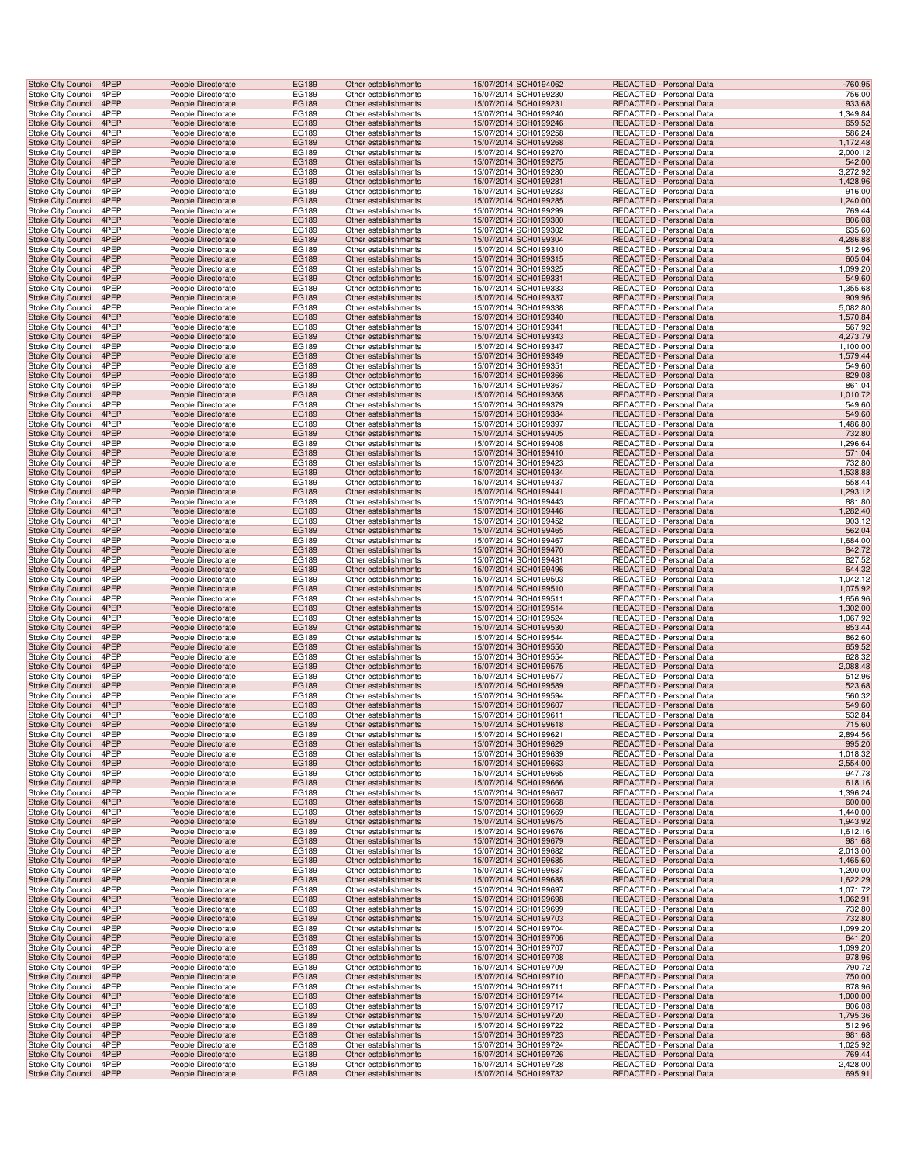| <b>Stoke City Council</b>                       | 4PEP         | People Directorate                       | <b>EG189</b>          | Other establishments                         | 15/07/2014 SCH0194062                          | REDACTED - Personal Data                             | $-760.95$            |
|-------------------------------------------------|--------------|------------------------------------------|-----------------------|----------------------------------------------|------------------------------------------------|------------------------------------------------------|----------------------|
| Stoke City Council                              | 4PEP         | People Directorate                       | EG189                 | Other establishments                         | 15/07/2014 SCH0199230                          | REDACTED - Personal Data                             | 756.00               |
| Stoke City Council                              | 4PEP         | People Directorate                       | EG189                 | Other establishments                         | 15/07/2014 SCH0199231                          | REDACTED - Personal Data                             | 933.68               |
| Stoke City Council                              | 4PEP         | People Directorate                       | EG189                 | Other establishments                         | 15/07/2014 SCH0199240                          | REDACTED - Personal Data                             | 1,349.84             |
| Stoke City Council 4PEP                         |              | People Directorate                       | EG189                 | Other establishments                         | 15/07/2014 SCH0199246                          | <b>REDACTED - Personal Data</b>                      | 659.52               |
| Stoke City Council                              | 4PEP         | People Directorate                       | EG189                 | Other establishments                         | 15/07/2014 SCH0199258                          | REDACTED - Personal Data                             | 586.24               |
| Stoke City Council                              | 4PEP         | People Directorate                       | EG189                 | Other establishments                         | 15/07/2014 SCH0199268                          | REDACTED - Personal Data                             | 1,172.48             |
| Stoke City Council                              | 4PEP         | People Directorate                       | EG189                 | Other establishments                         | 15/07/2014 SCH0199270                          | REDACTED - Personal Data                             | 2,000.12             |
| Stoke City Council                              | 4PEP         | People Directorate                       | EG189                 | Other establishments                         | 15/07/2014 SCH0199275                          | REDACTED - Personal Data                             | 542.00               |
| <b>Stoke City Council</b>                       | 4PEP         | People Directorate                       | EG189                 | Other establishments                         | 15/07/2014 SCH0199280                          | REDACTED - Personal Data                             | 3,272.92             |
| <b>Stoke City Council</b>                       | 4PEP         | People Directorate                       | <b>EG189</b>          | Other establishments                         | 15/07/2014 SCH0199281                          | REDACTED - Personal Data                             | 1,428.96             |
| Stoke City Council                              | 4PEP         | People Directorate                       | EG189                 | Other establishments                         | 15/07/2014 SCH0199283                          | REDACTED - Personal Data                             | 916.00               |
| Stoke City Council                              | 4PEP         | People Directorate                       | EG189                 | Other establishments                         | 15/07/2014 SCH0199285                          | REDACTED - Personal Data                             | 1,240.00             |
| Stoke City Council<br>Stoke City Council        | 4PEP<br>4PEP | People Directorate<br>People Directorate | EG189<br>EG189        | Other establishments<br>Other establishments | 15/07/2014 SCH0199299<br>15/07/2014 SCH0199300 | REDACTED - Personal Data<br>REDACTED - Personal Data | 769.44<br>806.08     |
| Stoke City Council                              | 4PEP         | People Directorate                       | EG189                 | Other establishments                         | 15/07/2014 SCH0199302                          | REDACTED - Personal Data                             | 635.60               |
| Stoke City Council                              | 4PEP         | People Directorate                       | EG189                 | Other establishments                         | 15/07/2014 SCH0199304                          | REDACTED - Personal Data                             | 4,286.88             |
| Stoke City Council                              | 4PEP         | People Directorate                       | EG189                 | Other establishments                         | 15/07/2014 SCH0199310                          | REDACTED - Personal Data                             | 512.96               |
| Stoke City Council                              | 4PEP         | People Directorate                       | EG189                 | Other establishments                         | 15/07/2014 SCH0199315                          | REDACTED - Personal Data                             | 605.04               |
| <b>Stoke City Council</b>                       | 4PEP         | People Directorate                       | EG189                 | Other establishments                         | 15/07/2014 SCH0199325                          | REDACTED - Personal Data                             | 1,099.20             |
| Stoke City Council                              | 4PEP         | People Directorate                       | EG189                 | Other establishments                         | 15/07/2014 SCH0199331                          | REDACTED - Personal Data                             | 549.60               |
| Stoke City Council                              | 4PEP         | People Directorate                       | EG189                 | Other establishments                         | 15/07/2014 SCH0199333                          | REDACTED - Personal Data                             | 1,355.68             |
| <b>Stoke City Council</b>                       | 4PEP         | People Directorate                       | EG189                 | Other establishments                         | 15/07/2014 SCH0199337                          | REDACTED - Personal Data                             | 909.96               |
| Stoke City Council                              | 4PEP         | People Directorate                       | EG189                 | Other establishments                         | 15/07/2014 SCH0199338                          | REDACTED - Personal Data                             | 5,082.80             |
| Stoke City Council                              | 4PEP         | People Directorate                       | EG189                 | Other establishments                         | 15/07/2014 SCH0199340                          | REDACTED - Personal Data                             | 1,570.84             |
| Stoke City Council                              | 4PEP         | People Directorate                       | EG189                 | Other establishments                         | 15/07/2014 SCH0199341                          | REDACTED - Personal Data                             | 567.92               |
| <b>Stoke City Council</b>                       | 4PEP         | People Directorate                       | EG189                 | Other establishments                         | 15/07/2014 SCH0199343                          | REDACTED - Personal Data                             | 4,273.79             |
| Stoke City Council<br>Stoke City Council        | 4PEP<br>4PEP | People Directorate<br>People Directorate | EG189<br>EG189        | Other establishments<br>Other establishments | 15/07/2014 SCH0199347<br>15/07/2014 SCH0199349 | REDACTED - Personal Data<br>REDACTED - Personal Data | 1,100.00<br>1,579.44 |
| <b>Stoke City Council</b>                       | 4PEP         | People Directorate                       | EG189                 | Other establishments                         | 15/07/2014 SCH0199351                          | REDACTED - Personal Data                             | 549.60               |
| <b>Stoke City Council</b>                       | 4PEP         | People Directorate                       | EG189                 | Other establishments                         | 15/07/2014 SCH0199366                          | REDACTED - Personal Data                             | 829.08               |
| Stoke City Council                              | 4PEP         | People Directorate                       | EG189                 | Other establishments                         | 15/07/2014 SCH0199367                          | REDACTED - Personal Data                             | 861.04               |
| <b>Stoke City Council</b>                       | 4PEP         | People Directorate                       | EG189                 | Other establishments                         | 15/07/2014 SCH0199368                          | REDACTED - Personal Data                             | 1,010.72             |
| Stoke City Council                              | 4PEP         | People Directorate                       | EG189                 | Other establishments                         | 15/07/2014 SCH0199379                          | REDACTED - Personal Data                             | 549.60               |
| Stoke City Council                              | 4PEP         | People Directorate                       | EG189                 | Other establishments                         | 15/07/2014 SCH0199384                          | REDACTED - Personal Data                             | 549.60               |
| Stoke City Council                              | 4PEP         | People Directorate                       | EG189                 | Other establishments                         | 15/07/2014 SCH0199397                          | REDACTED - Personal Data                             | 1,486.80             |
| Stoke City Council                              | 4PEP         | People Directorate                       | EG189                 | Other establishments                         | 15/07/2014 SCH0199405                          | REDACTED - Personal Data                             | 732.80               |
| Stoke City Council                              | 4PEP         | People Directorate                       | EG189                 | Other establishments                         | 15/07/2014 SCH0199408                          | REDACTED - Personal Data                             | 1,296.64             |
| Stoke City Council                              | 4PEP         | People Directorate                       | EG189                 | Other establishments                         | 15/07/2014 SCH0199410                          | REDACTED - Personal Data                             | 571.04               |
| Stoke City Council                              | 4PEP         | People Directorate                       | EG189                 | Other establishments                         | 15/07/2014 SCH0199423                          | REDACTED - Personal Data                             | 732.80               |
| <b>Stoke City Council</b>                       | 4PEP         | People Directorate                       | EG189                 | Other establishments                         | 15/07/2014 SCH0199434                          | REDACTED - Personal Data                             | 1,538.88             |
| Stoke City Council                              | 4PEP<br>4PEP | People Directorate                       | EG189                 | Other establishments                         | 15/07/2014 SCH0199437                          | REDACTED - Personal Data                             | 558.44               |
| <b>Stoke City Council</b><br>Stoke City Council | 4PEP         | People Directorate<br>People Directorate | EG189<br>EG189        | Other establishments<br>Other establishments | 15/07/2014 SCH0199441<br>15/07/2014 SCH0199443 | REDACTED - Personal Data<br>REDACTED - Personal Data | 1,293.12<br>881.80   |
| Stoke City Council                              | 4PEP         | People Directorate                       | EG189                 | Other establishments                         | 15/07/2014 SCH0199446                          | REDACTED - Personal Data                             | 1,282.40             |
| Stoke City Council                              | 4PEP         | People Directorate                       | EG189                 | Other establishments                         | 15/07/2014 SCH0199452                          | REDACTED - Personal Data                             | 903.12               |
| Stoke City Council                              | 4PEP         | People Directorate                       | EG189                 | Other establishments                         | 15/07/2014 SCH0199465                          | REDACTED - Personal Data                             | 562.04               |
| Stoke City Council                              | 4PEP         | People Directorate                       | EG189                 | Other establishments                         | 15/07/2014 SCH0199467                          | REDACTED - Personal Data                             | 1,684.00             |
| Stoke City Council                              | 4PEP         | People Directorate                       | EG189                 | Other establishments                         | 15/07/2014 SCH0199470                          | REDACTED - Personal Data                             | 842.72               |
| Stoke City Council                              | 4PEP         | People Directorate                       | EG189                 | Other establishments                         | 15/07/2014 SCH0199481                          | REDACTED - Personal Data                             | 827.52               |
| Stoke City Council                              | 4PEP         | People Directorate                       | EG189                 | Other establishments                         | 15/07/2014 SCH0199496                          | REDACTED - Personal Data                             | 644.32               |
| Stoke City Council                              | 4PEP         | People Directorate                       | EG189                 | Other establishments                         | 15/07/2014 SCH0199503                          | REDACTED - Personal Data                             | 1,042.12             |
| <b>Stoke City Council</b>                       | 4PEP         | People Directorate                       | EG189                 | Other establishments                         | 15/07/2014 SCH0199510                          | REDACTED - Personal Data                             | 1,075.92             |
| Stoke City Council                              | 4PEP         | People Directorate                       | EG189                 | Other establishments                         | 15/07/2014 SCH0199511                          | REDACTED - Personal Data                             | 1,656.96             |
| <b>Stoke City Council</b>                       | 4PEP         | People Directorate                       | EG189                 | Other establishments                         | 15/07/2014 SCH0199514                          | REDACTED - Personal Data                             | 1,302.00             |
| Stoke City Council                              | 4PEP         | People Directorate                       | EG189                 | Other establishments                         | 15/07/2014 SCH0199524                          | REDACTED - Personal Data                             | 1,067.92             |
| Stoke City Council                              | 4PEP         | People Directorate                       | EG189                 | Other establishments                         | 15/07/2014 SCH0199530                          | REDACTED - Personal Data                             | 853.44               |
| Stoke City Council                              | 4PEP<br>4PEP | People Directorate<br>People Directorate | EG189<br>EG189        | Other establishments<br>Other establishments | 15/07/2014 SCH0199544<br>15/07/2014 SCH0199550 | REDACTED - Personal Data<br>REDACTED - Personal Data | 862.60<br>659.52     |
| Stoke City Council<br><b>Stoke City Council</b> | 4PEP         | People Directorate                       | EG189                 | Other establishments                         | 15/07/2014 SCH0199554                          | REDACTED - Personal Data                             | 628.32               |
| Stoke City Council                              | 4PEP         | People Directorate                       | EG189                 | Other establishments                         | 15/07/2014 SCH0199575                          | REDACTED - Personal Data                             | 2,088.48             |
| Stoke City Council                              | 4PEP         | People Directorate                       | EG189                 | Other establishments                         | 15/07/2014 SCH0199577                          | REDACTED - Personal Data                             | 512.96               |
| <b>Stoke City Council</b>                       | 4PEP         | People Directorate                       | EG189                 | Other establishments                         | 15/07/2014 SCH0199589                          | REDACTED - Personal Data                             | 523.68               |
| Stoke City Council                              | 4PEP         | People Directorate                       | EG189                 | Other establishments                         | 15/07/2014 SCH0199594                          | REDACTED - Personal Data                             | 560.32               |
| Stoke City Council                              | 4PEP         | People Directorate                       | EG189                 | Other establishments                         | 15/07/2014 SCH0199607                          | REDACTED - Personal Data                             | 549.60               |
| Stoke City Council                              | 4PEP         | People Directorate                       | EG189                 | Other establishments                         | 15/07/2014 SCH0199611                          | REDACTED - Personal Data                             | 532.84               |
| Stoke City Council 4PEP                         |              | People Directorate                       | EG189                 | Other establishments                         | 15/07/2014 SCH0199618                          | REDACTED - Personal Data                             | 715.60               |
| <b>Stoke City Council</b>                       | 4PEP         | People Directorate                       | EG189                 | Other establishments                         | 15/07/2014 SCH0199621                          | REDACTED - Personal Data                             | 2,894.56             |
| Stoke City Council 4PEP                         |              | People Directorate                       | EG189                 | Other establishments                         | 15/07/2014 SCH0199629                          | REDACTED - Personal Data                             | 995.20               |
| Stoke City Council<br><b>Stoke City Council</b> | 4PEP<br>4PEP | People Directorate<br>People Directorate | EG189<br><b>EG189</b> | Other establishments<br>Other establishments | 15/07/2014 SCH0199639<br>15/07/2014 SCH0199663 | REDACTED - Personal Data<br>REDACTED - Personal Data | 1,018.32<br>2,554.00 |
| <b>Stoke City Council</b>                       | 4PEP         | People Directorate                       | EG189                 | Other establishments                         | 15/07/2014 SCH0199665                          | REDACTED - Personal Data                             | 947.73               |
| <b>Stoke City Council</b>                       | 4PEP         | People Directorate                       | EG189                 | Other establishments                         | 15/07/2014 SCH0199666                          | REDACTED - Personal Data                             | 618.16               |
| Stoke City Council                              | 4PEP         | People Directorate                       | EG189                 | Other establishments                         | 15/07/2014 SCH0199667                          | REDACTED - Personal Data                             | 1,396.24             |
| Stoke City Council 4PEP                         |              | People Directorate                       | EG189                 | Other establishments                         | 15/07/2014 SCH0199668                          | REDACTED - Personal Data                             | 600.00               |
| Stoke City Council                              | 4PEP         | People Directorate                       | EG189                 | Other establishments                         | 15/07/2014 SCH0199669                          | REDACTED - Personal Data                             | 1,440.00             |
| <b>Stoke City Council</b>                       | 4PEP         | People Directorate                       | EG189                 | Other establishments                         | 15/07/2014 SCH0199675                          | REDACTED - Personal Data                             | 1,943.92             |
| <b>Stoke City Council</b>                       | 4PEP         | People Directorate                       | EG189                 | Other establishments                         | 15/07/2014 SCH0199676                          | REDACTED - Personal Data                             | 1,612.16             |
| Stoke City Council                              | 4PEP         | People Directorate                       | EG189                 | Other establishments                         | 15/07/2014 SCH0199679                          | REDACTED - Personal Data                             | 981.68               |
| Stoke City Council                              | 4PEP         | People Directorate                       | EG189                 | Other establishments                         | 15/07/2014 SCH0199682                          | REDACTED - Personal Data                             | 2,013.00             |
| <b>Stoke City Council</b>                       | 4PEP         | People Directorate                       | EG189                 | Other establishments                         | 15/07/2014 SCH0199685                          | REDACTED - Personal Data                             | 1,465.60             |
| <b>Stoke City Council</b>                       | 4PEP         | People Directorate                       | EG189                 | Other establishments                         | 15/07/2014 SCH0199687                          | REDACTED - Personal Data                             | 1,200.00             |
| <b>Stoke City Council</b><br>Stoke City Council | 4PEP<br>4PEP | People Directorate<br>People Directorate | EG189<br>EG189        | Other establishments<br>Other establishments | 15/07/2014 SCH0199688<br>15/07/2014 SCH0199697 | REDACTED - Personal Data<br>REDACTED - Personal Data | 1,622.29<br>1,071.72 |
| Stoke City Council 4PEP                         |              | People Directorate                       | EG189                 | Other establishments                         | 15/07/2014 SCH0199698                          | REDACTED - Personal Data                             | 1,062.91             |
| Stoke City Council                              | 4PEP         | People Directorate                       | EG189                 | Other establishments                         | 15/07/2014 SCH0199699                          | REDACTED - Personal Data                             | 732.80               |
| <b>Stoke City Council</b>                       | 4PEP         | People Directorate                       | EG189                 | Other establishments                         | 15/07/2014 SCH0199703                          | REDACTED - Personal Data                             | 732.80               |
| Stoke City Council                              | 4PEP         | People Directorate                       | EG189                 | Other establishments                         | 15/07/2014 SCH0199704                          | REDACTED - Personal Data                             | 1,099.20             |
| Stoke City Council                              | 4PEP         | People Directorate                       | EG189                 | Other establishments                         | 15/07/2014 SCH0199706                          | REDACTED - Personal Data                             | 641.20               |
| Stoke City Council                              | 4PEP         | People Directorate                       | EG189                 | Other establishments                         | 15/07/2014 SCH0199707                          | REDACTED - Personal Data                             | 1,099.20             |
| <b>Stoke City Council</b>                       | 4PEP         | People Directorate                       | EG189                 | Other establishments                         | 15/07/2014 SCH0199708                          | REDACTED - Personal Data                             | 978.96               |
| Stoke City Council                              | 4PEP         | People Directorate                       | EG189                 | Other establishments                         | 15/07/2014 SCH0199709                          | REDACTED - Personal Data                             | 790.72               |
| <b>Stoke City Council</b>                       | 4PEP         | People Directorate                       | EG189                 | Other establishments                         | 15/07/2014 SCH0199710                          | REDACTED - Personal Data                             | 750.00               |
| Stoke City Council<br>Stoke City Council 4PEP   | 4PEP         | People Directorate<br>People Directorate | EG189<br>EG189        | Other establishments<br>Other establishments | 15/07/2014 SCH0199711<br>15/07/2014 SCH0199714 | REDACTED - Personal Data<br>REDACTED - Personal Data | 878.96<br>1,000.00   |
| Stoke City Council                              | 4PEP         | People Directorate                       | EG189                 | Other establishments                         | 15/07/2014 SCH0199717                          | REDACTED - Personal Data                             | 806.08               |
| <b>Stoke City Council</b>                       | 4PEP         | People Directorate                       | EG189                 | Other establishments                         | 15/07/2014 SCH0199720                          | REDACTED - Personal Data                             | 1,795.36             |
| Stoke City Council                              | 4PEP         | People Directorate                       | EG189                 | Other establishments                         | 15/07/2014 SCH0199722                          | REDACTED - Personal Data                             | 512.96               |
| Stoke City Council 4PEP                         |              | People Directorate                       | EG189                 | Other establishments                         | 15/07/2014 SCH0199723                          | REDACTED - Personal Data                             | 981.68               |
| Stoke City Council                              | 4PEP         | People Directorate                       | EG189                 | Other establishments                         | 15/07/2014 SCH0199724                          | REDACTED - Personal Data                             | 1,025.92             |
| Stoke City Council                              | 4PEP         | People Directorate                       | EG189                 | Other establishments                         | 15/07/2014 SCH0199726                          | REDACTED - Personal Data                             | 769.44               |
| Stoke City Council                              | 4PEP         | People Directorate                       | EG189                 | Other establishments                         | 15/07/2014 SCH0199728                          | REDACTED - Personal Data                             | 2,428.00             |
| Stoke City Council 4PEP                         |              | People Directorate                       | EG189                 | Other establishments                         | 15/07/2014 SCH0199732                          | REDACTED - Personal Data                             | 695.91               |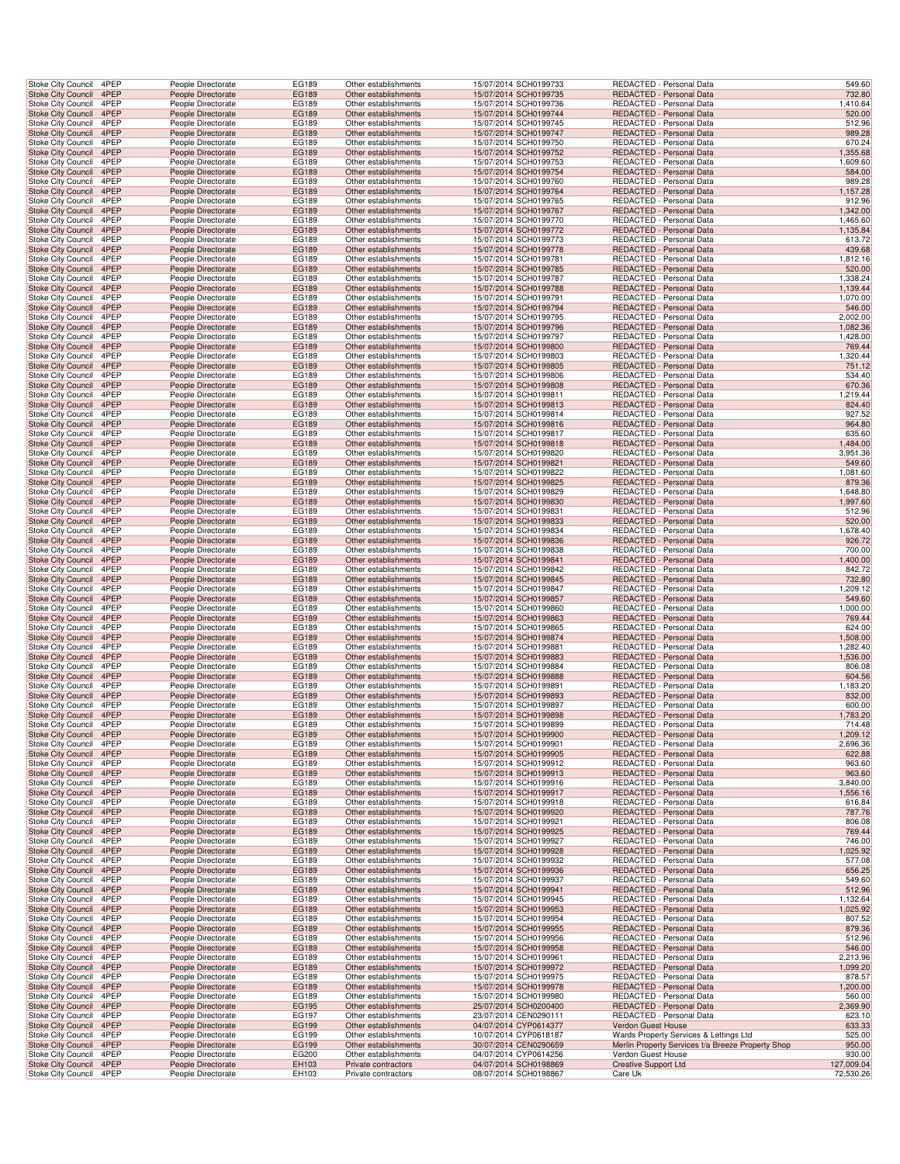| Stoke City Council                                                    | 4PEP         |                    | People Directorate                       | <b>EG189</b>   | Other establishments                         | 15/07/2014 SCH0199733                          | REDACTED - Personal Data                                     | 549.60                                                                |  |
|-----------------------------------------------------------------------|--------------|--------------------|------------------------------------------|----------------|----------------------------------------------|------------------------------------------------|--------------------------------------------------------------|-----------------------------------------------------------------------|--|
| <b>Stoke City Council</b>                                             | 4PEP         |                    | People Directorate                       | EG189          | Other establishments                         | 15/07/2014 SCH0199735                          | REDACTED - Personal Data                                     | 732.80                                                                |  |
| Stoke City Council                                                    | 4PEP         |                    | People Directorate                       | EG189          | Other establishments                         | 15/07/2014 SCH0199736                          | REDACTED - Personal Data                                     | 1,410.64                                                              |  |
| Stoke City Council 4PEP                                               |              |                    | People Directorate                       | EG189          | Other establishments                         | 15/07/2014 SCH0199744                          | REDACTED - Personal Data                                     | 520.00                                                                |  |
| Stoke City Council                                                    | 4PEP         |                    | People Directorate                       | EG189          | Other establishments                         | 15/07/2014 SCH0199745                          | REDACTED - Personal Data                                     | 512.96                                                                |  |
| Stoke City Council                                                    | 4PEP         |                    | People Directorate                       | EG189          | Other establishments                         | 15/07/2014 SCH0199747                          | REDACTED - Personal Data                                     | 989.28                                                                |  |
| Stoke City Council                                                    | 4PEP         |                    | People Directorate                       | EG189          | Other establishments                         | 15/07/2014 SCH0199750                          | REDACTED - Personal Data                                     | 670.24                                                                |  |
| <b>Stoke City Council</b>                                             | 4PEP         |                    | People Directorate                       | EG189          | Other establishments                         | 15/07/2014 SCH0199752                          | REDACTED - Personal Data                                     | 1,355.68                                                              |  |
| Stoke City Council                                                    | 4PEP         |                    | People Directorate                       | EG189          | Other establishments                         | 15/07/2014 SCH0199753                          | REDACTED - Personal Data                                     | 1,609.60                                                              |  |
| <b>Stoke City Council</b>                                             | 4PEP         |                    | People Directorate                       | EG189          | Other establishments                         | 15/07/2014 SCH0199754                          | REDACTED - Personal Data                                     | 584.00                                                                |  |
| Stoke City Council                                                    | 4PEP         |                    | People Directorate                       | EG189          | Other establishments                         | 15/07/2014 SCH0199760                          | REDACTED - Personal Data                                     | 989.28                                                                |  |
| <b>Stoke City Council</b>                                             | 4PEP         |                    | People Directorate                       | EG189          | Other establishments                         | 15/07/2014 SCH0199764                          | REDACTED - Personal Data                                     | 1,157.28                                                              |  |
| Stoke City Council                                                    | 4PEP         |                    | People Directorate                       | EG189          | Other establishments                         | 15/07/2014 SCH0199765                          | REDACTED - Personal Data                                     | 912.96                                                                |  |
| Stoke City Council 4PEP                                               |              |                    | People Directorate                       | EG189          | Other establishments                         | 15/07/2014 SCH0199767                          | REDACTED - Personal Data                                     | 1,342.00                                                              |  |
| Stoke City Council                                                    | 4PEP         |                    | People Directorate                       | EG189          | Other establishments                         | 15/07/2014 SCH0199770                          | REDACTED - Personal Data                                     | 1,465.60                                                              |  |
| Stoke City Council                                                    | 4PEP         |                    | People Directorate                       | EG189          | Other establishments                         | 15/07/2014 SCH0199772                          | <b>REDACTED - Personal Data</b>                              | 1,135.84                                                              |  |
| Stoke City Council                                                    | 4PEP         |                    | People Directorate                       | EG189          | Other establishments                         | 15/07/2014 SCH0199773                          | REDACTED - Personal Data                                     | 613.72                                                                |  |
| <b>Stoke City Council</b>                                             | 4PEP         |                    | People Directorate                       | EG189          | Other establishments                         | 15/07/2014 SCH0199778                          | REDACTED - Personal Data                                     | 439.68                                                                |  |
| Stoke City Council                                                    | 4PEP         |                    | People Directorate                       | EG189          | Other establishments                         | 15/07/2014 SCH0199781                          | REDACTED - Personal Data                                     | 1,812.16                                                              |  |
| <b>Stoke City Council</b>                                             | 4PEP         |                    | People Directorate                       | EG189          | Other establishments                         | 15/07/2014 SCH0199785                          | REDACTED - Personal Data                                     | 520.00                                                                |  |
| Stoke City Council                                                    | 4PEP         |                    | People Directorate                       | EG189          | Other establishments                         | 15/07/2014 SCH0199787                          | REDACTED - Personal Data                                     | 1,338.24                                                              |  |
| <b>Stoke City Council</b>                                             | 4PEP         |                    | People Directorate                       | EG189          | Other establishments                         | 15/07/2014 SCH0199788                          | REDACTED - Personal Data                                     | 1,139.44                                                              |  |
| Stoke City Council                                                    | 4PEP         |                    | People Directorate                       | EG189          | Other establishments                         | 15/07/2014 SCH0199791                          | REDACTED - Personal Data                                     | 1,070.00                                                              |  |
| Stoke City Council 4PEP                                               |              |                    | People Directorate                       | EG189          | Other establishments                         | 15/07/2014 SCH0199794                          | REDACTED - Personal Data                                     | 546.00                                                                |  |
| Stoke City Council                                                    | 4PEP         |                    | People Directorate                       | EG189          | Other establishments                         | 15/07/2014 SCH0199795                          | REDACTED - Personal Data                                     | 2,002.00                                                              |  |
| Stoke City Council                                                    | 4PEP         |                    | People Directorate                       | EG189          | Other establishments                         | 15/07/2014 SCH0199796                          | REDACTED - Personal Data                                     | 1,082.36                                                              |  |
| Stoke City Council                                                    | 4PEP         |                    | People Directorate                       | EG189          | Other establishments                         | 15/07/2014 SCH0199797                          | REDACTED - Personal Data                                     | 1,428.00                                                              |  |
| Stoke City Council                                                    | 4PEP         |                    | People Directorate                       | EG189          | Other establishments                         | 15/07/2014 SCH0199800                          | REDACTED - Personal Data                                     | 769.44                                                                |  |
| Stoke City Council                                                    | 4PEP         |                    | People Directorate                       | EG189          | Other establishments                         | 15/07/2014 SCH0199803                          | REDACTED - Personal Data                                     | 1,320.44                                                              |  |
| <b>Stoke City Council</b>                                             | 4PEP         |                    | People Directorate                       | EG189          | Other establishments                         | 15/07/2014 SCH0199805                          | REDACTED - Personal Data                                     | 751.12                                                                |  |
| Stoke City Council                                                    | 4PEP         |                    | People Directorate                       | EG189          | Other establishments                         | 15/07/2014 SCH0199806                          | REDACTED - Personal Data                                     | 534.40                                                                |  |
| <b>Stoke City Council</b>                                             | 4PEP         |                    | People Directorate                       | EG189          | Other establishments                         | 15/07/2014 SCH0199808                          | REDACTED - Personal Data                                     | 670.36                                                                |  |
| Stoke City Council                                                    | 4PEP         |                    | People Directorate                       | EG189          | Other establishments                         | 15/07/2014 SCH0199811                          | REDACTED - Personal Data                                     | 1,219.44                                                              |  |
| Stoke City Council 4PEP                                               |              |                    | People Directorate                       | EG189          | Other establishments                         | 15/07/2014 SCH0199813                          | REDACTED - Personal Data                                     | 824.40                                                                |  |
| Stoke City Council                                                    | 4PEP         |                    | People Directorate                       | EG189          | Other establishments                         | 15/07/2014 SCH0199814                          | REDACTED - Personal Data                                     | 927.52                                                                |  |
| Stoke City Council                                                    | 4PEP         |                    | People Directorate                       | EG189          | Other establishments                         | 15/07/2014 SCH0199816                          | REDACTED - Personal Data                                     | 964.80                                                                |  |
| Stoke City Council                                                    | 4PEP         |                    | People Directorate                       | EG189          | Other establishments                         | 15/07/2014 SCH0199817                          | REDACTED - Personal Data                                     | 635.60                                                                |  |
| <b>Stoke City Council</b>                                             | 4PEP         |                    | People Directorate                       | EG189          | Other establishments                         | 15/07/2014 SCH0199818                          | REDACTED - Personal Data                                     | 1,484.00                                                              |  |
| Stoke City Council                                                    | 4PEP         |                    | People Directorate                       | EG189          | Other establishments                         | 15/07/2014 SCH0199820                          | REDACTED - Personal Data                                     | 3,951.36                                                              |  |
| <b>Stoke City Council</b>                                             | 4PEP         |                    | People Directorate                       | EG189          | Other establishments                         | 15/07/2014 SCH0199821                          | REDACTED - Personal Data                                     | 549.60                                                                |  |
| Stoke City Council                                                    | 4PEP         |                    | People Directorate                       | EG189          | Other establishments                         | 15/07/2014 SCH0199822                          | REDACTED - Personal Data                                     | 1,081.60                                                              |  |
| Stoke City Council                                                    | 4PEP         |                    | People Directorate                       | EG189          | Other establishments                         | 15/07/2014 SCH0199825                          | REDACTED - Personal Data                                     | 879.36                                                                |  |
| Stoke City Council                                                    | 4PEP         |                    | People Directorate                       | EG189          | Other establishments                         | 15/07/2014 SCH0199829                          | REDACTED - Personal Data                                     | 1,648.80                                                              |  |
| Stoke City Council 4PEP                                               |              |                    | People Directorate                       | EG189          | Other establishments                         | 15/07/2014 SCH0199830                          | REDACTED - Personal Data                                     | 1,997.60                                                              |  |
| Stoke City Council                                                    | 4PEP         |                    | People Directorate                       | EG189          | Other establishments                         | 15/07/2014 SCH0199831                          | REDACTED - Personal Data                                     | 512.96                                                                |  |
| Stoke City Council                                                    | 4PEP         |                    | People Directorate                       | EG189          | Other establishments                         | 15/07/2014 SCH0199833                          | REDACTED - Personal Data                                     | 520.00                                                                |  |
| Stoke City Council                                                    | 4PEP         |                    | People Directorate                       | EG189          | Other establishments                         | 15/07/2014 SCH0199834                          | REDACTED - Personal Data                                     | 1,678.40                                                              |  |
| Stoke City Council                                                    | 4PEP         |                    | People Directorate                       | EG189          | Other establishments                         | 15/07/2014 SCH0199836                          | REDACTED - Personal Data                                     | 926.72                                                                |  |
| Stoke City Council                                                    | 4PEP         |                    | People Directorate                       | EG189          | Other establishments                         | 15/07/2014 SCH0199838                          | REDACTED - Personal Data                                     | 700.00                                                                |  |
| Stoke City Council                                                    | 4PEP         |                    | People Directorate                       | EG189          | Other establishments                         | 15/07/2014 SCH0199841                          | REDACTED - Personal Data                                     | 1,400.00                                                              |  |
| Stoke City Council                                                    | 4PEP         |                    | People Directorate                       | EG189          | Other establishments                         | 15/07/2014 SCH0199842                          | REDACTED - Personal Data                                     | 842.72                                                                |  |
| Stoke City Council                                                    | 4PEP         |                    | People Directorate                       | EG189          | Other establishments                         | 15/07/2014 SCH0199845                          | REDACTED - Personal Data                                     | 732.80                                                                |  |
| Stoke City Council                                                    | 4PEP         |                    | People Directorate                       | EG189          | Other establishments                         | 15/07/2014 SCH0199847                          | REDACTED - Personal Data                                     | 1,209.12                                                              |  |
| Stoke City Council 4PEP                                               |              |                    | People Directorate                       | EG189          | Other establishments                         | 15/07/2014 SCH0199857                          | REDACTED - Personal Data                                     | 549.60                                                                |  |
| Stoke City Council                                                    | 4PEP         |                    | People Directorate                       | EG189          | Other establishments                         | 15/07/2014 SCH0199860                          | REDACTED - Personal Data                                     | 1,000.00                                                              |  |
| Stoke City Council                                                    | 4PEP         |                    | People Directorate                       | EG189          | Other establishments                         | 15/07/2014 SCH0199863                          | REDACTED - Personal Data                                     | 769.44                                                                |  |
| Stoke City Council                                                    | 4PEP         |                    | People Directorate                       | EG189          | Other establishments                         | 15/07/2014 SCH0199865                          | REDACTED - Personal Data                                     | 624.00                                                                |  |
|                                                                       | 4PEP         |                    |                                          |                |                                              |                                                | REDACTED - Personal Data                                     |                                                                       |  |
| <b>Stoke City Council</b>                                             | 4PEP         |                    | People Directorate<br>People Directorate | EG189          | Other establishments                         | 15/07/2014 SCH0199874                          | REDACTED - Personal Data                                     | 1,508.00                                                              |  |
| Stoke City Council                                                    | 4PEP         |                    | People Directorate                       | EG189<br>EG189 | Other establishments<br>Other establishments | 15/07/2014 SCH0199881<br>15/07/2014 SCH0199883 | REDACTED - Personal Data                                     | 1,282.40<br>1,536.00                                                  |  |
| Stoke City Council<br>Stoke City Council                              | 4PEP         |                    | People Directorate                       | EG189          | Other establishments                         |                                                |                                                              | 806.08                                                                |  |
| <b>Stoke City Council</b>                                             | 4PEP         |                    |                                          | EG189          |                                              | 15/07/2014 SCH0199884                          | REDACTED - Personal Data<br>REDACTED - Personal Data         |                                                                       |  |
|                                                                       | 4PEP         |                    | People Directorate                       |                | Other establishments<br>Other establishments | 15/07/2014 SCH0199888                          | REDACTED - Personal Data                                     | 604.56                                                                |  |
| Stoke City Council<br>Stoke City Council 4PEP                         |              |                    | People Directorate                       | EG189          |                                              | 15/07/2014 SCH0199891                          | REDACTED - Personal Data                                     | 1,183.20<br>832.00                                                    |  |
|                                                                       | 4PEP         |                    | People Directorate<br>People Directorate | EG189<br>EG189 | Other establishments<br>Other establishments | 15/07/2014 SCH0199893<br>15/07/2014 SCH0199897 | REDACTED - Personal Data                                     | 600.00                                                                |  |
| Stoke City Council                                                    | 4PEP         |                    | People Directorate                       |                |                                              | 15/07/2014 SCH0199898                          | REDACTED - Personal Data                                     | 1,783.20                                                              |  |
| Stoke City Council<br>Stoke City Council 4PEP                         |              |                    | People Directorate                       | EG189<br>EG189 | Other establishments<br>Other establishments | 15/07/2014 SCH0199899                          | REDACTED - Personal Data                                     | 714.48                                                                |  |
| Stoke City Council                                                    | 4PEP         |                    | People Directorate                       | EG189          | Other establishments                         | 15/07/2014 SCH0199900                          | REDACTED - Personal Data                                     | 1,209.12                                                              |  |
| Stoke City Council                                                    | 4PEP         |                    | People Directorate                       | EG189          | Other establishments                         | 15/07/2014 SCH0199901                          | REDACTED - Personal Data                                     | 2,696.36                                                              |  |
| <b>Stoke City Council</b>                                             | 4PEP         |                    | People Directorate                       | EG189          | Other establishments                         | 15/07/2014 SCH0199905                          | REDACTED - Personal Data                                     | 622.88                                                                |  |
| <b>Stoke City Council</b>                                             | 4PEP         |                    | People Directorate                       | EG189          | Other establishments                         | 15/07/2014 SCH0199912                          | REDACTED - Personal Data                                     | 963.60                                                                |  |
| Stoke City Council                                                    | 4PEP         |                    | People Directorate                       | EG189          | Other establishments                         | 15/07/2014 SCH0199913                          | REDACTED - Personal Data                                     | 963.60                                                                |  |
| Stoke City Council                                                    | 4PEP         |                    | People Directorate                       | EG189          | Other establishments                         | 15/07/2014 SCH0199916                          | REDACTED - Personal Data                                     | 3,840.00                                                              |  |
| Stoke City Council 4PEP                                               |              |                    | People Directorate                       | EG189          | Other establishments                         | 15/07/2014 SCH0199917                          | REDACTED - Personal Data                                     | 1,556.16                                                              |  |
| Stoke City Council                                                    | 4PEP         |                    | People Directorate                       | EG189          | Other establishments                         | 15/07/2014 SCH0199918                          | REDACTED - Personal Data                                     | 616.84                                                                |  |
| <b>Stoke City Council</b>                                             | 4PEP         |                    | People Directorate                       | EG189          | Other establishments                         | 15/07/2014 SCH0199920                          | REDACTED - Personal Data                                     | 787.76                                                                |  |
| Stoke City Council                                                    | 4PEP         |                    | People Directorate                       | EG189          | Other establishments                         | 15/07/2014 SCH0199921                          | REDACTED - Personal Data                                     | 806.08                                                                |  |
| <b>Stoke City Council</b>                                             | 4PEP         |                    | People Directorate                       | EG189          | Other establishments                         | 15/07/2014 SCH0199925                          | REDACTED - Personal Data                                     | 769.44                                                                |  |
| Stoke City Council                                                    | 4PEP         |                    | People Directorate                       | EG189          | Other establishments                         | 15/07/2014 SCH0199927                          | REDACTED - Personal Data                                     | 746.00                                                                |  |
| <b>Stoke City Council</b>                                             | 4PEP         |                    | People Directorate                       | EG189          | Other establishments                         | 15/07/2014 SCH0199928                          | REDACTED - Personal Data                                     | 1,025.92                                                              |  |
| <b>Stoke City Council</b>                                             | 4PEP         |                    | People Directorate                       | EG189          | Other establishments                         | 15/07/2014 SCH0199932                          | REDACTED - Personal Data                                     | 577.08                                                                |  |
| Stoke City Council                                                    | 4PEP         |                    | People Directorate                       | EG189          | Other establishments                         | 15/07/2014 SCH0199936                          | REDACTED - Personal Data                                     | 656.25                                                                |  |
| Stoke City Council                                                    | 4PEP         |                    | People Directorate                       | EG189          | Other establishments                         | 15/07/2014 SCH0199937                          | REDACTED - Personal Data                                     | 549.60                                                                |  |
| Stoke City Council 4PEP                                               |              |                    | People Directorate                       | EG189          | Other establishments                         | 15/07/2014 SCH0199941                          | REDACTED - Personal Data                                     | 512.96                                                                |  |
|                                                                       |              |                    |                                          |                |                                              |                                                |                                                              |                                                                       |  |
|                                                                       |              |                    |                                          |                |                                              |                                                |                                                              |                                                                       |  |
| Stoke City Council                                                    | 4PEP         | People Directorate |                                          | EG189          | Other establishments                         | 15/07/2014 SCH0199945                          | REDACTED - Personal Data                                     | 1,132.64                                                              |  |
| <b>Stoke City Council</b>                                             | 4PEP         |                    | People Directorate                       | EG189          | Other establishments                         | 15/07/2014 SCH0199953                          | <b>REDACTED - Personal Data</b>                              | 1,025.92                                                              |  |
| Stoke City Council                                                    | 4PEP         |                    | People Directorate                       | EG189          | Other establishments                         | 15/07/2014 SCH0199954                          | REDACTED - Personal Data                                     | 807.52                                                                |  |
| <b>Stoke City Council</b>                                             | 4PEP         |                    | People Directorate                       | EG189          | Other establishments                         | 15/07/2014 SCH0199955                          | REDACTED - Personal Data                                     | 879.36                                                                |  |
|                                                                       | 4PEP         |                    | People Directorate                       | EG189          | Other establishments                         | 15/07/2014 SCH0199956                          | REDACTED - Personal Data                                     | 512.96                                                                |  |
| Stoke City Council<br><b>Stoke City Council</b>                       | 4PEP         |                    | People Directorate                       | EG189          | Other establishments                         | 15/07/2014 SCH0199958                          | REDACTED - Personal Data                                     | 546.00                                                                |  |
| <b>Stoke City Council</b>                                             | 4PEP         |                    | People Directorate                       | EG189          | Other establishments                         | 15/07/2014 SCH0199961                          | REDACTED - Personal Data                                     | 2,213.96                                                              |  |
| Stoke City Council                                                    | 4PEP         |                    | People Directorate                       | EG189          | Other establishments                         | 15/07/2014 SCH0199972                          | REDACTED - Personal Data                                     | 1,099.20                                                              |  |
| Stoke City Council                                                    | 4PEP         |                    | People Directorate                       | EG189          | Other establishments                         | 15/07/2014 SCH0199975                          | REDACTED - Personal Data                                     | 878.57                                                                |  |
| Stoke City Council 4PEP                                               |              |                    | People Directorate                       | EG189          | Other establishments                         | 15/07/2014 SCH0199978                          | REDACTED - Personal Data                                     | 1,200.00                                                              |  |
|                                                                       | 4PEP         |                    | People Directorate                       | EG189          | Other establishments                         | 15/07/2014 SCH0199980                          | REDACTED - Personal Data                                     | 560.00                                                                |  |
| Stoke City Council<br>Stoke City Council                              | 4PEP         |                    | People Directorate                       | EG195          | Other establishments                         | 25/07/2014 SCH0200400                          | REDACTED - Personal Data                                     | 2,369.90                                                              |  |
|                                                                       | 4PEP         |                    | People Directorate                       | EG197          | Other establishments                         | 23/07/2014 CEN0290111                          | REDACTED - Personal Data                                     | 623.10                                                                |  |
| Stoke City Council<br><b>Stoke City Council</b><br>Stoke City Council | 4PEP<br>4PEP |                    | People Directorate<br>People Directorate | EG199<br>EG199 | Other establishments<br>Other establishments | 04/07/2014 CYP0614377<br>10/07/2014 CYP0618187 | Verdon Guest House<br>Wards Property Services & Lettings Ltd | 633.33<br>525.00                                                      |  |
|                                                                       |              |                    |                                          |                |                                              |                                                |                                                              |                                                                       |  |
| Stoke City Council                                                    | 4PEP<br>4PEP |                    | People Directorate<br>People Directorate | EG199<br>EG200 | Other establishments<br>Other establishments | 30/07/2014 CEN0290659                          | Verdon Guest House                                           | Merlin Property Services t/a Breeze Property Shop<br>950.00<br>930.00 |  |
| Stoke City Council<br>Stoke City Council                              | 4PEP         |                    | People Directorate                       | EH103          | Private contractors                          | 04/07/2014 CYP0614256<br>04/07/2014 SCH0198869 | <b>Creative Support Ltd</b>                                  | 127,009.04                                                            |  |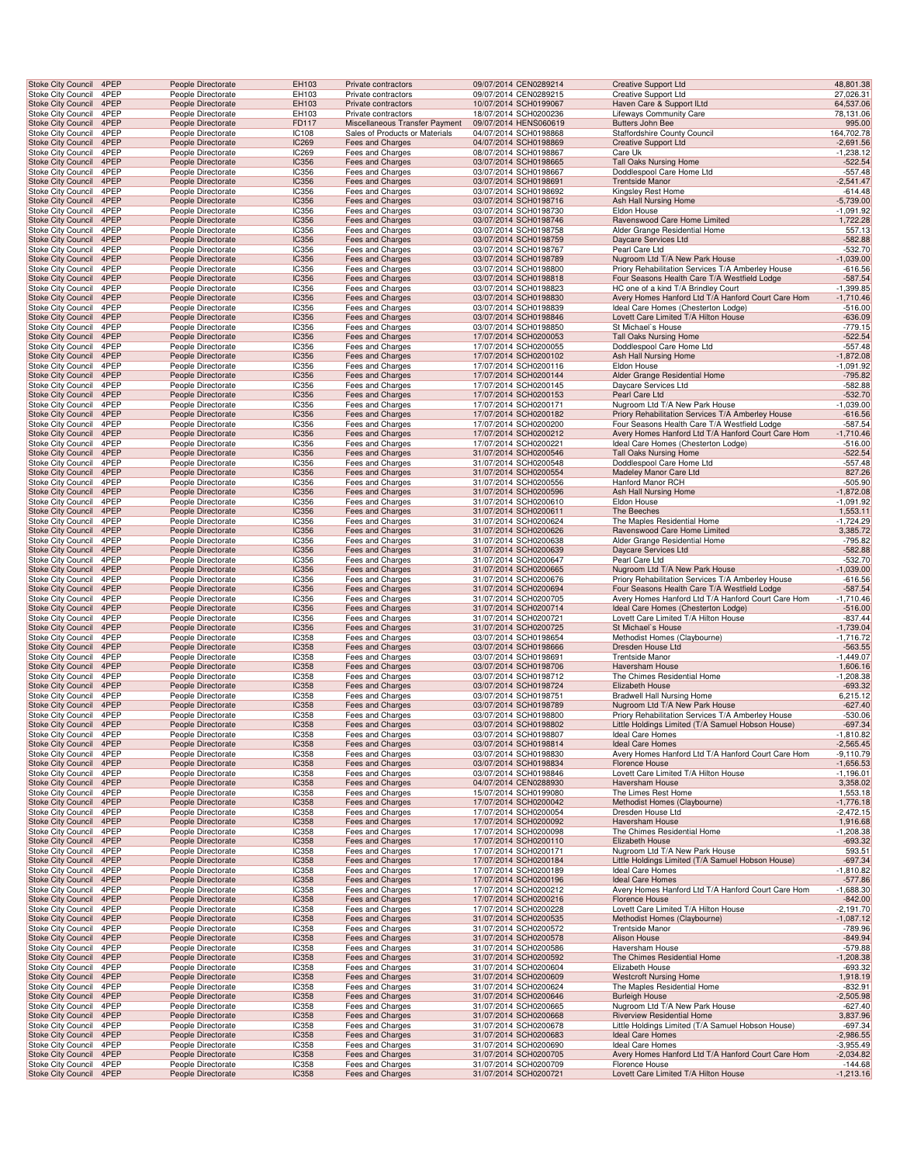| <b>Stoke City Council</b>                              | 4PEP         | People Directorate                       | EH103                 | Private contractors                                              | 09/07/2014 CEN0289214                          | <b>Creative Support Ltd</b>                                                                        | 48,801.38                  |
|--------------------------------------------------------|--------------|------------------------------------------|-----------------------|------------------------------------------------------------------|------------------------------------------------|----------------------------------------------------------------------------------------------------|----------------------------|
| Stoke City Council                                     | 4PEP         | People Directorate                       | EH103                 | Private contractors                                              | 09/07/2014 CEN0289215                          | Creative Support Ltd                                                                               | 27,026.31                  |
| <b>Stoke City Council</b>                              | 4PEP         | People Directorate                       | EH103                 | Private contractors                                              | 10/07/2014 SCH0199067                          | Haven Care & Support ILtd                                                                          | 64,537.06                  |
| Stoke City Council                                     | 4PEP         | People Directorate                       | EH103                 | Private contractors                                              | 18/07/2014 SCH0200236                          | Lifeways Community Care                                                                            | 78,131.06                  |
| Stoke City Council 4PEP                                | 4PEP         | People Directorate                       | FD117                 | Miscellaneous Transfer Payment<br>Sales of Products or Materials | 09/07/2014 HENS060619                          | Butters John Bee                                                                                   | 995.00                     |
| Stoke City Council<br>Stoke City Council               | 4PEP         | People Directorate<br>People Directorate | IC108<br>IC269        | Fees and Charges                                                 | 04/07/2014 SCH0198868<br>04/07/2014 SCH0198869 | Staffordshire County Council<br><b>Creative Support Ltd</b>                                        | 164,702.78<br>$-2,691.56$  |
| <b>Stoke City Council</b>                              | 4PEP         | People Directorate                       | IC269                 | Fees and Charges                                                 | 08/07/2014 SCH0198867                          | Care Uk                                                                                            | $-1,238.12$                |
| <b>Stoke City Council</b>                              | 4PEP         | People Directorate                       | <b>IC356</b>          | Fees and Charges                                                 | 03/07/2014 SCH0198665                          | Tall Oaks Nursing Home                                                                             | $-522.54$                  |
| Stoke City Council                                     | 4PEP         | People Directorate                       | IC356                 | Fees and Charges                                                 | 03/07/2014 SCH0198667                          | Doddlespool Care Home Ltd                                                                          | $-557.48$                  |
| Stoke City Council                                     | 4PEP         | People Directorate                       | <b>IC356</b>          | Fees and Charges                                                 | 03/07/2014 SCH0198691                          | <b>Trentside Manor</b>                                                                             | $-2,541.47$                |
| Stoke City Council                                     | 4PEP         | People Directorate                       | IC356                 | Fees and Charges                                                 | 03/07/2014 SCH0198692                          | Kingsley Rest Home                                                                                 | $-614.48$                  |
| <b>Stoke City Council</b>                              | 4PEP         | People Directorate                       | IC356                 | Fees and Charges                                                 | 03/07/2014 SCH0198716                          | Ash Hall Nursing Home                                                                              | $-5,739.00$                |
| Stoke City Council                                     | 4PEP         | People Directorate                       | IC356                 | Fees and Charges                                                 | 03/07/2014 SCH0198730                          | Eldon House                                                                                        | $-1,091.92$                |
| Stoke City Council                                     | 4PEP         | People Directorate                       | <b>IC356</b>          | Fees and Charges                                                 | 03/07/2014 SCH0198746                          | Ravenswood Care Home Limited                                                                       | 1,722.28                   |
| Stoke City Council                                     | 4PEP         | People Directorate                       | IC356                 | Fees and Charges                                                 | 03/07/2014 SCH0198758                          | Alder Grange Residential Home                                                                      | 557.13                     |
| Stoke City Council                                     | 4PEP         | People Directorate                       | IC356                 | Fees and Charges                                                 | 03/07/2014 SCH0198759                          | Daycare Services Ltd                                                                               | $-582.88$                  |
| Stoke City Council                                     | 4PEP         | People Directorate                       | IC356                 | Fees and Charges                                                 | 03/07/2014 SCH0198767                          | Pearl Care Ltd                                                                                     | $-532.70$                  |
| <b>Stoke City Council</b>                              | 4PEP         | People Directorate                       | <b>IC356</b>          | Fees and Charges                                                 | 03/07/2014 SCH0198789                          | Nugroom Ltd T/A New Park House                                                                     | $-1,039.00$                |
| Stoke City Council<br>Stoke City Council               | 4PEP<br>4PEP | People Directorate<br>People Directorate | IC356<br>IC356        | Fees and Charges<br>Fees and Charges                             | 03/07/2014 SCH0198800<br>03/07/2014 SCH0198818 | Priory Rehabilitation Services T/A Amberley House<br>Four Seasons Health Care T/A Westfield Lodge  | $-616.56$<br>$-587.54$     |
| Stoke City Council                                     | 4PEP         | People Directorate                       | IC356                 | Fees and Charges                                                 | 03/07/2014 SCH0198823                          | HC one of a kind T/A Brindley Court                                                                | $-1,399.85$                |
| <b>Stoke City Council</b>                              | 4PEP         | People Directorate                       | <b>IC356</b>          | Fees and Charges                                                 | 03/07/2014 SCH0198830                          | Avery Homes Hanford Ltd T/A Hanford Court Care Hom                                                 | $-1,710.46$                |
| Stoke City Council                                     | 4PEP         | People Directorate                       | IC356                 | Fees and Charges                                                 | 03/07/2014 SCH0198839                          | Ideal Care Homes (Chesterton Lodge)                                                                | $-516.00$                  |
| Stoke City Council 4PEP                                |              | People Directorate                       | <b>IC356</b>          | Fees and Charges                                                 | 03/07/2014 SCH0198846                          | Lovett Care Limited T/A Hilton House                                                               | $-636.09$                  |
| Stoke City Council                                     | 4PEP         | People Directorate                       | IC356                 | Fees and Charges                                                 | 03/07/2014 SCH0198850                          | St Michael's House                                                                                 | $-779.15$                  |
| Stoke City Council                                     | 4PEP         | People Directorate                       | IC356                 | Fees and Charges                                                 | 17/07/2014 SCH0200053                          | Tall Oaks Nursing Home                                                                             | $-522.54$                  |
| Stoke City Council                                     | 4PEP         | People Directorate                       | IC356                 | Fees and Charges                                                 | 17/07/2014 SCH0200055                          | Doddlespool Care Home Ltd                                                                          | $-557.48$                  |
| <b>Stoke City Council</b>                              | 4PEP         | People Directorate                       | <b>IC356</b>          | Fees and Charges                                                 | 17/07/2014 SCH0200102                          | Ash Hall Nursing Home                                                                              | $-1,872.08$                |
| Stoke City Council                                     | 4PEP         | People Directorate                       | IC356                 | Fees and Charges                                                 | 17/07/2014 SCH0200116                          | Eldon House                                                                                        | $-1,091.92$                |
| Stoke City Council                                     | 4PEP         | People Directorate                       | <b>IC356</b>          | Fees and Charges                                                 | 17/07/2014 SCH0200144                          | Alder Grange Residential Home                                                                      | $-795.82$                  |
| Stoke City Council                                     | 4PEP         | People Directorate                       | IC356                 | Fees and Charges                                                 | 17/07/2014 SCH0200145                          | Daycare Services Ltd                                                                               | $-582.88$                  |
| <b>Stoke City Council</b>                              | 4PEP         | People Directorate                       | <b>IC356</b>          | Fees and Charges                                                 | 17/07/2014 SCH0200153                          | Pearl Care Ltd                                                                                     | $-532.70$                  |
| Stoke City Council                                     | 4PEP         | People Directorate                       | IC356                 | Fees and Charges                                                 | 17/07/2014 SCH0200171                          | Nugroom Ltd T/A New Park House                                                                     | $-1,039.00$                |
| <b>Stoke City Council</b><br><b>Stoke City Council</b> | 4PEP<br>4PEP | People Directorate<br>People Directorate | <b>IC356</b><br>IC356 | Fees and Charges<br>Fees and Charges                             | 17/07/2014 SCH0200182<br>17/07/2014 SCH0200200 | Priory Rehabilitation Services T/A Amberley House<br>Four Seasons Health Care T/A Westfield Lodge  | $-616.56$<br>$-587.54$     |
| Stoke City Council                                     | 4PEP         | People Directorate                       | IC356                 | Fees and Charges                                                 | 17/07/2014 SCH0200212                          | Avery Homes Hanford Ltd T/A Hanford Court Care Hom                                                 | $-1,710.46$                |
| Stoke City Council                                     | 4PEP         | People Directorate                       | IC356                 | Fees and Charges                                                 | 17/07/2014 SCH0200221                          | Ideal Care Homes (Chesterton Lodge)                                                                | $-516.00$                  |
| <b>Stoke City Council</b>                              | 4PEP         | People Directorate                       | <b>IC356</b>          | Fees and Charges                                                 | 31/07/2014 SCH0200546                          | Tall Oaks Nursing Home                                                                             | $-522.54$                  |
| Stoke City Council                                     | 4PEP         | People Directorate                       | IC356                 | Fees and Charges                                                 | 31/07/2014 SCH0200548                          | Doddlespool Care Home Ltd                                                                          | $-557.48$                  |
| <b>Stoke City Council</b>                              | 4PEP         | People Directorate                       | IC356                 | Fees and Charges                                                 | 31/07/2014 SCH0200554                          | Madeley Manor Care Ltd                                                                             | 827.26                     |
| Stoke City Council                                     | 4PEP         | People Directorate                       | IC356                 | Fees and Charges                                                 | 31/07/2014 SCH0200556                          | Hanford Manor RCH                                                                                  | $-505.90$                  |
| <b>Stoke City Council</b>                              | 4PEP         | People Directorate                       | <b>IC356</b>          | Fees and Charges                                                 | 31/07/2014 SCH0200596                          | Ash Hall Nursing Home                                                                              | $-1,872.08$                |
| Stoke City Council                                     | 4PEP         | People Directorate                       | IC356                 | Fees and Charges                                                 | 31/07/2014 SCH0200610                          | Eldon House                                                                                        | $-1,091.92$                |
| Stoke City Council                                     | 4PEP         | People Directorate                       | <b>IC356</b>          | Fees and Charges                                                 | 31/07/2014 SCH0200611                          | The Beeches                                                                                        | 1,553.11                   |
| Stoke City Council                                     | 4PEP         | People Directorate                       | IC356                 | Fees and Charges                                                 | 31/07/2014 SCH0200624                          | The Maples Residential Home                                                                        | $-1,724.29$                |
| Stoke City Council                                     | 4PEP         | People Directorate                       | IC356                 | Fees and Charges                                                 | 31/07/2014 SCH0200626                          | Ravenswood Care Home Limited                                                                       | 3,385.72                   |
| Stoke City Council                                     | 4PEP         | People Directorate                       | IC356                 | Fees and Charges                                                 | 31/07/2014 SCH0200638                          | Alder Grange Residential Home                                                                      | $-795.82$                  |
| <b>Stoke City Council</b>                              | 4PEP         | People Directorate                       | <b>IC356</b>          | Fees and Charges                                                 | 31/07/2014 SCH0200639                          | Daycare Services Ltd                                                                               | $-582.88$                  |
| Stoke City Council                                     | 4PEP         | People Directorate                       | IC356                 | Fees and Charges                                                 | 31/07/2014 SCH0200647                          | Pearl Care Ltd                                                                                     | $-532.70$                  |
| Stoke City Council                                     | 4PEP         | People Directorate                       | <b>IC356</b>          | Fees and Charges                                                 | 31/07/2014 SCH0200665                          | Nugroom Ltd T/A New Park House                                                                     | $-1,039.00$                |
| Stoke City Council                                     | 4PEP         | People Directorate                       | IC356                 | Fees and Charges                                                 | 31/07/2014 SCH0200676                          | Priory Rehabilitation Services T/A Amberley House                                                  | $-616.56$                  |
| <b>Stoke City Council</b><br>Stoke City Council        | 4PEP<br>4PEP | People Directorate<br>People Directorate | <b>IC356</b><br>IC356 | Fees and Charges<br>Fees and Charges                             | 31/07/2014 SCH0200694<br>31/07/2014 SCH0200705 | Four Seasons Health Care T/A Westfield Lodge<br>Avery Homes Hanford Ltd T/A Hanford Court Care Hom | $-587.54$<br>$-1,710.46$   |
| Stoke City Council                                     | 4PEP         | People Directorate                       | <b>IC356</b>          | Fees and Charges                                                 | 31/07/2014 SCH0200714                          | Ideal Care Homes (Chesterton Lodge)                                                                | $-516.00$                  |
| Stoke City Council                                     | 4PEP         | People Directorate                       | IC356                 | Fees and Charges                                                 | 31/07/2014 SCH0200721                          | Lovett Care Limited T/A Hilton House                                                               | $-837.44$                  |
| Stoke City Council                                     | 4PEP         | People Directorate                       | IC356                 | Fees and Charges                                                 | 31/07/2014 SCH0200725                          | St Michael's House                                                                                 | $-1,739.04$                |
| Stoke City Council                                     | 4PEP         | People Directorate                       | IC358                 | Fees and Charges                                                 | 03/07/2014 SCH0198654                          | Methodist Homes (Claybourne)                                                                       | $-1,716.72$                |
| <b>Stoke City Council</b>                              | 4PEP         | People Directorate                       | <b>IC358</b>          | Fees and Charges                                                 | 03/07/2014 SCH0198666                          | Dresden House Ltd                                                                                  | $-563.55$                  |
| Stoke City Council                                     | 4PEP         | People Directorate                       | IC358                 | Fees and Charges                                                 | 03/07/2014 SCH0198691                          | <b>Trentside Manor</b>                                                                             | $-1,449.07$                |
| Stoke City Council                                     | 4PEP         | People Directorate                       | <b>IC358</b>          | Fees and Charges                                                 | 03/07/2014 SCH0198706                          | Haversham House                                                                                    | 1,606.16                   |
| Stoke City Council                                     | 4PEP         | People Directorate                       | IC358                 | Fees and Charges                                                 | 03/07/2014 SCH0198712                          | The Chimes Residential Home                                                                        | $-1,208.38$                |
| <b>Stoke City Council</b>                              | 4PEP         | People Directorate                       | <b>IC358</b>          | Fees and Charges                                                 | 03/07/2014 SCH0198724                          | Elizabeth House                                                                                    | $-693.32$                  |
| Stoke City Council                                     | 4PEP         | People Directorate                       | IC358                 | Fees and Charges                                                 | 03/07/2014 SCH0198751                          | <b>Bradwell Hall Nursing Home</b>                                                                  | 6,215.12                   |
| Stoke City Council 4PEP                                |              | People Directorate                       | <b>IC358</b>          | Fees and Charges                                                 | 03/07/2014 SCH0198789                          | Nugroom Ltd T/A New Park House                                                                     | $-627.40$                  |
| Stoke City Council                                     | 4PEP         | People Directorate                       | IC358                 | Fees and Charges                                                 | 03/07/2014 SCH0198800                          | Priory Rehabilitation Services T/A Amberley House                                                  | $-530.06$                  |
| Stoke City Council 4PEP                                |              | People Directorate                       | <b>IC358</b>          | Fees and Charges                                                 | 03/07/2014 SCH0198802                          | Little Holdings Limited (T/A Samuel Hobson House)                                                  | $-697.34$                  |
| <b>Stoke City Council</b><br>Stoke City Council 4PEP   | 4PEP         | People Directorate<br>People Directorate | IC358<br>IC358        | Fees and Charges<br>Fees and Charges                             | 03/07/2014 SCH0198807<br>03/07/2014 SCH0198814 | Ideal Care Homes<br><b>Ideal Care Homes</b>                                                        | $-1,810.82$<br>$-2,565.45$ |
| Stoke City Council                                     | 4PEP         | People Directorate                       | IC358                 | Fees and Charges                                                 | 03/07/2014 SCH0198830                          | Avery Homes Hanford Ltd T/A Hanford Court Care Hom                                                 | $-9,110.79$                |
| <b>Stoke City Council</b>                              | 4PEP         | People Directorate                       | <b>IC358</b>          | <b>Fees and Charges</b>                                          | 03/07/2014 SCH0198834                          | Florence House                                                                                     | $-1,656.53$                |
| Stoke City Council                                     | 4PEP         | People Directorate                       | IC358                 | Fees and Charges                                                 | 03/07/2014 SCH0198846                          | Lovett Care Limited T/A Hilton House                                                               | $-1,196.01$                |
| <b>Stoke City Council</b>                              | 4PEP         | People Directorate                       | IC358                 | <b>Fees and Charges</b>                                          | 04/07/2014 CEN0288930                          | <b>Haversham House</b>                                                                             | 3,358.02                   |
| Stoke City Council                                     | 4PEP         | People Directorate                       | IC358                 | Fees and Charges                                                 | 15/07/2014 SCH0199080                          | The Limes Rest Home                                                                                | 1,553.18                   |
| Stoke City Council 4PEP                                |              | People Directorate                       | <b>IC358</b>          | Fees and Charges                                                 | 17/07/2014 SCH0200042                          | Methodist Homes (Claybourne)                                                                       | $-1,776.18$                |
| Stoke City Council                                     | 4PEP         | People Directorate                       | IC358                 | Fees and Charges                                                 | 17/07/2014 SCH0200054                          | Dresden House Ltd                                                                                  | $-2,472.15$                |
| Stoke City Council                                     | 4PEP         | People Directorate                       | <b>IC358</b>          | Fees and Charges                                                 | 17/07/2014 SCH0200092                          | Haversham House                                                                                    | 1,916.68                   |
| Stoke City Council                                     | 4PEP         | People Directorate                       | IC358                 | Fees and Charges                                                 | 17/07/2014 SCH0200098                          | The Chimes Residential Home                                                                        | $-1,208.38$                |
| Stoke City Council                                     | 4PEP         | People Directorate                       | <b>IC358</b>          | Fees and Charges                                                 | 17/07/2014 SCH0200110                          | Elizabeth House                                                                                    | $-693.32$                  |
| Stoke City Council                                     | 4PEP         | People Directorate                       | IC358                 | Fees and Charges                                                 | 17/07/2014 SCH0200171                          | Nugroom Ltd T/A New Park House                                                                     | 593.51                     |
| Stoke City Council<br><b>Stoke City Council</b>        | 4PEP<br>4PEP | People Directorate<br>People Directorate | <b>IC358</b><br>IC358 | <b>Fees and Charges</b><br>Fees and Charges                      | 17/07/2014 SCH0200184<br>17/07/2014 SCH0200189 | Little Holdings Limited (T/A Samuel Hobson House)<br>Ideal Care Homes                              | $-697.34$<br>-1,810.82     |
| <b>Stoke City Council</b>                              | 4PEP         | People Directorate                       | IC358                 | Fees and Charges                                                 | 17/07/2014 SCH0200196                          | <b>Ideal Care Homes</b>                                                                            | $-577.86$                  |
| Stoke City Council                                     | 4PEP         | People Directorate                       | IC358                 | Fees and Charges                                                 | 17/07/2014 SCH0200212                          | Avery Homes Hanford Ltd T/A Hanford Court Care Hom                                                 | $-1,688.30$                |
| Stoke City Council 4PEP                                |              | People Directorate                       | <b>IC358</b>          | Fees and Charges                                                 | 17/07/2014 SCH0200216                          | <b>Florence House</b>                                                                              | $-842.00$                  |
| Stoke City Council                                     | 4PEP         | People Directorate                       | IC358                 | Fees and Charges                                                 | 17/07/2014 SCH0200228                          | Lovett Care Limited T/A Hilton House                                                               | $-2,191.70$                |
| <b>Stoke City Council</b>                              | 4PEP         | People Directorate                       | <b>IC358</b>          | Fees and Charges                                                 | 31/07/2014 SCH0200535                          | Methodist Homes (Claybourne)                                                                       | $-1,087.12$                |
| Stoke City Council                                     | 4PEP         | People Directorate                       | IC358                 | Fees and Charges                                                 | 31/07/2014 SCH0200572                          | <b>Trentside Manor</b>                                                                             | -789.96                    |
| Stoke City Council                                     | 4PEP         | People Directorate                       | <b>IC358</b>          | Fees and Charges                                                 | 31/07/2014 SCH0200578                          | <b>Alison House</b>                                                                                | $-849.94$                  |
| Stoke City Council                                     | 4PEP         | People Directorate                       | IC358                 | Fees and Charges                                                 | 31/07/2014 SCH0200586                          | Haversham House                                                                                    | $-579.88$                  |
| Stoke City Council                                     | 4PEP         | People Directorate                       | <b>IC358</b>          | Fees and Charges                                                 | 31/07/2014 SCH0200592                          | The Chimes Residential Home                                                                        | $-1,208.38$                |
| Stoke City Council                                     | 4PEP         | People Directorate                       | IC358                 | Fees and Charges                                                 | 31/07/2014 SCH0200604                          | Elizabeth House                                                                                    | $-693.32$                  |
| <b>Stoke City Council</b>                              | 4PEP         | People Directorate                       | IC358                 | Fees and Charges                                                 | 31/07/2014 SCH0200609                          | <b>Westcroft Nursing Home</b>                                                                      | 1,918.19                   |
| Stoke City Council                                     | 4PEP         | People Directorate                       | IC358                 | Fees and Charges                                                 | 31/07/2014 SCH0200624                          | The Maples Residential Home                                                                        | $-832.91$                  |
| Stoke City Council 4PEP                                |              | People Directorate                       | <b>IC358</b>          | Fees and Charges                                                 | 31/07/2014 SCH0200646                          | <b>Burleigh House</b>                                                                              | $-2,505.98$                |
| Stoke City Council                                     | 4PEP         | People Directorate                       | IC358                 | Fees and Charges                                                 | 31/07/2014 SCH0200665                          | Nugroom Ltd T/A New Park House                                                                     | $-627.40$                  |
| Stoke City Council                                     | 4PEP<br>4PEP | People Directorate                       | <b>IC358</b>          | Fees and Charges<br>Fees and Charges                             | 31/07/2014 SCH0200668                          | Riverview Residential Home                                                                         | 3,837.96                   |
| Stoke City Council<br>Stoke City Council               | 4PEP         | People Directorate<br>People Directorate | IC358<br><b>IC358</b> | Fees and Charges                                                 | 31/07/2014 SCH0200678<br>31/07/2014 SCH0200683 | Little Holdings Limited (T/A Samuel Hobson House)<br><b>Ideal Care Homes</b>                       | $-697.34$<br>$-2,986.55$   |
| Stoke City Council                                     | 4PEP         | People Directorate                       | IC358                 | Fees and Charges                                                 | 31/07/2014 SCH0200690                          | Ideal Care Homes                                                                                   | $-3,955.49$                |
| <b>Stoke City Council</b>                              | 4PEP         | People Directorate                       | <b>IC358</b>          | Fees and Charges                                                 | 31/07/2014 SCH0200705                          | Avery Homes Hanford Ltd T/A Hanford Court Care Hom                                                 | $-2,034.82$                |
| Stoke City Council                                     | 4PEP         | People Directorate                       | IC358                 | Fees and Charges                                                 | 31/07/2014 SCH0200709                          | Florence House                                                                                     | $-144.68$                  |
| <b>Stoke City Council</b>                              | 4PEP         | People Directorate                       | IC358                 | Fees and Charges                                                 | 31/07/2014 SCH0200721                          | Lovett Care Limited T/A Hilton House                                                               | $-1,213.16$                |
|                                                        |              |                                          |                       |                                                                  |                                                |                                                                                                    |                            |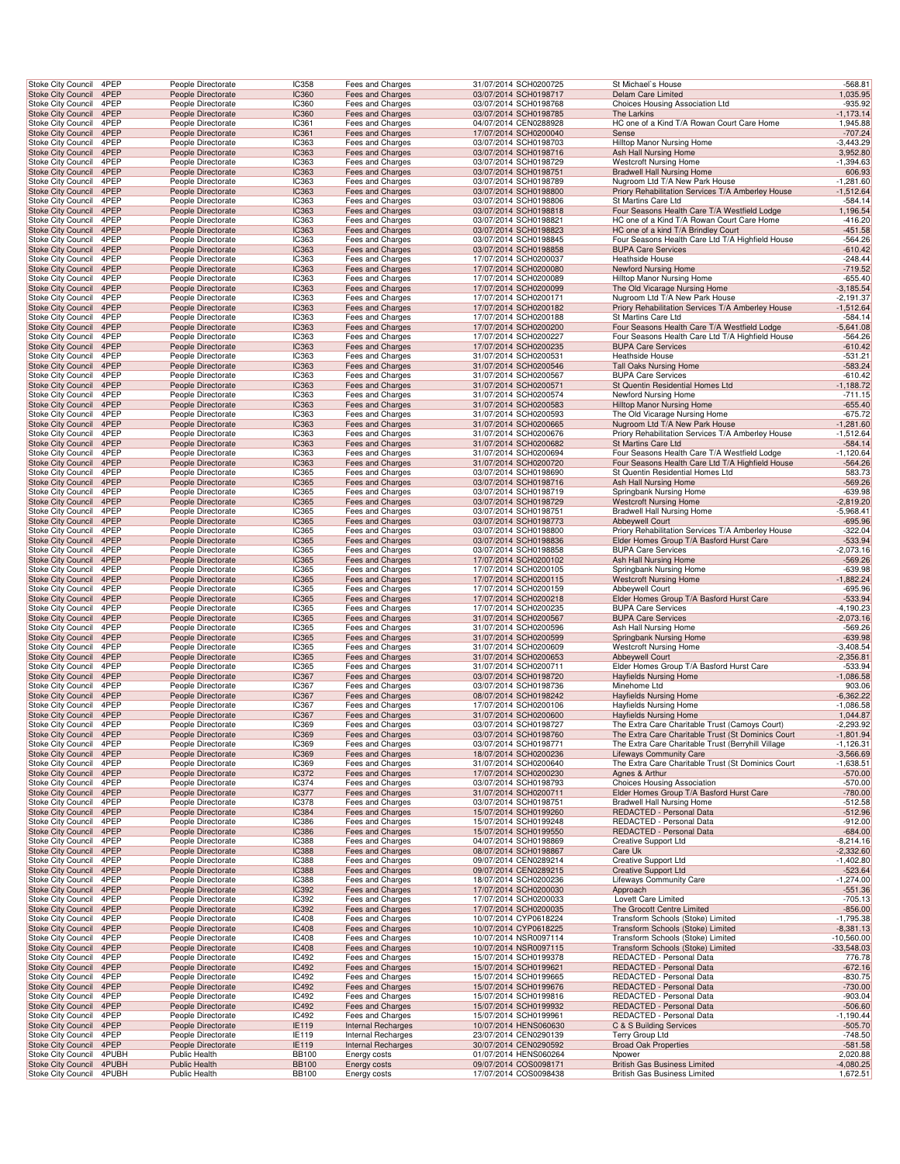| Stoke City Council                                     | 4PEP                            |                                                  | People Directorate                       | <b>IC358</b>                 | Fees and Charges                            |  | 31/07/2014 SCH0200725                          | St Michael's House                                                                                   | $-568.81$                  |
|--------------------------------------------------------|---------------------------------|--------------------------------------------------|------------------------------------------|------------------------------|---------------------------------------------|--|------------------------------------------------|------------------------------------------------------------------------------------------------------|----------------------------|
| <b>Stoke City Council</b>                              | 4PEP                            |                                                  | People Directorate                       | <b>IC360</b>                 | Fees and Charges                            |  | 03/07/2014 SCH0198717                          | <b>Delam Care Limited</b>                                                                            | 1,035.95                   |
| Stoke City Council                                     | 4PEP<br>Stoke City Council 4PEP |                                                  | People Directorate                       | IC360                        | Fees and Charges                            |  | 03/07/2014 SCH0198768                          | Choices Housing Association Ltd<br>The Larkins                                                       | $-935.92$                  |
| Stoke City Council                                     | 4PEP                            |                                                  | People Directorate<br>People Directorate | <b>IC360</b><br>IC361        | Fees and Charges<br>Fees and Charges        |  | 03/07/2014 SCH0198785<br>04/07/2014 CEN0288928 | HC one of a Kind T/A Rowan Court Care Home                                                           | $-1,173.14$<br>1,945.88    |
| <b>Stoke City Council</b>                              | 4PEP                            |                                                  | People Directorate                       | <b>IC361</b>                 | <b>Fees and Charges</b>                     |  | 17/07/2014 SCH0200040                          | Sense                                                                                                | $-707.24$                  |
| Stoke City Council                                     | 4PEP                            |                                                  | People Directorate                       | IC363                        | Fees and Charges                            |  | 03/07/2014 SCH0198703                          | Hilltop Manor Nursing Home                                                                           | $-3,443.29$                |
| <b>Stoke City Council</b>                              | 4PEP                            |                                                  | People Directorate                       | IC363                        | Fees and Charges                            |  | 03/07/2014 SCH0198716                          | Ash Hall Nursing Home                                                                                | 3,952.80                   |
| Stoke City Council                                     | 4PEP                            |                                                  | People Directorate                       | IC363                        | Fees and Charges                            |  | 03/07/2014 SCH0198729                          | <b>Westcroft Nursing Home</b>                                                                        | $-1,394.63$                |
| <b>Stoke City Council</b><br><b>Stoke City Council</b> | 4PEP<br>4PEP                    |                                                  | People Directorate<br>People Directorate | IC363<br><b>IC363</b>        | Fees and Charges<br>Fees and Charges        |  | 03/07/2014 SCH0198751<br>03/07/2014 SCH0198789 | <b>Bradwell Hall Nursing Home</b><br>Nugroom Ltd T/A New Park House                                  | 606.93<br>$-1,281.60$      |
| <b>Stoke City Council</b>                              | 4PEP                            |                                                  | People Directorate                       | IC363                        | Fees and Charges                            |  | 03/07/2014 SCH0198800                          | Priory Rehabilitation Services T/A Amberley House                                                    | $-1,512.64$                |
| Stoke City Council                                     | 4PEP                            |                                                  | People Directorate                       | IC363                        | Fees and Charges                            |  | 03/07/2014 SCH0198806                          | St Martins Care Ltd                                                                                  | $-584.14$                  |
|                                                        | Stoke City Council 4PEP         |                                                  | People Directorate                       | IC363                        | Fees and Charges                            |  | 03/07/2014 SCH0198818                          | Four Seasons Health Care T/A Westfield Lodge                                                         | 1,196.54                   |
| Stoke City Council                                     | 4PEP                            |                                                  | People Directorate                       | IC363                        | Fees and Charges                            |  | 03/07/2014 SCH0198821                          | HC one of a Kind T/A Rowan Court Care Home                                                           | $-416.20$                  |
| <b>Stoke City Council</b>                              | 4PEP<br>4PEP                    |                                                  | People Directorate                       | <b>IC363</b><br>IC363        | <b>Fees and Charges</b>                     |  | 03/07/2014 SCH0198823                          | HC one of a kind T/A Brindley Court                                                                  | $-451.58$                  |
| Stoke City Council<br><b>Stoke City Council</b>        | 4PEP                            |                                                  | People Directorate<br>People Directorate | IC363                        | Fees and Charges<br><b>Fees and Charges</b> |  | 03/07/2014 SCH0198845<br>03/07/2014 SCH0198858 | Four Seasons Health Care Ltd T/A Highfield House<br><b>BUPA Care Services</b>                        | $-564.26$<br>$-610.42$     |
| Stoke City Council                                     | 4PEP                            |                                                  | People Directorate                       | IC363                        | Fees and Charges                            |  | 17/07/2014 SCH0200037                          | Heathside House                                                                                      | $-248.44$                  |
| <b>Stoke City Council</b>                              | 4PEP                            |                                                  | People Directorate                       | IC363                        | Fees and Charges                            |  | 17/07/2014 SCH0200080                          | Newford Nursing Home                                                                                 | $-719.52$                  |
| <b>Stoke City Council</b>                              | 4PEP                            |                                                  | People Directorate                       | <b>IC363</b>                 | Fees and Charges                            |  | 17/07/2014 SCH0200089                          | Hilltop Manor Nursing Home                                                                           | $-655.40$                  |
| <b>Stoke City Council</b>                              | 4PEP                            |                                                  | People Directorate                       | IC363                        | Fees and Charges                            |  | 17/07/2014 SCH0200099                          | The Old Vicarage Nursing Home                                                                        | $-3,185.54$                |
| Stoke City Council                                     | 4PEP<br>Stoke City Council 4PEP |                                                  | People Directorate<br>People Directorate | IC363<br>IC363               | Fees and Charges<br>Fees and Charges        |  | 17/07/2014 SCH0200171<br>17/07/2014 SCH0200182 | Nugroom Ltd T/A New Park House<br>Priory Rehabilitation Services T/A Amberley House                  | $-2,191.37$<br>$-1,512.64$ |
| Stoke City Council                                     | 4PEP                            |                                                  | People Directorate                       | IC363                        | Fees and Charges                            |  | 17/07/2014 SCH0200188                          | St Martins Care Ltd                                                                                  | $-584.14$                  |
| <b>Stoke City Council</b>                              | 4PEP                            |                                                  | People Directorate                       | <b>IC363</b>                 | <b>Fees and Charges</b>                     |  | 17/07/2014 SCH0200200                          | Four Seasons Health Care T/A Westfield Lodge                                                         | $-5,641.08$                |
| Stoke City Council                                     | 4PEP                            |                                                  | People Directorate                       | IC363                        | Fees and Charges                            |  | 17/07/2014 SCH0200227                          | Four Seasons Health Care Ltd T/A Highfield House                                                     | $-564.26$                  |
| <b>Stoke City Council</b>                              | 4PEP                            |                                                  | People Directorate                       | IC363                        | Fees and Charges                            |  | 17/07/2014 SCH0200235                          | <b>BUPA Care Services</b>                                                                            | $-610.42$                  |
| Stoke City Council<br><b>Stoke City Council</b>        | 4PEP<br>4PEP                    |                                                  | People Directorate<br>People Directorate | IC363<br>IC363               | Fees and Charges<br><b>Fees and Charges</b> |  | 31/07/2014 SCH0200531<br>31/07/2014 SCH0200546 | Heathside House<br>Tall Oaks Nursing Home                                                            | $-531.21$<br>$-583.24$     |
| <b>Stoke City Council</b>                              | 4PEP                            |                                                  | People Directorate                       | <b>IC363</b>                 | Fees and Charges                            |  | 31/07/2014 SCH0200567                          | <b>BUPA Care Services</b>                                                                            | $-610.42$                  |
| <b>Stoke City Council</b>                              | 4PEP                            |                                                  | People Directorate                       | IC363                        | Fees and Charges                            |  | 31/07/2014 SCH0200571                          | St Quentin Residential Homes Ltd                                                                     | $-1,188.72$                |
| <b>Stoke City Council</b>                              | 4PEP                            |                                                  | People Directorate                       | IC363                        | Fees and Charges                            |  | 31/07/2014 SCH0200574                          | Newford Nursing Home                                                                                 | $-711.15$                  |
|                                                        | Stoke City Council 4PEP         |                                                  | People Directorate                       | IC363                        | Fees and Charges                            |  | 31/07/2014 SCH0200583                          | Hilltop Manor Nursing Home                                                                           | $-655.40$                  |
| Stoke City Council                                     | 4PEP<br>4PEP                    |                                                  | People Directorate<br>People Directorate | IC363<br><b>IC363</b>        | Fees and Charges<br><b>Fees and Charges</b> |  | 31/07/2014 SCH0200593<br>31/07/2014 SCH0200665 | The Old Vicarage Nursing Home<br>Nugroom Ltd T/A New Park House                                      | $-675.72$<br>$-1,281.60$   |
| <b>Stoke City Council</b><br>Stoke City Council        | 4PEP                            |                                                  | People Directorate                       | IC363                        | Fees and Charges                            |  | 31/07/2014 SCH0200676                          | Priory Rehabilitation Services T/A Amberley House                                                    | $-1,512.64$                |
| <b>Stoke City Council</b>                              | 4PEP                            |                                                  | People Directorate                       | IC363                        | <b>Fees and Charges</b>                     |  | 31/07/2014 SCH0200682                          | St Martins Care Ltd                                                                                  | $-584.14$                  |
| Stoke City Council                                     | 4PEP                            |                                                  | People Directorate                       | IC363                        | Fees and Charges                            |  | 31/07/2014 SCH0200694                          | Four Seasons Health Care T/A Westfield Lodge                                                         | $-1,120.64$                |
| <b>Stoke City Council</b>                              | 4PEP                            |                                                  | People Directorate                       | IC363                        | <b>Fees and Charges</b>                     |  | 31/07/2014 SCH0200720                          | Four Seasons Health Care Ltd T/A Highfield House                                                     | $-564.26$                  |
| <b>Stoke City Council</b>                              | 4PEP                            |                                                  | People Directorate                       | <b>IC365</b>                 | Fees and Charges                            |  | 03/07/2014 SCH0198690                          | St Quentin Residential Homes Ltd                                                                     | 583.73                     |
| <b>Stoke City Council</b><br><b>Stoke City Council</b> | 4PEP<br>4PEP                    |                                                  | People Directorate<br>People Directorate | <b>IC365</b><br>IC365        | Fees and Charges<br>Fees and Charges        |  | 03/07/2014 SCH0198716<br>03/07/2014 SCH0198719 | Ash Hall Nursing Home<br>Springbank Nursing Home                                                     | $-569.26$<br>$-639.98$     |
|                                                        | Stoke City Council 4PEP         |                                                  | People Directorate                       | <b>IC365</b>                 | Fees and Charges                            |  | 03/07/2014 SCH0198729                          | <b>Westcroft Nursing Home</b>                                                                        | $-2,819.20$                |
| Stoke City Council                                     | 4PEP                            |                                                  | People Directorate                       | IC365                        | Fees and Charges                            |  | 03/07/2014 SCH0198751                          | Bradwell Hall Nursing Home                                                                           | $-5,968.41$                |
| <b>Stoke City Council</b>                              | 4PEP                            |                                                  | People Directorate                       | <b>IC365</b>                 | <b>Fees and Charges</b>                     |  | 03/07/2014 SCH0198773                          | Abbeywell Court                                                                                      | $-695.96$                  |
| Stoke City Council                                     | 4PEP                            |                                                  | People Directorate                       | IC365                        | Fees and Charges                            |  | 03/07/2014 SCH0198800                          | Priory Rehabilitation Services T/A Amberley House                                                    | $-322.04$                  |
| <b>Stoke City Council</b><br>Stoke City Council        | 4PEP<br>4PEP                    |                                                  | People Directorate<br>People Directorate | IC365<br>IC365               | Fees and Charges<br>Fees and Charges        |  | 03/07/2014 SCH0198836<br>03/07/2014 SCH0198858 | Elder Homes Group T/A Basford Hurst Care<br><b>BUPA Care Services</b>                                | $-533.94$<br>$-2,073.16$   |
| <b>Stoke City Council</b>                              | 4PEP                            |                                                  | People Directorate                       | IC365                        | <b>Fees and Charges</b>                     |  | 17/07/2014 SCH0200102                          | Ash Hall Nursing Home                                                                                | $-569.26$                  |
| <b>Stoke City Council</b>                              | 4PEP                            |                                                  | People Directorate                       | <b>IC365</b>                 | Fees and Charges                            |  | 17/07/2014 SCH0200105                          | Springbank Nursing Home                                                                              | $-639.98$                  |
| <b>Stoke City Council</b>                              | 4PEP                            |                                                  | People Directorate                       | <b>IC365</b>                 | Fees and Charges                            |  | 17/07/2014 SCH0200115                          | <b>Westcroft Nursing Home</b>                                                                        | $-1,882.24$                |
| <b>Stoke City Council</b>                              | 4PEP                            |                                                  | People Directorate                       | IC365                        | Fees and Charges                            |  | 17/07/2014 SCH0200159                          | Abbeywell Court                                                                                      | $-695.96$                  |
|                                                        | Stoke City Council 4PEP<br>4PEP |                                                  | People Directorate                       | <b>IC365</b><br>IC365        | Fees and Charges                            |  | 17/07/2014 SCH0200218                          | Elder Homes Group T/A Basford Hurst Care                                                             | $-533.94$                  |
| Stoke City Council<br><b>Stoke City Council</b>        | 4PEP                            |                                                  | People Directorate<br>People Directorate | <b>IC365</b>                 | Fees and Charges<br><b>Fees and Charges</b> |  | 17/07/2014 SCH0200235<br>31/07/2014 SCH0200567 | <b>BUPA Care Services</b><br><b>BUPA Care Services</b>                                               | $-4,190.23$<br>$-2,073.16$ |
| Stoke City Council                                     | 4PEP                            |                                                  | People Directorate                       | IC365                        | Fees and Charges                            |  | 31/07/2014 SCH0200596                          | Ash Hall Nursing Home                                                                                | $-569.26$                  |
| <b>Stoke City Council</b>                              | 4PEP                            |                                                  | People Directorate                       | IC365                        | Fees and Charges                            |  | 31/07/2014 SCH0200599                          | Springbank Nursing Home                                                                              | $-639.98$                  |
| Stoke City Council                                     | 4PEP                            |                                                  | People Directorate                       | IC365                        | Fees and Charges                            |  | 31/07/2014 SCH0200609                          | <b>Westcroft Nursing Home</b>                                                                        | $-3,408.54$                |
| <b>Stoke City Council</b>                              | 4PEP<br>4PEP                    |                                                  | People Directorate                       | IC365<br><b>IC365</b>        | Fees and Charges                            |  | 31/07/2014 SCH0200653                          | Abbeywell Court<br>Elder Homes Group T/A Basford Hurst Care                                          | $-2,356.81$<br>$-533.94$   |
| <b>Stoke City Council</b><br><b>Stoke City Council</b> | 4PEP                            |                                                  | People Directorate<br>People Directorate | IC367                        | Fees and Charges<br>Fees and Charges        |  | 31/07/2014 SCH0200711<br>03/07/2014 SCH0198720 | <b>Hayfields Nursing Home</b>                                                                        | $-1,086.58$                |
| Stoke City Council                                     | 4PEP                            |                                                  | People Directorate                       | IC367                        | Fees and Charges                            |  | 03/07/2014 SCH0198736                          | Minehome Ltd                                                                                         | 903.06                     |
|                                                        | Stoke City Council 4PEP         |                                                  | People Directorate                       | IC367                        | Fees and Charges                            |  | 08/07/2014 SCH0198242                          | <b>Hayfields Nursing Home</b>                                                                        | $-6,362.22$                |
| Stoke City Council                                     | 4PEP                            |                                                  | People Directorate                       | IC367                        | Fees and Charges                            |  | 17/07/2014 SCH0200106                          | Hayfields Nursing Home                                                                               | $-1,086.58$                |
| <b>Stoke City Council</b>                              | 4PEP                            |                                                  | People Directorate                       | <b>IC367</b>                 | <b>Fees and Charges</b>                     |  | 31/07/2014 SCH0200600                          | <b>Hayfields Nursing Home</b>                                                                        | 1,044.87                   |
| <b>Stoke City Council</b>                              | Stoke City Council 4PEP<br>4PEP |                                                  | People Directorate<br>People Directorate | <b>IC369</b><br><b>IC369</b> | Fees and Charges<br>Fees and Charges        |  | 03/07/2014 SCH0198727<br>03/07/2014 SCH0198760 | The Extra Care Charitable Trust (Camoys Court)<br>The Extra Care Charitable Trust (St Dominics Court | $-2,293.92$<br>$-1,801.94$ |
| Stoke City Council                                     | 4PEP                            |                                                  | People Directorate                       | IC369                        | Fees and Charges                            |  | 03/07/2014 SCH0198771                          | The Extra Care Charitable Trust (Berryhill Village                                                   | $-1,126.31$                |
| <b>Stoke City Council</b>                              | 4PEP                            |                                                  | People Directorate                       | IC369                        | Fees and Charges                            |  | 18/07/2014 SCH0200236                          | <b>Lifeways Community Care</b>                                                                       | $-3,566.69$                |
| <b>Stoke City Council</b>                              | 4PEP                            |                                                  | People Directorate                       | <b>IC369</b>                 | Fees and Charges                            |  | 31/07/2014 SCH0200640                          | The Extra Care Charitable Trust (St Dominics Court                                                   | $-1,638.51$                |
| <b>Stoke City Council</b><br><b>Stoke City Council</b> | 4PEP<br>4PEP                    |                                                  | People Directorate<br>People Directorate | <b>IC372</b><br>IC374        | Fees and Charges<br>Fees and Charges        |  | 17/07/2014 SCH0200230<br>03/07/2014 SCH0198793 | Agnes & Arthur<br>Choices Housing Association                                                        | $-570.00$<br>$-570.00$     |
|                                                        | Stoke City Council 4PEP         |                                                  | People Directorate                       | <b>IC377</b>                 | Fees and Charges                            |  | 31/07/2014 SCH0200711                          | Elder Homes Group T/A Basford Hurst Care                                                             | $-780.00$                  |
| Stoke City Council                                     | 4PEP                            |                                                  | People Directorate                       | <b>IC378</b>                 | Fees and Charges                            |  | 03/07/2014 SCH0198751                          | Bradwell Hall Nursing Home                                                                           | $-512.58$                  |
| <b>Stoke City Council</b>                              | 4PEP                            |                                                  | People Directorate                       | <b>IC384</b>                 | Fees and Charges                            |  | 15/07/2014 SCH0199260                          | REDACTED - Personal Data                                                                             | $-512.96$                  |
| Stoke City Council                                     | 4PEP                            |                                                  | People Directorate                       | IC386                        | Fees and Charges                            |  | 15/07/2014 SCH0199248                          | REDACTED - Personal Data                                                                             | $-912.00$                  |
| <b>Stoke City Council</b><br>Stoke City Council        | 4PEP<br>4PEP                    |                                                  | People Directorate<br>People Directorate | <b>IC386</b><br><b>IC388</b> | Fees and Charges<br>Fees and Charges        |  | 15/07/2014 SCH0199550<br>04/07/2014 SCH0198869 | REDACTED - Personal Data<br>Creative Support Ltd                                                     | $-684.00$<br>$-8,214.16$   |
| <b>Stoke City Council</b>                              | 4PEP                            |                                                  | People Directorate                       | <b>IC388</b>                 | <b>Fees and Charges</b>                     |  | 08/07/2014 SCH0198867                          | Care Uk                                                                                              | $-2,332.60$                |
| <b>Stoke City Council</b>                              | 4PEP                            |                                                  | People Directorate                       | <b>IC388</b>                 | <b>Fees and Charges</b>                     |  | 09/07/2014 CEN0289214                          | <b>Creative Support Ltd</b>                                                                          | $-1,402.80$                |
| <b>Stoke City Council</b>                              | 4PEP                            |                                                  | People Directorate                       | <b>IC388</b>                 | Fees and Charges                            |  | 09/07/2014 CEN0289215                          | <b>Creative Support Ltd</b>                                                                          | $-523.64$                  |
| <b>Stoke City Council</b>                              | 4PEP                            |                                                  | People Directorate                       | IC388                        | Fees and Charges                            |  | 18/07/2014 SCH0200236                          | Lifeways Community Care                                                                              | $-1,274.00$                |
|                                                        | Stoke City Council 4PEP<br>4PEP |                                                  | People Directorate                       | <b>IC392</b>                 | Fees and Charges                            |  | 17/07/2014 SCH0200030                          | Approach                                                                                             | $-551.36$                  |
| Stoke City Council<br><b>Stoke City Council</b>        | 4PEP                            |                                                  | People Directorate<br>People Directorate | IC392<br><b>IC392</b>        | Fees and Charges<br><b>Fees and Charges</b> |  | 17/07/2014 SCH0200033<br>17/07/2014 SCH0200035 | Lovett Care Limited<br>The Grocott Centre Limited                                                    | $-705.13$<br>$-856.00$     |
| Stoke City Council                                     | 4PEP                            |                                                  | People Directorate                       | <b>IC408</b>                 | Fees and Charges                            |  | 10/07/2014 CYP0618224                          | Transform Schools (Stoke) Limited                                                                    | $-1,795.38$                |
| <b>Stoke City Council</b>                              | 4PEP                            |                                                  | People Directorate                       | <b>IC408</b>                 | Fees and Charges                            |  | 10/07/2014 CYP0618225                          | Transform Schools (Stoke) Limited                                                                    | $-8,381.13$                |
| <b>Stoke City Council</b>                              | 4PEP                            |                                                  | People Directorate                       | <b>IC408</b>                 | Fees and Charges                            |  | 10/07/2014 NSR0097114                          | Transform Schools (Stoke) Limited                                                                    | $-10,560.00$               |
| <b>Stoke City Council</b><br><b>Stoke City Council</b> | 4PEP<br>4PEP                    |                                                  | People Directorate                       | <b>IC408</b><br><b>IC492</b> | Fees and Charges<br><b>Fees and Charges</b> |  | 10/07/2014 NSR0097115<br>15/07/2014 SCH0199378 | Transform Schools (Stoke) Limited<br>REDACTED - Personal Data                                        | $-33,548.03$<br>776.78     |
| <b>Stoke City Council</b>                              | 4PEP                            |                                                  | People Directorate<br>People Directorate | <b>IC492</b>                 | Fees and Charges                            |  | 15/07/2014 SCH0199621                          | REDACTED - Personal Data                                                                             | $-672.16$                  |
| <b>Stoke City Council</b>                              | 4PEP                            |                                                  | People Directorate                       | IC492                        | Fees and Charges                            |  | 15/07/2014 SCH0199665                          | REDACTED - Personal Data                                                                             | $-830.75$                  |
|                                                        | Stoke City Council 4PEP         |                                                  | People Directorate                       | <b>IC492</b>                 | Fees and Charges                            |  | 15/07/2014 SCH0199676                          | REDACTED - Personal Data                                                                             | $-730.00$                  |
| Stoke City Council                                     | 4PEP                            |                                                  | People Directorate                       | IC492                        | Fees and Charges                            |  | 15/07/2014 SCH0199816                          | REDACTED - Personal Data                                                                             | $-903.04$                  |
| <b>Stoke City Council</b><br>Stoke City Council        | 4PEP<br>4PEP                    |                                                  | People Directorate<br>People Directorate | <b>IC492</b><br>IC492        | Fees and Charges<br>Fees and Charges        |  | 15/07/2014 SCH0199932<br>15/07/2014 SCH0199961 | REDACTED - Personal Data<br>REDACTED - Personal Data                                                 | $-506.60$<br>$-1,190.44$   |
| <b>Stoke City Council</b>                              | 4PEP                            |                                                  | People Directorate                       | <b>IE119</b>                 | Internal Recharges                          |  | 10/07/2014 HENS060630                          | C & S Building Services                                                                              | $-505.70$                  |
| Stoke City Council                                     | 4PEP                            |                                                  | People Directorate                       | IE119                        | Internal Recharges                          |  | 23/07/2014 CEN0290139                          | Terry Group Ltd                                                                                      | $-748.50$                  |
| <b>Stoke City Council</b>                              | 4PEP                            |                                                  | People Directorate                       | <b>IE119</b>                 | Internal Recharges                          |  | 30/07/2014 CEN0290592                          | <b>Broad Oak Properties</b>                                                                          | $-581.58$                  |
| <b>Stoke City Council</b>                              |                                 | 4PUBH<br>Public Health                           |                                          | <b>BB100</b>                 | Energy costs                                |  | 01/07/2014 HENS060264                          | Npower                                                                                               | 2,020.88                   |
| <b>Stoke City Council</b><br><b>Stoke City Council</b> |                                 | Public Health<br>4PUBH<br>4PUBH<br>Public Health |                                          | <b>BB100</b><br><b>BB100</b> | Energy costs<br>Energy costs                |  | 09/07/2014 COS0098171<br>17/07/2014 COS0098438 | <b>British Gas Business Limited</b><br>British Gas Business Limited                                  | $-4,080.25$<br>1,672.51    |
|                                                        |                                 |                                                  |                                          |                              |                                             |  |                                                |                                                                                                      |                            |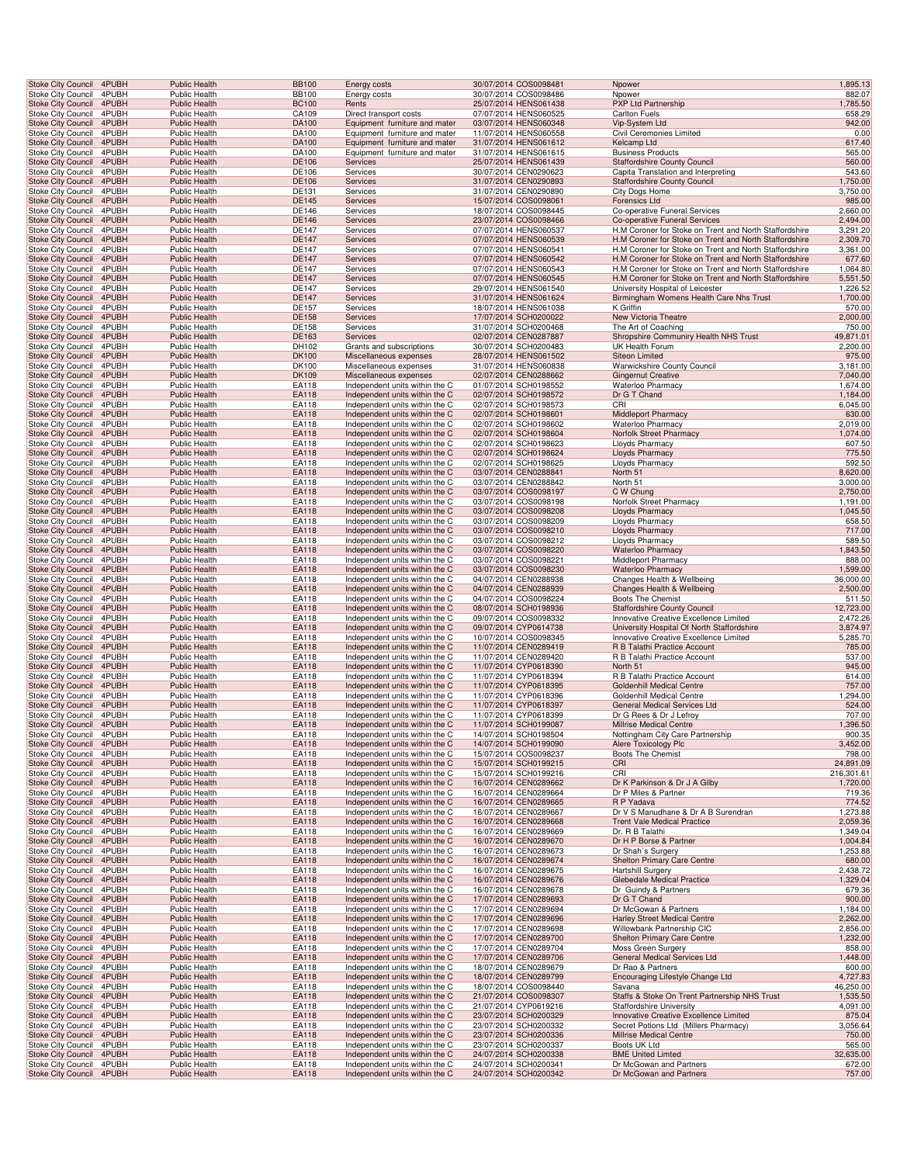| <b>Stoke City Council</b> |                                                        | 4PUBH          | Public Health                                | <b>BB100</b>          | Energy costs                                                     | 30/07/2014 COS0098481                          | Npower                                                                                                           | 1,895.13              |
|---------------------------|--------------------------------------------------------|----------------|----------------------------------------------|-----------------------|------------------------------------------------------------------|------------------------------------------------|------------------------------------------------------------------------------------------------------------------|-----------------------|
| Stoke City Council        |                                                        | 4PUBH          | <b>Public Health</b>                         | <b>BB100</b>          | Energy costs                                                     | 30/07/2014 COS0098486                          | Npower                                                                                                           | 882.07                |
| <b>Stoke City Council</b> |                                                        | 4PUBH          | <b>Public Health</b>                         | <b>BC100</b>          | Rents                                                            | 25/07/2014 HENS061438                          | PXP Ltd Partnership                                                                                              | 1,785.50              |
|                           | Stoke City Council<br>Stoke City Council 4PUBH         | 4PUBH          | Public Health<br><b>Public Health</b>        | CA109<br>DA100        | Direct transport costs<br>Equipment furniture and mater          | 07/07/2014 HENS060525<br>03/07/2014 HENS060348 | Carlton Fuels<br>Vip-System Ltd                                                                                  | 658.29<br>942.00      |
|                           | <b>Stoke City Council</b>                              | 4PUBH          | <b>Public Health</b>                         | DA100                 | Equipment furniture and mater                                    | 11/07/2014 HENS060558                          | Civil Ceremonies Limited                                                                                         | 0.00                  |
|                           | Stoke City Council                                     | 4PUBH          | <b>Public Health</b>                         | DA100                 | Equipment furniture and mater                                    | 31/07/2014 HENS061612                          | Kelcamp Ltd                                                                                                      | 617.40                |
|                           | Stoke City Council                                     | 4PUBH          | Public Health                                | DA100                 | Equipment furniture and mater                                    | 31/07/2014 HENS061615                          | <b>Business Products</b>                                                                                         | 565.00                |
|                           | Stoke City Council 4PUBH                               |                | <b>Public Health</b>                         | DE106                 | Services                                                         | 25/07/2014 HENS061439                          | Staffordshire County Council                                                                                     | 560.00                |
|                           | <b>Stoke City Council</b><br><b>Stoke City Council</b> | 4PUBH<br>4PUBH | <b>Public Health</b><br><b>Public Health</b> | DE106<br>DE106        | Services<br>Services                                             | 30/07/2014 CEN0290623<br>31/07/2014 CEN0290893 | Capita Translation and Interpreting<br><b>Staffordshire County Council</b>                                       | 543.60<br>1,750.00    |
| Stoke City Council        |                                                        | 4PUBH          | <b>Public Health</b>                         | DE131                 | Services                                                         | 31/07/2014 CEN0290890                          | City Dogs Home                                                                                                   | 3,750.00              |
| <b>Stoke City Council</b> |                                                        | 4PUBH          | <b>Public Health</b>                         | DE145                 | Services                                                         | 15/07/2014 COS0098061                          | <b>Forensics Ltd</b>                                                                                             | 985.00                |
|                           | Stoke City Council                                     | 4PUBH          | Public Health                                | DE146                 | Services                                                         | 18/07/2014 COS0098445                          | Co-operative Funeral Services                                                                                    | 2,660.00              |
|                           | Stoke City Council 4PUBH                               |                | <b>Public Health</b>                         | DE146                 | Services                                                         | 23/07/2014 COS0098466                          | Co-operative Funeral Services                                                                                    | 2,494.00              |
|                           | Stoke City Council                                     | 4PUBH          | <b>Public Health</b>                         | DE147                 | Services                                                         | 07/07/2014 HENS060537                          | H.M Coroner for Stoke on Trent and North Staffordshire                                                           | 3,291.20              |
|                           | <b>Stoke City Council</b><br><b>Stoke City Council</b> | 4PUBH<br>4PUBH | <b>Public Health</b><br>Public Health        | <b>DE147</b><br>DE147 | Services<br>Services                                             | 07/07/2014 HENS060539<br>07/07/2014 HENS060541 | H.M Coroner for Stoke on Trent and North Staffordshire<br>H.M Coroner for Stoke on Trent and North Staffordshire | 2,309.70<br>3,361.00  |
|                           | Stoke City Council                                     | 4PUBH          | <b>Public Health</b>                         | DE147                 | Services                                                         | 07/07/2014 HENS060542                          | H.M Coroner for Stoke on Trent and North Staffordshire                                                           | 677.60                |
| <b>Stoke City Council</b> |                                                        | 4PUBH          | <b>Public Health</b>                         | DE147                 | Services                                                         | 07/07/2014 HENS060543                          | H.M Coroner for Stoke on Trent and North Staffordshire                                                           | 1,064.80              |
|                           | <b>Stoke City Council</b>                              | 4PUBH          | <b>Public Health</b>                         | DE147                 | Services                                                         | 07/07/2014 HENS060545                          | H.M Coroner for Stoke on Trent and North Staffordshire                                                           | 5,551.50              |
| Stoke City Council        |                                                        | 4PUBH          | Public Health                                | DE147                 | Services                                                         | 29/07/2014 HENS061540                          | University Hospital of Leicester                                                                                 | 1,226.52              |
| <b>Stoke City Council</b> |                                                        | 4PUBH          | <b>Public Health</b>                         | DE147                 | Services                                                         | 31/07/2014 HENS061624                          | Birmingham Womens Health Care Nhs Trust                                                                          | 1,700.00              |
|                           | Stoke City Council<br><b>Stoke City Council</b>        | 4PUBH<br>4PUBH | Public Health<br><b>Public Health</b>        | DE157<br><b>DE158</b> | Services<br>Services                                             | 18/07/2014 HENS061038<br>17/07/2014 SCH0200022 | K Griffin<br>New Victoria Theatre                                                                                | 570.00<br>2,000.00    |
|                           | <b>Stoke City Council</b>                              | 4PUBH          | <b>Public Health</b>                         | DE158                 | Services                                                         | 31/07/2014 SCH0200468                          | The Art of Coaching                                                                                              | 750.00                |
|                           | <b>Stoke City Council</b>                              | 4PUBH          | <b>Public Health</b>                         | DE163                 | Services                                                         | 02/07/2014 CEN0287887                          | Shropshire Communiry Health NHS Trust                                                                            | 49,871.01             |
|                           | Stoke City Council                                     | 4PUBH          | Public Health                                | DH102                 | Grants and subscriptions                                         | 30/07/2014 SCH0200483                          | UK Health Forum                                                                                                  | 2,200.00              |
|                           | Stoke City Council                                     | 4PUBH          | <b>Public Health</b>                         | <b>DK100</b>          | Miscellaneous expenses                                           | 28/07/2014 HENS061502                          | Siteon Limited                                                                                                   | 975.00                |
| <b>Stoke City Council</b> |                                                        | 4PUBH          | Public Health                                | DK100                 | Miscellaneous expenses                                           | 31/07/2014 HENS060838                          | Warwickshire County Council                                                                                      | 3,181.00              |
| Stoke City Council        | <b>Stoke City Council</b>                              | 4PUBH<br>4PUBH | <b>Public Health</b><br><b>Public Health</b> | <b>DK109</b><br>EA118 | Miscellaneous expenses<br>Independent units within the C         | 02/07/2014 CEN0288662<br>01/07/2014 SCH0198552 | <b>Gingernut Creative</b><br>Waterloo Pharmacy                                                                   | 7,040.00<br>1,674.00  |
|                           | <b>Stoke City Council</b>                              | 4PUBH          | <b>Public Health</b>                         | EA118                 | Independent units within the C                                   | 02/07/2014 SCH0198572                          | Dr G T Chand                                                                                                     | 1,184.00              |
|                           | Stoke City Council                                     | 4PUBH          | Public Health                                | EA118                 | Independent units within the C                                   | 02/07/2014 SCH0198573                          | CRI                                                                                                              | 6,045.00              |
|                           | Stoke City Council 4PUBH                               |                | <b>Public Health</b>                         | EA118                 | Independent units within the C                                   | 02/07/2014 SCH0198601                          | <b>Middleport Pharmacy</b>                                                                                       | 630.00                |
|                           | Stoke City Council                                     | 4PUBH          | <b>Public Health</b>                         | EA118                 | Independent units within the C                                   | 02/07/2014 SCH0198602                          | <b>Waterloo Pharmacy</b>                                                                                         | 2,019.00              |
|                           | Stoke City Council<br>Stoke City Council               | 4PUBH<br>4PUBH | <b>Public Health</b><br>Public Health        | EA118<br>EA118        | Independent units within the C<br>Independent units within the C | 02/07/2014 SCH0198604<br>02/07/2014 SCH0198623 | Norfolk Street Pharmacy<br>Lloyds Pharmacy                                                                       | 1,074.00<br>607.50    |
|                           | Stoke City Council                                     | 4PUBH          | <b>Public Health</b>                         | EA118                 | Independent units within the C                                   | 02/07/2014 SCH0198624                          | Lloyds Pharmacy                                                                                                  | 775.50                |
|                           | Stoke City Council                                     | 4PUBH          | Public Health                                | EA118                 | Independent units within the C                                   | 02/07/2014 SCH0198625                          | Lloyds Pharmacy                                                                                                  | 592.50                |
|                           | <b>Stoke City Council</b>                              | 4PUBH          | <b>Public Health</b>                         | EA118                 | Independent units within the C                                   | 03/07/2014 CEN0288841                          | North 51                                                                                                         | 8,620.00              |
| Stoke City Council        |                                                        | 4PUBH          | Public Health                                | EA118                 | Independent units within the C                                   | 03/07/2014 CEN0288842                          | North 51                                                                                                         | 3,000.00              |
|                           | <b>Stoke City Council</b>                              | 4PUBH          | <b>Public Health</b><br>Public Health        | EA118<br>EA118        | Independent units within the C                                   | 03/07/2014 COS0098197                          | C W Chung                                                                                                        | 2,750.00              |
|                           | Stoke City Council<br>Stoke City Council 4PUBH         | 4PUBH          | <b>Public Health</b>                         | EA118                 | Independent units within the C<br>Independent units within the C | 03/07/2014 COS0098198<br>03/07/2014 COS0098208 | Norfolk Street Pharmacy<br>Lloyds Pharmacy                                                                       | 1,191.00<br>1,045.50  |
|                           | <b>Stoke City Council</b>                              | 4PUBH          | <b>Public Health</b>                         | EA118                 | Independent units within the C                                   | 03/07/2014 COS0098209                          | Lloyds Pharmacy                                                                                                  | 658.50                |
|                           | Stoke City Council                                     | 4PUBH          | <b>Public Health</b>                         | EA118                 | Independent units within the C                                   | 03/07/2014 COS0098210                          | <b>Lloyds Pharmacy</b>                                                                                           | 717.00                |
|                           | Stoke City Council                                     | 4PUBH          | Public Health                                | EA118                 | Independent units within the C                                   | 03/07/2014 COS0098212                          | Lloyds Pharmacy                                                                                                  | 589.50                |
|                           | Stoke City Council 4PUBH                               |                | <b>Public Health</b>                         | EA118                 | Independent units within the C                                   | 03/07/2014 COS0098220                          | <b>Waterloo Pharmacy</b>                                                                                         | 1,843.50              |
|                           | Stoke City Council                                     | 4PUBH<br>4PUBH | <b>Public Health</b>                         | EA118<br>EA118        | Independent units within the C                                   | 03/07/2014 COS0098221<br>03/07/2014 COS0098230 | Middleport Pharmacy                                                                                              | 888.00                |
| Stoke City Council        | <b>Stoke City Council</b>                              | 4PUBH          | <b>Public Health</b><br><b>Public Health</b> | EA118                 | Independent units within the C<br>Independent units within the C | 04/07/2014 CEN0288938                          | <b>Waterloo Pharmacy</b><br>Changes Health & Wellbeing                                                           | 1,599.00<br>36,000.00 |
|                           | <b>Stoke City Council</b>                              | 4PUBH          | <b>Public Health</b>                         | EA118                 | Independent units within the C                                   | 04/07/2014 CEN0288939                          | Changes Health & Wellbeing                                                                                       | 2,500.00              |
|                           | Stoke City Council                                     | 4PUBH          | Public Health                                | EA118                 | Independent units within the C                                   | 04/07/2014 COS0098224                          | <b>Boots The Chemist</b>                                                                                         | 511.50                |
|                           | Stoke City Council 4PUBH                               |                | <b>Public Health</b>                         | EA118                 | Independent units within the C                                   | 08/07/2014 SCH0198936                          | <b>Staffordshire County Council</b>                                                                              | 12,723.00             |
|                           | Stoke City Council                                     | 4PUBH          | <b>Public Health</b>                         | EA118                 | Independent units within the C                                   | 09/07/2014 COS0098332                          | Innovative Creative Excellence Limited                                                                           | 2,472.26              |
|                           | <b>Stoke City Council</b><br>Stoke City Council        | 4PUBH<br>4PUBH | <b>Public Health</b><br>Public Health        | EA118<br>EA118        | Independent units within the C<br>Independent units within the C | 09/07/2014 CYP0614738<br>10/07/2014 COS0098345 | University Hospital Of North Staffordshire<br>Innovative Creative Excellence Limited                             | 3,874.97              |
|                           | <b>Stoke City Council</b>                              | 4PUBH          | <b>Public Health</b>                         | EA118                 | Independent units within the C                                   | 11/07/2014 CEN0289419                          | R B Talathi Practice Account                                                                                     | 5,285.70<br>785.00    |
| <b>Stoke City Council</b> |                                                        | 4PUBH          | Public Health                                | EA118                 | Independent units within the C                                   | 11/07/2014 CEN0289420                          | R B Talathi Practice Account                                                                                     | 537.00                |
|                           | <b>Stoke City Council</b>                              | 4PUBH          | <b>Public Health</b>                         | EA118                 | Independent units within the C                                   | 11/07/2014 CYP0618390                          | North 51                                                                                                         | 945.00                |
| <b>Stoke City Council</b> |                                                        | 4PUBH          | <b>Public Health</b>                         | EA118                 | Independent units within the C                                   | 11/07/2014 CYP0618394                          | R B Talathi Practice Account                                                                                     | 614.00                |
| <b>Stoke City Council</b> |                                                        | 4PUBH          | <b>Public Health</b>                         | EA118                 | Independent units within the C                                   | 11/07/2014 CYP0618395                          | Goldenhill Medical Centre<br>Goldenhill Medical Centre                                                           | 757.00                |
|                           | Stoke City Council<br>Stoke City Council 4PUBH         | 4PUBH          | Public Health<br><b>Public Health</b>        | EA118<br>EA118        | Independent units within the C<br>Independent units within the C | 11/07/2014 CYP0618396<br>11/07/2014 CYP0618397 | General Medical Services Ltd                                                                                     | 1,294.00<br>524.00    |
|                           | Stoke City Council 4PUBH                               |                | Public Health                                | EA118                 | Independent units within the C                                   | 11/07/2014 CYP0618399                          | Dr G Rees & Dr J Lefroy                                                                                          | 707.00                |
|                           | Stoke City Council 4PUBH                               |                | Public Health                                | EA118                 | Independent units within the C                                   | 11/07/2014 SCH0199087                          | Millrise Medical Centre                                                                                          | 1,396.50              |
|                           | Stoke City Council 4PUBH                               |                | Public Health                                | EA118                 | Independent units within the C                                   | 14/07/2014 SCH0198504                          | Nottingham City Care Partnership                                                                                 | 900.35                |
|                           | Stoke City Council 4PUBH                               |                | Public Health                                | EA118                 | Independent units within the C                                   | 14/07/2014 SCH0199090                          | Alere Toxicology Plc                                                                                             | 3,452.00              |
|                           | Stoke City Council<br>Stoke City Council               | 4PUBH<br>4PUBH | Public Health<br><b>Public Health</b>        | EA118<br>EA118        | Independent units within the C<br>Independent units within the C | 15/07/2014 COS0098237<br>15/07/2014 SCH0199215 | <b>Boots The Chemist</b><br>CRI                                                                                  | 798.00<br>24,891.09   |
| Stoke City Council        |                                                        | 4PUBH          | Public Health                                | EA118                 | Independent units within the C                                   | 15/07/2014 SCH0199216                          | CRI                                                                                                              | 216,301.61            |
|                           | <b>Stoke City Council</b>                              | 4PUBH          | <b>Public Health</b>                         | EA118                 | Independent units within the C                                   | 16/07/2014 CEN0289662                          | Dr K Parkinson & Dr J A Gilby                                                                                    | 1,720.00              |
|                           | Stoke City Council                                     | 4PUBH          | Public Health                                | EA118                 | Independent units within the C                                   | 16/07/2014 CEN0289664                          | Dr P Miles & Partner                                                                                             | 719.36                |
|                           | Stoke City Council 4PUBH                               |                | Public Health                                | EA118                 | Independent units within the C                                   | 16/07/2014 CEN0289665                          | R P Yadava<br>Dr V S Manudhane & Dr A B Surendran                                                                | 774.52                |
|                           | Stoke City Council 4PUBH<br><b>Stoke City Council</b>  | 4PUBH          | Public Health<br>Public Health               | EA118<br>EA118        | Independent units within the C<br>Independent units within the C | 16/07/2014 CEN0289667<br>16/07/2014 CEN0289668 | <b>Trent Vale Medical Practice</b>                                                                               | 1,273.88<br>2,059.36  |
|                           | Stoke City Council                                     | 4PUBH          | Public Health                                | EA118                 | Independent units within the C                                   | 16/07/2014 CEN0289669                          | Dr. R B Talathi                                                                                                  | 1,349.04              |
|                           | Stoke City Council 4PUBH                               |                | Public Health                                | EA118                 | Independent units within the C                                   | 16/07/2014 CEN0289670                          | Dr H P Borse & Partner                                                                                           | 1,004.84              |
|                           | <b>Stoke City Council</b>                              | 4PUBH          | Public Health                                | EA118                 | Independent units within the C                                   | 16/07/2014 CEN0289673                          | Dr Shah's Surgery                                                                                                | 1,253.88              |
|                           | Stoke City Council 4PUBH                               |                | Public Health                                | EA118                 | Independent units within the C                                   | 16/07/2014 CEN0289674                          | Shelton Primary Care Centre                                                                                      | 680.00                |
|                           | Stoke City Council                                     | 4PUBH<br>4PUBH | Public Health                                | EA118                 | Independent units within the C                                   | 16/07/2014 CEN0289675                          | Hartshill Surgery<br>Glebedale Medical Practice                                                                  | 2,438.72              |
|                           | <b>Stoke City Council</b><br>Stoke City Council        | 4PUBH          | Public Health<br>Public Health               | EA118<br>EA118        | Independent units within the C<br>Independent units within the C | 16/07/2014 CEN0289676<br>16/07/2014 CEN0289678 | Dr Guindy & Partners                                                                                             | 1,329.04<br>679.36    |
|                           | Stoke City Council 4PUBH                               |                | <b>Public Health</b>                         | EA118                 | Independent units within the C                                   | 17/07/2014 CEN0289693                          | Dr G T Chand                                                                                                     | 900.00                |
|                           | Stoke City Council 4PUBH                               |                | Public Health                                | EA118                 | Independent units within the C                                   | 17/07/2014 CEN0289694                          | Dr McGowan & Partners                                                                                            | 1,184.00              |
|                           | <b>Stoke City Council</b>                              | 4PUBH          | Public Health                                | EA118                 | Independent units within the C                                   | 17/07/2014 CEN0289696                          | <b>Harley Street Medical Centre</b>                                                                              | 2,262.00              |
|                           | Stoke City Council                                     | 4PUBH          | Public Health                                | EA118<br>EA118        | Independent units within the C                                   | 17/07/2014 CEN0289698                          | Willowbank Partnership CIC<br>Shelton Primary Care Centre                                                        | 2,856.00<br>1,232.00  |
|                           | Stoke City Council 4PUBH<br>Stoke City Council         | 4PUBH          | Public Health<br>Public Health               | EA118                 | Independent units within the C<br>Independent units within the C | 17/07/2014 CEN0289700<br>17/07/2014 CEN0289704 | Moss Green Surgery                                                                                               | 858.00                |
|                           | <b>Stoke City Council</b>                              | 4PUBH          | Public Health                                | EA118                 | Independent units within the C                                   | 17/07/2014 CEN0289706                          | General Medical Services Ltd                                                                                     | 1,448.00              |
|                           | Stoke City Council                                     | 4PUBH          | Public Health                                | EA118                 | Independent units within the C                                   | 18/07/2014 CEN0289679                          | Dr Rao & Partners                                                                                                | 600.00                |
|                           | <b>Stoke City Council</b>                              | 4PUBH          | Public Health                                | EA118                 | Independent units within the C                                   | 18/07/2014 CEN0289799                          | Encouraging Lifestyle Change Ltd                                                                                 | 4,727.83              |
|                           | Stoke City Council                                     | 4PUBH          | Public Health                                | EA118                 | Independent units within the C                                   | 18/07/2014 COS0098440                          | Savana                                                                                                           | 46,250.00             |
|                           | Stoke City Council 4PUBH<br>Stoke City Council 4PUBH   |                | Public Health<br>Public Health               | EA118<br>EA118        | Independent units within the C<br>Independent units within the C | 21/07/2014 COS0098307<br>21/07/2014 CYP0619216 | Staffs & Stoke On Trent Partnership NHS Trust<br><b>Staffordshire University</b>                                 | 1,535.50<br>4,091.00  |
|                           | Stoke City Council 4PUBH                               |                | Public Health                                | EA118                 | Independent units within the C                                   | 23/07/2014 SCH0200329                          | Innovative Creative Excellence Limited                                                                           | 875.04                |
|                           | Stoke City Council                                     | 4PUBH          | Public Health                                | EA118                 | Independent units within the C                                   | 23/07/2014 SCH0200332                          | Secret Potions Ltd (Millers Pharmacy)                                                                            | 3,056.64              |
|                           | Stoke City Council 4PUBH                               |                | Public Health                                | EA118                 | Independent units within the C                                   | 23/07/2014 SCH0200336                          | Millrise Medical Centre                                                                                          | 750.00                |
|                           | Stoke City Council                                     | 4PUBH          | Public Health                                | EA118                 | Independent units within the C                                   | 23/07/2014 SCH0200337                          | Boots UK Ltd                                                                                                     | 565.00                |
|                           | Stoke City Council 4PUBH<br>Stoke City Council         | 4PUBH          | Public Health<br>Public Health               | EA118<br>EA118        | Independent units within the C<br>Independent units within the C | 24/07/2014 SCH0200338<br>24/07/2014 SCH0200341 | <b>BME United Limted</b><br>Dr McGowan and Partners                                                              | 32,635.00<br>672.00   |
|                           | Stoke City Council 4PUBH                               |                | Public Health                                | EA118                 | Independent units within the C                                   | 24/07/2014 SCH0200342                          | Dr McGowan and Partners                                                                                          | 757.00                |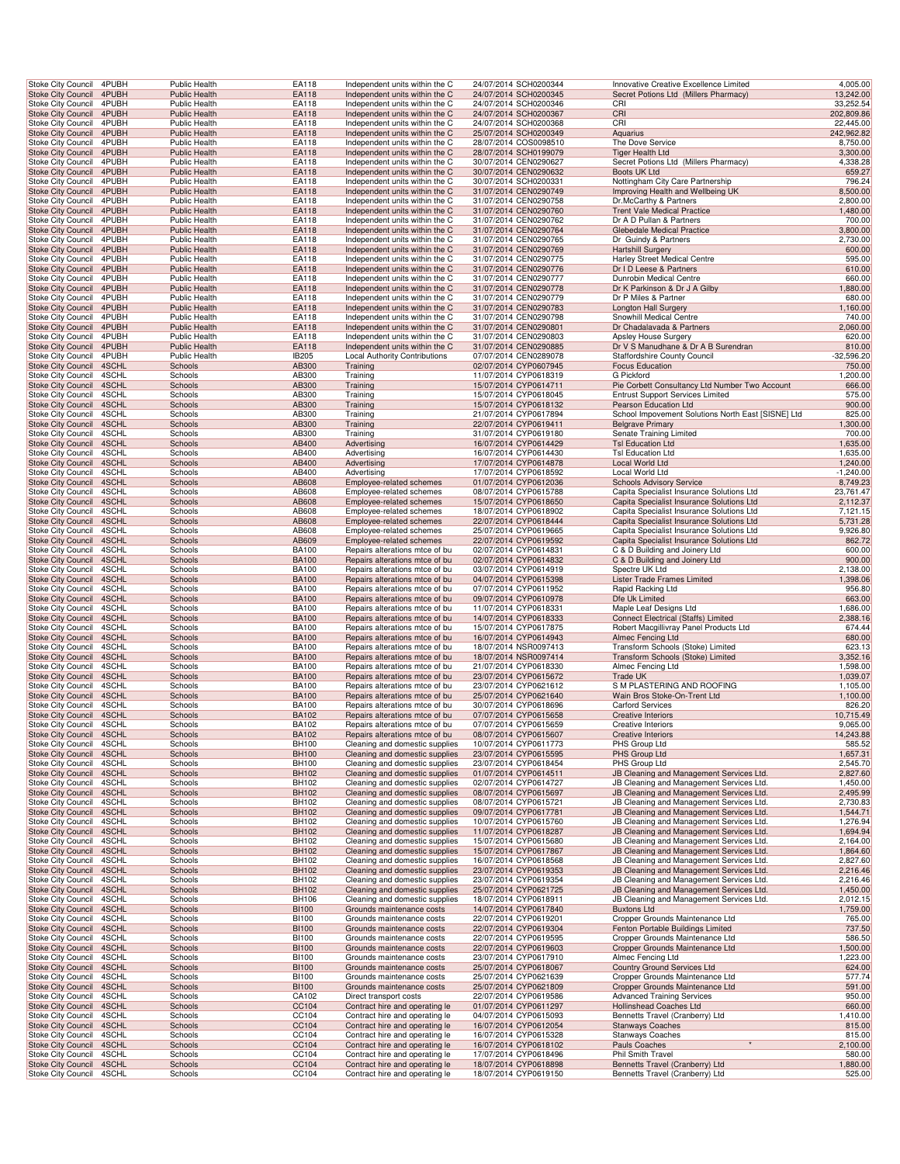| Stoke City Council                                   | 4PUBH          | Public Health                                | <b>EA118</b>                 | Independent units within the C                                   | 24/07/2014 SCH0200344                          | Innovative Creative Excellence Limited                                               | 4,005.00                |
|------------------------------------------------------|----------------|----------------------------------------------|------------------------------|------------------------------------------------------------------|------------------------------------------------|--------------------------------------------------------------------------------------|-------------------------|
| <b>Stoke City Council</b>                            | 4PUBH          | <b>Public Health</b>                         | EA118                        | Independent units within the C                                   | 24/07/2014 SCH0200345                          | Secret Potions Ltd (Millers Pharmacy)                                                | 13,242.00               |
| Stoke City Council                                   | 4PUBH          | Public Health                                | EA118                        | Independent units within the C                                   | 24/07/2014 SCH0200346                          | CRI                                                                                  | 33,252.54               |
| Stoke City Council 4PUBH                             |                | <b>Public Health</b>                         | EA118                        | Independent units within the C                                   | 24/07/2014 SCH0200367                          | CRI                                                                                  | 202,809.86              |
| Stoke City Council<br>Stoke City Council             | 4PUBH<br>4PUBH | Public Health<br><b>Public Health</b>        | EA118<br>EA118               | Independent units within the C<br>Independent units within the C | 24/07/2014 SCH0200368<br>25/07/2014 SCH0200349 | CRI<br>Aquarius                                                                      | 22,445.00<br>242,962.82 |
| <b>Stoke City Council</b>                            | 4PUBH          | Public Health                                | EA118                        | Independent units within the C                                   | 28/07/2014 COS0098510                          | The Dove Service                                                                     | 8,750.00                |
| <b>Stoke City Council</b>                            | 4PUBH          | <b>Public Health</b>                         | EA118                        | Independent units within the C                                   | 28/07/2014 SCH0199079                          | <b>Tiger Health Ltd</b>                                                              | 3,300.00                |
| Stoke City Council                                   | 4PUBH          | <b>Public Health</b>                         | EA118                        | Independent units within the C                                   | 30/07/2014 CEN0290627                          | Secret Potions Ltd (Millers Pharmacy)                                                | 4,338.28                |
| <b>Stoke City Council</b>                            | 4PUBH          | Public Health                                | EA118                        | Independent units within the C                                   | 30/07/2014 CEN0290632                          | Boots UK Ltd                                                                         | 659.27                  |
| Stoke City Council                                   | 4PUBH<br>4PUBH | <b>Public Health</b><br><b>Public Health</b> | EA118<br>EA118               | Independent units within the C                                   | 30/07/2014 SCH0200331<br>31/07/2014 CEN0290749 | Nottingham City Care Partnership                                                     | 796.24<br>8,500.00      |
| Stoke City Council<br>Stoke City Council             | 4PUBH          | <b>Public Health</b>                         | EA118                        | Independent units within the C<br>Independent units within the C | 31/07/2014 CEN0290758                          | Improving Health and Wellbeing UK<br>Dr.McCarthy & Partners                          | 2,800.00                |
| Stoke City Council 4PUBH                             |                | <b>Public Health</b>                         | EA118                        | Independent units within the C                                   | 31/07/2014 CEN0290760                          | <b>Trent Vale Medical Practice</b>                                                   | 1,480.00                |
| Stoke City Council                                   | 4PUBH          | Public Health                                | EA118                        | Independent units within the C                                   | 31/07/2014 CEN0290762                          | Dr A D Pullan & Partners                                                             | 700.00                  |
| Stoke City Council                                   | 4PUBH          | <b>Public Health</b>                         | EA118                        | Independent units within the C                                   | 31/07/2014 CEN0290764                          | <b>Glebedale Medical Practice</b>                                                    | 3,800.00                |
| Stoke City Council                                   | 4PUBH          | Public Health                                | EA118                        | Independent units within the C                                   | 31/07/2014 CEN0290765                          | Dr Guindy & Partners                                                                 | 2,730.00                |
| <b>Stoke City Council</b><br>Stoke City Council      | 4PUBH<br>4PUBH | Public Health<br>Public Health               | EA118<br>EA118               | Independent units within the C<br>Independent units within the C | 31/07/2014 CEN0290769<br>31/07/2014 CEN0290775 | <b>Hartshill Surgery</b><br>Harley Street Medical Centre                             | 600.00<br>595.00        |
| <b>Stoke City Council</b>                            | 4PUBH          | Public Health                                | EA118                        | Independent units within the C                                   | 31/07/2014 CEN0290776                          | Dr I D Leese & Partners                                                              | 610.00                  |
| Stoke City Council                                   | 4PUBH          | <b>Public Health</b>                         | EA118                        | Independent units within the C                                   | 31/07/2014 CEN0290777                          | Dunrobin Medical Centre                                                              | 660.00                  |
| Stoke City Council                                   | 4PUBH          | <b>Public Health</b>                         | EA118                        | Independent units within the C                                   | 31/07/2014 CEN0290778                          | Dr K Parkinson & Dr J A Gilby                                                        | 1,880.00                |
| Stoke City Council                                   | 4PUBH          | <b>Public Health</b>                         | EA118                        | Independent units within the C                                   | 31/07/2014 CEN0290779                          | Dr P Miles & Partner                                                                 | 680.00                  |
| Stoke City Council 4PUBH<br>Stoke City Council       | 4PUBH          | <b>Public Health</b><br>Public Health        | EA118<br>EA118               | Independent units within the C<br>Independent units within the C | 31/07/2014 CEN0290783<br>31/07/2014 CEN0290798 | Longton Hall Surgery<br>Snowhill Medical Centre                                      | 1,160.00<br>740.00      |
| Stoke City Council                                   | 4PUBH          | <b>Public Health</b>                         | EA118                        | Independent units within the C                                   | 31/07/2014 CEN0290801                          | Dr Chadalavada & Partners                                                            | 2,060.00                |
| Stoke City Council                                   | 4PUBH          | Public Health                                | EA118                        | Independent units within the C                                   | 31/07/2014 CEN0290803                          | Apsley House Surgery                                                                 | 620.00                  |
| <b>Stoke City Council</b>                            | 4PUBH          | <b>Public Health</b>                         | EA118                        | Independent units within the C                                   | 31/07/2014 CEN0290885                          | Dr V S Manudhane & Dr A B Surendran                                                  | 810.00                  |
| Stoke City Council                                   | 4PUBH          | Public Health                                | IB205                        | <b>Local Authority Contributions</b>                             | 07/07/2014 CEN0289078                          | <b>Staffordshire County Council</b>                                                  | -32,596.20              |
| <b>Stoke City Council</b><br>Stoke City Council      | 4SCHL<br>4SCHL | Schools<br>Schools                           | AB300<br>AB300               | Training                                                         | 02/07/2014 CYP0607945<br>11/07/2014 CYP0618319 | <b>Focus Education</b><br>G Pickford                                                 | 750.00<br>1,200.00      |
| Stoke City Council                                   | 4SCHL          | Schools                                      | AB300                        | Training<br>Training                                             | 15/07/2014 CYP0614711                          | Pie Corbett Consultancy Ltd Number Two Account                                       | 666.00                  |
| Stoke City Council                                   | 4SCHL          | Schools                                      | AB300                        | Training                                                         | 15/07/2014 CYP0618045                          | <b>Entrust Support Services Limited</b>                                              | 575.00                  |
| Stoke City Council 4SCHL                             |                | Schools                                      | AB300                        | Training                                                         | 15/07/2014 CYP0618132                          | Pearson Education Ltd                                                                | 900.00                  |
| Stoke City Council                                   | 4SCHL          | Schools                                      | AB300                        | Training                                                         | 21/07/2014 CYP0617894                          | School Impovement Solutions North East [SISNE] Ltd                                   | 825.00                  |
| Stoke City Council<br>Stoke City Council             | 4SCHL<br>4SCHL | Schools<br>Schools                           | AB300<br>AB300               | Training<br>Training                                             | 22/07/2014 CYP0619411<br>31/07/2014 CYP0619180 | <b>Belgrave Primary</b><br>Senate Training Limited                                   | 1,300.00<br>700.00      |
| Stoke City Council                                   | 4SCHL          | Schools                                      | AB400                        | Advertising                                                      | 16/07/2014 CYP0614429                          | <b>TsI Education Ltd</b>                                                             | 1,635.00                |
| Stoke City Council                                   | 4SCHL          | Schools                                      | AB400                        | Advertising                                                      | 16/07/2014 CYP0614430                          | <b>TsI Education Ltd</b>                                                             | 1,635.00                |
| <b>Stoke City Council</b>                            | 4SCHL          | Schools                                      | AB400                        | Advertising                                                      | 17/07/2014 CYP0614878                          | Local World Ltd                                                                      | 1,240.00                |
| <b>Stoke City Council</b>                            | 4SCHL          | Schools                                      | AB400                        | Advertising                                                      | 17/07/2014 CYP0618592                          | Local World Ltd                                                                      | $-1,240.00$             |
| Stoke City Council<br>Stoke City Council             | 4SCHL<br>4SCHL | Schools                                      | AB608<br>AB608               | Employee-related schemes                                         | 01/07/2014 CYP0612036<br>08/07/2014 CYP0615788 | <b>Schools Advisory Service</b><br>Capita Specialist Insurance Solutions Ltd         | 8,749.23<br>23,761.47   |
| Stoke City Council 4SCHL                             |                | Schools<br>Schools                           | AB608                        | Employee-related schemes<br>Employee-related schemes             | 15/07/2014 CYP0618650                          | Capita Specialist Insurance Solutions Ltd                                            | 2,112.37                |
| Stoke City Council                                   | 4SCHL          | Schools                                      | AB608                        | Employee-related schemes                                         | 18/07/2014 CYP0618902                          | Capita Specialist Insurance Solutions Ltd                                            | 7,121.15                |
| Stoke City Council                                   | 4SCHL          | Schools                                      | AB608                        | Employee-related schemes                                         | 22/07/2014 CYP0618444                          | Capita Specialist Insurance Solutions Ltd                                            | 5,731.28                |
| Stoke City Council                                   | 4SCHL          | Schools                                      | AB608                        | Employee-related schemes                                         | 25/07/2014 CYP0619665                          | Capita Specialist Insurance Solutions Ltd                                            | 9,926.80                |
| <b>Stoke City Council</b>                            | 4SCHL          | Schools                                      | AB609                        | Employee-related schemes                                         | 22/07/2014 CYP0619592                          | Capita Specialist Insurance Solutions Ltd                                            | 862.72                  |
| Stoke City Council<br><b>Stoke City Council</b>      | 4SCHL<br>4SCHL | Schools<br>Schools                           | <b>BA100</b><br><b>BA100</b> | Repairs alterations mtce of bu<br>Repairs alterations mtce of bu | 02/07/2014 CYP0614831<br>02/07/2014 CYP0614832 | C & D Building and Joinery Ltd<br>C & D Building and Joinery Ltd                     | 600.00<br>900.00        |
| Stoke City Council                                   | 4SCHL          | Schools                                      | <b>BA100</b>                 | Repairs alterations mtce of bu                                   | 03/07/2014 CYP0614919                          | Spectre UK Ltd                                                                       | 2,138.00                |
| Stoke City Council                                   | 4SCHL          | Schools                                      | <b>BA100</b>                 | Repairs alterations mtce of bu                                   | 04/07/2014 CYP0615398                          | Lister Trade Frames Limited                                                          | 1,398.06                |
| Stoke City Council                                   | 4SCHL          | Schools                                      | <b>BA100</b>                 | Repairs alterations mtce of bu                                   | 07/07/2014 CYP0611952                          | Rapid Racking Ltd                                                                    | 956.80                  |
| Stoke City Council 4SCHL                             | 4SCHL          | Schools<br>Schools                           | <b>BA100</b><br><b>BA100</b> | Repairs alterations mtce of bu<br>Repairs alterations mtce of bu | 09/07/2014 CYP0610978<br>11/07/2014 CYP0618331 | Dfe Uk Limited                                                                       | 663.00<br>1,686.00      |
| Stoke City Council<br>Stoke City Council             | 4SCHL          | Schools                                      | <b>BA100</b>                 | Repairs alterations mtce of bu                                   | 14/07/2014 CYP0618333                          | Maple Leaf Designs Ltd<br>Connect Electrical (Staffs) Limited                        | 2,388.16                |
| Stoke City Council                                   | 4SCHL          | Schools                                      | <b>BA100</b>                 | Repairs alterations mtce of bu                                   | 15/07/2014 CYP0617875                          | Robert Macgillivray Panel Products Ltd                                               | 674.44                  |
| <b>Stoke City Council</b>                            | 4SCHL          | Schools                                      | <b>BA100</b>                 | Repairs alterations mtce of bu                                   | 16/07/2014 CYP0614943                          | Almec Fencing Ltd                                                                    | 680.00                  |
| Stoke City Council                                   | 4SCHL          | Schools                                      | BA100                        | Repairs alterations mtce of bu                                   | 18/07/2014 NSR0097413                          | Transform Schools (Stoke) Limited                                                    | 623.13                  |
| <b>Stoke City Council</b>                            | 4SCHL<br>4SCHL | Schools<br>Schools                           | <b>BA100</b><br><b>BA100</b> | Repairs alterations mtce of bu                                   | 18/07/2014 NSR0097414<br>21/07/2014 CYP0618330 | Transform Schools (Stoke) Limited<br>Almec Fencing Ltd                               | 3,352.16<br>1,598.00    |
| Stoke City Council<br>Stoke City Council             | 4SCHL          | Schools                                      | <b>BA100</b>                 | Repairs alterations mtce of bu<br>Repairs alterations mtce of bu | 23/07/2014 CYP0615672                          | Trade UK                                                                             | 1,039.07                |
| Stoke City Council                                   | 4SCHL          | Schools                                      | <b>BA100</b>                 | Repairs alterations mtce of bu                                   | 23/07/2014 CYP0621612                          | S M PLASTERING AND ROOFING                                                           | 1,105.00                |
| Stoke City Council 4SCHL                             |                | Schools                                      | <b>BA100</b>                 | Repairs alterations mtce of bu                                   | 25/07/2014 CYP0621640                          | Wain Bros Stoke-On-Trent Ltd                                                         | 1,100.00                |
| Stoke City Council                                   | 4SCHL          | Schools                                      | <b>BA100</b>                 | Repairs alterations mtce of bu                                   | 30/07/2014 CYP0618696                          | <b>Carford Services</b>                                                              | 826.20                  |
| Stoke City Council 4SCHL                             |                | Schools                                      | <b>BA102</b>                 | Repairs alterations mtce of bu<br>Repairs alterations mtce of bu | 07/07/2014 CYP0615658                          | <b>Creative Interiors</b>                                                            | 10,715.49               |
| Stoke City Council 4SCHL<br>Stoke City Council 4SCHL |                | Schools<br>Schools                           | BA102<br><b>BA102</b>        | Repairs alterations mtce of bu                                   | 07/07/2014 CYP0615659<br>08/07/2014 CYP0615607 | <b>Creative Interiors</b><br><b>Creative Interiors</b>                               | 9,065.00<br>14,243.88   |
| Stoke City Council 4SCHL                             |                | Schools                                      | BH100                        | Cleaning and domestic supplies                                   | 10/07/2014 CYP0611773                          | PHS Group Ltd                                                                        | 585.52                  |
| <b>Stoke City Council</b>                            | 4SCHL          | Schools                                      | <b>BH100</b>                 | Cleaning and domestic supplies                                   | 23/07/2014 CYP0615595                          | PHS Group Ltd                                                                        | 1,657.31                |
| Stoke City Council                                   | 4SCHL          | Schools                                      | BH100                        | Cleaning and domestic supplies                                   | 23/07/2014 CYP0618454                          | PHS Group Ltd                                                                        | 2,545.70                |
| Stoke City Council<br>Stoke City Council             | 4SCHL<br>4SCHL | Schools<br>Schools                           | <b>BH102</b><br>BH102        | Cleaning and domestic supplies<br>Cleaning and domestic supplies | 01/07/2014 CYP0614511<br>02/07/2014 CYP0614727 | JB Cleaning and Management Services Ltd.<br>JB Cleaning and Management Services Ltd  | 2,827.60<br>1,450.00    |
| Stoke City Council 4SCHL                             |                | Schools                                      | BH102                        | Cleaning and domestic supplies                                   | 08/07/2014 CYP0615697                          | JB Cleaning and Management Services Ltd.                                             | 2,495.99                |
| Stoke City Council                                   | 4SCHL          | Schools                                      | BH102                        | Cleaning and domestic supplies                                   | 08/07/2014 CYP0615721                          | JB Cleaning and Management Services Ltd.                                             | 2,730.83                |
| Stoke City Council 4SCHL                             |                | Schools                                      | <b>BH102</b>                 | Cleaning and domestic supplies                                   | 09/07/2014 CYP0617781                          | JB Cleaning and Management Services Ltd.                                             | 1,544.71                |
| Stoke City Council                                   | 4SCHL          | Schools                                      | BH102                        | Cleaning and domestic supplies                                   | 10/07/2014 CYP0615760                          | JB Cleaning and Management Services Ltd.                                             | 1,276.94                |
| <b>Stoke City Council</b><br>Stoke City Council      | 4SCHL<br>4SCHL | Schools<br>Schools                           | <b>BH102</b><br>BH102        | Cleaning and domestic supplies<br>Cleaning and domestic supplies | 11/07/2014 CYP0618287<br>15/07/2014 CYP0615680 | JB Cleaning and Management Services Ltd.<br>JB Cleaning and Management Services Ltd. | 1,694.94<br>2,164.00    |
| Stoke City Council                                   | 4SCHL          | Schools                                      | <b>BH102</b>                 | Cleaning and domestic supplies                                   | 15/07/2014 CYP0617867                          | JB Cleaning and Management Services Ltd.                                             | 1,864.60                |
| Stoke City Council                                   | 4SCHL          | Schools                                      | BH102                        | Cleaning and domestic supplies                                   | 16/07/2014 CYP0618568                          | JB Cleaning and Management Services Ltd.                                             | 2,827.60                |
| Stoke City Council                                   | 4SCHL          | Schools                                      | <b>BH102</b>                 | Cleaning and domestic supplies                                   | 23/07/2014 CYP0619353                          | JB Cleaning and Management Services Ltd.                                             | 2,216.46                |
| Stoke City Council                                   | 4SCHL          | Schools                                      | BH102                        | Cleaning and domestic supplies                                   | 23/07/2014 CYP0619354                          | JB Cleaning and Management Services Ltd.                                             | 2,216.46                |
| Stoke City Council 4SCHL<br>Stoke City Council       | 4SCHL          | Schools<br>Schools                           | BH102<br>BH106               | Cleaning and domestic supplies<br>Cleaning and domestic supplies | 25/07/2014 CYP0621725<br>18/07/2014 CYP0618911 | JB Cleaning and Management Services Ltd.<br>JB Cleaning and Management Services Ltd. | 1,450.00<br>2,012.15    |
| Stoke City Council 4SCHL                             |                | Schools                                      | <b>BI100</b>                 | Grounds maintenance costs                                        | 14/07/2014 CYP0617840                          | <b>Buxtons Ltd</b>                                                                   | 1,759.00                |
| Stoke City Council                                   | 4SCHL          | Schools                                      | <b>BI100</b>                 | Grounds maintenance costs                                        | 22/07/2014 CYP0619201                          | Cropper Grounds Maintenance Ltd                                                      | 765.00                  |
| <b>Stoke City Council</b>                            | 4SCHL          | Schools                                      | <b>BI100</b>                 | Grounds maintenance costs                                        | 22/07/2014 CYP0619304                          | Fenton Portable Buildings Limited                                                    | 737.50                  |
| Stoke City Council                                   | 4SCHL          | Schools                                      | BI100                        | Grounds maintenance costs                                        | 22/07/2014 CYP0619595                          | Cropper Grounds Maintenance Ltd                                                      | 586.50                  |
| Stoke City Council<br>Stoke City Council             | 4SCHL<br>4SCHL | Schools<br>Schools                           | <b>BI100</b><br><b>BI100</b> | Grounds maintenance costs<br>Grounds maintenance costs           | 22/07/2014 CYP0619603<br>23/07/2014 CYP0617910 | Cropper Grounds Maintenance Ltd<br>Almec Fencing Ltd                                 | 1,500.00<br>1,223.00    |
| Stoke City Council                                   | 4SCHL          | Schools                                      | <b>BI100</b>                 | Grounds maintenance costs                                        | 25/07/2014 CYP0618067                          | <b>Country Ground Services Ltd</b>                                                   | 624.00                  |
| Stoke City Council                                   | 4SCHL          | Schools                                      | <b>BI100</b>                 | Grounds maintenance costs                                        | 25/07/2014 CYP0621639                          | Cropper Grounds Maintenance Ltd                                                      | 577.74                  |
| Stoke City Council 4SCHL                             |                | Schools                                      | <b>BI100</b>                 | Grounds maintenance costs                                        | 25/07/2014 CYP0621809                          | Cropper Grounds Maintenance Ltd                                                      | 591.00                  |
| Stoke City Council<br>Stoke City Council 4SCHL       | 4SCHL          | Schools<br>Schools                           | CA102<br>CC104               | Direct transport costs<br>Contract hire and operating le         | 22/07/2014 CYP0619586<br>01/07/2014 CYP0611297 | <b>Advanced Training Services</b><br>Hollinshead Coaches Ltd                         | 950.00<br>660.00        |
| Stoke City Council                                   | 4SCHL          | Schools                                      | CC104                        | Contract hire and operating le                                   | 04/07/2014 CYP0615093                          | Bennetts Travel (Cranberry) Ltd                                                      | 1,410.00                |
| Stoke City Council 4SCHL                             |                | Schools                                      | CC104                        | Contract hire and operating le                                   | 16/07/2014 CYP0612054                          | <b>Stanways Coaches</b>                                                              | 815.00                  |
| Stoke City Council                                   | 4SCHL          | Schools                                      | CC104                        | Contract hire and operating le                                   | 16/07/2014 CYP0615328                          | <b>Stanways Coaches</b>                                                              | 815.00                  |
| Stoke City Council                                   | 4SCHL          | Schools<br>Schools                           | CC104                        | Contract hire and operating le                                   | 16/07/2014 CYP0618102                          | $\star$<br>Pauls Coaches                                                             | 2,100.00                |
|                                                      |                |                                              |                              |                                                                  |                                                |                                                                                      |                         |
| Stoke City Council<br>Stoke City Council             | 4SCHL<br>4SCHL | Schools                                      | <b>CC104</b><br>CC104        | Contract hire and operating le<br>Contract hire and operating le | 17/07/2014 CYP0618496<br>18/07/2014 CYP0618898 | Phil Smith Travel<br>Bennetts Travel (Cranberry) Ltd                                 | 580.00<br>1,880.00      |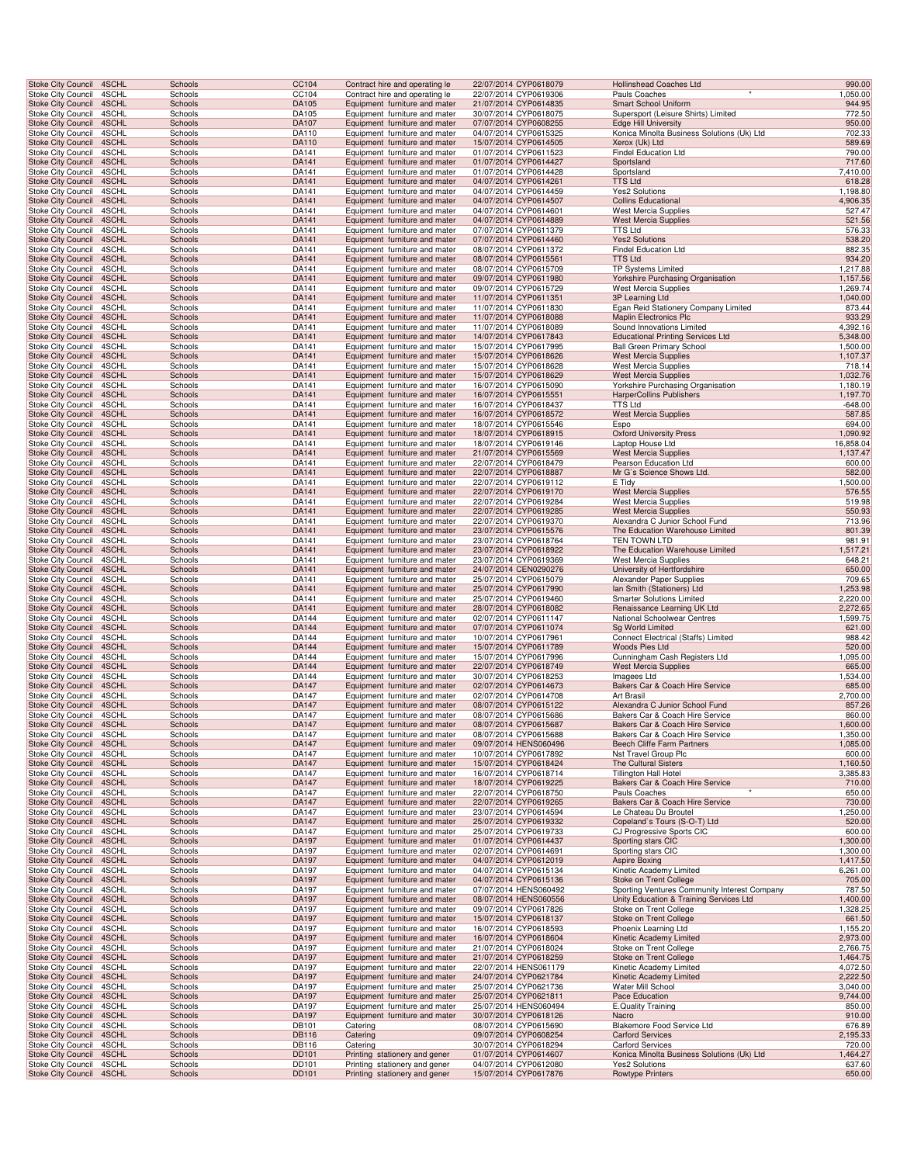| <b>Stoke City Council</b>                              | 4SCHL          | Schools            | <b>CC104</b>          | Contract hire and operating le                                  | 22/07/2014 CYP0618079                          | <b>Hollinshead Coaches Ltd</b>                                    | 990.00               |
|--------------------------------------------------------|----------------|--------------------|-----------------------|-----------------------------------------------------------------|------------------------------------------------|-------------------------------------------------------------------|----------------------|
| Stoke City Council<br>Stoke City Council               | 4SCHL<br>4SCHL | Schools<br>Schools | CC104<br>DA105        | Contract hire and operating le<br>Equipment furniture and mater | 22/07/2014 CYP0619306<br>21/07/2014 CYP0614835 | Pauls Coaches<br>Smart School Uniform                             | 1,050.00<br>944.95   |
| Stoke City Council                                     | 4SCHL          | Schools            | DA105                 | Equipment furniture and mater                                   | 30/07/2014 CYP0618075                          | Supersport (Leisure Shirts) Limited                               | 772.50               |
| Stoke City Council 4SCHL                               |                | Schools            | DA107                 | Equipment furniture and mater                                   | 07/07/2014 CYP0608255                          | <b>Edge Hill University</b>                                       | 950.00               |
| Stoke City Council<br>Stoke City Council               | 4SCHL<br>4SCHL | Schools<br>Schools | DA110<br>DA110        | Equipment furniture and mater<br>Equipment furniture and mater  | 04/07/2014 CYP0615325<br>15/07/2014 CYP0614505 | Konica Minolta Business Solutions (Uk) Ltd<br>Xerox (Uk) Ltd      | 702.33<br>589.69     |
| Stoke City Council                                     | 4SCHL          | Schools            | DA141                 | Equipment furniture and mater                                   | 01/07/2014 CYP0611523                          | Findel Education Ltd                                              | 790.00               |
| Stoke City Council 4SCHL<br>Stoke City Council         | 4SCHL          | Schools<br>Schools | DA141<br>DA141        | Equipment furniture and mater                                   | 01/07/2014 CYP0614427<br>01/07/2014 CYP0614428 | Sportsland                                                        | 717.60<br>7,410.00   |
| <b>Stoke City Council</b>                              | 4SCHL          | Schools            | DA141                 | Equipment furniture and mater<br>Equipment furniture and mater  | 04/07/2014 CYP0614261                          | Sportsland<br><b>TTS Ltd</b>                                      | 618.28               |
| Stoke City Council                                     | 4SCHL          | Schools            | DA141                 | Equipment furniture and mater                                   | 04/07/2014 CYP0614459                          | <b>Yes2 Solutions</b>                                             | 1,198.80             |
| <b>Stoke City Council</b><br>Stoke City Council        | 4SCHL<br>4SCHL | Schools<br>Schools | DA141<br>DA141        | Equipment furniture and mater<br>Equipment furniture and mater  | 04/07/2014 CYP0614507<br>04/07/2014 CYP0614601 | <b>Collins Educational</b><br>West Mercia Supplies                | 4,906.35<br>527.47   |
| Stoke City Council                                     | 4SCHL          | Schools            | DA141                 | Equipment furniture and mater                                   | 04/07/2014 CYP0614889                          | <b>West Mercia Supplies</b>                                       | 521.56               |
| Stoke City Council                                     | 4SCHL          | Schools            | DA141                 | Equipment furniture and mater                                   | 07/07/2014 CYP0611379                          | TTS Ltd                                                           | 576.33               |
| Stoke City Council<br>Stoke City Council               | 4SCHL<br>4SCHL | Schools<br>Schools | DA141<br>DA141        | Equipment furniture and mater<br>Equipment furniture and mater  | 07/07/2014 CYP0614460<br>08/07/2014 CYP0611372 | <b>Yes2 Solutions</b><br>Findel Education Ltd                     | 538.20<br>882.35     |
| Stoke City Council 4SCHL                               |                | Schools            | DA141                 | Equipment furniture and mater                                   | 08/07/2014 CYP0615561                          | <b>TTS Ltd</b>                                                    | 934.20               |
| Stoke City Council<br><b>Stoke City Council</b>        | 4SCHL<br>4SCHL | Schools<br>Schools | DA141<br>DA141        | Equipment furniture and mater<br>Equipment furniture and mater  | 08/07/2014 CYP0615709<br>09/07/2014 CYP0611980 | TP Systems Limited<br>Yorkshire Purchasing Organisation           | 1,217.88<br>1,157.56 |
| Stoke City Council                                     | 4SCHL          | Schools            | DA141                 | Equipment furniture and mater                                   | 09/07/2014 CYP0615729                          | <b>West Mercia Supplies</b>                                       | 1,269.74             |
| <b>Stoke City Council</b>                              | 4SCHL          | Schools            | DA141                 | Equipment furniture and mater                                   | 11/07/2014 CYP0611351                          | 3P Learning Ltd                                                   | 1,040.00             |
| Stoke City Council<br>Stoke City Council               | 4SCHL<br>4SCHL | Schools<br>Schools | DA141<br>DA141        | Equipment furniture and mater<br>Equipment furniture and mater  | 11/07/2014 CYP0611830<br>11/07/2014 CYP0618088 | Egan Reid Stationery Company Limited<br>Maplin Electronics Plc    | 873.44<br>933.29     |
| Stoke City Council                                     | 4SCHL          | Schools            | DA141                 | Equipment furniture and mater                                   | 11/07/2014 CYP0618089                          | Sound Innovations Limited                                         | 4,392.16             |
| Stoke City Council                                     | 4SCHL          | Schools            | DA141                 | Equipment furniture and mater                                   | 14/07/2014 CYP0617843                          | <b>Educational Printing Services Ltd</b>                          | 5,348.00             |
| Stoke City Council<br>Stoke City Council 4SCHL         | 4SCHL          | Schools<br>Schools | DA141<br>DA141        | Equipment furniture and mater<br>Equipment furniture and mater  | 15/07/2014 CYP0617995<br>15/07/2014 CYP0618626 | <b>Ball Green Primary School</b><br><b>West Mercia Supplies</b>   | 1,500.00<br>1,107.37 |
| Stoke City Council                                     | 4SCHL          | Schools            | DA141                 | Equipment furniture and mater                                   | 15/07/2014 CYP0618628                          | <b>West Mercia Supplies</b>                                       | 718.14               |
| <b>Stoke City Council</b><br>Stoke City Council        | 4SCHL<br>4SCHL | Schools<br>Schools | DA141<br>DA141        | Equipment furniture and mater<br>Equipment furniture and mater  | 15/07/2014 CYP0618629<br>16/07/2014 CYP0615090 | <b>West Mercia Supplies</b><br>Yorkshire Purchasing Organisation  | 1,032.76<br>1,180.19 |
| <b>Stoke City Council</b>                              | 4SCHL          | Schools            | DA141                 | Equipment furniture and mater                                   | 16/07/2014 CYP0615551                          | <b>HarperCollins Publishers</b>                                   | 1,197.70             |
| Stoke City Council                                     | 4SCHL          | Schools            | DA141                 | Equipment furniture and mater                                   | 16/07/2014 CYP0618437                          | TTS Ltd                                                           | $-648.00$            |
| Stoke City Council<br>Stoke City Council               | 4SCHL<br>4SCHL | Schools<br>Schools | DA141<br>DA141        | Equipment furniture and mater<br>Equipment furniture and mater  | 16/07/2014 CYP0618572<br>18/07/2014 CYP0615546 | <b>West Mercia Supplies</b><br>Espo                               | 587.85<br>694.00     |
| Stoke City Council                                     | 4SCHL          | Schools            | DA141                 | Equipment furniture and mater                                   | 18/07/2014 CYP0618915                          | <b>Oxford University Press</b>                                    | 1,090.92             |
| Stoke City Council                                     | 4SCHL          | Schools            | DA141                 | Equipment furniture and mater                                   | 18/07/2014 CYP0619146<br>21/07/2014 CYP0615569 | Laptop House Ltd                                                  | 16,858.04            |
| Stoke City Council 4SCHL<br>Stoke City Council         | 4SCHL          | Schools<br>Schools | DA141<br>DA141        | Equipment furniture and mater<br>Equipment furniture and mater  | 22/07/2014 CYP0618479                          | <b>West Mercia Supplies</b><br>Pearson Education Ltd              | 1,137.47<br>600.00   |
| <b>Stoke City Council</b>                              | 4SCHL          | Schools            | DA141                 | Equipment furniture and mater                                   | 22/07/2014 CYP0618887                          | Mr G`s Science Shows Ltd.                                         | 582.00               |
| Stoke City Council<br><b>Stoke City Council</b>        | 4SCHL<br>4SCHL | Schools<br>Schools | DA141<br>DA141        | Equipment furniture and mater<br>Equipment furniture and mater  | 22/07/2014 CYP0619112<br>22/07/2014 CYP0619170 | E Tidy<br><b>West Mercia Supplies</b>                             | 1,500.00<br>576.55   |
| Stoke City Council                                     | 4SCHL          | Schools            | DA141                 | Equipment furniture and mater                                   | 22/07/2014 CYP0619284                          | West Mercia Supplies                                              | 519.98               |
| Stoke City Council                                     | 4SCHL          | Schools            | DA141                 | Equipment furniture and mater                                   | 22/07/2014 CYP0619285                          | <b>West Mercia Supplies</b>                                       | 550.93               |
| Stoke City Council<br>Stoke City Council               | 4SCHL<br>4SCHL | Schools<br>Schools | DA141<br>DA141        | Equipment furniture and mater<br>Equipment furniture and mater  | 22/07/2014 CYP0619370<br>23/07/2014 CYP0615576 | Alexandra C Junior School Fund<br>The Education Warehouse Limited | 713.96<br>801.39     |
| Stoke City Council                                     | 4SCHL          | Schools            | DA141                 | Equipment furniture and mater                                   | 23/07/2014 CYP0618764                          | TEN TOWN LTD                                                      | 981.91               |
| Stoke City Council 4SCHL                               |                | Schools<br>Schools | DA141<br>DA141        | Equipment furniture and mater                                   | 23/07/2014 CYP0618922<br>23/07/2014 CYP0619369 | The Education Warehouse Limited                                   | 1,517.21             |
| Stoke City Council<br><b>Stoke City Council</b>        | 4SCHL<br>4SCHL | Schools            | DA141                 | Equipment furniture and mater<br>Equipment furniture and mater  | 24/07/2014 CEN0290276                          | <b>West Mercia Supplies</b><br>University of Hertfordshire        | 648.21<br>650.00     |
| Stoke City Council                                     | 4SCHL          | Schools            | DA141                 | Equipment furniture and mater                                   | 25/07/2014 CYP0615079                          | Alexander Paper Supplies                                          | 709.65               |
| <b>Stoke City Council</b><br>Stoke City Council        | 4SCHL<br>4SCHL | Schools<br>Schools | DA141<br>DA141        | Equipment furniture and mater<br>Equipment furniture and mater  | 25/07/2014 CYP0617990<br>25/07/2014 CYP0619460 | Ian Smith (Stationers) Ltd<br><b>Smarter Solutions Limited</b>    | 1,253.98<br>2,220.00 |
| Stoke City Council                                     | 4SCHL          | Schools            | DA141                 | Equipment furniture and mater                                   | 28/07/2014 CYP0618082                          | Renaissance Learning UK Ltd                                       | 2,272.65             |
| Stoke City Council                                     | 4SCHL          | Schools            | DA144                 | Equipment furniture and mater                                   | 02/07/2014 CYP0611147                          | National Schoolwear Centres                                       | 1,599.75             |
| Stoke City Council<br>Stoke City Council               | 4SCHL<br>4SCHL | Schools<br>Schools | DA144<br>DA144        | Equipment furniture and mater<br>Equipment furniture and mater  | 07/07/2014 CYP0611074<br>10/07/2014 CYP0617961 | Sg World Limited<br>Connect Electrical (Staffs) Limited           | 621.00<br>988.42     |
| Stoke City Council 4SCHL                               |                | Schools            | DA144                 | Equipment furniture and mater                                   | 15/07/2014 CYP0611789                          | Woods Pies Ltd                                                    | 520.00               |
| <b>Stoke City Council</b><br><b>Stoke City Council</b> | 4SCHL<br>4SCHL | Schools<br>Schools | DA144<br>DA144        | Equipment furniture and mater<br>Equipment furniture and mater  | 15/07/2014 CYP0617996<br>22/07/2014 CYP0618749 | Cunningham Cash Registers Ltd<br><b>West Mercia Supplies</b>      | 1,095.00<br>665.00   |
| Stoke City Council                                     | 4SCHL          | Schools            | DA144                 | Equipment furniture and mater                                   | 30/07/2014 CYP0618253                          | Imagees Ltd                                                       | 1,534.00             |
| <b>Stoke City Council</b>                              | 4SCHL          | Schools            | DA147                 | Equipment furniture and mater                                   | 02/07/2014 CYP0614673                          | Bakers Car & Coach Hire Service                                   | 685.00               |
| Stoke City Council<br>Stoke City Council 4SCHL         | 4SCHL          | Schools<br>Schools | DA147<br>DA147        | Equipment furniture and mater<br>Equipment furniture and mater  | 02/07/2014 CYP0614708<br>08/07/2014 CYP0615122 | Art Brasil<br>Alexandra C Junior School Fund                      | 2,700.00<br>857.26   |
| Stoke City Council 4SCHL                               |                | Schools            | DA147                 | Equipment furniture and mater                                   | 08/07/2014 CYP0615686                          | Bakers Car & Coach Hire Service                                   | 860.00               |
| Stoke City Council 4SCHL                               |                | Schools            | DA147                 | Equipment furniture and mater                                   | 08/07/2014 CYP0615687                          | Bakers Car & Coach Hire Service                                   | 1,600.00             |
| Stoke City Council 4SCHL<br>Stoke City Council 4SCHL   |                | Schools<br>Schools | DA147<br>DA147        | Equipment furniture and mater<br>Equipment furniture and mater  | 08/07/2014 CYP0615688<br>09/07/2014 HENS060496 | Bakers Car & Coach Hire Service<br>Beech Cliffe Farm Partners     | 1,350.00<br>1,085.00 |
| <b>Stoke City Council</b>                              | 4SCHL          | Schools            | DA147                 | Equipment furniture and mater                                   | 10/07/2014 CYP0617892                          | Nst Travel Group Plc                                              | 600.00               |
| Stoke City Council<br>Stoke City Council               | 4SCHL<br>4SCHL | Schools<br>Schools | DA147<br>DA147        | Equipment furniture and mater<br>Equipment furniture and mater  | 15/07/2014 CYP0618424<br>16/07/2014 CYP0618714 | The Cultural Sisters<br><b>Tillington Hall Hotel</b>              | 1,160.50<br>3,385.83 |
| Stoke City Council 4SCHL                               |                | Schools            | DA147                 | Equipment furniture and mater                                   | 18/07/2014 CYP0619225                          | Bakers Car & Coach Hire Service                                   | 710.00               |
| Stoke City Council 4SCHL                               |                | Schools            | DA147                 | Equipment furniture and mater                                   | 22/07/2014 CYP0618750<br>22/07/2014 CYP0619265 | Pauls Coaches<br>Bakers Car & Coach Hire Service                  | 650.00               |
| Stoke City Council 4SCHL<br>Stoke City Council         | 4SCHL          | Schools<br>Schools | DA147<br>DA147        | Equipment furniture and mater<br>Equipment furniture and mater  | 23/07/2014 CYP0614594                          | Le Chateau Du Broutel                                             | 730.00<br>1,250.00   |
| Stoke City Council 4SCHL                               |                | Schools            | DA147                 | Equipment furniture and mater                                   | 25/07/2014 CYP0619332                          | Copeland's Tours (S-O-T) Ltd                                      | 520.00               |
| <b>Stoke City Council</b><br>Stoke City Council 4SCHL  | 4SCHL          | Schools<br>Schools | DA147<br>DA197        | Equipment furniture and mater<br>Equipment furniture and mater  | 25/07/2014 CYP0619733<br>01/07/2014 CYP0614437 | CJ Progressive Sports CIC<br>Sporting stars CIC                   | 600.00<br>1,300.00   |
| Stoke City Council                                     | 4SCHL          | Schools            | DA197                 | Equipment furniture and mater                                   | 02/07/2014 CYP0614691                          | Sporting stars CIC                                                | 1,300.00             |
| <b>Stoke City Council</b>                              | 4SCHL          | Schools            | DA197                 | Equipment furniture and mater                                   | 04/07/2014 CYP0612019                          | Aspire Boxing                                                     | 1,417.50             |
| Stoke City Council<br>Stoke City Council 4SCHL         | 4SCHL          | Schools<br>Schools | DA197<br>DA197        | Equipment furniture and mater<br>Equipment furniture and mater  | 04/07/2014 CYP0615134<br>04/07/2014 CYP0615136 | Kinetic Academy Limited<br>Stoke on Trent College                 | 6,261.00<br>705.00   |
| Stoke City Council 4SCHL                               |                | Schools            | DA197                 | Equipment furniture and mater                                   | 07/07/2014 HENS060492                          | Sporting Ventures Community Interest Company                      | 787.50               |
| Stoke City Council 4SCHL<br>Stoke City Council         | 4SCHL          | Schools<br>Schools | DA197<br>DA197        | Equipment furniture and mater<br>Equipment furniture and mater  | 08/07/2014 HENS060556<br>09/07/2014 CYP0617826 | Unity Education & Training Services Ltd<br>Stoke on Trent College | 1,400.00<br>1,328.25 |
| Stoke City Council 4SCHL                               |                | Schools            | DA197                 | Equipment furniture and mater                                   | 15/07/2014 CYP0618137                          | Stoke on Trent College                                            | 661.50               |
| Stoke City Council                                     | 4SCHL          | Schools            | DA197                 | Equipment furniture and mater                                   | 16/07/2014 CYP0618593                          | Phoenix Learning Ltd                                              | 1,155.20             |
| Stoke City Council 4SCHL<br>Stoke City Council         | 4SCHL          | Schools<br>Schools | DA197<br>DA197        | Equipment furniture and mater<br>Equipment furniture and mater  | 16/07/2014 CYP0618604<br>21/07/2014 CYP0618024 | Kinetic Academy Limited<br>Stoke on Trent College                 | 2,973.00<br>2,766.75 |
| <b>Stoke City Council</b>                              | 4SCHL          | Schools            | DA197                 | Equipment furniture and mater                                   | 21/07/2014 CYP0618259                          | Stoke on Trent College                                            | 1,464.75             |
| Stoke City Council<br>Stoke City Council 4SCHL         | 4SCHL          | Schools<br>Schools | DA197<br>DA197        | Equipment furniture and mater<br>Equipment furniture and mater  | 22/07/2014 HENS061179<br>24/07/2014 CYP0621784 | Kinetic Academy Limited<br>Kinetic Academy Limited                | 4,072.50<br>2,222.50 |
| Stoke City Council 4SCHL                               |                | Schools            | DA197                 | Equipment furniture and mater                                   | 25/07/2014 CYP0621736                          | Water Mill School                                                 | 3,040.00             |
| Stoke City Council 4SCHL                               |                | Schools            | DA197                 | Equipment furniture and mater                                   | 25/07/2014 CYP0621811                          | Pace Education                                                    | 9,744.00             |
| Stoke City Council<br>Stoke City Council 4SCHL         | 4SCHL          | Schools<br>Schools | DA197<br>DA197        | Equipment furniture and mater<br>Equipment furniture and mater  | 25/07/2014 HENS060494<br>30/07/2014 CYP0618126 | E.Quality Training<br>Nacro                                       | 850.00<br>910.00     |
| Stoke City Council 4SCHL                               |                | Schools            | DB101                 | Catering                                                        | 08/07/2014 CYP0615690                          | Blakemore Food Service Ltd                                        | 676.89               |
| Stoke City Council 4SCHL<br>Stoke City Council         | 4SCHL          | Schools<br>Schools | <b>DB116</b><br>DB116 | Catering<br>Catering                                            | 09/07/2014 CYP0608254<br>30/07/2014 CYP0618294 | <b>Carford Services</b><br><b>Carford Services</b>                | 2,195.33<br>720.00   |
| <b>Stoke City Council</b>                              | 4SCHL          | Schools            | DD101                 | Printing stationery and gener                                   | 01/07/2014 CYP0614607                          | Konica Minolta Business Solutions (Uk) Ltd                        | 1,464.27             |
| Stoke City Council                                     | 4SCHL          | Schools            | DD101                 | Printing stationery and gener                                   | 04/07/2014 CYP0612080                          | <b>Yes2 Solutions</b>                                             | 637.60               |
| Stoke City Council 4SCHL                               |                | Schools            | DD101                 | Printing stationery and gener                                   | 15/07/2014 CYP0617876                          | <b>Rowtype Printers</b>                                           | 650.00               |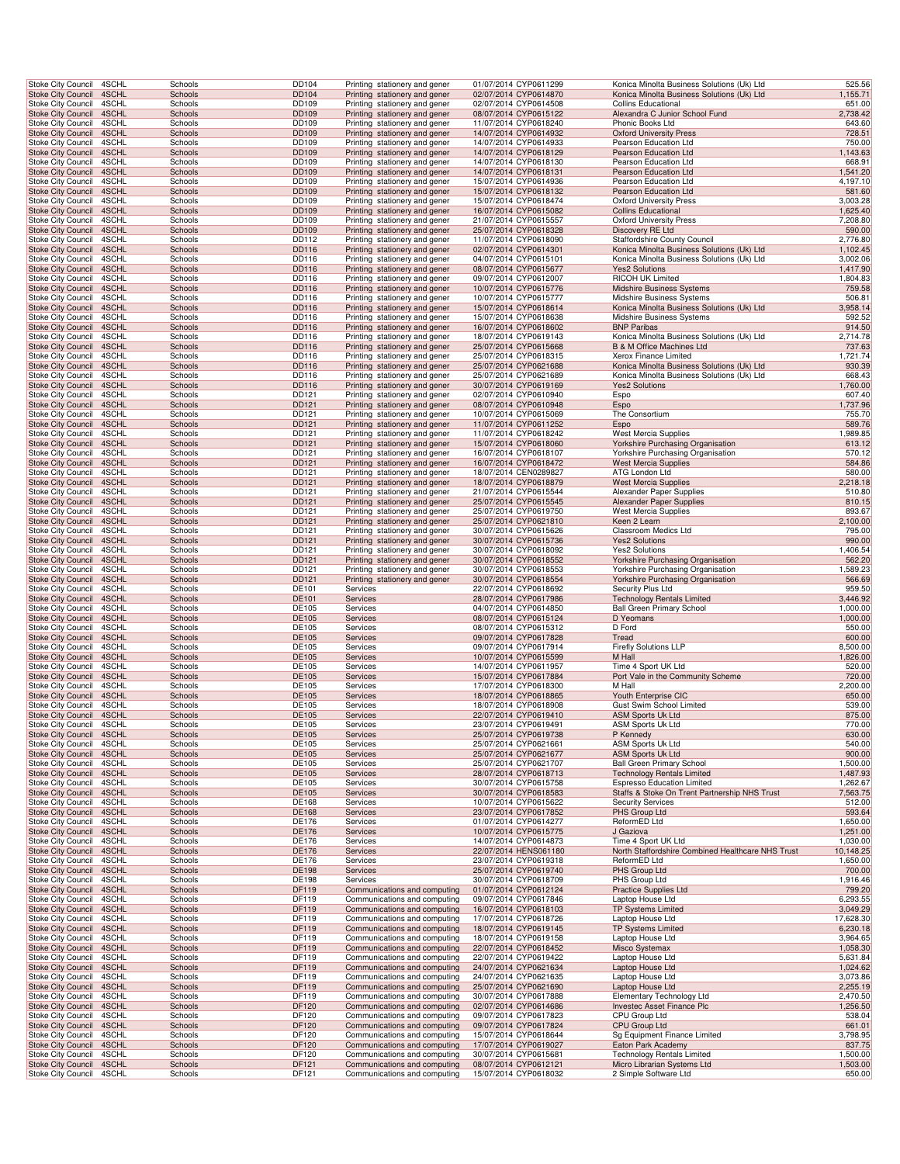| Stoke City Council                                   | 4SCHL          | Schools            | <b>DD104</b>          | Printing stationery and gener                                  |                       | 01/07/2014 CYP0611299                          | Konica Minolta Business Solutions (Uk) Ltd                              | 525.56                |
|------------------------------------------------------|----------------|--------------------|-----------------------|----------------------------------------------------------------|-----------------------|------------------------------------------------|-------------------------------------------------------------------------|-----------------------|
| <b>Stoke City Council</b>                            | 4SCHL          | Schools            | DD104                 | Printing stationery and gener                                  |                       | 02/07/2014 CYP0614870                          | Konica Minolta Business Solutions (Uk) Ltd                              | 1,155.71              |
| <b>Stoke City Council</b>                            | 4SCHL          | Schools            | DD109                 | Printing stationery and gener                                  |                       | 02/07/2014 CYP0614508                          | <b>Collins Educational</b>                                              | 651.00                |
| Stoke City Council 4SCHL                             |                | Schools            | DD109                 | Printing stationery and gener                                  |                       | 08/07/2014 CYP0615122                          | Alexandra C Junior School Fund                                          | 2,738.42              |
| Stoke City Council<br>Stoke City Council             | 4SCHL<br>4SCHL | Schools<br>Schools | DD109<br>DD109        | Printing stationery and gener<br>Printing stationery and gener |                       | 11/07/2014 CYP0618240<br>14/07/2014 CYP0614932 | Phonic Books Ltd<br><b>Oxford University Press</b>                      | 643.60<br>728.51      |
| Stoke City Council                                   | 4SCHL          | Schools            | DD109                 | Printing stationery and gener                                  |                       | 14/07/2014 CYP0614933                          | Pearson Education Ltd                                                   | 750.00                |
| Stoke City Council                                   | 4SCHL          | Schools            | DD109                 | Printing stationery and gener                                  |                       | 14/07/2014 CYP0618129                          | Pearson Education Ltd                                                   | 1,143.63              |
| Stoke City Council                                   | 4SCHL          | Schools            | DD109                 | Printing stationery and gener                                  |                       | 14/07/2014 CYP0618130                          | Pearson Education Ltd                                                   | 668.91                |
| <b>Stoke City Council</b><br>Stoke City Council      | 4SCHL<br>4SCHL | Schools<br>Schools | DD109<br>DD109        | Printing stationery and gener                                  |                       | 14/07/2014 CYP0618131<br>15/07/2014 CYP0614936 | Pearson Education Ltd<br>Pearson Education Ltd                          | 1,541.20<br>4,197.10  |
| Stoke City Council                                   | 4SCHL          | Schools            | DD109                 | Printing stationery and gener<br>Printing stationery and gener |                       | 15/07/2014 CYP0618132                          | Pearson Education Ltd                                                   | 581.60                |
| Stoke City Council                                   | 4SCHL          | Schools            | DD109                 | Printing stationery and gener                                  |                       | 15/07/2014 CYP0618474                          | <b>Oxford University Press</b>                                          | 3,003.28              |
| Stoke City Council 4SCHL                             |                | Schools            | DD109                 | Printing stationery and gener                                  |                       | 16/07/2014 CYP0615082                          | <b>Collins Educational</b>                                              | 1,625.40              |
| Stoke City Council                                   | 4SCHL          | Schools            | DD109                 | Printing stationery and gener                                  |                       | 21/07/2014 CYP0615557                          | <b>Oxford University Press</b>                                          | 7,208.80              |
| Stoke City Council<br>Stoke City Council             | 4SCHL<br>4SCHL | Schools<br>Schools | DD109<br>DD112        | Printing stationery and gener<br>Printing stationery and gener |                       | 25/07/2014 CYP0618328<br>11/07/2014 CYP0618090 | Discovery RE Ltd<br>Staffordshire County Council                        | 590.00<br>2,776.80    |
| <b>Stoke City Council</b>                            | 4SCHL          | Schools            | DD116                 | Printing stationery and gener                                  |                       | 02/07/2014 CYP0614301                          | Konica Minolta Business Solutions (Uk) Ltd                              | 1,102.45              |
| Stoke City Council                                   | 4SCHL          | Schools            | DD116                 | Printing stationery and gener                                  | 04/07/2014 CYP0615101 |                                                | Konica Minolta Business Solutions (Uk) Ltd                              | 3,002.06              |
| <b>Stoke City Council</b>                            | 4SCHL          | Schools            | DD116                 | Printing stationery and gener                                  |                       | 08/07/2014 CYP0615677                          | <b>Yes2 Solutions</b>                                                   | 1,417.90              |
| Stoke City Council<br>Stoke City Council             | 4SCHL<br>4SCHL | Schools<br>Schools | DD116<br>DD116        | Printing stationery and gener<br>Printing stationery and gener | 09/07/2014 CYP0612007 | 10/07/2014 CYP0615776                          | RICOH UK Limited<br>Midshire Business Systems                           | 1,804.83<br>759.58    |
| Stoke City Council                                   | 4SCHL          | Schools            | DD116                 | Printing stationery and gener                                  |                       | 10/07/2014 CYP0615777                          | Midshire Business Systems                                               | 506.81                |
| Stoke City Council 4SCHL                             |                | Schools            | DD116                 | Printing stationery and gener                                  |                       | 15/07/2014 CYP0618614                          | Konica Minolta Business Solutions (Uk) Ltd                              | 3,958.14              |
| Stoke City Council                                   | 4SCHL          | Schools            | DD116                 | Printing stationery and gener                                  |                       | 15/07/2014 CYP0618638                          | Midshire Business Systems                                               | 592.52                |
| Stoke City Council                                   | 4SCHL          | Schools            | DD116                 | Printing stationery and gener                                  |                       | 16/07/2014 CYP0618602                          | <b>BNP Paribas</b>                                                      | 914.50                |
| Stoke City Council<br>Stoke City Council             | 4SCHL<br>4SCHL | Schools<br>Schools | DD116<br>DD116        | Printing stationery and gener<br>Printing stationery and gener |                       | 18/07/2014 CYP0619143<br>25/07/2014 CYP0615668 | Konica Minolta Business Solutions (Uk) Ltd<br>B & M Office Machines Ltd | 2,714.78<br>737.63    |
| Stoke City Council                                   | 4SCHL          | Schools            | DD116                 | Printing stationery and gener                                  |                       | 25/07/2014 CYP0618315                          | Xerox Finance Limited                                                   | 1,721.74              |
| <b>Stoke City Council</b>                            | 4SCHL          | Schools            | DD116                 | Printing stationery and gener                                  |                       | 25/07/2014 CYP0621688                          | Konica Minolta Business Solutions (Uk) Ltd                              | 930.39                |
| Stoke City Council                                   | 4SCHL          | Schools            | DD116                 | Printing stationery and gener                                  |                       | 25/07/2014 CYP0621689                          | Konica Minolta Business Solutions (Uk) Ltd                              | 668.43                |
| <b>Stoke City Council</b><br>Stoke City Council      | 4SCHL<br>4SCHL | Schools<br>Schools | DD116<br>DD121        | Printing stationery and gener<br>Printing stationery and gener |                       | 30/07/2014 CYP0619169<br>02/07/2014 CYP0610940 | <b>Yes2 Solutions</b>                                                   | 1,760.00<br>607.40    |
| Stoke City Council 4SCHL                             |                | Schools            | DD121                 | Printing stationery and gener                                  |                       | 08/07/2014 CYP0610948                          | Espo<br>Espo                                                            | 1,737.96              |
| Stoke City Council                                   | 4SCHL          | Schools            | DD121                 | Printing stationery and gener                                  |                       | 10/07/2014 CYP0615069                          | The Consortium                                                          | 755.70                |
| Stoke City Council                                   | 4SCHL          | Schools            | DD121                 | Printing stationery and gener                                  |                       | 11/07/2014 CYP0611252                          | Espo                                                                    | 589.76                |
| Stoke City Council                                   | 4SCHL          | Schools            | DD121                 | Printing stationery and gener                                  |                       | 11/07/2014 CYP0618242                          | <b>West Mercia Supplies</b>                                             | 1,989.85              |
| <b>Stoke City Council</b><br>Stoke City Council      | 4SCHL<br>4SCHL | Schools<br>Schools | DD121<br>DD121        | Printing stationery and gener<br>Printing stationery and gener |                       | 15/07/2014 CYP0618060<br>16/07/2014 CYP0618107 | Yorkshire Purchasing Organisation<br>Yorkshire Purchasing Organisation  | 613.12<br>570.12      |
| <b>Stoke City Council</b>                            | 4SCHL          | Schools            | DD121                 | Printing stationery and gener                                  |                       | 16/07/2014 CYP0618472                          | <b>West Mercia Supplies</b>                                             | 584.86                |
| Stoke City Council                                   | 4SCHL          | Schools            | DD121                 | Printing stationery and gener                                  |                       | 18/07/2014 CEN0289827                          | ATG London Ltd                                                          | 580.00                |
| Stoke City Council                                   | 4SCHL          | Schools            | DD121                 | Printing stationery and gener                                  |                       | 18/07/2014 CYP0618879                          | <b>West Mercia Supplies</b>                                             | 2,218.18              |
| Stoke City Council<br>Stoke City Council 4SCHL       | 4SCHL          | Schools<br>Schools | DD121<br>DD121        | Printing stationery and gener                                  |                       | 21/07/2014 CYP0615544<br>25/07/2014 CYP0615545 | Alexander Paper Supplies<br>Alexander Paper Supplies                    | 510.80<br>810.15      |
| Stoke City Council                                   | 4SCHL          | Schools            | DD121                 | Printing stationery and gener<br>Printing stationery and gener |                       | 25/07/2014 CYP0619750                          | West Mercia Supplies                                                    | 893.67                |
| Stoke City Council                                   | 4SCHL          | Schools            | DD121                 | Printing stationery and gener                                  |                       | 25/07/2014 CYP0621810                          | Keen 2 Learn                                                            | 2,100.00              |
| Stoke City Council                                   | 4SCHL          | Schools            | DD121                 | Printing stationery and gener                                  |                       | 30/07/2014 CYP0615626                          | Classroom Medics Ltd                                                    | 795.00                |
| Stoke City Council                                   | 4SCHL          | Schools            | DD121                 | Printing stationery and gener                                  |                       | 30/07/2014 CYP0615736                          | <b>Yes2 Solutions</b>                                                   | 990.00                |
| Stoke City Council<br><b>Stoke City Council</b>      | 4SCHL<br>4SCHL | Schools<br>Schools | DD121<br>DD121        | Printing stationery and gener<br>Printing stationery and gener |                       | 30/07/2014 CYP0618092<br>30/07/2014 CYP0618552 | <b>Yes2 Solutions</b><br>Yorkshire Purchasing Organisation              | 1,406.54<br>562.20    |
| Stoke City Council                                   | 4SCHL          | Schools            | DD121                 | Printing stationery and gener                                  |                       | 30/07/2014 CYP0618553                          | Yorkshire Purchasing Organisation                                       | 1,589.23              |
| <b>Stoke City Council</b>                            | 4SCHL          | Schools            | DD121                 | Printing stationery and gener                                  |                       | 30/07/2014 CYP0618554                          | Yorkshire Purchasing Organisation                                       | 566.69                |
| Stoke City Council                                   | 4SCHL          | Schools            | DE101                 | Services                                                       |                       | 22/07/2014 CYP0618692                          | Security Plus Ltd                                                       | 959.50                |
| Stoke City Council 4SCHL                             | 4SCHL          | Schools<br>Schools | DE101<br>DE105        | Services                                                       |                       | 28/07/2014 CYP0617986<br>04/07/2014 CYP0614850 | <b>Technology Rentals Limited</b>                                       | 3,446.92<br>1,000.00  |
| Stoke City Council<br>Stoke City Council             | 4SCHL          | Schools            | DE105                 | Services<br>Services                                           |                       | 08/07/2014 CYP0615124                          | <b>Ball Green Primary School</b><br>D Yeomans                           | 1,000.00              |
| Stoke City Council                                   | 4SCHL          | Schools            | DE105                 | Services                                                       |                       | 08/07/2014 CYP0615312                          | D Ford                                                                  | 550.00                |
| Stoke City Council                                   | 4SCHL          | Schools            | DE105                 | Services                                                       |                       | 09/07/2014 CYP0617828                          | Tread                                                                   | 600.00                |
| Stoke City Council                                   | 4SCHL          | Schools            | DE105                 | Services                                                       |                       | 09/07/2014 CYP0617914                          | <b>Firefly Solutions LLP</b>                                            | 8,500.00              |
| <b>Stoke City Council</b><br>Stoke City Council      | 4SCHL<br>4SCHL | Schools<br>Schools | DE105<br>DE105        | Services<br>Services                                           |                       | 10/07/2014 CYP0615599<br>14/07/2014 CYP0611957 | M Hall<br>Time 4 Sport UK Ltd                                           | 1,826.00<br>520.00    |
| Stoke City Council                                   | 4SCHL          | Schools            | DE105                 | Services                                                       |                       | 15/07/2014 CYP0617884                          | Port Vale in the Community Scheme                                       | 720.00                |
| Stoke City Council                                   | 4SCHL          | Schools            | DE105                 | Services                                                       |                       | 17/07/2014 CYP0618300                          | M Hall                                                                  | 2,200.00              |
| Stoke City Council 4SCHL                             |                | Schools            | DE105                 | Services                                                       |                       | 18/07/2014 CYP0618865                          | Youth Enterprise CIC                                                    | 650.00                |
| Stoke City Council<br>Stoke City Council 4SCHL       | 4SCHL          | Schools<br>Schools | DE105<br><b>DE105</b> | Services<br>Services                                           |                       | 18/07/2014 CYP0618908<br>22/07/2014 CYP0619410 | Gust Swim School Limited<br><b>ASM Sports Uk Ltd</b>                    | 539.00<br>875.00      |
| Stoke City Council 4SCHL                             |                | Schools            | DE105                 | Services                                                       |                       | 23/07/2014 CYP0619491                          | <b>ASM Sports Uk Ltd</b>                                                | 770.00                |
| Stoke City Council 4SCHL                             |                | Schools            | DE105                 | <b>Services</b>                                                |                       | 25/07/2014 CYP0619738                          | P Kennedy                                                               | 630.00                |
| Stoke City Council                                   | 4SCHL          | Schools            | DE105                 | Services                                                       | 25/07/2014 CYP0621661 |                                                | ASM Sports Uk Ltd                                                       | 540.00                |
| <b>Stoke City Council</b><br>Stoke City Council      | 4SCHL<br>4SCHL | Schools<br>Schools | DE105<br>DE105        | Services<br>Services                                           | 25/07/2014 CYP0621707 | 25/07/2014 CYP0621677                          | <b>ASM Sports Uk Ltd</b><br><b>Ball Green Primary School</b>            | 900.00<br>1,500.00    |
| Stoke City Council                                   | 4SCHL          | Schools            | DE105                 | Services                                                       |                       | 28/07/2014 CYP0618713                          | <b>Technology Rentals Limited</b>                                       | 1,487.93              |
| Stoke City Council                                   | 4SCHL          | Schools            | DE105                 | Services                                                       |                       | 30/07/2014 CYP0615758                          | <b>Espresso Education Limited</b>                                       | 1,262.67              |
| Stoke City Council 4SCHL                             |                | Schools            | DE105                 | Services                                                       |                       | 30/07/2014 CYP0618583                          | Staffs & Stoke On Trent Partnership NHS Trust                           | 7,563.75              |
| Stoke City Council                                   | 4SCHL          | Schools            | DE168<br>DE168        | Services                                                       |                       | 10/07/2014 CYP0615622<br>23/07/2014 CYP0617852 | <b>Security Services</b><br>PHS Group Ltd                               | 512.00<br>593.64      |
| Stoke City Council 4SCHL<br>Stoke City Council       | 4SCHL          | Schools<br>Schools | DE176                 | Services<br>Services                                           |                       | 01/07/2014 CYP0614277                          | ReformED Ltd                                                            | 1,650.00              |
| <b>Stoke City Council</b>                            | 4SCHL          | Schools            | DE176                 | Services                                                       |                       | 10/07/2014 CYP0615775                          | J Gaziova                                                               | 1,251.00              |
| Stoke City Council                                   | 4SCHL          | Schools            | DE176                 | Services                                                       |                       | 14/07/2014 CYP0614873                          | Time 4 Sport UK Ltd                                                     | 1,030.00              |
| <b>Stoke City Council</b>                            | 4SCHL          | Schools            | DE176                 | Services                                                       |                       | 22/07/2014 HENS061180                          | North Staffordshire Combined Healthcare NHS Trust                       | 10,148.25             |
| Stoke City Council<br>Stoke City Council             | 4SCHL<br>4SCHL | Schools<br>Schools | DE176<br><b>DE198</b> | Services<br>Services                                           |                       | 23/07/2014 CYP0619318<br>25/07/2014 CYP0619740 | ReformED Ltd<br>PHS Group Ltd                                           | 1,650.00<br>700.00    |
| Stoke City Council                                   | 4SCHL          | Schools            | DE198                 | Services                                                       |                       | 30/07/2014 CYP0618709                          | PHS Group Ltd                                                           | 1,916.46              |
| Stoke City Council 4SCHL                             |                | Schools            | DF119                 | Communications and computing                                   |                       | 01/07/2014 CYP0612124                          | <b>Practice Supplies Ltd</b>                                            | 799.20                |
| Stoke City Council                                   | 4SCHL          | Schools            | DF119                 | Communications and computing                                   |                       | 09/07/2014 CYP0617846                          | Laptop House Ltd                                                        | 6,293.55              |
| Stoke City Council 4SCHL<br>Stoke City Council       | 4SCHL          | Schools<br>Schools | DF119<br>DF119        | Communications and computing<br>Communications and computing   |                       | 16/07/2014 CYP0618103<br>17/07/2014 CYP0618726 | <b>TP Systems Limited</b><br>Laptop House Ltd                           | 3,049.29<br>17,628.30 |
| Stoke City Council                                   | 4SCHL          | Schools            | DF119                 | Communications and computing                                   |                       | 18/07/2014 CYP0619145                          | <b>TP Systems Limited</b>                                               | 6,230.18              |
| Stoke City Council                                   | 4SCHL          | Schools            | DF119                 | Communications and computing                                   |                       | 18/07/2014 CYP0619158                          | Laptop House Ltd                                                        | 3,964.65              |
| <b>Stoke City Council</b>                            | 4SCHL          | Schools            | DF119                 | Communications and computing                                   |                       | 22/07/2014 CYP0618452                          | Misco Systemax                                                          | 1,058.30              |
| Stoke City Council                                   | 4SCHL<br>4SCHL | Schools<br>Schools | DF119<br>DF119        | Communications and computing                                   |                       | 22/07/2014 CYP0619422<br>24/07/2014 CYP0621634 | Laptop House Ltd<br>Laptop House Ltd                                    | 5,631.84<br>1,024.62  |
| Stoke City Council<br>Stoke City Council             | 4SCHL          | Schools            | DF119                 | Communications and computing<br>Communications and computing   |                       | 24/07/2014 CYP0621635                          | Laptop House Ltd                                                        | 3,073.86              |
| Stoke City Council 4SCHL                             |                | Schools            | DF119                 | Communications and computing                                   |                       | 25/07/2014 CYP0621690                          | Laptop House Ltd                                                        | 2,255.19              |
| Stoke City Council                                   | 4SCHL          | Schools            | DF119                 | Communications and computing                                   |                       | 30/07/2014 CYP0617888                          | Elementary Technology Ltd                                               | 2,470.50              |
| Stoke City Council 4SCHL                             |                | Schools            | DF120                 | Communications and computing                                   |                       | 02/07/2014 CYP0614686                          | Investec Asset Finance Plc<br>CPU Group Ltd                             | 1,256.50              |
| Stoke City Council 4SCHL<br>Stoke City Council 4SCHL |                | Schools<br>Schools | DF120<br>DF120        | Communications and computing<br>Communications and computing   |                       | 09/07/2014 CYP0617823<br>09/07/2014 CYP0617824 | CPU Group Ltd                                                           | 538.04<br>661.01      |
| Stoke City Council 4SCHL                             |                | Schools            | DF120                 | Communications and computing                                   |                       | 15/07/2014 CYP0618644                          | Sg Equipment Finance Limited                                            | 3,798.95              |
| Stoke City Council                                   | 4SCHL          | Schools            | DF120                 | Communications and computing                                   |                       | 17/07/2014 CYP0619027                          | Eaton Park Academy                                                      | 837.75                |
| Stoke City Council                                   | 4SCHL          | Schools            | DF120                 | Communications and computing                                   | 30/07/2014 CYP0615681 |                                                | <b>Technology Rentals Limited</b><br>Micro Librarian Systems Ltd        | 1,500.00              |
| Stoke City Council<br>Stoke City Council 4SCHL       | 4SCHL          | Schools<br>Schools | DF121<br>DF121        | Communications and computing<br>Communications and computing   |                       | 08/07/2014 CYP0612121<br>15/07/2014 CYP0618032 | 2 Simple Software Ltd                                                   | 1,503.00<br>650.00    |
|                                                      |                |                    |                       |                                                                |                       |                                                |                                                                         |                       |